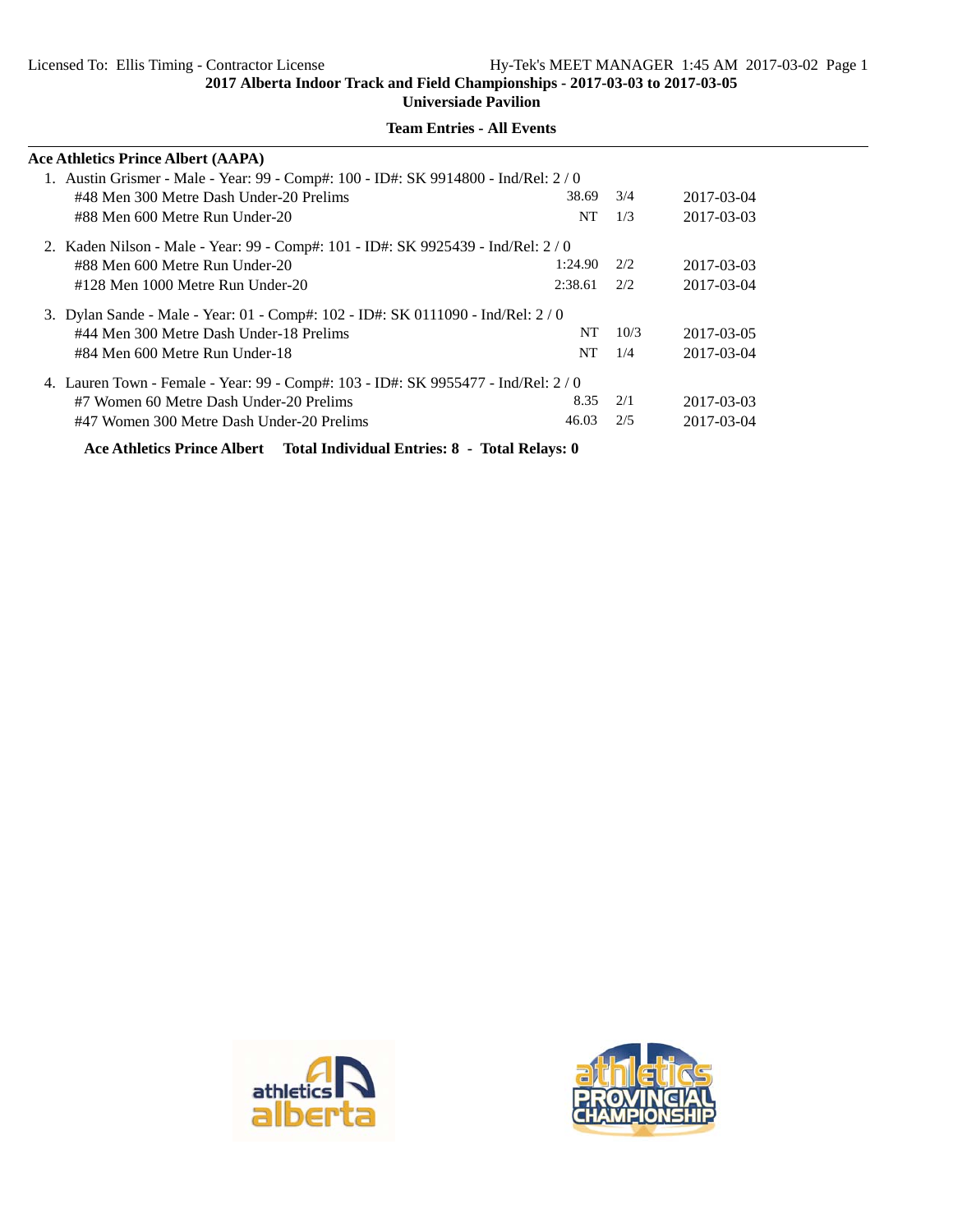**Universiade Pavilion**

| <b>Ace Athletics Prince Albert (AAPA)</b>                                          |                                                                                   |      |            |  |  |  |  |  |
|------------------------------------------------------------------------------------|-----------------------------------------------------------------------------------|------|------------|--|--|--|--|--|
|                                                                                    | 1. Austin Grismer - Male - Year: 99 - Comp#: 100 - ID#: SK 9914800 - Ind/Rel: 2/0 |      |            |  |  |  |  |  |
| #48 Men 300 Metre Dash Under-20 Prelims                                            | 38.69                                                                             | 3/4  | 2017-03-04 |  |  |  |  |  |
| #88 Men 600 Metre Run Under-20                                                     | NT                                                                                | 1/3  | 2017-03-03 |  |  |  |  |  |
| 2. Kaden Nilson - Male - Year: 99 - Comp#: 101 - ID#: SK 9925439 - Ind/Rel: 2 / 0  |                                                                                   |      |            |  |  |  |  |  |
| #88 Men 600 Metre Run Under-20                                                     | 1:24.90                                                                           | 2/2  | 2017-03-03 |  |  |  |  |  |
| #128 Men 1000 Metre Run Under-20                                                   | 2:38.61                                                                           | 2/2  | 2017-03-04 |  |  |  |  |  |
| 3. Dylan Sande - Male - Year: 01 - Comp#: 102 - ID#: SK 0111090 - Ind/Rel: 2/0     |                                                                                   |      |            |  |  |  |  |  |
| #44 Men 300 Metre Dash Under-18 Prelims                                            | NT.                                                                               | 10/3 | 2017-03-05 |  |  |  |  |  |
| #84 Men 600 Metre Run Under-18                                                     | NT                                                                                | 1/4  | 2017-03-04 |  |  |  |  |  |
| 4. Lauren Town - Female - Year: 99 - Comp#: 103 - ID#: SK 9955477 - Ind/Rel: 2 / 0 |                                                                                   |      |            |  |  |  |  |  |
| #7 Women 60 Metre Dash Under-20 Prelims                                            | 8.35                                                                              | 2/1  | 2017-03-03 |  |  |  |  |  |
| #47 Women 300 Metre Dash Under-20 Prelims                                          | 46.03                                                                             | 2/5  | 2017-03-04 |  |  |  |  |  |
| Ace Athletics Prince Albert Total Individual Entries: 8 - Total Relays: 0          |                                                                                   |      |            |  |  |  |  |  |



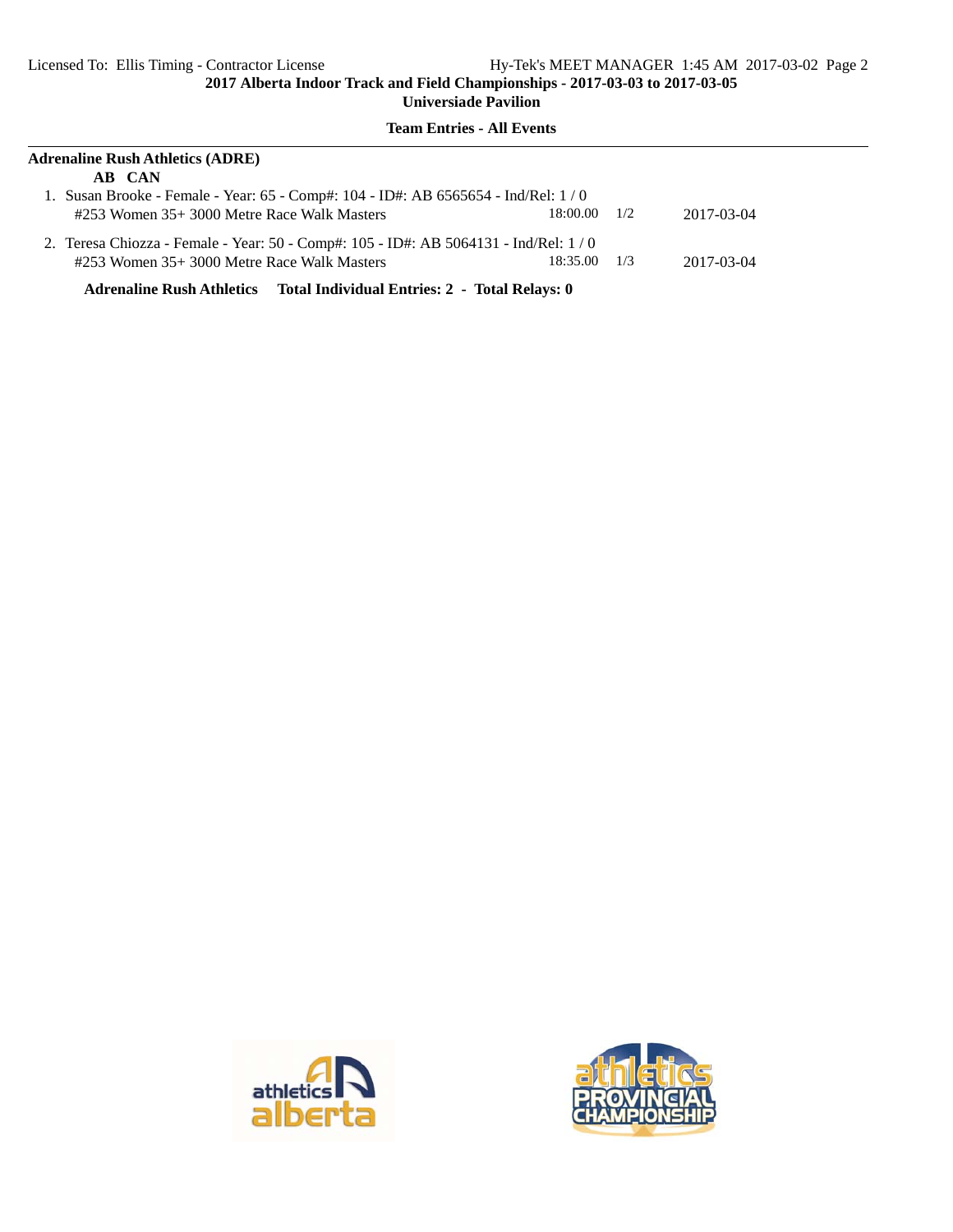#### **Team Entries - All Events**

| <b>Adrenaline Rush Athletics (ADRE)</b>                                             |  |            |  |  |  |  |  |
|-------------------------------------------------------------------------------------|--|------------|--|--|--|--|--|
|                                                                                     |  |            |  |  |  |  |  |
| 1. Susan Brooke - Female - Year: 65 - Comp#: 104 - ID#: AB 6565654 - Ind/Rel: 1/0   |  |            |  |  |  |  |  |
| 18:00.00                                                                            |  | 2017-03-04 |  |  |  |  |  |
| 2. Teresa Chiozza - Female - Year: 50 - Comp#: 105 - ID#: AB 5064131 - Ind/Rel: 1/0 |  |            |  |  |  |  |  |
| 18:35.00                                                                            |  | 2017-03-04 |  |  |  |  |  |
|                                                                                     |  | 1/2<br>1/3 |  |  |  |  |  |

**Adrenaline Rush Athletics Total Individual Entries: 2 - Total Relays: 0**



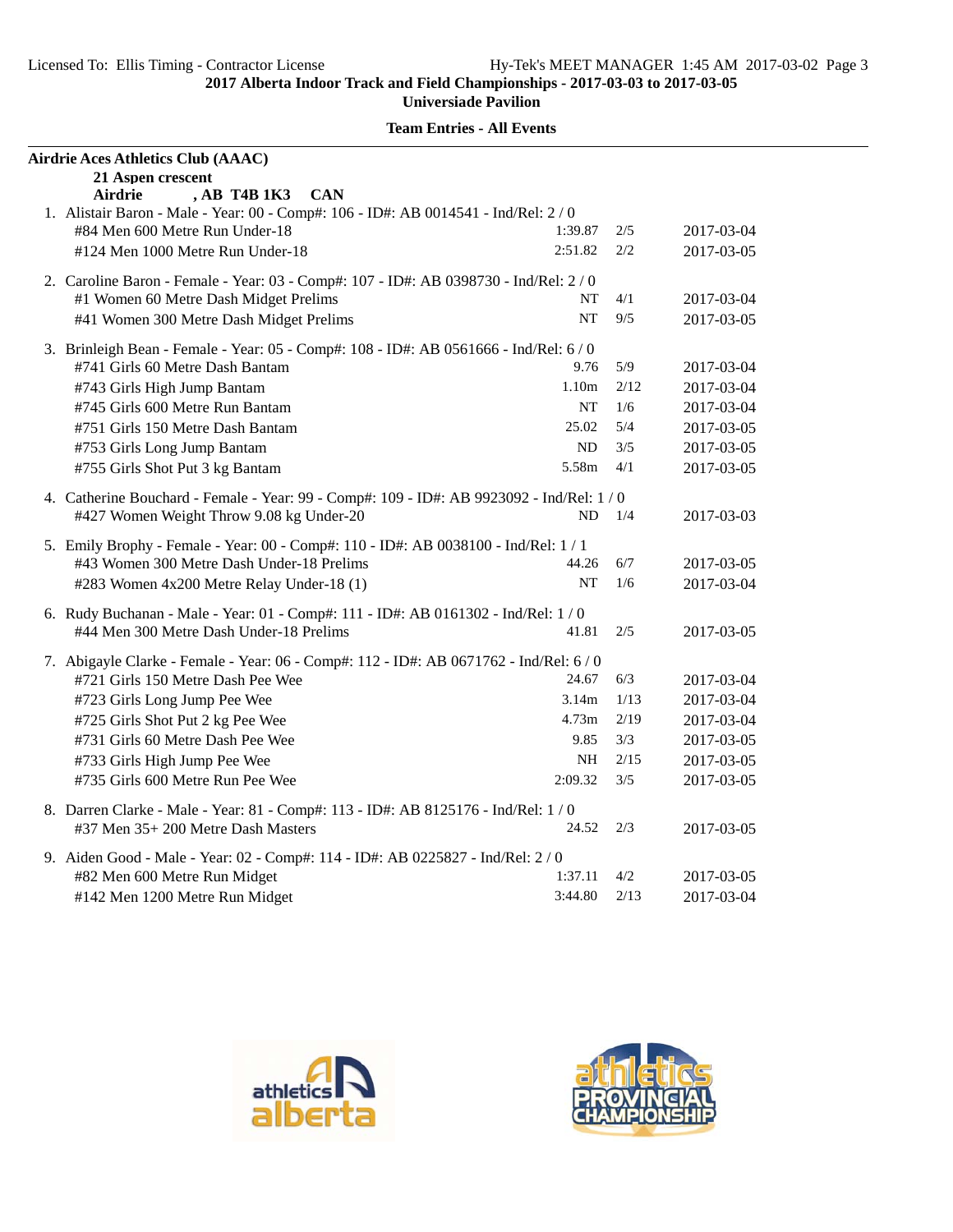| Airdrie Aces Athletics Club (AAAC)                                                                                                                |                   |      |            |  |  |
|---------------------------------------------------------------------------------------------------------------------------------------------------|-------------------|------|------------|--|--|
| 21 Aspen crescent<br>, AB T4B 1K3<br>Airdrie<br><b>CAN</b><br>1. Alistair Baron - Male - Year: 00 - Comp#: 106 - ID#: AB 0014541 - Ind/Rel: 2 / 0 |                   |      |            |  |  |
| #84 Men 600 Metre Run Under-18                                                                                                                    | 1:39.87           | 2/5  | 2017-03-04 |  |  |
| #124 Men 1000 Metre Run Under-18                                                                                                                  | 2:51.82           | 2/2  | 2017-03-05 |  |  |
| 2. Caroline Baron - Female - Year: 03 - Comp#: 107 - ID#: AB 0398730 - Ind/Rel: 2/0                                                               |                   |      |            |  |  |
| #1 Women 60 Metre Dash Midget Prelims                                                                                                             | NT                | 4/1  | 2017-03-04 |  |  |
| #41 Women 300 Metre Dash Midget Prelims                                                                                                           | NT                | 9/5  | 2017-03-05 |  |  |
| 3. Brinleigh Bean - Female - Year: 05 - Comp#: 108 - ID#: AB 0561666 - Ind/Rel: 6/0                                                               |                   |      |            |  |  |
| #741 Girls 60 Metre Dash Bantam                                                                                                                   | 9.76              | 5/9  | 2017-03-04 |  |  |
| #743 Girls High Jump Bantam                                                                                                                       | 1.10 <sub>m</sub> | 2/12 | 2017-03-04 |  |  |
| #745 Girls 600 Metre Run Bantam                                                                                                                   | NT                | 1/6  | 2017-03-04 |  |  |
| #751 Girls 150 Metre Dash Bantam                                                                                                                  | 25.02             | 5/4  | 2017-03-05 |  |  |
| #753 Girls Long Jump Bantam                                                                                                                       | ND                | 3/5  | 2017-03-05 |  |  |
| #755 Girls Shot Put 3 kg Bantam                                                                                                                   | 5.58m             | 4/1  | 2017-03-05 |  |  |
| 4. Catherine Bouchard - Female - Year: 99 - Comp#: 109 - ID#: AB 9923092 - Ind/Rel: 1 / 0                                                         |                   |      |            |  |  |
| #427 Women Weight Throw 9.08 kg Under-20                                                                                                          | ND                | 1/4  | 2017-03-03 |  |  |
| 5. Emily Brophy - Female - Year: 00 - Comp#: 110 - ID#: AB 0038100 - Ind/Rel: 1 / 1                                                               |                   |      |            |  |  |
| #43 Women 300 Metre Dash Under-18 Prelims                                                                                                         | 44.26             | 6/7  | 2017-03-05 |  |  |
| #283 Women 4x200 Metre Relay Under-18 (1)                                                                                                         | NT                | 1/6  | 2017-03-04 |  |  |
| 6. Rudy Buchanan - Male - Year: 01 - Comp#: 111 - ID#: AB 0161302 - Ind/Rel: 1 / 0                                                                |                   |      |            |  |  |
| #44 Men 300 Metre Dash Under-18 Prelims                                                                                                           | 41.81             | 2/5  | 2017-03-05 |  |  |
| 7. Abigayle Clarke - Female - Year: 06 - Comp#: 112 - ID#: AB 0671762 - Ind/Rel: 6/0                                                              |                   |      |            |  |  |
| #721 Girls 150 Metre Dash Pee Wee                                                                                                                 | 24.67             | 6/3  | 2017-03-04 |  |  |
| #723 Girls Long Jump Pee Wee                                                                                                                      | 3.14m             | 1/13 | 2017-03-04 |  |  |
| #725 Girls Shot Put 2 kg Pee Wee                                                                                                                  | 4.73m             | 2/19 | 2017-03-04 |  |  |
| #731 Girls 60 Metre Dash Pee Wee                                                                                                                  | 9.85              | 3/3  | 2017-03-05 |  |  |
| #733 Girls High Jump Pee Wee                                                                                                                      | NH                | 2/15 | 2017-03-05 |  |  |
| #735 Girls 600 Metre Run Pee Wee                                                                                                                  | 2:09.32           | 3/5  | 2017-03-05 |  |  |
| 8. Darren Clarke - Male - Year: 81 - Comp#: 113 - ID#: AB 8125176 - Ind/Rel: 1 / 0                                                                |                   |      |            |  |  |
| #37 Men 35+ 200 Metre Dash Masters                                                                                                                | 24.52             | 2/3  | 2017-03-05 |  |  |
| 9. Aiden Good - Male - Year: 02 - Comp#: 114 - ID#: AB 0225827 - Ind/Rel: 2 / 0                                                                   |                   |      |            |  |  |
| #82 Men 600 Metre Run Midget                                                                                                                      | 1:37.11           | 4/2  | 2017-03-05 |  |  |
| #142 Men 1200 Metre Run Midget                                                                                                                    | 3:44.80           | 2/13 | 2017-03-04 |  |  |



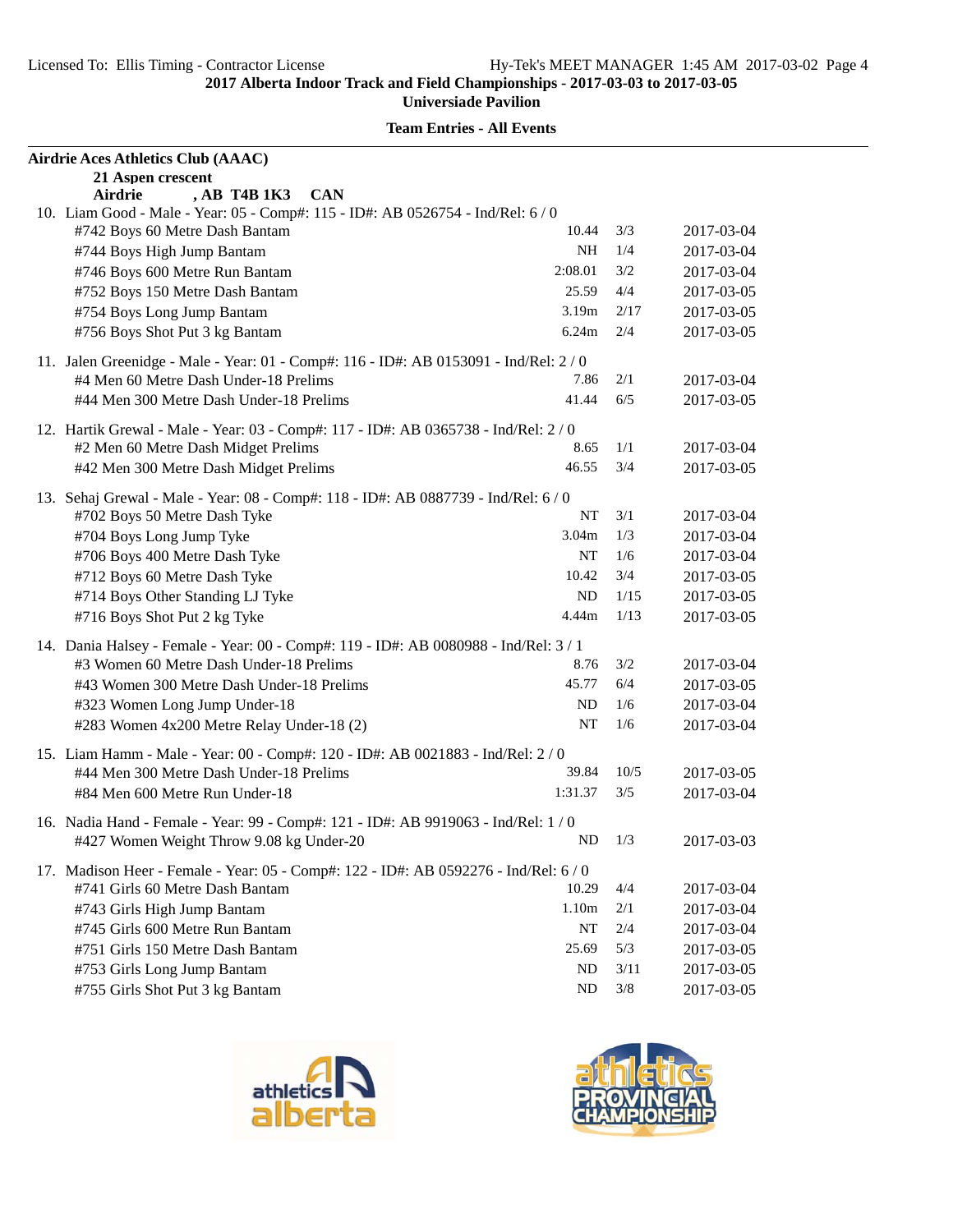| Airdrie Aces Athletics Club (AAAC)                                                                                    |            |       |            |
|-----------------------------------------------------------------------------------------------------------------------|------------|-------|------------|
| 21 Aspen crescent<br>, AB T4B 1K3<br><b>CAN</b><br>Airdrie                                                            |            |       |            |
| 10. Liam Good - Male - Year: 05 - Comp#: 115 - ID#: AB 0526754 - Ind/Rel: 6 / 0                                       |            |       |            |
| #742 Boys 60 Metre Dash Bantam                                                                                        | 10.44      | 3/3   | 2017-03-04 |
| #744 Boys High Jump Bantam                                                                                            | NH         | 1/4   | 2017-03-04 |
| #746 Boys 600 Metre Run Bantam                                                                                        | 2:08.01    | 3/2   | 2017-03-04 |
| #752 Boys 150 Metre Dash Bantam                                                                                       | 25.59      | 4/4   | 2017-03-05 |
| #754 Boys Long Jump Bantam                                                                                            | 3.19m      | 2/17  | 2017-03-05 |
| #756 Boys Shot Put 3 kg Bantam                                                                                        | 6.24m      | 2/4   | 2017-03-05 |
|                                                                                                                       |            |       |            |
| 11. Jalen Greenidge - Male - Year: 01 - Comp#: 116 - ID#: AB 0153091 - Ind/Rel: 2 / 0                                 |            |       |            |
| #4 Men 60 Metre Dash Under-18 Prelims                                                                                 | 7.86       | 2/1   | 2017-03-04 |
| #44 Men 300 Metre Dash Under-18 Prelims                                                                               | 41.44      | 6/5   | 2017-03-05 |
| 12. Hartik Grewal - Male - Year: 03 - Comp#: 117 - ID#: AB 0365738 - Ind/Rel: 2 / 0                                   |            |       |            |
| #2 Men 60 Metre Dash Midget Prelims                                                                                   | 8.65       | 1/1   | 2017-03-04 |
| #42 Men 300 Metre Dash Midget Prelims                                                                                 | 46.55      | 3/4   | 2017-03-05 |
| 13. Sehaj Grewal - Male - Year: 08 - Comp#: 118 - ID#: AB 0887739 - Ind/Rel: 6/0                                      |            |       |            |
| #702 Boys 50 Metre Dash Tyke                                                                                          | NT         | 3/1   | 2017-03-04 |
| #704 Boys Long Jump Tyke                                                                                              | 3.04m      | 1/3   | 2017-03-04 |
| #706 Boys 400 Metre Dash Tyke                                                                                         | NT         | 1/6   | 2017-03-04 |
| #712 Boys 60 Metre Dash Tyke                                                                                          | 10.42      | 3/4   | 2017-03-05 |
| #714 Boys Other Standing LJ Tyke                                                                                      | ND         | 1/15  | 2017-03-05 |
| #716 Boys Shot Put 2 kg Tyke                                                                                          | 4.44m      | 1/13  | 2017-03-05 |
|                                                                                                                       |            |       |            |
| 14. Dania Halsey - Female - Year: 00 - Comp#: 119 - ID#: AB 0080988 - Ind/Rel: 3 / 1                                  |            |       |            |
| #3 Women 60 Metre Dash Under-18 Prelims                                                                               | 8.76       | 3/2   | 2017-03-04 |
| #43 Women 300 Metre Dash Under-18 Prelims                                                                             | 45.77      | 6/4   | 2017-03-05 |
| #323 Women Long Jump Under-18                                                                                         | ND         | 1/6   | 2017-03-04 |
| #283 Women 4x200 Metre Relay Under-18 (2)                                                                             | NT         | 1/6   | 2017-03-04 |
| 15. Liam Hamm - Male - Year: 00 - Comp#: 120 - ID#: AB 0021883 - Ind/Rel: 2 / 0                                       |            |       |            |
| #44 Men 300 Metre Dash Under-18 Prelims                                                                               | 39.84      | 10/5  | 2017-03-05 |
| #84 Men 600 Metre Run Under-18                                                                                        | 1:31.37    | 3/5   | 2017-03-04 |
| 16. Nadia Hand - Female - Year: 99 - Comp#: 121 - ID#: AB 9919063 - Ind/Rel: 1 / 0                                    |            |       |            |
| #427 Women Weight Throw 9.08 kg Under-20                                                                              | $ND$ $1/3$ |       | 2017-03-03 |
|                                                                                                                       |            |       |            |
| 17. Madison Heer - Female - Year: 05 - Comp#: 122 - ID#: AB 0592276 - Ind/Rel: 6/0<br>#741 Girls 60 Metre Dash Bantam | 10.29      | 4/4   | 2017-03-04 |
| #743 Girls High Jump Bantam                                                                                           | 1.10m      | 2/1   | 2017-03-04 |
| #745 Girls 600 Metre Run Bantam                                                                                       | <b>NT</b>  | 2/4   | 2017-03-04 |
| #751 Girls 150 Metre Dash Bantam                                                                                      | 25.69      | 5/3   | 2017-03-05 |
|                                                                                                                       | ND         | 3/11  | 2017-03-05 |
| #753 Girls Long Jump Bantam                                                                                           | ND         | $3/8$ |            |
| #755 Girls Shot Put 3 kg Bantam                                                                                       |            |       | 2017-03-05 |





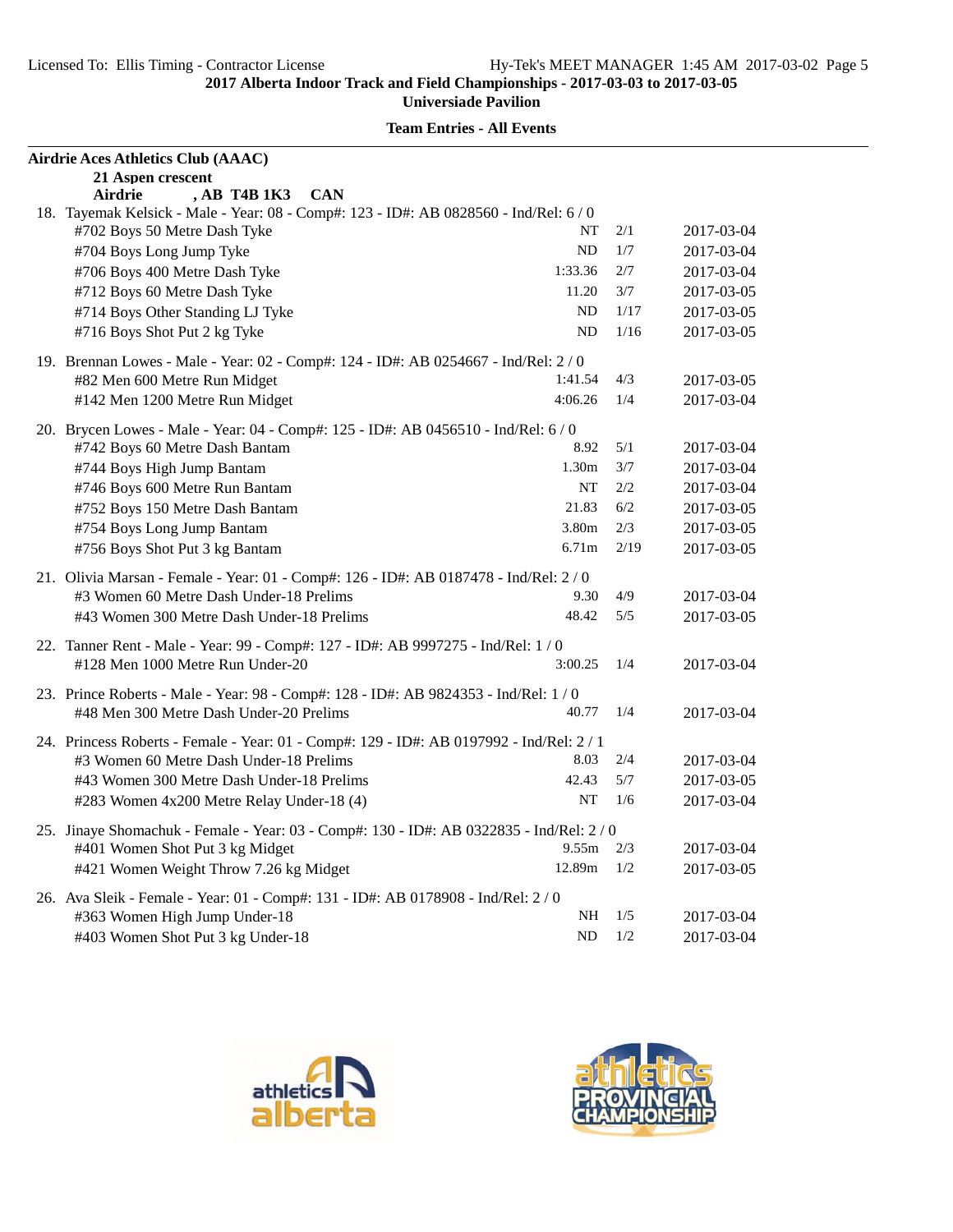| Airdrie Aces Athletics Club (AAAC)                                                       |                   |      |            |
|------------------------------------------------------------------------------------------|-------------------|------|------------|
| 21 Aspen crescent                                                                        |                   |      |            |
| <b>CAN</b><br>Airdrie<br>AB T4B 1K3                                                      |                   |      |            |
| 18. Tayemak Kelsick - Male - Year: 08 - Comp#: 123 - ID#: AB 0828560 - Ind/Rel: 6 / 0    |                   |      |            |
| #702 Boys 50 Metre Dash Tyke                                                             | NT                | 2/1  | 2017-03-04 |
| #704 Boys Long Jump Tyke                                                                 | ND                | 1/7  | 2017-03-04 |
| #706 Boys 400 Metre Dash Tyke                                                            | 1:33.36           | 2/7  | 2017-03-04 |
| #712 Boys 60 Metre Dash Tyke                                                             | 11.20             | 3/7  | 2017-03-05 |
| #714 Boys Other Standing LJ Tyke                                                         | ND                | 1/17 | 2017-03-05 |
| #716 Boys Shot Put 2 kg Tyke                                                             | <b>ND</b>         | 1/16 | 2017-03-05 |
| 19. Brennan Lowes - Male - Year: 02 - Comp#: 124 - ID#: AB 0254667 - Ind/Rel: 2/0        |                   |      |            |
| #82 Men 600 Metre Run Midget                                                             | 1:41.54           | 4/3  | 2017-03-05 |
| #142 Men 1200 Metre Run Midget                                                           | 4:06.26           | 1/4  | 2017-03-04 |
| 20. Brycen Lowes - Male - Year: 04 - Comp#: 125 - ID#: AB 0456510 - Ind/Rel: 6 / 0       |                   |      |            |
| #742 Boys 60 Metre Dash Bantam                                                           | 8.92              | 5/1  | 2017-03-04 |
| #744 Boys High Jump Bantam                                                               | 1.30 <sub>m</sub> | 3/7  | 2017-03-04 |
| #746 Boys 600 Metre Run Bantam                                                           | NT                | 2/2  | 2017-03-04 |
| #752 Boys 150 Metre Dash Bantam                                                          | 21.83             | 6/2  | 2017-03-05 |
| #754 Boys Long Jump Bantam                                                               | 3.80m             | 2/3  | 2017-03-05 |
| #756 Boys Shot Put 3 kg Bantam                                                           | 6.71m             | 2/19 | 2017-03-05 |
| 21. Olivia Marsan - Female - Year: 01 - Comp#: 126 - ID#: AB 0187478 - Ind/Rel: 2/0      |                   |      |            |
| #3 Women 60 Metre Dash Under-18 Prelims                                                  | 9.30              | 4/9  | 2017-03-04 |
| #43 Women 300 Metre Dash Under-18 Prelims                                                | 48.42             | 5/5  | 2017-03-05 |
|                                                                                          |                   |      |            |
| 22. Tanner Rent - Male - Year: 99 - Comp#: 127 - ID#: AB 9997275 - Ind/Rel: 1/0          |                   |      |            |
| #128 Men 1000 Metre Run Under-20                                                         | 3:00.25           | 1/4  | 2017-03-04 |
| 23. Prince Roberts - Male - Year: 98 - Comp#: 128 - ID#: AB 9824353 - Ind/Rel: 1 / 0     |                   |      |            |
| #48 Men 300 Metre Dash Under-20 Prelims                                                  | 40.77             | 1/4  | 2017-03-04 |
| 24. Princess Roberts - Female - Year: 01 - Comp#: 129 - ID#: AB 0197992 - Ind/Rel: 2 / 1 |                   |      |            |
| #3 Women 60 Metre Dash Under-18 Prelims                                                  | 8.03              | 2/4  | 2017-03-04 |
| #43 Women 300 Metre Dash Under-18 Prelims                                                | 42.43             | 5/7  | 2017-03-05 |
| #283 Women 4x200 Metre Relay Under-18 (4)                                                | NT                | 1/6  | 2017-03-04 |
| 25. Jinaye Shomachuk - Female - Year: 03 - Comp#: 130 - ID#: AB 0322835 - Ind/Rel: 2 / 0 |                   |      |            |
| #401 Women Shot Put 3 kg Midget                                                          | 9.55m             | 2/3  | 2017-03-04 |
| #421 Women Weight Throw 7.26 kg Midget                                                   | 12.89m            | 1/2  | 2017-03-05 |
| 26. Ava Sleik - Female - Year: 01 - Comp#: 131 - ID#: AB 0178908 - Ind/Rel: 2 / 0        |                   |      |            |
| #363 Women High Jump Under-18                                                            | NH                | 1/5  | 2017-03-04 |
| #403 Women Shot Put 3 kg Under-18                                                        | ND                | 1/2  | 2017-03-04 |
|                                                                                          |                   |      |            |





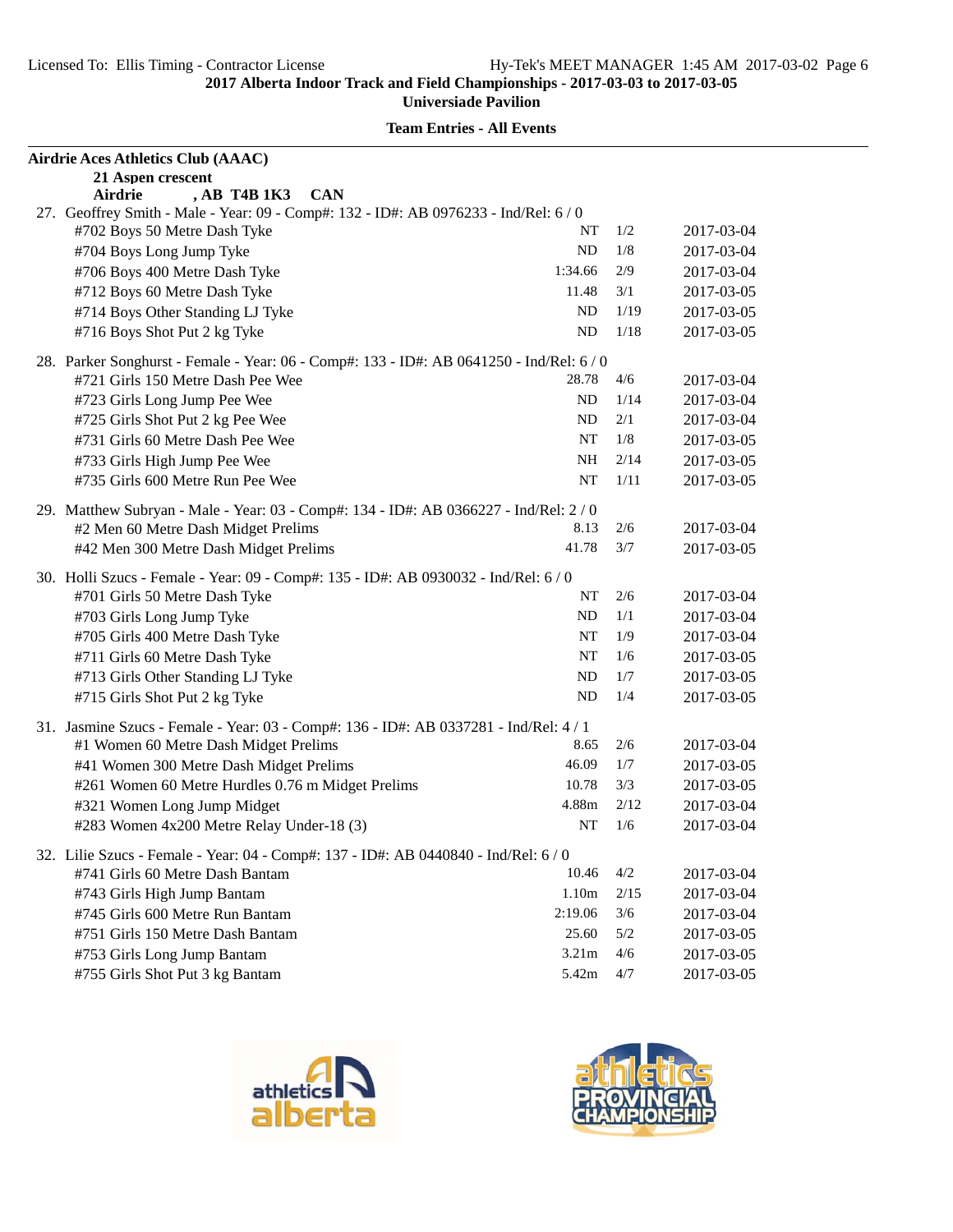| 21 Aspen crescent<br>, AB T4B 1K3<br><b>CAN</b><br>Airdrie<br>27. Geoffrey Smith - Male - Year: 09 - Comp#: 132 - ID#: AB 0976233 - Ind/Rel: 6/0<br>#702 Boys 50 Metre Dash Tyke<br>NT<br>1/2<br>2017-03-04<br>#704 Boys Long Jump Tyke<br><b>ND</b><br>1/8<br>2017-03-04<br>2/9<br>#706 Boys 400 Metre Dash Tyke<br>1:34.66<br>2017-03-04<br>#712 Boys 60 Metre Dash Tyke<br>3/1<br>11.48<br>2017-03-05<br><b>ND</b><br>1/19<br>#714 Boys Other Standing LJ Tyke<br>2017-03-05<br><b>ND</b><br>1/18<br>#716 Boys Shot Put 2 kg Tyke<br>2017-03-05<br>28. Parker Songhurst - Female - Year: 06 - Comp#: 133 - ID#: AB 0641250 - Ind/Rel: 6 / 0<br>#721 Girls 150 Metre Dash Pee Wee<br>4/6<br>28.78<br>2017-03-04<br><b>ND</b><br>1/14<br>2017-03-04<br>#723 Girls Long Jump Pee Wee<br>2/1<br>#725 Girls Shot Put 2 kg Pee Wee<br>ND<br>2017-03-04<br>#731 Girls 60 Metre Dash Pee Wee<br>NT<br>1/8<br>2017-03-05<br>#733 Girls High Jump Pee Wee<br><b>NH</b><br>2/14<br>2017-03-05<br>#735 Girls 600 Metre Run Pee Wee<br>NT<br>1/11<br>2017-03-05<br>29. Matthew Subryan - Male - Year: 03 - Comp#: 134 - ID#: AB 0366227 - Ind/Rel: 2 / 0<br>8.13<br>2/6<br>#2 Men 60 Metre Dash Midget Prelims<br>2017-03-04 | Airdrie Aces Athletics Club (AAAC)    |       |     |            |
|--------------------------------------------------------------------------------------------------------------------------------------------------------------------------------------------------------------------------------------------------------------------------------------------------------------------------------------------------------------------------------------------------------------------------------------------------------------------------------------------------------------------------------------------------------------------------------------------------------------------------------------------------------------------------------------------------------------------------------------------------------------------------------------------------------------------------------------------------------------------------------------------------------------------------------------------------------------------------------------------------------------------------------------------------------------------------------------------------------------------------------------------------------------------------------------------------------------------|---------------------------------------|-------|-----|------------|
|                                                                                                                                                                                                                                                                                                                                                                                                                                                                                                                                                                                                                                                                                                                                                                                                                                                                                                                                                                                                                                                                                                                                                                                                                    |                                       |       |     |            |
|                                                                                                                                                                                                                                                                                                                                                                                                                                                                                                                                                                                                                                                                                                                                                                                                                                                                                                                                                                                                                                                                                                                                                                                                                    |                                       |       |     |            |
|                                                                                                                                                                                                                                                                                                                                                                                                                                                                                                                                                                                                                                                                                                                                                                                                                                                                                                                                                                                                                                                                                                                                                                                                                    |                                       |       |     |            |
|                                                                                                                                                                                                                                                                                                                                                                                                                                                                                                                                                                                                                                                                                                                                                                                                                                                                                                                                                                                                                                                                                                                                                                                                                    |                                       |       |     |            |
|                                                                                                                                                                                                                                                                                                                                                                                                                                                                                                                                                                                                                                                                                                                                                                                                                                                                                                                                                                                                                                                                                                                                                                                                                    |                                       |       |     |            |
|                                                                                                                                                                                                                                                                                                                                                                                                                                                                                                                                                                                                                                                                                                                                                                                                                                                                                                                                                                                                                                                                                                                                                                                                                    |                                       |       |     |            |
|                                                                                                                                                                                                                                                                                                                                                                                                                                                                                                                                                                                                                                                                                                                                                                                                                                                                                                                                                                                                                                                                                                                                                                                                                    |                                       |       |     |            |
|                                                                                                                                                                                                                                                                                                                                                                                                                                                                                                                                                                                                                                                                                                                                                                                                                                                                                                                                                                                                                                                                                                                                                                                                                    |                                       |       |     |            |
|                                                                                                                                                                                                                                                                                                                                                                                                                                                                                                                                                                                                                                                                                                                                                                                                                                                                                                                                                                                                                                                                                                                                                                                                                    |                                       |       |     |            |
|                                                                                                                                                                                                                                                                                                                                                                                                                                                                                                                                                                                                                                                                                                                                                                                                                                                                                                                                                                                                                                                                                                                                                                                                                    |                                       |       |     |            |
|                                                                                                                                                                                                                                                                                                                                                                                                                                                                                                                                                                                                                                                                                                                                                                                                                                                                                                                                                                                                                                                                                                                                                                                                                    |                                       |       |     |            |
|                                                                                                                                                                                                                                                                                                                                                                                                                                                                                                                                                                                                                                                                                                                                                                                                                                                                                                                                                                                                                                                                                                                                                                                                                    |                                       |       |     |            |
|                                                                                                                                                                                                                                                                                                                                                                                                                                                                                                                                                                                                                                                                                                                                                                                                                                                                                                                                                                                                                                                                                                                                                                                                                    |                                       |       |     |            |
|                                                                                                                                                                                                                                                                                                                                                                                                                                                                                                                                                                                                                                                                                                                                                                                                                                                                                                                                                                                                                                                                                                                                                                                                                    |                                       |       |     |            |
|                                                                                                                                                                                                                                                                                                                                                                                                                                                                                                                                                                                                                                                                                                                                                                                                                                                                                                                                                                                                                                                                                                                                                                                                                    |                                       |       |     |            |
|                                                                                                                                                                                                                                                                                                                                                                                                                                                                                                                                                                                                                                                                                                                                                                                                                                                                                                                                                                                                                                                                                                                                                                                                                    |                                       |       |     |            |
|                                                                                                                                                                                                                                                                                                                                                                                                                                                                                                                                                                                                                                                                                                                                                                                                                                                                                                                                                                                                                                                                                                                                                                                                                    |                                       |       |     |            |
|                                                                                                                                                                                                                                                                                                                                                                                                                                                                                                                                                                                                                                                                                                                                                                                                                                                                                                                                                                                                                                                                                                                                                                                                                    |                                       |       |     |            |
|                                                                                                                                                                                                                                                                                                                                                                                                                                                                                                                                                                                                                                                                                                                                                                                                                                                                                                                                                                                                                                                                                                                                                                                                                    | #42 Men 300 Metre Dash Midget Prelims | 41.78 | 3/7 | 2017-03-05 |
| 30. Holli Szucs - Female - Year: 09 - Comp#: 135 - ID#: AB 0930032 - Ind/Rel: 6 / 0                                                                                                                                                                                                                                                                                                                                                                                                                                                                                                                                                                                                                                                                                                                                                                                                                                                                                                                                                                                                                                                                                                                                |                                       |       |     |            |
| NT<br>2/6<br>#701 Girls 50 Metre Dash Tyke<br>2017-03-04                                                                                                                                                                                                                                                                                                                                                                                                                                                                                                                                                                                                                                                                                                                                                                                                                                                                                                                                                                                                                                                                                                                                                           |                                       |       |     |            |
| <b>ND</b><br>1/1<br>#703 Girls Long Jump Tyke<br>2017-03-04                                                                                                                                                                                                                                                                                                                                                                                                                                                                                                                                                                                                                                                                                                                                                                                                                                                                                                                                                                                                                                                                                                                                                        |                                       |       |     |            |
| #705 Girls 400 Metre Dash Tyke<br>1/9<br>NT<br>2017-03-04                                                                                                                                                                                                                                                                                                                                                                                                                                                                                                                                                                                                                                                                                                                                                                                                                                                                                                                                                                                                                                                                                                                                                          |                                       |       |     |            |
| NT<br>1/6<br>#711 Girls 60 Metre Dash Tyke<br>2017-03-05                                                                                                                                                                                                                                                                                                                                                                                                                                                                                                                                                                                                                                                                                                                                                                                                                                                                                                                                                                                                                                                                                                                                                           |                                       |       |     |            |
| #713 Girls Other Standing LJ Tyke<br><b>ND</b><br>1/7<br>2017-03-05                                                                                                                                                                                                                                                                                                                                                                                                                                                                                                                                                                                                                                                                                                                                                                                                                                                                                                                                                                                                                                                                                                                                                |                                       |       |     |            |
| <b>ND</b><br>1/4<br>#715 Girls Shot Put 2 kg Tyke<br>2017-03-05                                                                                                                                                                                                                                                                                                                                                                                                                                                                                                                                                                                                                                                                                                                                                                                                                                                                                                                                                                                                                                                                                                                                                    |                                       |       |     |            |
| 31. Jasmine Szucs - Female - Year: 03 - Comp#: 136 - ID#: AB 0337281 - Ind/Rel: 4 / 1                                                                                                                                                                                                                                                                                                                                                                                                                                                                                                                                                                                                                                                                                                                                                                                                                                                                                                                                                                                                                                                                                                                              |                                       |       |     |            |
| 8.65<br>2/6<br>#1 Women 60 Metre Dash Midget Prelims<br>2017-03-04                                                                                                                                                                                                                                                                                                                                                                                                                                                                                                                                                                                                                                                                                                                                                                                                                                                                                                                                                                                                                                                                                                                                                 |                                       |       |     |            |
| 46.09<br>#41 Women 300 Metre Dash Midget Prelims<br>1/7<br>2017-03-05                                                                                                                                                                                                                                                                                                                                                                                                                                                                                                                                                                                                                                                                                                                                                                                                                                                                                                                                                                                                                                                                                                                                              |                                       |       |     |            |
| #261 Women 60 Metre Hurdles 0.76 m Midget Prelims<br>10.78<br>3/3<br>2017-03-05                                                                                                                                                                                                                                                                                                                                                                                                                                                                                                                                                                                                                                                                                                                                                                                                                                                                                                                                                                                                                                                                                                                                    |                                       |       |     |            |
| 4.88m<br>2/12<br>#321 Women Long Jump Midget<br>2017-03-04                                                                                                                                                                                                                                                                                                                                                                                                                                                                                                                                                                                                                                                                                                                                                                                                                                                                                                                                                                                                                                                                                                                                                         |                                       |       |     |            |
| NT<br>1/6<br>#283 Women 4x200 Metre Relay Under-18 (3)<br>2017-03-04                                                                                                                                                                                                                                                                                                                                                                                                                                                                                                                                                                                                                                                                                                                                                                                                                                                                                                                                                                                                                                                                                                                                               |                                       |       |     |            |
| 32. Lilie Szucs - Female - Year: 04 - Comp#: 137 - ID#: AB 0440840 - Ind/Rel: 6 / 0                                                                                                                                                                                                                                                                                                                                                                                                                                                                                                                                                                                                                                                                                                                                                                                                                                                                                                                                                                                                                                                                                                                                |                                       |       |     |            |
| 4/2<br>#741 Girls 60 Metre Dash Bantam<br>10.46<br>2017-03-04                                                                                                                                                                                                                                                                                                                                                                                                                                                                                                                                                                                                                                                                                                                                                                                                                                                                                                                                                                                                                                                                                                                                                      |                                       |       |     |            |
| 1.10m<br>2/15<br>#743 Girls High Jump Bantam<br>2017-03-04                                                                                                                                                                                                                                                                                                                                                                                                                                                                                                                                                                                                                                                                                                                                                                                                                                                                                                                                                                                                                                                                                                                                                         |                                       |       |     |            |
| 3/6<br>#745 Girls 600 Metre Run Bantam<br>2:19.06<br>2017-03-04                                                                                                                                                                                                                                                                                                                                                                                                                                                                                                                                                                                                                                                                                                                                                                                                                                                                                                                                                                                                                                                                                                                                                    |                                       |       |     |            |
| 25.60<br>5/2<br>#751 Girls 150 Metre Dash Bantam<br>2017-03-05                                                                                                                                                                                                                                                                                                                                                                                                                                                                                                                                                                                                                                                                                                                                                                                                                                                                                                                                                                                                                                                                                                                                                     |                                       |       |     |            |
| #753 Girls Long Jump Bantam<br>3.21m<br>4/6<br>2017-03-05                                                                                                                                                                                                                                                                                                                                                                                                                                                                                                                                                                                                                                                                                                                                                                                                                                                                                                                                                                                                                                                                                                                                                          |                                       |       |     |            |
| 5.42m<br>4/7<br>#755 Girls Shot Put 3 kg Bantam<br>2017-03-05                                                                                                                                                                                                                                                                                                                                                                                                                                                                                                                                                                                                                                                                                                                                                                                                                                                                                                                                                                                                                                                                                                                                                      |                                       |       |     |            |





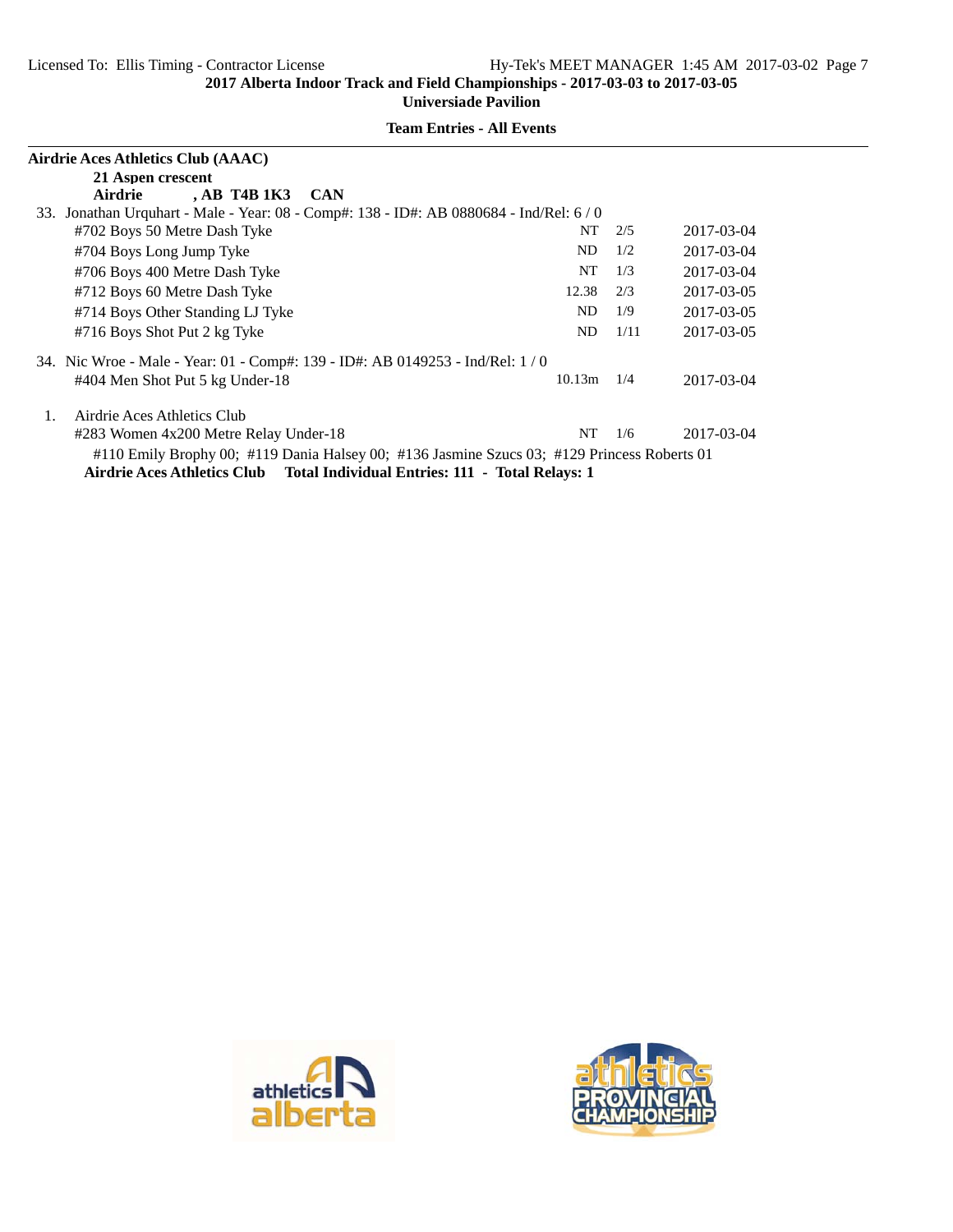| Airdrie Aces Athletics Club (AAAC)                                                          |        |      |            |
|---------------------------------------------------------------------------------------------|--------|------|------------|
| 21 Aspen crescent                                                                           |        |      |            |
| , AB T4B 1K3<br>Airdrie<br><b>CAN</b>                                                       |        |      |            |
| 33. Jonathan Urquhart - Male - Year: 08 - Comp#: 138 - ID#: AB 0880684 - Ind/Rel: 6/0       |        |      |            |
| #702 Boys 50 Metre Dash Tyke                                                                | NT     | 2/5  | 2017-03-04 |
| #704 Boys Long Jump Tyke                                                                    | ND     | 1/2  | 2017-03-04 |
| #706 Boys 400 Metre Dash Tyke                                                               | NT     | 1/3  | 2017-03-04 |
| #712 Boys 60 Metre Dash Tyke                                                                | 12.38  | 2/3  | 2017-03-05 |
| #714 Boys Other Standing LJ Tyke                                                            | ND     | 1/9  | 2017-03-05 |
| #716 Boys Shot Put 2 kg Tyke                                                                | ND     | 1/11 | 2017-03-05 |
| 34. Nic Wroe - Male - Year: 01 - Comp#: 139 - ID#: AB 0149253 - Ind/Rel: 1 / 0              |        |      |            |
| #404 Men Shot Put 5 kg Under-18                                                             | 10.13m | 1/4  | 2017-03-04 |
| Airdrie Aces Athletics Club<br>1.                                                           |        |      |            |
| #283 Women 4x200 Metre Relay Under-18                                                       | NT     | 1/6  | 2017-03-04 |
| #110 Emily Brophy 00; #119 Dania Halsey 00; #136 Jasmine Szucs 03; #129 Princess Roberts 01 |        |      |            |
| Airdrie Aces Athletics Club Total Individual Entries: 111 - Total Relays: 1                 |        |      |            |





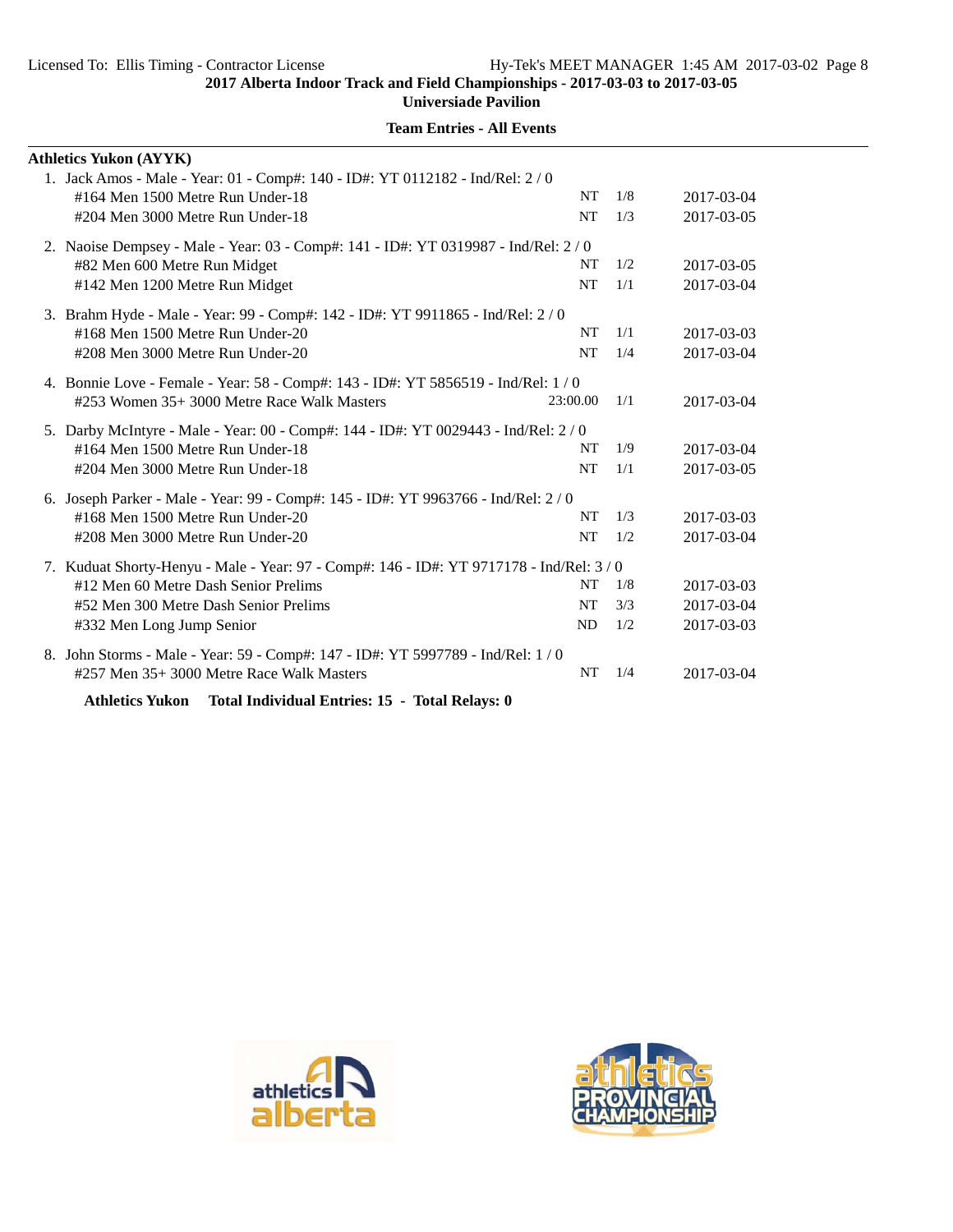**Universiade Pavilion**

| <b>Athletics Yukon (AYYK)</b>                                                                                      |           |     |                          |
|--------------------------------------------------------------------------------------------------------------------|-----------|-----|--------------------------|
| 1. Jack Amos - Male - Year: 01 - Comp#: 140 - ID#: YT 0112182 - Ind/Rel: 2 / 0<br>#164 Men 1500 Metre Run Under-18 | <b>NT</b> | 1/8 |                          |
| #204 Men 3000 Metre Run Under-18                                                                                   | <b>NT</b> | 1/3 | 2017-03-04<br>2017-03-05 |
|                                                                                                                    |           |     |                          |
| 2. Naoise Dempsey - Male - Year: 03 - Comp#: 141 - ID#: YT 0319987 - Ind/Rel: 2/0                                  |           |     |                          |
| #82 Men 600 Metre Run Midget                                                                                       | NT        | 1/2 | 2017-03-05               |
| #142 Men 1200 Metre Run Midget                                                                                     | <b>NT</b> | 1/1 | 2017-03-04               |
| 3. Brahm Hyde - Male - Year: 99 - Comp#: 142 - ID#: YT 9911865 - Ind/Rel: 2/0                                      |           |     |                          |
| #168 Men 1500 Metre Run Under-20                                                                                   | <b>NT</b> | 1/1 | 2017-03-03               |
| #208 Men 3000 Metre Run Under-20                                                                                   | <b>NT</b> | 1/4 | 2017-03-04               |
| 4. Bonnie Love - Female - Year: 58 - Comp#: 143 - ID#: YT 5856519 - Ind/Rel: 1/0                                   |           |     |                          |
| #253 Women 35+ 3000 Metre Race Walk Masters                                                                        | 23:00.00  | 1/1 | 2017-03-04               |
|                                                                                                                    |           |     |                          |
| 5. Darby McIntyre - Male - Year: 00 - Comp#: 144 - ID#: YT 0029443 - Ind/Rel: 2/0                                  |           |     |                          |
| #164 Men 1500 Metre Run Under-18                                                                                   | NT        | 1/9 | 2017-03-04               |
| #204 Men 3000 Metre Run Under-18                                                                                   | <b>NT</b> | 1/1 | 2017-03-05               |
| 6. Joseph Parker - Male - Year: 99 - Comp#: 145 - ID#: YT 9963766 - Ind/Rel: 2 / 0                                 |           |     |                          |
| #168 Men 1500 Metre Run Under-20                                                                                   | NT        | 1/3 | 2017-03-03               |
| #208 Men 3000 Metre Run Under-20                                                                                   | <b>NT</b> | 1/2 | 2017-03-04               |
|                                                                                                                    |           |     |                          |
| 7. Kuduat Shorty-Henyu - Male - Year: 97 - Comp#: 146 - ID#: YT 9717178 - Ind/Rel: 3/0                             |           |     |                          |
| #12 Men 60 Metre Dash Senior Prelims                                                                               | NT        | 1/8 | 2017-03-03               |
| #52 Men 300 Metre Dash Senior Prelims                                                                              | NT        | 3/3 | 2017-03-04               |
| #332 Men Long Jump Senior                                                                                          | ND.       | 1/2 | 2017-03-03               |
| 8. John Storms - Male - Year: 59 - Comp#: 147 - ID#: YT 5997789 - Ind/Rel: 1 / 0                                   |           |     |                          |
| #257 Men 35+ 3000 Metre Race Walk Masters                                                                          | NT        | 1/4 | 2017-03-04               |
|                                                                                                                    |           |     |                          |

**Team Entries - All Events**

**Athletics Yukon Total Individual Entries: 15 - Total Relays: 0**



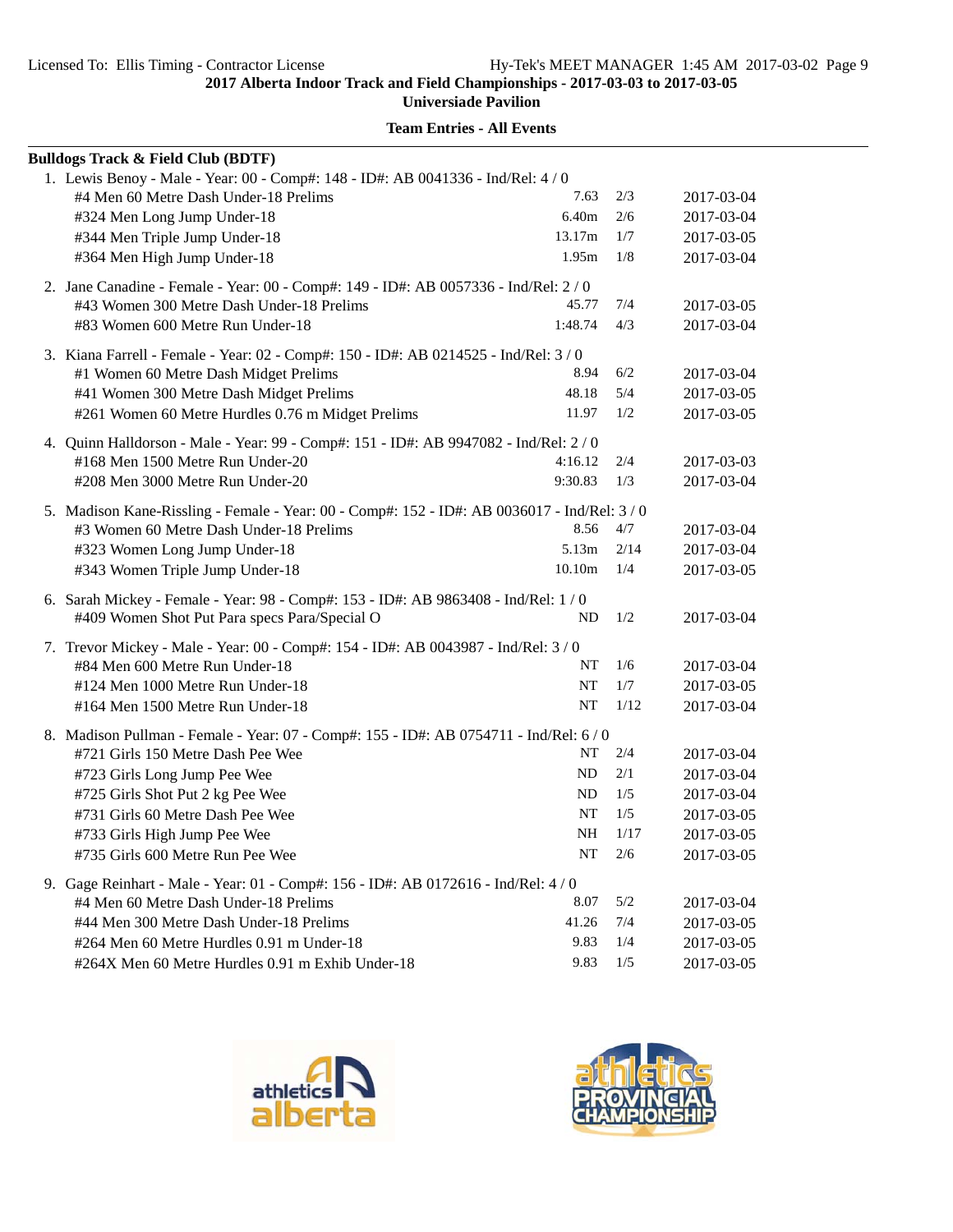**Universiade Pavilion**

| <b>Bulldogs Track &amp; Field Club (BDTF)</b>                                                |           |      |            |
|----------------------------------------------------------------------------------------------|-----------|------|------------|
| 1. Lewis Benoy - Male - Year: 00 - Comp#: 148 - ID#: AB 0041336 - Ind/Rel: 4 / 0             |           |      |            |
| #4 Men 60 Metre Dash Under-18 Prelims                                                        | 7.63      | 2/3  | 2017-03-04 |
| #324 Men Long Jump Under-18                                                                  | 6.40m     | 2/6  | 2017-03-04 |
| #344 Men Triple Jump Under-18                                                                | 13.17m    | 1/7  | 2017-03-05 |
| #364 Men High Jump Under-18                                                                  | 1.95m     | 1/8  | 2017-03-04 |
| 2. Jane Canadine - Female - Year: 00 - Comp#: 149 - ID#: AB 0057336 - Ind/Rel: 2 / 0         |           |      |            |
| #43 Women 300 Metre Dash Under-18 Prelims                                                    | 45.77     | 7/4  | 2017-03-05 |
| #83 Women 600 Metre Run Under-18                                                             | 1:48.74   | 4/3  | 2017-03-04 |
| 3. Kiana Farrell - Female - Year: 02 - Comp#: 150 - ID#: AB 0214525 - Ind/Rel: 3/0           |           |      |            |
| #1 Women 60 Metre Dash Midget Prelims                                                        | 8.94      | 6/2  | 2017-03-04 |
| #41 Women 300 Metre Dash Midget Prelims                                                      | 48.18     | 5/4  | 2017-03-05 |
| #261 Women 60 Metre Hurdles 0.76 m Midget Prelims                                            | 11.97     | 1/2  | 2017-03-05 |
| 4. Quinn Halldorson - Male - Year: 99 - Comp#: 151 - ID#: AB 9947082 - Ind/Rel: 2 / 0        |           |      |            |
| #168 Men 1500 Metre Run Under-20                                                             | 4:16.12   | 2/4  | 2017-03-03 |
| #208 Men 3000 Metre Run Under-20                                                             | 9:30.83   | 1/3  | 2017-03-04 |
| 5. Madison Kane-Rissling - Female - Year: 00 - Comp#: 152 - ID#: AB 0036017 - Ind/Rel: 3 / 0 |           |      |            |
| #3 Women 60 Metre Dash Under-18 Prelims                                                      | 8.56      | 4/7  | 2017-03-04 |
| #323 Women Long Jump Under-18                                                                | 5.13m     | 2/14 | 2017-03-04 |
| #343 Women Triple Jump Under-18                                                              | 10.10m    | 1/4  | 2017-03-05 |
| 6. Sarah Mickey - Female - Year: 98 - Comp#: 153 - ID#: AB 9863408 - Ind/Rel: 1/0            |           |      |            |
| #409 Women Shot Put Para specs Para/Special O                                                | ND        | 1/2  | 2017-03-04 |
| 7. Trevor Mickey - Male - Year: 00 - Comp#: 154 - ID#: AB 0043987 - Ind/Rel: 3 / 0           |           |      |            |
| #84 Men 600 Metre Run Under-18                                                               | NT        | 1/6  | 2017-03-04 |
| #124 Men 1000 Metre Run Under-18                                                             | NT        | 1/7  | 2017-03-05 |
| #164 Men 1500 Metre Run Under-18                                                             | NT        | 1/12 | 2017-03-04 |
| 8. Madison Pullman - Female - Year: 07 - Comp#: 155 - ID#: AB 0754711 - Ind/Rel: 6/0         |           |      |            |
| #721 Girls 150 Metre Dash Pee Wee                                                            | NT        | 2/4  | 2017-03-04 |
| #723 Girls Long Jump Pee Wee                                                                 | ND        | 2/1  | 2017-03-04 |
| #725 Girls Shot Put 2 kg Pee Wee                                                             | ND        | 1/5  | 2017-03-04 |
| #731 Girls 60 Metre Dash Pee Wee                                                             | <b>NT</b> | 1/5  | 2017-03-05 |
| #733 Girls High Jump Pee Wee                                                                 | NH        | 1/17 | 2017-03-05 |
| #735 Girls 600 Metre Run Pee Wee                                                             | NT        | 2/6  | 2017-03-05 |
| 9. Gage Reinhart - Male - Year: 01 - Comp#: 156 - ID#: AB 0172616 - Ind/Rel: 4/0             |           |      |            |
| #4 Men 60 Metre Dash Under-18 Prelims                                                        | 8.07      | 5/2  | 2017-03-04 |
| #44 Men 300 Metre Dash Under-18 Prelims                                                      | 41.26     | 7/4  | 2017-03-05 |
| #264 Men 60 Metre Hurdles 0.91 m Under-18                                                    | 9.83      | 1/4  | 2017-03-05 |
| #264X Men 60 Metre Hurdles 0.91 m Exhib Under-18                                             | 9.83      | 1/5  | 2017-03-05 |



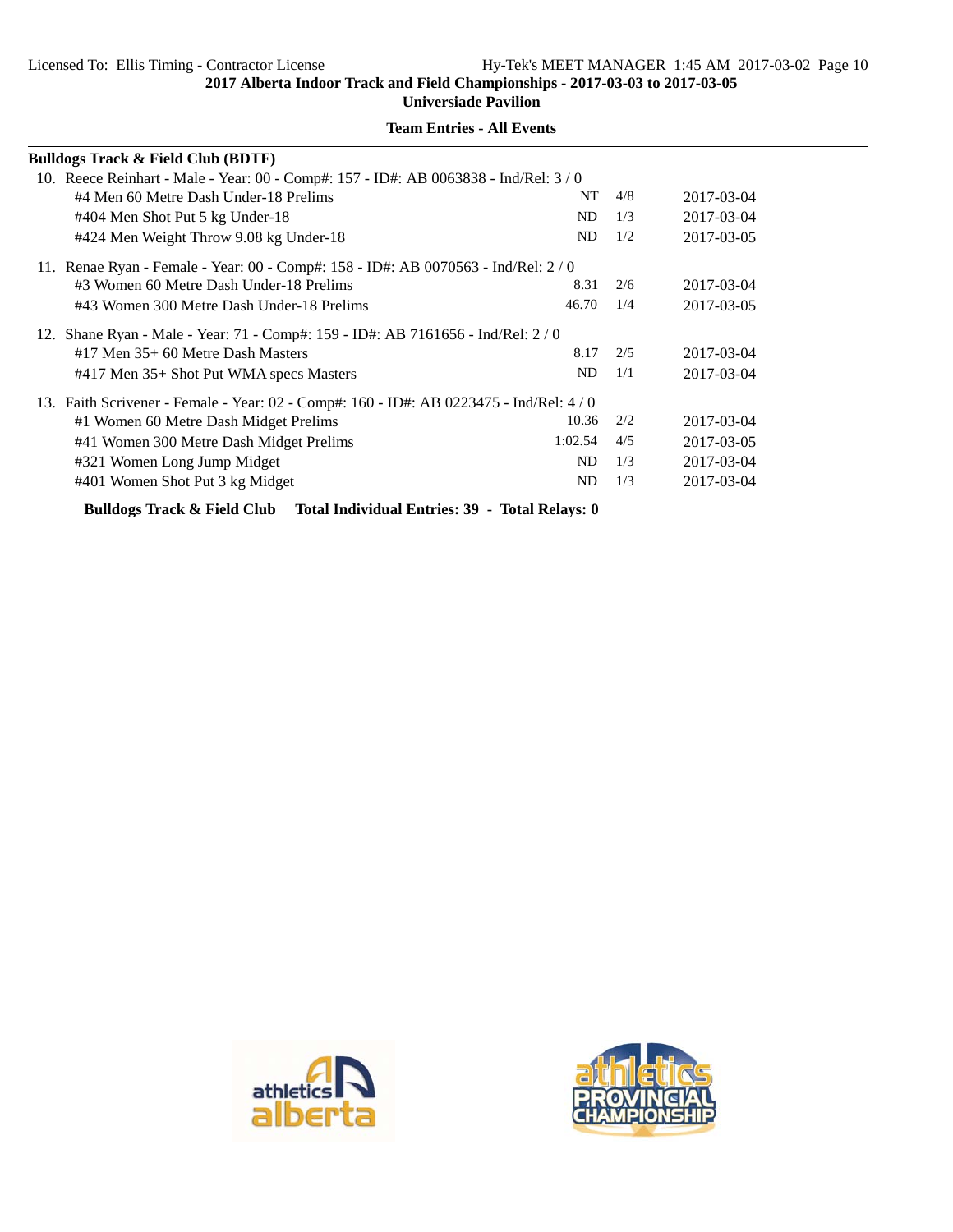**Universiade Pavilion**

| <b>Bulldogs Track &amp; Field Club (BDTF)</b>                                            |         |     |            |
|------------------------------------------------------------------------------------------|---------|-----|------------|
| 10. Reece Reinhart - Male - Year: 00 - Comp#: 157 - ID#: AB 0063838 - Ind/Rel: 3/0       |         |     |            |
| #4 Men 60 Metre Dash Under-18 Prelims                                                    | NT      | 4/8 | 2017-03-04 |
| #404 Men Shot Put 5 kg Under-18                                                          | ND      | 1/3 | 2017-03-04 |
| #424 Men Weight Throw 9.08 kg Under-18                                                   | ND      | 1/2 | 2017-03-05 |
| 11. Renae Ryan - Female - Year: 00 - Comp#: 158 - ID#: AB 0070563 - Ind/Rel: 2 / 0       |         |     |            |
| #3 Women 60 Metre Dash Under-18 Prelims                                                  | 8.31    | 2/6 | 2017-03-04 |
| #43 Women 300 Metre Dash Under-18 Prelims                                                | 46.70   | 1/4 | 2017-03-05 |
| 12. Shane Ryan - Male - Year: 71 - Comp#: 159 - ID#: AB 7161656 - Ind/Rel: 2/0           |         |     |            |
| $#17$ Men $35+60$ Metre Dash Masters                                                     | 8.17    | 2/5 | 2017-03-04 |
| #417 Men 35+ Shot Put WMA specs Masters                                                  | ND      | 1/1 | 2017-03-04 |
| 13. Faith Scrivener - Female - Year: 02 - Comp#: 160 - ID#: AB 0223475 - Ind/Rel: 4 / 0  |         |     |            |
| #1 Women 60 Metre Dash Midget Prelims                                                    | 10.36   | 2/2 | 2017-03-04 |
| #41 Women 300 Metre Dash Midget Prelims                                                  | 1:02.54 | 4/5 | 2017-03-05 |
| #321 Women Long Jump Midget                                                              | ND      | 1/3 | 2017-03-04 |
| #401 Women Shot Put 3 kg Midget                                                          | ND      | 1/3 | 2017-03-04 |
| <b>Bulldogs Track &amp; Field Club</b><br>Total Individual Entries: 39 - Total Relays: 0 |         |     |            |



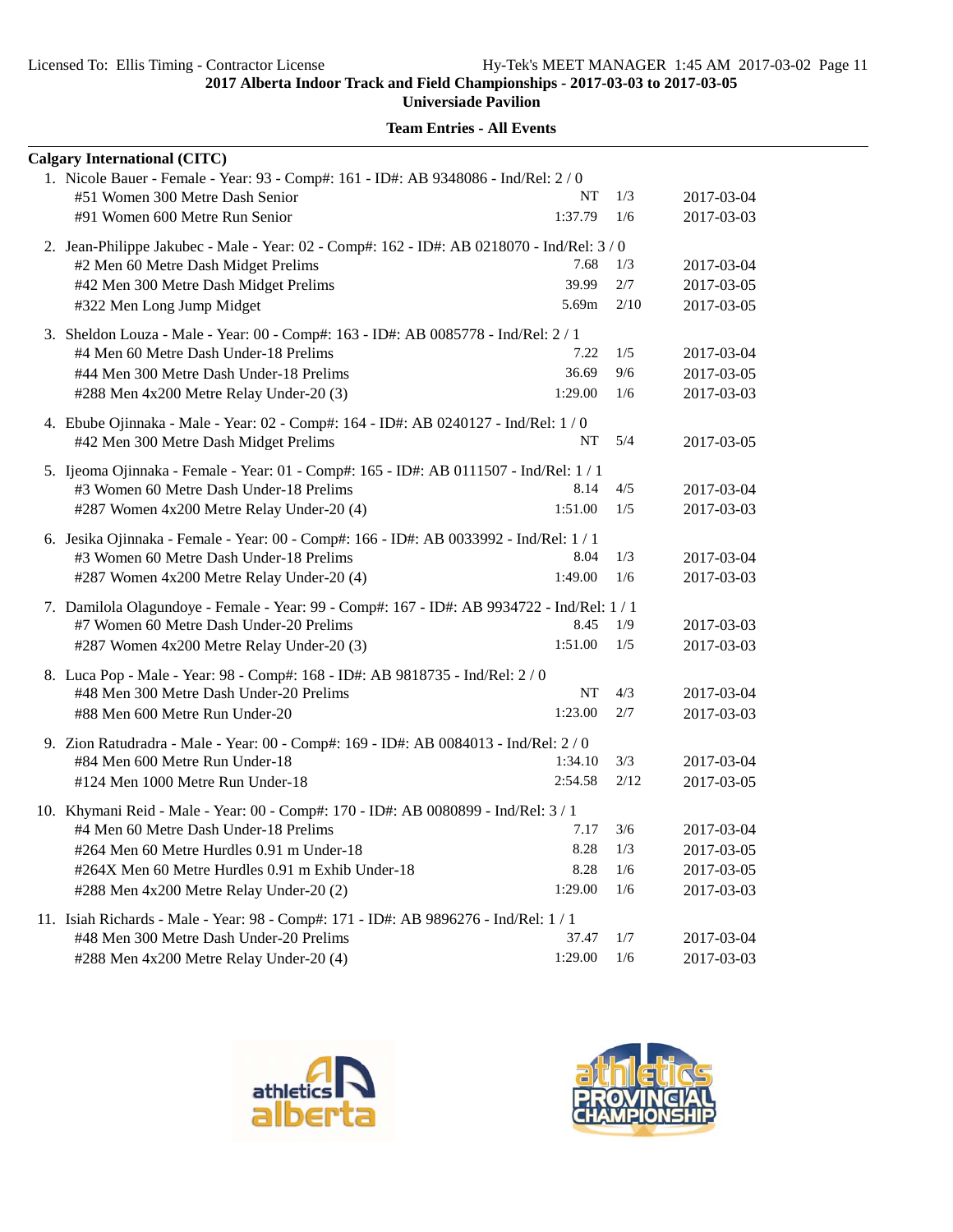**Universiade Pavilion**

| <b>Calgary International (CITC)</b>                                                        |         |      |            |
|--------------------------------------------------------------------------------------------|---------|------|------------|
| 1. Nicole Bauer - Female - Year: 93 - Comp#: 161 - ID#: AB 9348086 - Ind/Rel: 2 / 0        |         |      |            |
| #51 Women 300 Metre Dash Senior                                                            | NT      | 1/3  | 2017-03-04 |
| #91 Women 600 Metre Run Senior                                                             | 1:37.79 | 1/6  | 2017-03-03 |
| 2. Jean-Philippe Jakubec - Male - Year: 02 - Comp#: 162 - ID#: AB 0218070 - Ind/Rel: 3 / 0 |         |      |            |
| #2 Men 60 Metre Dash Midget Prelims                                                        | 7.68    | 1/3  | 2017-03-04 |
| #42 Men 300 Metre Dash Midget Prelims                                                      | 39.99   | 2/7  | 2017-03-05 |
| #322 Men Long Jump Midget                                                                  | 5.69m   | 2/10 | 2017-03-05 |
| 3. Sheldon Louza - Male - Year: 00 - Comp#: 163 - ID#: AB 0085778 - Ind/Rel: 2 / 1         |         |      |            |
| #4 Men 60 Metre Dash Under-18 Prelims                                                      | 7.22    | 1/5  | 2017-03-04 |
| #44 Men 300 Metre Dash Under-18 Prelims                                                    | 36.69   | 9/6  | 2017-03-05 |
| #288 Men 4x200 Metre Relay Under-20 (3)                                                    | 1:29.00 | 1/6  | 2017-03-03 |
| 4. Ebube Ojinnaka - Male - Year: 02 - Comp#: 164 - ID#: AB 0240127 - Ind/Rel: 1/0          |         |      |            |
| #42 Men 300 Metre Dash Midget Prelims                                                      | NT      | 5/4  | 2017-03-05 |
| 5. Ijeoma Ojinnaka - Female - Year: 01 - Comp#: 165 - ID#: AB 0111507 - Ind/Rel: 1 / 1     |         |      |            |
| #3 Women 60 Metre Dash Under-18 Prelims                                                    | 8.14    | 4/5  | 2017-03-04 |
| #287 Women 4x200 Metre Relay Under-20 (4)                                                  | 1:51.00 | 1/5  | 2017-03-03 |
| 6. Jesika Ojinnaka - Female - Year: 00 - Comp#: 166 - ID#: AB 0033992 - Ind/Rel: 1 / 1     |         |      |            |
| #3 Women 60 Metre Dash Under-18 Prelims                                                    | 8.04    | 1/3  | 2017-03-04 |
| #287 Women 4x200 Metre Relay Under-20 (4)                                                  | 1:49.00 | 1/6  | 2017-03-03 |
| 7. Damilola Olagundoye - Female - Year: 99 - Comp#: 167 - ID#: AB 9934722 - Ind/Rel: 1 / 1 |         |      |            |
| #7 Women 60 Metre Dash Under-20 Prelims                                                    | 8.45    | 1/9  | 2017-03-03 |
| #287 Women 4x200 Metre Relay Under-20 (3)                                                  | 1:51.00 | 1/5  | 2017-03-03 |
| 8. Luca Pop - Male - Year: 98 - Comp#: 168 - ID#: AB 9818735 - Ind/Rel: 2 / 0              |         |      |            |
| #48 Men 300 Metre Dash Under-20 Prelims                                                    | NT      | 4/3  | 2017-03-04 |
| #88 Men 600 Metre Run Under-20                                                             | 1:23.00 | 2/7  | 2017-03-03 |
| 9. Zion Ratudradra - Male - Year: 00 - Comp#: 169 - ID#: AB 0084013 - Ind/Rel: 2 / 0       |         |      |            |
| #84 Men 600 Metre Run Under-18                                                             | 1:34.10 | 3/3  | 2017-03-04 |
| #124 Men 1000 Metre Run Under-18                                                           | 2:54.58 | 2/12 | 2017-03-05 |
| 10. Khymani Reid - Male - Year: 00 - Comp#: 170 - ID#: AB 0080899 - Ind/Rel: 3 / 1         |         |      |            |
| #4 Men 60 Metre Dash Under-18 Prelims                                                      | 7.17    | 3/6  | 2017-03-04 |
| #264 Men 60 Metre Hurdles 0.91 m Under-18                                                  | 8.28    | 1/3  | 2017-03-05 |
| #264X Men 60 Metre Hurdles 0.91 m Exhib Under-18                                           | 8.28    | 1/6  | 2017-03-05 |
| #288 Men 4x200 Metre Relay Under-20 (2)                                                    | 1:29.00 | 1/6  | 2017-03-03 |
| 11. Isiah Richards - Male - Year: 98 - Comp#: 171 - ID#: AB 9896276 - Ind/Rel: 1 / 1       |         |      |            |
| #48 Men 300 Metre Dash Under-20 Prelims                                                    | 37.47   | 1/7  | 2017-03-04 |
| #288 Men 4x200 Metre Relay Under-20 (4)                                                    | 1:29.00 | 1/6  | 2017-03-03 |



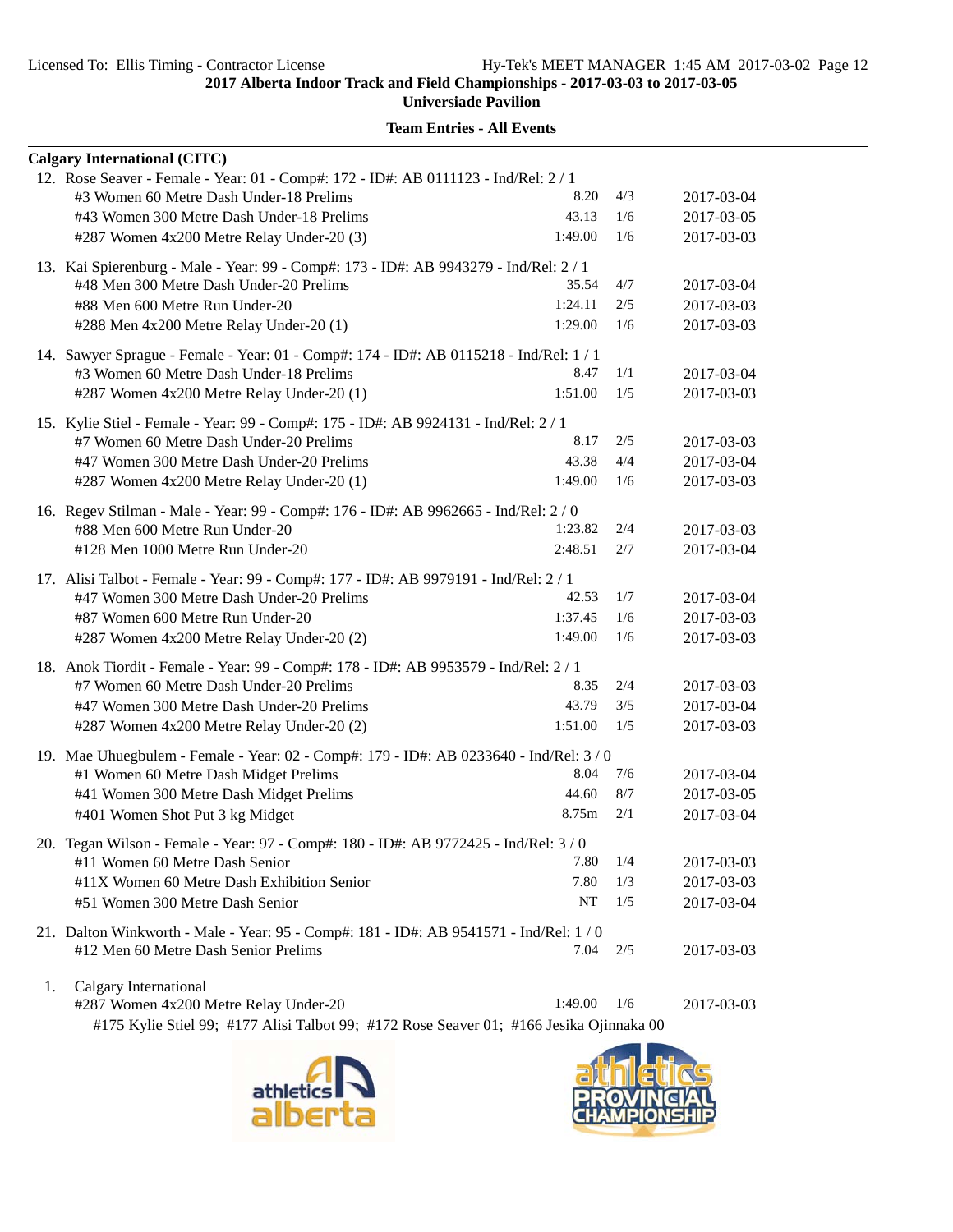**Universiade Pavilion**

|    | <b>Calgary International (CITC)</b>                                                     |         |     |            |
|----|-----------------------------------------------------------------------------------------|---------|-----|------------|
|    | 12. Rose Seaver - Female - Year: 01 - Comp#: 172 - ID#: AB 0111123 - Ind/Rel: 2 / 1     |         |     |            |
|    | #3 Women 60 Metre Dash Under-18 Prelims                                                 | 8.20    | 4/3 | 2017-03-04 |
|    | #43 Women 300 Metre Dash Under-18 Prelims                                               | 43.13   | 1/6 | 2017-03-05 |
|    | #287 Women 4x200 Metre Relay Under-20 (3)                                               | 1:49.00 | 1/6 | 2017-03-03 |
|    | 13. Kai Spierenburg - Male - Year: 99 - Comp#: 173 - ID#: AB 9943279 - Ind/Rel: 2 / 1   |         |     |            |
|    | #48 Men 300 Metre Dash Under-20 Prelims                                                 | 35.54   | 4/7 | 2017-03-04 |
|    | #88 Men 600 Metre Run Under-20                                                          | 1:24.11 | 2/5 | 2017-03-03 |
|    | #288 Men 4x200 Metre Relay Under-20 (1)                                                 | 1:29.00 | 1/6 | 2017-03-03 |
|    | 14. Sawyer Sprague - Female - Year: 01 - Comp#: 174 - ID#: AB 0115218 - Ind/Rel: 1 / 1  |         |     |            |
|    | #3 Women 60 Metre Dash Under-18 Prelims                                                 | 8.47    | 1/1 | 2017-03-04 |
|    | #287 Women 4x200 Metre Relay Under-20 (1)                                               | 1:51.00 | 1/5 | 2017-03-03 |
|    | 15. Kylie Stiel - Female - Year: 99 - Comp#: 175 - ID#: AB 9924131 - Ind/Rel: 2 / 1     |         |     |            |
|    | #7 Women 60 Metre Dash Under-20 Prelims                                                 | 8.17    | 2/5 | 2017-03-03 |
|    | #47 Women 300 Metre Dash Under-20 Prelims                                               | 43.38   | 4/4 | 2017-03-04 |
|    | #287 Women 4x200 Metre Relay Under-20 (1)                                               | 1:49.00 | 1/6 | 2017-03-03 |
|    | 16. Regev Stilman - Male - Year: 99 - Comp#: 176 - ID#: AB 9962665 - Ind/Rel: 2 / 0     |         |     |            |
|    | #88 Men 600 Metre Run Under-20                                                          | 1:23.82 | 2/4 | 2017-03-03 |
|    | #128 Men 1000 Metre Run Under-20                                                        | 2:48.51 | 2/7 | 2017-03-04 |
|    | 17. Alisi Talbot - Female - Year: 99 - Comp#: 177 - ID#: AB 9979191 - Ind/Rel: 2 / 1    |         |     |            |
|    | #47 Women 300 Metre Dash Under-20 Prelims                                               | 42.53   | 1/7 | 2017-03-04 |
|    | #87 Women 600 Metre Run Under-20                                                        | 1:37.45 | 1/6 | 2017-03-03 |
|    | #287 Women 4x200 Metre Relay Under-20 (2)                                               | 1:49.00 | 1/6 | 2017-03-03 |
|    | 18. Anok Tiordit - Female - Year: 99 - Comp#: 178 - ID#: AB 9953579 - Ind/Rel: 2 / 1    |         |     |            |
|    | #7 Women 60 Metre Dash Under-20 Prelims                                                 | 8.35    | 2/4 | 2017-03-03 |
|    | #47 Women 300 Metre Dash Under-20 Prelims                                               | 43.79   | 3/5 | 2017-03-04 |
|    | #287 Women 4x200 Metre Relay Under-20 (2)                                               | 1:51.00 | 1/5 | 2017-03-03 |
|    | 19. Mae Uhuegbulem - Female - Year: 02 - Comp#: 179 - ID#: AB 0233640 - Ind/Rel: 3 / 0  |         |     |            |
|    | #1 Women 60 Metre Dash Midget Prelims                                                   | 8.04    | 7/6 | 2017-03-04 |
|    | #41 Women 300 Metre Dash Midget Prelims                                                 | 44.60   | 8/7 | 2017-03-05 |
|    | #401 Women Shot Put 3 kg Midget                                                         | 8.75m   | 2/1 | 2017-03-04 |
|    | 20. Tegan Wilson - Female - Year: 97 - Comp#: 180 - ID#: AB 9772425 - Ind/Rel: 3 / 0    |         |     |            |
|    | #11 Women 60 Metre Dash Senior                                                          | 7.80    | 1/4 | 2017-03-03 |
|    | #11X Women 60 Metre Dash Exhibition Senior                                              | 7.80    | 1/3 | 2017-03-03 |
|    | #51 Women 300 Metre Dash Senior                                                         | NT      | 1/5 | 2017-03-04 |
|    | 21. Dalton Winkworth - Male - Year: 95 - Comp#: 181 - ID#: AB 9541571 - Ind/Rel: 1/0    |         |     |            |
|    | #12 Men 60 Metre Dash Senior Prelims                                                    | 7.04    | 2/5 | 2017-03-03 |
| 1. | Calgary International                                                                   |         |     |            |
|    | #287 Women 4x200 Metre Relay Under-20                                                   | 1:49.00 | 1/6 | 2017-03-03 |
|    | #175 Kylie Stiel 99; #177 Alisi Talbot 99; #172 Rose Seaver 01; #166 Jesika Ojinnaka 00 |         |     |            |



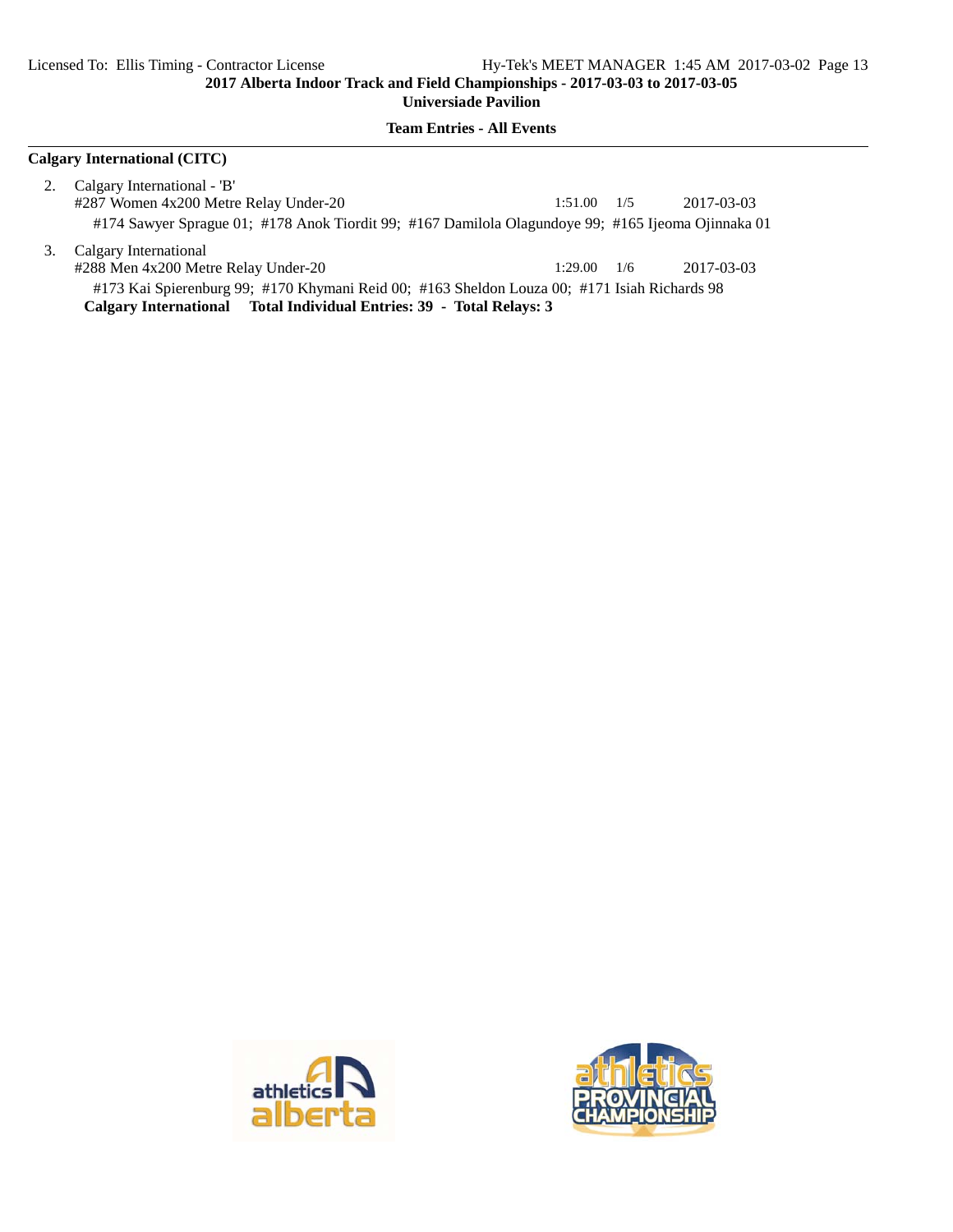**Team Entries - All Events**

#### **Calgary International (CITC)**

- 2. Calgary International 'B' #287 Women 4x200 Metre Relay Under-20 1:51.00 1/5 2017-03-03 #174 Sawyer Sprague 01; #178 Anok Tiordit 99; #167 Damilola Olagundoye 99; #165 Ijeoma Ojinnaka 01
- 3. Calgary International #288 Men 4x200 Metre Relay Under-20 1:29.00 1/6 2017-03-03 #173 Kai Spierenburg 99; #170 Khymani Reid 00; #163 Sheldon Louza 00; #171 Isiah Richards 98 **Calgary International Total Individual Entries: 39 - Total Relays: 3**



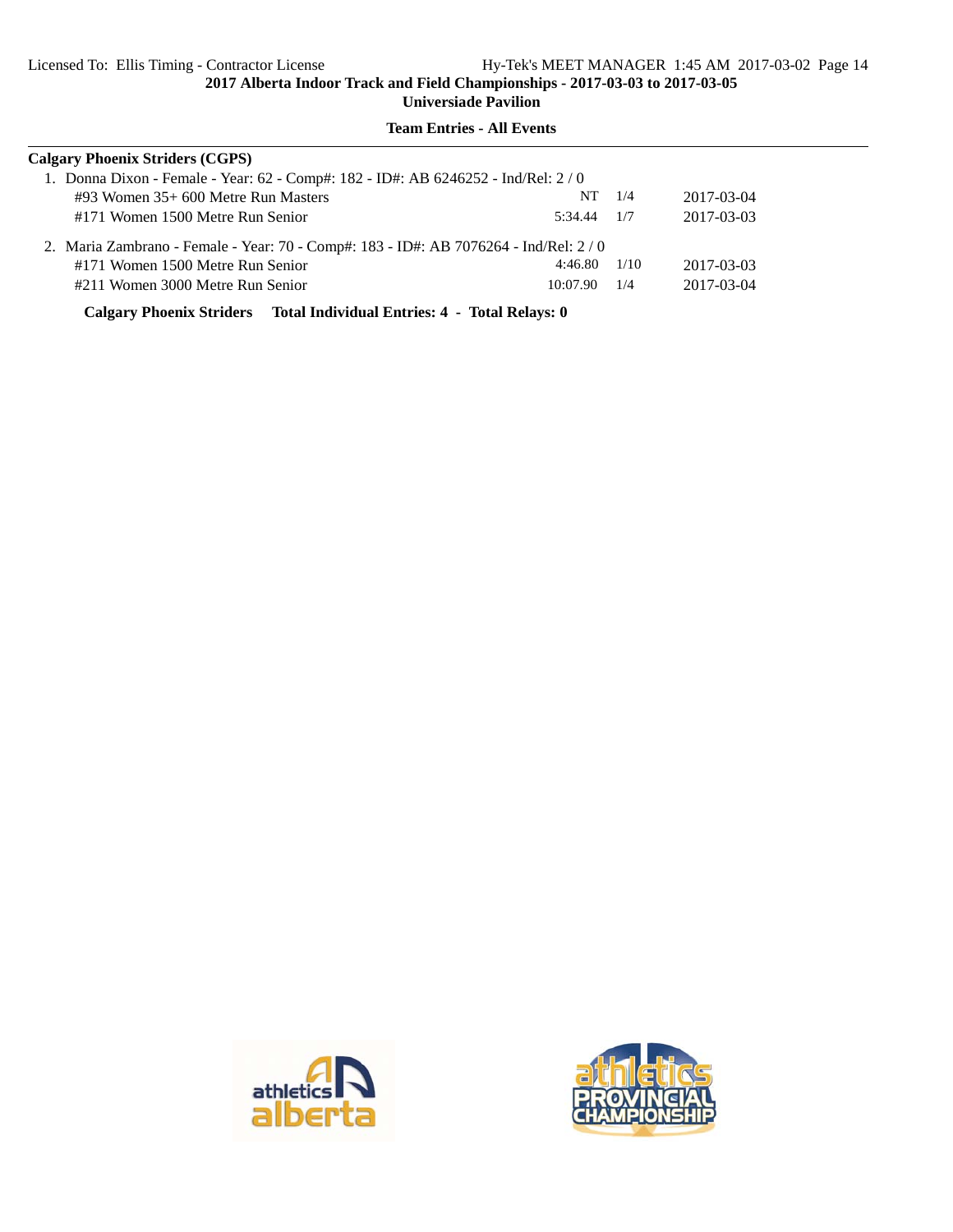| 1. Donna Dixon - Female - Year: 62 - Comp#: 182 - ID#: AB 6246252 - Ind/Rel: 2/0<br>$\#93$ Women 35+ 600 Metre Run Masters<br>NT<br>1/4<br>#171 Women 1500 Metre Run Senior<br>5:34.44<br>1/7 |                                        |  |  |  |  |  |  |
|-----------------------------------------------------------------------------------------------------------------------------------------------------------------------------------------------|----------------------------------------|--|--|--|--|--|--|
|                                                                                                                                                                                               | <b>Calgary Phoenix Striders (CGPS)</b> |  |  |  |  |  |  |
|                                                                                                                                                                                               | 2017-03-04                             |  |  |  |  |  |  |
|                                                                                                                                                                                               | 2017-03-03                             |  |  |  |  |  |  |
| 2. Maria Zambrano - Female - Year: 70 - Comp#: 183 - ID#: AB 7076264 - Ind/Rel: 2 / 0                                                                                                         |                                        |  |  |  |  |  |  |
| 4:46.80<br>1/10<br>#171 Women 1500 Metre Run Senior                                                                                                                                           | 2017-03-03                             |  |  |  |  |  |  |
| #211 Women 3000 Metre Run Senior<br>10:07.90<br>1/4                                                                                                                                           | 2017-03-04                             |  |  |  |  |  |  |

**Team Entries - All Events**

**Calgary Phoenix Striders Total Individual Entries: 4 - Total Relays: 0**



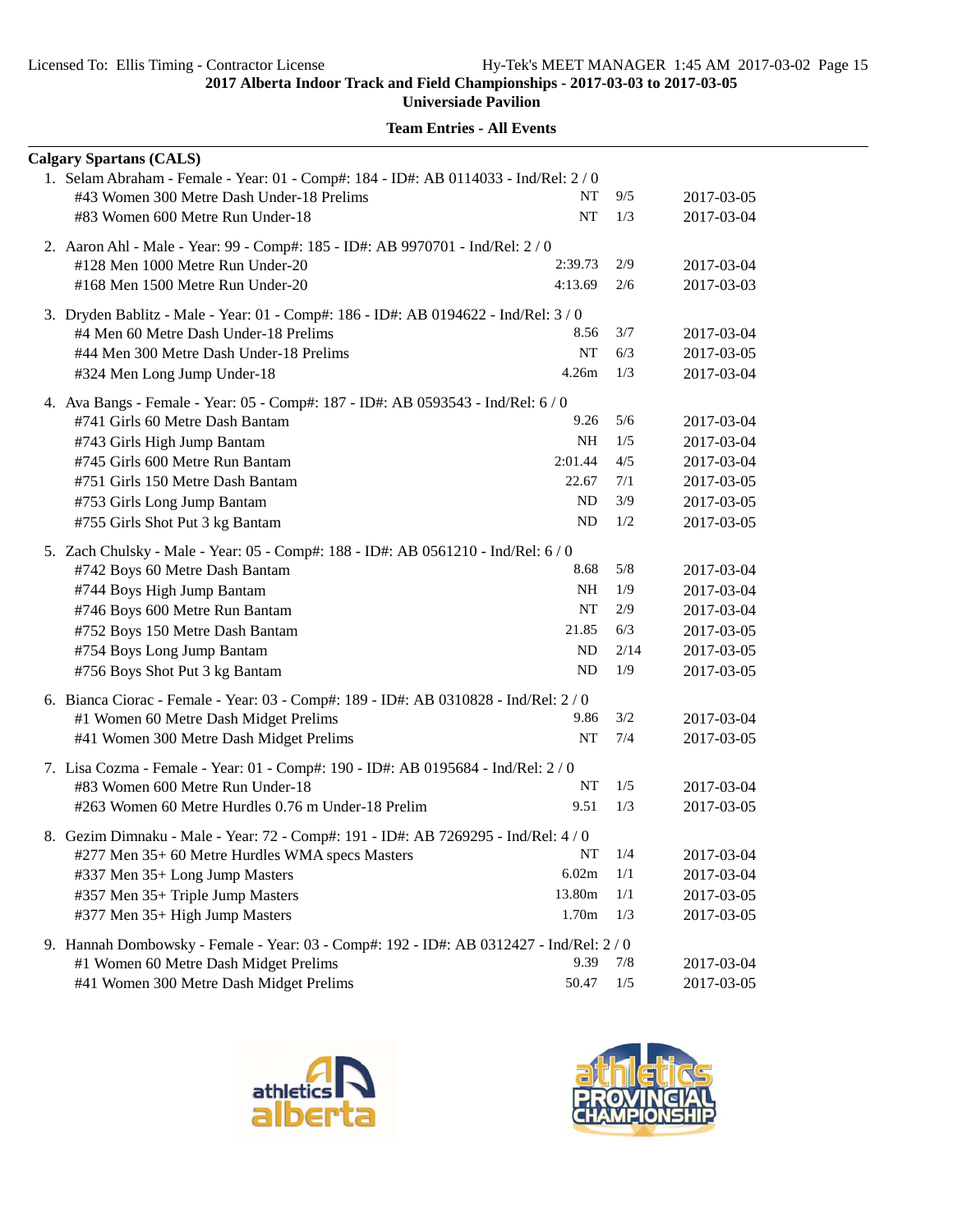**Universiade Pavilion**

| <b>Calgary Spartans (CALS)</b>                                                          |           |            |            |
|-----------------------------------------------------------------------------------------|-----------|------------|------------|
| 1. Selam Abraham - Female - Year: 01 - Comp#: 184 - ID#: AB 0114033 - Ind/Rel: 2/0      |           |            |            |
| #43 Women 300 Metre Dash Under-18 Prelims                                               | NT        | 9/5        | 2017-03-05 |
| #83 Women 600 Metre Run Under-18                                                        | NT        | 1/3        | 2017-03-04 |
| 2. Aaron Ahl - Male - Year: 99 - Comp#: 185 - ID#: AB 9970701 - Ind/Rel: 2 / 0          |           |            |            |
| 2:39.73<br>#128 Men 1000 Metre Run Under-20                                             |           | 2/9        | 2017-03-04 |
| 4:13.69<br>#168 Men 1500 Metre Run Under-20                                             |           | 2/6        | 2017-03-03 |
| 3. Dryden Bablitz - Male - Year: 01 - Comp#: 186 - ID#: AB 0194622 - Ind/Rel: 3 / 0     |           |            |            |
| #4 Men 60 Metre Dash Under-18 Prelims                                                   | 8.56      | 3/7        | 2017-03-04 |
| #44 Men 300 Metre Dash Under-18 Prelims                                                 | NT        | 6/3        | 2017-03-05 |
| #324 Men Long Jump Under-18                                                             | 4.26m     | 1/3        | 2017-03-04 |
|                                                                                         |           |            |            |
| 4. Ava Bangs - Female - Year: 05 - Comp#: 187 - ID#: AB 0593543 - Ind/Rel: 6 / 0        | 9.26      | 5/6        |            |
| #741 Girls 60 Metre Dash Bantam                                                         | <b>NH</b> |            | 2017-03-04 |
| #743 Girls High Jump Bantam<br>2:01.44                                                  |           | 1/5<br>4/5 | 2017-03-04 |
| #745 Girls 600 Metre Run Bantam                                                         |           |            | 2017-03-04 |
| #751 Girls 150 Metre Dash Bantam                                                        | 22.67     | 7/1        | 2017-03-05 |
| #753 Girls Long Jump Bantam                                                             | ND        | 3/9        | 2017-03-05 |
| #755 Girls Shot Put 3 kg Bantam                                                         | <b>ND</b> | 1/2        | 2017-03-05 |
| 5. Zach Chulsky - Male - Year: 05 - Comp#: 188 - ID#: AB 0561210 - Ind/Rel: 6 / 0       |           |            |            |
| #742 Boys 60 Metre Dash Bantam                                                          | 8.68      | 5/8        | 2017-03-04 |
| #744 Boys High Jump Bantam                                                              | <b>NH</b> | 1/9        | 2017-03-04 |
| #746 Boys 600 Metre Run Bantam                                                          | NT        | 2/9        | 2017-03-04 |
| #752 Boys 150 Metre Dash Bantam                                                         | 21.85     | 6/3        | 2017-03-05 |
| #754 Boys Long Jump Bantam                                                              | ND        | 2/14       | 2017-03-05 |
| #756 Boys Shot Put 3 kg Bantam                                                          | <b>ND</b> | 1/9        | 2017-03-05 |
| 6. Bianca Ciorac - Female - Year: 03 - Comp#: 189 - ID#: AB 0310828 - Ind/Rel: 2 / 0    |           |            |            |
| #1 Women 60 Metre Dash Midget Prelims                                                   | 9.86      | 3/2        | 2017-03-04 |
| #41 Women 300 Metre Dash Midget Prelims                                                 | NT        | 7/4        | 2017-03-05 |
| 7. Lisa Cozma - Female - Year: 01 - Comp#: 190 - ID#: AB 0195684 - Ind/Rel: 2/0         |           |            |            |
| #83 Women 600 Metre Run Under-18                                                        | <b>NT</b> | 1/5        | 2017-03-04 |
| #263 Women 60 Metre Hurdles 0.76 m Under-18 Prelim                                      | 9.51      | 1/3        | 2017-03-05 |
|                                                                                         |           |            |            |
| 8. Gezim Dimnaku - Male - Year: 72 - Comp#: 191 - ID#: AB 7269295 - Ind/Rel: 4 / 0      |           |            |            |
| #277 Men 35+ 60 Metre Hurdles WMA specs Masters                                         | NT        | 1/4        | 2017-03-04 |
| #337 Men 35+ Long Jump Masters                                                          | 6.02m     | 1/1        | 2017-03-04 |
| #357 Men 35+ Triple Jump Masters<br>13.80m                                              |           | 1/1        | 2017-03-05 |
| #377 Men 35+ High Jump Masters                                                          | 1.70m     | 1/3        | 2017-03-05 |
| 9. Hannah Dombowsky - Female - Year: 03 - Comp#: 192 - ID#: AB 0312427 - Ind/Rel: 2 / 0 |           |            |            |
| #1 Women 60 Metre Dash Midget Prelims                                                   | 9.39      | 7/8        | 2017-03-04 |
| #41 Women 300 Metre Dash Midget Prelims                                                 | 50.47     | 1/5        | 2017-03-05 |



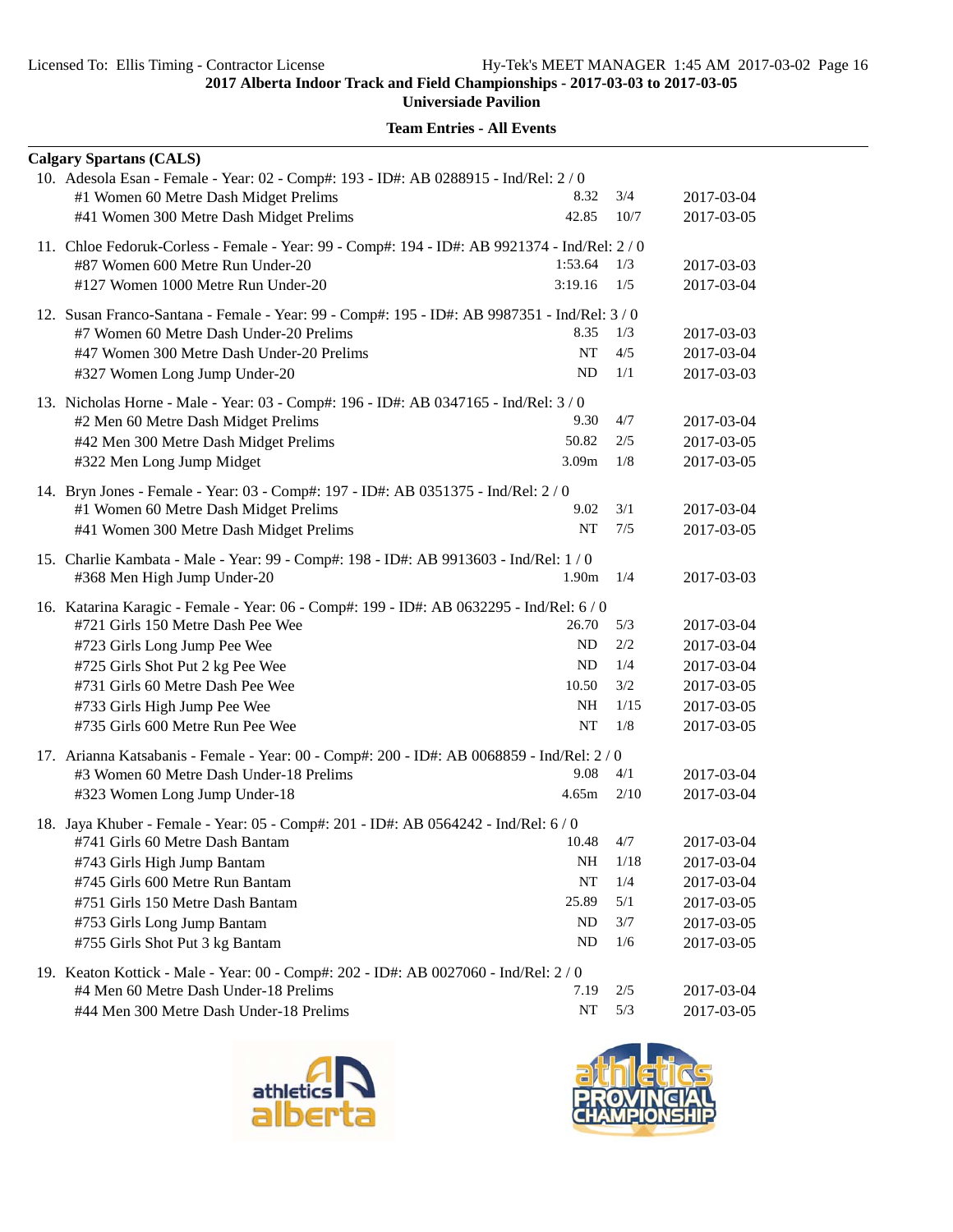**Universiade Pavilion**

|                                                                                               | <b>Calgary Spartans (CALS)</b>                                                                                            |                   |      |            |  |
|-----------------------------------------------------------------------------------------------|---------------------------------------------------------------------------------------------------------------------------|-------------------|------|------------|--|
|                                                                                               | 10. Adesola Esan - Female - Year: 02 - Comp#: 193 - ID#: AB 0288915 - Ind/Rel: 2 / 0                                      |                   |      |            |  |
|                                                                                               | #1 Women 60 Metre Dash Midget Prelims                                                                                     | 8.32              | 3/4  | 2017-03-04 |  |
|                                                                                               | #41 Women 300 Metre Dash Midget Prelims                                                                                   | 42.85             | 10/7 | 2017-03-05 |  |
| 11. Chloe Fedoruk-Corless - Female - Year: 99 - Comp#: 194 - ID#: AB 9921374 - Ind/Rel: 2 / 0 |                                                                                                                           |                   |      |            |  |
|                                                                                               | #87 Women 600 Metre Run Under-20                                                                                          | 1:53.64           | 1/3  | 2017-03-03 |  |
|                                                                                               | #127 Women 1000 Metre Run Under-20                                                                                        | 3:19.16           | 1/5  | 2017-03-04 |  |
|                                                                                               | 12. Susan Franco-Santana - Female - Year: 99 - Comp#: 195 - ID#: AB 9987351 - Ind/Rel: 3 / 0                              |                   |      |            |  |
|                                                                                               | #7 Women 60 Metre Dash Under-20 Prelims                                                                                   | 8.35              | 1/3  | 2017-03-03 |  |
|                                                                                               | #47 Women 300 Metre Dash Under-20 Prelims                                                                                 | NT                | 4/5  | 2017-03-04 |  |
|                                                                                               | #327 Women Long Jump Under-20                                                                                             | ND                | 1/1  | 2017-03-03 |  |
|                                                                                               | 13. Nicholas Horne - Male - Year: 03 - Comp#: 196 - ID#: AB 0347165 - Ind/Rel: 3/0                                        |                   |      |            |  |
|                                                                                               | #2 Men 60 Metre Dash Midget Prelims                                                                                       | 9.30              | 4/7  | 2017-03-04 |  |
|                                                                                               | #42 Men 300 Metre Dash Midget Prelims                                                                                     | 50.82             | 2/5  | 2017-03-05 |  |
|                                                                                               | #322 Men Long Jump Midget                                                                                                 | 3.09m             | 1/8  | 2017-03-05 |  |
|                                                                                               |                                                                                                                           |                   |      |            |  |
|                                                                                               | 14. Bryn Jones - Female - Year: 03 - Comp#: 197 - ID#: AB 0351375 - Ind/Rel: 2/0<br>#1 Women 60 Metre Dash Midget Prelims | 9.02              | 3/1  | 2017-03-04 |  |
|                                                                                               | #41 Women 300 Metre Dash Midget Prelims                                                                                   | NT                | 7/5  | 2017-03-05 |  |
|                                                                                               |                                                                                                                           |                   |      |            |  |
|                                                                                               | 15. Charlie Kambata - Male - Year: 99 - Comp#: 198 - ID#: AB 9913603 - Ind/Rel: 1/0                                       |                   |      |            |  |
|                                                                                               | #368 Men High Jump Under-20                                                                                               | 1.90 <sub>m</sub> | 1/4  | 2017-03-03 |  |
|                                                                                               | 16. Katarina Karagic - Female - Year: 06 - Comp#: 199 - ID#: AB 0632295 - Ind/Rel: 6 / 0                                  |                   |      |            |  |
|                                                                                               | #721 Girls 150 Metre Dash Pee Wee                                                                                         | 26.70             | 5/3  | 2017-03-04 |  |
|                                                                                               | #723 Girls Long Jump Pee Wee                                                                                              | ND                | 2/2  | 2017-03-04 |  |
|                                                                                               | #725 Girls Shot Put 2 kg Pee Wee                                                                                          | ND                | 1/4  | 2017-03-04 |  |
|                                                                                               | #731 Girls 60 Metre Dash Pee Wee                                                                                          | 10.50             | 3/2  | 2017-03-05 |  |
|                                                                                               | #733 Girls High Jump Pee Wee                                                                                              | <b>NH</b>         | 1/15 | 2017-03-05 |  |
|                                                                                               | #735 Girls 600 Metre Run Pee Wee                                                                                          | NT                | 1/8  | 2017-03-05 |  |
|                                                                                               | 17. Arianna Katsabanis - Female - Year: 00 - Comp#: 200 - ID#: AB 0068859 - Ind/Rel: 2 / 0                                |                   |      |            |  |
|                                                                                               | #3 Women 60 Metre Dash Under-18 Prelims                                                                                   | 9.08              | 4/1  | 2017-03-04 |  |
|                                                                                               | #323 Women Long Jump Under-18                                                                                             | 4.65m             | 2/10 | 2017-03-04 |  |
|                                                                                               | 18. Jaya Khuber - Female - Year: 05 - Comp#: 201 - ID#: AB 0564242 - Ind/Rel: 6/0                                         |                   |      |            |  |
|                                                                                               | #741 Girls 60 Metre Dash Bantam                                                                                           | 10.48             | 4/7  | 2017-03-04 |  |
|                                                                                               | #743 Girls High Jump Bantam                                                                                               | NH                | 1/18 | 2017-03-04 |  |
|                                                                                               | #745 Girls 600 Metre Run Bantam                                                                                           | NT                | 1/4  | 2017-03-04 |  |
|                                                                                               | #751 Girls 150 Metre Dash Bantam                                                                                          | 25.89             | 5/1  | 2017-03-05 |  |
|                                                                                               | #753 Girls Long Jump Bantam                                                                                               | ND                | 3/7  | 2017-03-05 |  |
|                                                                                               | #755 Girls Shot Put 3 kg Bantam                                                                                           | ND                | 1/6  | 2017-03-05 |  |
|                                                                                               | 19. Keaton Kottick - Male - Year: 00 - Comp#: 202 - ID#: AB 0027060 - Ind/Rel: 2 / 0                                      |                   |      |            |  |
|                                                                                               | #4 Men 60 Metre Dash Under-18 Prelims                                                                                     | 7.19              | 2/5  | 2017-03-04 |  |
|                                                                                               | #44 Men 300 Metre Dash Under-18 Prelims                                                                                   | $\rm{NT}$         | 5/3  | 2017-03-05 |  |



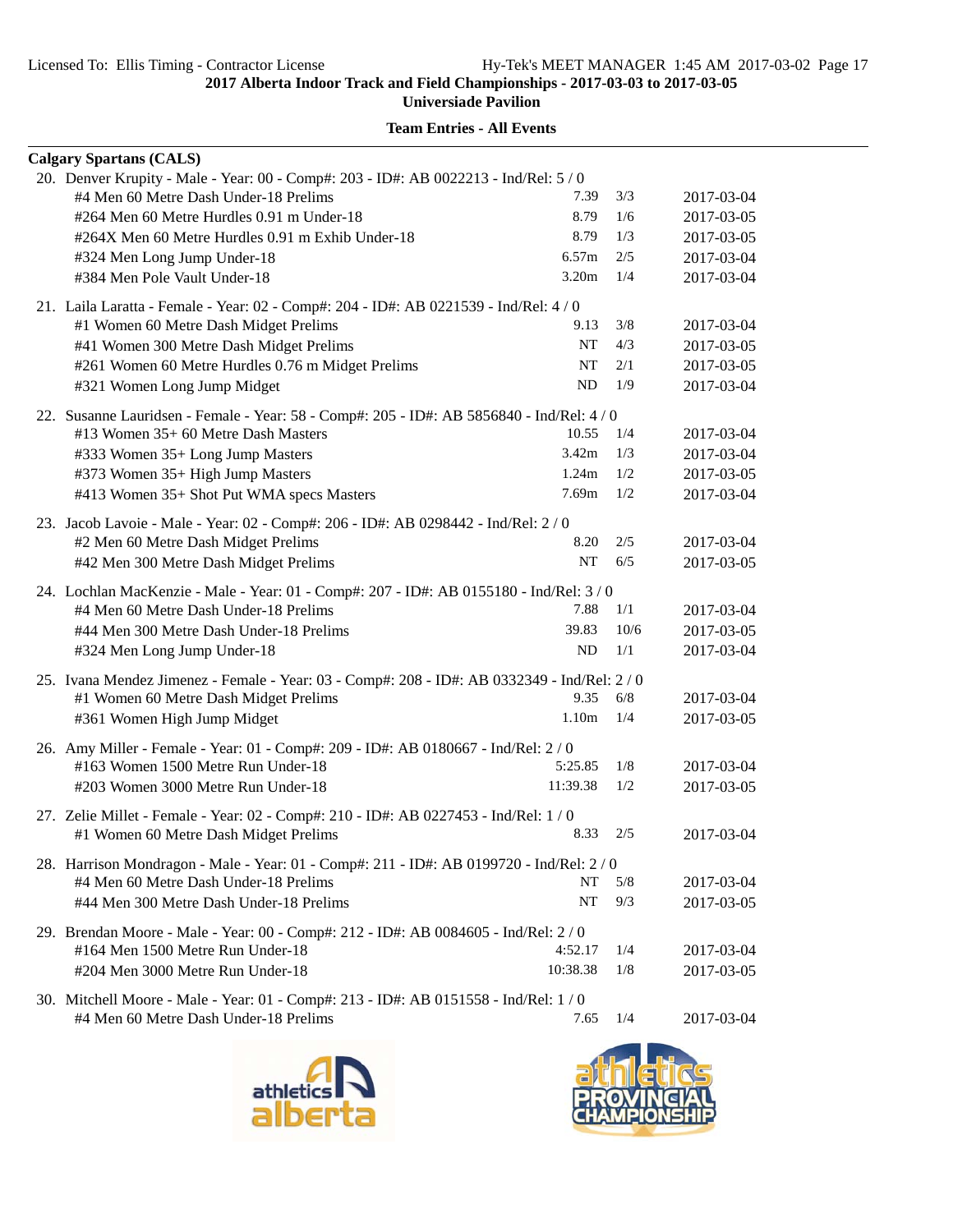| <b>Team Entries - All Events</b> |
|----------------------------------|
|----------------------------------|

| <b>Calgary Spartans (CALS)</b>                                                             |                   |      |            |
|--------------------------------------------------------------------------------------------|-------------------|------|------------|
| 20. Denver Krupity - Male - Year: 00 - Comp#: 203 - ID#: AB 0022213 - Ind/Rel: 5 / 0       |                   |      |            |
| #4 Men 60 Metre Dash Under-18 Prelims                                                      | 7.39              | 3/3  | 2017-03-04 |
| #264 Men 60 Metre Hurdles 0.91 m Under-18                                                  | 8.79              | 1/6  | 2017-03-05 |
| #264X Men 60 Metre Hurdles 0.91 m Exhib Under-18                                           | 8.79              | 1/3  | 2017-03-05 |
| #324 Men Long Jump Under-18                                                                | 6.57m             | 2/5  | 2017-03-04 |
| #384 Men Pole Vault Under-18                                                               | 3.20m             | 1/4  | 2017-03-04 |
| 21. Laila Laratta - Female - Year: 02 - Comp#: 204 - ID#: AB 0221539 - Ind/Rel: 4 / 0      |                   |      |            |
| #1 Women 60 Metre Dash Midget Prelims                                                      | 9.13              | 3/8  | 2017-03-04 |
| #41 Women 300 Metre Dash Midget Prelims                                                    | NT                | 4/3  | 2017-03-05 |
| #261 Women 60 Metre Hurdles 0.76 m Midget Prelims                                          | NT                | 2/1  | 2017-03-05 |
| #321 Women Long Jump Midget                                                                | <b>ND</b>         | 1/9  | 2017-03-04 |
| 22. Susanne Lauridsen - Female - Year: 58 - Comp#: 205 - ID#: AB 5856840 - Ind/Rel: 4 / 0  |                   |      |            |
| #13 Women 35+60 Metre Dash Masters                                                         | 10.55             | 1/4  | 2017-03-04 |
| #333 Women 35+ Long Jump Masters                                                           | 3.42m             | 1/3  | 2017-03-04 |
| #373 Women 35+ High Jump Masters                                                           | 1.24m             | 1/2  | 2017-03-05 |
| #413 Women 35+ Shot Put WMA specs Masters                                                  | 7.69m             | 1/2  | 2017-03-04 |
| 23. Jacob Lavoie - Male - Year: 02 - Comp#: 206 - ID#: AB 0298442 - Ind/Rel: 2 / 0         |                   |      |            |
| #2 Men 60 Metre Dash Midget Prelims                                                        | 8.20              | 2/5  | 2017-03-04 |
| #42 Men 300 Metre Dash Midget Prelims                                                      | NT                | 6/5  | 2017-03-05 |
| 24. Lochlan MacKenzie - Male - Year: 01 - Comp#: 207 - ID#: AB 0155180 - Ind/Rel: 3 / 0    |                   |      |            |
| #4 Men 60 Metre Dash Under-18 Prelims                                                      | 7.88              | 1/1  | 2017-03-04 |
| #44 Men 300 Metre Dash Under-18 Prelims                                                    | 39.83             | 10/6 | 2017-03-05 |
| #324 Men Long Jump Under-18                                                                | ND.               | 1/1  | 2017-03-04 |
| 25. Ivana Mendez Jimenez - Female - Year: 03 - Comp#: 208 - ID#: AB 0332349 - Ind/Rel: 2/0 |                   |      |            |
| #1 Women 60 Metre Dash Midget Prelims                                                      | 9.35              | 6/8  | 2017-03-04 |
| #361 Women High Jump Midget                                                                | 1.10 <sub>m</sub> | 1/4  | 2017-03-05 |
| 26. Amy Miller - Female - Year: 01 - Comp#: 209 - ID#: AB 0180667 - Ind/Rel: 2 / 0         |                   |      |            |
| #163 Women 1500 Metre Run Under-18                                                         | 5:25.85           | 1/8  | 2017-03-04 |
| #203 Women 3000 Metre Run Under-18                                                         | 11:39.38          | 1/2  | 2017-03-05 |
| 27. Zelie Millet - Female - Year: 02 - Comp#: 210 - ID#: AB 0227453 - Ind/Rel: 1 / 0       |                   |      |            |
| #1 Women 60 Metre Dash Midget Prelims                                                      | 8.33              | 2/5  | 2017-03-04 |
| 28. Harrison Mondragon - Male - Year: 01 - Comp#: 211 - ID#: AB 0199720 - Ind/Rel: 2 / 0   |                   |      |            |
| #4 Men 60 Metre Dash Under-18 Prelims                                                      | <b>NT</b>         | 5/8  | 2017-03-04 |
| #44 Men 300 Metre Dash Under-18 Prelims                                                    | NT                | 9/3  | 2017-03-05 |
| 29. Brendan Moore - Male - Year: 00 - Comp#: 212 - ID#: AB 0084605 - Ind/Rel: 2 / 0        |                   |      |            |
| #164 Men 1500 Metre Run Under-18                                                           | 4:52.17           | 1/4  | 2017-03-04 |
| #204 Men 3000 Metre Run Under-18                                                           | 10:38.38          | 1/8  | 2017-03-05 |
| 30. Mitchell Moore - Male - Year: 01 - Comp#: 213 - ID#: AB 0151558 - Ind/Rel: 1 / 0       |                   |      |            |
| #4 Men 60 Metre Dash Under-18 Prelims                                                      | 7.65              | 1/4  | 2017-03-04 |



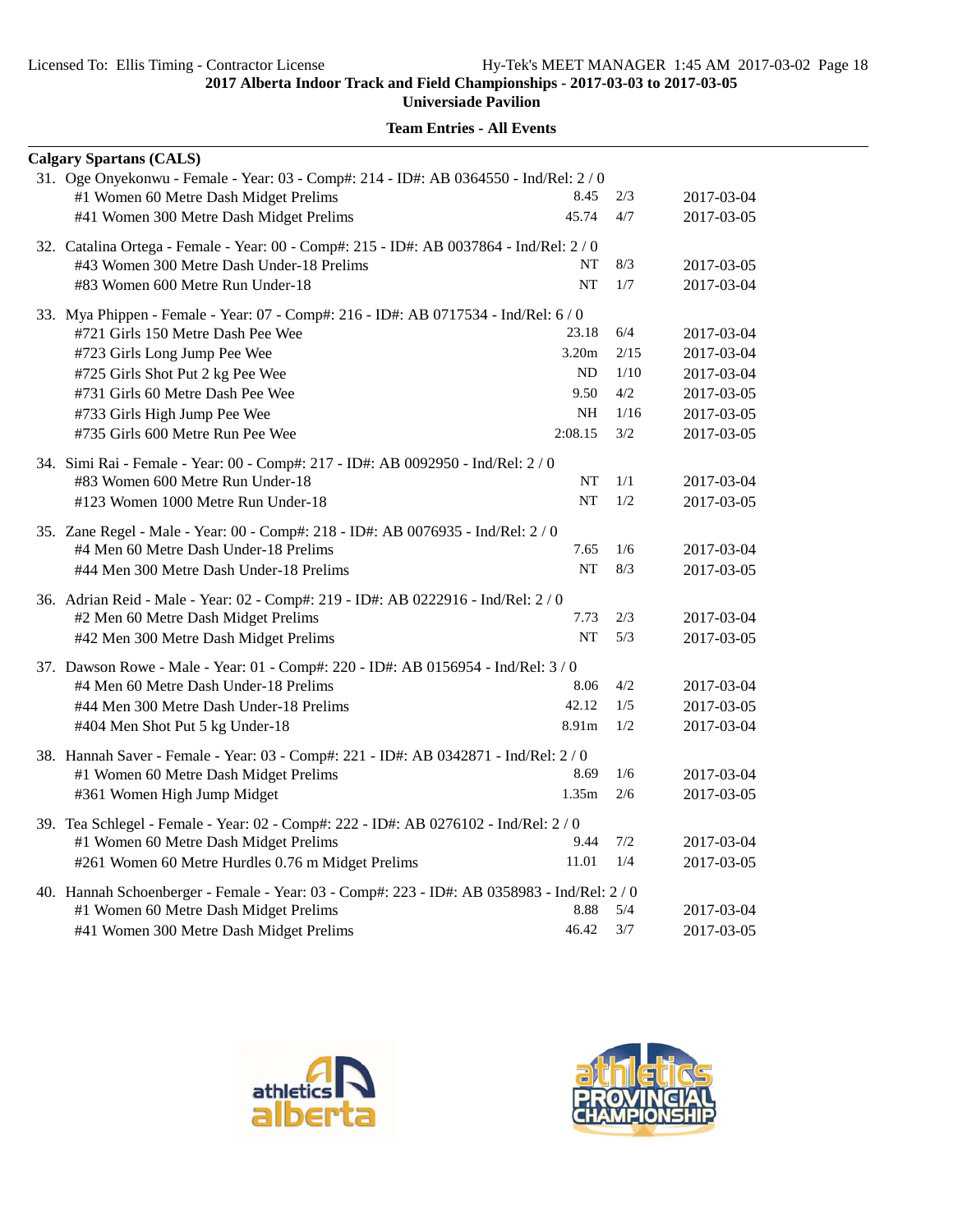**Universiade Pavilion**

| <b>Calgary Spartans (CALS)</b>                                                            |           |         |            |
|-------------------------------------------------------------------------------------------|-----------|---------|------------|
| 31. Oge Onyekonwu - Female - Year: 03 - Comp#: 214 - ID#: AB 0364550 - Ind/Rel: 2/0       |           |         |            |
| #1 Women 60 Metre Dash Midget Prelims                                                     | 8.45      | 2/3     | 2017-03-04 |
| #41 Women 300 Metre Dash Midget Prelims                                                   | 45.74     | 4/7     | 2017-03-05 |
| 32. Catalina Ortega - Female - Year: 00 - Comp#: 215 - ID#: AB 0037864 - Ind/Rel: 2/0     |           |         |            |
| #43 Women 300 Metre Dash Under-18 Prelims                                                 | NT        | 8/3     | 2017-03-05 |
| #83 Women 600 Metre Run Under-18                                                          | <b>NT</b> | 1/7     | 2017-03-04 |
| 33. Mya Phippen - Female - Year: 07 - Comp#: 216 - ID#: AB 0717534 - Ind/Rel: 6 / 0       |           |         |            |
| #721 Girls 150 Metre Dash Pee Wee                                                         | 23.18     | 6/4     | 2017-03-04 |
| #723 Girls Long Jump Pee Wee                                                              | 3.20m     | 2/15    | 2017-03-04 |
| #725 Girls Shot Put 2 kg Pee Wee                                                          | <b>ND</b> | 1/10    | 2017-03-04 |
| #731 Girls 60 Metre Dash Pee Wee                                                          | 9.50      | $4/2\,$ | 2017-03-05 |
| #733 Girls High Jump Pee Wee                                                              | <b>NH</b> | 1/16    | 2017-03-05 |
| #735 Girls 600 Metre Run Pee Wee                                                          | 2:08.15   | 3/2     | 2017-03-05 |
| 34. Simi Rai - Female - Year: 00 - Comp#: 217 - ID#: AB 0092950 - Ind/Rel: 2 / 0          |           |         |            |
| #83 Women 600 Metre Run Under-18                                                          | NT        | 1/1     | 2017-03-04 |
| #123 Women 1000 Metre Run Under-18                                                        | NT        | 1/2     | 2017-03-05 |
| 35. Zane Regel - Male - Year: 00 - Comp#: 218 - ID#: AB 0076935 - Ind/Rel: 2 / 0          |           |         |            |
| #4 Men 60 Metre Dash Under-18 Prelims                                                     | 7.65      | 1/6     | 2017-03-04 |
| #44 Men 300 Metre Dash Under-18 Prelims                                                   | <b>NT</b> | 8/3     | 2017-03-05 |
| 36. Adrian Reid - Male - Year: 02 - Comp#: 219 - ID#: AB 0222916 - Ind/Rel: 2/0           |           |         |            |
| #2 Men 60 Metre Dash Midget Prelims                                                       | 7.73      | 2/3     | 2017-03-04 |
| #42 Men 300 Metre Dash Midget Prelims                                                     | <b>NT</b> | 5/3     | 2017-03-05 |
| 37. Dawson Rowe - Male - Year: 01 - Comp#: 220 - ID#: AB 0156954 - Ind/Rel: 3 / 0         |           |         |            |
| #4 Men 60 Metre Dash Under-18 Prelims                                                     | 8.06      | 4/2     | 2017-03-04 |
| #44 Men 300 Metre Dash Under-18 Prelims                                                   | 42.12     | 1/5     | 2017-03-05 |
| #404 Men Shot Put 5 kg Under-18                                                           | 8.91m     | 1/2     | 2017-03-04 |
| 38. Hannah Saver - Female - Year: 03 - Comp#: 221 - ID#: AB 0342871 - Ind/Rel: 2 / 0      |           |         |            |
| #1 Women 60 Metre Dash Midget Prelims                                                     | 8.69      | 1/6     | 2017-03-04 |
| #361 Women High Jump Midget                                                               | 1.35m     | 2/6     | 2017-03-05 |
| 39. Tea Schlegel - Female - Year: 02 - Comp#: 222 - ID#: AB 0276102 - Ind/Rel: 2 / 0      |           |         |            |
| #1 Women 60 Metre Dash Midget Prelims                                                     | 9.44      | 7/2     | 2017-03-04 |
| #261 Women 60 Metre Hurdles 0.76 m Midget Prelims                                         | 11.01     | 1/4     | 2017-03-05 |
| 40. Hannah Schoenberger - Female - Year: 03 - Comp#: 223 - ID#: AB 0358983 - Ind/Rel: 2/0 |           |         |            |
| #1 Women 60 Metre Dash Midget Prelims                                                     | 8.88      | 5/4     | 2017-03-04 |
| #41 Women 300 Metre Dash Midget Prelims                                                   | 46.42     | 3/7     | 2017-03-05 |



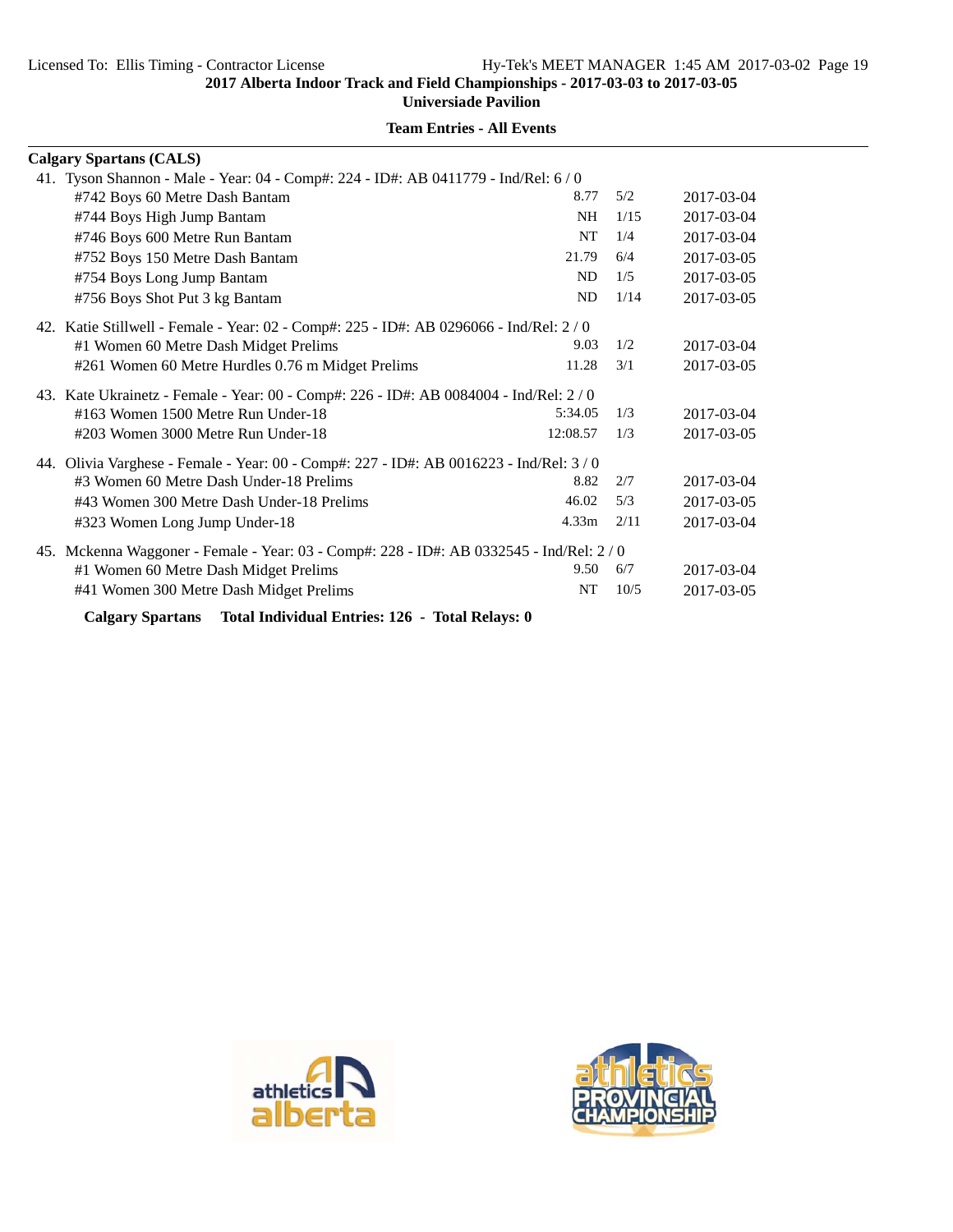| <b>Team Entries - All Events</b> |
|----------------------------------|
|----------------------------------|

| <b>Calgary Spartans (CALS)</b>                                                         |                   |      |            |
|----------------------------------------------------------------------------------------|-------------------|------|------------|
| 41. Tyson Shannon - Male - Year: 04 - Comp#: 224 - ID#: AB 0411779 - Ind/Rel: 6 / 0    |                   |      |            |
| #742 Boys 60 Metre Dash Bantam                                                         | 8.77              | 5/2  | 2017-03-04 |
| #744 Boys High Jump Bantam                                                             | <b>NH</b>         | 1/15 | 2017-03-04 |
| #746 Boys 600 Metre Run Bantam                                                         | <b>NT</b>         | 1/4  | 2017-03-04 |
| #752 Boys 150 Metre Dash Bantam                                                        | 21.79             | 6/4  | 2017-03-05 |
| #754 Boys Long Jump Bantam                                                             | N <sub>D</sub>    | 1/5  | 2017-03-05 |
| #756 Boys Shot Put 3 kg Bantam                                                         | ND                | 1/14 | 2017-03-05 |
| 42. Katie Stillwell - Female - Year: 02 - Comp#: 225 - ID#: AB 0296066 - Ind/Rel: 2/0  |                   |      |            |
| #1 Women 60 Metre Dash Midget Prelims                                                  | 9.03              | 1/2  | 2017-03-04 |
| #261 Women 60 Metre Hurdles 0.76 m Midget Prelims                                      | 11.28             | 3/1  | 2017-03-05 |
| 43. Kate Ukrainetz - Female - Year: 00 - Comp#: 226 - ID#: AB 0084004 - Ind/Rel: 2/0   |                   |      |            |
| #163 Women 1500 Metre Run Under-18                                                     | 5:34.05           | 1/3  | 2017-03-04 |
| #203 Women 3000 Metre Run Under-18                                                     | 12:08.57          | 1/3  | 2017-03-05 |
| 44. Olivia Varghese - Female - Year: 00 - Comp#: 227 - ID#: AB 0016223 - Ind/Rel: 3/0  |                   |      |            |
| #3 Women 60 Metre Dash Under-18 Prelims                                                | 8.82              | 2/7  | 2017-03-04 |
| #43 Women 300 Metre Dash Under-18 Prelims                                              | 46.02             | 5/3  | 2017-03-05 |
| #323 Women Long Jump Under-18                                                          | 4.33 <sub>m</sub> | 2/11 | 2017-03-04 |
| 45. Mckenna Waggoner - Female - Year: 03 - Comp#: 228 - ID#: AB 0332545 - Ind/Rel: 2/0 |                   |      |            |
| #1 Women 60 Metre Dash Midget Prelims                                                  | 9.50              | 6/7  | 2017-03-04 |
| #41 Women 300 Metre Dash Midget Prelims                                                | <b>NT</b>         | 10/5 | 2017-03-05 |
| Total Individual Entries: 126 - Total Relays: 0<br><b>Calgary Spartans</b>             |                   |      |            |



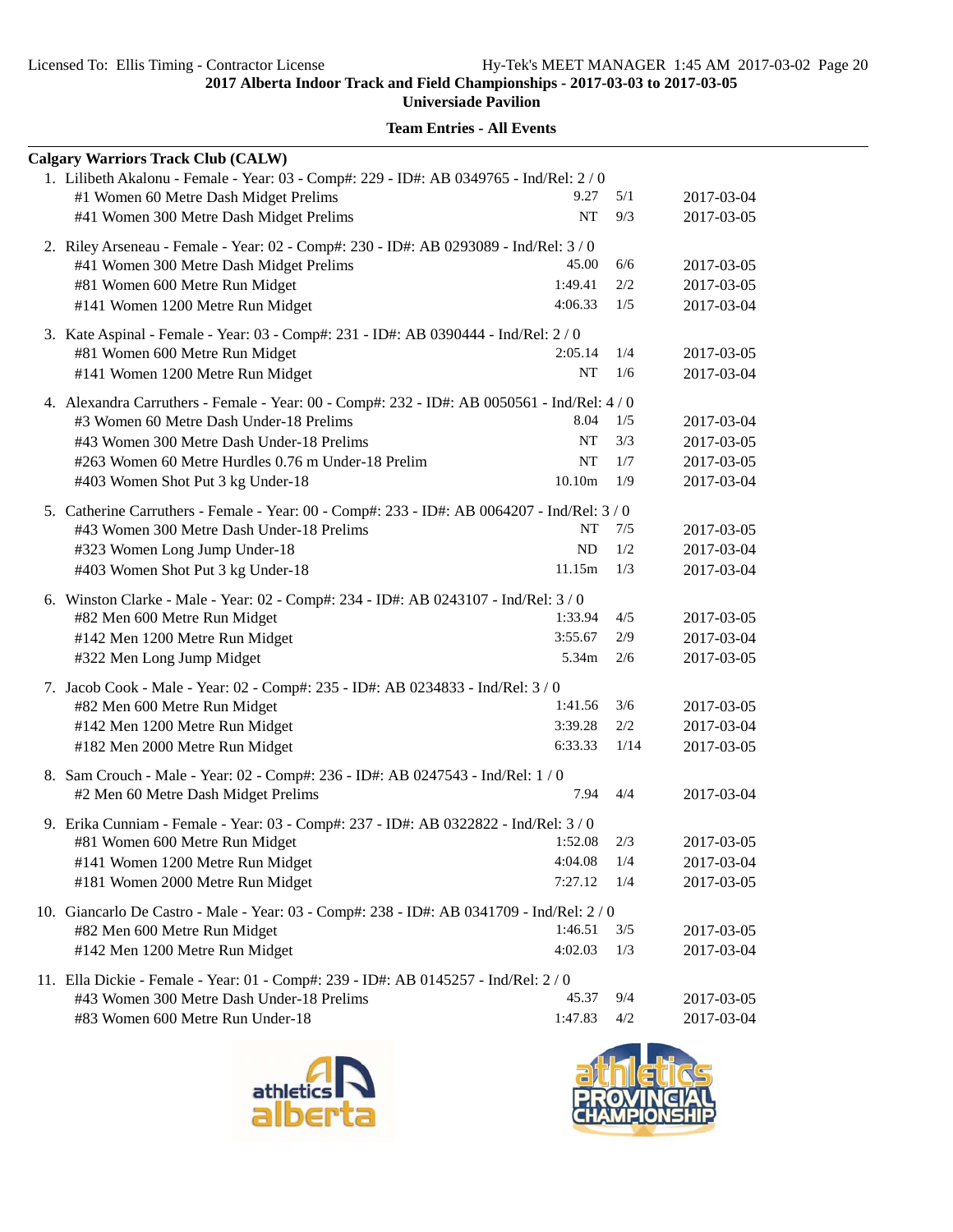**Universiade Pavilion**

| <b>Calgary Warriors Track Club (CALW)</b>                                                   |            |      |            |
|---------------------------------------------------------------------------------------------|------------|------|------------|
| 1. Lilibeth Akalonu - Female - Year: 03 - Comp#: 229 - ID#: AB 0349765 - Ind/Rel: 2 / 0     |            |      |            |
| #1 Women 60 Metre Dash Midget Prelims                                                       | 9.27       | 5/1  | 2017-03-04 |
| #41 Women 300 Metre Dash Midget Prelims                                                     | NT         | 9/3  | 2017-03-05 |
| 2. Riley Arseneau - Female - Year: 02 - Comp#: 230 - ID#: AB 0293089 - Ind/Rel: 3/0         |            |      |            |
| #41 Women 300 Metre Dash Midget Prelims                                                     | 45.00      | 6/6  | 2017-03-05 |
| #81 Women 600 Metre Run Midget                                                              | 1:49.41    | 2/2  | 2017-03-05 |
| #141 Women 1200 Metre Run Midget                                                            | 4:06.33    | 1/5  | 2017-03-04 |
| 3. Kate Aspinal - Female - Year: 03 - Comp#: 231 - ID#: AB 0390444 - Ind/Rel: 2 / 0         |            |      |            |
| #81 Women 600 Metre Run Midget                                                              | 2:05.14    | 1/4  | 2017-03-05 |
| #141 Women 1200 Metre Run Midget                                                            | NT         | 1/6  | 2017-03-04 |
| 4. Alexandra Carruthers - Female - Year: 00 - Comp#: 232 - ID#: AB 0050561 - Ind/Rel: 4 / 0 |            |      |            |
| #3 Women 60 Metre Dash Under-18 Prelims                                                     | 8.04       | 1/5  | 2017-03-04 |
| #43 Women 300 Metre Dash Under-18 Prelims                                                   | NT         | 3/3  | 2017-03-05 |
| #263 Women 60 Metre Hurdles 0.76 m Under-18 Prelim                                          | NT         | 1/7  | 2017-03-05 |
| #403 Women Shot Put 3 kg Under-18                                                           | 10.10m     | 1/9  | 2017-03-04 |
| 5. Catherine Carruthers - Female - Year: 00 - Comp#: 233 - ID#: AB 0064207 - Ind/Rel: 3/0   |            |      |            |
| #43 Women 300 Metre Dash Under-18 Prelims                                                   | NT         | 7/5  | 2017-03-05 |
| #323 Women Long Jump Under-18                                                               | ${\rm ND}$ | 1/2  | 2017-03-04 |
| #403 Women Shot Put 3 kg Under-18                                                           | 11.15m     | 1/3  | 2017-03-04 |
| 6. Winston Clarke - Male - Year: 02 - Comp#: 234 - ID#: AB 0243107 - Ind/Rel: 3 / 0         |            |      |            |
| #82 Men 600 Metre Run Midget                                                                | 1:33.94    | 4/5  | 2017-03-05 |
| #142 Men 1200 Metre Run Midget                                                              | 3:55.67    | 2/9  | 2017-03-04 |
| #322 Men Long Jump Midget                                                                   | 5.34m      | 2/6  | 2017-03-05 |
| 7. Jacob Cook - Male - Year: 02 - Comp#: 235 - ID#: AB 0234833 - Ind/Rel: 3 / 0             |            |      |            |
| #82 Men 600 Metre Run Midget                                                                | 1:41.56    | 3/6  | 2017-03-05 |
| #142 Men 1200 Metre Run Midget                                                              | 3:39.28    | 2/2  | 2017-03-04 |
| #182 Men 2000 Metre Run Midget                                                              | 6:33.33    | 1/14 | 2017-03-05 |
| 8. Sam Crouch - Male - Year: 02 - Comp#: 236 - ID#: AB 0247543 - Ind/Rel: 1 / 0             |            |      |            |
| #2 Men 60 Metre Dash Midget Prelims                                                         | 7.94       | 4/4  | 2017-03-04 |
| 9. Erika Cunniam - Female - Year: 03 - Comp#: 237 - ID#: AB 0322822 - Ind/Rel: 3/0          |            |      |            |
| #81 Women 600 Metre Run Midget                                                              | 1:52.08    | 2/3  | 2017-03-05 |
| #141 Women 1200 Metre Run Midget                                                            | 4:04.08    | 1/4  | 2017-03-04 |
| #181 Women 2000 Metre Run Midget                                                            | 7:27.12    | 1/4  | 2017-03-05 |
| 10. Giancarlo De Castro - Male - Year: 03 - Comp#: 238 - ID#: AB 0341709 - Ind/Rel: 2/0     |            |      |            |
| #82 Men 600 Metre Run Midget                                                                | 1:46.51    | 3/5  | 2017-03-05 |
| #142 Men 1200 Metre Run Midget                                                              | 4:02.03    | 1/3  | 2017-03-04 |
| 11. Ella Dickie - Female - Year: 01 - Comp#: 239 - ID#: AB 0145257 - Ind/Rel: 2/0           |            |      |            |
| #43 Women 300 Metre Dash Under-18 Prelims                                                   | 45.37      | 9/4  | 2017-03-05 |
| #83 Women 600 Metre Run Under-18                                                            | 1:47.83    | 4/2  | 2017-03-04 |



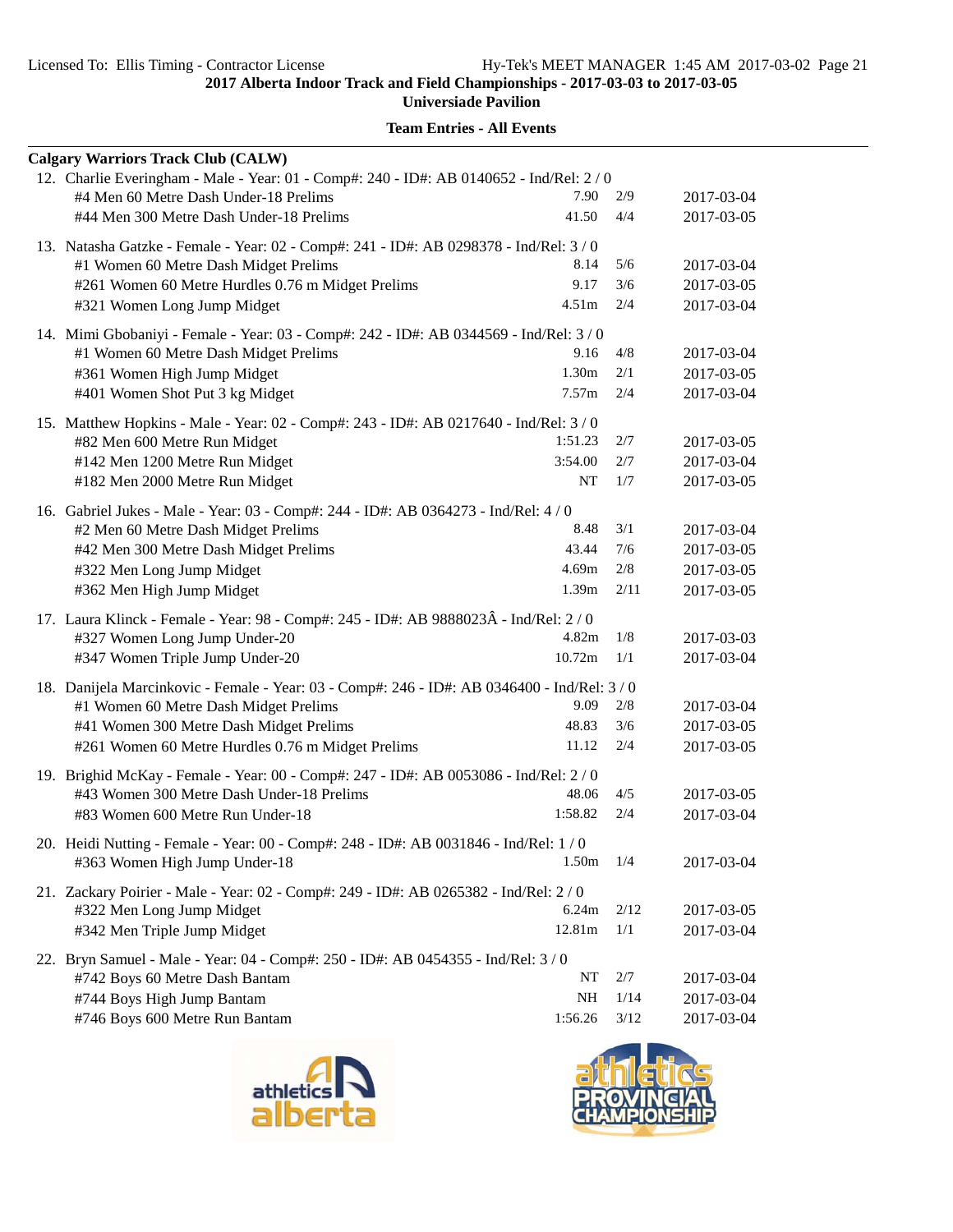| <b>Calgary Warriors Track Club (CALW)</b>                                                                                         |                   |        |            |
|-----------------------------------------------------------------------------------------------------------------------------------|-------------------|--------|------------|
|                                                                                                                                   |                   |        |            |
| 12. Charlie Everingham - Male - Year: 01 - Comp#: 240 - ID#: AB 0140652 - Ind/Rel: 2 / 0<br>#4 Men 60 Metre Dash Under-18 Prelims | 7.90              | 2/9    | 2017-03-04 |
|                                                                                                                                   |                   |        |            |
| #44 Men 300 Metre Dash Under-18 Prelims                                                                                           | 41.50             | 4/4    | 2017-03-05 |
| 13. Natasha Gatzke - Female - Year: 02 - Comp#: 241 - ID#: AB 0298378 - Ind/Rel: 3/0                                              |                   |        |            |
| #1 Women 60 Metre Dash Midget Prelims                                                                                             | 8.14              | 5/6    | 2017-03-04 |
| #261 Women 60 Metre Hurdles 0.76 m Midget Prelims                                                                                 | 9.17              | 3/6    | 2017-03-05 |
| #321 Women Long Jump Midget                                                                                                       | $4.51\mathrm{m}$  | 2/4    | 2017-03-04 |
| 14. Mimi Gbobaniyi - Female - Year: 03 - Comp#: 242 - ID#: AB 0344569 - Ind/Rel: 3 / 0                                            |                   |        |            |
| #1 Women 60 Metre Dash Midget Prelims                                                                                             | 9.16              | 4/8    | 2017-03-04 |
| #361 Women High Jump Midget                                                                                                       | 1.30 <sub>m</sub> | 2/1    | 2017-03-05 |
| #401 Women Shot Put 3 kg Midget                                                                                                   | 7.57m             | 2/4    | 2017-03-04 |
| 15. Matthew Hopkins - Male - Year: 02 - Comp#: 243 - ID#: AB 0217640 - Ind/Rel: 3 / 0                                             |                   |        |            |
| #82 Men 600 Metre Run Midget                                                                                                      | 1:51.23           | 2/7    | 2017-03-05 |
| #142 Men 1200 Metre Run Midget                                                                                                    | 3:54.00           | 2/7    | 2017-03-04 |
| #182 Men 2000 Metre Run Midget                                                                                                    | NT                | 1/7    | 2017-03-05 |
| 16. Gabriel Jukes - Male - Year: 03 - Comp#: 244 - ID#: AB 0364273 - Ind/Rel: 4 / 0                                               |                   |        |            |
| #2 Men 60 Metre Dash Midget Prelims                                                                                               | 8.48              | 3/1    | 2017-03-04 |
| #42 Men 300 Metre Dash Midget Prelims                                                                                             | 43.44             | 7/6    | 2017-03-05 |
| #322 Men Long Jump Midget                                                                                                         | 4.69m             | 2/8    | 2017-03-05 |
| #362 Men High Jump Midget                                                                                                         | 1.39m             | 2/11   | 2017-03-05 |
| 17. Laura Klinck - Female - Year: 98 - Comp#: 245 - ID#: AB 9888023Â - Ind/Rel: 2/0                                               |                   |        |            |
| #327 Women Long Jump Under-20                                                                                                     | 4.82m             | 1/8    | 2017-03-03 |
| #347 Women Triple Jump Under-20                                                                                                   | 10.72m            | 1/1    | 2017-03-04 |
|                                                                                                                                   |                   |        |            |
| 18. Danijela Marcinkovic - Female - Year: 03 - Comp#: 246 - ID#: AB 0346400 - Ind/Rel: 3 / 0                                      |                   |        |            |
| #1 Women 60 Metre Dash Midget Prelims                                                                                             | 9.09              | 2/8    | 2017-03-04 |
| #41 Women 300 Metre Dash Midget Prelims                                                                                           | 48.83             | 3/6    | 2017-03-05 |
| #261 Women 60 Metre Hurdles 0.76 m Midget Prelims                                                                                 | 11.12             | 2/4    | 2017-03-05 |
| 19. Brighid McKay - Female - Year: 00 - Comp#: 247 - ID#: AB 0053086 - Ind/Rel: 2 / 0                                             |                   |        |            |
| #43 Women 300 Metre Dash Under-18 Prelims                                                                                         | 48.06             | 4/5    | 2017-03-05 |
| #83 Women 600 Metre Run Under-18                                                                                                  | 1:58.82           | 2/4    | 2017-03-04 |
| 20. Heidi Nutting - Female - Year: 00 - Comp#: 248 - ID#: AB 0031846 - Ind/Rel: 1 / 0                                             |                   |        |            |
| #363 Women High Jump Under-18                                                                                                     | 1.50m             | 1/4    | 2017-03-04 |
| 21. Zackary Poirier - Male - Year: 02 - Comp#: 249 - ID#: AB 0265382 - Ind/Rel: 2 / 0                                             |                   |        |            |
| #322 Men Long Jump Midget                                                                                                         | 6.24m             | 2/12   | 2017-03-05 |
| #342 Men Triple Jump Midget                                                                                                       | 12.81m            | 1/1    | 2017-03-04 |
| 22. Bryn Samuel - Male - Year: 04 - Comp#: 250 - ID#: AB 0454355 - Ind/Rel: 3 / 0                                                 |                   |        |            |
| #742 Boys 60 Metre Dash Bantam                                                                                                    | NT                | 2/7    | 2017-03-04 |
| #744 Boys High Jump Bantam                                                                                                        | NH                | 1/14   | 2017-03-04 |
| #746 Boys 600 Metre Run Bantam                                                                                                    | 1:56.26           | $3/12$ | 2017-03-04 |





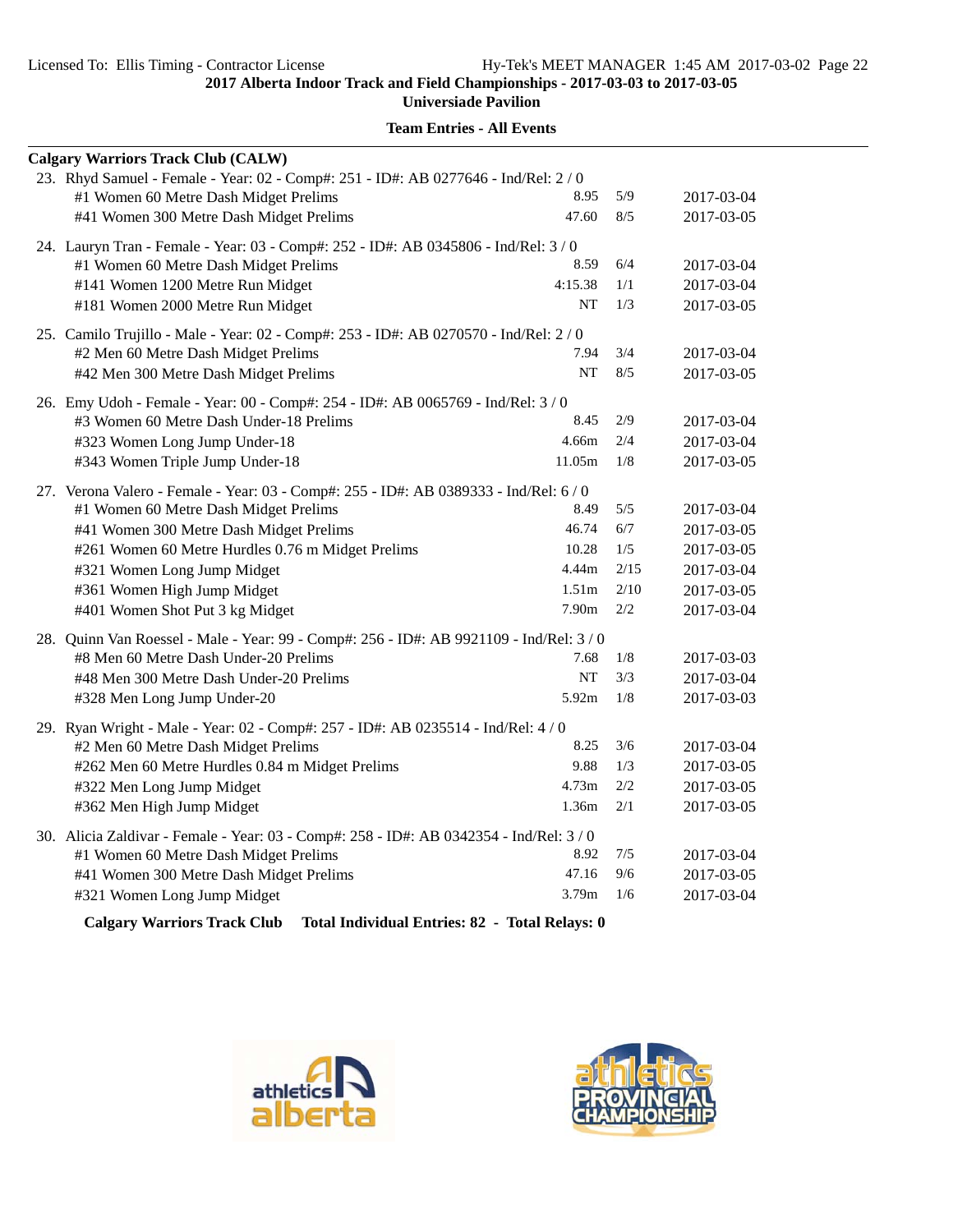**Universiade Pavilion**

| <b>Calgary Warriors Track Club (CALW)</b>                                                                                    |                   |      |            |
|------------------------------------------------------------------------------------------------------------------------------|-------------------|------|------------|
| 23. Rhyd Samuel - Female - Year: 02 - Comp#: 251 - ID#: AB 0277646 - Ind/Rel: 2 / 0<br>#1 Women 60 Metre Dash Midget Prelims | 8.95              | 5/9  | 2017-03-04 |
| #41 Women 300 Metre Dash Midget Prelims                                                                                      | 47.60             | 8/5  | 2017-03-05 |
| 24. Lauryn Tran - Female - Year: 03 - Comp#: 252 - ID#: AB 0345806 - Ind/Rel: 3 / 0                                          |                   |      |            |
| #1 Women 60 Metre Dash Midget Prelims                                                                                        | 8.59              | 6/4  | 2017-03-04 |
| #141 Women 1200 Metre Run Midget                                                                                             | 4:15.38           | 1/1  | 2017-03-04 |
| #181 Women 2000 Metre Run Midget                                                                                             | NT                | 1/3  | 2017-03-05 |
| 25. Camilo Trujillo - Male - Year: 02 - Comp#: 253 - ID#: AB 0270570 - Ind/Rel: 2 / 0                                        |                   |      |            |
| #2 Men 60 Metre Dash Midget Prelims                                                                                          | 7.94              | 3/4  | 2017-03-04 |
| #42 Men 300 Metre Dash Midget Prelims                                                                                        | <b>NT</b>         | 8/5  | 2017-03-05 |
| 26. Emy Udoh - Female - Year: 00 - Comp#: 254 - ID#: AB 0065769 - Ind/Rel: 3/0                                               |                   |      |            |
| #3 Women 60 Metre Dash Under-18 Prelims                                                                                      | 8.45              | 2/9  | 2017-03-04 |
| #323 Women Long Jump Under-18                                                                                                | 4.66m             | 2/4  | 2017-03-04 |
| #343 Women Triple Jump Under-18                                                                                              | 11.05m            | 1/8  | 2017-03-05 |
| 27. Verona Valero - Female - Year: 03 - Comp#: 255 - ID#: AB 0389333 - Ind/Rel: 6/0                                          |                   |      |            |
| #1 Women 60 Metre Dash Midget Prelims                                                                                        | 8.49              | 5/5  | 2017-03-04 |
| #41 Women 300 Metre Dash Midget Prelims                                                                                      | 46.74             | 6/7  | 2017-03-05 |
| #261 Women 60 Metre Hurdles 0.76 m Midget Prelims                                                                            | 10.28             | 1/5  | 2017-03-05 |
| #321 Women Long Jump Midget                                                                                                  | 4.44m             | 2/15 | 2017-03-04 |
| #361 Women High Jump Midget                                                                                                  | 1.51 <sub>m</sub> | 2/10 | 2017-03-05 |
| #401 Women Shot Put 3 kg Midget                                                                                              | 7.90 <sub>m</sub> | 2/2  | 2017-03-04 |
| 28. Quinn Van Roessel - Male - Year: 99 - Comp#: 256 - ID#: AB 9921109 - Ind/Rel: 3 / 0                                      |                   |      |            |
| #8 Men 60 Metre Dash Under-20 Prelims                                                                                        | 7.68              | 1/8  | 2017-03-03 |
| #48 Men 300 Metre Dash Under-20 Prelims                                                                                      | NT                | 3/3  | 2017-03-04 |
| #328 Men Long Jump Under-20                                                                                                  | 5.92m             | 1/8  | 2017-03-03 |
| 29. Ryan Wright - Male - Year: 02 - Comp#: 257 - ID#: AB 0235514 - Ind/Rel: 4/0                                              |                   |      |            |
| #2 Men 60 Metre Dash Midget Prelims                                                                                          | 8.25              | 3/6  | 2017-03-04 |
| #262 Men 60 Metre Hurdles 0.84 m Midget Prelims                                                                              | 9.88              | 1/3  | 2017-03-05 |
| #322 Men Long Jump Midget                                                                                                    | 4.73m             | 2/2  | 2017-03-05 |
| #362 Men High Jump Midget                                                                                                    | 1.36m             | 2/1  | 2017-03-05 |
| 30. Alicia Zaldivar - Female - Year: 03 - Comp#: 258 - ID#: AB 0342354 - Ind/Rel: 3 / 0                                      |                   |      |            |
| #1 Women 60 Metre Dash Midget Prelims                                                                                        | 8.92              | 7/5  | 2017-03-04 |
| #41 Women 300 Metre Dash Midget Prelims                                                                                      | 47.16             | 9/6  | 2017-03-05 |
| #321 Women Long Jump Midget                                                                                                  | 3.79m             | 1/6  | 2017-03-04 |
|                                                                                                                              |                   |      |            |

**Team Entries - All Events**

**Calgary Warriors Track Club Total Individual Entries: 82 - Total Relays: 0**



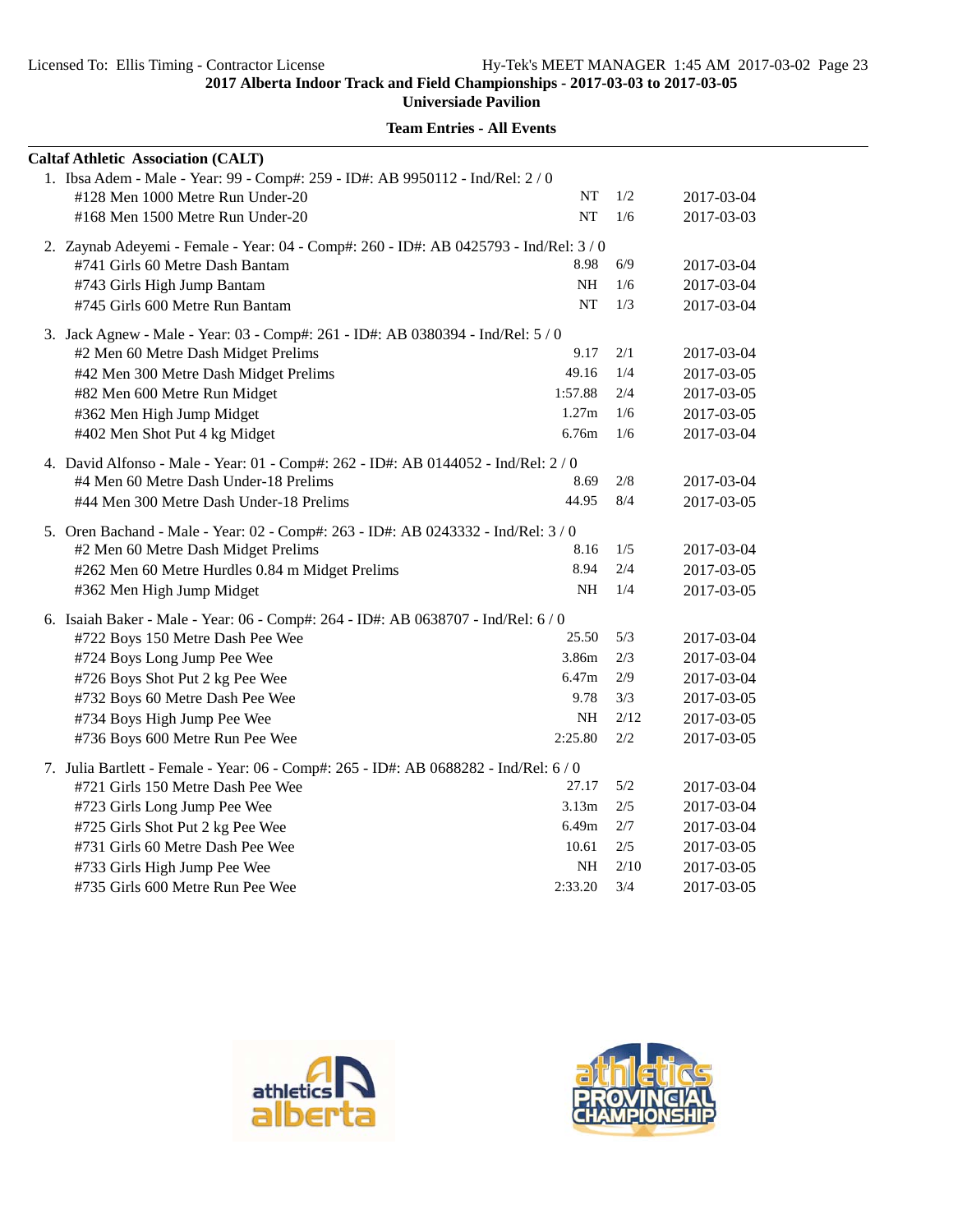**Universiade Pavilion**

| <b>Caltaf Athletic Association (CALT)</b>                                             |                   |       |            |
|---------------------------------------------------------------------------------------|-------------------|-------|------------|
| 1. Ibsa Adem - Male - Year: 99 - Comp#: 259 - ID#: AB 9950112 - Ind/Rel: 2 / 0        |                   |       |            |
| #128 Men 1000 Metre Run Under-20                                                      | NT                | 1/2   | 2017-03-04 |
| #168 Men 1500 Metre Run Under-20                                                      | <b>NT</b>         | 1/6   | 2017-03-03 |
| 2. Zaynab Adeyemi - Female - Year: 04 - Comp#: 260 - ID#: AB 0425793 - Ind/Rel: 3/0   |                   |       |            |
| #741 Girls 60 Metre Dash Bantam                                                       | 8.98              | $6/9$ | 2017-03-04 |
| #743 Girls High Jump Bantam                                                           | <b>NH</b>         | 1/6   | 2017-03-04 |
| #745 Girls 600 Metre Run Bantam                                                       | $\rm{NT}$         | 1/3   | 2017-03-04 |
| 3. Jack Agnew - Male - Year: 03 - Comp#: 261 - ID#: AB 0380394 - Ind/Rel: 5 / 0       |                   |       |            |
| #2 Men 60 Metre Dash Midget Prelims                                                   | 9.17              | 2/1   | 2017-03-04 |
| #42 Men 300 Metre Dash Midget Prelims                                                 | 49.16             | 1/4   | 2017-03-05 |
| #82 Men 600 Metre Run Midget                                                          | 1:57.88           | 2/4   | 2017-03-05 |
| #362 Men High Jump Midget                                                             | 1.27m             | 1/6   | 2017-03-05 |
| #402 Men Shot Put 4 kg Midget                                                         | 6.76m             | 1/6   | 2017-03-04 |
| 4. David Alfonso - Male - Year: 01 - Comp#: 262 - ID#: AB 0144052 - Ind/Rel: 2 / 0    |                   |       |            |
| #4 Men 60 Metre Dash Under-18 Prelims                                                 | 8.69              | 2/8   | 2017-03-04 |
| #44 Men 300 Metre Dash Under-18 Prelims                                               | 44.95             | 8/4   | 2017-03-05 |
| 5. Oren Bachand - Male - Year: 02 - Comp#: 263 - ID#: AB 0243332 - Ind/Rel: 3 / 0     |                   |       |            |
| #2 Men 60 Metre Dash Midget Prelims                                                   | 8.16              | 1/5   | 2017-03-04 |
| #262 Men 60 Metre Hurdles 0.84 m Midget Prelims                                       | 8.94              | 2/4   | 2017-03-05 |
| #362 Men High Jump Midget                                                             | NH                | 1/4   | 2017-03-05 |
| 6. Isaiah Baker - Male - Year: 06 - Comp#: 264 - ID#: AB 0638707 - Ind/Rel: 6 / 0     |                   |       |            |
| #722 Boys 150 Metre Dash Pee Wee                                                      | 25.50             | 5/3   | 2017-03-04 |
| #724 Boys Long Jump Pee Wee                                                           | 3.86m             | $2/3$ | 2017-03-04 |
| #726 Boys Shot Put 2 kg Pee Wee                                                       | 6.47m             | $2/9$ | 2017-03-04 |
| #732 Boys 60 Metre Dash Pee Wee                                                       | 9.78              | 3/3   | 2017-03-05 |
| #734 Boys High Jump Pee Wee                                                           | $\rm NH$          | 2/12  | 2017-03-05 |
| #736 Boys 600 Metre Run Pee Wee                                                       | 2:25.80           | 2/2   | 2017-03-05 |
| 7. Julia Bartlett - Female - Year: 06 - Comp#: 265 - ID#: AB 0688282 - Ind/Rel: 6 / 0 |                   |       |            |
| #721 Girls 150 Metre Dash Pee Wee                                                     | 27.17             | 5/2   | 2017-03-04 |
| #723 Girls Long Jump Pee Wee                                                          | 3.13 <sub>m</sub> | 2/5   | 2017-03-04 |
| #725 Girls Shot Put 2 kg Pee Wee                                                      | 6.49m             | 2/7   | 2017-03-04 |
| #731 Girls 60 Metre Dash Pee Wee                                                      | 10.61             | 2/5   | 2017-03-05 |
| #733 Girls High Jump Pee Wee                                                          | NH                | 2/10  | 2017-03-05 |
| #735 Girls 600 Metre Run Pee Wee                                                      | 2:33.20           | 3/4   | 2017-03-05 |



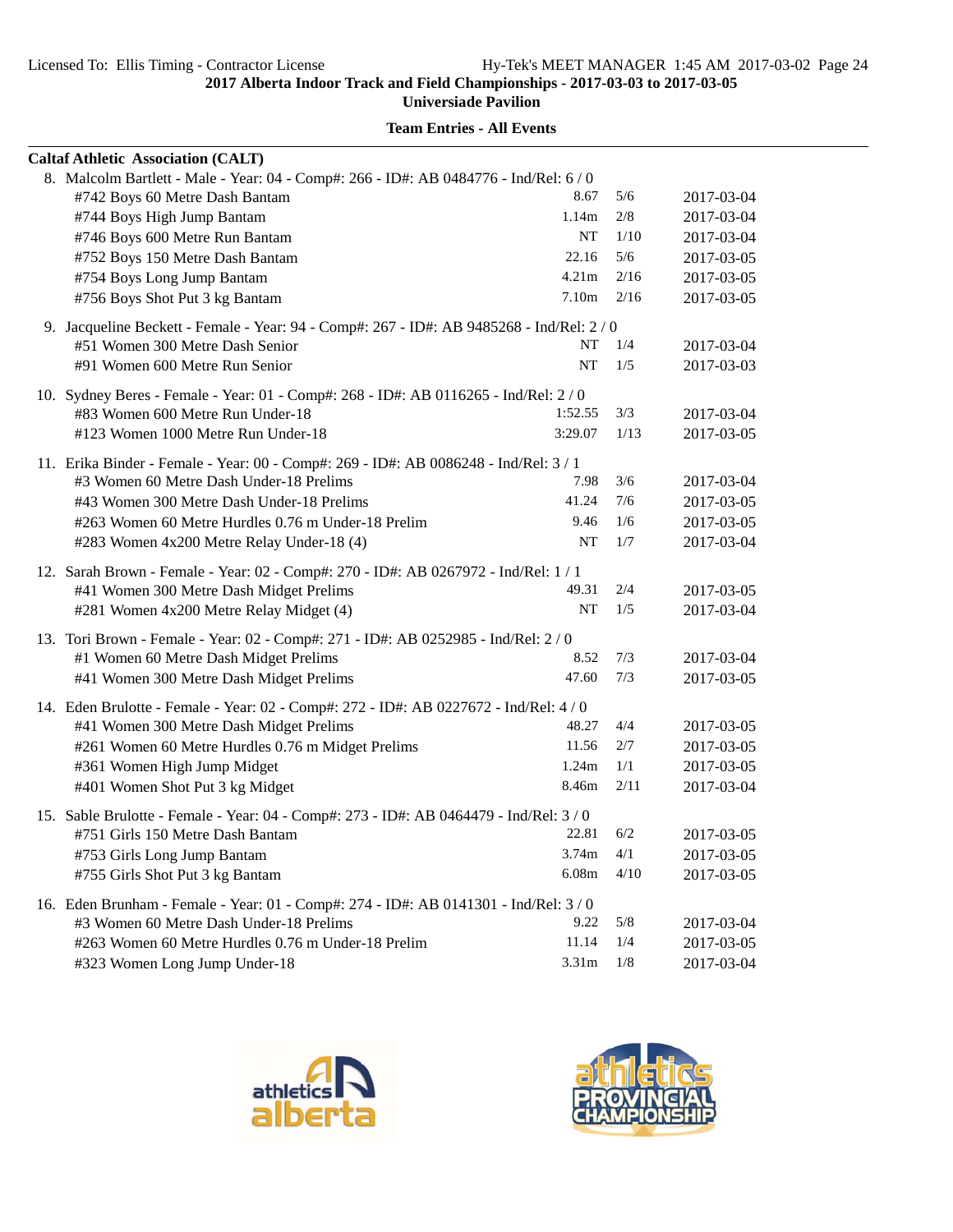**Universiade Pavilion**

| <b>Caltaf Athletic Association (CALT)</b>                                                                                                           |                    |            |                          |
|-----------------------------------------------------------------------------------------------------------------------------------------------------|--------------------|------------|--------------------------|
| 8. Malcolm Bartlett - Male - Year: 04 - Comp#: 266 - ID#: AB 0484776 - Ind/Rel: 6/0<br>#742 Boys 60 Metre Dash Bantam<br>#744 Boys High Jump Bantam | 8.67<br>1.14m      | 5/6<br>2/8 | 2017-03-04<br>2017-03-04 |
| #746 Boys 600 Metre Run Bantam                                                                                                                      | NT                 | 1/10       | 2017-03-04               |
| #752 Boys 150 Metre Dash Bantam                                                                                                                     | 22.16              | 5/6        | 2017-03-05               |
| #754 Boys Long Jump Bantam                                                                                                                          | 4.21 <sub>m</sub>  | 2/16       | 2017-03-05               |
| #756 Boys Shot Put 3 kg Bantam                                                                                                                      | 7.10m              | 2/16       | 2017-03-05               |
| 9. Jacqueline Beckett - Female - Year: 94 - Comp#: 267 - ID#: AB 9485268 - Ind/Rel: 2/0                                                             |                    |            |                          |
| #51 Women 300 Metre Dash Senior                                                                                                                     | NT                 | 1/4        | 2017-03-04               |
| #91 Women 600 Metre Run Senior                                                                                                                      | NT                 | 1/5        | 2017-03-03               |
| 10. Sydney Beres - Female - Year: 01 - Comp#: 268 - ID#: AB 0116265 - Ind/Rel: 2/0                                                                  |                    |            |                          |
| #83 Women 600 Metre Run Under-18                                                                                                                    | 1:52.55<br>3:29.07 | 3/3        | 2017-03-04               |
| #123 Women 1000 Metre Run Under-18                                                                                                                  |                    | 1/13       | 2017-03-05               |
| 11. Erika Binder - Female - Year: 00 - Comp#: 269 - ID#: AB 0086248 - Ind/Rel: 3 / 1                                                                |                    |            |                          |
| #3 Women 60 Metre Dash Under-18 Prelims                                                                                                             | 7.98               | 3/6        | 2017-03-04               |
| #43 Women 300 Metre Dash Under-18 Prelims                                                                                                           | 41.24              | 7/6        | 2017-03-05               |
| #263 Women 60 Metre Hurdles 0.76 m Under-18 Prelim                                                                                                  | 9.46               | 1/6        | 2017-03-05               |
| #283 Women 4x200 Metre Relay Under-18 (4)                                                                                                           | NT                 | 1/7        | 2017-03-04               |
| 12. Sarah Brown - Female - Year: 02 - Comp#: 270 - ID#: AB 0267972 - Ind/Rel: 1 / 1                                                                 |                    |            |                          |
| #41 Women 300 Metre Dash Midget Prelims                                                                                                             | 49.31              | 2/4        | 2017-03-05               |
| #281 Women 4x200 Metre Relay Midget (4)                                                                                                             | NT                 | 1/5        | 2017-03-04               |
| 13. Tori Brown - Female - Year: 02 - Comp#: 271 - ID#: AB 0252985 - Ind/Rel: 2 / 0                                                                  |                    |            |                          |
| #1 Women 60 Metre Dash Midget Prelims                                                                                                               | 8.52               | 7/3        | 2017-03-04               |
| #41 Women 300 Metre Dash Midget Prelims                                                                                                             | 47.60              | 7/3        | 2017-03-05               |
| 14. Eden Brulotte - Female - Year: 02 - Comp#: 272 - ID#: AB 0227672 - Ind/Rel: 4 / 0                                                               |                    |            |                          |
| #41 Women 300 Metre Dash Midget Prelims                                                                                                             | 48.27              | 4/4        | 2017-03-05               |
| #261 Women 60 Metre Hurdles 0.76 m Midget Prelims                                                                                                   | 11.56              | 2/7        | 2017-03-05               |
| #361 Women High Jump Midget                                                                                                                         | 1.24m              | 1/1        | 2017-03-05               |
| #401 Women Shot Put 3 kg Midget                                                                                                                     | 8.46m              | 2/11       | 2017-03-04               |
| 15. Sable Brulotte - Female - Year: 04 - Comp#: 273 - ID#: AB 0464479 - Ind/Rel: 3/0                                                                |                    |            |                          |
| #751 Girls 150 Metre Dash Bantam                                                                                                                    | 22.81              | 6/2        | 2017-03-05               |
| #753 Girls Long Jump Bantam                                                                                                                         | 3.74m              | 4/1        | 2017-03-05               |
| #755 Girls Shot Put 3 kg Bantam                                                                                                                     | 6.08m              | 4/10       | 2017-03-05               |
| 16. Eden Brunham - Female - Year: 01 - Comp#: 274 - ID#: AB 0141301 - Ind/Rel: 3/0                                                                  |                    |            |                          |
| #3 Women 60 Metre Dash Under-18 Prelims                                                                                                             | 9.22               | 5/8        | 2017-03-04               |
| #263 Women 60 Metre Hurdles 0.76 m Under-18 Prelim                                                                                                  | 11.14              | 1/4        | 2017-03-05               |
| #323 Women Long Jump Under-18                                                                                                                       | 3.31m              | 1/8        | 2017-03-04               |



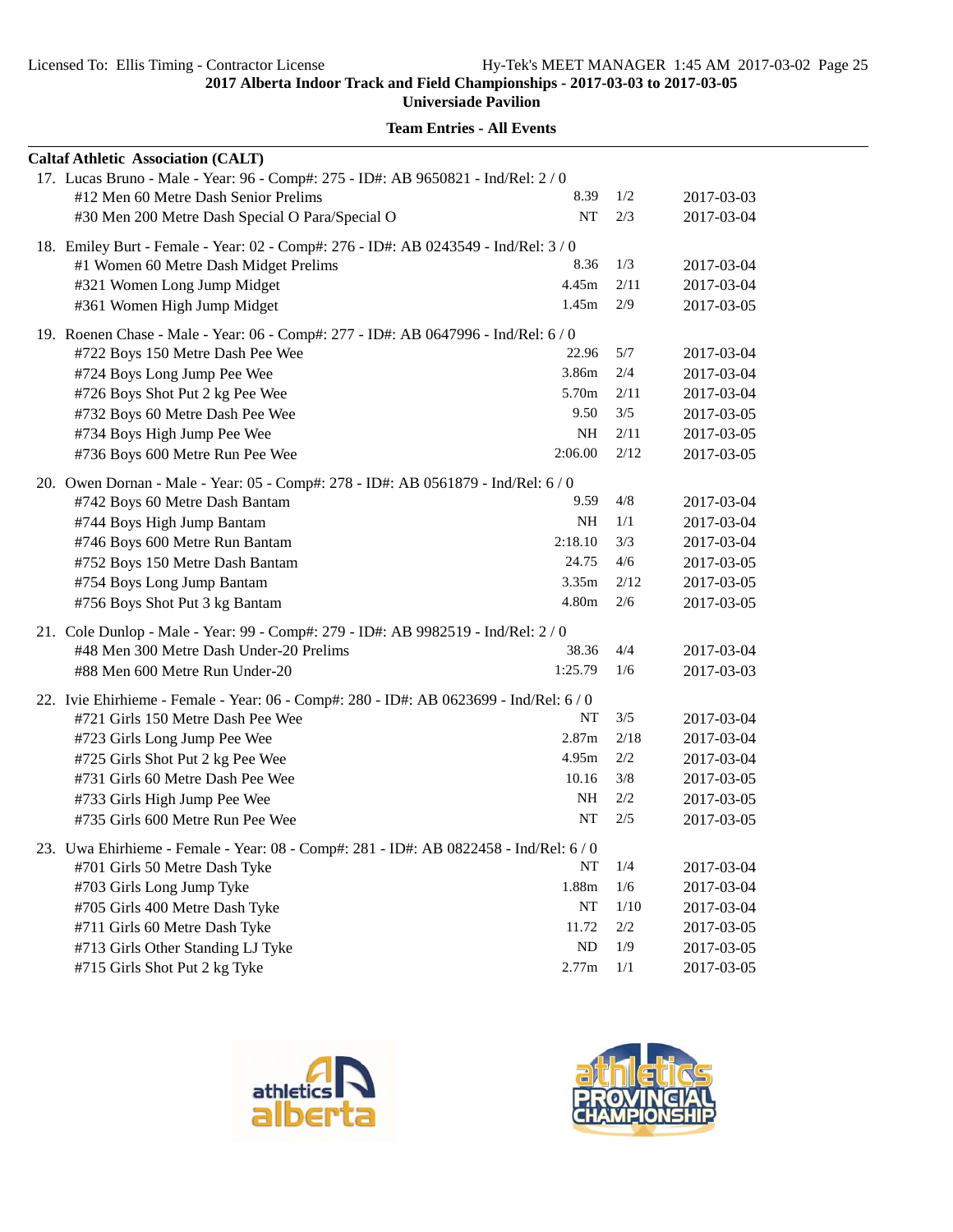**Universiade Pavilion**

| <b>Caltaf Athletic Association (CALT)</b>                                              |         |         |            |
|----------------------------------------------------------------------------------------|---------|---------|------------|
| 17. Lucas Bruno - Male - Year: 96 - Comp#: 275 - ID#: AB 9650821 - Ind/Rel: 2 / 0      |         |         |            |
| #12 Men 60 Metre Dash Senior Prelims                                                   | 8.39    | 1/2     | 2017-03-03 |
| #30 Men 200 Metre Dash Special O Para/Special O                                        | NT      | 2/3     | 2017-03-04 |
| 18. Emiley Burt - Female - Year: 02 - Comp#: 276 - ID#: AB 0243549 - Ind/Rel: 3 / 0    |         |         |            |
| #1 Women 60 Metre Dash Midget Prelims                                                  | 8.36    | 1/3     | 2017-03-04 |
| #321 Women Long Jump Midget                                                            | 4.45m   | 2/11    | 2017-03-04 |
| #361 Women High Jump Midget                                                            | 1.45m   | 2/9     | 2017-03-05 |
| 19. Roenen Chase - Male - Year: 06 - Comp#: 277 - ID#: AB 0647996 - Ind/Rel: 6 / 0     |         |         |            |
| #722 Boys 150 Metre Dash Pee Wee                                                       | 22.96   | 5/7     | 2017-03-04 |
| #724 Boys Long Jump Pee Wee                                                            | 3.86m   | 2/4     | 2017-03-04 |
| #726 Boys Shot Put 2 kg Pee Wee                                                        | 5.70m   | 2/11    | 2017-03-04 |
| #732 Boys 60 Metre Dash Pee Wee                                                        | 9.50    | 3/5     | 2017-03-05 |
| #734 Boys High Jump Pee Wee                                                            | NH      | 2/11    | 2017-03-05 |
| #736 Boys 600 Metre Run Pee Wee                                                        | 2:06.00 | 2/12    | 2017-03-05 |
| 20. Owen Dornan - Male - Year: 05 - Comp#: 278 - ID#: AB 0561879 - Ind/Rel: 6 / 0      |         |         |            |
| #742 Boys 60 Metre Dash Bantam                                                         | 9.59    | 4/8     | 2017-03-04 |
| #744 Boys High Jump Bantam                                                             | NH      | 1/1     | 2017-03-04 |
| #746 Boys 600 Metre Run Bantam                                                         | 2:18.10 | 3/3     | 2017-03-04 |
| #752 Boys 150 Metre Dash Bantam                                                        | 24.75   | 4/6     | 2017-03-05 |
| #754 Boys Long Jump Bantam                                                             | 3.35m   | 2/12    | 2017-03-05 |
| #756 Boys Shot Put 3 kg Bantam                                                         | 4.80m   | 2/6     | 2017-03-05 |
| 21. Cole Dunlop - Male - Year: 99 - Comp#: 279 - ID#: AB 9982519 - Ind/Rel: 2/0        |         |         |            |
| #48 Men 300 Metre Dash Under-20 Prelims                                                | 38.36   | 4/4     | 2017-03-04 |
| #88 Men 600 Metre Run Under-20                                                         | 1:25.79 | 1/6     | 2017-03-03 |
| 22. Ivie Ehirhieme - Female - Year: 06 - Comp#: 280 - ID#: AB 0623699 - Ind/Rel: 6 / 0 |         |         |            |
| #721 Girls 150 Metre Dash Pee Wee                                                      | NT      | 3/5     | 2017-03-04 |
| #723 Girls Long Jump Pee Wee                                                           | 2.87m   | 2/18    | 2017-03-04 |
| #725 Girls Shot Put 2 kg Pee Wee                                                       | 4.95m   | 2/2     | 2017-03-04 |
| #731 Girls 60 Metre Dash Pee Wee                                                       | 10.16   | 3/8     | 2017-03-05 |
| #733 Girls High Jump Pee Wee                                                           | NH      | 2/2     | 2017-03-05 |
| #735 Girls 600 Metre Run Pee Wee                                                       | NT      | 2/5     | 2017-03-05 |
| 23. Uwa Ehirhieme - Female - Year: 08 - Comp#: 281 - ID#: AB 0822458 - Ind/Rel: 6 / 0  |         |         |            |
| #701 Girls 50 Metre Dash Tyke                                                          | NT      | 1/4     | 2017-03-04 |
| #703 Girls Long Jump Tyke                                                              | 1.88m   | 1/6     | 2017-03-04 |
| #705 Girls 400 Metre Dash Tyke                                                         | NT      | 1/10    | 2017-03-04 |
| #711 Girls 60 Metre Dash Tyke                                                          | 11.72   | $2/2\,$ | 2017-03-05 |
| #713 Girls Other Standing LJ Tyke                                                      | ND      | 1/9     | 2017-03-05 |
| #715 Girls Shot Put 2 kg Tyke                                                          | 2.77m   | 1/1     | 2017-03-05 |



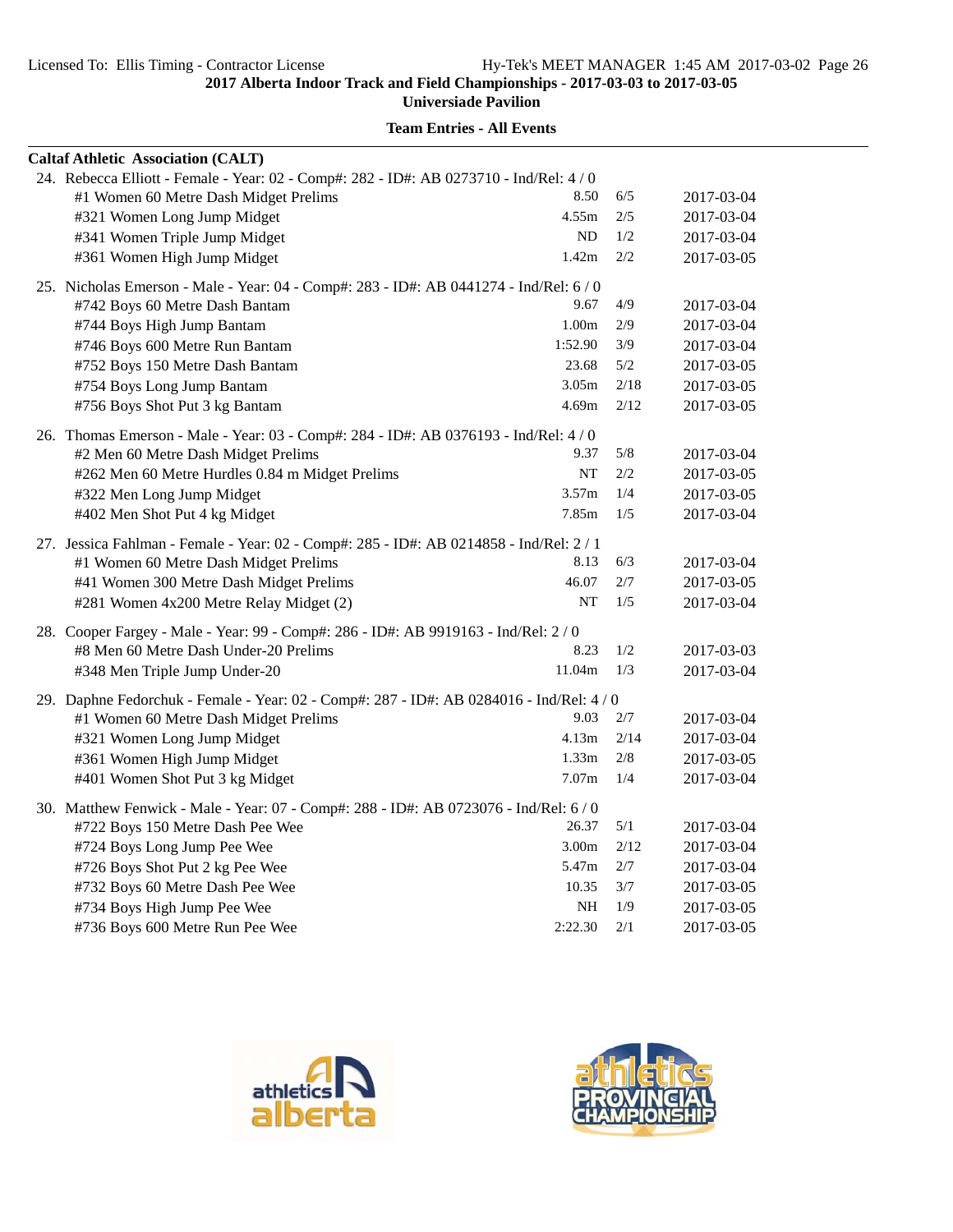**Universiade Pavilion**

| 24. Rebecca Elliott - Female - Year: 02 - Comp#: 282 - ID#: AB 0273710 - Ind/Rel: 4 / 0<br>8.50<br>6/5<br>#1 Women 60 Metre Dash Midget Prelims<br>2017-03-04 |  |
|---------------------------------------------------------------------------------------------------------------------------------------------------------------|--|
|                                                                                                                                                               |  |
|                                                                                                                                                               |  |
| 4.55m<br>#321 Women Long Jump Midget<br>2/5<br>2017-03-04                                                                                                     |  |
| ND<br>1/2<br>#341 Women Triple Jump Midget<br>2017-03-04                                                                                                      |  |
| 1.42m<br>#361 Women High Jump Midget<br>2/2<br>2017-03-05                                                                                                     |  |
| 25. Nicholas Emerson - Male - Year: 04 - Comp#: 283 - ID#: AB 0441274 - Ind/Rel: 6/0                                                                          |  |
| 9.67<br>4/9<br>#742 Boys 60 Metre Dash Bantam<br>2017-03-04                                                                                                   |  |
| 1.00m<br>2/9<br>#744 Boys High Jump Bantam<br>2017-03-04                                                                                                      |  |
| 1:52.90<br>3/9<br>#746 Boys 600 Metre Run Bantam<br>2017-03-04                                                                                                |  |
| 23.68<br>5/2<br>#752 Boys 150 Metre Dash Bantam<br>2017-03-05                                                                                                 |  |
| 3.05m<br>2/18<br>#754 Boys Long Jump Bantam<br>2017-03-05                                                                                                     |  |
| 4.69m<br>2/12<br>#756 Boys Shot Put 3 kg Bantam<br>2017-03-05                                                                                                 |  |
| 26. Thomas Emerson - Male - Year: 03 - Comp#: 284 - ID#: AB 0376193 - Ind/Rel: 4/0                                                                            |  |
| 5/8<br>9.37<br>#2 Men 60 Metre Dash Midget Prelims<br>2017-03-04                                                                                              |  |
| <b>NT</b><br>2/2<br>#262 Men 60 Metre Hurdles 0.84 m Midget Prelims<br>2017-03-05                                                                             |  |
| 3.57m<br>1/4<br>#322 Men Long Jump Midget<br>2017-03-05                                                                                                       |  |
| #402 Men Shot Put 4 kg Midget<br>7.85m<br>1/5<br>2017-03-04                                                                                                   |  |
| 27. Jessica Fahlman - Female - Year: 02 - Comp#: 285 - ID#: AB 0214858 - Ind/Rel: 2 / 1                                                                       |  |
| 6/3<br>#1 Women 60 Metre Dash Midget Prelims<br>8.13<br>2017-03-04                                                                                            |  |
| 46.07<br>2/7<br>#41 Women 300 Metre Dash Midget Prelims<br>2017-03-05                                                                                         |  |
| <b>NT</b><br>#281 Women 4x200 Metre Relay Midget (2)<br>1/5<br>2017-03-04                                                                                     |  |
| 28. Cooper Fargey - Male - Year: 99 - Comp#: 286 - ID#: AB 9919163 - Ind/Rel: 2/0                                                                             |  |
| 8.23<br>1/2<br>#8 Men 60 Metre Dash Under-20 Prelims<br>2017-03-03                                                                                            |  |
| 11.04m<br>1/3<br>#348 Men Triple Jump Under-20<br>2017-03-04                                                                                                  |  |
| 29. Daphne Fedorchuk - Female - Year: 02 - Comp#: 287 - ID#: AB 0284016 - Ind/Rel: 4 / 0                                                                      |  |
| 9.03<br>2/7<br>#1 Women 60 Metre Dash Midget Prelims<br>2017-03-04                                                                                            |  |
| 4.13m<br>2/14<br>#321 Women Long Jump Midget<br>2017-03-04                                                                                                    |  |
| 1.33 <sub>m</sub><br>2/8<br>#361 Women High Jump Midget<br>2017-03-05                                                                                         |  |
| 7.07 <sub>m</sub><br>1/4<br>#401 Women Shot Put 3 kg Midget<br>2017-03-04                                                                                     |  |
| 30. Matthew Fenwick - Male - Year: 07 - Comp#: 288 - ID#: AB 0723076 - Ind/Rel: 6 / 0                                                                         |  |
| 26.37<br>5/1<br>#722 Boys 150 Metre Dash Pee Wee<br>2017-03-04                                                                                                |  |
| 3.00m<br>2/12<br>#724 Boys Long Jump Pee Wee<br>2017-03-04                                                                                                    |  |
| 5.47m<br>2/7<br>#726 Boys Shot Put 2 kg Pee Wee<br>2017-03-04                                                                                                 |  |
| #732 Boys 60 Metre Dash Pee Wee<br>10.35<br>3/7<br>2017-03-05                                                                                                 |  |
| NH<br>#734 Boys High Jump Pee Wee<br>1/9<br>2017-03-05                                                                                                        |  |
| 2:22.30<br>2/1<br>#736 Boys 600 Metre Run Pee Wee<br>2017-03-05                                                                                               |  |



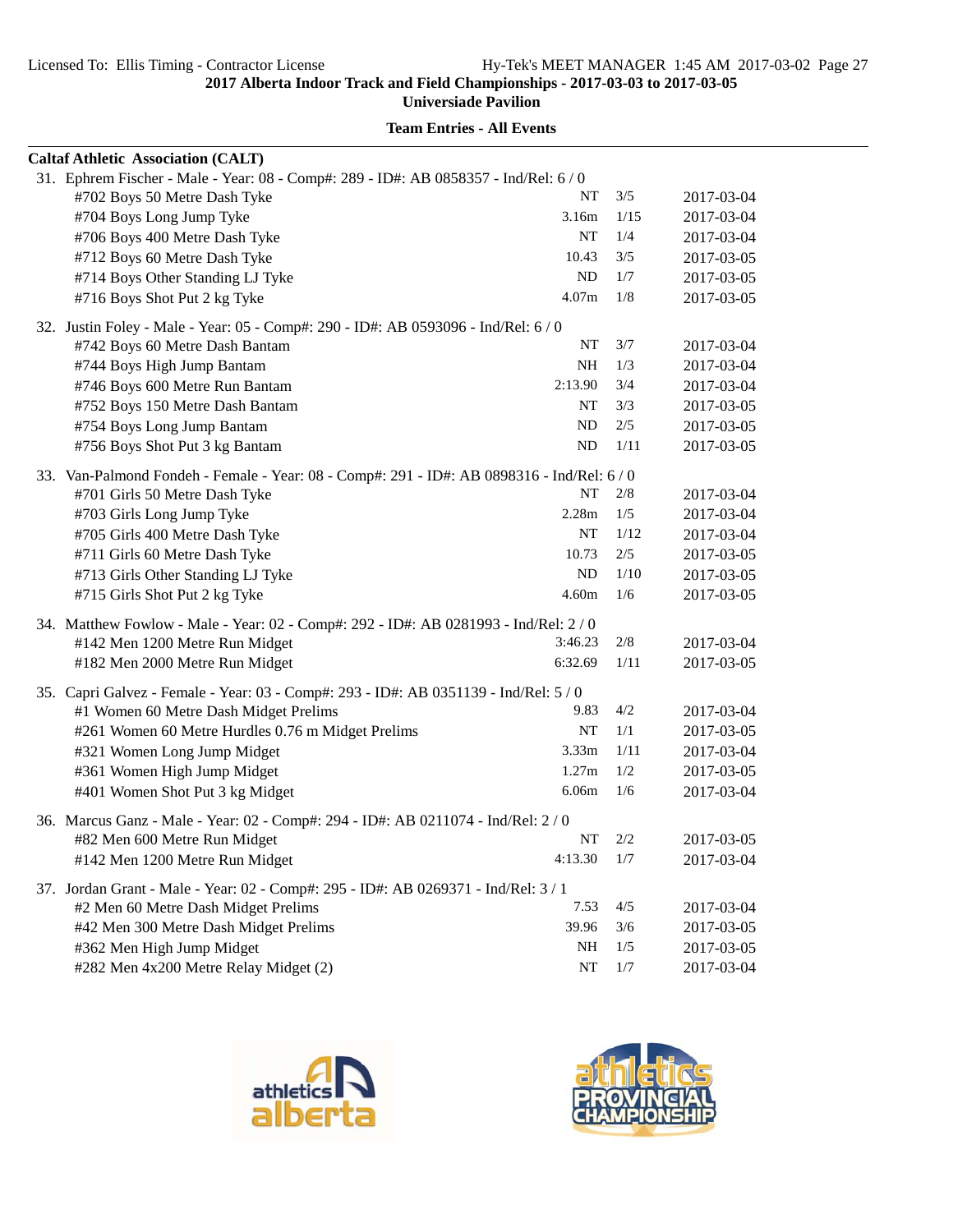**Universiade Pavilion**

| <b>Caltaf Athletic Association (CALT)</b>                                                  |           |      |            |
|--------------------------------------------------------------------------------------------|-----------|------|------------|
| 31. Ephrem Fischer - Male - Year: 08 - Comp#: 289 - ID#: AB 0858357 - Ind/Rel: 6 / 0       |           |      |            |
| #702 Boys 50 Metre Dash Tyke                                                               | NT        | 3/5  | 2017-03-04 |
| #704 Boys Long Jump Tyke                                                                   | 3.16m     | 1/15 | 2017-03-04 |
| #706 Boys 400 Metre Dash Tyke                                                              | <b>NT</b> | 1/4  | 2017-03-04 |
| #712 Boys 60 Metre Dash Tyke                                                               | 10.43     | 3/5  | 2017-03-05 |
| #714 Boys Other Standing LJ Tyke                                                           | ND        | 1/7  | 2017-03-05 |
| #716 Boys Shot Put 2 kg Tyke                                                               | 4.07m     | 1/8  | 2017-03-05 |
| 32. Justin Foley - Male - Year: 05 - Comp#: 290 - ID#: AB 0593096 - Ind/Rel: 6/0           |           |      |            |
| #742 Boys 60 Metre Dash Bantam                                                             | NT        | 3/7  | 2017-03-04 |
| #744 Boys High Jump Bantam                                                                 | <b>NH</b> | 1/3  | 2017-03-04 |
| #746 Boys 600 Metre Run Bantam                                                             | 2:13.90   | 3/4  | 2017-03-04 |
| #752 Boys 150 Metre Dash Bantam                                                            | NT        | 3/3  | 2017-03-05 |
| #754 Boys Long Jump Bantam                                                                 | ND        | 2/5  | 2017-03-05 |
| #756 Boys Shot Put 3 kg Bantam                                                             | ND        | 1/11 | 2017-03-05 |
| 33. Van-Palmond Fondeh - Female - Year: 08 - Comp#: 291 - ID#: AB 0898316 - Ind/Rel: 6 / 0 |           |      |            |
| #701 Girls 50 Metre Dash Tyke                                                              | NT        | 2/8  | 2017-03-04 |
| #703 Girls Long Jump Tyke                                                                  | 2.28m     | 1/5  | 2017-03-04 |
| #705 Girls 400 Metre Dash Tyke                                                             | NT        | 1/12 | 2017-03-04 |
| #711 Girls 60 Metre Dash Tyke                                                              | 10.73     | 2/5  | 2017-03-05 |
| #713 Girls Other Standing LJ Tyke                                                          | ND        | 1/10 | 2017-03-05 |
| #715 Girls Shot Put 2 kg Tyke                                                              | 4.60m     | 1/6  | 2017-03-05 |
| 34. Matthew Fowlow - Male - Year: 02 - Comp#: 292 - ID#: AB 0281993 - Ind/Rel: 2/0         |           |      |            |
| #142 Men 1200 Metre Run Midget                                                             | 3:46.23   | 2/8  | 2017-03-04 |
| #182 Men 2000 Metre Run Midget                                                             | 6:32.69   | 1/11 | 2017-03-05 |
| 35. Capri Galvez - Female - Year: 03 - Comp#: 293 - ID#: AB 0351139 - Ind/Rel: 5/0         |           |      |            |
| #1 Women 60 Metre Dash Midget Prelims                                                      | 9.83      | 4/2  | 2017-03-04 |
| #261 Women 60 Metre Hurdles 0.76 m Midget Prelims                                          | NT        | 1/1  | 2017-03-05 |
| #321 Women Long Jump Midget                                                                | 3.33m     | 1/11 | 2017-03-04 |
| #361 Women High Jump Midget                                                                | 1.27m     | 1/2  | 2017-03-05 |
| #401 Women Shot Put 3 kg Midget                                                            | 6.06m     | 1/6  | 2017-03-04 |
| 36. Marcus Ganz - Male - Year: 02 - Comp#: 294 - ID#: AB 0211074 - Ind/Rel: 2 / 0          |           |      |            |
| #82 Men 600 Metre Run Midget                                                               | NT        | 2/2  | 2017-03-05 |
| #142 Men 1200 Metre Run Midget                                                             | 4:13.30   | 1/7  | 2017-03-04 |
| 37. Jordan Grant - Male - Year: 02 - Comp#: 295 - ID#: AB 0269371 - Ind/Rel: 3 / 1         |           |      |            |
| #2 Men 60 Metre Dash Midget Prelims                                                        | 7.53      | 4/5  | 2017-03-04 |
| #42 Men 300 Metre Dash Midget Prelims                                                      | 39.96     | 3/6  | 2017-03-05 |
| #362 Men High Jump Midget                                                                  | NH        | 1/5  | 2017-03-05 |
| #282 Men 4x200 Metre Relay Midget (2)                                                      | NT        | 1/7  | 2017-03-04 |



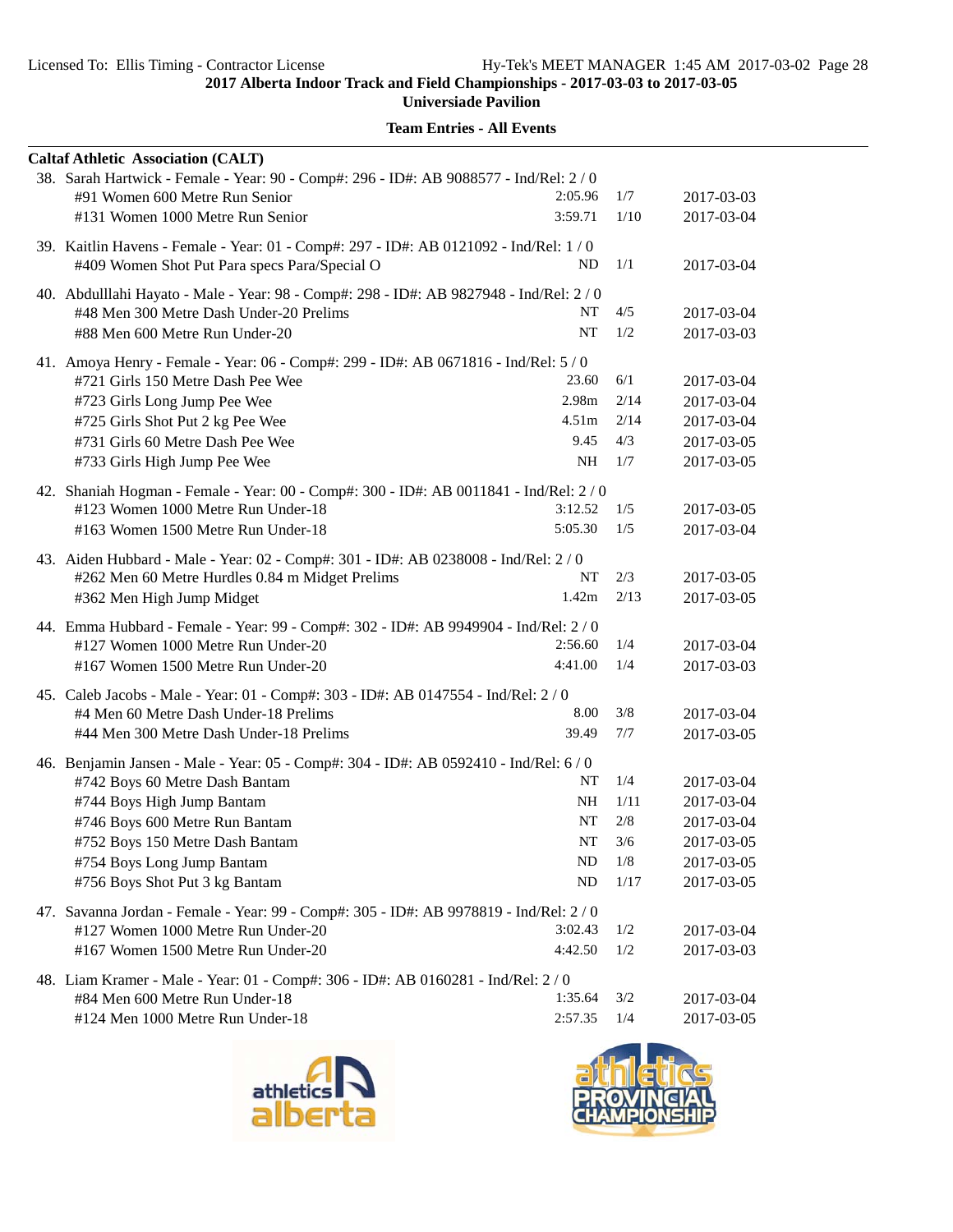**Universiade Pavilion**

| <b>Caltaf Athletic Association (CALT)</b>                                                                                    |                   |             |                          |
|------------------------------------------------------------------------------------------------------------------------------|-------------------|-------------|--------------------------|
| 38. Sarah Hartwick - Female - Year: 90 - Comp#: 296 - ID#: AB 9088577 - Ind/Rel: 2 / 0                                       |                   |             |                          |
| #91 Women 600 Metre Run Senior                                                                                               | 2:05.96           | 1/7         | 2017-03-03               |
| #131 Women 1000 Metre Run Senior                                                                                             | 3:59.71           | 1/10        | 2017-03-04               |
| 39. Kaitlin Havens - Female - Year: 01 - Comp#: 297 - ID#: AB 0121092 - Ind/Rel: 1 / 0                                       |                   |             |                          |
| #409 Women Shot Put Para specs Para/Special O                                                                                | ND                | 1/1         | 2017-03-04               |
| 40. Abdulllahi Hayato - Male - Year: 98 - Comp#: 298 - ID#: AB 9827948 - Ind/Rel: 2 / 0                                      |                   |             |                          |
| #48 Men 300 Metre Dash Under-20 Prelims                                                                                      | NT                | 4/5         | 2017-03-04               |
| #88 Men 600 Metre Run Under-20                                                                                               | <b>NT</b>         | 1/2         | 2017-03-03               |
| 41. Amoya Henry - Female - Year: 06 - Comp#: 299 - ID#: AB 0671816 - Ind/Rel: 5/0                                            |                   |             |                          |
| #721 Girls 150 Metre Dash Pee Wee                                                                                            | 23.60             | 6/1         | 2017-03-04               |
| #723 Girls Long Jump Pee Wee                                                                                                 | 2.98m             | 2/14        | 2017-03-04               |
| #725 Girls Shot Put 2 kg Pee Wee                                                                                             | 4.51 <sub>m</sub> | 2/14        | 2017-03-04               |
| #731 Girls 60 Metre Dash Pee Wee                                                                                             | 9.45              | 4/3         | 2017-03-05               |
| #733 Girls High Jump Pee Wee                                                                                                 | NH                | 1/7         | 2017-03-05               |
|                                                                                                                              |                   |             |                          |
| 42. Shaniah Hogman - Female - Year: 00 - Comp#: 300 - ID#: AB 0011841 - Ind/Rel: 2 / 0<br>#123 Women 1000 Metre Run Under-18 | 3:12.52           | 1/5         | 2017-03-05               |
| #163 Women 1500 Metre Run Under-18                                                                                           | 5:05.30           | 1/5         | 2017-03-04               |
|                                                                                                                              |                   |             |                          |
| 43. Aiden Hubbard - Male - Year: 02 - Comp#: 301 - ID#: AB 0238008 - Ind/Rel: 2 / 0                                          |                   |             |                          |
| #262 Men 60 Metre Hurdles 0.84 m Midget Prelims                                                                              | NT<br>1.42m       | 2/3<br>2/13 | 2017-03-05<br>2017-03-05 |
| #362 Men High Jump Midget                                                                                                    |                   |             |                          |
| 44. Emma Hubbard - Female - Year: 99 - Comp#: 302 - ID#: AB 9949904 - Ind/Rel: 2 / 0                                         |                   |             |                          |
| #127 Women 1000 Metre Run Under-20                                                                                           | 2:56.60           | 1/4         | 2017-03-04               |
| #167 Women 1500 Metre Run Under-20                                                                                           | 4:41.00           | 1/4         | 2017-03-03               |
| 45. Caleb Jacobs - Male - Year: 01 - Comp#: 303 - ID#: AB 0147554 - Ind/Rel: 2/0                                             |                   |             |                          |
| #4 Men 60 Metre Dash Under-18 Prelims                                                                                        | 8.00              | 3/8         | 2017-03-04               |
| #44 Men 300 Metre Dash Under-18 Prelims                                                                                      | 39.49             | 7/7         | 2017-03-05               |
| 46. Benjamin Jansen - Male - Year: 05 - Comp#: 304 - ID#: AB 0592410 - Ind/Rel: 6 / 0                                        |                   |             |                          |
| #742 Boys 60 Metre Dash Bantam                                                                                               | NT                | 1/4         | 2017-03-04               |
| #744 Boys High Jump Bantam                                                                                                   | NH                | 1/11        | 2017-03-04               |
| #746 Boys 600 Metre Run Bantam                                                                                               | NT                | 2/8         | 2017-03-04               |
| #752 Boys 150 Metre Dash Bantam                                                                                              | $\bf NT$          | 3/6         | 2017-03-05               |
| #754 Boys Long Jump Bantam                                                                                                   | ND                | 1/8         | 2017-03-05               |
| #756 Boys Shot Put 3 kg Bantam                                                                                               | <b>ND</b>         | 1/17        | 2017-03-05               |
| 47. Savanna Jordan - Female - Year: 99 - Comp#: 305 - ID#: AB 9978819 - Ind/Rel: 2/0                                         |                   |             |                          |
| #127 Women 1000 Metre Run Under-20                                                                                           | 3:02.43           | 1/2         | 2017-03-04               |
| #167 Women 1500 Metre Run Under-20                                                                                           | 4:42.50           | 1/2         | 2017-03-03               |
| 48. Liam Kramer - Male - Year: 01 - Comp#: 306 - ID#: AB 0160281 - Ind/Rel: 2 / 0                                            |                   |             |                          |
| #84 Men 600 Metre Run Under-18                                                                                               | 1:35.64           | 3/2         | 2017-03-04               |
| #124 Men 1000 Metre Run Under-18                                                                                             | 2:57.35           | 1/4         | 2017-03-05               |
|                                                                                                                              |                   |             |                          |



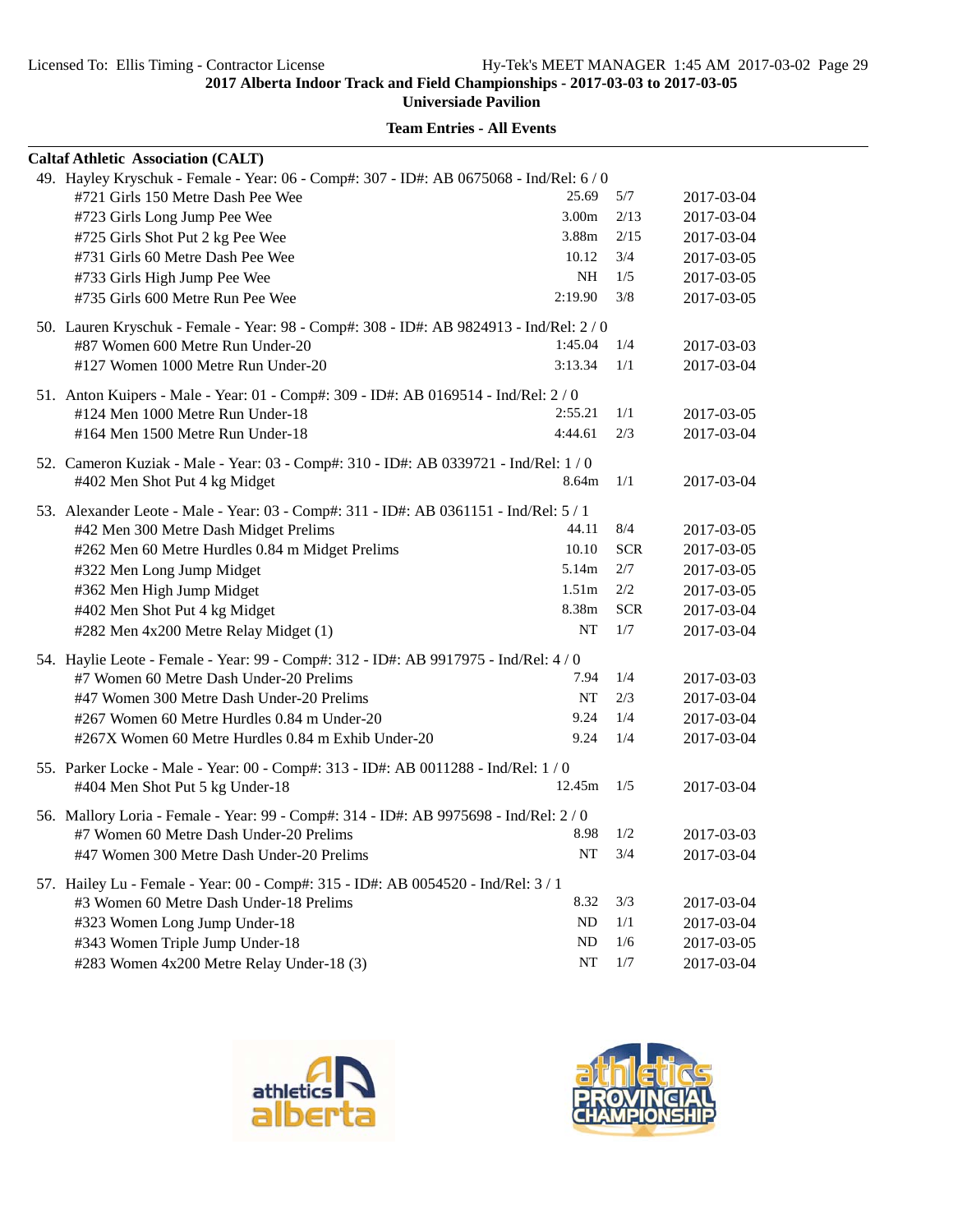**Universiade Pavilion**

| <b>Caltaf Athletic Association (CALT)</b> |                                                                                         |                   |            |            |
|-------------------------------------------|-----------------------------------------------------------------------------------------|-------------------|------------|------------|
|                                           | 49. Hayley Kryschuk - Female - Year: 06 - Comp#: 307 - ID#: AB 0675068 - Ind/Rel: 6 / 0 |                   |            |            |
| #721 Girls 150 Metre Dash Pee Wee         |                                                                                         | 25.69             | 5/7        | 2017-03-04 |
| #723 Girls Long Jump Pee Wee              |                                                                                         | 3.00m             | 2/13       | 2017-03-04 |
| #725 Girls Shot Put 2 kg Pee Wee          |                                                                                         | 3.88m             | 2/15       | 2017-03-04 |
| #731 Girls 60 Metre Dash Pee Wee          |                                                                                         | 10.12             | 3/4        | 2017-03-05 |
| #733 Girls High Jump Pee Wee              |                                                                                         | NH                | 1/5        | 2017-03-05 |
| #735 Girls 600 Metre Run Pee Wee          |                                                                                         | 2:19.90           | 3/8        | 2017-03-05 |
|                                           | 50. Lauren Kryschuk - Female - Year: 98 - Comp#: 308 - ID#: AB 9824913 - Ind/Rel: 2 / 0 |                   |            |            |
| #87 Women 600 Metre Run Under-20          |                                                                                         | 1:45.04           | 1/4        | 2017-03-03 |
| #127 Women 1000 Metre Run Under-20        |                                                                                         | 3:13.34           | 1/1        | 2017-03-04 |
|                                           | 51. Anton Kuipers - Male - Year: 01 - Comp#: 309 - ID#: AB 0169514 - Ind/Rel: 2/0       |                   |            |            |
| #124 Men 1000 Metre Run Under-18          |                                                                                         | 2:55.21           | 1/1        | 2017-03-05 |
| #164 Men 1500 Metre Run Under-18          |                                                                                         | 4:44.61           | 2/3        | 2017-03-04 |
|                                           | 52. Cameron Kuziak - Male - Year: 03 - Comp#: 310 - ID#: AB 0339721 - Ind/Rel: 1 / 0    |                   |            |            |
| #402 Men Shot Put 4 kg Midget             |                                                                                         | 8.64m             | 1/1        | 2017-03-04 |
|                                           | 53. Alexander Leote - Male - Year: 03 - Comp#: 311 - ID#: AB 0361151 - Ind/Rel: 5 / 1   |                   |            |            |
| #42 Men 300 Metre Dash Midget Prelims     |                                                                                         | 44.11             | 8/4        | 2017-03-05 |
|                                           | #262 Men 60 Metre Hurdles 0.84 m Midget Prelims                                         | 10.10             | <b>SCR</b> | 2017-03-05 |
| #322 Men Long Jump Midget                 |                                                                                         | 5.14m             | 2/7        | 2017-03-05 |
| #362 Men High Jump Midget                 |                                                                                         | 1.51 <sub>m</sub> | 2/2        | 2017-03-05 |
| #402 Men Shot Put 4 kg Midget             |                                                                                         | 8.38m             | <b>SCR</b> | 2017-03-04 |
| #282 Men 4x200 Metre Relay Midget (1)     |                                                                                         | NT                | 1/7        | 2017-03-04 |
|                                           | 54. Haylie Leote - Female - Year: 99 - Comp#: 312 - ID#: AB 9917975 - Ind/Rel: 4 / 0    |                   |            |            |
| #7 Women 60 Metre Dash Under-20 Prelims   |                                                                                         | 7.94              | 1/4        | 2017-03-03 |
| #47 Women 300 Metre Dash Under-20 Prelims |                                                                                         | NT                | 2/3        | 2017-03-04 |
|                                           | #267 Women 60 Metre Hurdles 0.84 m Under-20                                             | 9.24              | 1/4        | 2017-03-04 |
|                                           | #267X Women 60 Metre Hurdles 0.84 m Exhib Under-20                                      | 9.24              | 1/4        | 2017-03-04 |
|                                           | 55. Parker Locke - Male - Year: 00 - Comp#: 313 - ID#: AB 0011288 - Ind/Rel: 1 / 0      |                   |            |            |
| #404 Men Shot Put 5 kg Under-18           |                                                                                         | 12.45m            | 1/5        | 2017-03-04 |
|                                           | 56. Mallory Loria - Female - Year: 99 - Comp#: 314 - ID#: AB 9975698 - Ind/Rel: 2/0     |                   |            |            |
| #7 Women 60 Metre Dash Under-20 Prelims   |                                                                                         | 8.98              | 1/2        | 2017-03-03 |
| #47 Women 300 Metre Dash Under-20 Prelims |                                                                                         | NT                | 3/4        | 2017-03-04 |
|                                           | 57. Hailey Lu - Female - Year: 00 - Comp#: 315 - ID#: AB 0054520 - Ind/Rel: 3 / 1       |                   |            |            |
| #3 Women 60 Metre Dash Under-18 Prelims   |                                                                                         | 8.32              | 3/3        | 2017-03-04 |
| #323 Women Long Jump Under-18             |                                                                                         | ND                | 1/1        | 2017-03-04 |
| #343 Women Triple Jump Under-18           |                                                                                         | ND                | 1/6        | 2017-03-05 |
| #283 Women 4x200 Metre Relay Under-18 (3) |                                                                                         | NT                | $1/7$      | 2017-03-04 |



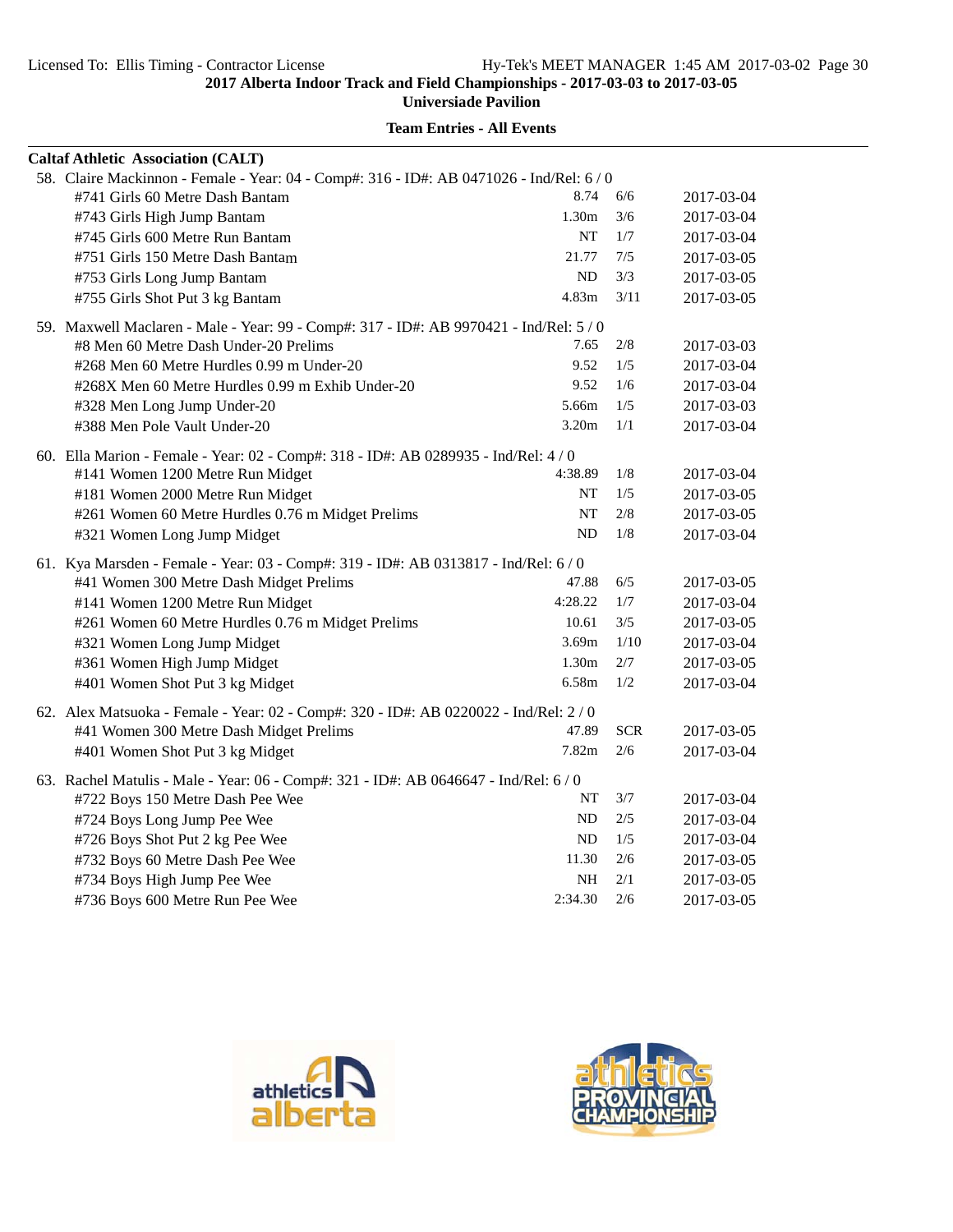| <b>Caltaf Athletic Association (CALT)</b>                                                |           |            |            |
|------------------------------------------------------------------------------------------|-----------|------------|------------|
| 58. Claire Mackinnon - Female - Year: 04 - Comp#: 316 - ID#: AB 0471026 - Ind/Rel: 6 / 0 |           |            |            |
| #741 Girls 60 Metre Dash Bantam                                                          | 8.74      | 6/6        | 2017-03-04 |
| #743 Girls High Jump Bantam                                                              | 1.30m     | 3/6        | 2017-03-04 |
| #745 Girls 600 Metre Run Bantam                                                          | NT        | 1/7        | 2017-03-04 |
| #751 Girls 150 Metre Dash Bantam                                                         | 21.77     | 7/5        | 2017-03-05 |
| #753 Girls Long Jump Bantam                                                              | ND        | 3/3        | 2017-03-05 |
| #755 Girls Shot Put 3 kg Bantam                                                          | 4.83m     | 3/11       | 2017-03-05 |
| 59. Maxwell Maclaren - Male - Year: 99 - Comp#: 317 - ID#: AB 9970421 - Ind/Rel: 5 / 0   |           |            |            |
| #8 Men 60 Metre Dash Under-20 Prelims                                                    | 7.65      | 2/8        | 2017-03-03 |
| #268 Men 60 Metre Hurdles 0.99 m Under-20                                                | 9.52      | 1/5        | 2017-03-04 |
| #268X Men 60 Metre Hurdles 0.99 m Exhib Under-20                                         | 9.52      | 1/6        | 2017-03-04 |
| #328 Men Long Jump Under-20                                                              | 5.66m     | 1/5        | 2017-03-03 |
| #388 Men Pole Vault Under-20                                                             | 3.20m     | 1/1        | 2017-03-04 |
| 60. Ella Marion - Female - Year: 02 - Comp#: 318 - ID#: AB 0289935 - Ind/Rel: 4 / 0      |           |            |            |
| #141 Women 1200 Metre Run Midget                                                         | 4:38.89   | 1/8        | 2017-03-04 |
| #181 Women 2000 Metre Run Midget                                                         | NT        | 1/5        | 2017-03-05 |
| #261 Women 60 Metre Hurdles 0.76 m Midget Prelims                                        | NT        | 2/8        | 2017-03-05 |
| #321 Women Long Jump Midget                                                              | <b>ND</b> | $1/8$      | 2017-03-04 |
| 61. Kya Marsden - Female - Year: 03 - Comp#: 319 - ID#: AB 0313817 - Ind/Rel: 6 / 0      |           |            |            |
| #41 Women 300 Metre Dash Midget Prelims                                                  | 47.88     | 6/5        | 2017-03-05 |
| #141 Women 1200 Metre Run Midget                                                         | 4:28.22   | 1/7        | 2017-03-04 |
| #261 Women 60 Metre Hurdles 0.76 m Midget Prelims                                        | 10.61     | 3/5        | 2017-03-05 |
| #321 Women Long Jump Midget                                                              | 3.69m     | 1/10       | 2017-03-04 |
| #361 Women High Jump Midget                                                              | 1.30m     | 2/7        | 2017-03-05 |
| #401 Women Shot Put 3 kg Midget                                                          | 6.58m     | 1/2        | 2017-03-04 |
| 62. Alex Matsuoka - Female - Year: 02 - Comp#: 320 - ID#: AB 0220022 - Ind/Rel: 2 / 0    |           |            |            |
| #41 Women 300 Metre Dash Midget Prelims                                                  | 47.89     | <b>SCR</b> | 2017-03-05 |
| #401 Women Shot Put 3 kg Midget                                                          | 7.82m     | 2/6        | 2017-03-04 |
| 63. Rachel Matulis - Male - Year: 06 - Comp#: 321 - ID#: AB 0646647 - Ind/Rel: 6 / 0     |           |            |            |
| #722 Boys 150 Metre Dash Pee Wee                                                         | NT        | 3/7        | 2017-03-04 |
| #724 Boys Long Jump Pee Wee                                                              | ND        | 2/5        | 2017-03-04 |
| #726 Boys Shot Put 2 kg Pee Wee                                                          | ND        | 1/5        | 2017-03-04 |
| #732 Boys 60 Metre Dash Pee Wee                                                          | 11.30     | 2/6        | 2017-03-05 |
| #734 Boys High Jump Pee Wee                                                              | NH        | 2/1        | 2017-03-05 |
| #736 Boys 600 Metre Run Pee Wee                                                          | 2:34.30   | 2/6        | 2017-03-05 |



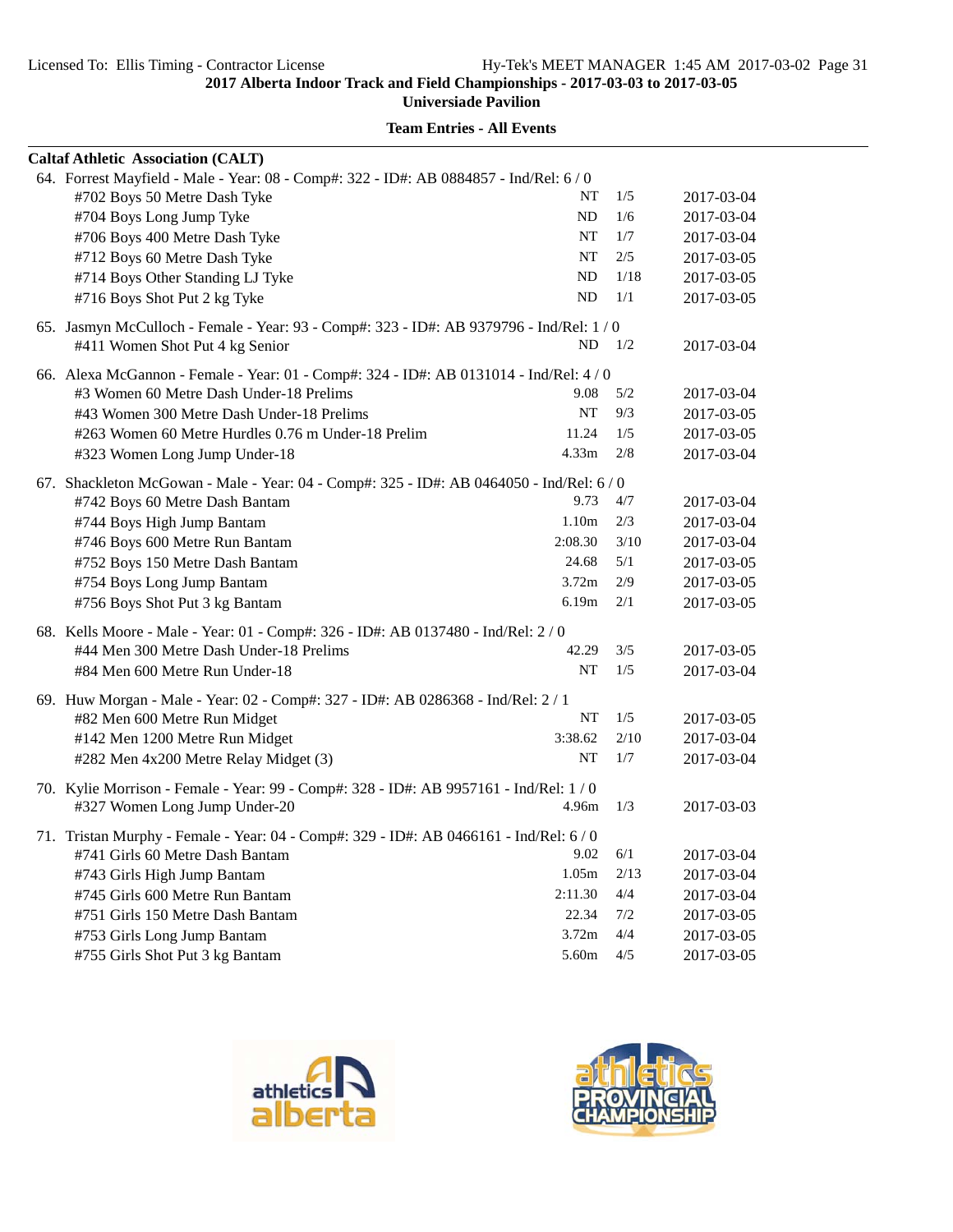**Universiade Pavilion**

| <b>Caltaf Athletic Association (CALT)</b>                                                |                   |      |            |
|------------------------------------------------------------------------------------------|-------------------|------|------------|
| 64. Forrest Mayfield - Male - Year: 08 - Comp#: 322 - ID#: AB 0884857 - Ind/Rel: 6 / 0   |                   |      |            |
| #702 Boys 50 Metre Dash Tyke                                                             | NT                | 1/5  | 2017-03-04 |
| #704 Boys Long Jump Tyke                                                                 | ND                | 1/6  | 2017-03-04 |
| #706 Boys 400 Metre Dash Tyke                                                            | NT                | 1/7  | 2017-03-04 |
| #712 Boys 60 Metre Dash Tyke                                                             | NT                | 2/5  | 2017-03-05 |
| #714 Boys Other Standing LJ Tyke                                                         | ND                | 1/18 | 2017-03-05 |
| #716 Boys Shot Put 2 kg Tyke                                                             | ND                | 1/1  | 2017-03-05 |
| 65. Jasmyn McCulloch - Female - Year: 93 - Comp#: 323 - ID#: AB 9379796 - Ind/Rel: 1 / 0 |                   |      |            |
| #411 Women Shot Put 4 kg Senior                                                          | ND                | 1/2  | 2017-03-04 |
| 66. Alexa McGannon - Female - Year: 01 - Comp#: 324 - ID#: AB 0131014 - Ind/Rel: 4 / 0   |                   |      |            |
| #3 Women 60 Metre Dash Under-18 Prelims                                                  | 9.08              | 5/2  | 2017-03-04 |
| #43 Women 300 Metre Dash Under-18 Prelims                                                | NT                | 9/3  | 2017-03-05 |
| #263 Women 60 Metre Hurdles 0.76 m Under-18 Prelim                                       | 11.24             | 1/5  | 2017-03-05 |
| #323 Women Long Jump Under-18                                                            | 4.33 <sub>m</sub> | 2/8  | 2017-03-04 |
| 67. Shackleton McGowan - Male - Year: 04 - Comp#: 325 - ID#: AB 0464050 - Ind/Rel: 6/0   |                   |      |            |
| #742 Boys 60 Metre Dash Bantam                                                           | 9.73              | 4/7  | 2017-03-04 |
| #744 Boys High Jump Bantam                                                               | 1.10 <sub>m</sub> | 2/3  | 2017-03-04 |
| #746 Boys 600 Metre Run Bantam                                                           | 2:08.30           | 3/10 | 2017-03-04 |
| #752 Boys 150 Metre Dash Bantam                                                          | 24.68             | 5/1  | 2017-03-05 |
| #754 Boys Long Jump Bantam                                                               | 3.72m             | 2/9  | 2017-03-05 |
| #756 Boys Shot Put 3 kg Bantam                                                           | 6.19m             | 2/1  | 2017-03-05 |
| 68. Kells Moore - Male - Year: 01 - Comp#: 326 - ID#: AB 0137480 - Ind/Rel: 2 / 0        |                   |      |            |
| #44 Men 300 Metre Dash Under-18 Prelims                                                  | 42.29             | 3/5  | 2017-03-05 |
| #84 Men 600 Metre Run Under-18                                                           | NT                | 1/5  | 2017-03-04 |
| 69. Huw Morgan - Male - Year: 02 - Comp#: 327 - ID#: AB 0286368 - Ind/Rel: 2 / 1         |                   |      |            |
| #82 Men 600 Metre Run Midget                                                             | NT                | 1/5  | 2017-03-05 |
| #142 Men 1200 Metre Run Midget                                                           | 3:38.62           | 2/10 | 2017-03-04 |
| #282 Men 4x200 Metre Relay Midget (3)                                                    | NT                | 1/7  | 2017-03-04 |
| 70. Kylie Morrison - Female - Year: 99 - Comp#: 328 - ID#: AB 9957161 - Ind/Rel: 1 / 0   |                   |      |            |
| #327 Women Long Jump Under-20                                                            | 4.96m             | 1/3  | 2017-03-03 |
| 71. Tristan Murphy - Female - Year: 04 - Comp#: 329 - ID#: AB 0466161 - Ind/Rel: 6 / 0   |                   |      |            |
| #741 Girls 60 Metre Dash Bantam                                                          | 9.02              | 6/1  | 2017-03-04 |
| #743 Girls High Jump Bantam                                                              | 1.05m             | 2/13 | 2017-03-04 |
| #745 Girls 600 Metre Run Bantam                                                          | 2:11.30           | 4/4  | 2017-03-04 |
| #751 Girls 150 Metre Dash Bantam                                                         | 22.34             | 7/2  | 2017-03-05 |
| #753 Girls Long Jump Bantam                                                              | 3.72 <sub>m</sub> | 4/4  | 2017-03-05 |
| #755 Girls Shot Put 3 kg Bantam                                                          | 5.60m             | 4/5  | 2017-03-05 |



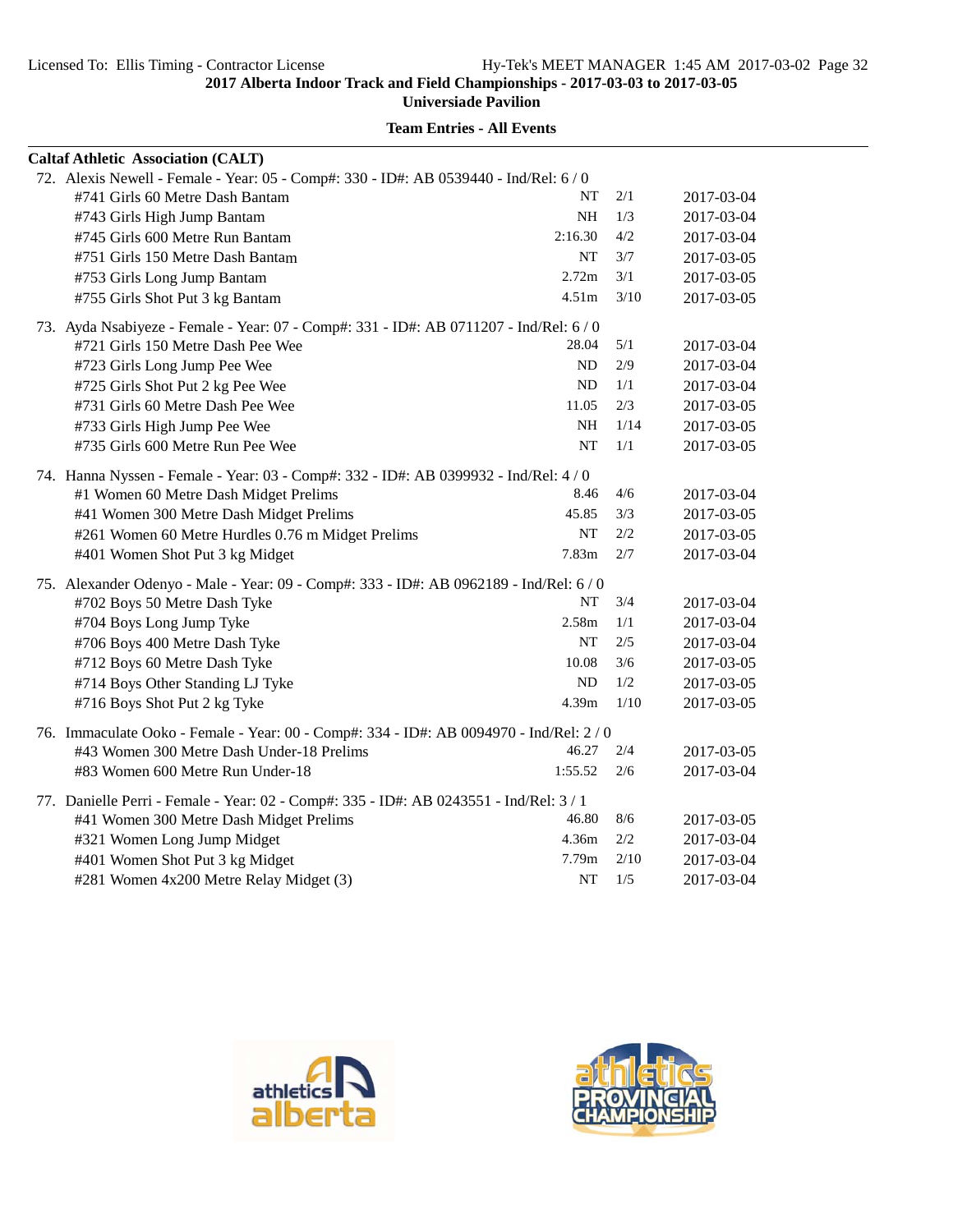**Universiade Pavilion**

| <b>Caltaf Athletic Association (CALT)</b>                                               |                   |      |            |
|-----------------------------------------------------------------------------------------|-------------------|------|------------|
| 72. Alexis Newell - Female - Year: 05 - Comp#: 330 - ID#: AB 0539440 - Ind/Rel: 6 / 0   |                   |      |            |
| #741 Girls 60 Metre Dash Bantam                                                         | NT                | 2/1  | 2017-03-04 |
| #743 Girls High Jump Bantam                                                             | NH                | 1/3  | 2017-03-04 |
| #745 Girls 600 Metre Run Bantam                                                         | 2:16.30           | 4/2  | 2017-03-04 |
| #751 Girls 150 Metre Dash Bantam                                                        | NT                | 3/7  | 2017-03-05 |
| #753 Girls Long Jump Bantam                                                             | 2.72m             | 3/1  | 2017-03-05 |
| #755 Girls Shot Put 3 kg Bantam                                                         | 4.51 <sub>m</sub> | 3/10 | 2017-03-05 |
| 73. Ayda Nsabiyeze - Female - Year: 07 - Comp#: 331 - ID#: AB 0711207 - Ind/Rel: 6 / 0  |                   |      |            |
| #721 Girls 150 Metre Dash Pee Wee                                                       | 28.04             | 5/1  | 2017-03-04 |
| #723 Girls Long Jump Pee Wee                                                            | ND                | 2/9  | 2017-03-04 |
| #725 Girls Shot Put 2 kg Pee Wee                                                        | ND                | 1/1  | 2017-03-04 |
| #731 Girls 60 Metre Dash Pee Wee                                                        | 11.05             | 2/3  | 2017-03-05 |
| #733 Girls High Jump Pee Wee                                                            | NH                | 1/14 | 2017-03-05 |
| #735 Girls 600 Metre Run Pee Wee                                                        | <b>NT</b>         | 1/1  | 2017-03-05 |
| 74. Hanna Nyssen - Female - Year: 03 - Comp#: 332 - ID#: AB 0399932 - Ind/Rel: 4/0      |                   |      |            |
| #1 Women 60 Metre Dash Midget Prelims                                                   | 8.46              | 4/6  | 2017-03-04 |
| #41 Women 300 Metre Dash Midget Prelims                                                 | 45.85             | 3/3  | 2017-03-05 |
| #261 Women 60 Metre Hurdles 0.76 m Midget Prelims                                       | NT                | 2/2  | 2017-03-05 |
| #401 Women Shot Put 3 kg Midget                                                         | 7.83m             | 2/7  | 2017-03-04 |
| 75. Alexander Odenyo - Male - Year: 09 - Comp#: 333 - ID#: AB 0962189 - Ind/Rel: 6 / 0  |                   |      |            |
| #702 Boys 50 Metre Dash Tyke                                                            | NT                | 3/4  | 2017-03-04 |
| #704 Boys Long Jump Tyke                                                                | 2.58m             | 1/1  | 2017-03-04 |
| #706 Boys 400 Metre Dash Tyke                                                           | NT                | 2/5  | 2017-03-04 |
| #712 Boys 60 Metre Dash Tyke                                                            | 10.08             | 3/6  | 2017-03-05 |
| #714 Boys Other Standing LJ Tyke                                                        | ND                | 1/2  | 2017-03-05 |
| #716 Boys Shot Put 2 kg Tyke                                                            | 4.39 <sub>m</sub> | 1/10 | 2017-03-05 |
| 76. Immaculate Ooko - Female - Year: 00 - Comp#: 334 - ID#: AB 0094970 - Ind/Rel: 2 / 0 |                   |      |            |
| #43 Women 300 Metre Dash Under-18 Prelims                                               | 46.27             | 2/4  | 2017-03-05 |
| #83 Women 600 Metre Run Under-18                                                        | 1:55.52           | 2/6  | 2017-03-04 |
| 77. Danielle Perri - Female - Year: 02 - Comp#: 335 - ID#: AB 0243551 - Ind/Rel: 3 / 1  |                   |      |            |
| #41 Women 300 Metre Dash Midget Prelims                                                 | 46.80             | 8/6  | 2017-03-05 |
| #321 Women Long Jump Midget                                                             | 4.36m             | 2/2  | 2017-03-04 |
| #401 Women Shot Put 3 kg Midget                                                         | 7.79m             | 2/10 | 2017-03-04 |
| #281 Women 4x200 Metre Relay Midget (3)                                                 | NT                | 1/5  | 2017-03-04 |



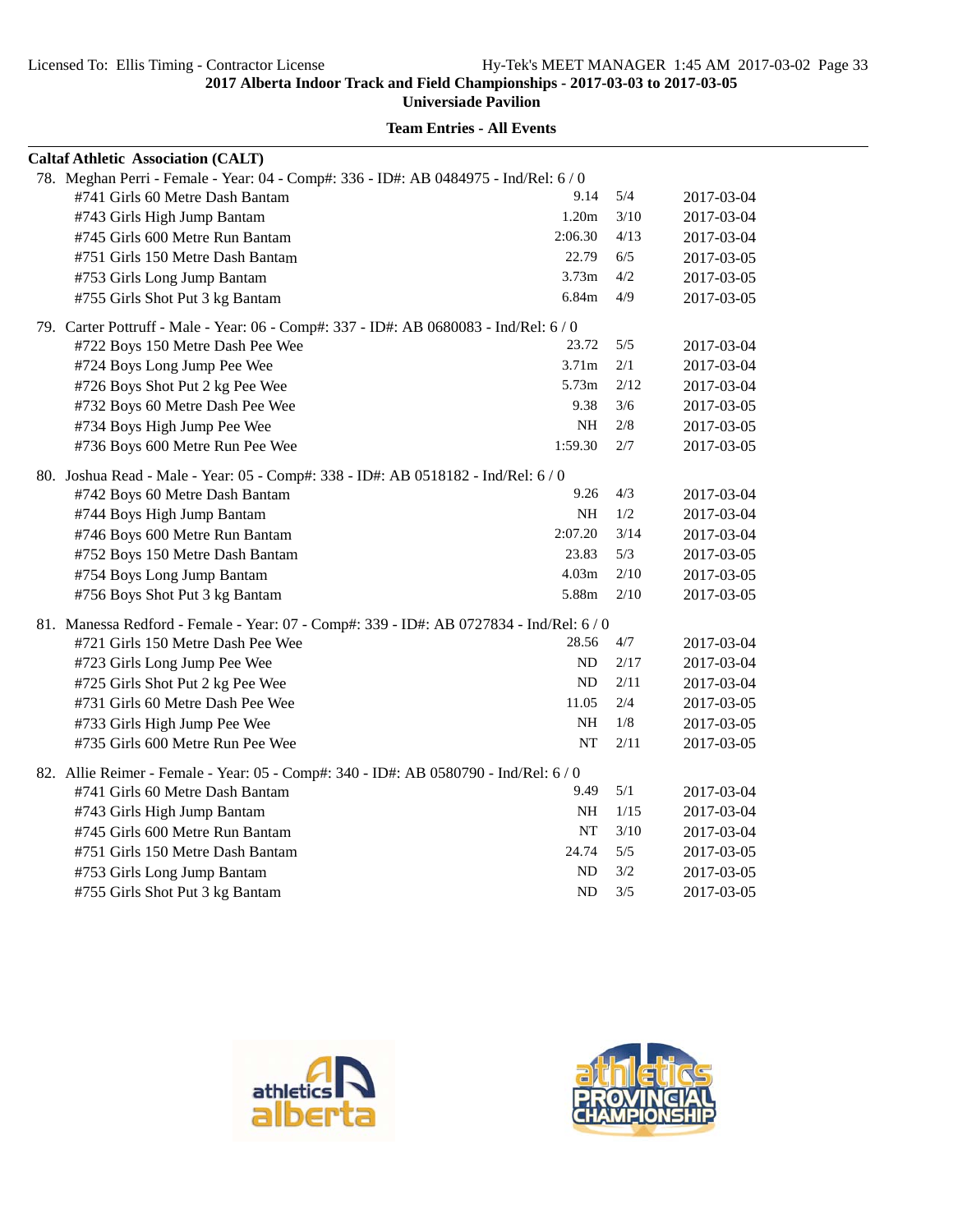**Universiade Pavilion**

| <b>Caltaf Athletic Association (CALT)</b>                                               |                   |       |            |
|-----------------------------------------------------------------------------------------|-------------------|-------|------------|
| 78. Meghan Perri - Female - Year: 04 - Comp#: 336 - ID#: AB 0484975 - Ind/Rel: 6 / 0    |                   |       |            |
| #741 Girls 60 Metre Dash Bantam                                                         | 9.14              | 5/4   | 2017-03-04 |
| #743 Girls High Jump Bantam                                                             | 1.20m             | 3/10  | 2017-03-04 |
| #745 Girls 600 Metre Run Bantam                                                         | 2:06.30           | 4/13  | 2017-03-04 |
| #751 Girls 150 Metre Dash Bantam                                                        | 22.79             | 6/5   | 2017-03-05 |
| #753 Girls Long Jump Bantam                                                             | 3.73 <sub>m</sub> | 4/2   | 2017-03-05 |
| #755 Girls Shot Put 3 kg Bantam                                                         | 6.84m             | 4/9   | 2017-03-05 |
| 79. Carter Pottruff - Male - Year: 06 - Comp#: 337 - ID#: AB 0680083 - Ind/Rel: 6 / 0   |                   |       |            |
| #722 Boys 150 Metre Dash Pee Wee                                                        | 23.72             | 5/5   | 2017-03-04 |
| #724 Boys Long Jump Pee Wee                                                             | 3.71 <sub>m</sub> | 2/1   | 2017-03-04 |
| #726 Boys Shot Put 2 kg Pee Wee                                                         | 5.73m             | 2/12  | 2017-03-04 |
| #732 Boys 60 Metre Dash Pee Wee                                                         | 9.38              | 3/6   | 2017-03-05 |
| #734 Boys High Jump Pee Wee                                                             | NH                | 2/8   | 2017-03-05 |
| #736 Boys 600 Metre Run Pee Wee                                                         | 1:59.30           | $2/7$ | 2017-03-05 |
| 80. Joshua Read - Male - Year: 05 - Comp#: 338 - ID#: AB 0518182 - Ind/Rel: 6/0         |                   |       |            |
| #742 Boys 60 Metre Dash Bantam                                                          | 9.26              | 4/3   | 2017-03-04 |
| #744 Boys High Jump Bantam                                                              | NH                | 1/2   | 2017-03-04 |
| #746 Boys 600 Metre Run Bantam                                                          | 2:07.20           | 3/14  | 2017-03-04 |
| #752 Boys 150 Metre Dash Bantam                                                         | 23.83             | 5/3   | 2017-03-05 |
| #754 Boys Long Jump Bantam                                                              | 4.03 <sub>m</sub> | 2/10  | 2017-03-05 |
| #756 Boys Shot Put 3 kg Bantam                                                          | 5.88m             | 2/10  | 2017-03-05 |
| 81. Manessa Redford - Female - Year: 07 - Comp#: 339 - ID#: AB 0727834 - Ind/Rel: 6 / 0 |                   |       |            |
| #721 Girls 150 Metre Dash Pee Wee                                                       | 28.56             | 4/7   | 2017-03-04 |
| #723 Girls Long Jump Pee Wee                                                            | ND.               | 2/17  | 2017-03-04 |
| #725 Girls Shot Put 2 kg Pee Wee                                                        | ND                | 2/11  | 2017-03-04 |
| #731 Girls 60 Metre Dash Pee Wee                                                        | 11.05             | 2/4   | 2017-03-05 |
| #733 Girls High Jump Pee Wee                                                            | <b>NH</b>         | 1/8   | 2017-03-05 |
| #735 Girls 600 Metre Run Pee Wee                                                        | NT                | 2/11  | 2017-03-05 |
| 82. Allie Reimer - Female - Year: 05 - Comp#: 340 - ID#: AB 0580790 - Ind/Rel: 6 / 0    |                   |       |            |
| #741 Girls 60 Metre Dash Bantam                                                         | 9.49              | 5/1   | 2017-03-04 |
| #743 Girls High Jump Bantam                                                             | <b>NH</b>         | 1/15  | 2017-03-04 |
| #745 Girls 600 Metre Run Bantam                                                         | NT                | 3/10  | 2017-03-04 |
| #751 Girls 150 Metre Dash Bantam                                                        | 24.74             | 5/5   | 2017-03-05 |
| #753 Girls Long Jump Bantam                                                             | ND                | 3/2   | 2017-03-05 |
| #755 Girls Shot Put 3 kg Bantam                                                         | ND                | 3/5   | 2017-03-05 |



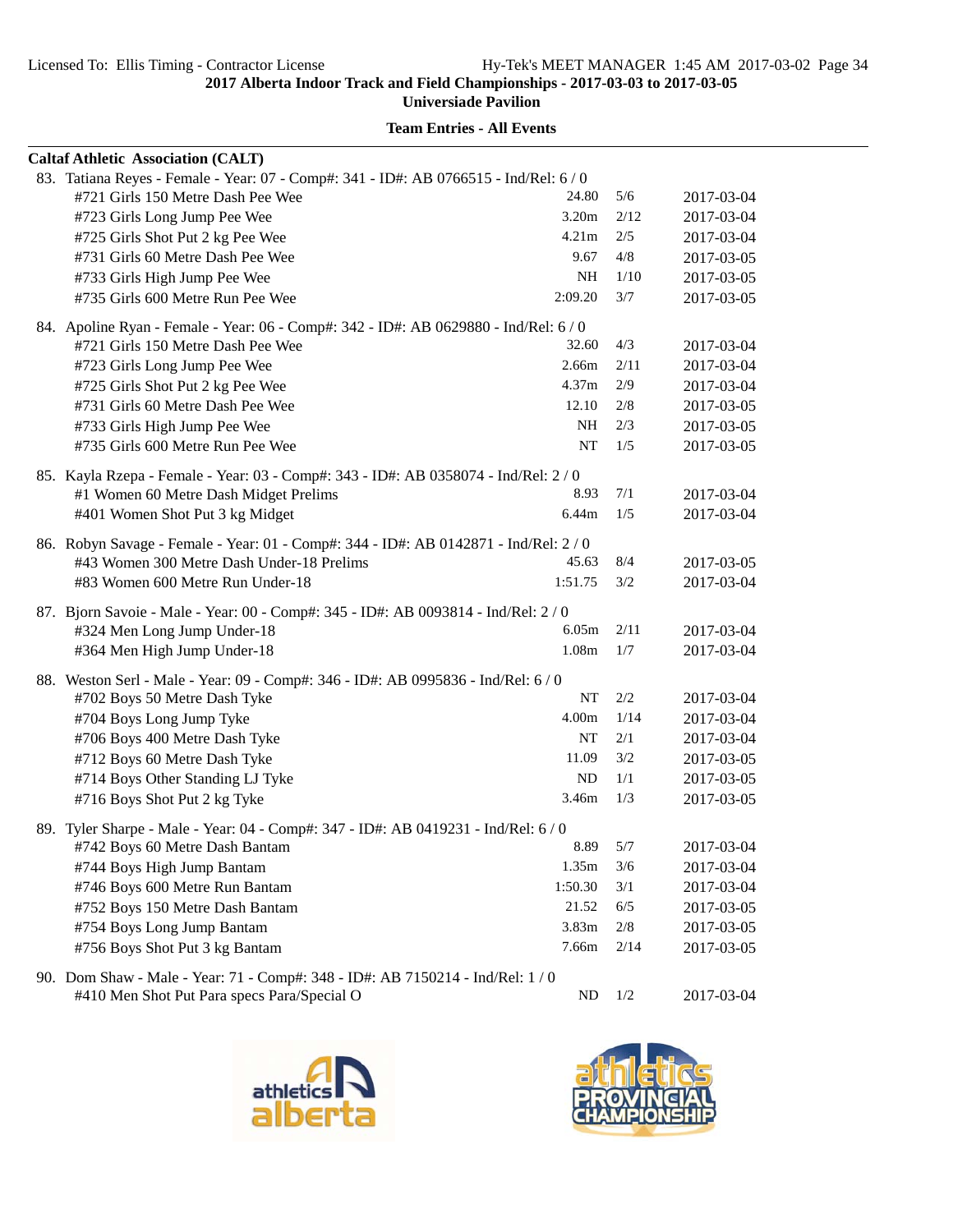**Universiade Pavilion**

| <b>Caltaf Athletic Association (CALT)</b>                                            |                   |      |            |
|--------------------------------------------------------------------------------------|-------------------|------|------------|
| 83. Tatiana Reyes - Female - Year: 07 - Comp#: 341 - ID#: AB 0766515 - Ind/Rel: 6/0  |                   |      |            |
| #721 Girls 150 Metre Dash Pee Wee                                                    | 24.80             | 5/6  | 2017-03-04 |
| #723 Girls Long Jump Pee Wee                                                         | 3.20m             | 2/12 | 2017-03-04 |
| #725 Girls Shot Put 2 kg Pee Wee                                                     | 4.21 <sub>m</sub> | 2/5  | 2017-03-04 |
| #731 Girls 60 Metre Dash Pee Wee                                                     | 9.67              | 4/8  | 2017-03-05 |
| #733 Girls High Jump Pee Wee                                                         | NH                | 1/10 | 2017-03-05 |
| #735 Girls 600 Metre Run Pee Wee                                                     | 2:09.20           | 3/7  | 2017-03-05 |
| 84. Apoline Ryan - Female - Year: 06 - Comp#: 342 - ID#: AB 0629880 - Ind/Rel: 6 / 0 |                   |      |            |
| #721 Girls 150 Metre Dash Pee Wee                                                    | 32.60             | 4/3  | 2017-03-04 |
| #723 Girls Long Jump Pee Wee                                                         | 2.66m             | 2/11 | 2017-03-04 |
| #725 Girls Shot Put 2 kg Pee Wee                                                     | 4.37m             | 2/9  | 2017-03-04 |
| #731 Girls 60 Metre Dash Pee Wee                                                     | 12.10             | 2/8  | 2017-03-05 |
| #733 Girls High Jump Pee Wee                                                         | NH                | 2/3  | 2017-03-05 |
| #735 Girls 600 Metre Run Pee Wee                                                     | NT                | 1/5  | 2017-03-05 |
| 85. Kayla Rzepa - Female - Year: 03 - Comp#: 343 - ID#: AB 0358074 - Ind/Rel: 2/0    |                   |      |            |
| #1 Women 60 Metre Dash Midget Prelims                                                | 8.93              | 7/1  | 2017-03-04 |
| #401 Women Shot Put 3 kg Midget                                                      | 6.44m             | 1/5  | 2017-03-04 |
| 86. Robyn Savage - Female - Year: 01 - Comp#: 344 - ID#: AB 0142871 - Ind/Rel: 2/0   |                   |      |            |
| #43 Women 300 Metre Dash Under-18 Prelims                                            | 45.63             | 8/4  | 2017-03-05 |
| #83 Women 600 Metre Run Under-18                                                     | 1:51.75           | 3/2  | 2017-03-04 |
| 87. Bjorn Savoie - Male - Year: 00 - Comp#: 345 - ID#: AB 0093814 - Ind/Rel: 2 / 0   |                   |      |            |
| #324 Men Long Jump Under-18                                                          | 6.05m             | 2/11 | 2017-03-04 |
| #364 Men High Jump Under-18                                                          | 1.08m             | 1/7  | 2017-03-04 |
| 88. Weston Serl - Male - Year: 09 - Comp#: 346 - ID#: AB 0995836 - Ind/Rel: 6/0      |                   |      |            |
| #702 Boys 50 Metre Dash Tyke                                                         | NT                | 2/2  | 2017-03-04 |
| #704 Boys Long Jump Tyke                                                             | 4.00m             | 1/14 | 2017-03-04 |
| #706 Boys 400 Metre Dash Tyke                                                        | NT                | 2/1  | 2017-03-04 |
| #712 Boys 60 Metre Dash Tyke                                                         | 11.09             | 3/2  | 2017-03-05 |
| #714 Boys Other Standing LJ Tyke                                                     | ND                | 1/1  | 2017-03-05 |
| #716 Boys Shot Put 2 kg Tyke                                                         | 3.46m             | 1/3  | 2017-03-05 |
| 89. Tyler Sharpe - Male - Year: 04 - Comp#: 347 - ID#: AB 0419231 - Ind/Rel: 6/0     |                   |      |            |
| #742 Boys 60 Metre Dash Bantam                                                       | 8.89              | 5/7  | 2017-03-04 |
| #744 Boys High Jump Bantam                                                           | 1.35m             | 3/6  | 2017-03-04 |
| #746 Boys 600 Metre Run Bantam                                                       | 1:50.30           | 3/1  | 2017-03-04 |
| #752 Boys 150 Metre Dash Bantam                                                      | 21.52             | 6/5  | 2017-03-05 |
| #754 Boys Long Jump Bantam                                                           | 3.83m             | 2/8  | 2017-03-05 |
| #756 Boys Shot Put 3 kg Bantam                                                       | 7.66m             | 2/14 | 2017-03-05 |
| 90. Dom Shaw - Male - Year: 71 - Comp#: 348 - ID#: AB 7150214 - Ind/Rel: 1 / 0       |                   |      |            |
| #410 Men Shot Put Para specs Para/Special O                                          | ND                | 1/2  | 2017-03-04 |



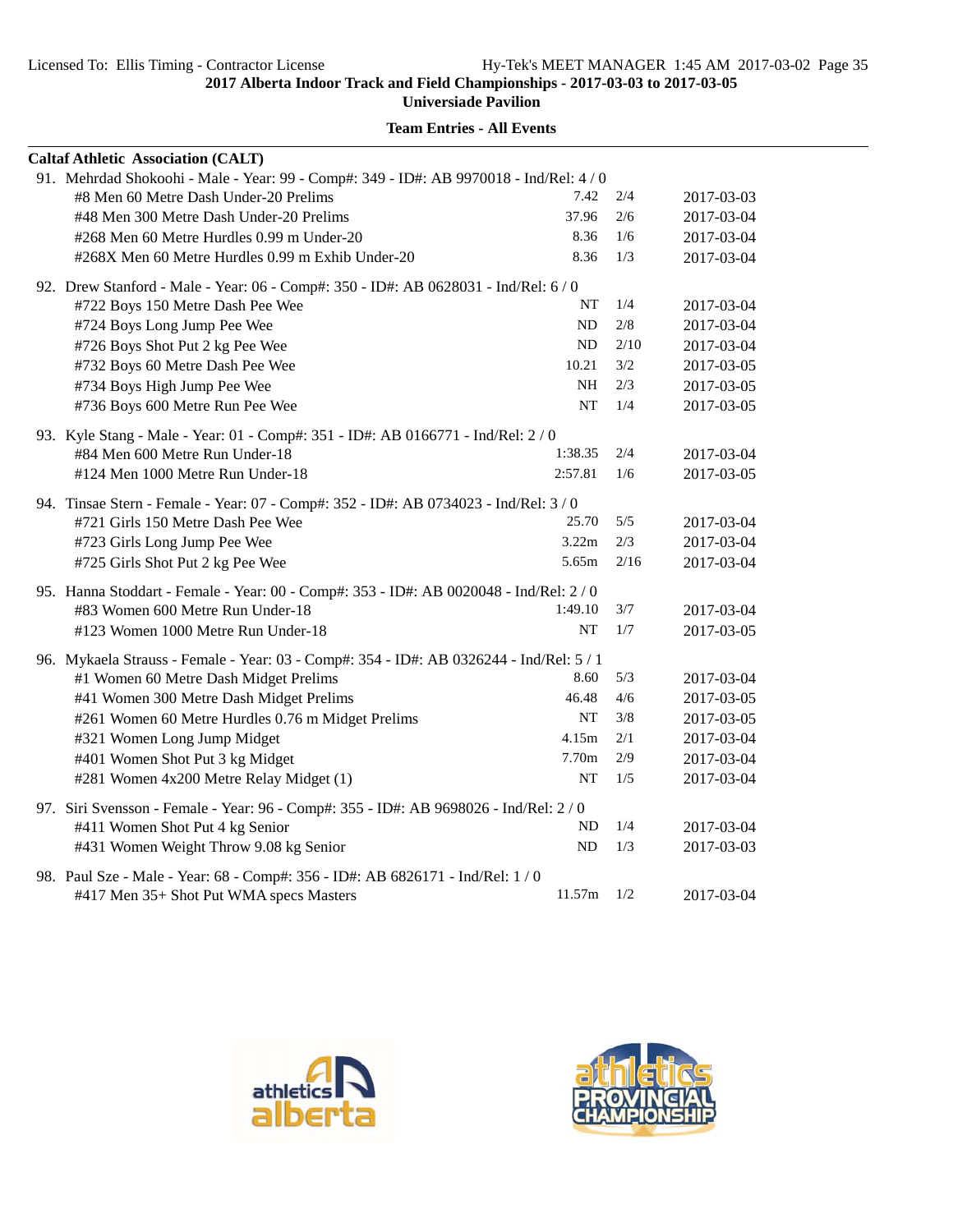**Universiade Pavilion**

|  | <b>Caltaf Athletic Association (CALT)</b>                                               |         |      |            |  |  |
|--|-----------------------------------------------------------------------------------------|---------|------|------------|--|--|
|  | 91. Mehrdad Shokoohi - Male - Year: 99 - Comp#: 349 - ID#: AB 9970018 - Ind/Rel: 4 / 0  |         |      |            |  |  |
|  | #8 Men 60 Metre Dash Under-20 Prelims                                                   | 7.42    | 2/4  | 2017-03-03 |  |  |
|  | #48 Men 300 Metre Dash Under-20 Prelims                                                 | 37.96   | 2/6  | 2017-03-04 |  |  |
|  | #268 Men 60 Metre Hurdles 0.99 m Under-20                                               | 8.36    | 1/6  | 2017-03-04 |  |  |
|  | #268X Men 60 Metre Hurdles 0.99 m Exhib Under-20                                        | 8.36    | 1/3  | 2017-03-04 |  |  |
|  | 92. Drew Stanford - Male - Year: 06 - Comp#: 350 - ID#: AB 0628031 - Ind/Rel: 6 / 0     |         |      |            |  |  |
|  | #722 Boys 150 Metre Dash Pee Wee                                                        | NT      | 1/4  | 2017-03-04 |  |  |
|  | #724 Boys Long Jump Pee Wee                                                             | ND      | 2/8  | 2017-03-04 |  |  |
|  | #726 Boys Shot Put 2 kg Pee Wee                                                         | ND      | 2/10 | 2017-03-04 |  |  |
|  | #732 Boys 60 Metre Dash Pee Wee                                                         | 10.21   | 3/2  | 2017-03-05 |  |  |
|  | #734 Boys High Jump Pee Wee                                                             | NH      | 2/3  | 2017-03-05 |  |  |
|  | #736 Boys 600 Metre Run Pee Wee                                                         | NT      | 1/4  | 2017-03-05 |  |  |
|  | 93. Kyle Stang - Male - Year: 01 - Comp#: 351 - ID#: AB 0166771 - Ind/Rel: 2 / 0        |         |      |            |  |  |
|  | #84 Men 600 Metre Run Under-18                                                          | 1:38.35 | 2/4  | 2017-03-04 |  |  |
|  | #124 Men 1000 Metre Run Under-18                                                        | 2:57.81 | 1/6  | 2017-03-05 |  |  |
|  | 94. Tinsae Stern - Female - Year: 07 - Comp#: 352 - ID#: AB 0734023 - Ind/Rel: 3/0      |         |      |            |  |  |
|  | #721 Girls 150 Metre Dash Pee Wee                                                       | 25.70   | 5/5  | 2017-03-04 |  |  |
|  | #723 Girls Long Jump Pee Wee                                                            | 3.22m   | 2/3  | 2017-03-04 |  |  |
|  | #725 Girls Shot Put 2 kg Pee Wee                                                        | 5.65m   | 2/16 | 2017-03-04 |  |  |
|  | 95. Hanna Stoddart - Female - Year: 00 - Comp#: 353 - ID#: AB 0020048 - Ind/Rel: 2 / 0  |         |      |            |  |  |
|  | #83 Women 600 Metre Run Under-18                                                        | 1:49.10 | 3/7  | 2017-03-04 |  |  |
|  | #123 Women 1000 Metre Run Under-18                                                      | NT      | 1/7  | 2017-03-05 |  |  |
|  | 96. Mykaela Strauss - Female - Year: 03 - Comp#: 354 - ID#: AB 0326244 - Ind/Rel: 5 / 1 |         |      |            |  |  |
|  | #1 Women 60 Metre Dash Midget Prelims                                                   | 8.60    | 5/3  | 2017-03-04 |  |  |
|  | #41 Women 300 Metre Dash Midget Prelims                                                 | 46.48   | 4/6  | 2017-03-05 |  |  |
|  | #261 Women 60 Metre Hurdles 0.76 m Midget Prelims                                       | NT      | 3/8  | 2017-03-05 |  |  |
|  | #321 Women Long Jump Midget                                                             | 4.15m   | 2/1  | 2017-03-04 |  |  |
|  | #401 Women Shot Put 3 kg Midget                                                         | 7.70m   | 2/9  | 2017-03-04 |  |  |
|  | #281 Women 4x200 Metre Relay Midget (1)                                                 | NT      | 1/5  | 2017-03-04 |  |  |
|  | 97. Siri Svensson - Female - Year: 96 - Comp#: 355 - ID#: AB 9698026 - Ind/Rel: 2 / 0   |         |      |            |  |  |
|  | #411 Women Shot Put 4 kg Senior                                                         | ND      | 1/4  | 2017-03-04 |  |  |
|  | #431 Women Weight Throw 9.08 kg Senior                                                  | ND      | 1/3  | 2017-03-03 |  |  |
|  | 98. Paul Sze - Male - Year: 68 - Comp#: 356 - ID#: AB 6826171 - Ind/Rel: 1 / 0          |         |      |            |  |  |
|  | #417 Men 35+ Shot Put WMA specs Masters                                                 | 11.57m  | 1/2  | 2017-03-04 |  |  |



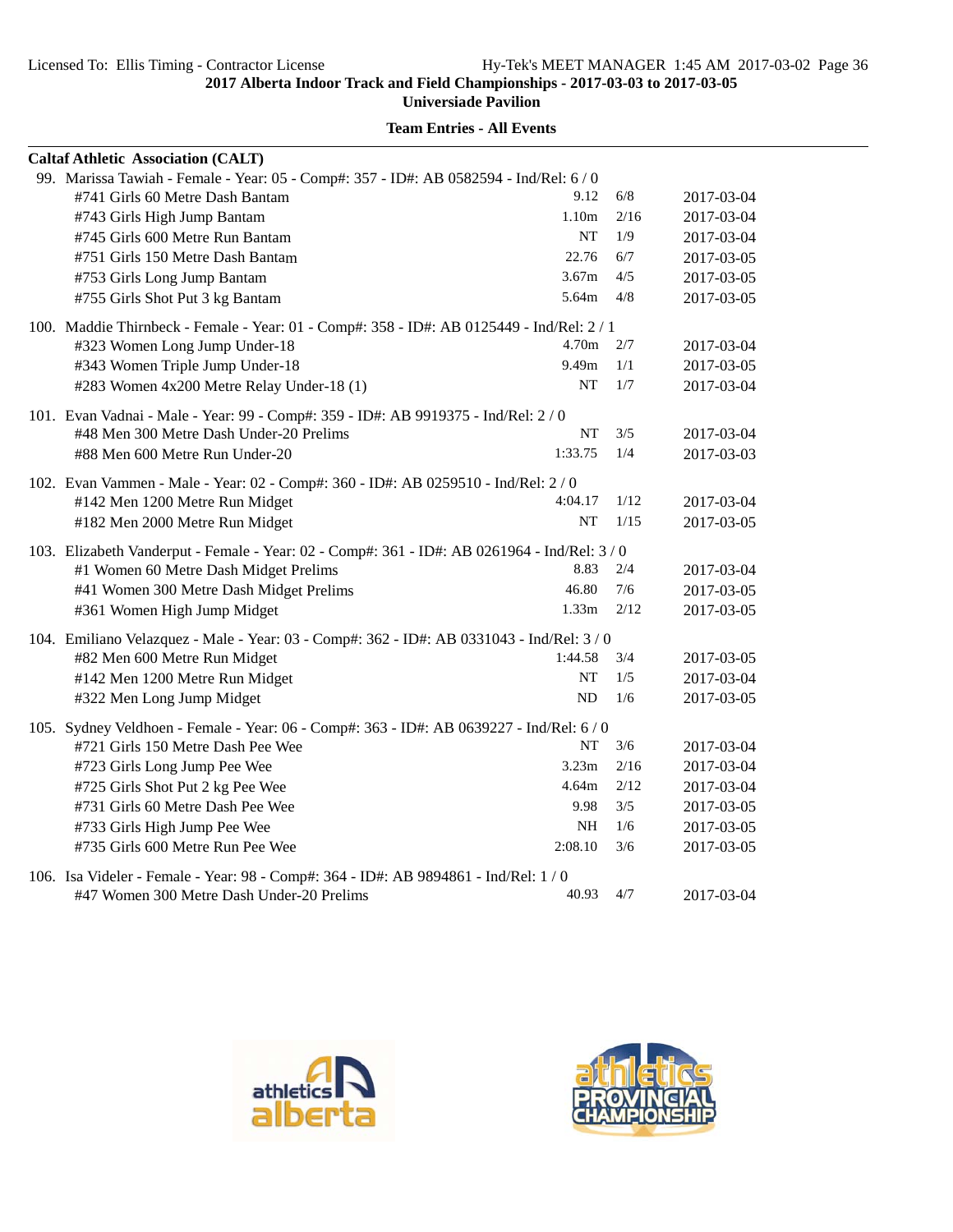**Universiade Pavilion**

|                                                                                          | <b>Caltaf Athletic Association (CALT)</b>                                                    |                   |      |            |  |  |
|------------------------------------------------------------------------------------------|----------------------------------------------------------------------------------------------|-------------------|------|------------|--|--|
|                                                                                          | 99. Marissa Tawiah - Female - Year: 05 - Comp#: 357 - ID#: AB 0582594 - Ind/Rel: 6 / 0       |                   |      |            |  |  |
|                                                                                          | #741 Girls 60 Metre Dash Bantam                                                              | 9.12              | 6/8  | 2017-03-04 |  |  |
|                                                                                          | #743 Girls High Jump Bantam                                                                  | 1.10 <sub>m</sub> | 2/16 | 2017-03-04 |  |  |
|                                                                                          | #745 Girls 600 Metre Run Bantam                                                              | NT                | 1/9  | 2017-03-04 |  |  |
|                                                                                          | #751 Girls 150 Metre Dash Bantam                                                             | 22.76             | 6/7  | 2017-03-05 |  |  |
|                                                                                          | #753 Girls Long Jump Bantam                                                                  | 3.67m             | 4/5  | 2017-03-05 |  |  |
|                                                                                          | #755 Girls Shot Put 3 kg Bantam                                                              | 5.64m             | 4/8  | 2017-03-05 |  |  |
|                                                                                          | 100. Maddie Thirnbeck - Female - Year: 01 - Comp#: 358 - ID#: AB 0125449 - Ind/Rel: 2 / 1    |                   |      |            |  |  |
|                                                                                          | #323 Women Long Jump Under-18                                                                | 4.70m             | 2/7  | 2017-03-04 |  |  |
|                                                                                          | #343 Women Triple Jump Under-18                                                              | 9.49m             | 1/1  | 2017-03-05 |  |  |
|                                                                                          | #283 Women 4x200 Metre Relay Under-18 (1)                                                    | NT                | 1/7  | 2017-03-04 |  |  |
|                                                                                          | 101. Evan Vadnai - Male - Year: 99 - Comp#: 359 - ID#: AB 9919375 - Ind/Rel: 2 / 0           |                   |      |            |  |  |
|                                                                                          | #48 Men 300 Metre Dash Under-20 Prelims                                                      | NT                | 3/5  | 2017-03-04 |  |  |
|                                                                                          | #88 Men 600 Metre Run Under-20                                                               | 1:33.75           | 1/4  | 2017-03-03 |  |  |
|                                                                                          | 102. Evan Vammen - Male - Year: 02 - Comp#: 360 - ID#: AB 0259510 - Ind/Rel: 2/0             |                   |      |            |  |  |
|                                                                                          | #142 Men 1200 Metre Run Midget                                                               | 4:04.17           | 1/12 | 2017-03-04 |  |  |
|                                                                                          | #182 Men 2000 Metre Run Midget                                                               | <b>NT</b>         | 1/15 | 2017-03-05 |  |  |
|                                                                                          | 103. Elizabeth Vanderput - Female - Year: 02 - Comp#: 361 - ID#: AB 0261964 - Ind/Rel: 3 / 0 |                   |      |            |  |  |
|                                                                                          | #1 Women 60 Metre Dash Midget Prelims                                                        | 8.83              | 2/4  | 2017-03-04 |  |  |
|                                                                                          | #41 Women 300 Metre Dash Midget Prelims                                                      | 46.80             | 7/6  | 2017-03-05 |  |  |
|                                                                                          | #361 Women High Jump Midget                                                                  | 1.33 <sub>m</sub> | 2/12 | 2017-03-05 |  |  |
|                                                                                          | 104. Emiliano Velazquez - Male - Year: 03 - Comp#: 362 - ID#: AB 0331043 - Ind/Rel: 3 / 0    |                   |      |            |  |  |
|                                                                                          | #82 Men 600 Metre Run Midget                                                                 | 1:44.58           | 3/4  | 2017-03-05 |  |  |
|                                                                                          | #142 Men 1200 Metre Run Midget                                                               | NT                | 1/5  | 2017-03-04 |  |  |
|                                                                                          | #322 Men Long Jump Midget                                                                    | ND                | 1/6  | 2017-03-05 |  |  |
| 105. Sydney Veldhoen - Female - Year: 06 - Comp#: 363 - ID#: AB 0639227 - Ind/Rel: 6 / 0 |                                                                                              |                   |      |            |  |  |
|                                                                                          | #721 Girls 150 Metre Dash Pee Wee                                                            | NT                | 3/6  | 2017-03-04 |  |  |
|                                                                                          | #723 Girls Long Jump Pee Wee                                                                 | 3.23 <sub>m</sub> | 2/16 | 2017-03-04 |  |  |
|                                                                                          | #725 Girls Shot Put 2 kg Pee Wee                                                             | 4.64m             | 2/12 | 2017-03-04 |  |  |
|                                                                                          | #731 Girls 60 Metre Dash Pee Wee                                                             | 9.98              | 3/5  | 2017-03-05 |  |  |
|                                                                                          | #733 Girls High Jump Pee Wee                                                                 | NH                | 1/6  | 2017-03-05 |  |  |
|                                                                                          | #735 Girls 600 Metre Run Pee Wee                                                             | 2:08.10           | 3/6  | 2017-03-05 |  |  |
|                                                                                          | 106. Isa Videler - Female - Year: 98 - Comp#: 364 - ID#: AB 9894861 - Ind/Rel: 1/0           |                   |      |            |  |  |
|                                                                                          | #47 Women 300 Metre Dash Under-20 Prelims                                                    | 40.93             | 4/7  | 2017-03-04 |  |  |



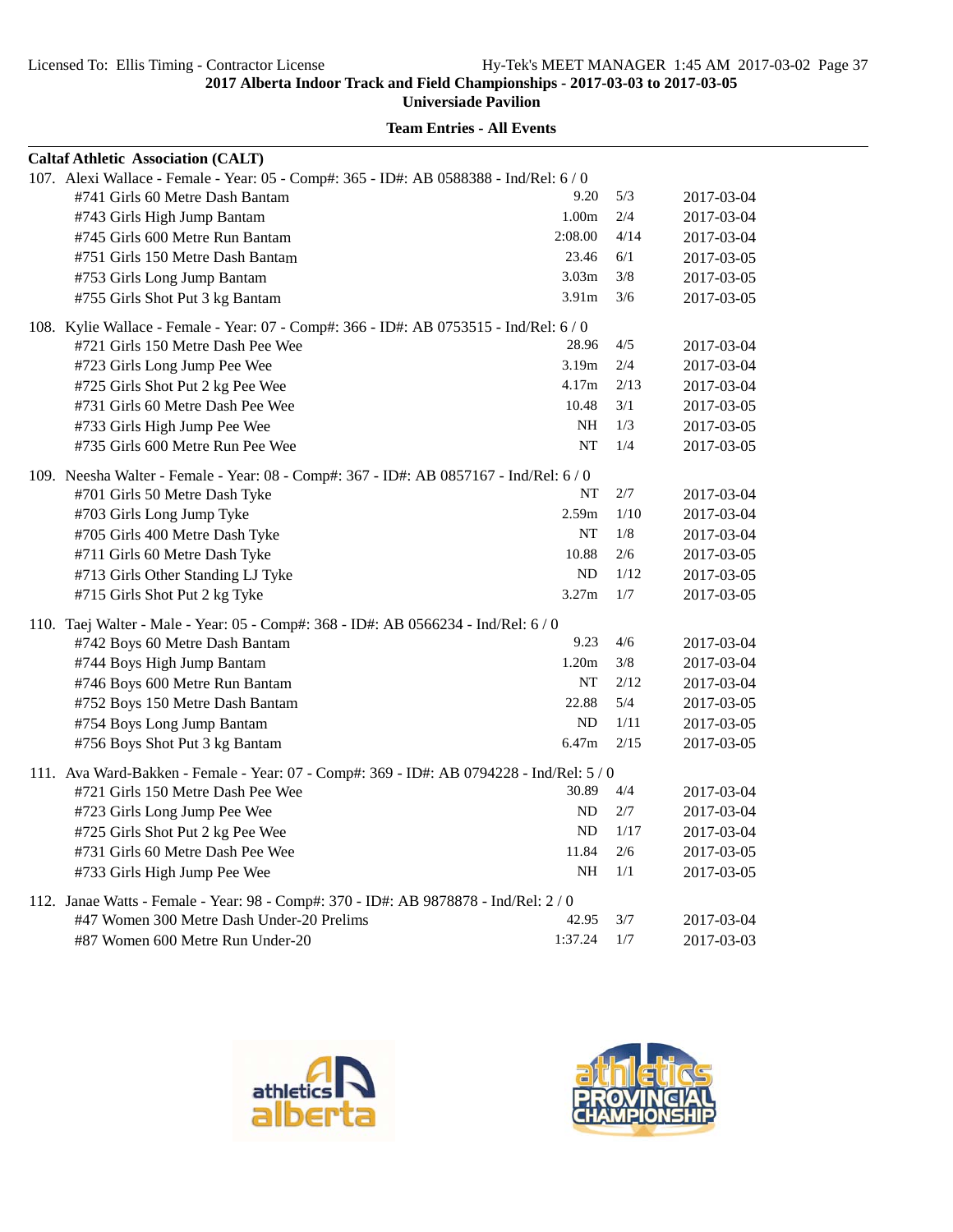**Universiade Pavilion**

| <b>Caltaf Athletic Association (CALT)</b>                                                |                   |      |            |  |
|------------------------------------------------------------------------------------------|-------------------|------|------------|--|
| 107. Alexi Wallace - Female - Year: 05 - Comp#: 365 - ID#: AB 0588388 - Ind/Rel: 6 / 0   |                   |      |            |  |
| #741 Girls 60 Metre Dash Bantam                                                          | 9.20              | 5/3  | 2017-03-04 |  |
| #743 Girls High Jump Bantam                                                              | 1.00m             | 2/4  | 2017-03-04 |  |
| #745 Girls 600 Metre Run Bantam                                                          | 2:08.00           | 4/14 | 2017-03-04 |  |
| #751 Girls 150 Metre Dash Bantam                                                         | 23.46             | 6/1  | 2017-03-05 |  |
| #753 Girls Long Jump Bantam                                                              | 3.03 <sub>m</sub> | 3/8  | 2017-03-05 |  |
| #755 Girls Shot Put 3 kg Bantam                                                          | 3.91 <sub>m</sub> | 3/6  | 2017-03-05 |  |
| 108. Kylie Wallace - Female - Year: 07 - Comp#: 366 - ID#: AB 0753515 - Ind/Rel: 6/0     |                   |      |            |  |
| #721 Girls 150 Metre Dash Pee Wee                                                        | 28.96             | 4/5  | 2017-03-04 |  |
| #723 Girls Long Jump Pee Wee                                                             | 3.19m             | 2/4  | 2017-03-04 |  |
| #725 Girls Shot Put 2 kg Pee Wee                                                         | 4.17m             | 2/13 | 2017-03-04 |  |
| #731 Girls 60 Metre Dash Pee Wee                                                         | 10.48             | 3/1  | 2017-03-05 |  |
| #733 Girls High Jump Pee Wee                                                             | NH                | 1/3  | 2017-03-05 |  |
| #735 Girls 600 Metre Run Pee Wee                                                         | NT                | 1/4  | 2017-03-05 |  |
| 109. Neesha Walter - Female - Year: 08 - Comp#: 367 - ID#: AB 0857167 - Ind/Rel: 6/0     |                   |      |            |  |
| #701 Girls 50 Metre Dash Tyke                                                            | NT                | 2/7  | 2017-03-04 |  |
| #703 Girls Long Jump Tyke                                                                | 2.59m             | 1/10 | 2017-03-04 |  |
| #705 Girls 400 Metre Dash Tyke                                                           | NT                | 1/8  | 2017-03-04 |  |
| #711 Girls 60 Metre Dash Tyke                                                            | 10.88             | 2/6  | 2017-03-05 |  |
| #713 Girls Other Standing LJ Tyke                                                        | ND                | 1/12 | 2017-03-05 |  |
| #715 Girls Shot Put 2 kg Tyke                                                            | 3.27m             | 1/7  | 2017-03-05 |  |
| 110. Taej Walter - Male - Year: 05 - Comp#: 368 - ID#: AB 0566234 - Ind/Rel: 6 / 0       |                   |      |            |  |
| #742 Boys 60 Metre Dash Bantam                                                           | 9.23              | 4/6  | 2017-03-04 |  |
| #744 Boys High Jump Bantam                                                               | 1.20 <sub>m</sub> | 3/8  | 2017-03-04 |  |
| #746 Boys 600 Metre Run Bantam                                                           | NT                | 2/12 | 2017-03-04 |  |
| #752 Boys 150 Metre Dash Bantam                                                          | 22.88             | 5/4  | 2017-03-05 |  |
| #754 Boys Long Jump Bantam                                                               | ND                | 1/11 | 2017-03-05 |  |
| #756 Boys Shot Put 3 kg Bantam                                                           | 6.47m             | 2/15 | 2017-03-05 |  |
| 111. Ava Ward-Bakken - Female - Year: 07 - Comp#: 369 - ID#: AB 0794228 - Ind/Rel: 5 / 0 |                   |      |            |  |
| #721 Girls 150 Metre Dash Pee Wee                                                        | 30.89             | 4/4  | 2017-03-04 |  |
| #723 Girls Long Jump Pee Wee                                                             | ND                | 2/7  | 2017-03-04 |  |
| #725 Girls Shot Put 2 kg Pee Wee                                                         | ND                | 1/17 | 2017-03-04 |  |
| #731 Girls 60 Metre Dash Pee Wee                                                         | 11.84             | 2/6  | 2017-03-05 |  |
| #733 Girls High Jump Pee Wee                                                             | <b>NH</b>         | 1/1  | 2017-03-05 |  |
| 112. Janae Watts - Female - Year: 98 - Comp#: 370 - ID#: AB 9878878 - Ind/Rel: 2 / 0     |                   |      |            |  |
| #47 Women 300 Metre Dash Under-20 Prelims                                                | 42.95             | 3/7  | 2017-03-04 |  |
| #87 Women 600 Metre Run Under-20                                                         | 1:37.24           | 1/7  | 2017-03-03 |  |



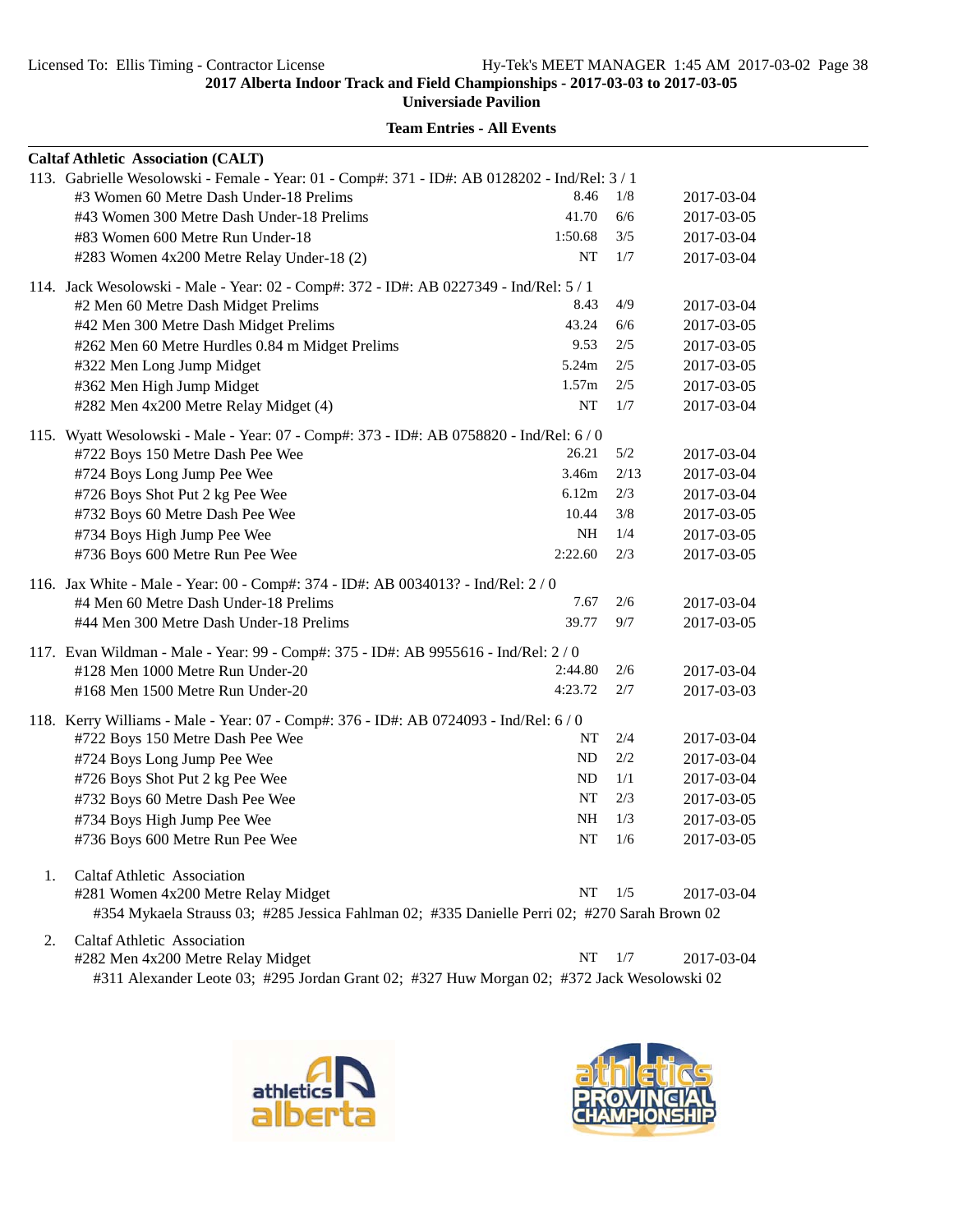**Universiade Pavilion**

| <b>Caltaf Athletic Association (CALT)</b>                                                     |           |      |            |
|-----------------------------------------------------------------------------------------------|-----------|------|------------|
| 113. Gabrielle Wesolowski - Female - Year: 01 - Comp#: 371 - ID#: AB 0128202 - Ind/Rel: 3 / 1 |           |      |            |
| #3 Women 60 Metre Dash Under-18 Prelims                                                       | 8.46      | 1/8  | 2017-03-04 |
| #43 Women 300 Metre Dash Under-18 Prelims                                                     | 41.70     | 6/6  | 2017-03-05 |
| #83 Women 600 Metre Run Under-18                                                              | 1:50.68   | 3/5  | 2017-03-04 |
| #283 Women 4x200 Metre Relay Under-18 (2)                                                     | NT        | 1/7  | 2017-03-04 |
| 114. Jack Wesolowski - Male - Year: 02 - Comp#: 372 - ID#: AB 0227349 - Ind/Rel: 5 / 1        |           |      |            |
| #2 Men 60 Metre Dash Midget Prelims                                                           | 8.43      | 4/9  | 2017-03-04 |
| #42 Men 300 Metre Dash Midget Prelims                                                         | 43.24     | 6/6  | 2017-03-05 |
| #262 Men 60 Metre Hurdles 0.84 m Midget Prelims                                               | 9.53      | 2/5  | 2017-03-05 |
| #322 Men Long Jump Midget                                                                     | 5.24m     | 2/5  | 2017-03-05 |
| #362 Men High Jump Midget                                                                     | 1.57m     | 2/5  | 2017-03-05 |
| #282 Men 4x200 Metre Relay Midget (4)                                                         | NT        | 1/7  | 2017-03-04 |
| 115. Wyatt Wesolowski - Male - Year: 07 - Comp#: 373 - ID#: AB 0758820 - Ind/Rel: 6 / 0       |           |      |            |
| #722 Boys 150 Metre Dash Pee Wee                                                              | 26.21     | 5/2  | 2017-03-04 |
| #724 Boys Long Jump Pee Wee                                                                   | 3.46m     | 2/13 | 2017-03-04 |
| #726 Boys Shot Put 2 kg Pee Wee                                                               | 6.12m     | 2/3  | 2017-03-04 |
| #732 Boys 60 Metre Dash Pee Wee                                                               | 10.44     | 3/8  | 2017-03-05 |
| #734 Boys High Jump Pee Wee                                                                   | NH        | 1/4  | 2017-03-05 |
| #736 Boys 600 Metre Run Pee Wee                                                               | 2:22.60   | 2/3  | 2017-03-05 |
| 116. Jax White - Male - Year: 00 - Comp#: 374 - ID#: AB 0034013? - Ind/Rel: 2/0               |           |      |            |
| #4 Men 60 Metre Dash Under-18 Prelims                                                         | 7.67      | 2/6  | 2017-03-04 |
| #44 Men 300 Metre Dash Under-18 Prelims                                                       | 39.77     | 9/7  | 2017-03-05 |
| 117. Evan Wildman - Male - Year: 99 - Comp#: 375 - ID#: AB 9955616 - Ind/Rel: 2/0             |           |      |            |
| #128 Men 1000 Metre Run Under-20                                                              | 2:44.80   | 2/6  | 2017-03-04 |
| #168 Men 1500 Metre Run Under-20                                                              | 4:23.72   | 2/7  | 2017-03-03 |
|                                                                                               |           |      |            |
| 118. Kerry Williams - Male - Year: 07 - Comp#: 376 - ID#: AB 0724093 - Ind/Rel: 6 / 0         |           |      |            |
| #722 Boys 150 Metre Dash Pee Wee                                                              | NT        | 2/4  | 2017-03-04 |
| #724 Boys Long Jump Pee Wee                                                                   | ND        | 2/2  | 2017-03-04 |
| #726 Boys Shot Put 2 kg Pee Wee                                                               | ND        | 1/1  | 2017-03-04 |
| #732 Boys 60 Metre Dash Pee Wee                                                               | NT        | 2/3  | 2017-03-05 |
| #734 Boys High Jump Pee Wee                                                                   | <b>NH</b> | 1/3  | 2017-03-05 |
| #736 Boys 600 Metre Run Pee Wee                                                               | NT        | 1/6  | 2017-03-05 |
| 1.<br>Caltaf Athletic Association                                                             |           |      |            |
| #281 Women 4x200 Metre Relay Midget                                                           | NT        | 1/5  | 2017-03-04 |
| #354 Mykaela Strauss 03; #285 Jessica Fahlman 02; #335 Danielle Perri 02; #270 Sarah Brown 02 |           |      |            |
| <b>Caltaf Athletic Association</b><br>2.                                                      |           |      |            |
| #282 Men 4x200 Metre Relay Midget                                                             | NT        | 1/7  | 2017-03-04 |

**Team Entries - All Events**

#311 Alexander Leote 03; #295 Jordan Grant 02; #327 Huw Morgan 02; #372 Jack Wesolowski 02



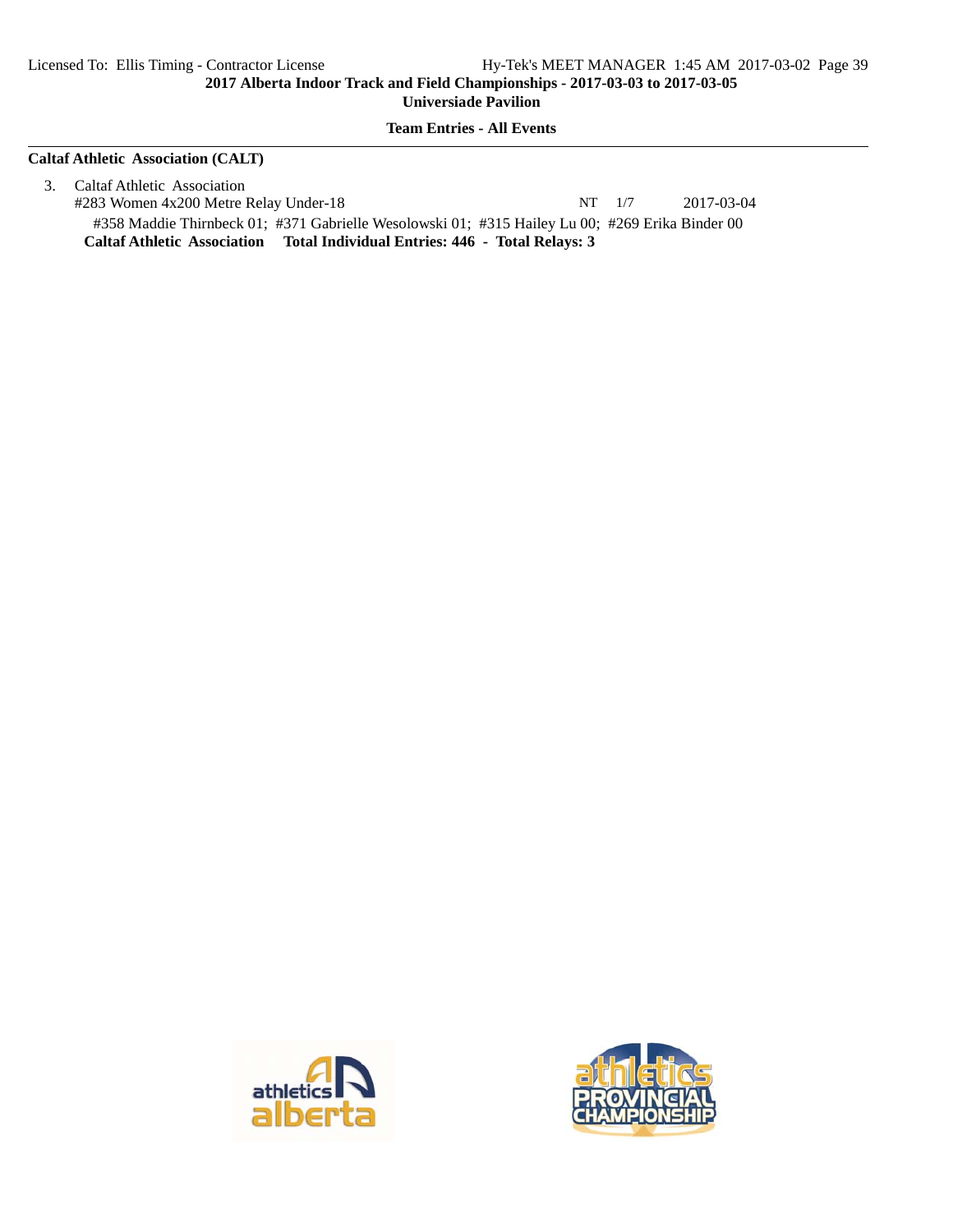**Team Entries - All Events**

#### **Caltaf Athletic Association (CALT)**

3. Caltaf Athletic Association #283 Women 4x200 Metre Relay Under-18 NT 1/7 2017-03-04 #358 Maddie Thirnbeck 01; #371 Gabrielle Wesolowski 01; #315 Hailey Lu 00; #269 Erika Binder 00 **Caltaf Athletic Association Total Individual Entries: 446 - Total Relays: 3**



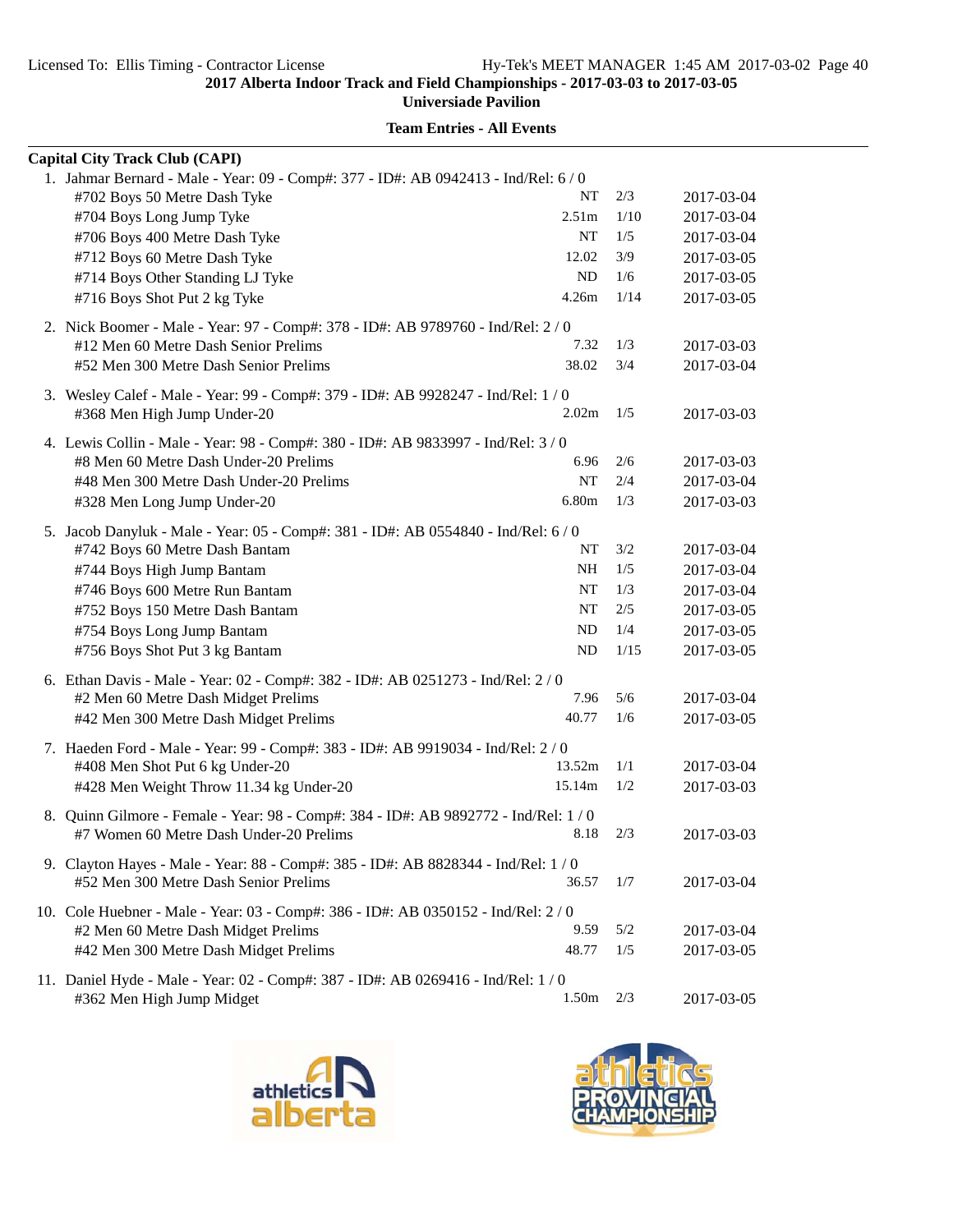**Universiade Pavilion**

| <b>Capital City Track Club (CAPI)</b>                                                                               |                   |       |            |
|---------------------------------------------------------------------------------------------------------------------|-------------------|-------|------------|
| 1. Jahmar Bernard - Male - Year: 09 - Comp#: 377 - ID#: AB 0942413 - Ind/Rel: 6 / 0<br>#702 Boys 50 Metre Dash Tyke | NT                | 2/3   | 2017-03-04 |
| #704 Boys Long Jump Tyke                                                                                            | 2.51m             | 1/10  | 2017-03-04 |
| #706 Boys 400 Metre Dash Tyke                                                                                       | NT                | 1/5   | 2017-03-04 |
| #712 Boys 60 Metre Dash Tyke                                                                                        | 12.02             | 3/9   | 2017-03-05 |
| #714 Boys Other Standing LJ Tyke                                                                                    | ND                | 1/6   | 2017-03-05 |
| #716 Boys Shot Put 2 kg Tyke                                                                                        | 4.26m             | 1/14  | 2017-03-05 |
| 2. Nick Boomer - Male - Year: 97 - Comp#: 378 - ID#: AB 9789760 - Ind/Rel: 2 / 0                                    |                   |       |            |
| #12 Men 60 Metre Dash Senior Prelims                                                                                | 7.32              | 1/3   | 2017-03-03 |
| #52 Men 300 Metre Dash Senior Prelims                                                                               | 38.02             | 3/4   | 2017-03-04 |
| 3. Wesley Calef - Male - Year: 99 - Comp#: 379 - ID#: AB 9928247 - Ind/Rel: 1 / 0                                   |                   |       |            |
| #368 Men High Jump Under-20                                                                                         | 2.02 <sub>m</sub> | 1/5   | 2017-03-03 |
| 4. Lewis Collin - Male - Year: 98 - Comp#: 380 - ID#: AB 9833997 - Ind/Rel: 3/0                                     |                   |       |            |
| #8 Men 60 Metre Dash Under-20 Prelims                                                                               | 6.96              | 2/6   | 2017-03-03 |
| #48 Men 300 Metre Dash Under-20 Prelims                                                                             | NT                | 2/4   | 2017-03-04 |
| #328 Men Long Jump Under-20                                                                                         | 6.80m             | 1/3   | 2017-03-03 |
| 5. Jacob Danyluk - Male - Year: 05 - Comp#: 381 - ID#: AB 0554840 - Ind/Rel: 6/0                                    |                   |       |            |
| #742 Boys 60 Metre Dash Bantam                                                                                      | NT                | 3/2   | 2017-03-04 |
| #744 Boys High Jump Bantam                                                                                          | NΗ                | 1/5   | 2017-03-04 |
| #746 Boys 600 Metre Run Bantam                                                                                      | NT                | 1/3   | 2017-03-04 |
| #752 Boys 150 Metre Dash Bantam                                                                                     | NT                | 2/5   | 2017-03-05 |
| #754 Boys Long Jump Bantam                                                                                          | ND                | 1/4   | 2017-03-05 |
| #756 Boys Shot Put 3 kg Bantam                                                                                      | ND                | 1/15  | 2017-03-05 |
| 6. Ethan Davis - Male - Year: 02 - Comp#: 382 - ID#: AB 0251273 - Ind/Rel: 2 / 0                                    |                   |       |            |
| #2 Men 60 Metre Dash Midget Prelims                                                                                 | 7.96              | 5/6   | 2017-03-04 |
| #42 Men 300 Metre Dash Midget Prelims                                                                               | 40.77             | 1/6   | 2017-03-05 |
| 7. Haeden Ford - Male - Year: 99 - Comp#: 383 - ID#: AB 9919034 - Ind/Rel: 2/0                                      |                   |       |            |
| #408 Men Shot Put 6 kg Under-20                                                                                     | 13.52m            | 1/1   | 2017-03-04 |
| #428 Men Weight Throw 11.34 kg Under-20                                                                             | 15.14m            | 1/2   | 2017-03-03 |
| 8. Quinn Gilmore - Female - Year: 98 - Comp#: 384 - ID#: AB 9892772 - Ind/Rel: 1 / 0                                |                   |       |            |
| #7 Women 60 Metre Dash Under-20 Prelims                                                                             | 8.18              | 2/3   | 2017-03-03 |
| 9. Clayton Hayes - Male - Year: 88 - Comp#: 385 - ID#: AB 8828344 - Ind/Rel: 1/0                                    |                   |       |            |
| #52 Men 300 Metre Dash Senior Prelims                                                                               | 36.57             | 1/7   | 2017-03-04 |
| 10. Cole Huebner - Male - Year: 03 - Comp#: 386 - ID#: AB 0350152 - Ind/Rel: 2/0                                    |                   |       |            |
| #2 Men 60 Metre Dash Midget Prelims                                                                                 | 9.59              | 5/2   | 2017-03-04 |
| #42 Men 300 Metre Dash Midget Prelims                                                                               | 48.77             | 1/5   | 2017-03-05 |
| 11. Daniel Hyde - Male - Year: 02 - Comp#: 387 - ID#: AB 0269416 - Ind/Rel: 1 / 0                                   |                   |       |            |
| #362 Men High Jump Midget                                                                                           | 1.50m             | $2/3$ | 2017-03-05 |



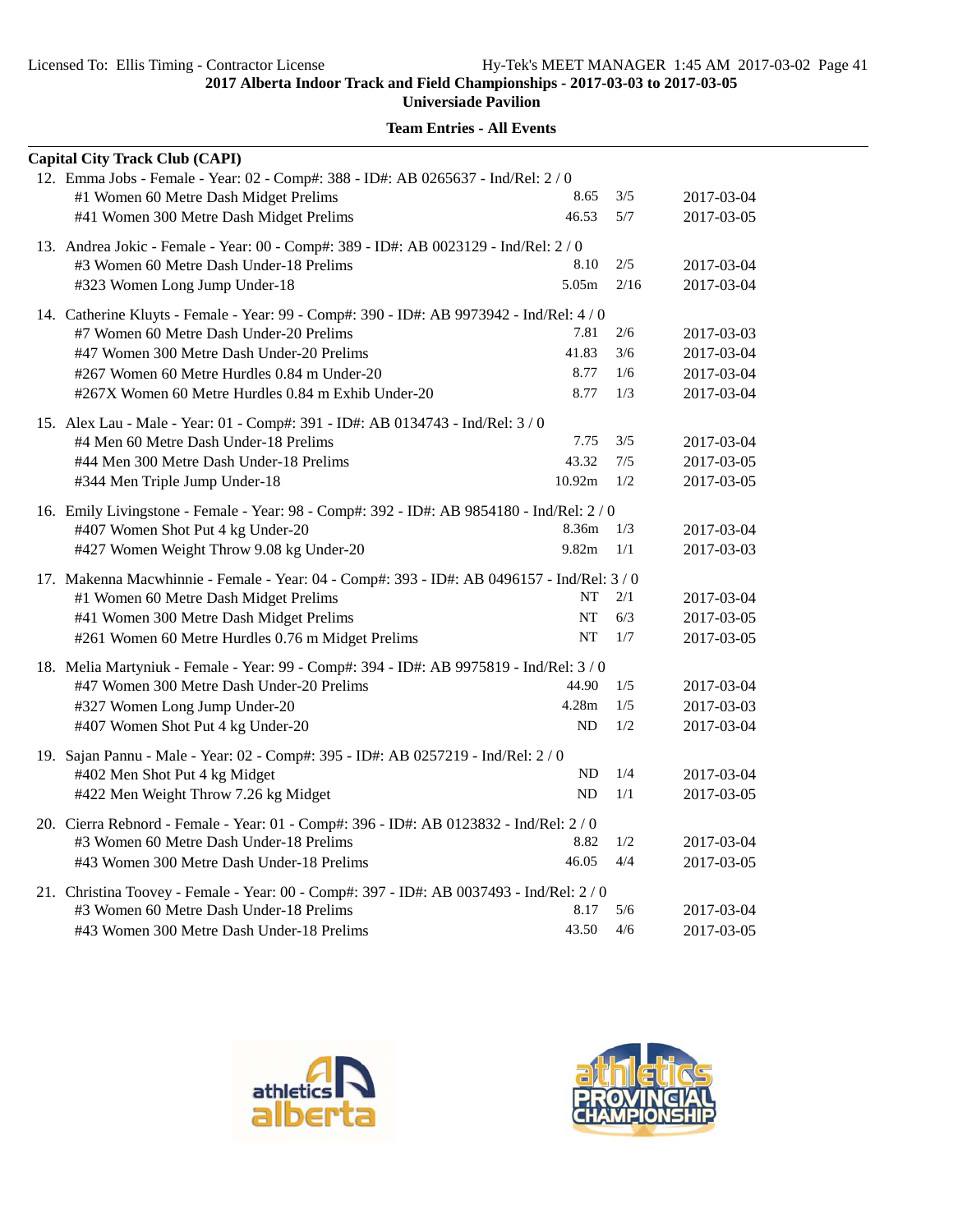**Universiade Pavilion**

|                                                                                      | <b>Capital City Track Club (CAPI)</b>                                                      |           |      |            |  |
|--------------------------------------------------------------------------------------|--------------------------------------------------------------------------------------------|-----------|------|------------|--|
|                                                                                      | 12. Emma Jobs - Female - Year: 02 - Comp#: 388 - ID#: AB 0265637 - Ind/Rel: 2 / 0          |           |      |            |  |
|                                                                                      | #1 Women 60 Metre Dash Midget Prelims                                                      | 8.65      | 3/5  | 2017-03-04 |  |
|                                                                                      | #41 Women 300 Metre Dash Midget Prelims                                                    | 46.53     | 5/7  | 2017-03-05 |  |
| 13. Andrea Jokic - Female - Year: 00 - Comp#: 389 - ID#: AB 0023129 - Ind/Rel: 2 / 0 |                                                                                            |           |      |            |  |
|                                                                                      | #3 Women 60 Metre Dash Under-18 Prelims                                                    | 8.10      | 2/5  | 2017-03-04 |  |
|                                                                                      | #323 Women Long Jump Under-18                                                              | 5.05m     | 2/16 | 2017-03-04 |  |
|                                                                                      | 14. Catherine Kluyts - Female - Year: 99 - Comp#: 390 - ID#: AB 9973942 - Ind/Rel: 4 / 0   |           |      |            |  |
|                                                                                      | #7 Women 60 Metre Dash Under-20 Prelims                                                    | 7.81      | 2/6  | 2017-03-03 |  |
|                                                                                      | #47 Women 300 Metre Dash Under-20 Prelims                                                  | 41.83     | 3/6  | 2017-03-04 |  |
|                                                                                      | #267 Women 60 Metre Hurdles 0.84 m Under-20                                                | 8.77      | 1/6  | 2017-03-04 |  |
|                                                                                      | #267X Women 60 Metre Hurdles 0.84 m Exhib Under-20                                         | 8.77      | 1/3  | 2017-03-04 |  |
|                                                                                      | 15. Alex Lau - Male - Year: 01 - Comp#: 391 - ID#: AB 0134743 - Ind/Rel: 3 / 0             |           |      |            |  |
|                                                                                      | #4 Men 60 Metre Dash Under-18 Prelims                                                      | 7.75      | 3/5  | 2017-03-04 |  |
|                                                                                      | #44 Men 300 Metre Dash Under-18 Prelims                                                    | 43.32     | 7/5  | 2017-03-05 |  |
|                                                                                      | #344 Men Triple Jump Under-18                                                              | 10.92m    | 1/2  | 2017-03-05 |  |
|                                                                                      | 16. Emily Livingstone - Female - Year: 98 - Comp#: 392 - ID#: AB 9854180 - Ind/Rel: 2/0    |           |      |            |  |
|                                                                                      | #407 Women Shot Put 4 kg Under-20                                                          | 8.36m     | 1/3  | 2017-03-04 |  |
|                                                                                      | #427 Women Weight Throw 9.08 kg Under-20                                                   | 9.82m     | 1/1  | 2017-03-03 |  |
|                                                                                      | 17. Makenna Macwhinnie - Female - Year: 04 - Comp#: 393 - ID#: AB 0496157 - Ind/Rel: 3 / 0 |           |      |            |  |
|                                                                                      | #1 Women 60 Metre Dash Midget Prelims                                                      | NT        | 2/1  | 2017-03-04 |  |
|                                                                                      | #41 Women 300 Metre Dash Midget Prelims                                                    | <b>NT</b> | 6/3  | 2017-03-05 |  |
|                                                                                      | #261 Women 60 Metre Hurdles 0.76 m Midget Prelims                                          | <b>NT</b> | 1/7  | 2017-03-05 |  |
|                                                                                      | 18. Melia Martyniuk - Female - Year: 99 - Comp#: 394 - ID#: AB 9975819 - Ind/Rel: 3/0      |           |      |            |  |
|                                                                                      | #47 Women 300 Metre Dash Under-20 Prelims                                                  | 44.90     | 1/5  | 2017-03-04 |  |
|                                                                                      | #327 Women Long Jump Under-20                                                              | 4.28m     | 1/5  | 2017-03-03 |  |
|                                                                                      | #407 Women Shot Put 4 kg Under-20                                                          | <b>ND</b> | 1/2  | 2017-03-04 |  |
|                                                                                      | 19. Sajan Pannu - Male - Year: 02 - Comp#: 395 - ID#: AB 0257219 - Ind/Rel: 2 / 0          |           |      |            |  |
|                                                                                      | #402 Men Shot Put 4 kg Midget                                                              | ND        | 1/4  | 2017-03-04 |  |
|                                                                                      | #422 Men Weight Throw 7.26 kg Midget                                                       | <b>ND</b> | 1/1  | 2017-03-05 |  |
|                                                                                      | 20. Cierra Rebnord - Female - Year: 01 - Comp#: 396 - ID#: AB 0123832 - Ind/Rel: 2/0       |           |      |            |  |
|                                                                                      | #3 Women 60 Metre Dash Under-18 Prelims                                                    | 8.82      | 1/2  | 2017-03-04 |  |
|                                                                                      | #43 Women 300 Metre Dash Under-18 Prelims                                                  | 46.05     | 4/4  | 2017-03-05 |  |
|                                                                                      | 21. Christina Toovey - Female - Year: 00 - Comp#: 397 - ID#: AB 0037493 - Ind/Rel: 2 / 0   |           |      |            |  |
|                                                                                      | #3 Women 60 Metre Dash Under-18 Prelims                                                    | 8.17      | 5/6  | 2017-03-04 |  |
|                                                                                      | #43 Women 300 Metre Dash Under-18 Prelims                                                  | 43.50     | 4/6  | 2017-03-05 |  |



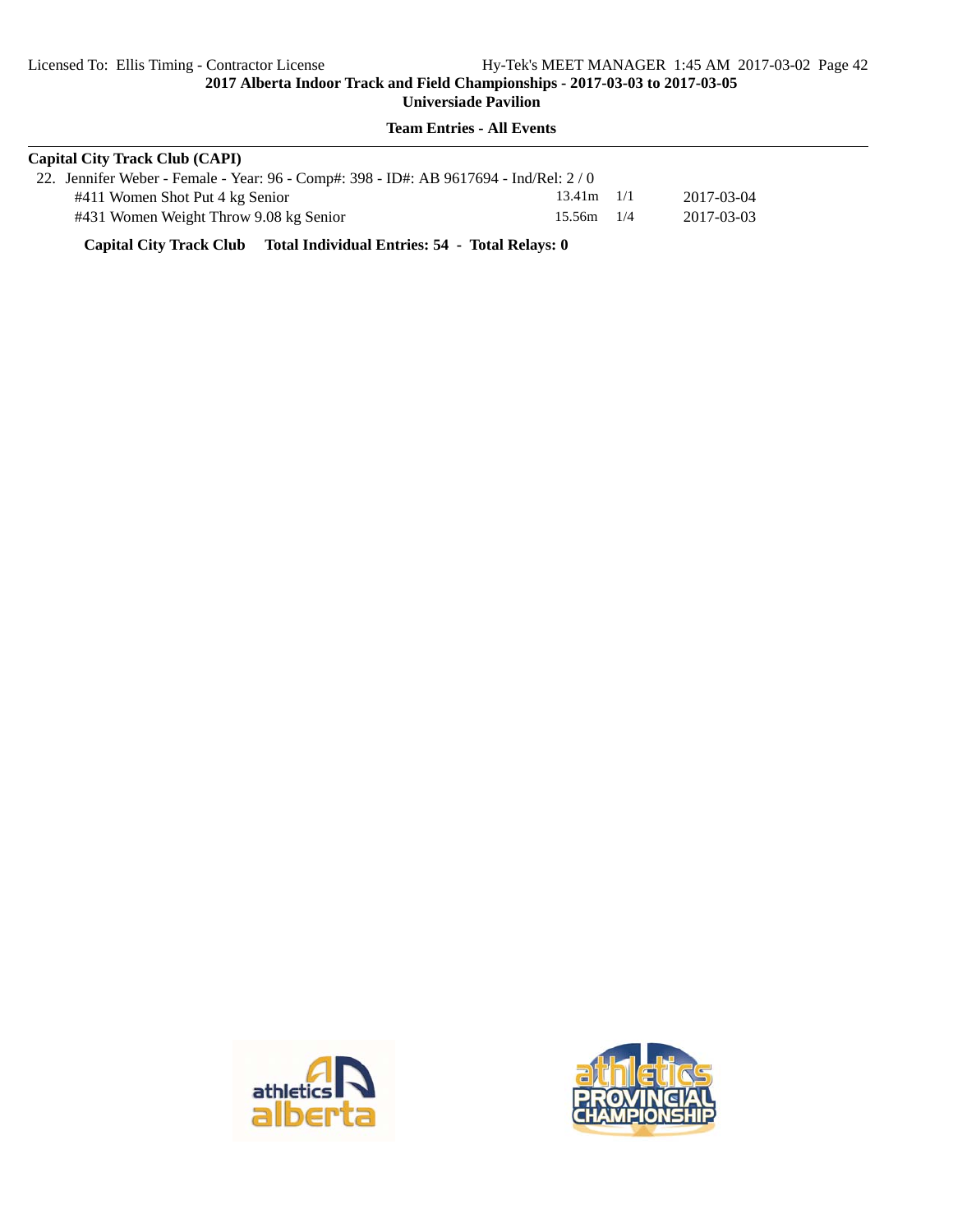**Team Entries - All Events**

| <b>Capital City Track Club (CAPI)</b>                                                |                |            |
|--------------------------------------------------------------------------------------|----------------|------------|
| 22. Jennifer Weber - Female - Year: 96 - Comp#: 398 - ID#: AB 9617694 - Ind/Rel: 2/0 |                |            |
| #411 Women Shot Put 4 kg Senior                                                      | $13.41m$ $1/1$ | 2017-03-04 |
| #431 Women Weight Throw 9.08 kg Senior                                               | $15.56m$ 1/4   | 2017-03-03 |

**Capital City Track Club Total Individual Entries: 54 - Total Relays: 0**



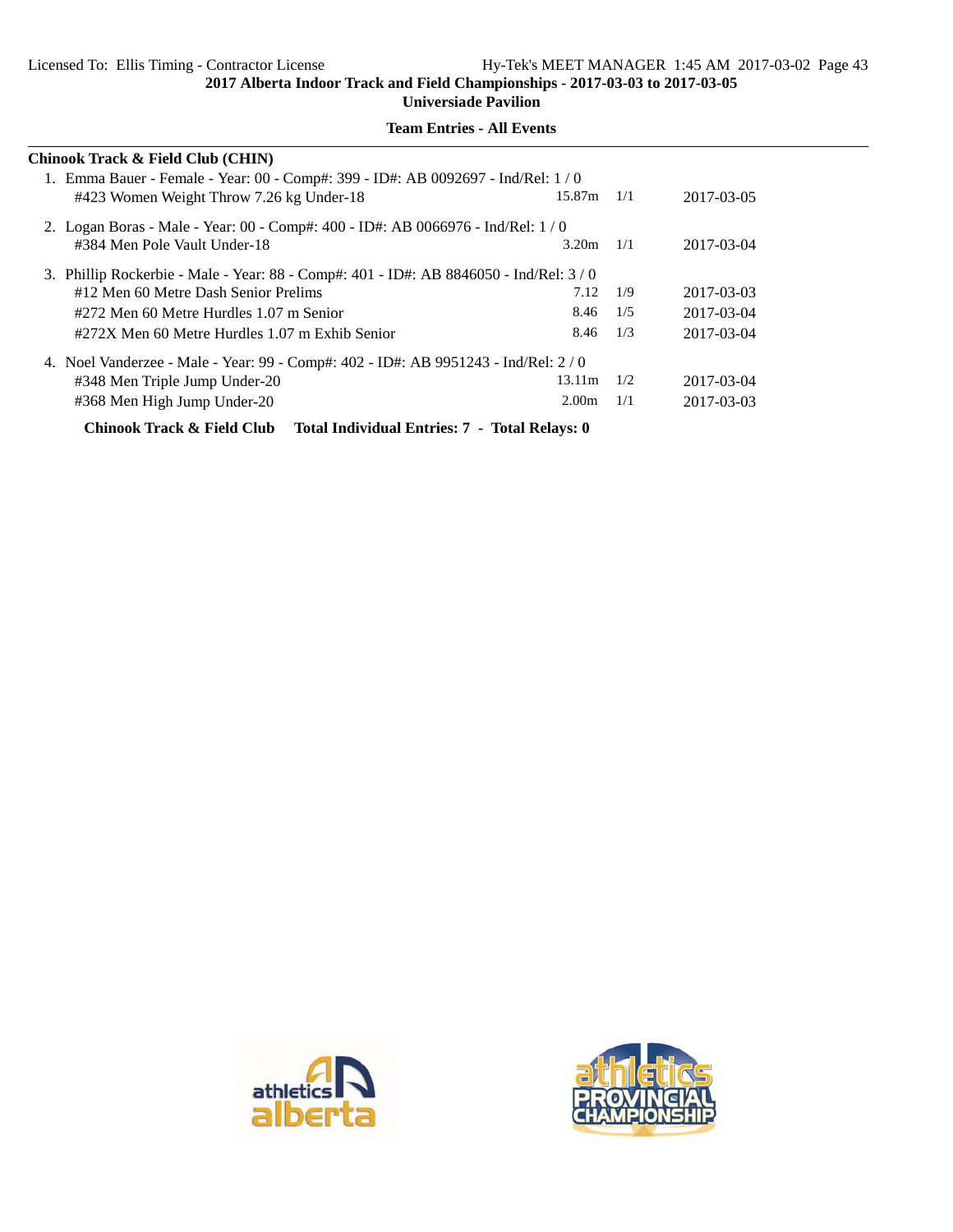**Universiade Pavilion**

| Chinook Track & Field Club (CHIN)                                                      |                   |     |            |  |  |
|----------------------------------------------------------------------------------------|-------------------|-----|------------|--|--|
| 1. Emma Bauer - Female - Year: 00 - Comp#: 399 - ID#: AB 0092697 - Ind/Rel: 1/0        |                   |     |            |  |  |
| #423 Women Weight Throw 7.26 kg Under-18                                               | 15.87m            | 1/1 | 2017-03-05 |  |  |
| 2. Logan Boras - Male - Year: 00 - Comp#: 400 - ID#: AB 0066976 - Ind/Rel: 1/0         |                   |     |            |  |  |
| #384 Men Pole Vault Under-18                                                           | 3.20m             | 1/1 | 2017-03-04 |  |  |
| 3. Phillip Rockerbie - Male - Year: 88 - Comp#: 401 - ID#: AB 8846050 - Ind/Rel: 3 / 0 |                   |     |            |  |  |
| #12 Men 60 Metre Dash Senior Prelims                                                   | 7.12              | 1/9 | 2017-03-03 |  |  |
| #272 Men 60 Metre Hurdles 1.07 m Senior                                                | 8.46              | 1/5 | 2017-03-04 |  |  |
| #272X Men 60 Metre Hurdles 1.07 m Exhib Senior                                         | 8.46              | 1/3 | 2017-03-04 |  |  |
| 4. Noel Vanderzee - Male - Year: 99 - Comp#: 402 - ID#: AB 9951243 - Ind/Rel: 2/0      |                   |     |            |  |  |
| #348 Men Triple Jump Under-20                                                          | 13.11m            | 1/2 | 2017-03-04 |  |  |
| #368 Men High Jump Under-20                                                            | 2.00 <sub>m</sub> | 1/1 | 2017-03-03 |  |  |
| Chinook Track & Field Club Total Individual Entries: 7 - Total Relays: 0               |                   |     |            |  |  |



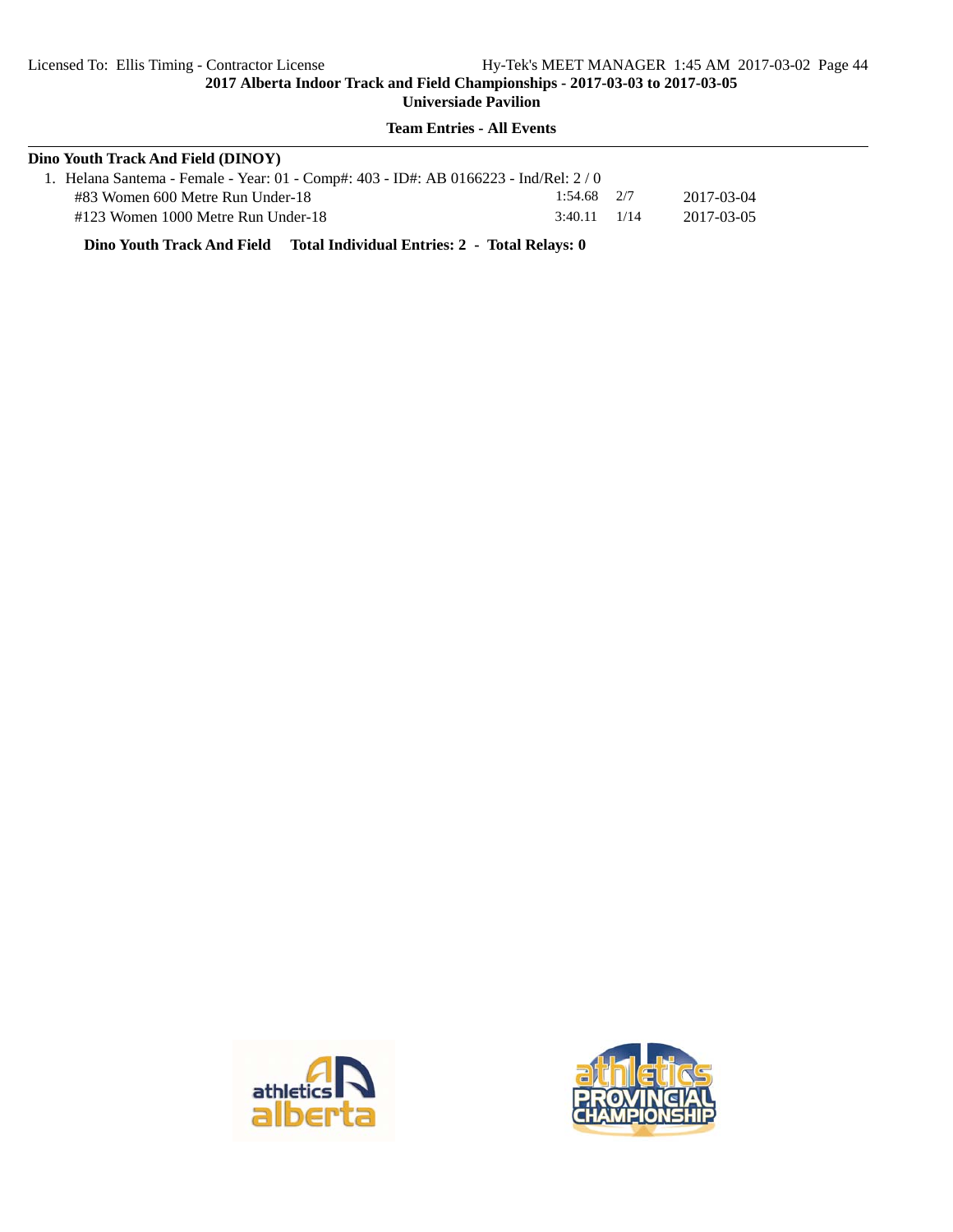## **Team Entries - All Events**

| Dino Youth Track And Field (DINOY)                                                  |                  |            |
|-------------------------------------------------------------------------------------|------------------|------------|
| 1. Helana Santema - Female - Year: 01 - Comp#: 403 - ID#: AB 0166223 - Ind/Rel: 2/0 |                  |            |
| #83 Women 600 Metre Run Under-18                                                    | $1:54.68$ $2/7$  | 2017-03-04 |
| #123 Women 1000 Metre Run Under-18                                                  | $3:40.11$ $1/14$ | 2017-03-05 |

**Dino Youth Track And Field Total Individual Entries: 2 - Total Relays: 0**



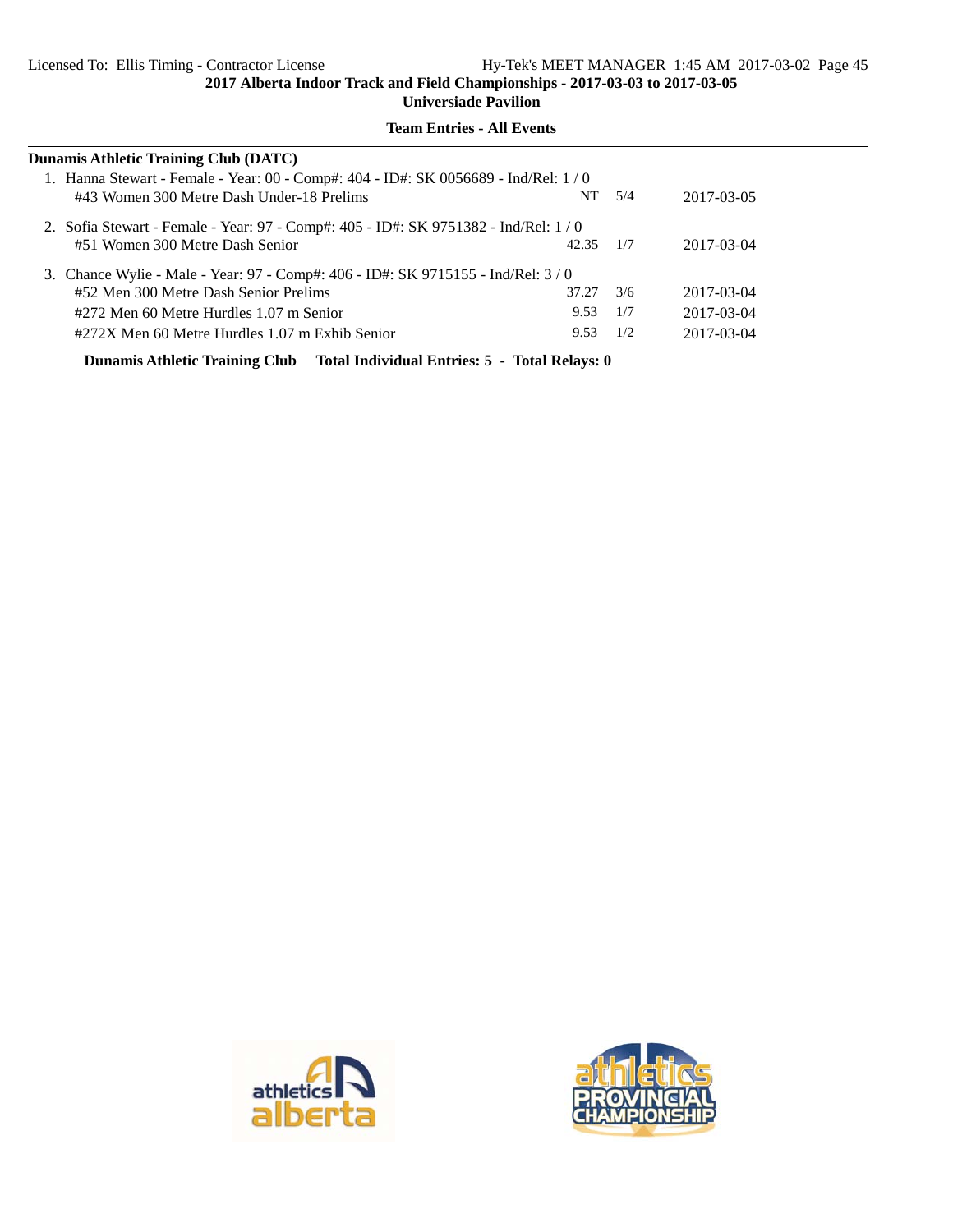**Universiade Pavilion**

| Dunamis Athletic Training Club (DATC)                                                |       |            |            |  |  |  |  |
|--------------------------------------------------------------------------------------|-------|------------|------------|--|--|--|--|
| 1. Hanna Stewart - Female - Year: 00 - Comp#: 404 - ID#: SK 0056689 - Ind/Rel: 1 / 0 |       |            |            |  |  |  |  |
| #43 Women 300 Metre Dash Under-18 Prelims                                            |       | $NT = 5/4$ | 2017-03-05 |  |  |  |  |
| 2. Sofia Stewart - Female - Year: 97 - Comp#: 405 - ID#: SK 9751382 - Ind/Rel: 1/0   |       |            |            |  |  |  |  |
| #51 Women 300 Metre Dash Senior                                                      | 42.35 | 1/7        | 2017-03-04 |  |  |  |  |
| 3. Chance Wylie - Male - Year: 97 - Comp#: 406 - ID#: SK 9715155 - Ind/Rel: 3/0      |       |            |            |  |  |  |  |
| #52 Men 300 Metre Dash Senior Prelims                                                | 37.27 | 3/6        | 2017-03-04 |  |  |  |  |
| #272 Men 60 Metre Hurdles 1.07 m Senior                                              | 9.53  | 1/7        | 2017-03-04 |  |  |  |  |
| #272X Men 60 Metre Hurdles 1.07 m Exhib Senior                                       | 9.53  | 1/2        | 2017-03-04 |  |  |  |  |
| Dunamis Athletic Training Club Total Individual Entries: 5 - Total Relays: 0         |       |            |            |  |  |  |  |



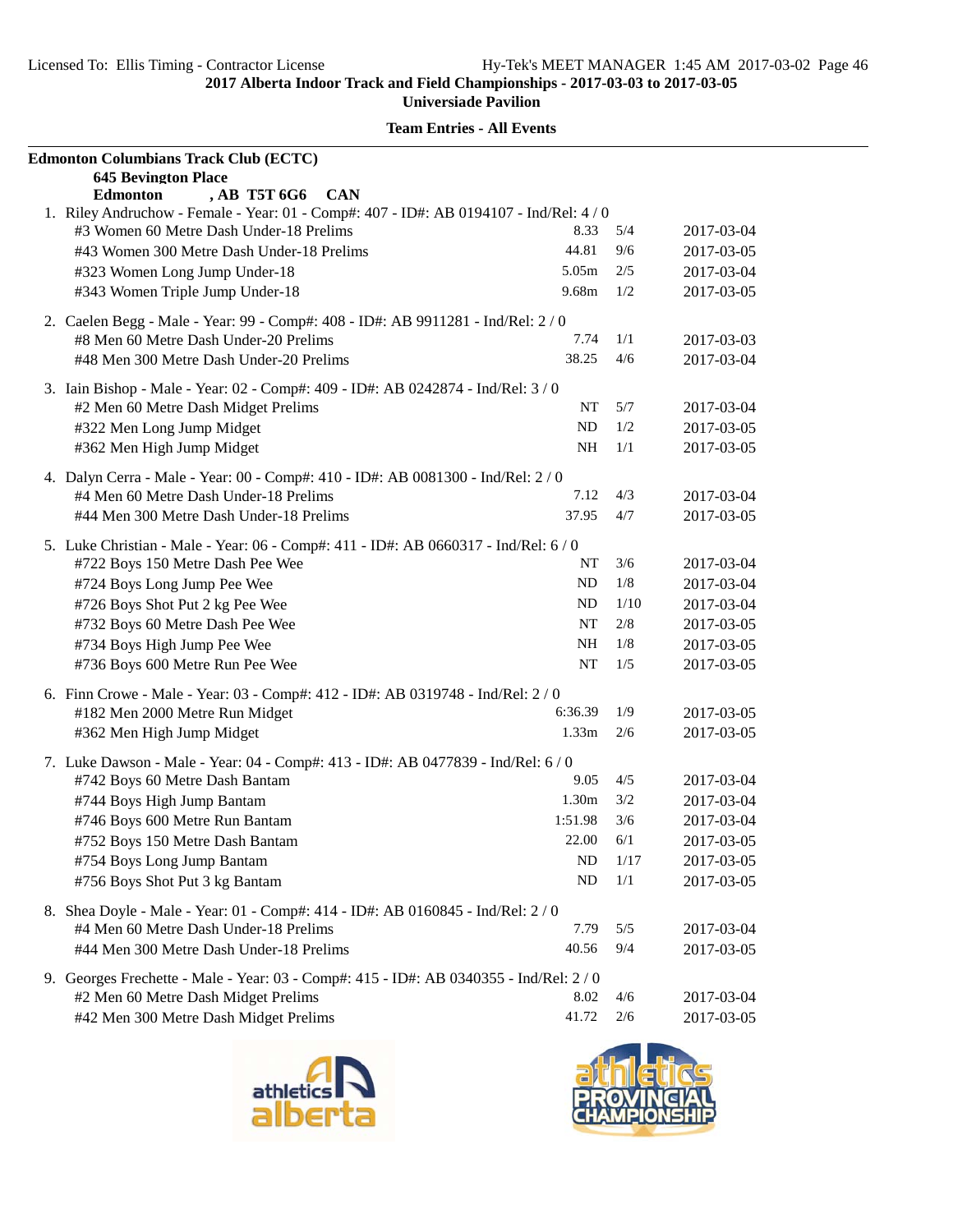| <b>Edmonton Columbians Track Club (ECTC)</b>                                                                                      |                   |      |            |
|-----------------------------------------------------------------------------------------------------------------------------------|-------------------|------|------------|
| <b>645 Bevington Place</b>                                                                                                        |                   |      |            |
| , AB T5T 6G6 CAN<br><b>Edmonton</b>                                                                                               |                   |      |            |
| 1. Riley Andruchow - Female - Year: 01 - Comp#: 407 - ID#: AB 0194107 - Ind/Rel: 4 / 0<br>#3 Women 60 Metre Dash Under-18 Prelims | 8.33              | 5/4  | 2017-03-04 |
| #43 Women 300 Metre Dash Under-18 Prelims                                                                                         | 44.81             | 9/6  | 2017-03-05 |
| #323 Women Long Jump Under-18                                                                                                     | $5.05\mathrm{m}$  | 2/5  | 2017-03-04 |
| #343 Women Triple Jump Under-18                                                                                                   | 9.68m             | 1/2  | 2017-03-05 |
|                                                                                                                                   |                   |      |            |
| 2. Caelen Begg - Male - Year: 99 - Comp#: 408 - ID#: AB 9911281 - Ind/Rel: 2/0                                                    |                   |      |            |
| #8 Men 60 Metre Dash Under-20 Prelims                                                                                             | 7.74              | 1/1  | 2017-03-03 |
| #48 Men 300 Metre Dash Under-20 Prelims                                                                                           | 38.25             | 4/6  | 2017-03-04 |
| 3. Iain Bishop - Male - Year: 02 - Comp#: 409 - ID#: AB 0242874 - Ind/Rel: 3 / 0                                                  |                   |      |            |
| #2 Men 60 Metre Dash Midget Prelims                                                                                               | NT                | 5/7  | 2017-03-04 |
| #322 Men Long Jump Midget                                                                                                         | ND                | 1/2  | 2017-03-05 |
| #362 Men High Jump Midget                                                                                                         | <b>NH</b>         | 1/1  | 2017-03-05 |
| 4. Dalyn Cerra - Male - Year: 00 - Comp#: 410 - ID#: AB 0081300 - Ind/Rel: 2 / 0                                                  |                   |      |            |
| #4 Men 60 Metre Dash Under-18 Prelims                                                                                             | 7.12              | 4/3  | 2017-03-04 |
| #44 Men 300 Metre Dash Under-18 Prelims                                                                                           | 37.95             | 4/7  | 2017-03-05 |
|                                                                                                                                   |                   |      |            |
| 5. Luke Christian - Male - Year: 06 - Comp#: 411 - ID#: AB 0660317 - Ind/Rel: 6 / 0                                               |                   |      |            |
| #722 Boys 150 Metre Dash Pee Wee                                                                                                  | NT                | 3/6  | 2017-03-04 |
| #724 Boys Long Jump Pee Wee                                                                                                       | <b>ND</b>         | 1/8  | 2017-03-04 |
| #726 Boys Shot Put 2 kg Pee Wee                                                                                                   | <b>ND</b>         | 1/10 | 2017-03-04 |
| #732 Boys 60 Metre Dash Pee Wee                                                                                                   | NT                | 2/8  | 2017-03-05 |
| #734 Boys High Jump Pee Wee                                                                                                       | NH                | 1/8  | 2017-03-05 |
| #736 Boys 600 Metre Run Pee Wee                                                                                                   | NT                | 1/5  | 2017-03-05 |
| 6. Finn Crowe - Male - Year: 03 - Comp#: 412 - ID#: AB 0319748 - Ind/Rel: 2 / 0                                                   |                   |      |            |
| #182 Men 2000 Metre Run Midget                                                                                                    | 6:36.39           | 1/9  | 2017-03-05 |
| #362 Men High Jump Midget                                                                                                         | 1.33 <sub>m</sub> | 2/6  | 2017-03-05 |
| 7. Luke Dawson - Male - Year: 04 - Comp#: 413 - ID#: AB 0477839 - Ind/Rel: 6 / 0                                                  |                   |      |            |
| #742 Boys 60 Metre Dash Bantam                                                                                                    | 9.05              | 4/5  | 2017-03-04 |
| #744 Boys High Jump Bantam                                                                                                        | 1.30m             | 3/2  | 2017-03-04 |
| #746 Boys 600 Metre Run Bantam                                                                                                    | 1:51.98           | 3/6  | 2017-03-04 |
| #752 Boys 150 Metre Dash Bantam                                                                                                   | 22.00             | 6/1  | 2017-03-05 |
| #754 Boys Long Jump Bantam                                                                                                        | ND                | 1/17 | 2017-03-05 |
| #756 Boys Shot Put 3 kg Bantam                                                                                                    | ND                | 1/1  | 2017-03-05 |
| 8. Shea Doyle - Male - Year: 01 - Comp#: 414 - ID#: AB 0160845 - Ind/Rel: 2 / 0                                                   |                   |      |            |
| #4 Men 60 Metre Dash Under-18 Prelims                                                                                             | 7.79              | 5/5  | 2017-03-04 |
| #44 Men 300 Metre Dash Under-18 Prelims                                                                                           | 40.56             | 9/4  | 2017-03-05 |
|                                                                                                                                   |                   |      |            |
| 9. Georges Frechette - Male - Year: 03 - Comp#: 415 - ID#: AB 0340355 - Ind/Rel: 2/0                                              |                   |      |            |
| #2 Men 60 Metre Dash Midget Prelims                                                                                               | 8.02              | 4/6  | 2017-03-04 |
| #42 Men 300 Metre Dash Midget Prelims                                                                                             | 41.72             | 2/6  | 2017-03-05 |



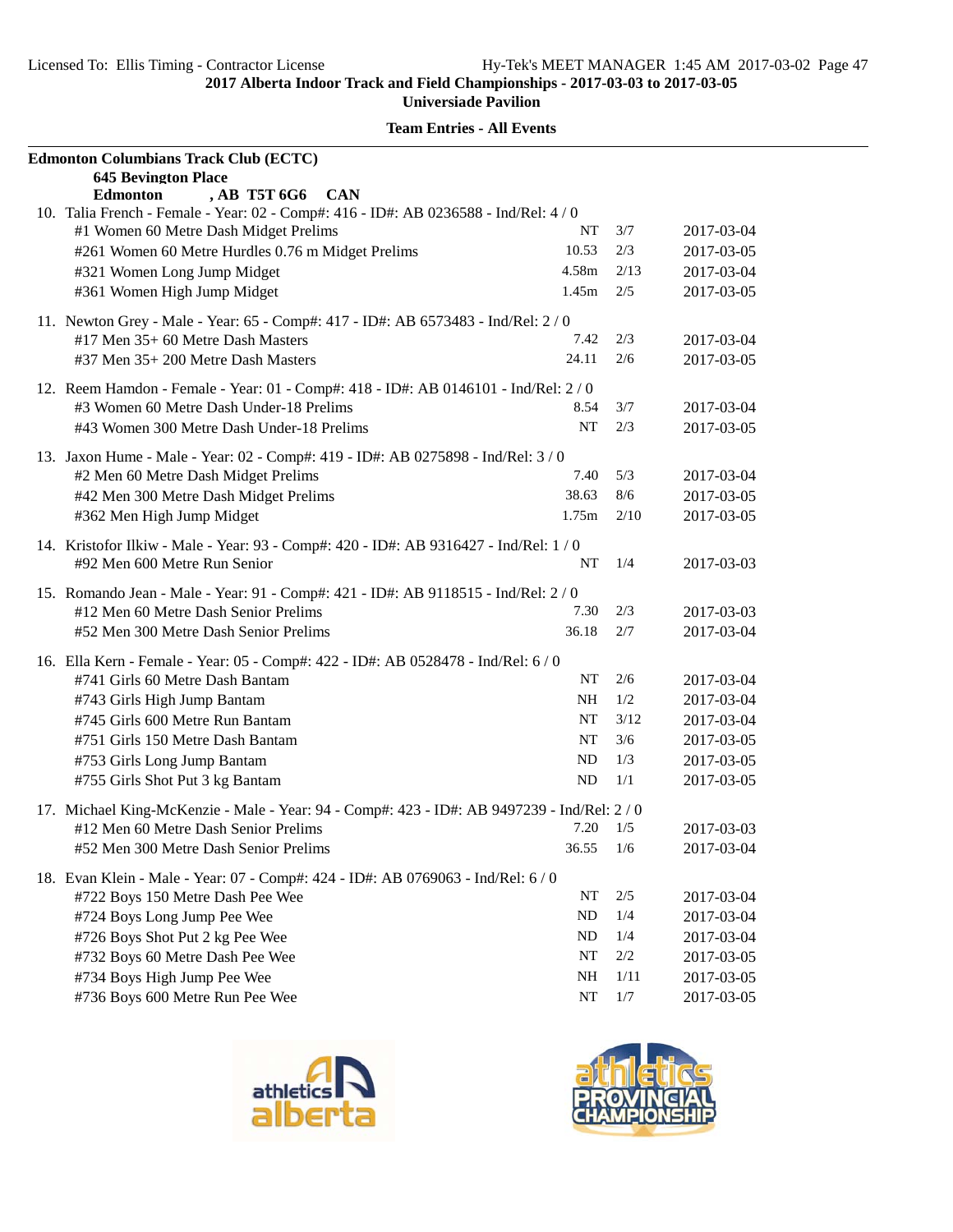| <b>Edmonton Columbians Track Club (ECTC)</b>                                                                                          |           |         |            |
|---------------------------------------------------------------------------------------------------------------------------------------|-----------|---------|------------|
| <b>645 Bevington Place</b>                                                                                                            |           |         |            |
| , AB T5T 6G6<br><b>Edmonton</b><br><b>CAN</b><br>10. Talia French - Female - Year: 02 - Comp#: 416 - ID#: AB 0236588 - Ind/Rel: 4 / 0 |           |         |            |
| #1 Women 60 Metre Dash Midget Prelims                                                                                                 | NT        | 3/7     | 2017-03-04 |
| #261 Women 60 Metre Hurdles 0.76 m Midget Prelims                                                                                     | 10.53     | 2/3     | 2017-03-05 |
| #321 Women Long Jump Midget                                                                                                           | 4.58m     | 2/13    | 2017-03-04 |
| #361 Women High Jump Midget                                                                                                           | 1.45m     | 2/5     | 2017-03-05 |
|                                                                                                                                       |           |         |            |
| 11. Newton Grey - Male - Year: 65 - Comp#: 417 - ID#: AB 6573483 - Ind/Rel: 2/0<br>#17 Men 35+ 60 Metre Dash Masters                  | 7.42      | 2/3     |            |
|                                                                                                                                       | 24.11     | 2/6     | 2017-03-04 |
| #37 Men 35+ 200 Metre Dash Masters                                                                                                    |           |         | 2017-03-05 |
| 12. Reem Hamdon - Female - Year: 01 - Comp#: 418 - ID#: AB 0146101 - Ind/Rel: 2/0                                                     |           |         |            |
| #3 Women 60 Metre Dash Under-18 Prelims                                                                                               | 8.54      | 3/7     | 2017-03-04 |
| #43 Women 300 Metre Dash Under-18 Prelims                                                                                             | NT        | 2/3     | 2017-03-05 |
| 13. Jaxon Hume - Male - Year: 02 - Comp#: 419 - ID#: AB 0275898 - Ind/Rel: 3 / 0                                                      |           |         |            |
| #2 Men 60 Metre Dash Midget Prelims                                                                                                   | 7.40      | 5/3     | 2017-03-04 |
| #42 Men 300 Metre Dash Midget Prelims                                                                                                 | 38.63     | 8/6     | 2017-03-05 |
| #362 Men High Jump Midget                                                                                                             | 1.75m     | 2/10    | 2017-03-05 |
| 14. Kristofor Ilkiw - Male - Year: 93 - Comp#: 420 - ID#: AB 9316427 - Ind/Rel: 1 / 0                                                 |           |         |            |
| #92 Men 600 Metre Run Senior                                                                                                          | NT        | 1/4     | 2017-03-03 |
| 15. Romando Jean - Male - Year: 91 - Comp#: 421 - ID#: AB 9118515 - Ind/Rel: 2 / 0                                                    |           |         |            |
| #12 Men 60 Metre Dash Senior Prelims                                                                                                  | 7.30      | 2/3     | 2017-03-03 |
| #52 Men 300 Metre Dash Senior Prelims                                                                                                 | 36.18     | 2/7     | 2017-03-04 |
| 16. Ella Kern - Female - Year: 05 - Comp#: 422 - ID#: AB 0528478 - Ind/Rel: 6 / 0                                                     |           |         |            |
| #741 Girls 60 Metre Dash Bantam                                                                                                       | NT        | 2/6     | 2017-03-04 |
| #743 Girls High Jump Bantam                                                                                                           | NH        | 1/2     | 2017-03-04 |
| #745 Girls 600 Metre Run Bantam                                                                                                       | NT        | 3/12    | 2017-03-04 |
| #751 Girls 150 Metre Dash Bantam                                                                                                      | NT        | 3/6     | 2017-03-05 |
| #753 Girls Long Jump Bantam                                                                                                           | ND        | 1/3     | 2017-03-05 |
| #755 Girls Shot Put 3 kg Bantam                                                                                                       | <b>ND</b> | 1/1     | 2017-03-05 |
| 17. Michael King-McKenzie - Male - Year: 94 - Comp#: 423 - ID#: AB 9497239 - Ind/Rel: 2/0                                             |           |         |            |
| #12 Men 60 Metre Dash Senior Prelims                                                                                                  | 7.20      | 1/5     | 2017-03-03 |
| #52 Men 300 Metre Dash Senior Prelims                                                                                                 | 36.55     | 1/6     | 2017-03-04 |
| 18. Evan Klein - Male - Year: 07 - Comp#: 424 - ID#: AB 0769063 - Ind/Rel: 6 / 0                                                      |           |         |            |
| #722 Boys 150 Metre Dash Pee Wee                                                                                                      | NT        | $2/5$   | 2017-03-04 |
| #724 Boys Long Jump Pee Wee                                                                                                           | ND        | $1/4\,$ | 2017-03-04 |
| #726 Boys Shot Put 2 kg Pee Wee                                                                                                       | ND        | 1/4     | 2017-03-04 |
| #732 Boys 60 Metre Dash Pee Wee                                                                                                       | NT        | $2/2\,$ | 2017-03-05 |
| #734 Boys High Jump Pee Wee                                                                                                           | NH        | 1/11    | 2017-03-05 |
| #736 Boys 600 Metre Run Pee Wee                                                                                                       | NT        | 1/7     | 2017-03-05 |



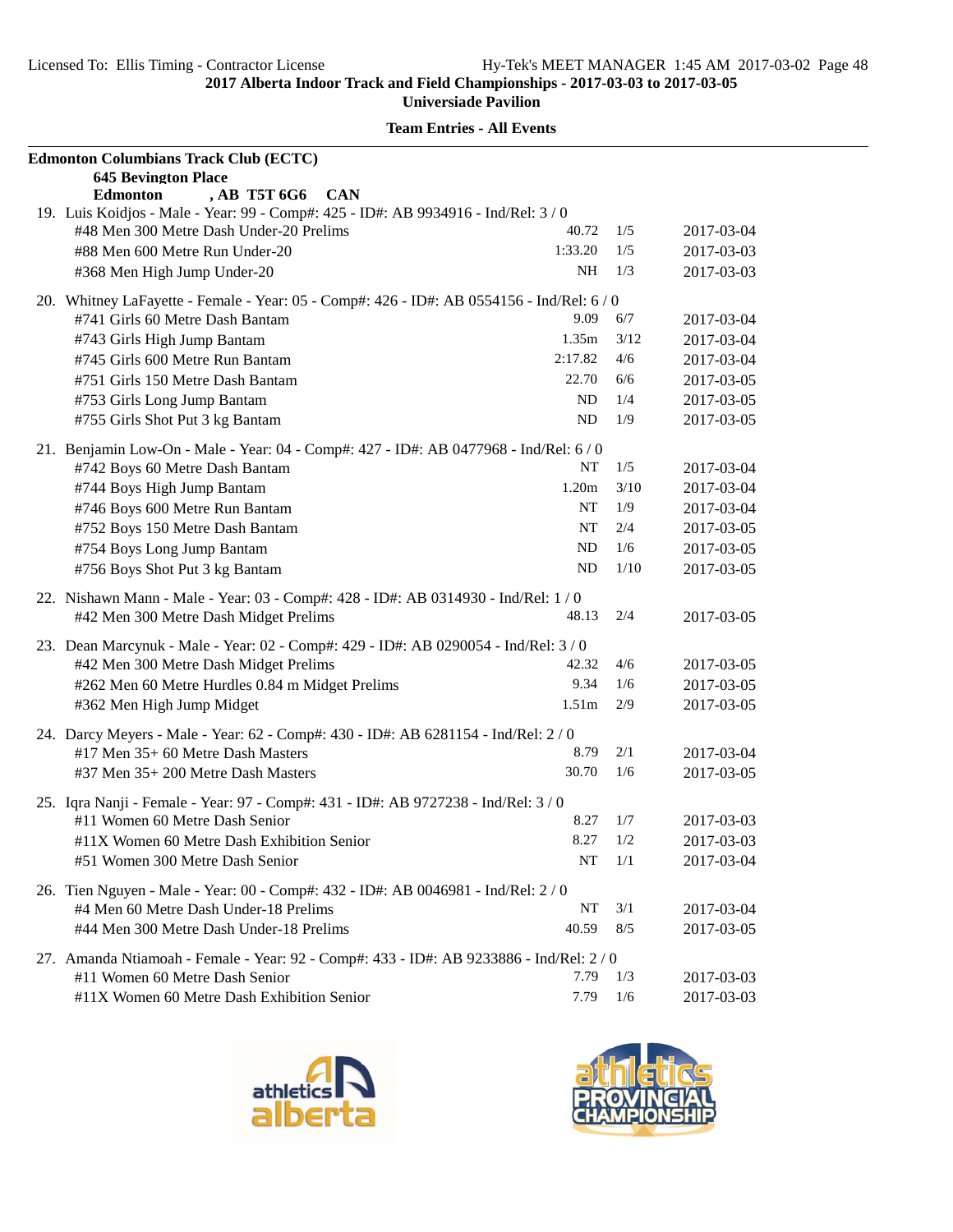| <b>Edmonton Columbians Track Club (ECTC)</b>                                                                                        |                   |      |            |
|-------------------------------------------------------------------------------------------------------------------------------------|-------------------|------|------------|
| <b>645 Bevington Place</b>                                                                                                          |                   |      |            |
| , AB T5T 6G6<br><b>Edmonton</b><br><b>CAN</b><br>19. Luis Koidjos - Male - Year: 99 - Comp#: 425 - ID#: AB 9934916 - Ind/Rel: 3 / 0 |                   |      |            |
| #48 Men 300 Metre Dash Under-20 Prelims                                                                                             | 40.72             | 1/5  | 2017-03-04 |
| #88 Men 600 Metre Run Under-20                                                                                                      | 1:33.20           | 1/5  | 2017-03-03 |
|                                                                                                                                     | NH                | 1/3  |            |
| #368 Men High Jump Under-20                                                                                                         |                   |      | 2017-03-03 |
| 20. Whitney LaFayette - Female - Year: 05 - Comp#: 426 - ID#: AB 0554156 - Ind/Rel: 6 / 0                                           |                   |      |            |
| #741 Girls 60 Metre Dash Bantam                                                                                                     | 9.09              | 6/7  | 2017-03-04 |
| #743 Girls High Jump Bantam                                                                                                         | 1.35m             | 3/12 | 2017-03-04 |
| #745 Girls 600 Metre Run Bantam                                                                                                     | 2:17.82           | 4/6  | 2017-03-04 |
| #751 Girls 150 Metre Dash Bantam                                                                                                    | 22.70             | 6/6  | 2017-03-05 |
| #753 Girls Long Jump Bantam                                                                                                         | ND                | 1/4  | 2017-03-05 |
| #755 Girls Shot Put 3 kg Bantam                                                                                                     | ND                | 1/9  | 2017-03-05 |
| 21. Benjamin Low-On - Male - Year: 04 - Comp#: 427 - ID#: AB 0477968 - Ind/Rel: 6 / 0                                               |                   |      |            |
| #742 Boys 60 Metre Dash Bantam                                                                                                      | NT                | 1/5  | 2017-03-04 |
| #744 Boys High Jump Bantam                                                                                                          | 1.20 <sub>m</sub> | 3/10 | 2017-03-04 |
| #746 Boys 600 Metre Run Bantam                                                                                                      | NT                | 1/9  | 2017-03-04 |
| #752 Boys 150 Metre Dash Bantam                                                                                                     | NT                | 2/4  | 2017-03-05 |
| #754 Boys Long Jump Bantam                                                                                                          | ND                | 1/6  | 2017-03-05 |
| #756 Boys Shot Put 3 kg Bantam                                                                                                      | ND                | 1/10 | 2017-03-05 |
|                                                                                                                                     |                   |      |            |
| 22. Nishawn Mann - Male - Year: 03 - Comp#: 428 - ID#: AB 0314930 - Ind/Rel: 1 / 0                                                  |                   |      |            |
| #42 Men 300 Metre Dash Midget Prelims                                                                                               | 48.13             | 2/4  | 2017-03-05 |
| 23. Dean Marcynuk - Male - Year: 02 - Comp#: 429 - ID#: AB 0290054 - Ind/Rel: 3 / 0                                                 |                   |      |            |
| #42 Men 300 Metre Dash Midget Prelims                                                                                               | 42.32             | 4/6  | 2017-03-05 |
| #262 Men 60 Metre Hurdles 0.84 m Midget Prelims                                                                                     | 9.34              | 1/6  | 2017-03-05 |
| #362 Men High Jump Midget                                                                                                           | 1.51 <sub>m</sub> | 2/9  | 2017-03-05 |
|                                                                                                                                     |                   |      |            |
| 24. Darcy Meyers - Male - Year: 62 - Comp#: 430 - ID#: AB 6281154 - Ind/Rel: 2/0<br>#17 Men 35+ 60 Metre Dash Masters               | 8.79              | 2/1  | 2017-03-04 |
|                                                                                                                                     | 30.70             | 1/6  | 2017-03-05 |
| #37 Men 35+ 200 Metre Dash Masters                                                                                                  |                   |      |            |
| 25. Iqra Nanji - Female - Year: 97 - Comp#: 431 - ID#: AB 9727238 - Ind/Rel: 3/0                                                    |                   |      |            |
| #11 Women 60 Metre Dash Senior                                                                                                      | 8.27              | 1/7  | 2017-03-03 |
| #11X Women 60 Metre Dash Exhibition Senior                                                                                          | $8.27$ $1/2$      |      | 2017-03-03 |
| #51 Women 300 Metre Dash Senior                                                                                                     | NT                | 1/1  | 2017-03-04 |
| 26. Tien Nguyen - Male - Year: 00 - Comp#: 432 - ID#: AB 0046981 - Ind/Rel: 2/0                                                     |                   |      |            |
| #4 Men 60 Metre Dash Under-18 Prelims                                                                                               | NT                | 3/1  | 2017-03-04 |
| #44 Men 300 Metre Dash Under-18 Prelims                                                                                             | 40.59             | 8/5  | 2017-03-05 |
|                                                                                                                                     |                   |      |            |
| 27. Amanda Ntiamoah - Female - Year: 92 - Comp#: 433 - ID#: AB 9233886 - Ind/Rel: 2 / 0                                             |                   |      |            |
| #11 Women 60 Metre Dash Senior                                                                                                      | 7.79              | 1/3  | 2017-03-03 |
| #11X Women 60 Metre Dash Exhibition Senior                                                                                          | 7.79              | 1/6  | 2017-03-03 |



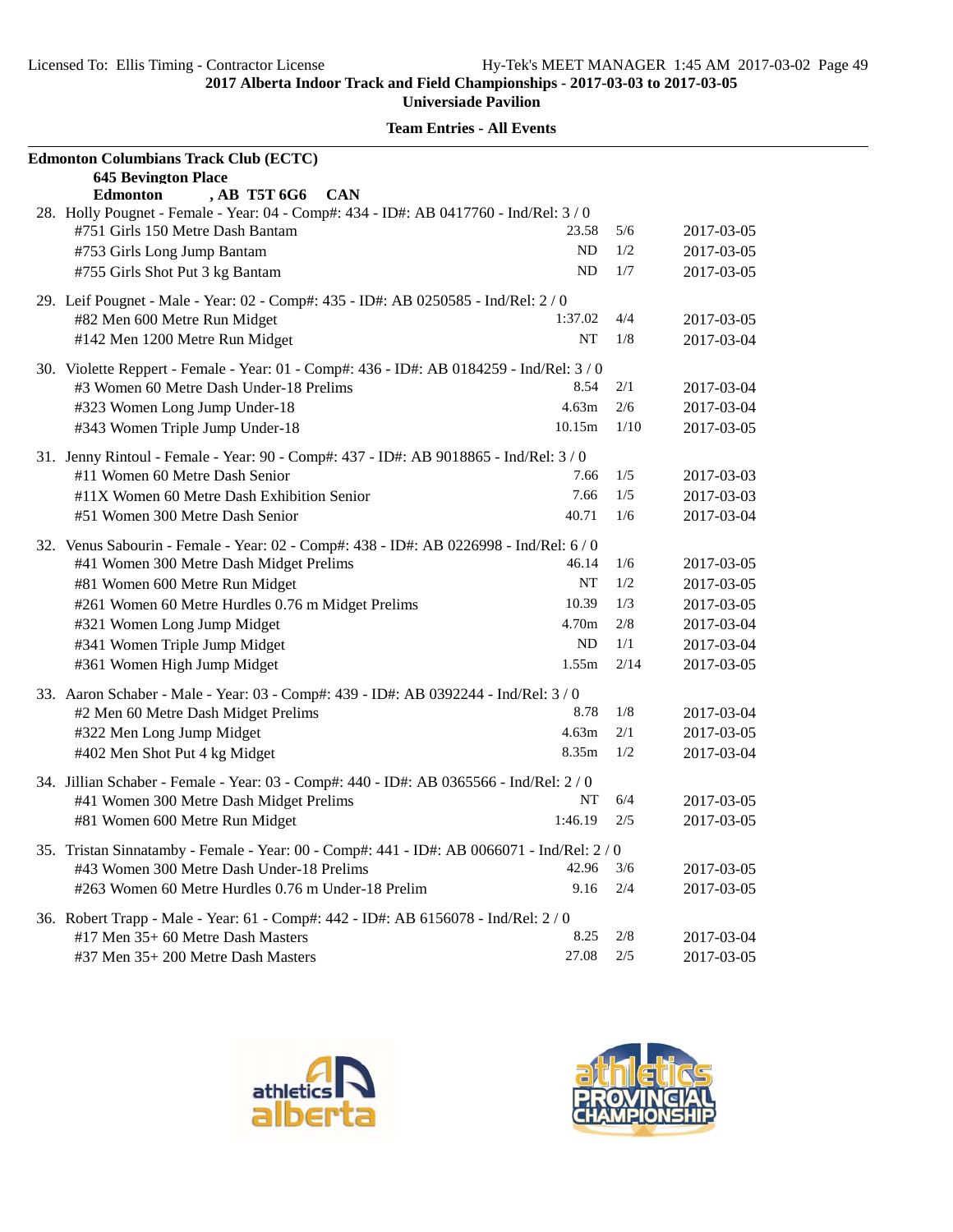| <b>Edmonton Columbians Track Club (ECTC)</b>                                               |           |       |            |
|--------------------------------------------------------------------------------------------|-----------|-------|------------|
| <b>645 Bevington Place</b>                                                                 |           |       |            |
| , AB T5T 6G6<br><b>Edmonton</b><br><b>CAN</b>                                              |           |       |            |
| 28. Holly Pougnet - Female - Year: 04 - Comp#: 434 - ID#: AB 0417760 - Ind/Rel: 3/0        |           |       |            |
| #751 Girls 150 Metre Dash Bantam                                                           | 23.58     | 5/6   | 2017-03-05 |
| #753 Girls Long Jump Bantam                                                                | ND        | 1/2   | 2017-03-05 |
| #755 Girls Shot Put 3 kg Bantam                                                            | ND        | 1/7   | 2017-03-05 |
| 29. Leif Pougnet - Male - Year: 02 - Comp#: 435 - ID#: AB 0250585 - Ind/Rel: 2/0           |           |       |            |
| #82 Men 600 Metre Run Midget                                                               | 1:37.02   | 4/4   | 2017-03-05 |
| #142 Men 1200 Metre Run Midget                                                             | <b>NT</b> | 1/8   | 2017-03-04 |
| 30. Violette Reppert - Female - Year: 01 - Comp#: 436 - ID#: AB 0184259 - Ind/Rel: 3 / 0   |           |       |            |
| #3 Women 60 Metre Dash Under-18 Prelims                                                    | 8.54      | 2/1   | 2017-03-04 |
| #323 Women Long Jump Under-18                                                              | 4.63m     | 2/6   | 2017-03-04 |
| #343 Women Triple Jump Under-18                                                            | 10.15m    | 1/10  | 2017-03-05 |
| 31. Jenny Rintoul - Female - Year: 90 - Comp#: 437 - ID#: AB 9018865 - Ind/Rel: 3 / 0      |           |       |            |
| #11 Women 60 Metre Dash Senior                                                             | 7.66      | 1/5   | 2017-03-03 |
| #11X Women 60 Metre Dash Exhibition Senior                                                 | 7.66      | 1/5   | 2017-03-03 |
| #51 Women 300 Metre Dash Senior                                                            | 40.71     | 1/6   | 2017-03-04 |
| 32. Venus Sabourin - Female - Year: 02 - Comp#: 438 - ID#: AB 0226998 - Ind/Rel: 6 / 0     |           |       |            |
| #41 Women 300 Metre Dash Midget Prelims                                                    | 46.14     | 1/6   | 2017-03-05 |
| #81 Women 600 Metre Run Midget                                                             | NT        | 1/2   | 2017-03-05 |
| #261 Women 60 Metre Hurdles 0.76 m Midget Prelims                                          | 10.39     | 1/3   | 2017-03-05 |
| #321 Women Long Jump Midget                                                                | 4.70m     | 2/8   | 2017-03-04 |
| #341 Women Triple Jump Midget                                                              | <b>ND</b> | 1/1   | 2017-03-04 |
| #361 Women High Jump Midget                                                                | 1.55m     | 2/14  | 2017-03-05 |
| 33. Aaron Schaber - Male - Year: 03 - Comp#: 439 - ID#: AB 0392244 - Ind/Rel: 3 / 0        |           |       |            |
| #2 Men 60 Metre Dash Midget Prelims                                                        | 8.78      | 1/8   | 2017-03-04 |
| #322 Men Long Jump Midget                                                                  | 4.63m     | 2/1   | 2017-03-05 |
| #402 Men Shot Put 4 kg Midget                                                              | 8.35m     | 1/2   | 2017-03-04 |
| 34. Jillian Schaber - Female - Year: 03 - Comp#: 440 - ID#: AB 0365566 - Ind/Rel: 2/0      |           |       |            |
| #41 Women 300 Metre Dash Midget Prelims                                                    | NT        | 6/4   | 2017-03-05 |
| #81 Women 600 Metre Run Midget                                                             | 1:46.19   | 2/5   | 2017-03-05 |
| 35. Tristan Sinnatamby - Female - Year: 00 - Comp#: 441 - ID#: AB 0066071 - Ind/Rel: 2 / 0 |           |       |            |
| #43 Women 300 Metre Dash Under-18 Prelims                                                  | 42.96     | 3/6   | 2017-03-05 |
| #263 Women 60 Metre Hurdles 0.76 m Under-18 Prelim                                         | 9.16      | 2/4   | 2017-03-05 |
| 36. Robert Trapp - Male - Year: 61 - Comp#: 442 - ID#: AB 6156078 - Ind/Rel: 2 / 0         |           |       |            |
| #17 Men 35+60 Metre Dash Masters                                                           | 8.25      | 2/8   | 2017-03-04 |
| #37 Men 35+ 200 Metre Dash Masters                                                         | 27.08     | $2/5$ | 2017-03-05 |
|                                                                                            |           |       |            |



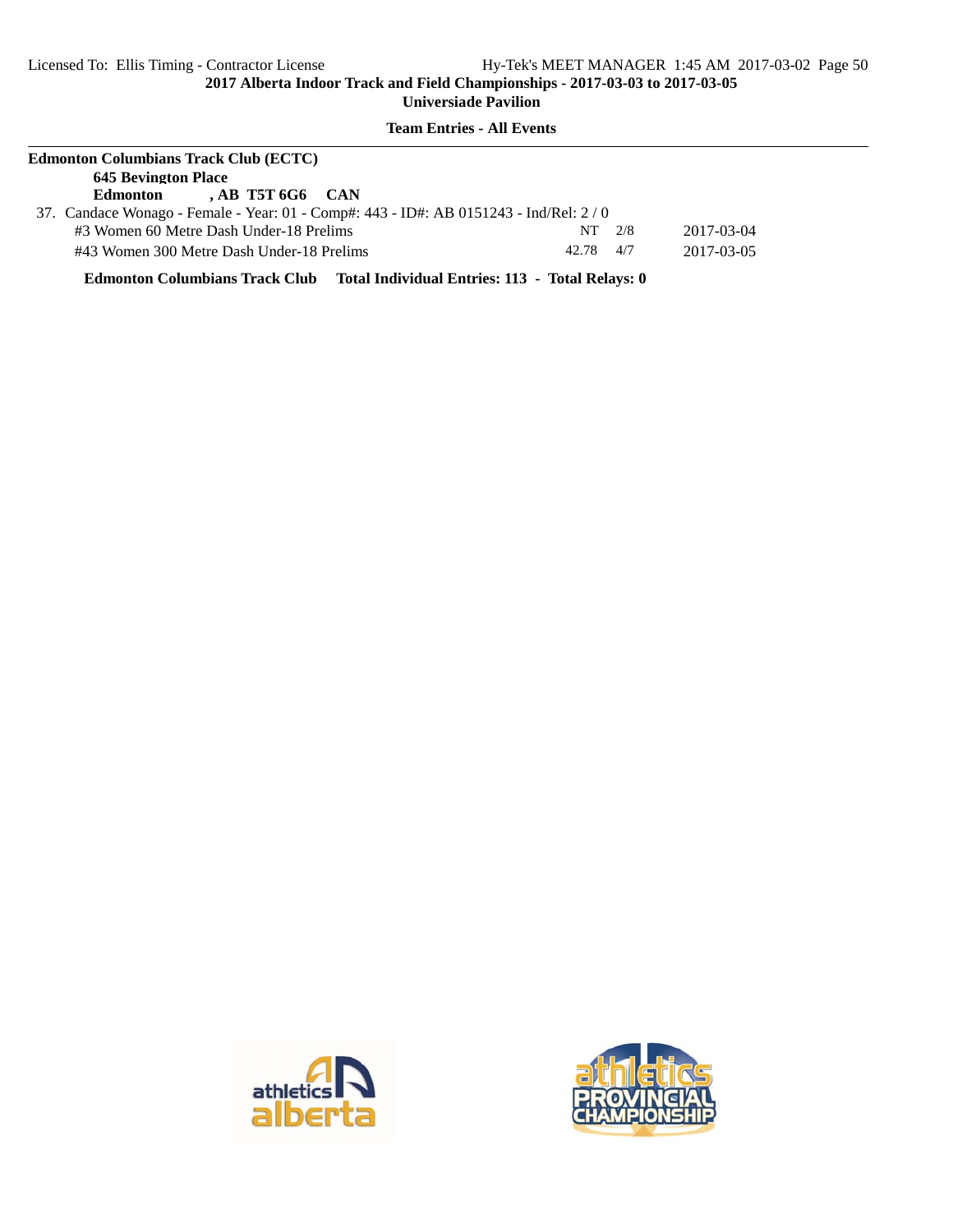## **Team Entries - All Events**

| <b>Edmonton Columbians Track Club (ECTC)</b> |                                                                                      |               |            |  |  |  |
|----------------------------------------------|--------------------------------------------------------------------------------------|---------------|------------|--|--|--|
|                                              | <b>645 Bevington Place</b>                                                           |               |            |  |  |  |
|                                              | $AB$ T5T 6G6 CAN<br>Edmonton                                                         |               |            |  |  |  |
|                                              | 37. Candace Wonago - Female - Year: 01 - Comp#: 443 - ID#: AB 0151243 - Ind/Rel: 2/0 |               |            |  |  |  |
|                                              | #3 Women 60 Metre Dash Under-18 Prelims                                              | 2/8<br>NT.    | 2017-03-04 |  |  |  |
|                                              | #43 Women 300 Metre Dash Under-18 Prelims                                            | $42.78$ $4/7$ | 2017-03-05 |  |  |  |

**Edmonton Columbians Track Club Total Individual Entries: 113 - Total Relays: 0**



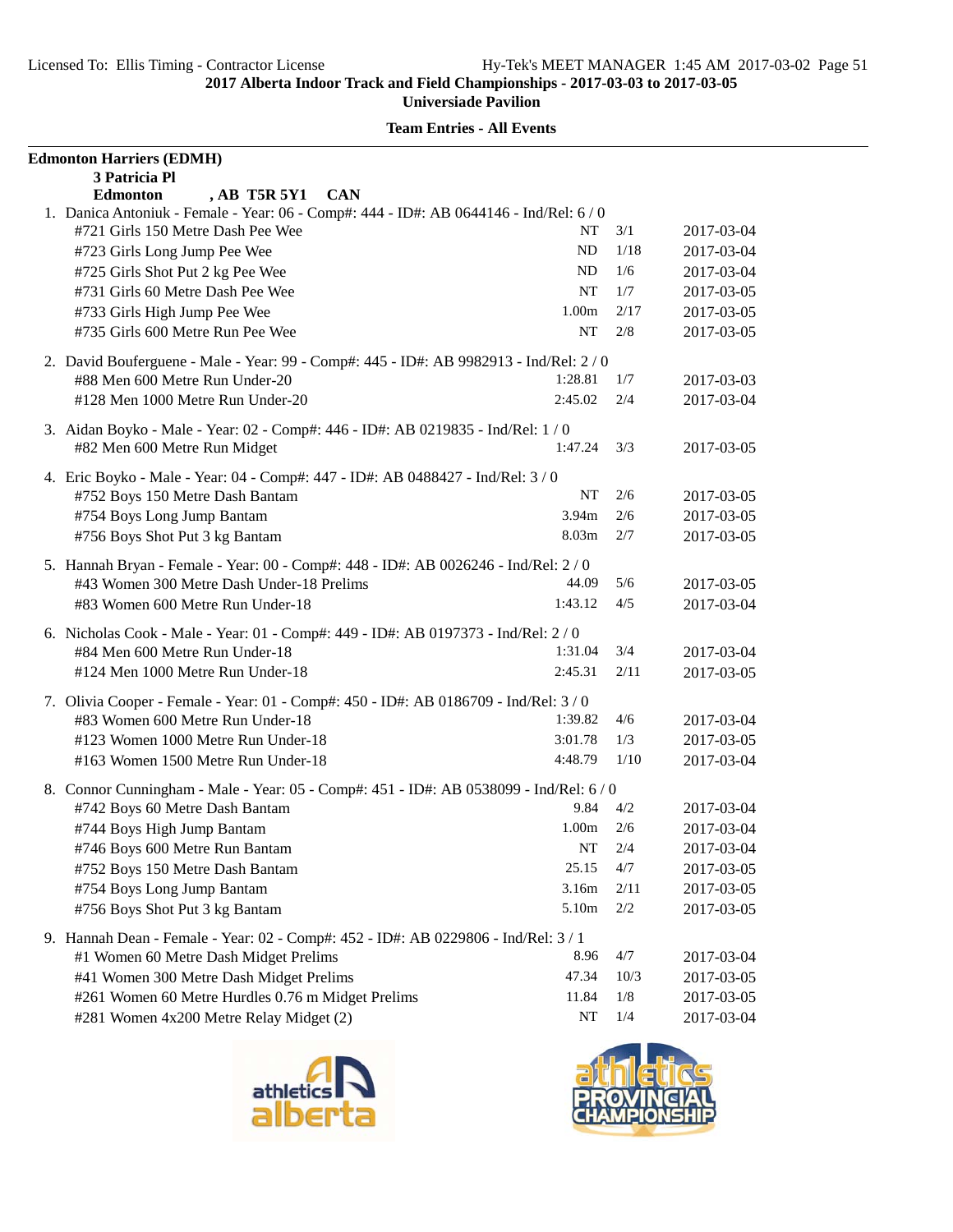| <b>Team Entries - All Events</b> |
|----------------------------------|
|----------------------------------|

| , AB T5R 5Y1<br><b>CAN</b><br><b>Edmonton</b><br>1. Danica Antoniuk - Female - Year: 06 - Comp#: 444 - ID#: AB 0644146 - Ind/Rel: 6/0<br>#721 Girls 150 Metre Dash Pee Wee<br>NT<br>3/1<br>2017-03-04<br><b>ND</b><br>1/18<br>#723 Girls Long Jump Pee Wee<br>2017-03-04<br>ND<br>1/6<br>#725 Girls Shot Put 2 kg Pee Wee<br>2017-03-04<br>#731 Girls 60 Metre Dash Pee Wee<br>1/7<br>NT<br>2017-03-05<br>1.00m<br>2/17<br>#733 Girls High Jump Pee Wee<br>2017-03-05<br>#735 Girls 600 Metre Run Pee Wee<br>NT<br>2/8<br>2017-03-05<br>2. David Bouferguene - Male - Year: 99 - Comp#: 445 - ID#: AB 9982913 - Ind/Rel: 2/0<br>#88 Men 600 Metre Run Under-20<br>1:28.81<br>1/7<br>2017-03-03<br>#128 Men 1000 Metre Run Under-20<br>2:45.02<br>2/4<br>2017-03-04<br>3. Aidan Boyko - Male - Year: 02 - Comp#: 446 - ID#: AB 0219835 - Ind/Rel: 1 / 0<br>#82 Men 600 Metre Run Midget<br>1:47.24<br>3/3<br>2017-03-05<br>4. Eric Boyko - Male - Year: 04 - Comp#: 447 - ID#: AB 0488427 - Ind/Rel: 3 / 0<br>NT<br>#752 Boys 150 Metre Dash Bantam<br>2/6<br>2017-03-05<br>#754 Boys Long Jump Bantam<br>3.94m<br>2/6<br>2017-03-05<br>#756 Boys Shot Put 3 kg Bantam<br>8.03m<br>2/7<br>2017-03-05<br>5. Hannah Bryan - Female - Year: 00 - Comp#: 448 - ID#: AB 0026246 - Ind/Rel: 2 / 0<br>#43 Women 300 Metre Dash Under-18 Prelims<br>5/6<br>44.09<br>2017-03-05<br>#83 Women 600 Metre Run Under-18<br>1:43.12<br>4/5<br>2017-03-04<br>6. Nicholas Cook - Male - Year: 01 - Comp#: 449 - ID#: AB 0197373 - Ind/Rel: 2/0<br>3/4<br>#84 Men 600 Metre Run Under-18<br>1:31.04<br>2017-03-04<br>2:45.31<br>2/11<br>#124 Men 1000 Metre Run Under-18<br>2017-03-05<br>7. Olivia Cooper - Female - Year: 01 - Comp#: 450 - ID#: AB 0186709 - Ind/Rel: 3/0<br>#83 Women 600 Metre Run Under-18<br>4/6<br>1:39.82<br>2017-03-04<br>#123 Women 1000 Metre Run Under-18<br>1/3<br>3:01.78<br>2017-03-05<br>4:48.79<br>1/10<br>2017-03-04<br>#163 Women 1500 Metre Run Under-18<br>8. Connor Cunningham - Male - Year: 05 - Comp#: 451 - ID#: AB 0538099 - Ind/Rel: 6 / 0<br>#742 Boys 60 Metre Dash Bantam<br>9.84<br>4/2<br>2017-03-04<br>#744 Boys High Jump Bantam<br>1.00m<br>2/6<br>2017-03-04<br>#746 Boys 600 Metre Run Bantam<br>NT<br>2/4<br>2017-03-04<br>25.15<br>4/7<br>#752 Boys 150 Metre Dash Bantam<br>2017-03-05<br>#754 Boys Long Jump Bantam<br>3.16m<br>2/11<br>2017-03-05<br>5.10m<br>2/2<br>#756 Boys Shot Put 3 kg Bantam<br>2017-03-05<br>9. Hannah Dean - Female - Year: 02 - Comp#: 452 - ID#: AB 0229806 - Ind/Rel: 3 / 1<br>8.96<br>4/7<br>#1 Women 60 Metre Dash Midget Prelims<br>2017-03-04<br>#41 Women 300 Metre Dash Midget Prelims<br>47.34<br>10/3<br>2017-03-05<br>$1/8$<br>#261 Women 60 Metre Hurdles 0.76 m Midget Prelims<br>11.84<br>2017-03-05 | <b>Edmonton Harriers (EDMH)</b>         |    |     |            |
|----------------------------------------------------------------------------------------------------------------------------------------------------------------------------------------------------------------------------------------------------------------------------------------------------------------------------------------------------------------------------------------------------------------------------------------------------------------------------------------------------------------------------------------------------------------------------------------------------------------------------------------------------------------------------------------------------------------------------------------------------------------------------------------------------------------------------------------------------------------------------------------------------------------------------------------------------------------------------------------------------------------------------------------------------------------------------------------------------------------------------------------------------------------------------------------------------------------------------------------------------------------------------------------------------------------------------------------------------------------------------------------------------------------------------------------------------------------------------------------------------------------------------------------------------------------------------------------------------------------------------------------------------------------------------------------------------------------------------------------------------------------------------------------------------------------------------------------------------------------------------------------------------------------------------------------------------------------------------------------------------------------------------------------------------------------------------------------------------------------------------------------------------------------------------------------------------------------------------------------------------------------------------------------------------------------------------------------------------------------------------------------------------------------------------------------------------------------------------------------------------------------------------------------------------------------------------------------------------------------------------------------------------------------------------------------------------------------------------------------------------------------------------------------|-----------------------------------------|----|-----|------------|
|                                                                                                                                                                                                                                                                                                                                                                                                                                                                                                                                                                                                                                                                                                                                                                                                                                                                                                                                                                                                                                                                                                                                                                                                                                                                                                                                                                                                                                                                                                                                                                                                                                                                                                                                                                                                                                                                                                                                                                                                                                                                                                                                                                                                                                                                                                                                                                                                                                                                                                                                                                                                                                                                                                                                                                                        | 3 Patricia Pl                           |    |     |            |
|                                                                                                                                                                                                                                                                                                                                                                                                                                                                                                                                                                                                                                                                                                                                                                                                                                                                                                                                                                                                                                                                                                                                                                                                                                                                                                                                                                                                                                                                                                                                                                                                                                                                                                                                                                                                                                                                                                                                                                                                                                                                                                                                                                                                                                                                                                                                                                                                                                                                                                                                                                                                                                                                                                                                                                                        |                                         |    |     |            |
|                                                                                                                                                                                                                                                                                                                                                                                                                                                                                                                                                                                                                                                                                                                                                                                                                                                                                                                                                                                                                                                                                                                                                                                                                                                                                                                                                                                                                                                                                                                                                                                                                                                                                                                                                                                                                                                                                                                                                                                                                                                                                                                                                                                                                                                                                                                                                                                                                                                                                                                                                                                                                                                                                                                                                                                        |                                         |    |     |            |
|                                                                                                                                                                                                                                                                                                                                                                                                                                                                                                                                                                                                                                                                                                                                                                                                                                                                                                                                                                                                                                                                                                                                                                                                                                                                                                                                                                                                                                                                                                                                                                                                                                                                                                                                                                                                                                                                                                                                                                                                                                                                                                                                                                                                                                                                                                                                                                                                                                                                                                                                                                                                                                                                                                                                                                                        |                                         |    |     |            |
|                                                                                                                                                                                                                                                                                                                                                                                                                                                                                                                                                                                                                                                                                                                                                                                                                                                                                                                                                                                                                                                                                                                                                                                                                                                                                                                                                                                                                                                                                                                                                                                                                                                                                                                                                                                                                                                                                                                                                                                                                                                                                                                                                                                                                                                                                                                                                                                                                                                                                                                                                                                                                                                                                                                                                                                        |                                         |    |     |            |
|                                                                                                                                                                                                                                                                                                                                                                                                                                                                                                                                                                                                                                                                                                                                                                                                                                                                                                                                                                                                                                                                                                                                                                                                                                                                                                                                                                                                                                                                                                                                                                                                                                                                                                                                                                                                                                                                                                                                                                                                                                                                                                                                                                                                                                                                                                                                                                                                                                                                                                                                                                                                                                                                                                                                                                                        |                                         |    |     |            |
|                                                                                                                                                                                                                                                                                                                                                                                                                                                                                                                                                                                                                                                                                                                                                                                                                                                                                                                                                                                                                                                                                                                                                                                                                                                                                                                                                                                                                                                                                                                                                                                                                                                                                                                                                                                                                                                                                                                                                                                                                                                                                                                                                                                                                                                                                                                                                                                                                                                                                                                                                                                                                                                                                                                                                                                        |                                         |    |     |            |
|                                                                                                                                                                                                                                                                                                                                                                                                                                                                                                                                                                                                                                                                                                                                                                                                                                                                                                                                                                                                                                                                                                                                                                                                                                                                                                                                                                                                                                                                                                                                                                                                                                                                                                                                                                                                                                                                                                                                                                                                                                                                                                                                                                                                                                                                                                                                                                                                                                                                                                                                                                                                                                                                                                                                                                                        |                                         |    |     |            |
|                                                                                                                                                                                                                                                                                                                                                                                                                                                                                                                                                                                                                                                                                                                                                                                                                                                                                                                                                                                                                                                                                                                                                                                                                                                                                                                                                                                                                                                                                                                                                                                                                                                                                                                                                                                                                                                                                                                                                                                                                                                                                                                                                                                                                                                                                                                                                                                                                                                                                                                                                                                                                                                                                                                                                                                        |                                         |    |     |            |
|                                                                                                                                                                                                                                                                                                                                                                                                                                                                                                                                                                                                                                                                                                                                                                                                                                                                                                                                                                                                                                                                                                                                                                                                                                                                                                                                                                                                                                                                                                                                                                                                                                                                                                                                                                                                                                                                                                                                                                                                                                                                                                                                                                                                                                                                                                                                                                                                                                                                                                                                                                                                                                                                                                                                                                                        |                                         |    |     |            |
|                                                                                                                                                                                                                                                                                                                                                                                                                                                                                                                                                                                                                                                                                                                                                                                                                                                                                                                                                                                                                                                                                                                                                                                                                                                                                                                                                                                                                                                                                                                                                                                                                                                                                                                                                                                                                                                                                                                                                                                                                                                                                                                                                                                                                                                                                                                                                                                                                                                                                                                                                                                                                                                                                                                                                                                        |                                         |    |     |            |
|                                                                                                                                                                                                                                                                                                                                                                                                                                                                                                                                                                                                                                                                                                                                                                                                                                                                                                                                                                                                                                                                                                                                                                                                                                                                                                                                                                                                                                                                                                                                                                                                                                                                                                                                                                                                                                                                                                                                                                                                                                                                                                                                                                                                                                                                                                                                                                                                                                                                                                                                                                                                                                                                                                                                                                                        |                                         |    |     |            |
|                                                                                                                                                                                                                                                                                                                                                                                                                                                                                                                                                                                                                                                                                                                                                                                                                                                                                                                                                                                                                                                                                                                                                                                                                                                                                                                                                                                                                                                                                                                                                                                                                                                                                                                                                                                                                                                                                                                                                                                                                                                                                                                                                                                                                                                                                                                                                                                                                                                                                                                                                                                                                                                                                                                                                                                        |                                         |    |     |            |
|                                                                                                                                                                                                                                                                                                                                                                                                                                                                                                                                                                                                                                                                                                                                                                                                                                                                                                                                                                                                                                                                                                                                                                                                                                                                                                                                                                                                                                                                                                                                                                                                                                                                                                                                                                                                                                                                                                                                                                                                                                                                                                                                                                                                                                                                                                                                                                                                                                                                                                                                                                                                                                                                                                                                                                                        |                                         |    |     |            |
|                                                                                                                                                                                                                                                                                                                                                                                                                                                                                                                                                                                                                                                                                                                                                                                                                                                                                                                                                                                                                                                                                                                                                                                                                                                                                                                                                                                                                                                                                                                                                                                                                                                                                                                                                                                                                                                                                                                                                                                                                                                                                                                                                                                                                                                                                                                                                                                                                                                                                                                                                                                                                                                                                                                                                                                        |                                         |    |     |            |
|                                                                                                                                                                                                                                                                                                                                                                                                                                                                                                                                                                                                                                                                                                                                                                                                                                                                                                                                                                                                                                                                                                                                                                                                                                                                                                                                                                                                                                                                                                                                                                                                                                                                                                                                                                                                                                                                                                                                                                                                                                                                                                                                                                                                                                                                                                                                                                                                                                                                                                                                                                                                                                                                                                                                                                                        |                                         |    |     |            |
|                                                                                                                                                                                                                                                                                                                                                                                                                                                                                                                                                                                                                                                                                                                                                                                                                                                                                                                                                                                                                                                                                                                                                                                                                                                                                                                                                                                                                                                                                                                                                                                                                                                                                                                                                                                                                                                                                                                                                                                                                                                                                                                                                                                                                                                                                                                                                                                                                                                                                                                                                                                                                                                                                                                                                                                        |                                         |    |     |            |
|                                                                                                                                                                                                                                                                                                                                                                                                                                                                                                                                                                                                                                                                                                                                                                                                                                                                                                                                                                                                                                                                                                                                                                                                                                                                                                                                                                                                                                                                                                                                                                                                                                                                                                                                                                                                                                                                                                                                                                                                                                                                                                                                                                                                                                                                                                                                                                                                                                                                                                                                                                                                                                                                                                                                                                                        |                                         |    |     |            |
|                                                                                                                                                                                                                                                                                                                                                                                                                                                                                                                                                                                                                                                                                                                                                                                                                                                                                                                                                                                                                                                                                                                                                                                                                                                                                                                                                                                                                                                                                                                                                                                                                                                                                                                                                                                                                                                                                                                                                                                                                                                                                                                                                                                                                                                                                                                                                                                                                                                                                                                                                                                                                                                                                                                                                                                        |                                         |    |     |            |
|                                                                                                                                                                                                                                                                                                                                                                                                                                                                                                                                                                                                                                                                                                                                                                                                                                                                                                                                                                                                                                                                                                                                                                                                                                                                                                                                                                                                                                                                                                                                                                                                                                                                                                                                                                                                                                                                                                                                                                                                                                                                                                                                                                                                                                                                                                                                                                                                                                                                                                                                                                                                                                                                                                                                                                                        |                                         |    |     |            |
|                                                                                                                                                                                                                                                                                                                                                                                                                                                                                                                                                                                                                                                                                                                                                                                                                                                                                                                                                                                                                                                                                                                                                                                                                                                                                                                                                                                                                                                                                                                                                                                                                                                                                                                                                                                                                                                                                                                                                                                                                                                                                                                                                                                                                                                                                                                                                                                                                                                                                                                                                                                                                                                                                                                                                                                        |                                         |    |     |            |
|                                                                                                                                                                                                                                                                                                                                                                                                                                                                                                                                                                                                                                                                                                                                                                                                                                                                                                                                                                                                                                                                                                                                                                                                                                                                                                                                                                                                                                                                                                                                                                                                                                                                                                                                                                                                                                                                                                                                                                                                                                                                                                                                                                                                                                                                                                                                                                                                                                                                                                                                                                                                                                                                                                                                                                                        |                                         |    |     |            |
|                                                                                                                                                                                                                                                                                                                                                                                                                                                                                                                                                                                                                                                                                                                                                                                                                                                                                                                                                                                                                                                                                                                                                                                                                                                                                                                                                                                                                                                                                                                                                                                                                                                                                                                                                                                                                                                                                                                                                                                                                                                                                                                                                                                                                                                                                                                                                                                                                                                                                                                                                                                                                                                                                                                                                                                        |                                         |    |     |            |
|                                                                                                                                                                                                                                                                                                                                                                                                                                                                                                                                                                                                                                                                                                                                                                                                                                                                                                                                                                                                                                                                                                                                                                                                                                                                                                                                                                                                                                                                                                                                                                                                                                                                                                                                                                                                                                                                                                                                                                                                                                                                                                                                                                                                                                                                                                                                                                                                                                                                                                                                                                                                                                                                                                                                                                                        |                                         |    |     |            |
|                                                                                                                                                                                                                                                                                                                                                                                                                                                                                                                                                                                                                                                                                                                                                                                                                                                                                                                                                                                                                                                                                                                                                                                                                                                                                                                                                                                                                                                                                                                                                                                                                                                                                                                                                                                                                                                                                                                                                                                                                                                                                                                                                                                                                                                                                                                                                                                                                                                                                                                                                                                                                                                                                                                                                                                        |                                         |    |     |            |
|                                                                                                                                                                                                                                                                                                                                                                                                                                                                                                                                                                                                                                                                                                                                                                                                                                                                                                                                                                                                                                                                                                                                                                                                                                                                                                                                                                                                                                                                                                                                                                                                                                                                                                                                                                                                                                                                                                                                                                                                                                                                                                                                                                                                                                                                                                                                                                                                                                                                                                                                                                                                                                                                                                                                                                                        |                                         |    |     |            |
|                                                                                                                                                                                                                                                                                                                                                                                                                                                                                                                                                                                                                                                                                                                                                                                                                                                                                                                                                                                                                                                                                                                                                                                                                                                                                                                                                                                                                                                                                                                                                                                                                                                                                                                                                                                                                                                                                                                                                                                                                                                                                                                                                                                                                                                                                                                                                                                                                                                                                                                                                                                                                                                                                                                                                                                        |                                         |    |     |            |
|                                                                                                                                                                                                                                                                                                                                                                                                                                                                                                                                                                                                                                                                                                                                                                                                                                                                                                                                                                                                                                                                                                                                                                                                                                                                                                                                                                                                                                                                                                                                                                                                                                                                                                                                                                                                                                                                                                                                                                                                                                                                                                                                                                                                                                                                                                                                                                                                                                                                                                                                                                                                                                                                                                                                                                                        |                                         |    |     |            |
|                                                                                                                                                                                                                                                                                                                                                                                                                                                                                                                                                                                                                                                                                                                                                                                                                                                                                                                                                                                                                                                                                                                                                                                                                                                                                                                                                                                                                                                                                                                                                                                                                                                                                                                                                                                                                                                                                                                                                                                                                                                                                                                                                                                                                                                                                                                                                                                                                                                                                                                                                                                                                                                                                                                                                                                        |                                         |    |     |            |
|                                                                                                                                                                                                                                                                                                                                                                                                                                                                                                                                                                                                                                                                                                                                                                                                                                                                                                                                                                                                                                                                                                                                                                                                                                                                                                                                                                                                                                                                                                                                                                                                                                                                                                                                                                                                                                                                                                                                                                                                                                                                                                                                                                                                                                                                                                                                                                                                                                                                                                                                                                                                                                                                                                                                                                                        |                                         |    |     |            |
|                                                                                                                                                                                                                                                                                                                                                                                                                                                                                                                                                                                                                                                                                                                                                                                                                                                                                                                                                                                                                                                                                                                                                                                                                                                                                                                                                                                                                                                                                                                                                                                                                                                                                                                                                                                                                                                                                                                                                                                                                                                                                                                                                                                                                                                                                                                                                                                                                                                                                                                                                                                                                                                                                                                                                                                        |                                         |    |     |            |
|                                                                                                                                                                                                                                                                                                                                                                                                                                                                                                                                                                                                                                                                                                                                                                                                                                                                                                                                                                                                                                                                                                                                                                                                                                                                                                                                                                                                                                                                                                                                                                                                                                                                                                                                                                                                                                                                                                                                                                                                                                                                                                                                                                                                                                                                                                                                                                                                                                                                                                                                                                                                                                                                                                                                                                                        |                                         |    |     |            |
|                                                                                                                                                                                                                                                                                                                                                                                                                                                                                                                                                                                                                                                                                                                                                                                                                                                                                                                                                                                                                                                                                                                                                                                                                                                                                                                                                                                                                                                                                                                                                                                                                                                                                                                                                                                                                                                                                                                                                                                                                                                                                                                                                                                                                                                                                                                                                                                                                                                                                                                                                                                                                                                                                                                                                                                        |                                         |    |     |            |
|                                                                                                                                                                                                                                                                                                                                                                                                                                                                                                                                                                                                                                                                                                                                                                                                                                                                                                                                                                                                                                                                                                                                                                                                                                                                                                                                                                                                                                                                                                                                                                                                                                                                                                                                                                                                                                                                                                                                                                                                                                                                                                                                                                                                                                                                                                                                                                                                                                                                                                                                                                                                                                                                                                                                                                                        |                                         |    |     |            |
|                                                                                                                                                                                                                                                                                                                                                                                                                                                                                                                                                                                                                                                                                                                                                                                                                                                                                                                                                                                                                                                                                                                                                                                                                                                                                                                                                                                                                                                                                                                                                                                                                                                                                                                                                                                                                                                                                                                                                                                                                                                                                                                                                                                                                                                                                                                                                                                                                                                                                                                                                                                                                                                                                                                                                                                        |                                         |    |     |            |
|                                                                                                                                                                                                                                                                                                                                                                                                                                                                                                                                                                                                                                                                                                                                                                                                                                                                                                                                                                                                                                                                                                                                                                                                                                                                                                                                                                                                                                                                                                                                                                                                                                                                                                                                                                                                                                                                                                                                                                                                                                                                                                                                                                                                                                                                                                                                                                                                                                                                                                                                                                                                                                                                                                                                                                                        |                                         |    |     |            |
|                                                                                                                                                                                                                                                                                                                                                                                                                                                                                                                                                                                                                                                                                                                                                                                                                                                                                                                                                                                                                                                                                                                                                                                                                                                                                                                                                                                                                                                                                                                                                                                                                                                                                                                                                                                                                                                                                                                                                                                                                                                                                                                                                                                                                                                                                                                                                                                                                                                                                                                                                                                                                                                                                                                                                                                        |                                         |    |     |            |
|                                                                                                                                                                                                                                                                                                                                                                                                                                                                                                                                                                                                                                                                                                                                                                                                                                                                                                                                                                                                                                                                                                                                                                                                                                                                                                                                                                                                                                                                                                                                                                                                                                                                                                                                                                                                                                                                                                                                                                                                                                                                                                                                                                                                                                                                                                                                                                                                                                                                                                                                                                                                                                                                                                                                                                                        |                                         |    |     |            |
|                                                                                                                                                                                                                                                                                                                                                                                                                                                                                                                                                                                                                                                                                                                                                                                                                                                                                                                                                                                                                                                                                                                                                                                                                                                                                                                                                                                                                                                                                                                                                                                                                                                                                                                                                                                                                                                                                                                                                                                                                                                                                                                                                                                                                                                                                                                                                                                                                                                                                                                                                                                                                                                                                                                                                                                        |                                         |    |     |            |
|                                                                                                                                                                                                                                                                                                                                                                                                                                                                                                                                                                                                                                                                                                                                                                                                                                                                                                                                                                                                                                                                                                                                                                                                                                                                                                                                                                                                                                                                                                                                                                                                                                                                                                                                                                                                                                                                                                                                                                                                                                                                                                                                                                                                                                                                                                                                                                                                                                                                                                                                                                                                                                                                                                                                                                                        | #281 Women 4x200 Metre Relay Midget (2) | NT | 1/4 | 2017-03-04 |



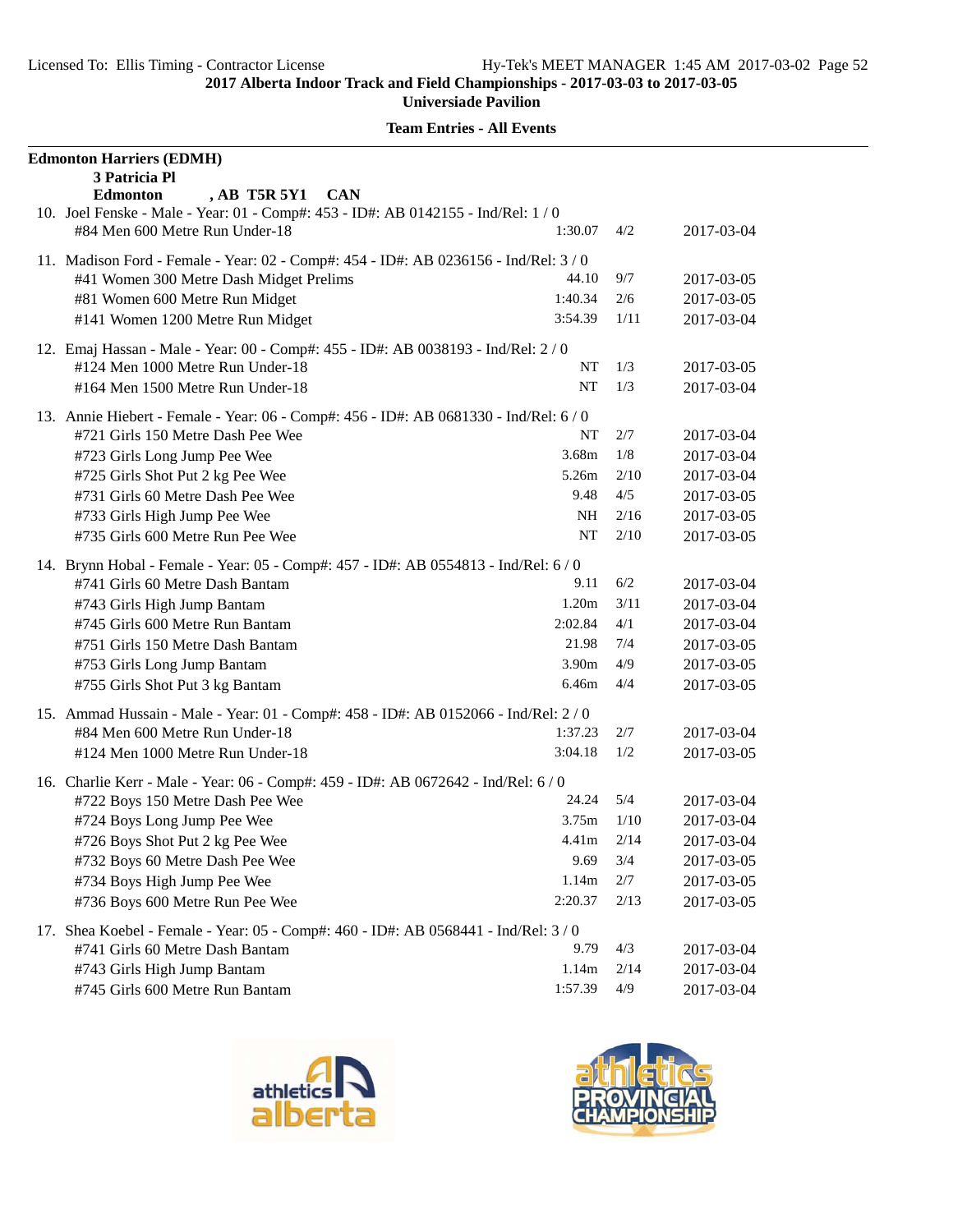| <b>Team Entries - All Events</b> |
|----------------------------------|
|----------------------------------|

| <b>Edmonton Harriers (EDMH)</b>                                                     |                   |      |            |
|-------------------------------------------------------------------------------------|-------------------|------|------------|
| 3 Patricia Pl<br>, AB T5R 5Y1<br><b>CAN</b><br><b>Edmonton</b>                      |                   |      |            |
| 10. Joel Fenske - Male - Year: 01 - Comp#: 453 - ID#: AB 0142155 - Ind/Rel: 1 / 0   |                   |      |            |
| #84 Men 600 Metre Run Under-18                                                      | 1:30.07           | 4/2  | 2017-03-04 |
| 11. Madison Ford - Female - Year: 02 - Comp#: 454 - ID#: AB 0236156 - Ind/Rel: 3/0  |                   |      |            |
| #41 Women 300 Metre Dash Midget Prelims                                             | 44.10             | 9/7  | 2017-03-05 |
| #81 Women 600 Metre Run Midget                                                      | 1:40.34           | 2/6  | 2017-03-05 |
| #141 Women 1200 Metre Run Midget                                                    | 3:54.39           | 1/11 | 2017-03-04 |
| 12. Emaj Hassan - Male - Year: 00 - Comp#: 455 - ID#: AB 0038193 - Ind/Rel: 2/0     |                   |      |            |
| #124 Men 1000 Metre Run Under-18                                                    | NT                | 1/3  | 2017-03-05 |
| #164 Men 1500 Metre Run Under-18                                                    | NT                | 1/3  | 2017-03-04 |
| 13. Annie Hiebert - Female - Year: 06 - Comp#: 456 - ID#: AB 0681330 - Ind/Rel: 6/0 |                   |      |            |
| #721 Girls 150 Metre Dash Pee Wee                                                   | NT                | 2/7  | 2017-03-04 |
| #723 Girls Long Jump Pee Wee                                                        | 3.68m             | 1/8  | 2017-03-04 |
| #725 Girls Shot Put 2 kg Pee Wee                                                    | 5.26m             | 2/10 | 2017-03-04 |
| #731 Girls 60 Metre Dash Pee Wee                                                    | 9.48              | 4/5  | 2017-03-05 |
| #733 Girls High Jump Pee Wee                                                        | NH                | 2/16 | 2017-03-05 |
| #735 Girls 600 Metre Run Pee Wee                                                    | NT                | 2/10 | 2017-03-05 |
| 14. Brynn Hobal - Female - Year: 05 - Comp#: 457 - ID#: AB 0554813 - Ind/Rel: 6/0   |                   |      |            |
| #741 Girls 60 Metre Dash Bantam                                                     | 9.11              | 6/2  | 2017-03-04 |
| #743 Girls High Jump Bantam                                                         | 1.20m             | 3/11 | 2017-03-04 |
| #745 Girls 600 Metre Run Bantam                                                     | 2:02.84           | 4/1  | 2017-03-04 |
| #751 Girls 150 Metre Dash Bantam                                                    | 21.98             | 7/4  | 2017-03-05 |
| #753 Girls Long Jump Bantam                                                         | 3.90 <sub>m</sub> | 4/9  | 2017-03-05 |
| #755 Girls Shot Put 3 kg Bantam                                                     | 6.46m             | 4/4  | 2017-03-05 |
| 15. Ammad Hussain - Male - Year: 01 - Comp#: 458 - ID#: AB 0152066 - Ind/Rel: 2/0   |                   |      |            |
| #84 Men 600 Metre Run Under-18                                                      | 1:37.23           | 2/7  | 2017-03-04 |
| #124 Men 1000 Metre Run Under-18                                                    | 3:04.18           | 1/2  | 2017-03-05 |
| 16. Charlie Kerr - Male - Year: 06 - Comp#: 459 - ID#: AB 0672642 - Ind/Rel: 6 / 0  |                   |      |            |
| #722 Boys 150 Metre Dash Pee Wee                                                    | 24.24             | 5/4  | 2017-03-04 |
| #724 Boys Long Jump Pee Wee                                                         | 3.75m             | 1/10 | 2017-03-04 |
| #726 Boys Shot Put 2 kg Pee Wee                                                     | 4.41 <sub>m</sub> | 2/14 | 2017-03-04 |
| #732 Boys 60 Metre Dash Pee Wee                                                     | 9.69              | 3/4  | 2017-03-05 |
| #734 Boys High Jump Pee Wee                                                         | 1.14m             | 2/7  | 2017-03-05 |
| #736 Boys 600 Metre Run Pee Wee                                                     | 2:20.37           | 2/13 | 2017-03-05 |
| 17. Shea Koebel - Female - Year: 05 - Comp#: 460 - ID#: AB 0568441 - Ind/Rel: 3/0   |                   |      |            |
| #741 Girls 60 Metre Dash Bantam                                                     | 9.79              | 4/3  | 2017-03-04 |
| #743 Girls High Jump Bantam                                                         | 1.14m             | 2/14 | 2017-03-04 |
| #745 Girls 600 Metre Run Bantam                                                     | 1:57.39           | 4/9  | 2017-03-04 |



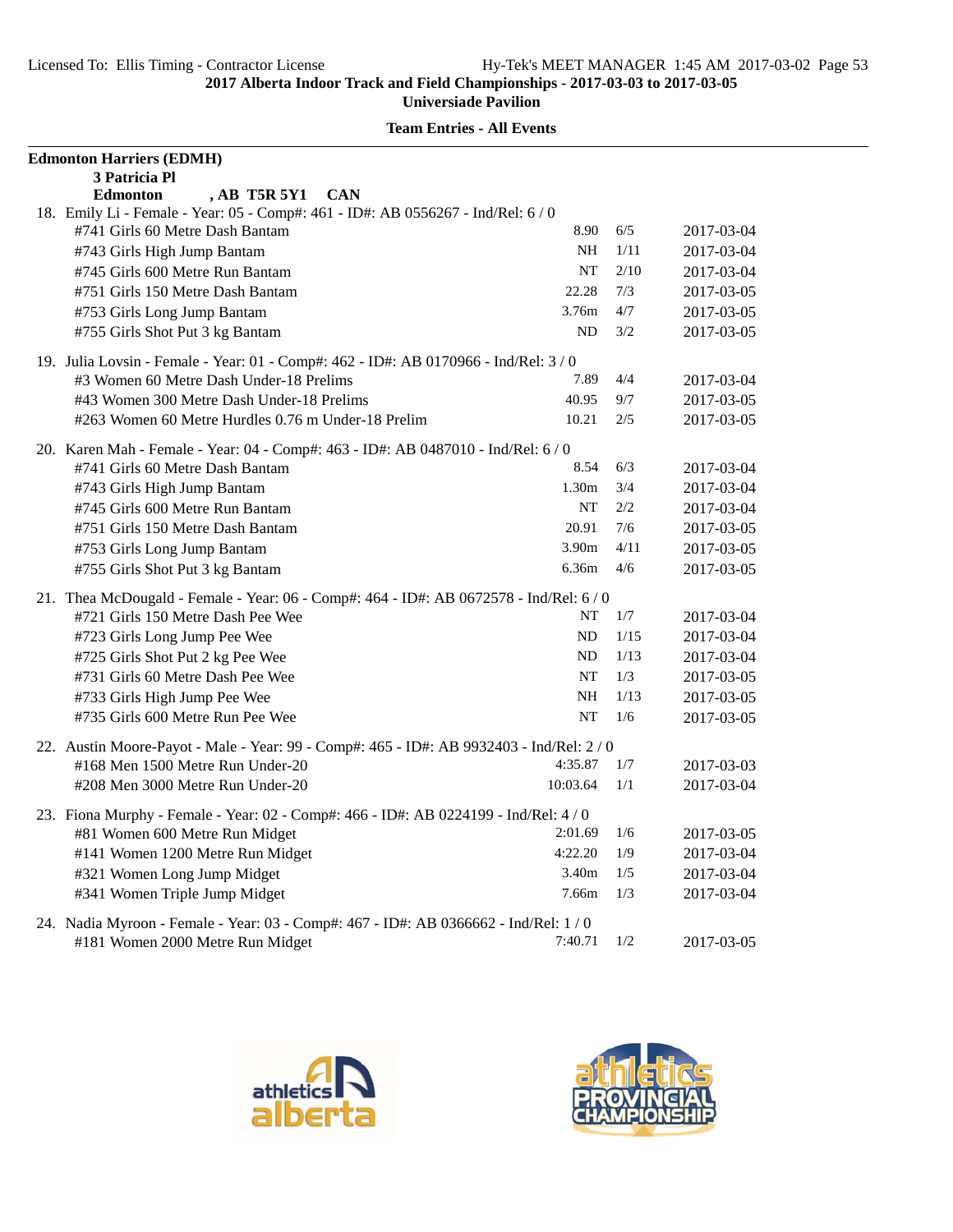| <b>Edmonton Harriers (EDMH)</b>  |                                                                                          |          |      |            |
|----------------------------------|------------------------------------------------------------------------------------------|----------|------|------------|
| 3 Patricia Pl                    |                                                                                          |          |      |            |
| <b>Edmonton</b>                  | <b>AB T5R 5Y1</b><br><b>CAN</b>                                                          |          |      |            |
|                                  | 18. Emily Li - Female - Year: 05 - Comp#: 461 - ID#: AB 0556267 - Ind/Rel: 6 / 0         | 8.90     | 6/5  |            |
| #741 Girls 60 Metre Dash Bantam  |                                                                                          |          |      | 2017-03-04 |
| #743 Girls High Jump Bantam      |                                                                                          | NH.      | 1/11 | 2017-03-04 |
| #745 Girls 600 Metre Run Bantam  |                                                                                          | NT       | 2/10 | 2017-03-04 |
|                                  | #751 Girls 150 Metre Dash Bantam                                                         | 22.28    | 7/3  | 2017-03-05 |
| #753 Girls Long Jump Bantam      |                                                                                          | 3.76m    | 4/7  | 2017-03-05 |
| #755 Girls Shot Put 3 kg Bantam  |                                                                                          | ND       | 3/2  | 2017-03-05 |
|                                  | 19. Julia Lovsin - Female - Year: 01 - Comp#: 462 - ID#: AB 0170966 - Ind/Rel: 3/0       |          |      |            |
|                                  | #3 Women 60 Metre Dash Under-18 Prelims                                                  | 7.89     | 4/4  | 2017-03-04 |
|                                  | #43 Women 300 Metre Dash Under-18 Prelims                                                | 40.95    | 9/7  | 2017-03-05 |
|                                  | #263 Women 60 Metre Hurdles 0.76 m Under-18 Prelim                                       | 10.21    | 2/5  | 2017-03-05 |
|                                  | 20. Karen Mah - Female - Year: 04 - Comp#: 463 - ID#: AB 0487010 - Ind/Rel: 6 / 0        |          |      |            |
| #741 Girls 60 Metre Dash Bantam  |                                                                                          | 8.54     | 6/3  | 2017-03-04 |
| #743 Girls High Jump Bantam      |                                                                                          | 1.30m    | 3/4  | 2017-03-04 |
| #745 Girls 600 Metre Run Bantam  |                                                                                          | NT       | 2/2  | 2017-03-04 |
|                                  | #751 Girls 150 Metre Dash Bantam                                                         | 20.91    | 7/6  | 2017-03-05 |
| #753 Girls Long Jump Bantam      |                                                                                          | 3.90m    | 4/11 | 2017-03-05 |
| #755 Girls Shot Put 3 kg Bantam  |                                                                                          | 6.36m    | 4/6  | 2017-03-05 |
|                                  | 21. Thea McDougald - Female - Year: 06 - Comp#: 464 - ID#: AB 0672578 - Ind/Rel: 6 / 0   |          |      |            |
|                                  | #721 Girls 150 Metre Dash Pee Wee                                                        | NT       | 1/7  | 2017-03-04 |
| #723 Girls Long Jump Pee Wee     |                                                                                          | ND       | 1/15 | 2017-03-04 |
| #725 Girls Shot Put 2 kg Pee Wee |                                                                                          | ND       | 1/13 | 2017-03-04 |
|                                  | #731 Girls 60 Metre Dash Pee Wee                                                         | NT       | 1/3  | 2017-03-05 |
| #733 Girls High Jump Pee Wee     |                                                                                          | NH       | 1/13 | 2017-03-05 |
|                                  | #735 Girls 600 Metre Run Pee Wee                                                         | NT       | 1/6  | 2017-03-05 |
|                                  | 22. Austin Moore-Payot - Male - Year: 99 - Comp#: 465 - ID#: AB 9932403 - Ind/Rel: 2 / 0 |          |      |            |
|                                  | #168 Men 1500 Metre Run Under-20                                                         | 4:35.87  | 1/7  | 2017-03-03 |
|                                  | #208 Men 3000 Metre Run Under-20                                                         | 10:03.64 | 1/1  | 2017-03-04 |
|                                  |                                                                                          |          |      |            |
|                                  | 23. Fiona Murphy - Female - Year: 02 - Comp#: 466 - ID#: AB 0224199 - Ind/Rel: 4/0       |          |      |            |
|                                  | #81 Women 600 Metre Run Midget                                                           | 2:01.69  | 1/6  | 2017-03-05 |
|                                  | #141 Women 1200 Metre Run Midget                                                         | 4:22.20  | 1/9  | 2017-03-04 |
| #321 Women Long Jump Midget      |                                                                                          | 3.40m    | 1/5  | 2017-03-04 |
| #341 Women Triple Jump Midget    |                                                                                          | 7.66m    | 1/3  | 2017-03-04 |
|                                  | 24. Nadia Myroon - Female - Year: 03 - Comp#: 467 - ID#: AB 0366662 - Ind/Rel: 1/0       |          |      |            |
|                                  | #181 Women 2000 Metre Run Midget                                                         | 7:40.71  | 1/2  | 2017-03-05 |



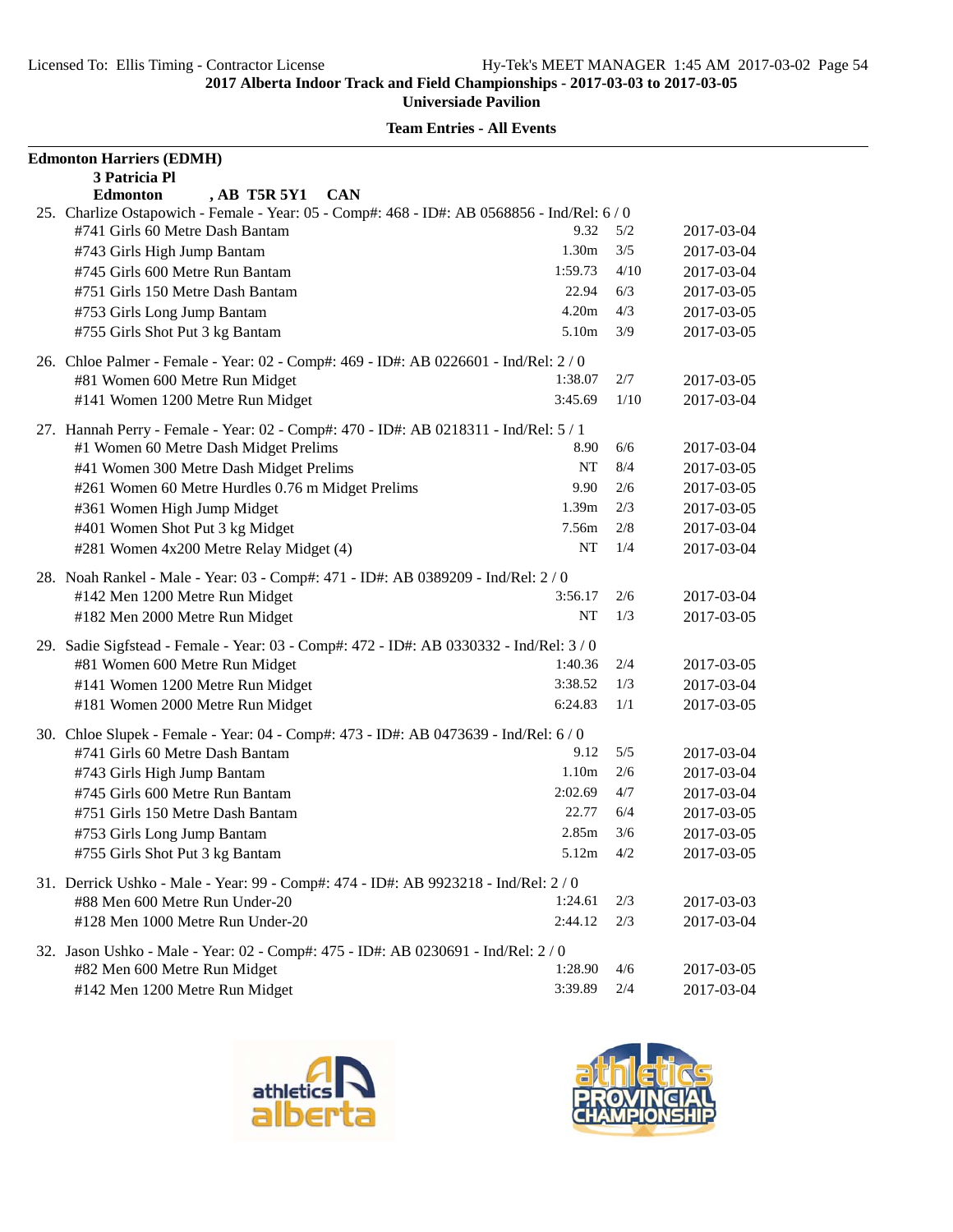| <b>Edmonton Harriers (EDMH)</b>                                                                                       |         |         |            |
|-----------------------------------------------------------------------------------------------------------------------|---------|---------|------------|
| 3 Patricia Pl                                                                                                         |         |         |            |
| , AB T5R 5Y1<br><b>CAN</b><br><b>Edmonton</b>                                                                         |         |         |            |
| 25. Charlize Ostapowich - Female - Year: 05 - Comp#: 468 - ID#: AB 0568856 - Ind/Rel: 6/0                             |         |         |            |
| #741 Girls 60 Metre Dash Bantam                                                                                       | 9.32    | 5/2     | 2017-03-04 |
| #743 Girls High Jump Bantam                                                                                           | 1.30m   | 3/5     | 2017-03-04 |
| #745 Girls 600 Metre Run Bantam                                                                                       | 1:59.73 | 4/10    | 2017-03-04 |
| #751 Girls 150 Metre Dash Bantam                                                                                      | 22.94   | 6/3     | 2017-03-05 |
| #753 Girls Long Jump Bantam                                                                                           | 4.20m   | 4/3     | 2017-03-05 |
| #755 Girls Shot Put 3 kg Bantam                                                                                       | 5.10m   | 3/9     | 2017-03-05 |
| 26. Chloe Palmer - Female - Year: 02 - Comp#: 469 - ID#: AB 0226601 - Ind/Rel: 2/0                                    |         |         |            |
| #81 Women 600 Metre Run Midget                                                                                        | 1:38.07 | 2/7     | 2017-03-05 |
| #141 Women 1200 Metre Run Midget                                                                                      | 3:45.69 | 1/10    | 2017-03-04 |
| 27. Hannah Perry - Female - Year: 02 - Comp#: 470 - ID#: AB 0218311 - Ind/Rel: 5 / 1                                  |         |         |            |
| #1 Women 60 Metre Dash Midget Prelims                                                                                 | 8.90    | 6/6     | 2017-03-04 |
| #41 Women 300 Metre Dash Midget Prelims                                                                               | NT      | 8/4     | 2017-03-05 |
|                                                                                                                       | 9.90    | 2/6     | 2017-03-05 |
| #261 Women 60 Metre Hurdles 0.76 m Midget Prelims                                                                     | 1.39m   | 2/3     |            |
| #361 Women High Jump Midget                                                                                           |         |         | 2017-03-05 |
| #401 Women Shot Put 3 kg Midget                                                                                       | 7.56m   | 2/8     | 2017-03-04 |
| #281 Women 4x200 Metre Relay Midget (4)                                                                               | NT      | 1/4     | 2017-03-04 |
| 28. Noah Rankel - Male - Year: 03 - Comp#: 471 - ID#: AB 0389209 - Ind/Rel: 2/0                                       |         |         |            |
| #142 Men 1200 Metre Run Midget                                                                                        | 3:56.17 | 2/6     | 2017-03-04 |
| #182 Men 2000 Metre Run Midget                                                                                        | NT      | 1/3     | 2017-03-05 |
| 29. Sadie Sigfstead - Female - Year: 03 - Comp#: 472 - ID#: AB 0330332 - Ind/Rel: 3/0                                 |         |         |            |
| #81 Women 600 Metre Run Midget                                                                                        | 1:40.36 | 2/4     | 2017-03-05 |
| #141 Women 1200 Metre Run Midget                                                                                      | 3:38.52 | 1/3     | 2017-03-04 |
| #181 Women 2000 Metre Run Midget                                                                                      | 6:24.83 | 1/1     | 2017-03-05 |
|                                                                                                                       |         |         |            |
| 30. Chloe Slupek - Female - Year: 04 - Comp#: 473 - ID#: AB 0473639 - Ind/Rel: 6/0<br>#741 Girls 60 Metre Dash Bantam | 9.12    | 5/5     | 2017-03-04 |
|                                                                                                                       | 1.10m   | 2/6     | 2017-03-04 |
| #743 Girls High Jump Bantam                                                                                           | 2:02.69 | 4/7     |            |
| #745 Girls 600 Metre Run Bantam                                                                                       |         |         | 2017-03-04 |
| #751 Girls 150 Metre Dash Bantam                                                                                      | 22.77   | 6/4     | 2017-03-05 |
| #753 Girls Long Jump Bantam                                                                                           | 2.85m   | 3/6     | 2017-03-05 |
| #755 Girls Shot Put 3 kg Bantam                                                                                       | 5.12m   | $4/2\,$ | 2017-03-05 |
| 31. Derrick Ushko - Male - Year: 99 - Comp#: 474 - ID#: AB 9923218 - Ind/Rel: 2 / 0                                   |         |         |            |
| #88 Men 600 Metre Run Under-20                                                                                        | 1:24.61 | 2/3     | 2017-03-03 |
| #128 Men 1000 Metre Run Under-20                                                                                      | 2:44.12 | 2/3     | 2017-03-04 |
| 32. Jason Ushko - Male - Year: 02 - Comp#: 475 - ID#: AB 0230691 - Ind/Rel: 2/0                                       |         |         |            |
| #82 Men 600 Metre Run Midget                                                                                          | 1:28.90 | 4/6     | 2017-03-05 |
| #142 Men 1200 Metre Run Midget                                                                                        | 3:39.89 | 2/4     | 2017-03-04 |



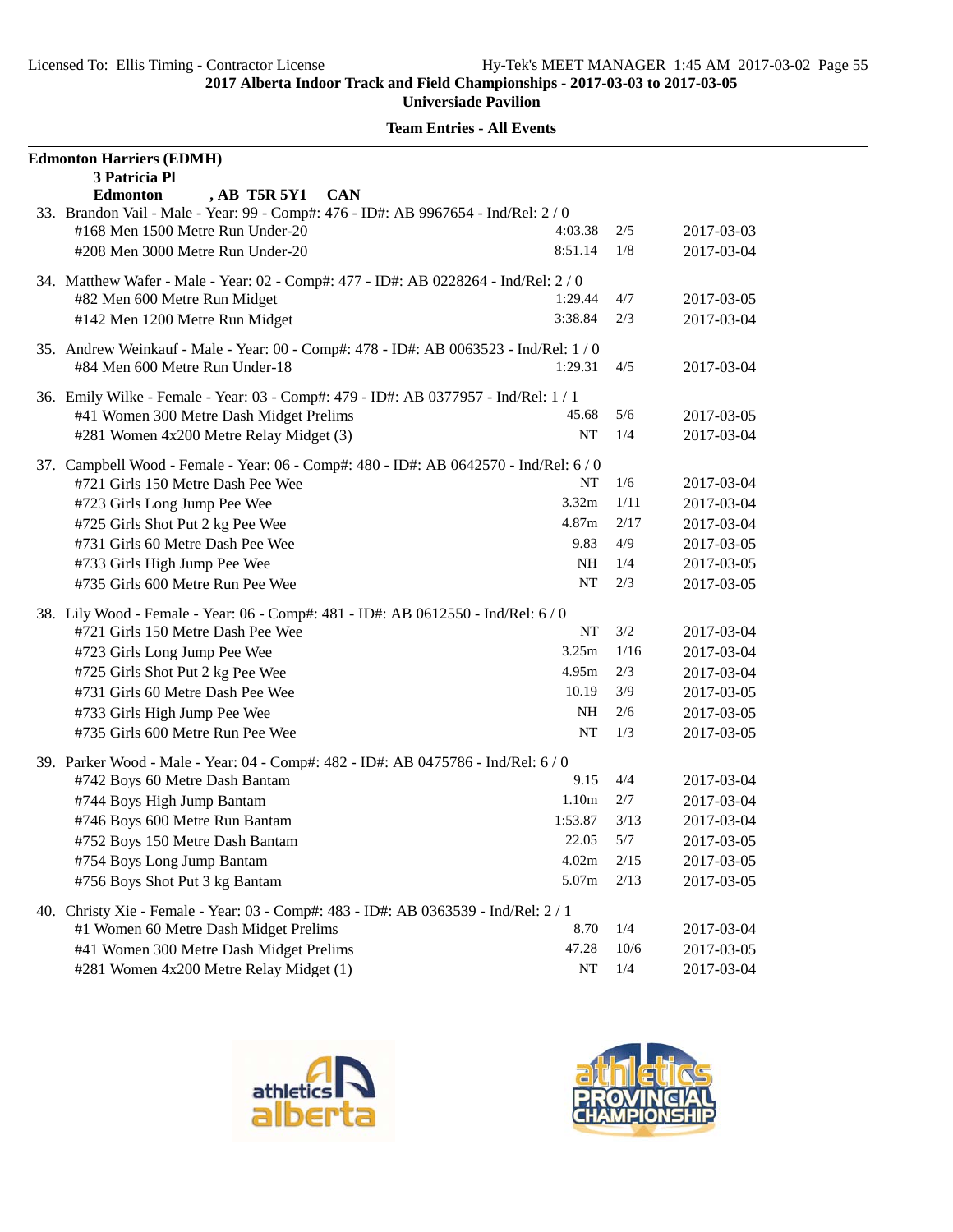| <b>Team Entries - All Events</b> |  |
|----------------------------------|--|
|----------------------------------|--|

| <b>Edmonton Harriers (EDMH)</b>                                                       |               |        |            |
|---------------------------------------------------------------------------------------|---------------|--------|------------|
| 3 Patricia Pl<br>, AB T5R 5Y1<br><b>CAN</b><br><b>Edmonton</b>                        |               |        |            |
| 33. Brandon Vail - Male - Year: 99 - Comp#: 476 - ID#: AB 9967654 - Ind/Rel: 2 / 0    |               |        |            |
| #168 Men 1500 Metre Run Under-20                                                      | 4:03.38       | 2/5    | 2017-03-03 |
| #208 Men 3000 Metre Run Under-20                                                      | 8:51.14       | 1/8    | 2017-03-04 |
| 34. Matthew Wafer - Male - Year: 02 - Comp#: 477 - ID#: AB 0228264 - Ind/Rel: 2 / 0   |               |        |            |
| #82 Men 600 Metre Run Midget                                                          | 1:29.44       | 4/7    | 2017-03-05 |
| #142 Men 1200 Metre Run Midget                                                        | 3:38.84       | 2/3    | 2017-03-04 |
| 35. Andrew Weinkauf - Male - Year: 00 - Comp#: 478 - ID#: AB 0063523 - Ind/Rel: 1/0   |               |        |            |
| #84 Men 600 Metre Run Under-18                                                        | 1:29.31       | 4/5    | 2017-03-04 |
| 36. Emily Wilke - Female - Year: 03 - Comp#: 479 - ID#: AB 0377957 - Ind/Rel: 1 / 1   |               |        |            |
| #41 Women 300 Metre Dash Midget Prelims                                               | 45.68         | 5/6    | 2017-03-05 |
| #281 Women 4x200 Metre Relay Midget (3)                                               | <b>NT</b>     | 1/4    | 2017-03-04 |
| 37. Campbell Wood - Female - Year: 06 - Comp#: 480 - ID#: AB 0642570 - Ind/Rel: 6 / 0 |               |        |            |
| #721 Girls 150 Metre Dash Pee Wee                                                     | NT            | 1/6    | 2017-03-04 |
| #723 Girls Long Jump Pee Wee                                                          | 3.32m         | 1/11   | 2017-03-04 |
| #725 Girls Shot Put 2 kg Pee Wee                                                      | 4.87m         | 2/17   | 2017-03-04 |
| #731 Girls 60 Metre Dash Pee Wee                                                      | 9.83          | 4/9    | 2017-03-05 |
| #733 Girls High Jump Pee Wee                                                          | <b>NH</b>     | 1/4    | 2017-03-05 |
| #735 Girls 600 Metre Run Pee Wee                                                      | NT            | 2/3    | 2017-03-05 |
| 38. Lily Wood - Female - Year: 06 - Comp#: 481 - ID#: AB 0612550 - Ind/Rel: 6/0       |               |        |            |
| #721 Girls 150 Metre Dash Pee Wee                                                     | NT            | 3/2    | 2017-03-04 |
| #723 Girls Long Jump Pee Wee                                                          | 3.25m         | 1/16   | 2017-03-04 |
| #725 Girls Shot Put 2 kg Pee Wee                                                      | 4.95m         | 2/3    | 2017-03-04 |
| #731 Girls 60 Metre Dash Pee Wee                                                      | 10.19         | 3/9    | 2017-03-05 |
| #733 Girls High Jump Pee Wee                                                          | <b>NH</b>     | 2/6    | 2017-03-05 |
| #735 Girls 600 Metre Run Pee Wee                                                      | NT            | 1/3    | 2017-03-05 |
| 39. Parker Wood - Male - Year: 04 - Comp#: 482 - ID#: AB 0475786 - Ind/Rel: 6 / 0     |               |        |            |
| #742 Boys 60 Metre Dash Bantam                                                        | 9.15          | 4/4    | 2017-03-04 |
| #744 Boys High Jump Bantam                                                            | 1.10m         | 2/7    | 2017-03-04 |
| #746 Boys 600 Metre Run Bantam                                                        | 1:53.87       | 3/13   | 2017-03-04 |
| #752 Boys 150 Metre Dash Bantam                                                       | 22.05         | 5/7    | 2017-03-05 |
| #754 Boys Long Jump Bantam                                                            | 4.02m         | 2/15   | 2017-03-05 |
| #756 Boys Shot Put 3 kg Bantam                                                        | 5.07m         | 2/13   | 2017-03-05 |
| 40. Christy Xie - Female - Year: 03 - Comp#: 483 - ID#: AB 0363539 - Ind/Rel: 2 / 1   |               |        |            |
| #1 Women 60 Metre Dash Midget Prelims                                                 | 8.70          | 1/4    | 2017-03-04 |
| #41 Women 300 Metre Dash Midget Prelims                                               | 47.28         | $10/6$ | 2017-03-05 |
| #281 Women 4x200 Metre Relay Midget (1)                                               | $\mathbf{NT}$ | 1/4    | 2017-03-04 |



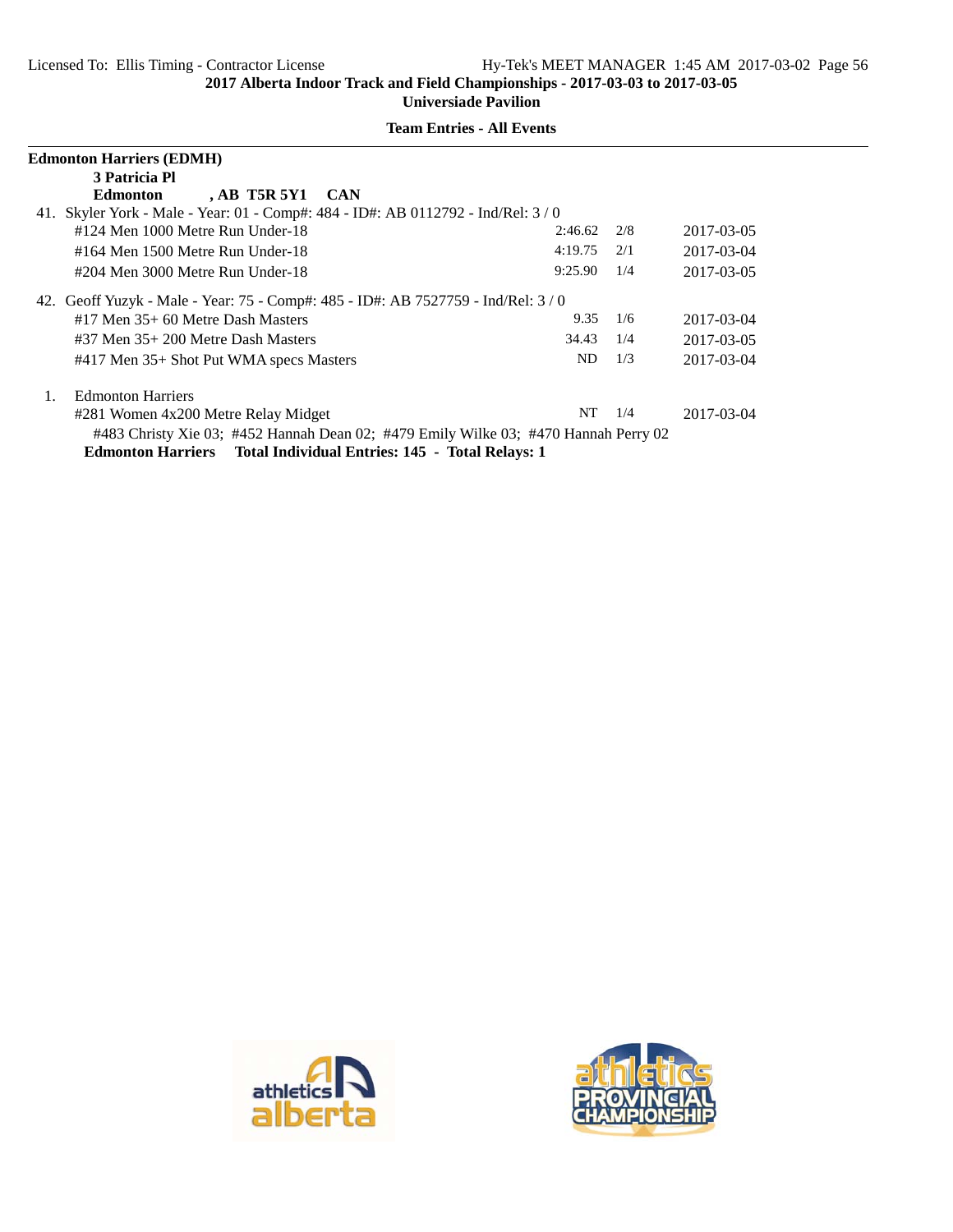| <b>Edmonton Harriers (EDMH)</b>                                                     |         |     |            |  |  |
|-------------------------------------------------------------------------------------|---------|-----|------------|--|--|
| 3 Patricia Pl                                                                       |         |     |            |  |  |
| $AB$ T5R 5Y1 CAN<br>Edmonton                                                        |         |     |            |  |  |
| 41. Skyler York - Male - Year: 01 - Comp#: 484 - ID#: AB 0112792 - Ind/Rel: 3 / 0   |         |     |            |  |  |
| #124 Men 1000 Metre Run Under-18                                                    | 2:46.62 | 2/8 | 2017-03-05 |  |  |
| $\#164$ Men 1500 Metre Run Under-18                                                 | 4:19.75 | 2/1 | 2017-03-04 |  |  |
| #204 Men 3000 Metre Run Under-18                                                    | 9:25.90 | 1/4 | 2017-03-05 |  |  |
| 42. Geoff Yuzyk - Male - Year: 75 - Comp#: 485 - ID#: AB 7527759 - Ind/Rel: 3/0     |         |     |            |  |  |
| $#17$ Men $35+60$ Metre Dash Masters                                                | 9.35    | 1/6 | 2017-03-04 |  |  |
| $\#37$ Men $35+200$ Metre Dash Masters                                              | 34.43   | 1/4 | 2017-03-05 |  |  |
| #417 Men 35+ Shot Put WMA specs Masters                                             | ND.     | 1/3 | 2017-03-04 |  |  |
| <b>Edmonton Harriers</b><br>1.                                                      |         |     |            |  |  |
| #281 Women 4x200 Metre Relay Midget                                                 | NT.     | 1/4 | 2017-03-04 |  |  |
| #483 Christy Xie 03; #452 Hannah Dean 02; #479 Emily Wilke 03; #470 Hannah Perry 02 |         |     |            |  |  |
| <b>Edmonton Harriers</b> Total Individual Entries: 145 - Total Relays: 1            |         |     |            |  |  |



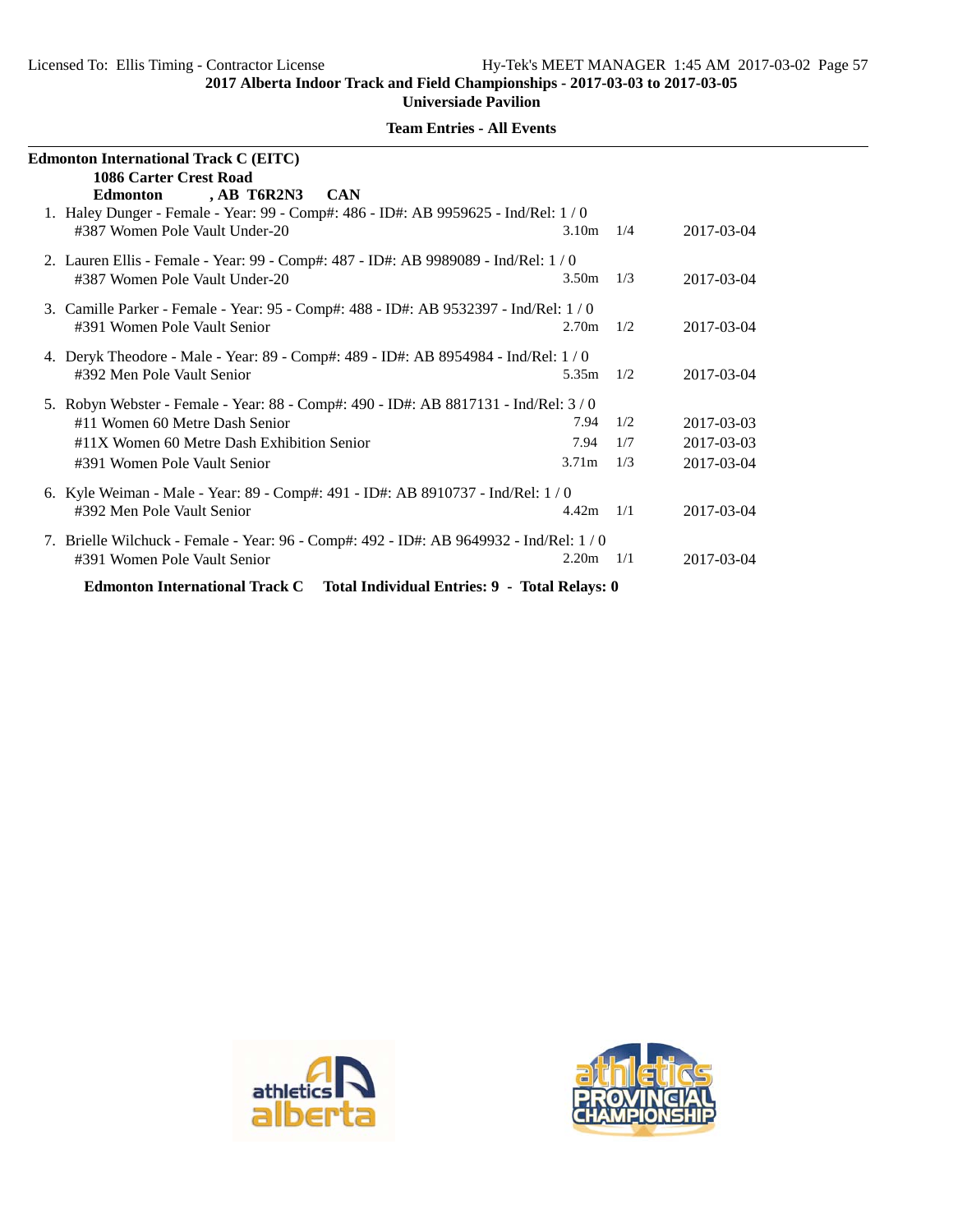| <b>Edmonton International Track C (EITC)</b>                                                                        |                   |     |            |  |  |
|---------------------------------------------------------------------------------------------------------------------|-------------------|-----|------------|--|--|
| <b>1086 Carter Crest Road</b><br>, AB T6R2N3<br>Edmonton<br><b>CAN</b>                                              |                   |     |            |  |  |
| 1. Haley Dunger - Female - Year: 99 - Comp#: 486 - ID#: AB 9959625 - Ind/Rel: 1/0<br>#387 Women Pole Vault Under-20 | 3.10 <sub>m</sub> | 1/4 | 2017-03-04 |  |  |
| 2. Lauren Ellis - Female - Year: 99 - Comp#: 487 - ID#: AB 9989089 - Ind/Rel: 1/0<br>#387 Women Pole Vault Under-20 | 3.50m             | 1/3 | 2017-03-04 |  |  |
| 3. Camille Parker - Female - Year: 95 - Comp#: 488 - ID#: AB 9532397 - Ind/Rel: 1/0<br>#391 Women Pole Vault Senior | 2.70 <sub>m</sub> | 1/2 | 2017-03-04 |  |  |
| 4. Deryk Theodore - Male - Year: 89 - Comp#: 489 - ID#: AB 8954984 - Ind/Rel: 1/0<br>#392 Men Pole Vault Senior     | 5.35m             | 1/2 | 2017-03-04 |  |  |
| 5. Robyn Webster - Female - Year: 88 - Comp#: 490 - ID#: AB 8817131 - Ind/Rel: 3/0                                  |                   |     |            |  |  |
| #11 Women 60 Metre Dash Senior                                                                                      | 7.94              | 1/2 | 2017-03-03 |  |  |
| #11X Women 60 Metre Dash Exhibition Senior                                                                          | 7.94              | 1/7 | 2017-03-03 |  |  |
| #391 Women Pole Vault Senior                                                                                        | 3.71 <sub>m</sub> | 1/3 | 2017-03-04 |  |  |
| 6. Kyle Weiman - Male - Year: 89 - Comp#: 491 - ID#: AB 8910737 - Ind/Rel: 1 / 0                                    |                   |     |            |  |  |
| #392 Men Pole Vault Senior                                                                                          | 4.42m             | 1/1 | 2017-03-04 |  |  |
| 7. Brielle Wilchuck - Female - Year: 96 - Comp#: 492 - ID#: AB 9649932 - Ind/Rel: 1 / 0                             |                   |     |            |  |  |
| #391 Women Pole Vault Senior                                                                                        | 2.20 <sub>m</sub> | 1/1 | 2017-03-04 |  |  |
| <b>Edmonton International Track C</b><br>Total Individual Entries: 9 - Total Relays: 0                              |                   |     |            |  |  |



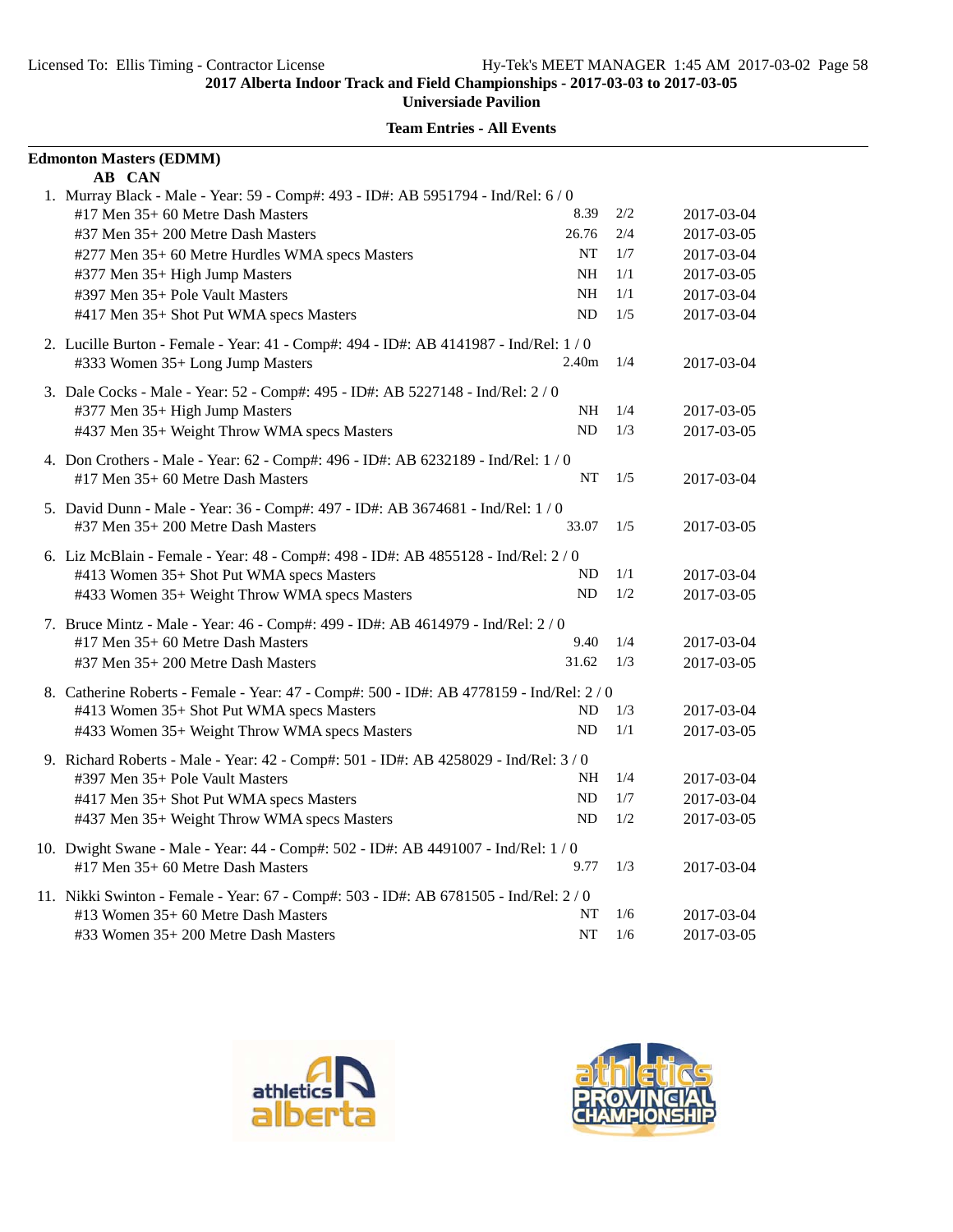| <b>Edmonton Masters (EDMM)</b>                                                              |                   |     |            |
|---------------------------------------------------------------------------------------------|-------------------|-----|------------|
| AB CAN<br>1. Murray Black - Male - Year: 59 - Comp#: 493 - ID#: AB 5951794 - Ind/Rel: 6 / 0 |                   |     |            |
| #17 Men 35+ 60 Metre Dash Masters                                                           | 8.39              | 2/2 | 2017-03-04 |
| #37 Men 35+ 200 Metre Dash Masters                                                          | 26.76             | 2/4 | 2017-03-05 |
| #277 Men 35+ 60 Metre Hurdles WMA specs Masters                                             | NT                | 1/7 | 2017-03-04 |
| #377 Men 35+ High Jump Masters                                                              | NH.               | 1/1 | 2017-03-05 |
| #397 Men 35+ Pole Vault Masters                                                             | NH                | 1/1 | 2017-03-04 |
| #417 Men 35+ Shot Put WMA specs Masters                                                     | ND                | 1/5 | 2017-03-04 |
| 2. Lucille Burton - Female - Year: 41 - Comp#: 494 - ID#: AB 4141987 - Ind/Rel: 1 / 0       |                   |     |            |
| #333 Women 35+ Long Jump Masters                                                            | 2.40 <sub>m</sub> | 1/4 | 2017-03-04 |
| 3. Dale Cocks - Male - Year: 52 - Comp#: 495 - ID#: AB 5227148 - Ind/Rel: 2 / 0             |                   |     |            |
| #377 Men 35+ High Jump Masters                                                              | NH                | 1/4 | 2017-03-05 |
| #437 Men 35+ Weight Throw WMA specs Masters                                                 | ND                | 1/3 | 2017-03-05 |
| 4. Don Crothers - Male - Year: 62 - Comp#: 496 - ID#: AB 6232189 - Ind/Rel: 1 / 0           |                   |     |            |
| $#17$ Men $35+60$ Metre Dash Masters                                                        | <b>NT</b>         | 1/5 | 2017-03-04 |
| 5. David Dunn - Male - Year: 36 - Comp#: 497 - ID#: AB 3674681 - Ind/Rel: 1 / 0             |                   |     |            |
| #37 Men 35+ 200 Metre Dash Masters                                                          | 33.07             | 1/5 | 2017-03-05 |
| 6. Liz McBlain - Female - Year: 48 - Comp#: 498 - ID#: AB 4855128 - Ind/Rel: 2 / 0          |                   |     |            |
| #413 Women 35+ Shot Put WMA specs Masters                                                   | ND                | 1/1 | 2017-03-04 |
| #433 Women 35+ Weight Throw WMA specs Masters                                               | ND                | 1/2 | 2017-03-05 |
| 7. Bruce Mintz - Male - Year: 46 - Comp#: 499 - ID#: AB 4614979 - Ind/Rel: 2 / 0            |                   |     |            |
| #17 Men 35+ 60 Metre Dash Masters                                                           | 9.40              | 1/4 | 2017-03-04 |
| #37 Men 35+ 200 Metre Dash Masters                                                          | 31.62             | 1/3 | 2017-03-05 |
| 8. Catherine Roberts - Female - Year: 47 - Comp#: 500 - ID#: AB 4778159 - Ind/Rel: 2/0      |                   |     |            |
| #413 Women 35+ Shot Put WMA specs Masters                                                   | ND                | 1/3 | 2017-03-04 |
| #433 Women 35+ Weight Throw WMA specs Masters                                               | ND                | 1/1 | 2017-03-05 |
| 9. Richard Roberts - Male - Year: 42 - Comp#: 501 - ID#: AB 4258029 - Ind/Rel: 3 / 0        |                   |     |            |
| #397 Men 35+ Pole Vault Masters                                                             | NH                | 1/4 | 2017-03-04 |
| #417 Men 35+ Shot Put WMA specs Masters                                                     | ND                | 1/7 | 2017-03-04 |
| #437 Men 35+ Weight Throw WMA specs Masters                                                 | ND                | 1/2 | 2017-03-05 |
| 10. Dwight Swane - Male - Year: 44 - Comp#: 502 - ID#: AB 4491007 - Ind/Rel: 1 / 0          |                   |     |            |
| $#17$ Men $35+60$ Metre Dash Masters                                                        | 9.77              | 1/3 | 2017-03-04 |
| 11. Nikki Swinton - Female - Year: 67 - Comp#: 503 - ID#: AB 6781505 - Ind/Rel: 2/0         |                   |     |            |
| #13 Women 35+ 60 Metre Dash Masters                                                         | NT                | 1/6 | 2017-03-04 |
| #33 Women 35+ 200 Metre Dash Masters                                                        | NT                | 1/6 | 2017-03-05 |



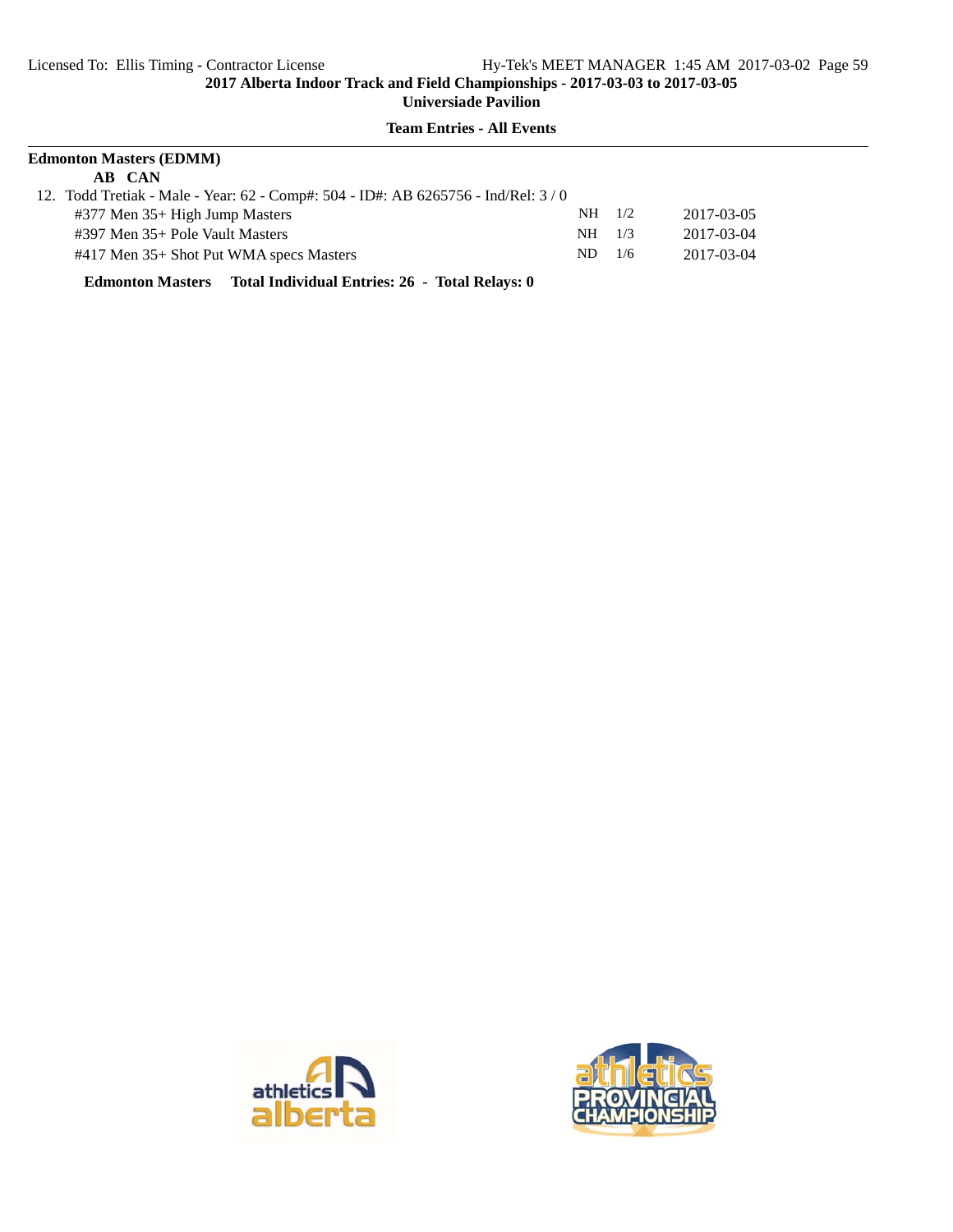## **Team Entries - All Events**

| <b>Edmonton Masters (EDMM)</b>                                                   |          |     |            |  |
|----------------------------------------------------------------------------------|----------|-----|------------|--|
| AB CAN                                                                           |          |     |            |  |
| 12. Todd Tretiak - Male - Year: 62 - Comp#: 504 - ID#: AB 6265756 - Ind/Rel: 3/0 |          |     |            |  |
| #377 Men 35+ High Jump Masters                                                   | $NH$ 1/2 |     | 2017-03-05 |  |
| $\#397$ Men $35+$ Pole Vault Masters                                             | NH .     | 1/3 | 2017-03-04 |  |
| #417 Men 35+ Shot Put WMA specs Masters                                          | ND.      | 1/6 | 2017-03-04 |  |

**Edmonton Masters Total Individual Entries: 26 - Total Relays: 0**



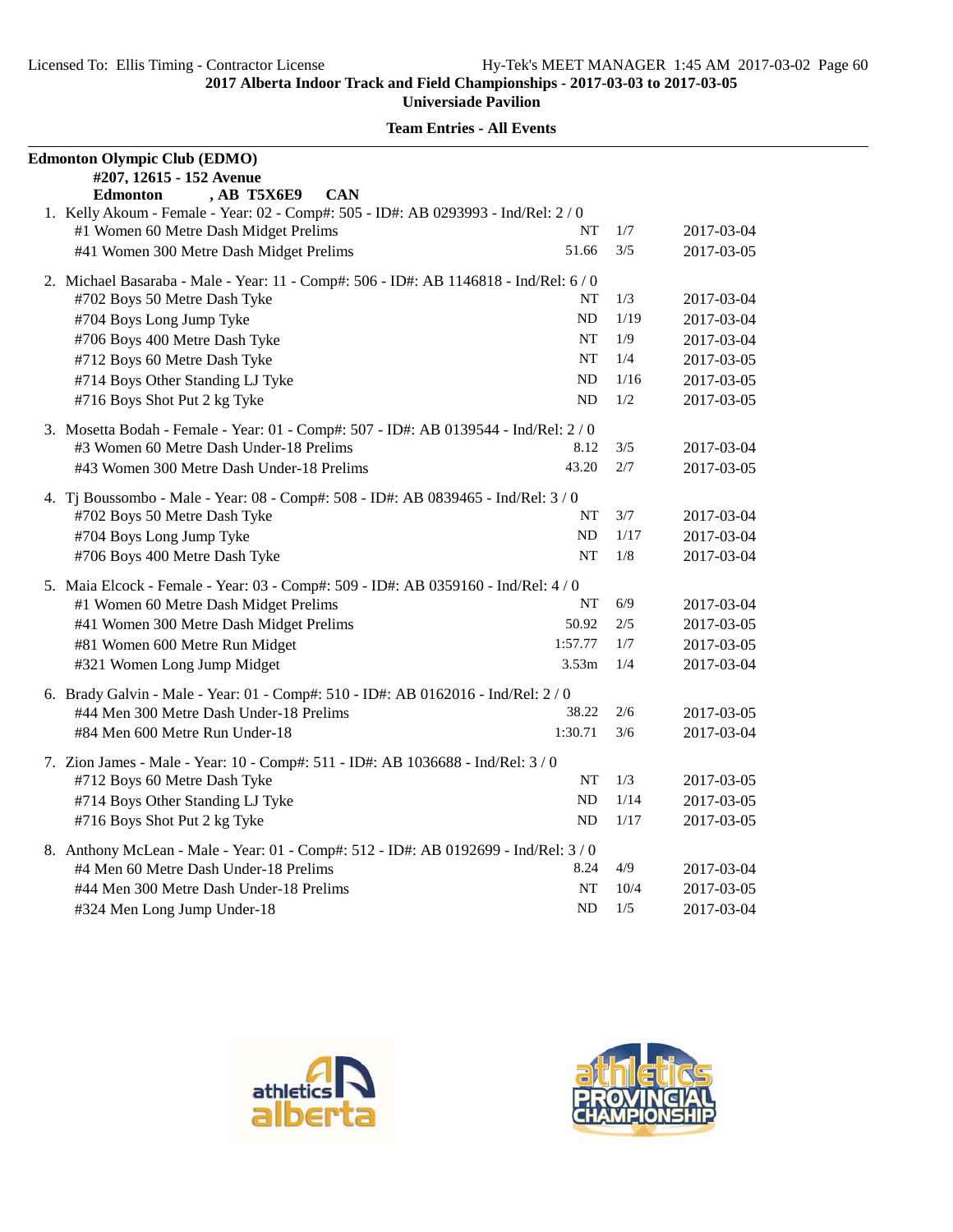| <b>Edmonton Olympic Club (EDMO)</b><br>#207, 12615 - 152 Avenue                                                                     |      |            |
|-------------------------------------------------------------------------------------------------------------------------------------|------|------------|
| <b>CAN</b><br><b>Edmonton</b><br><b>AB T5X6E9</b>                                                                                   |      |            |
| 1. Kelly Akoum - Female - Year: 02 - Comp#: 505 - ID#: AB 0293993 - Ind/Rel: 2 / 0                                                  |      |            |
| #1 Women 60 Metre Dash Midget Prelims<br>NT                                                                                         | 1/7  | 2017-03-04 |
| #41 Women 300 Metre Dash Midget Prelims<br>51.66                                                                                    | 3/5  | 2017-03-05 |
|                                                                                                                                     |      |            |
| 2. Michael Basaraba - Male - Year: 11 - Comp#: 506 - ID#: AB 1146818 - Ind/Rel: 6/0<br>#702 Boys 50 Metre Dash Tyke<br>NT           | 1/3  | 2017-03-04 |
| #704 Boys Long Jump Tyke<br>ND                                                                                                      | 1/19 | 2017-03-04 |
| #706 Boys 400 Metre Dash Tyke<br>NT                                                                                                 | 1/9  | 2017-03-04 |
| #712 Boys 60 Metre Dash Tyke<br>NT                                                                                                  | 1/4  | 2017-03-05 |
| #714 Boys Other Standing LJ Tyke<br>ND                                                                                              | 1/16 | 2017-03-05 |
| #716 Boys Shot Put 2 kg Tyke<br><b>ND</b>                                                                                           | 1/2  | 2017-03-05 |
|                                                                                                                                     |      |            |
| 3. Mosetta Bodah - Female - Year: 01 - Comp#: 507 - ID#: AB 0139544 - Ind/Rel: 2/0                                                  |      |            |
| #3 Women 60 Metre Dash Under-18 Prelims<br>8.12                                                                                     | 3/5  | 2017-03-04 |
| 43.20<br>#43 Women 300 Metre Dash Under-18 Prelims                                                                                  | 2/7  | 2017-03-05 |
| 4. Tj Boussombo - Male - Year: 08 - Comp#: 508 - ID#: AB 0839465 - Ind/Rel: 3 / 0                                                   |      |            |
| #702 Boys 50 Metre Dash Tyke<br>NT                                                                                                  | 3/7  | 2017-03-04 |
| #704 Boys Long Jump Tyke<br>ND                                                                                                      | 1/17 | 2017-03-04 |
| <b>NT</b><br>#706 Boys 400 Metre Dash Tyke                                                                                          | 1/8  | 2017-03-04 |
| 5. Maia Elcock - Female - Year: 03 - Comp#: 509 - ID#: AB 0359160 - Ind/Rel: 4 / 0                                                  |      |            |
| NT<br>#1 Women 60 Metre Dash Midget Prelims                                                                                         | 6/9  | 2017-03-04 |
| 50.92<br>#41 Women 300 Metre Dash Midget Prelims                                                                                    | 2/5  | 2017-03-05 |
| 1:57.77<br>#81 Women 600 Metre Run Midget                                                                                           | 1/7  | 2017-03-05 |
| 3.53 <sub>m</sub><br>#321 Women Long Jump Midget                                                                                    | 1/4  | 2017-03-04 |
|                                                                                                                                     |      |            |
| 6. Brady Galvin - Male - Year: 01 - Comp#: 510 - ID#: AB 0162016 - Ind/Rel: 2/0<br>38.22<br>#44 Men 300 Metre Dash Under-18 Prelims | 2/6  | 2017-03-05 |
| #84 Men 600 Metre Run Under-18<br>1:30.71                                                                                           | 3/6  | 2017-03-04 |
|                                                                                                                                     |      |            |
| 7. Zion James - Male - Year: 10 - Comp#: 511 - ID#: AB 1036688 - Ind/Rel: 3 / 0                                                     |      |            |
| #712 Boys 60 Metre Dash Tyke<br>NT                                                                                                  | 1/3  | 2017-03-05 |
| #714 Boys Other Standing LJ Tyke<br><b>ND</b>                                                                                       | 1/14 | 2017-03-05 |
| #716 Boys Shot Put 2 kg Tyke<br>ND                                                                                                  | 1/17 | 2017-03-05 |
| 8. Anthony McLean - Male - Year: 01 - Comp#: 512 - ID#: AB 0192699 - Ind/Rel: 3/0                                                   |      |            |
| 8.24<br>#4 Men 60 Metre Dash Under-18 Prelims                                                                                       | 4/9  | 2017-03-04 |
| #44 Men 300 Metre Dash Under-18 Prelims<br>NT                                                                                       | 10/4 | 2017-03-05 |
| ND<br>#324 Men Long Jump Under-18                                                                                                   | 1/5  | 2017-03-04 |



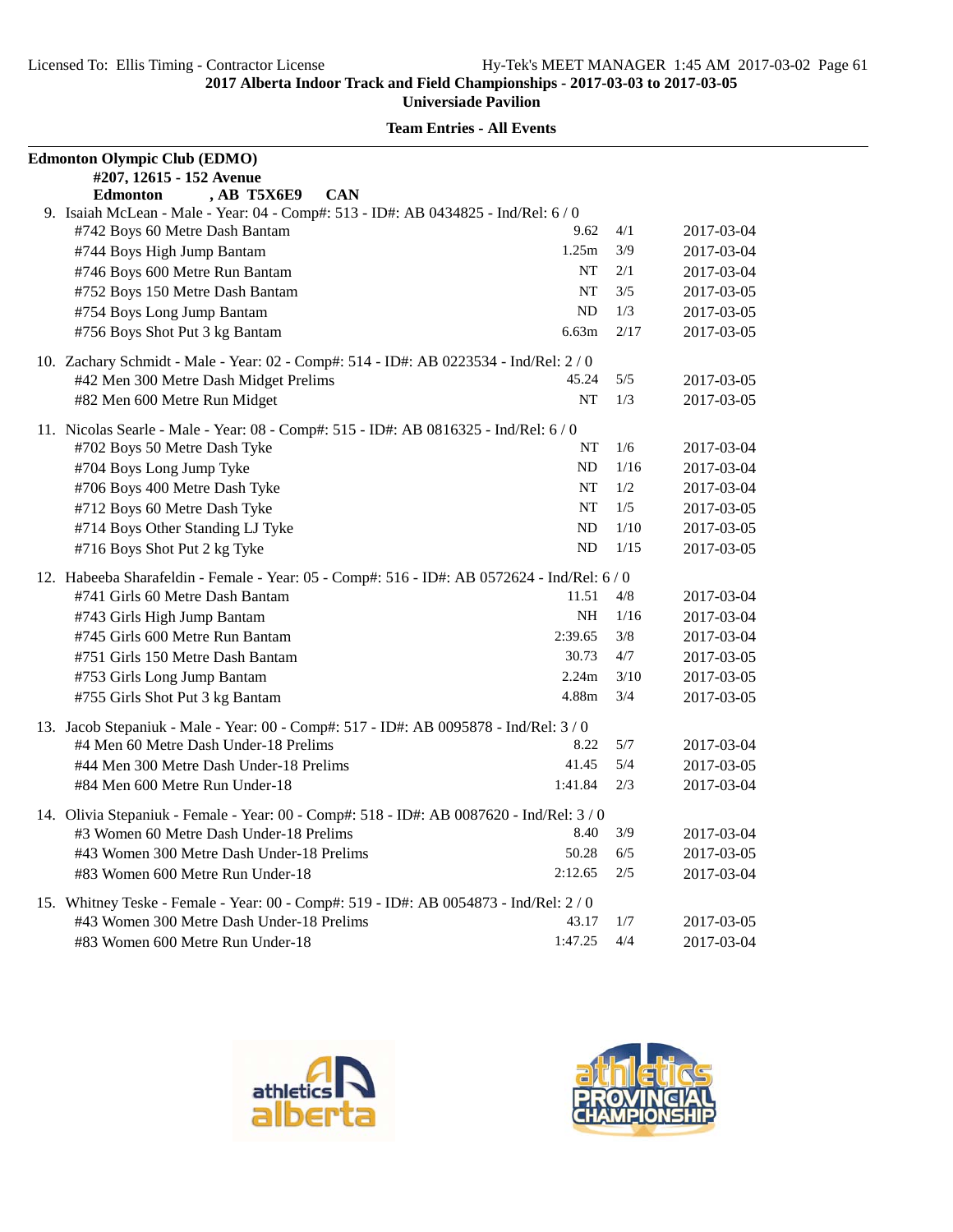| <b>Edmonton Olympic Club (EDMO)</b>                                                       |           |      |            |
|-------------------------------------------------------------------------------------------|-----------|------|------------|
| #207, 12615 - 152 Avenue                                                                  |           |      |            |
| , AB T5X6E9<br><b>Edmonton</b><br><b>CAN</b>                                              |           |      |            |
| 9. Isaiah McLean - Male - Year: 04 - Comp#: 513 - ID#: AB 0434825 - Ind/Rel: 6 / 0        |           |      |            |
| #742 Boys 60 Metre Dash Bantam                                                            | 9.62      | 4/1  | 2017-03-04 |
| #744 Boys High Jump Bantam                                                                | 1.25m     | 3/9  | 2017-03-04 |
| #746 Boys 600 Metre Run Bantam                                                            | NT        | 2/1  | 2017-03-04 |
| #752 Boys 150 Metre Dash Bantam                                                           | <b>NT</b> | 3/5  | 2017-03-05 |
| #754 Boys Long Jump Bantam                                                                | ND        | 1/3  | 2017-03-05 |
| #756 Boys Shot Put 3 kg Bantam                                                            | 6.63m     | 2/17 | 2017-03-05 |
| 10. Zachary Schmidt - Male - Year: 02 - Comp#: 514 - ID#: AB 0223534 - Ind/Rel: 2 / 0     |           |      |            |
| #42 Men 300 Metre Dash Midget Prelims                                                     | 45.24     | 5/5  | 2017-03-05 |
| #82 Men 600 Metre Run Midget                                                              | <b>NT</b> | 1/3  | 2017-03-05 |
| 11. Nicolas Searle - Male - Year: 08 - Comp#: 515 - ID#: AB 0816325 - Ind/Rel: 6 / 0      |           |      |            |
| #702 Boys 50 Metre Dash Tyke                                                              | NT        | 1/6  | 2017-03-04 |
| #704 Boys Long Jump Tyke                                                                  | ND        | 1/16 | 2017-03-04 |
| #706 Boys 400 Metre Dash Tyke                                                             | <b>NT</b> | 1/2  | 2017-03-04 |
| #712 Boys 60 Metre Dash Tyke                                                              | NT        | 1/5  | 2017-03-05 |
| #714 Boys Other Standing LJ Tyke                                                          | ND        | 1/10 | 2017-03-05 |
| #716 Boys Shot Put 2 kg Tyke                                                              | ND        | 1/15 | 2017-03-05 |
| 12. Habeeba Sharafeldin - Female - Year: 05 - Comp#: 516 - ID#: AB 0572624 - Ind/Rel: 6/0 |           |      |            |
| #741 Girls 60 Metre Dash Bantam                                                           | 11.51     | 4/8  | 2017-03-04 |
| #743 Girls High Jump Bantam                                                               | <b>NH</b> | 1/16 | 2017-03-04 |
| #745 Girls 600 Metre Run Bantam                                                           | 2:39.65   | 3/8  | 2017-03-04 |
| #751 Girls 150 Metre Dash Bantam                                                          | 30.73     | 4/7  | 2017-03-05 |
| #753 Girls Long Jump Bantam                                                               | 2.24m     | 3/10 | 2017-03-05 |
| #755 Girls Shot Put 3 kg Bantam                                                           | 4.88m     | 3/4  | 2017-03-05 |
| 13. Jacob Stepaniuk - Male - Year: 00 - Comp#: 517 - ID#: AB 0095878 - Ind/Rel: 3/0       |           |      |            |
| #4 Men 60 Metre Dash Under-18 Prelims                                                     | 8.22      | 5/7  | 2017-03-04 |
| #44 Men 300 Metre Dash Under-18 Prelims                                                   | 41.45     | 5/4  | 2017-03-05 |
| #84 Men 600 Metre Run Under-18                                                            | 1:41.84   | 2/3  | 2017-03-04 |
| 14. Olivia Stepaniuk - Female - Year: 00 - Comp#: 518 - ID#: AB 0087620 - Ind/Rel: 3/0    |           |      |            |
| #3 Women 60 Metre Dash Under-18 Prelims                                                   | 8.40      | 3/9  | 2017-03-04 |
| #43 Women 300 Metre Dash Under-18 Prelims                                                 | 50.28     | 6/5  | 2017-03-05 |
| #83 Women 600 Metre Run Under-18                                                          | 2:12.65   | 2/5  | 2017-03-04 |
| 15. Whitney Teske - Female - Year: 00 - Comp#: 519 - ID#: AB 0054873 - Ind/Rel: 2 / 0     |           |      |            |
| #43 Women 300 Metre Dash Under-18 Prelims                                                 | 43.17     | 1/7  | 2017-03-05 |
| #83 Women 600 Metre Run Under-18                                                          | 1:47.25   | 4/4  | 2017-03-04 |





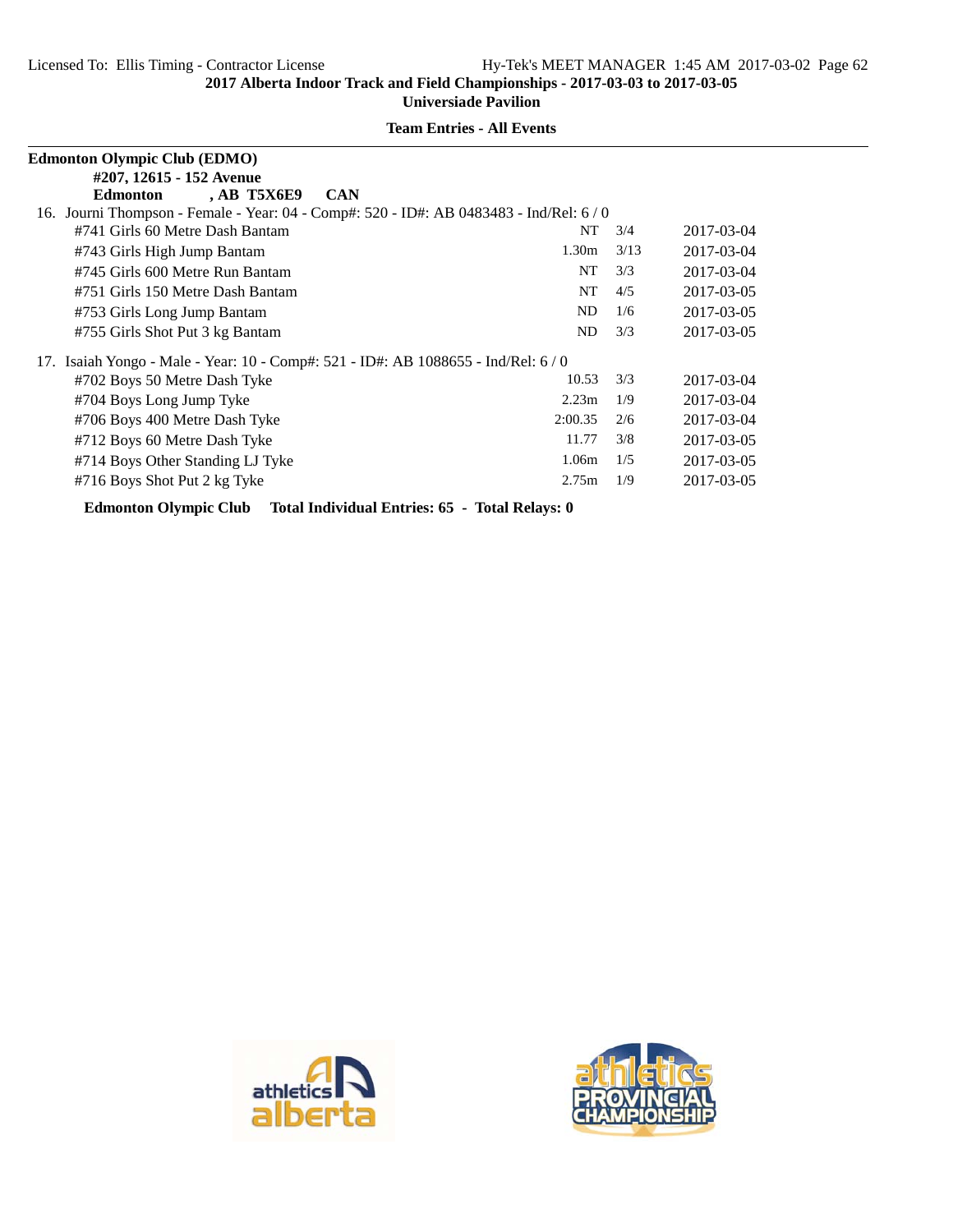|     | <b>Edmonton Olympic Club (EDMO)</b>                                                   |                   |      |            |
|-----|---------------------------------------------------------------------------------------|-------------------|------|------------|
|     | #207, 12615 - 152 Avenue                                                              |                   |      |            |
|     | <b>AB T5X6E9</b><br><b>Edmonton</b><br><b>CAN</b>                                     |                   |      |            |
|     | 16. Journi Thompson - Female - Year: 04 - Comp#: 520 - ID#: AB 0483483 - Ind/Rel: 6/0 |                   |      |            |
|     | #741 Girls 60 Metre Dash Bantam                                                       | NT                | 3/4  | 2017-03-04 |
|     | #743 Girls High Jump Bantam                                                           | 1.30 <sub>m</sub> | 3/13 | 2017-03-04 |
|     | #745 Girls 600 Metre Run Bantam                                                       | NT                | 3/3  | 2017-03-04 |
|     | #751 Girls 150 Metre Dash Bantam                                                      | NT                | 4/5  | 2017-03-05 |
|     | #753 Girls Long Jump Bantam                                                           | N <sub>D</sub>    | 1/6  | 2017-03-05 |
|     | #755 Girls Shot Put 3 kg Bantam                                                       | ND.               | 3/3  | 2017-03-05 |
| 17. | Isaiah Yongo - Male - Year: 10 - Comp#: 521 - ID#: AB 1088655 - Ind/Rel: 6/0          |                   |      |            |
|     | #702 Boys 50 Metre Dash Tyke                                                          | 10.53             | 3/3  | 2017-03-04 |
|     | #704 Boys Long Jump Tyke                                                              | 2.23 <sub>m</sub> | 1/9  | 2017-03-04 |
|     | #706 Boys 400 Metre Dash Tyke                                                         | 2:00.35           | 2/6  | 2017-03-04 |
|     | #712 Boys 60 Metre Dash Tyke                                                          | 11.77             | 3/8  | 2017-03-05 |
|     | #714 Boys Other Standing LJ Tyke                                                      | 1.06m             | 1/5  | 2017-03-05 |
|     | #716 Boys Shot Put 2 kg Tyke                                                          | 2.75m             | 1/9  | 2017-03-05 |
|     |                                                                                       |                   |      |            |

**Team Entries - All Events**

**Edmonton Olympic Club Total Individual Entries: 65 - Total Relays: 0**



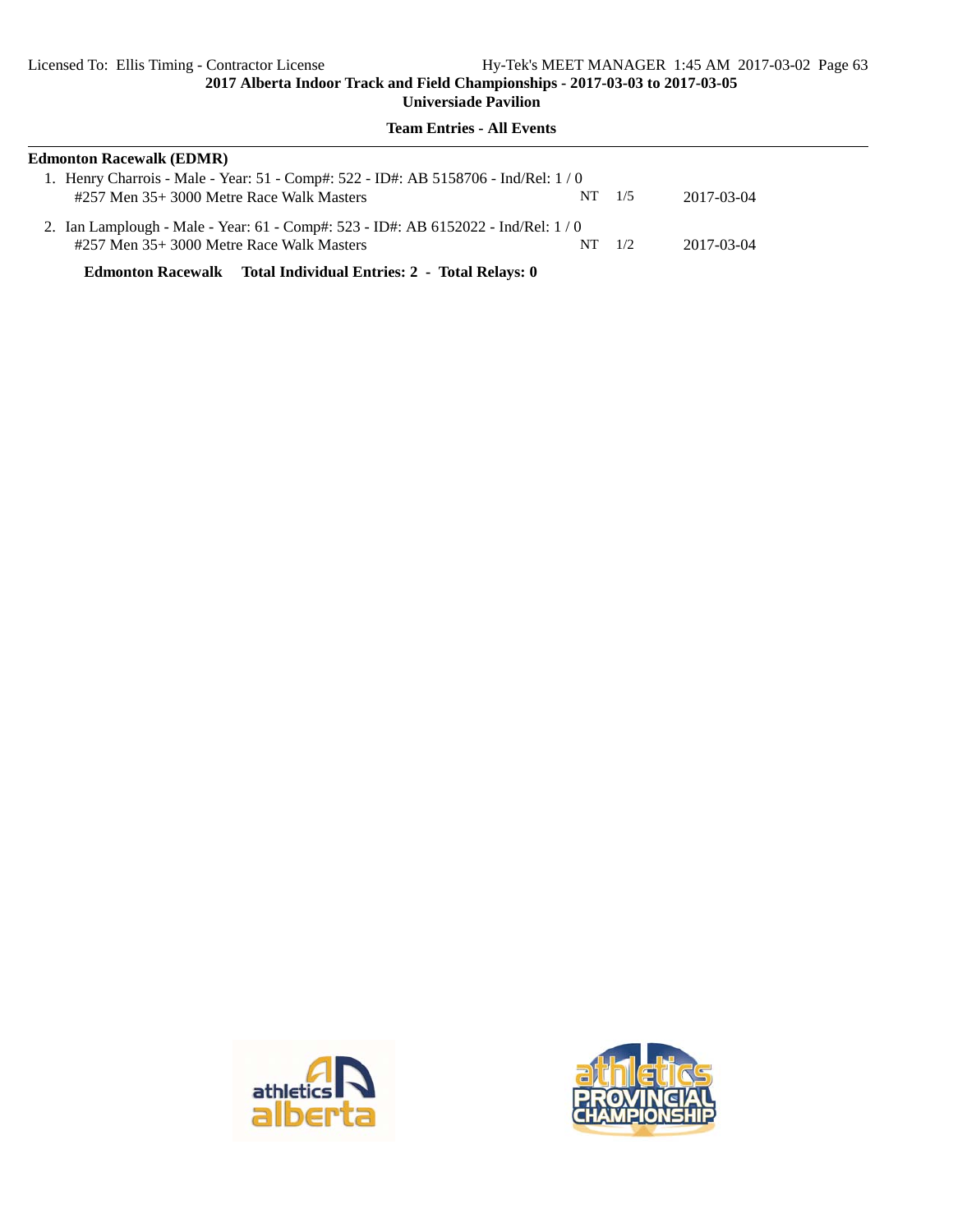**Team Entries - All Events**

| <b>Edmonton Racewalk (EDMR)</b>                                                   |                |            |
|-----------------------------------------------------------------------------------|----------------|------------|
| 1. Henry Charrois - Male - Year: 51 - Comp#: 522 - ID#: AB 5158706 - Ind/Rel: 1/0 |                |            |
| #257 Men 35+3000 Metre Race Walk Masters                                          | $NT \quad 1/5$ | 2017-03-04 |
| 2. Ian Lamplough - Male - Year: 61 - Comp#: 523 - ID#: AB 6152022 - Ind/Rel: 1/0  |                |            |
| #257 Men 35+3000 Metre Race Walk Masters                                          | $NT \t1/2$     | 2017-03-04 |
| Edmonton Racewalk Total Individual Entries: 2 - Total Relays: 0                   |                |            |

athletic

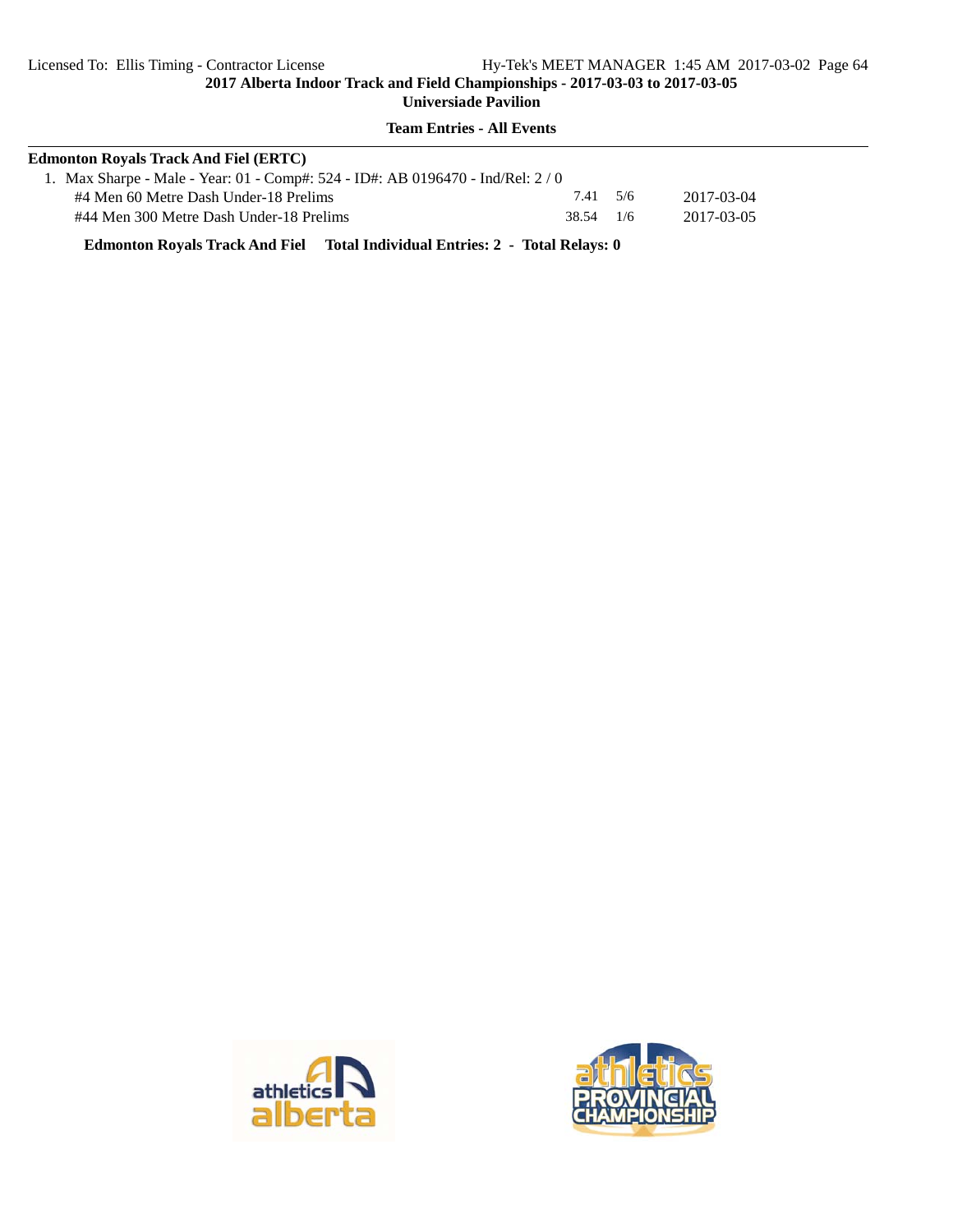**2017 Alberta Indoor Track and Field Championships - 2017-03-03 to 2017-03-05 Universiade Pavilion**

**Team Entries - All Events**

| <b>Edmonton Royals Track And Fiel (ERTC)</b>                                    |           |            |  |
|---------------------------------------------------------------------------------|-----------|------------|--|
| 1. Max Sharpe - Male - Year: 01 - Comp#: 524 - ID#: AB 0196470 - Ind/Rel: $2/0$ |           |            |  |
| #4 Men 60 Metre Dash Under-18 Prelims                                           | 7.41 5/6  | 2017-03-04 |  |
| #44 Men 300 Metre Dash Under-18 Prelims                                         | 38.54 1/6 | 2017-03-05 |  |

**Edmonton Royals Track And Fiel Total Individual Entries: 2 - Total Relays: 0**



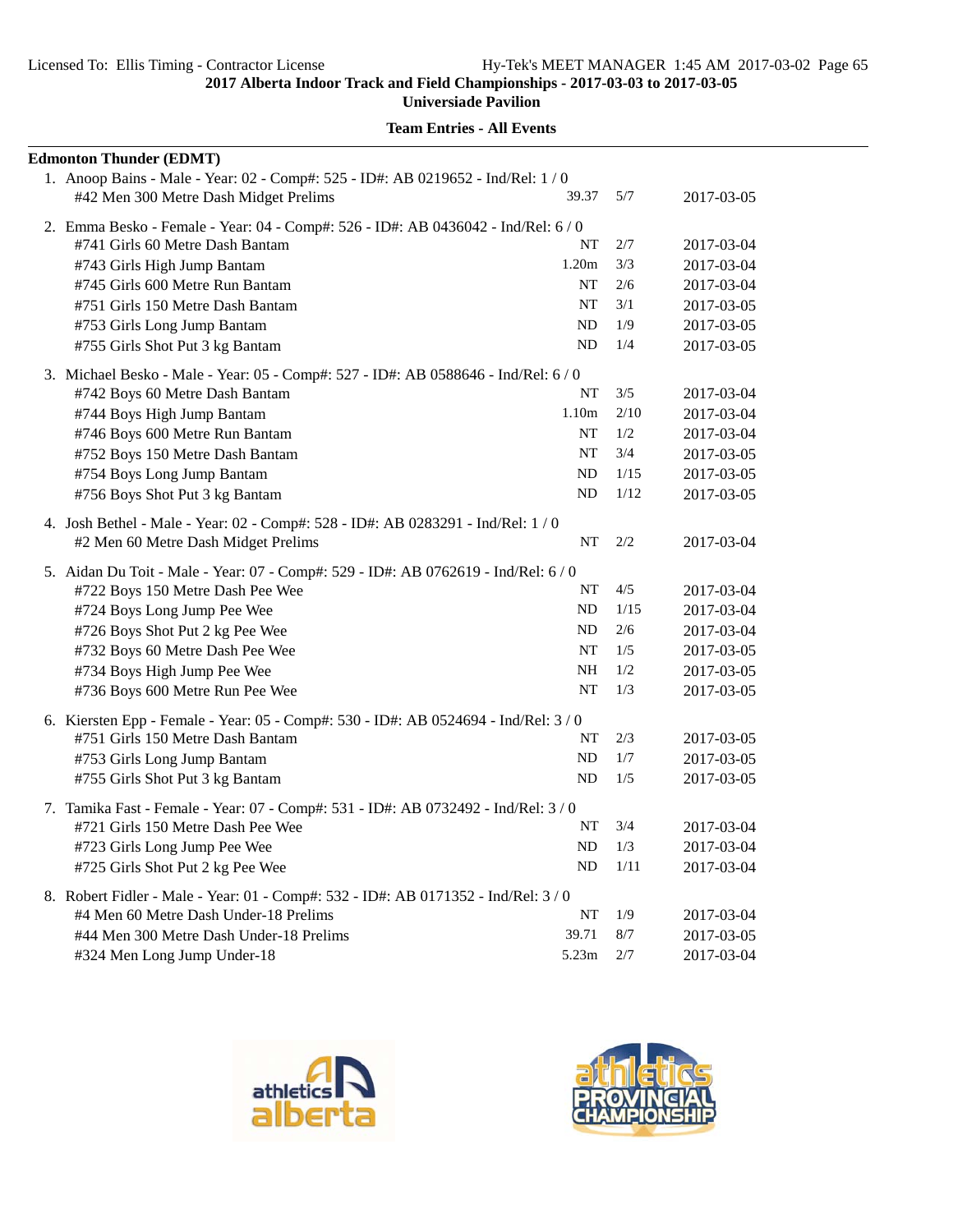$\overline{\phantom{a}}$ 

**2017 Alberta Indoor Track and Field Championships - 2017-03-03 to 2017-03-05**

**Universiade Pavilion**

| <b>Edmonton Thunder (EDMT)</b>                                                     |           |      |            |
|------------------------------------------------------------------------------------|-----------|------|------------|
| 1. Anoop Bains - Male - Year: 02 - Comp#: 525 - ID#: AB 0219652 - Ind/Rel: 1 / 0   |           |      |            |
| #42 Men 300 Metre Dash Midget Prelims                                              | 39.37     | 5/7  | 2017-03-05 |
| 2. Emma Besko - Female - Year: 04 - Comp#: 526 - ID#: AB 0436042 - Ind/Rel: 6 / 0  |           |      |            |
| #741 Girls 60 Metre Dash Bantam                                                    | NT        | 2/7  | 2017-03-04 |
| #743 Girls High Jump Bantam                                                        | 1.20m     | 3/3  | 2017-03-04 |
| #745 Girls 600 Metre Run Bantam                                                    | <b>NT</b> | 2/6  | 2017-03-04 |
| #751 Girls 150 Metre Dash Bantam                                                   | NT        | 3/1  | 2017-03-05 |
| #753 Girls Long Jump Bantam                                                        | ND        | 1/9  | 2017-03-05 |
| #755 Girls Shot Put 3 kg Bantam                                                    | ND        | 1/4  | 2017-03-05 |
| 3. Michael Besko - Male - Year: 05 - Comp#: 527 - ID#: AB 0588646 - Ind/Rel: 6 / 0 |           |      |            |
| #742 Boys 60 Metre Dash Bantam                                                     | NT        | 3/5  | 2017-03-04 |
| #744 Boys High Jump Bantam                                                         | 1.10m     | 2/10 | 2017-03-04 |
| #746 Boys 600 Metre Run Bantam                                                     | NT        | 1/2  | 2017-03-04 |
| #752 Boys 150 Metre Dash Bantam                                                    | NT        | 3/4  | 2017-03-05 |
| #754 Boys Long Jump Bantam                                                         | ND        | 1/15 | 2017-03-05 |
| #756 Boys Shot Put 3 kg Bantam                                                     | ND        | 1/12 | 2017-03-05 |
| 4. Josh Bethel - Male - Year: 02 - Comp#: 528 - ID#: AB 0283291 - Ind/Rel: 1 / 0   |           |      |            |
| #2 Men 60 Metre Dash Midget Prelims                                                | NT        | 2/2  | 2017-03-04 |
| 5. Aidan Du Toit - Male - Year: 07 - Comp#: 529 - ID#: AB 0762619 - Ind/Rel: 6 / 0 |           |      |            |
| #722 Boys 150 Metre Dash Pee Wee                                                   | NT        | 4/5  | 2017-03-04 |
| #724 Boys Long Jump Pee Wee                                                        | ND        | 1/15 | 2017-03-04 |
| #726 Boys Shot Put 2 kg Pee Wee                                                    | ND        | 2/6  | 2017-03-04 |
| #732 Boys 60 Metre Dash Pee Wee                                                    | NT        | 1/5  | 2017-03-05 |
| #734 Boys High Jump Pee Wee                                                        | <b>NH</b> | 1/2  | 2017-03-05 |
| #736 Boys 600 Metre Run Pee Wee                                                    | <b>NT</b> | 1/3  | 2017-03-05 |
| 6. Kiersten Epp - Female - Year: 05 - Comp#: 530 - ID#: AB 0524694 - Ind/Rel: 3/0  |           |      |            |
| #751 Girls 150 Metre Dash Bantam                                                   | NT        | 2/3  | 2017-03-05 |
| #753 Girls Long Jump Bantam                                                        | ND        | 1/7  | 2017-03-05 |
| #755 Girls Shot Put 3 kg Bantam                                                    | ND        | 1/5  | 2017-03-05 |
| 7. Tamika Fast - Female - Year: 07 - Comp#: 531 - ID#: AB 0732492 - Ind/Rel: 3/0   |           |      |            |
| #721 Girls 150 Metre Dash Pee Wee                                                  | NT        | 3/4  | 2017-03-04 |
| #723 Girls Long Jump Pee Wee                                                       | ND        | 1/3  | 2017-03-04 |
| #725 Girls Shot Put 2 kg Pee Wee                                                   | ND        | 1/11 | 2017-03-04 |
| 8. Robert Fidler - Male - Year: 01 - Comp#: 532 - ID#: AB 0171352 - Ind/Rel: 3/0   |           |      |            |
| #4 Men 60 Metre Dash Under-18 Prelims                                              | NT        | 1/9  | 2017-03-04 |
| #44 Men 300 Metre Dash Under-18 Prelims                                            | 39.71     | 8/7  | 2017-03-05 |
| #324 Men Long Jump Under-18                                                        | 5.23m     | 2/7  | 2017-03-04 |



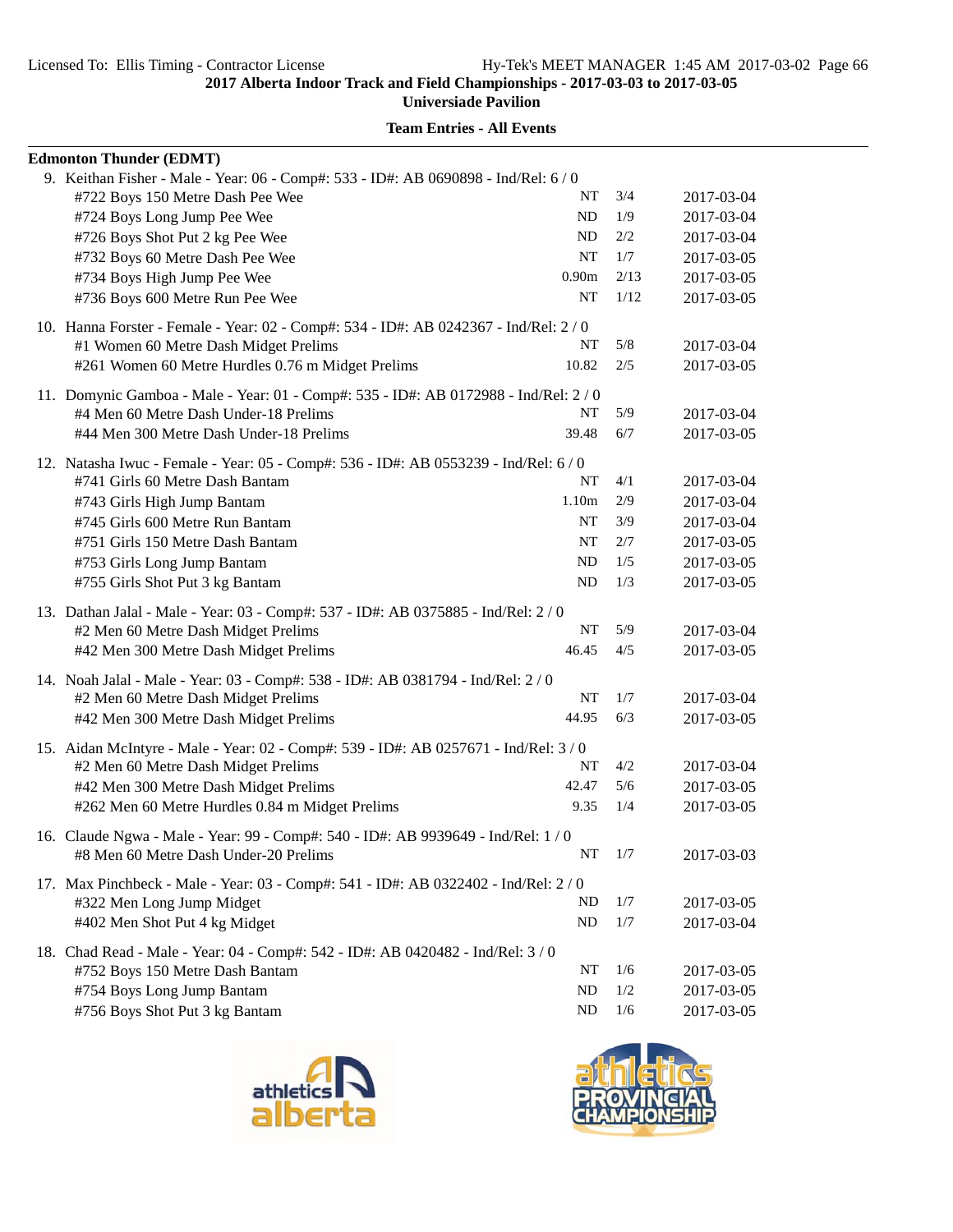**Universiade Pavilion**

| <b>Team Entries - All Events</b> |
|----------------------------------|
|----------------------------------|

| <b>Edmonton Thunder (EDMT)</b>                                                                                          |                   |      |            |
|-------------------------------------------------------------------------------------------------------------------------|-------------------|------|------------|
| 9. Keithan Fisher - Male - Year: 06 - Comp#: 533 - ID#: AB 0690898 - Ind/Rel: 6 / 0                                     |                   |      |            |
| #722 Boys 150 Metre Dash Pee Wee                                                                                        | NT                | 3/4  | 2017-03-04 |
| #724 Boys Long Jump Pee Wee                                                                                             | ND                | 1/9  | 2017-03-04 |
| #726 Boys Shot Put 2 kg Pee Wee                                                                                         | ND                | 2/2  | 2017-03-04 |
| #732 Boys 60 Metre Dash Pee Wee                                                                                         | NT                | 1/7  | 2017-03-05 |
| #734 Boys High Jump Pee Wee                                                                                             | 0.90 <sub>m</sub> | 2/13 | 2017-03-05 |
| #736 Boys 600 Metre Run Pee Wee                                                                                         | NT                | 1/12 | 2017-03-05 |
| 10. Hanna Forster - Female - Year: 02 - Comp#: 534 - ID#: AB 0242367 - Ind/Rel: 2/0                                     |                   |      |            |
| #1 Women 60 Metre Dash Midget Prelims                                                                                   | NT                | 5/8  | 2017-03-04 |
| #261 Women 60 Metre Hurdles 0.76 m Midget Prelims                                                                       | 10.82             | 2/5  | 2017-03-05 |
| 11. Domynic Gamboa - Male - Year: 01 - Comp#: 535 - ID#: AB 0172988 - Ind/Rel: 2 / 0                                    |                   |      |            |
| #4 Men 60 Metre Dash Under-18 Prelims                                                                                   | NT                | 5/9  | 2017-03-04 |
| #44 Men 300 Metre Dash Under-18 Prelims                                                                                 | 39.48             | 6/7  | 2017-03-05 |
| 12. Natasha Iwuc - Female - Year: 05 - Comp#: 536 - ID#: AB 0553239 - Ind/Rel: 6/0                                      |                   |      |            |
| #741 Girls 60 Metre Dash Bantam                                                                                         | NT                | 4/1  | 2017-03-04 |
| #743 Girls High Jump Bantam                                                                                             | 1.10m             | 2/9  | 2017-03-04 |
| #745 Girls 600 Metre Run Bantam                                                                                         | <b>NT</b>         | 3/9  | 2017-03-04 |
| #751 Girls 150 Metre Dash Bantam                                                                                        | NT                | 2/7  | 2017-03-05 |
| #753 Girls Long Jump Bantam                                                                                             | ND                | 1/5  | 2017-03-05 |
| #755 Girls Shot Put 3 kg Bantam                                                                                         | ND                | 1/3  | 2017-03-05 |
| 13. Dathan Jalal - Male - Year: 03 - Comp#: 537 - ID#: AB 0375885 - Ind/Rel: 2 / 0                                      |                   |      |            |
| #2 Men 60 Metre Dash Midget Prelims                                                                                     | NT                | 5/9  | 2017-03-04 |
| #42 Men 300 Metre Dash Midget Prelims                                                                                   | 46.45             | 4/5  | 2017-03-05 |
|                                                                                                                         |                   |      |            |
| 14. Noah Jalal - Male - Year: 03 - Comp#: 538 - ID#: AB 0381794 - Ind/Rel: 2 / 0<br>#2 Men 60 Metre Dash Midget Prelims | NT                | 1/7  | 2017-03-04 |
| #42 Men 300 Metre Dash Midget Prelims                                                                                   | 44.95             | 6/3  | 2017-03-05 |
|                                                                                                                         |                   |      |            |
| 15. Aidan McIntyre - Male - Year: 02 - Comp#: 539 - ID#: AB 0257671 - Ind/Rel: 3 / 0                                    |                   |      |            |
| #2 Men 60 Metre Dash Midget Prelims                                                                                     | NT                | 4/2  | 2017-03-04 |
| #42 Men 300 Metre Dash Midget Prelims                                                                                   | 42.47             | 5/6  | 2017-03-05 |
| #262 Men 60 Metre Hurdles 0.84 m Midget Prelims                                                                         | 9.35              | 1/4  | 2017-03-05 |
| 16. Claude Ngwa - Male - Year: 99 - Comp#: 540 - ID#: AB 9939649 - Ind/Rel: 1 / 0                                       |                   |      |            |
| #8 Men 60 Metre Dash Under-20 Prelims                                                                                   | NT                | 1/7  | 2017-03-03 |
| 17. Max Pinchbeck - Male - Year: 03 - Comp#: 541 - ID#: AB 0322402 - Ind/Rel: 2/0                                       |                   |      |            |
| #322 Men Long Jump Midget                                                                                               | ND                | 1/7  | 2017-03-05 |
| #402 Men Shot Put 4 kg Midget                                                                                           | ND                | 1/7  | 2017-03-04 |
| 18. Chad Read - Male - Year: 04 - Comp#: 542 - ID#: AB 0420482 - Ind/Rel: 3/0                                           |                   |      |            |
| #752 Boys 150 Metre Dash Bantam                                                                                         | NT                | 1/6  | 2017-03-05 |
| #754 Boys Long Jump Bantam                                                                                              | ND                | 1/2  | 2017-03-05 |
| #756 Boys Shot Put 3 kg Bantam                                                                                          | ND                | 1/6  | 2017-03-05 |



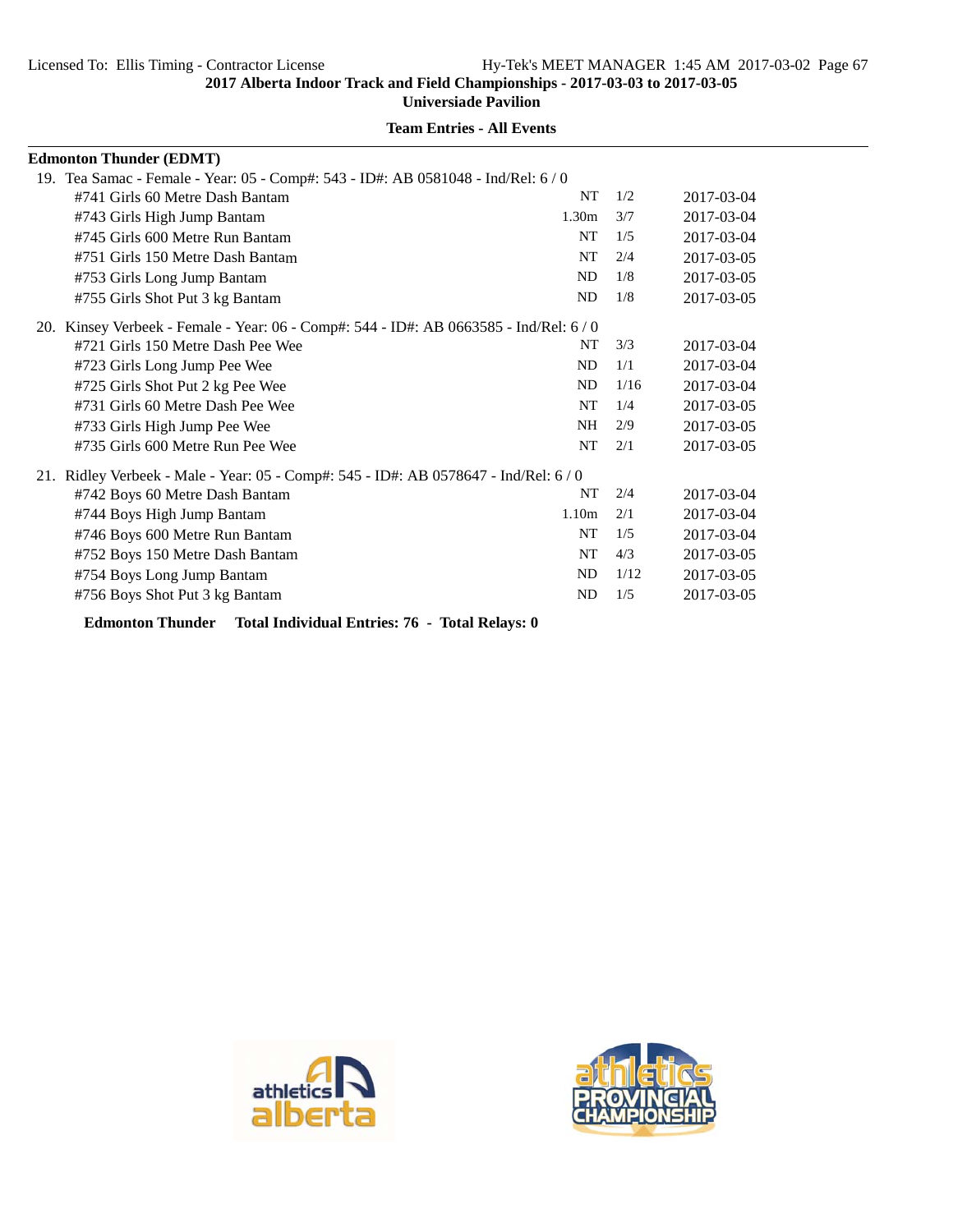**Universiade Pavilion**

| <b>Edmonton Thunder (EDMT)</b>                                                         |                   |      |            |
|----------------------------------------------------------------------------------------|-------------------|------|------------|
| 19. Tea Samac - Female - Year: 05 - Comp#: 543 - ID#: AB 0581048 - Ind/Rel: 6/0        |                   |      |            |
| #741 Girls 60 Metre Dash Bantam                                                        | <b>NT</b>         | 1/2  | 2017-03-04 |
| #743 Girls High Jump Bantam                                                            | 1.30 <sub>m</sub> | 3/7  | 2017-03-04 |
| #745 Girls 600 Metre Run Bantam                                                        | <b>NT</b>         | 1/5  | 2017-03-04 |
| #751 Girls 150 Metre Dash Bantam                                                       | <b>NT</b>         | 2/4  | 2017-03-05 |
| #753 Girls Long Jump Bantam                                                            | <b>ND</b>         | 1/8  | 2017-03-05 |
| #755 Girls Shot Put 3 kg Bantam                                                        | <b>ND</b>         | 1/8  | 2017-03-05 |
| 20. Kinsey Verbeek - Female - Year: 06 - Comp#: 544 - ID#: AB 0663585 - Ind/Rel: 6 / 0 |                   |      |            |
| #721 Girls 150 Metre Dash Pee Wee                                                      | NT                | 3/3  | 2017-03-04 |
| #723 Girls Long Jump Pee Wee                                                           | <b>ND</b>         | 1/1  | 2017-03-04 |
| #725 Girls Shot Put 2 kg Pee Wee                                                       | <b>ND</b>         | 1/16 | 2017-03-04 |
| #731 Girls 60 Metre Dash Pee Wee                                                       | <b>NT</b>         | 1/4  | 2017-03-05 |
| #733 Girls High Jump Pee Wee                                                           | <b>NH</b>         | 2/9  | 2017-03-05 |
| #735 Girls 600 Metre Run Pee Wee                                                       | NT                | 2/1  | 2017-03-05 |
| 21. Ridley Verbeek - Male - Year: 05 - Comp#: 545 - ID#: AB 0578647 - Ind/Rel: 6/0     |                   |      |            |
| #742 Boys 60 Metre Dash Bantam                                                         | NT                | 2/4  | 2017-03-04 |
| #744 Boys High Jump Bantam                                                             | 1.10 <sub>m</sub> | 2/1  | 2017-03-04 |
| #746 Boys 600 Metre Run Bantam                                                         | NT                | 1/5  | 2017-03-04 |
| #752 Boys 150 Metre Dash Bantam                                                        | <b>NT</b>         | 4/3  | 2017-03-05 |
| #754 Boys Long Jump Bantam                                                             | <b>ND</b>         | 1/12 | 2017-03-05 |
| #756 Boys Shot Put 3 kg Bantam                                                         | <b>ND</b>         | 1/5  | 2017-03-05 |
|                                                                                        |                   |      |            |

**Edmonton Thunder Total Individual Entries: 76 - Total Relays: 0**



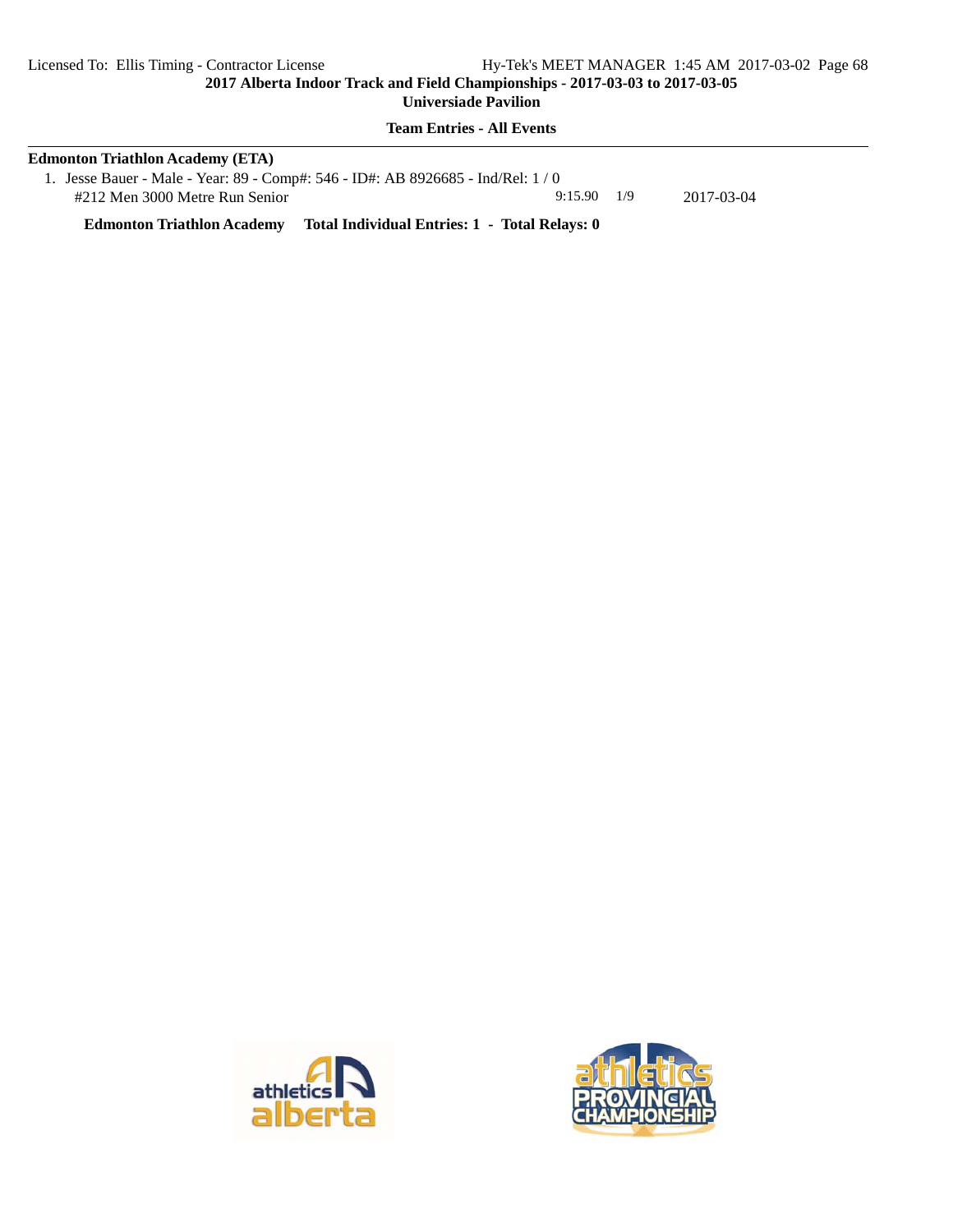**Universiade Pavilion**

# **Team Entries - All Events**

| Edmonton Triathlon Academy (ETA)                                                   |               |            |  |
|------------------------------------------------------------------------------------|---------------|------------|--|
| 1. Jesse Bauer - Male - Year: 89 - Comp#: 546 - ID#: AB 8926685 - Ind/Rel: 1/0     |               |            |  |
| #212 Men 3000 Metre Run Senior                                                     | $9:15.90$ 1/9 | 2017-03-04 |  |
| Total Individual Entries: 1 - Total Relays: 0<br><b>Edmonton Triathlon Academy</b> |               |            |  |

athleti

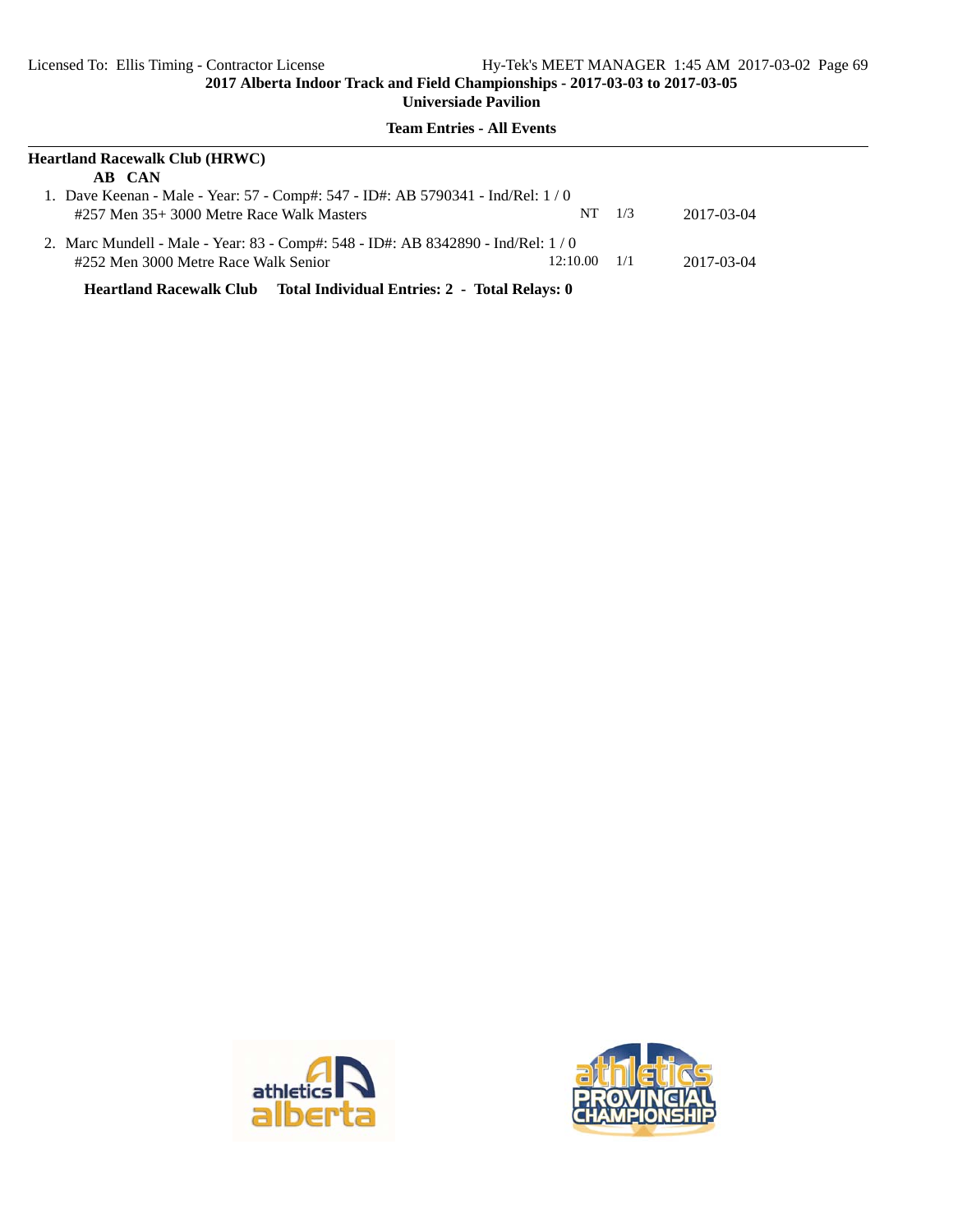### **Team Entries - All Events**

| Heartland Racewalk Club (HRWC)                                                  |          |     |            |  |
|---------------------------------------------------------------------------------|----------|-----|------------|--|
| AB CAN                                                                          |          |     |            |  |
| 1. Dave Keenan - Male - Year: 57 - Comp#: 547 - ID#: AB 5790341 - Ind/Rel: 1/0  |          |     |            |  |
| #257 Men 35+3000 Metre Race Walk Masters                                        | NT -     | 1/3 | 2017-03-04 |  |
| 2. Marc Mundell - Male - Year: 83 - Comp#: 548 - ID#: AB 8342890 - Ind/Rel: 1/0 |          |     |            |  |
| #252 Men 3000 Metre Race Walk Senior                                            | 12:10.00 | 1/1 | 2017-03-04 |  |

**Heartland Racewalk Club Total Individual Entries: 2 - Total Relays: 0**



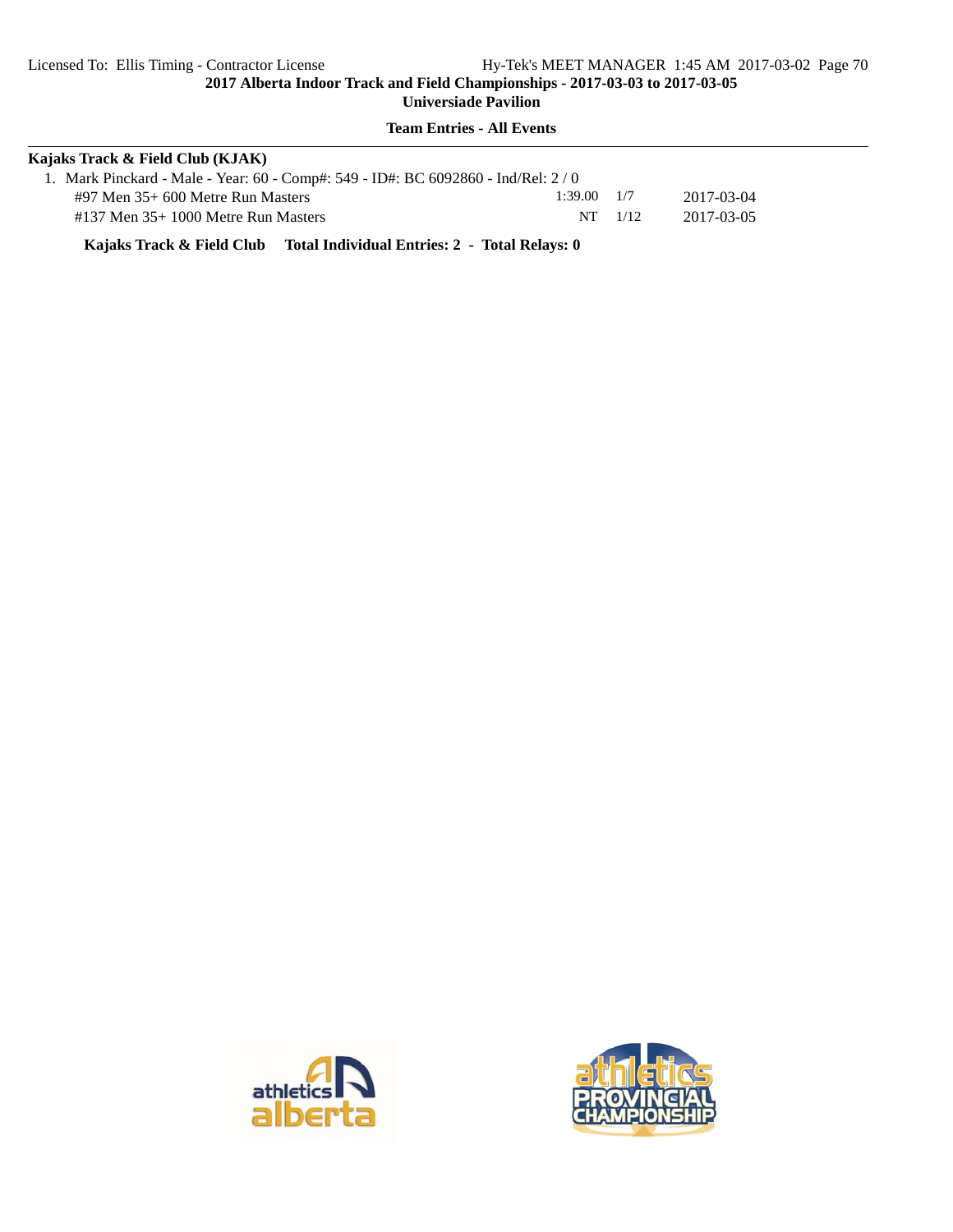**Team Entries - All Events**

| Kajaks Track & Field Club (KJAK)                                                 |                 |             |            |  |
|----------------------------------------------------------------------------------|-----------------|-------------|------------|--|
| 1. Mark Pinckard - Male - Year: 60 - Comp#: 549 - ID#: BC 6092860 - Ind/Rel: 2/0 |                 |             |            |  |
| $\#97$ Men 35+ 600 Metre Run Masters                                             | $1:39.00$ $1/7$ |             | 2017-03-04 |  |
| $\#137$ Men $35+1000$ Metre Run Masters                                          |                 | $NT = 1/12$ | 2017-03-05 |  |

**Kajaks Track & Field Club Total Individual Entries: 2 - Total Relays: 0**



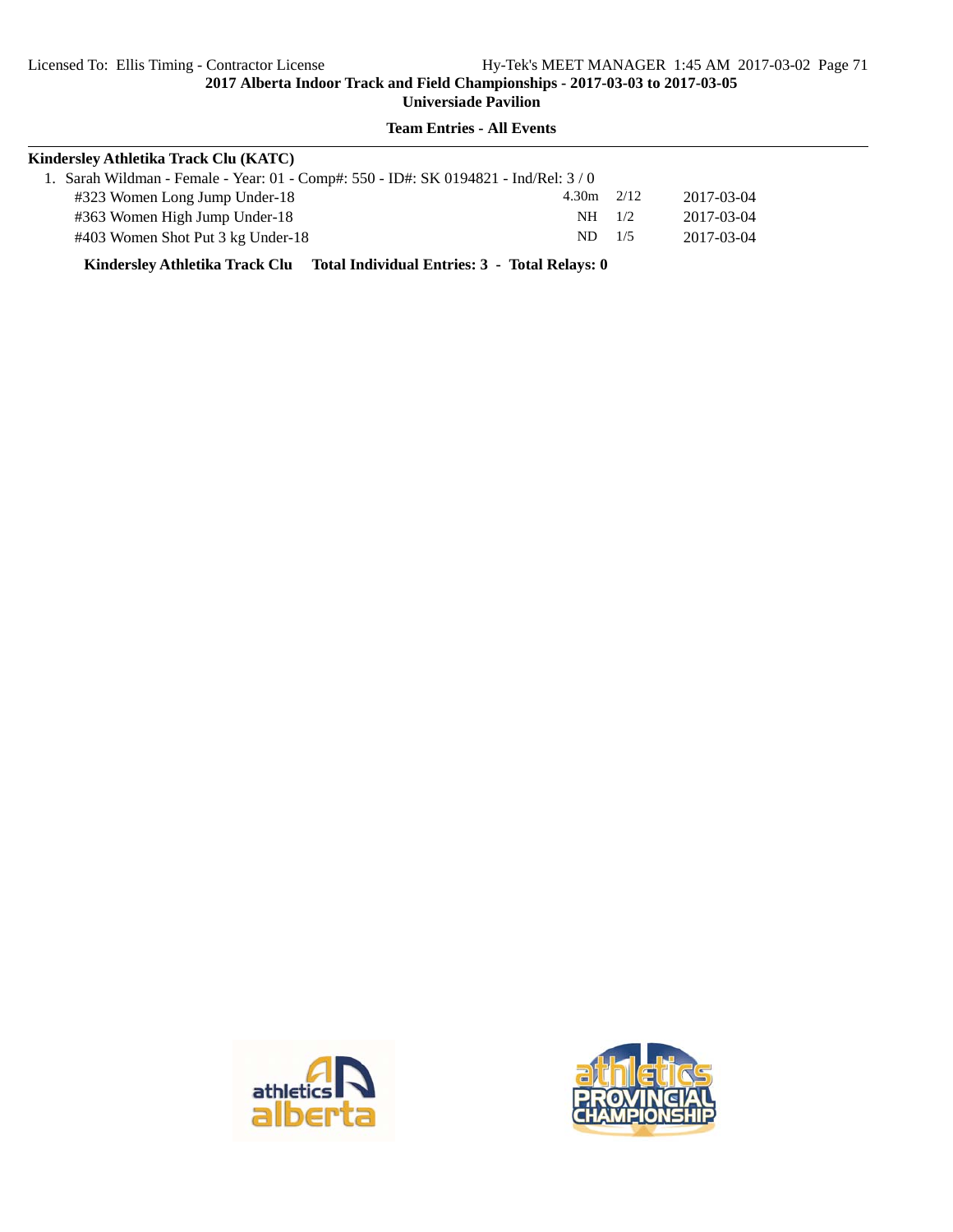**Universiade Pavilion**

# **Team Entries - All Events**

| Kindersley Athletika Track Clu (KATC)                                              |          |      |            |
|------------------------------------------------------------------------------------|----------|------|------------|
| 1. Sarah Wildman - Female - Year: 01 - Comp#: 550 - ID#: SK 0194821 - Ind/Rel: 3/0 |          |      |            |
| #323 Women Long Jump Under-18                                                      | 4.30m    | 2/12 | 2017-03-04 |
| #363 Women High Jump Under-18                                                      | $NH$ 1/2 |      | 2017-03-04 |
| #403 Women Shot Put 3 kg Under-18                                                  | $ND$ 1/5 |      | 2017-03-04 |

**Kindersley Athletika Track Clu Total Individual Entries: 3 - Total Relays: 0**



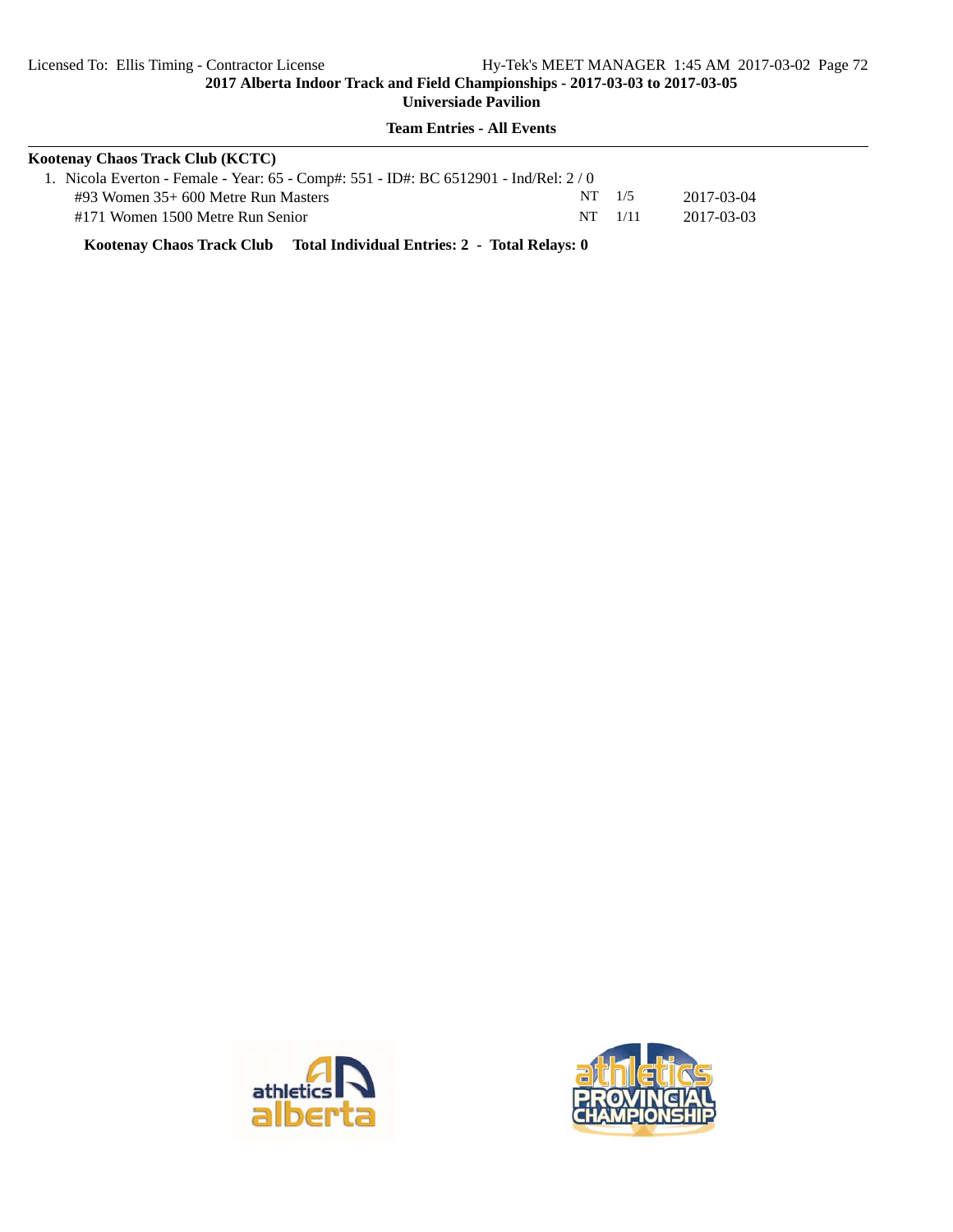**Team Entries - All Events**

| Kootenav Chaos Track Club (KCTC)                                                    |            |             |            |  |
|-------------------------------------------------------------------------------------|------------|-------------|------------|--|
| 1. Nicola Everton - Female - Year: 65 - Comp#: 551 - ID#: BC 6512901 - Ind/Rel: 2/0 |            |             |            |  |
| $\#93$ Women 35+ 600 Metre Run Masters                                              | $NT = 1/5$ |             | 2017-03-04 |  |
| #171 Women 1500 Metre Run Senior                                                    |            | $NT = 1/11$ | 2017-03-03 |  |

**Kootenay Chaos Track Club Total Individual Entries: 2 - Total Relays: 0**



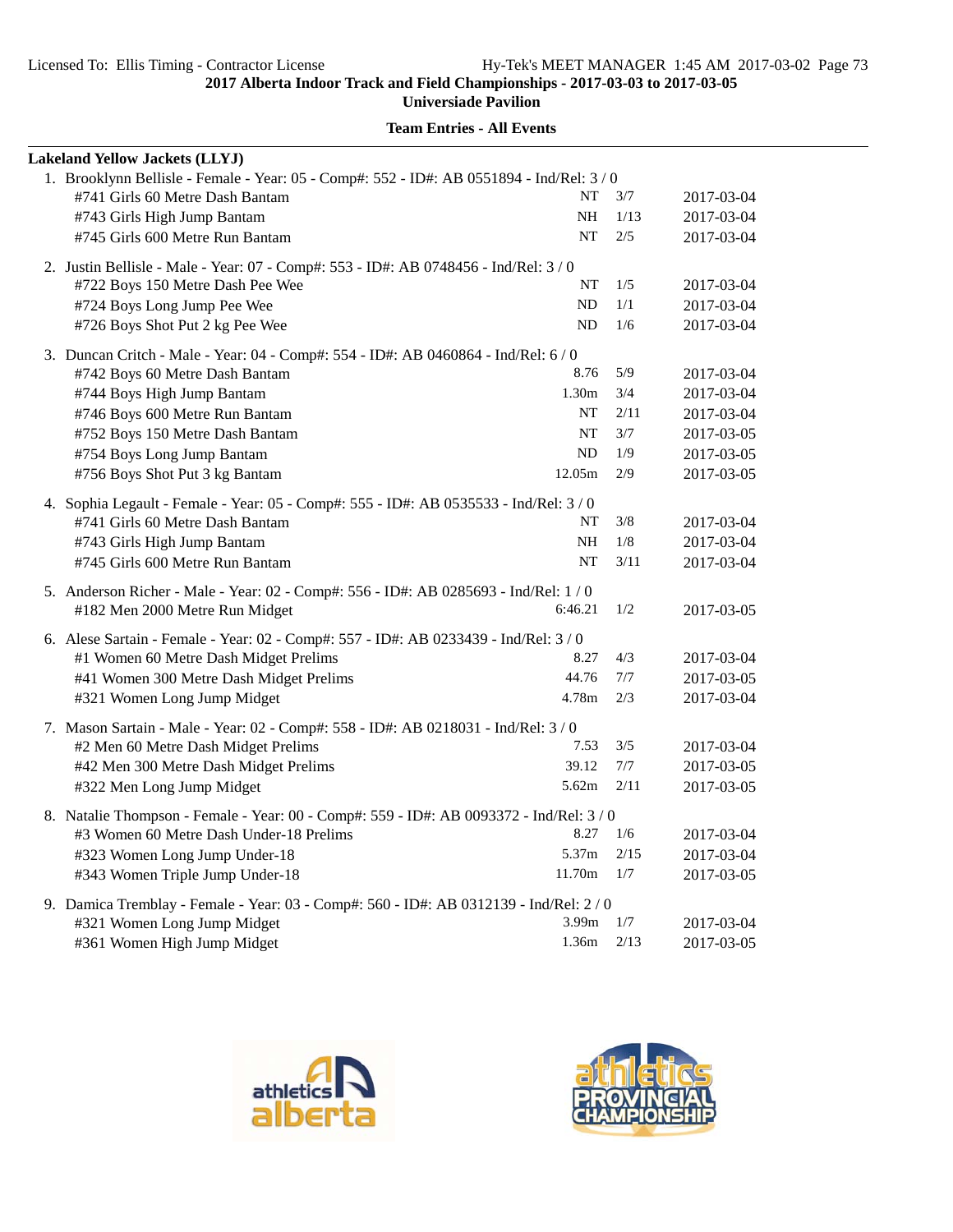**Universiade Pavilion**

|                                                                                    | <b>Lakeland Yellow Jackets (LLYJ)</b>                                                     |           |       |            |  |  |
|------------------------------------------------------------------------------------|-------------------------------------------------------------------------------------------|-----------|-------|------------|--|--|
|                                                                                    | 1. Brooklynn Bellisle - Female - Year: 05 - Comp#: 552 - ID#: AB 0551894 - Ind/Rel: 3 / 0 |           |       |            |  |  |
|                                                                                    | #741 Girls 60 Metre Dash Bantam                                                           | NT        | 3/7   | 2017-03-04 |  |  |
|                                                                                    | #743 Girls High Jump Bantam                                                               | NH        | 1/13  | 2017-03-04 |  |  |
|                                                                                    | #745 Girls 600 Metre Run Bantam                                                           | NT        | 2/5   | 2017-03-04 |  |  |
| 2. Justin Bellisle - Male - Year: 07 - Comp#: 553 - ID#: AB 0748456 - Ind/Rel: 3/0 |                                                                                           |           |       |            |  |  |
|                                                                                    | #722 Boys 150 Metre Dash Pee Wee                                                          | NΤ        | 1/5   | 2017-03-04 |  |  |
|                                                                                    | #724 Boys Long Jump Pee Wee                                                               | ND        | 1/1   | 2017-03-04 |  |  |
|                                                                                    | #726 Boys Shot Put 2 kg Pee Wee                                                           | ND        | 1/6   | 2017-03-04 |  |  |
|                                                                                    | 3. Duncan Critch - Male - Year: 04 - Comp#: 554 - ID#: AB 0460864 - Ind/Rel: 6 / 0        |           |       |            |  |  |
|                                                                                    | #742 Boys 60 Metre Dash Bantam                                                            | 8.76      | 5/9   | 2017-03-04 |  |  |
|                                                                                    | #744 Boys High Jump Bantam                                                                | 1.30m     | 3/4   | 2017-03-04 |  |  |
|                                                                                    | #746 Boys 600 Metre Run Bantam                                                            | NT        | 2/11  | 2017-03-04 |  |  |
|                                                                                    | #752 Boys 150 Metre Dash Bantam                                                           | NT        | $3/7$ | 2017-03-05 |  |  |
|                                                                                    | #754 Boys Long Jump Bantam                                                                | ND        | 1/9   | 2017-03-05 |  |  |
|                                                                                    | #756 Boys Shot Put 3 kg Bantam                                                            | 12.05m    | 2/9   | 2017-03-05 |  |  |
|                                                                                    | 4. Sophia Legault - Female - Year: 05 - Comp#: 555 - ID#: AB 0535533 - Ind/Rel: 3/0       |           |       |            |  |  |
|                                                                                    | #741 Girls 60 Metre Dash Bantam                                                           | NT        | 3/8   | 2017-03-04 |  |  |
|                                                                                    | #743 Girls High Jump Bantam                                                               | <b>NH</b> | 1/8   | 2017-03-04 |  |  |
|                                                                                    | #745 Girls 600 Metre Run Bantam                                                           | NT        | 3/11  | 2017-03-04 |  |  |
|                                                                                    | 5. Anderson Richer - Male - Year: 02 - Comp#: 556 - ID#: AB 0285693 - Ind/Rel: 1 / 0      |           |       |            |  |  |
|                                                                                    | #182 Men 2000 Metre Run Midget                                                            | 6:46.21   | 1/2   | 2017-03-05 |  |  |
|                                                                                    | 6. Alese Sartain - Female - Year: 02 - Comp#: 557 - ID#: AB 0233439 - Ind/Rel: 3 / 0      |           |       |            |  |  |
|                                                                                    | #1 Women 60 Metre Dash Midget Prelims                                                     | 8.27      | 4/3   | 2017-03-04 |  |  |
|                                                                                    | #41 Women 300 Metre Dash Midget Prelims                                                   | 44.76     | 7/7   | 2017-03-05 |  |  |
|                                                                                    | #321 Women Long Jump Midget                                                               | 4.78m     | 2/3   | 2017-03-04 |  |  |
|                                                                                    | 7. Mason Sartain - Male - Year: 02 - Comp#: 558 - ID#: AB 0218031 - Ind/Rel: 3 / 0        |           |       |            |  |  |
|                                                                                    | #2 Men 60 Metre Dash Midget Prelims                                                       | 7.53      | 3/5   | 2017-03-04 |  |  |
|                                                                                    | #42 Men 300 Metre Dash Midget Prelims                                                     | 39.12     | 7/7   | 2017-03-05 |  |  |
|                                                                                    | #322 Men Long Jump Midget                                                                 | 5.62m     | 2/11  | 2017-03-05 |  |  |
|                                                                                    | 8. Natalie Thompson - Female - Year: 00 - Comp#: 559 - ID#: AB 0093372 - Ind/Rel: 3 / 0   |           |       |            |  |  |
|                                                                                    | #3 Women 60 Metre Dash Under-18 Prelims                                                   | 8.27      | 1/6   | 2017-03-04 |  |  |
|                                                                                    | #323 Women Long Jump Under-18                                                             | 5.37m     | 2/15  | 2017-03-04 |  |  |
|                                                                                    | #343 Women Triple Jump Under-18                                                           | 11.70m    | 1/7   | 2017-03-05 |  |  |
|                                                                                    | 9. Damica Tremblay - Female - Year: 03 - Comp#: 560 - ID#: AB 0312139 - Ind/Rel: 2 / 0    |           |       |            |  |  |
|                                                                                    | #321 Women Long Jump Midget                                                               | 3.99m     | 1/7   | 2017-03-04 |  |  |
|                                                                                    | #361 Women High Jump Midget                                                               | 1.36m     | 2/13  | 2017-03-05 |  |  |



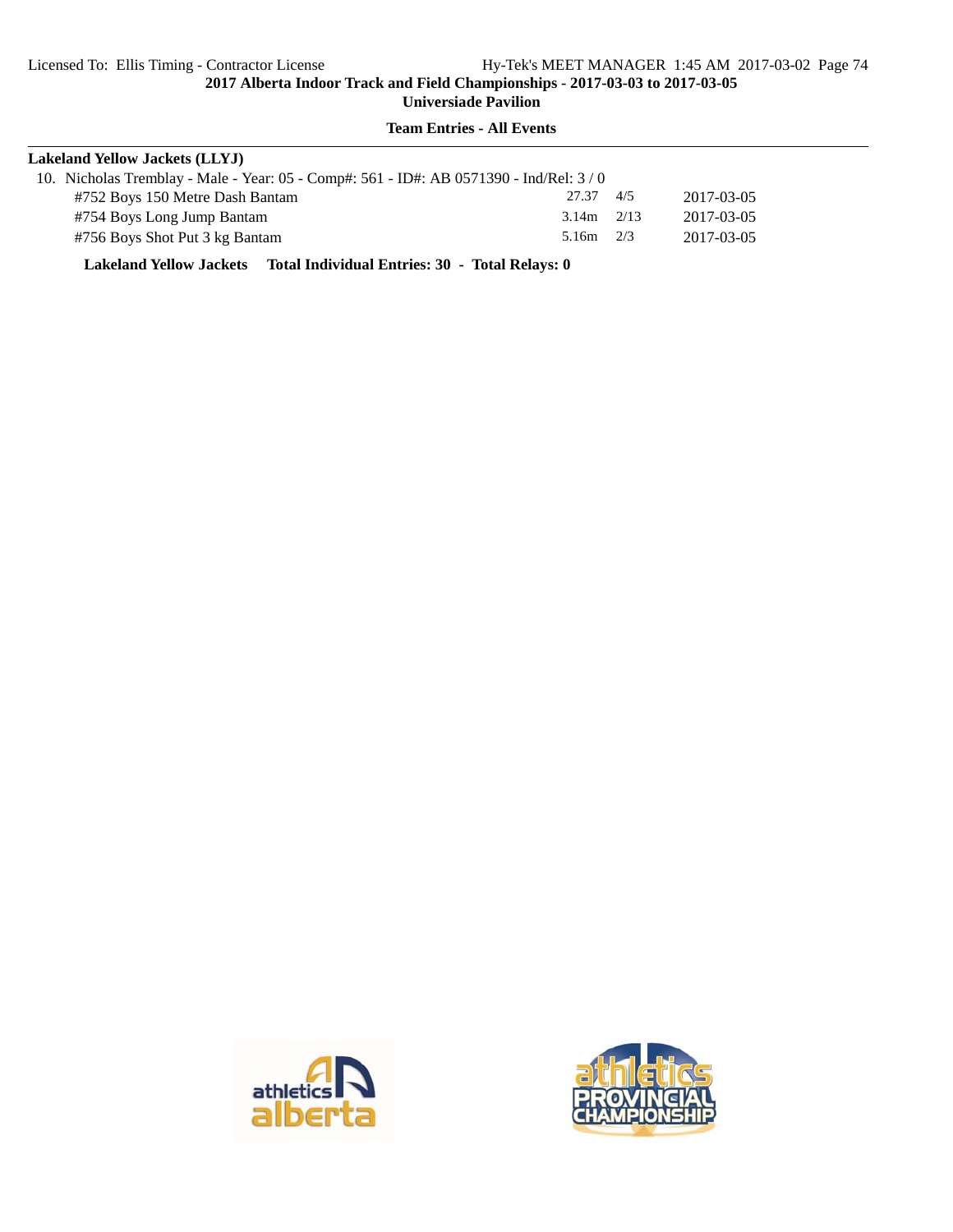#### **Team Entries - All Events**

| <b>Lakeland Yellow Jackets (LLYJ)</b>                                                 |                |     |            |  |  |  |
|---------------------------------------------------------------------------------------|----------------|-----|------------|--|--|--|
| 10. Nicholas Tremblay - Male - Year: 05 - Comp#: 561 - ID#: AB 0571390 - Ind/Rel: 3/0 |                |     |            |  |  |  |
| #752 Boys 150 Metre Dash Bantam                                                       | 27.37          | 4/5 | 2017-03-05 |  |  |  |
| #754 Boys Long Jump Bantam                                                            | $3.14m$ $2/13$ |     | 2017-03-05 |  |  |  |
| #756 Boys Shot Put 3 kg Bantam                                                        | 5.16m $2/3$    |     | 2017-03-05 |  |  |  |

**Lakeland Yellow Jackets Total Individual Entries: 30 - Total Relays: 0**



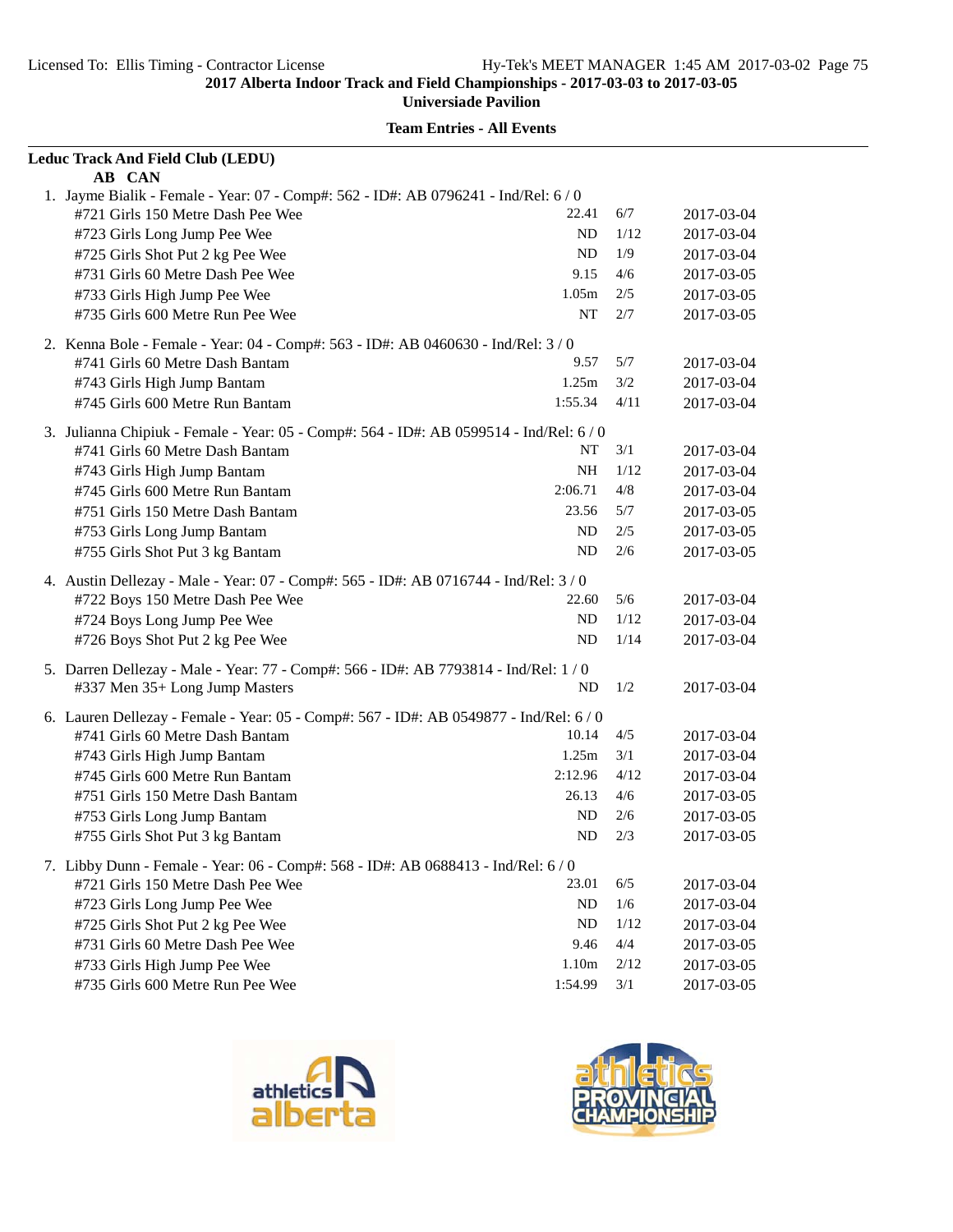| Leduc Track And Field Club (LEDU)                                                       |         |      |                          |
|-----------------------------------------------------------------------------------------|---------|------|--------------------------|
| AB CAN                                                                                  |         |      |                          |
| 1. Jayme Bialik - Female - Year: 07 - Comp#: 562 - ID#: AB 0796241 - Ind/Rel: 6 / 0     |         |      |                          |
| #721 Girls 150 Metre Dash Pee Wee                                                       | 22.41   | 6/7  | 2017-03-04               |
| #723 Girls Long Jump Pee Wee                                                            | ND      | 1/12 | 2017-03-04               |
| #725 Girls Shot Put 2 kg Pee Wee                                                        | ND      | 1/9  | 2017-03-04               |
| #731 Girls 60 Metre Dash Pee Wee                                                        | 9.15    | 4/6  | 2017-03-05               |
| #733 Girls High Jump Pee Wee                                                            | 1.05m   | 2/5  | 2017-03-05               |
| #735 Girls 600 Metre Run Pee Wee                                                        | NT      | 2/7  | 2017-03-05               |
| 2. Kenna Bole - Female - Year: 04 - Comp#: 563 - ID#: AB 0460630 - Ind/Rel: 3 / 0       |         |      |                          |
| #741 Girls 60 Metre Dash Bantam                                                         | 9.57    | 5/7  | 2017-03-04               |
| #743 Girls High Jump Bantam                                                             | 1.25m   | 3/2  | 2017-03-04               |
| #745 Girls 600 Metre Run Bantam                                                         | 1:55.34 | 4/11 | 2017-03-04               |
| 3. Julianna Chipiuk - Female - Year: 05 - Comp#: 564 - ID#: AB 0599514 - Ind/Rel: 6 / 0 |         |      |                          |
| #741 Girls 60 Metre Dash Bantam                                                         | NT      | 3/1  | 2017-03-04               |
| #743 Girls High Jump Bantam                                                             | NH      | 1/12 | 2017-03-04               |
| #745 Girls 600 Metre Run Bantam                                                         | 2:06.71 | 4/8  | 2017-03-04               |
| #751 Girls 150 Metre Dash Bantam                                                        | 23.56   | 5/7  | 2017-03-05               |
| #753 Girls Long Jump Bantam                                                             | ND      | 2/5  | 2017-03-05               |
| #755 Girls Shot Put 3 kg Bantam                                                         | ND      | 2/6  | 2017-03-05               |
| 4. Austin Dellezay - Male - Year: 07 - Comp#: 565 - ID#: AB 0716744 - Ind/Rel: 3 / 0    |         |      |                          |
| #722 Boys 150 Metre Dash Pee Wee                                                        | 22.60   | 5/6  | 2017-03-04               |
| #724 Boys Long Jump Pee Wee                                                             | ND      | 1/12 | 2017-03-04               |
| #726 Boys Shot Put 2 kg Pee Wee                                                         | ND.     | 1/14 | 2017-03-04               |
| 5. Darren Dellezay - Male - Year: 77 - Comp#: 566 - ID#: AB 7793814 - Ind/Rel: 1 / 0    |         |      |                          |
| #337 Men 35+ Long Jump Masters                                                          | ND      | 1/2  | 2017-03-04               |
| 6. Lauren Dellezay - Female - Year: 05 - Comp#: 567 - ID#: AB 0549877 - Ind/Rel: 6 / 0  |         |      |                          |
| #741 Girls 60 Metre Dash Bantam                                                         | 10.14   | 4/5  | 2017-03-04               |
| #743 Girls High Jump Bantam                                                             | 1.25m   | 3/1  | 2017-03-04               |
| #745 Girls 600 Metre Run Bantam                                                         | 2:12.96 | 4/12 | 2017-03-04               |
| #751 Girls 150 Metre Dash Bantam                                                        | 26.13   | 4/6  | 2017-03-05               |
|                                                                                         | ND      | 2/6  |                          |
| #753 Girls Long Jump Bantam                                                             | ND      | 2/3  | 2017-03-05<br>2017-03-05 |
| #755 Girls Shot Put 3 kg Bantam                                                         |         |      |                          |
| 7. Libby Dunn - Female - Year: 06 - Comp#: 568 - ID#: AB 0688413 - Ind/Rel: 6/0         |         |      |                          |
| #721 Girls 150 Metre Dash Pee Wee                                                       | 23.01   | 6/5  | 2017-03-04               |
| #723 Girls Long Jump Pee Wee                                                            | ND      | 1/6  | 2017-03-04               |
| #725 Girls Shot Put 2 kg Pee Wee                                                        | ND      | 1/12 | 2017-03-04               |
| #731 Girls 60 Metre Dash Pee Wee                                                        | 9.46    | 4/4  | 2017-03-05               |
| #733 Girls High Jump Pee Wee                                                            | 1.10m   | 2/12 | 2017-03-05               |
| #735 Girls 600 Metre Run Pee Wee                                                        | 1:54.99 | 3/1  | 2017-03-05               |



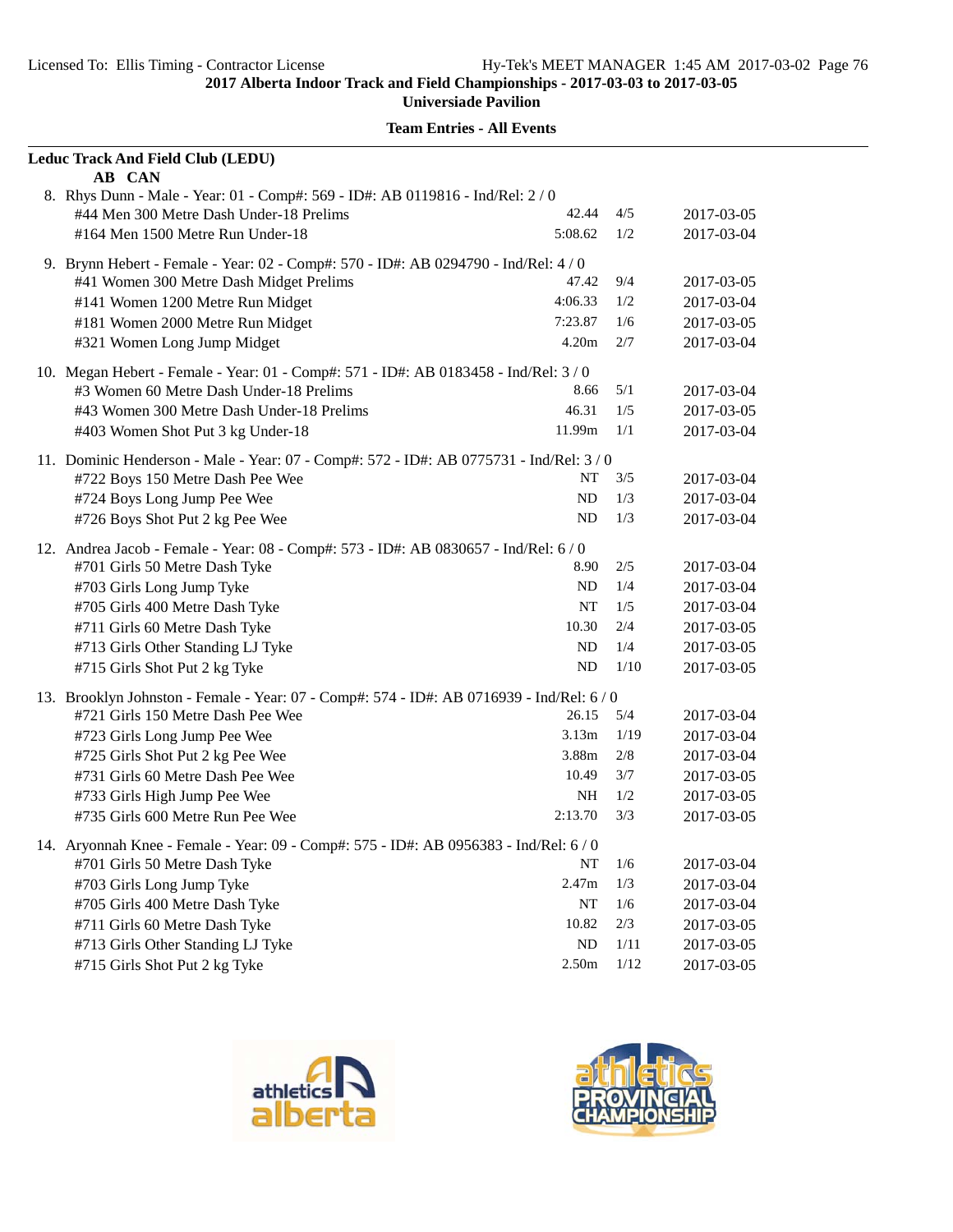| Leduc Track And Field Club (LEDU)<br>AB CAN                                               |          |                                                                                                                          |            |
|-------------------------------------------------------------------------------------------|----------|--------------------------------------------------------------------------------------------------------------------------|------------|
| 8. Rhys Dunn - Male - Year: 01 - Comp#: 569 - ID#: AB 0119816 - Ind/Rel: 2 / 0            |          |                                                                                                                          |            |
| #44 Men 300 Metre Dash Under-18 Prelims                                                   | 42.44    | 4/5                                                                                                                      | 2017-03-05 |
| #164 Men 1500 Metre Run Under-18                                                          | 5:08.62  | 1/2                                                                                                                      | 2017-03-04 |
| 9. Brynn Hebert - Female - Year: 02 - Comp#: 570 - ID#: AB 0294790 - Ind/Rel: 4 / 0       |          |                                                                                                                          |            |
| #41 Women 300 Metre Dash Midget Prelims                                                   | 47.42    | 9/4                                                                                                                      | 2017-03-05 |
| #141 Women 1200 Metre Run Midget                                                          | 4:06.33  | 1/2                                                                                                                      | 2017-03-04 |
| #181 Women 2000 Metre Run Midget                                                          | 7:23.87  | 1/6                                                                                                                      | 2017-03-05 |
| #321 Women Long Jump Midget                                                               | 4.20m    | 2/7                                                                                                                      | 2017-03-04 |
| 10. Megan Hebert - Female - Year: 01 - Comp#: 571 - ID#: AB 0183458 - Ind/Rel: 3/0        |          |                                                                                                                          |            |
| #3 Women 60 Metre Dash Under-18 Prelims                                                   | 8.66     | 5/1                                                                                                                      | 2017-03-04 |
| #43 Women 300 Metre Dash Under-18 Prelims                                                 | 46.31    | 1/5                                                                                                                      | 2017-03-05 |
| #403 Women Shot Put 3 kg Under-18                                                         | 11.99m   | 1/1                                                                                                                      | 2017-03-04 |
| 11. Dominic Henderson - Male - Year: 07 - Comp#: 572 - ID#: AB 0775731 - Ind/Rel: 3 / 0   |          |                                                                                                                          |            |
| #722 Boys 150 Metre Dash Pee Wee                                                          | NT       | 3/5                                                                                                                      | 2017-03-04 |
| #724 Boys Long Jump Pee Wee                                                               | ND       | 1/3                                                                                                                      | 2017-03-04 |
| #726 Boys Shot Put 2 kg Pee Wee                                                           | ND       | 1/3                                                                                                                      | 2017-03-04 |
| 12. Andrea Jacob - Female - Year: 08 - Comp#: 573 - ID#: AB 0830657 - Ind/Rel: 6 / 0      |          | 2/5<br>1/4<br>1/5<br>2/4<br>1/4<br>1/10<br>5/4<br>1/19<br>2/8<br>3/7<br>1/2<br>3/3<br>1/6<br>1/3<br>1/6<br>$2/3$<br>1/11 |            |
| #701 Girls 50 Metre Dash Tyke                                                             | 8.90     |                                                                                                                          | 2017-03-04 |
| #703 Girls Long Jump Tyke                                                                 | ND       |                                                                                                                          | 2017-03-04 |
| #705 Girls 400 Metre Dash Tyke                                                            | NT       |                                                                                                                          | 2017-03-04 |
| #711 Girls 60 Metre Dash Tyke                                                             | 10.30    |                                                                                                                          | 2017-03-05 |
| #713 Girls Other Standing LJ Tyke                                                         | ND       |                                                                                                                          | 2017-03-05 |
| #715 Girls Shot Put 2 kg Tyke                                                             | ND       |                                                                                                                          | 2017-03-05 |
| 13. Brooklyn Johnston - Female - Year: 07 - Comp#: 574 - ID#: AB 0716939 - Ind/Rel: 6 / 0 |          |                                                                                                                          |            |
| #721 Girls 150 Metre Dash Pee Wee                                                         | 26.15    |                                                                                                                          | 2017-03-04 |
| #723 Girls Long Jump Pee Wee                                                              | 3.13m    |                                                                                                                          | 2017-03-04 |
| #725 Girls Shot Put 2 kg Pee Wee                                                          | 3.88m    |                                                                                                                          | 2017-03-04 |
| #731 Girls 60 Metre Dash Pee Wee                                                          | 10.49    |                                                                                                                          | 2017-03-05 |
| #733 Girls High Jump Pee Wee                                                              | NH       |                                                                                                                          | 2017-03-05 |
| #735 Girls 600 Metre Run Pee Wee                                                          | 2:13.70  |                                                                                                                          | 2017-03-05 |
| 14. Aryonnah Knee - Female - Year: 09 - Comp#: 575 - ID#: AB 0956383 - Ind/Rel: 6 / 0     |          |                                                                                                                          |            |
| #701 Girls 50 Metre Dash Tyke                                                             | NT       |                                                                                                                          | 2017-03-04 |
| #703 Girls Long Jump Tyke                                                                 | 2.47m    |                                                                                                                          | 2017-03-04 |
| #705 Girls 400 Metre Dash Tyke                                                            | NT       |                                                                                                                          | 2017-03-04 |
| #711 Girls 60 Metre Dash Tyke                                                             | 10.82    |                                                                                                                          | 2017-03-05 |
| #713 Girls Other Standing LJ Tyke                                                         | $\rm ND$ |                                                                                                                          | 2017-03-05 |
| #715 Girls Shot Put 2 kg Tyke                                                             | 2.50m    | $1/12$                                                                                                                   | 2017-03-05 |



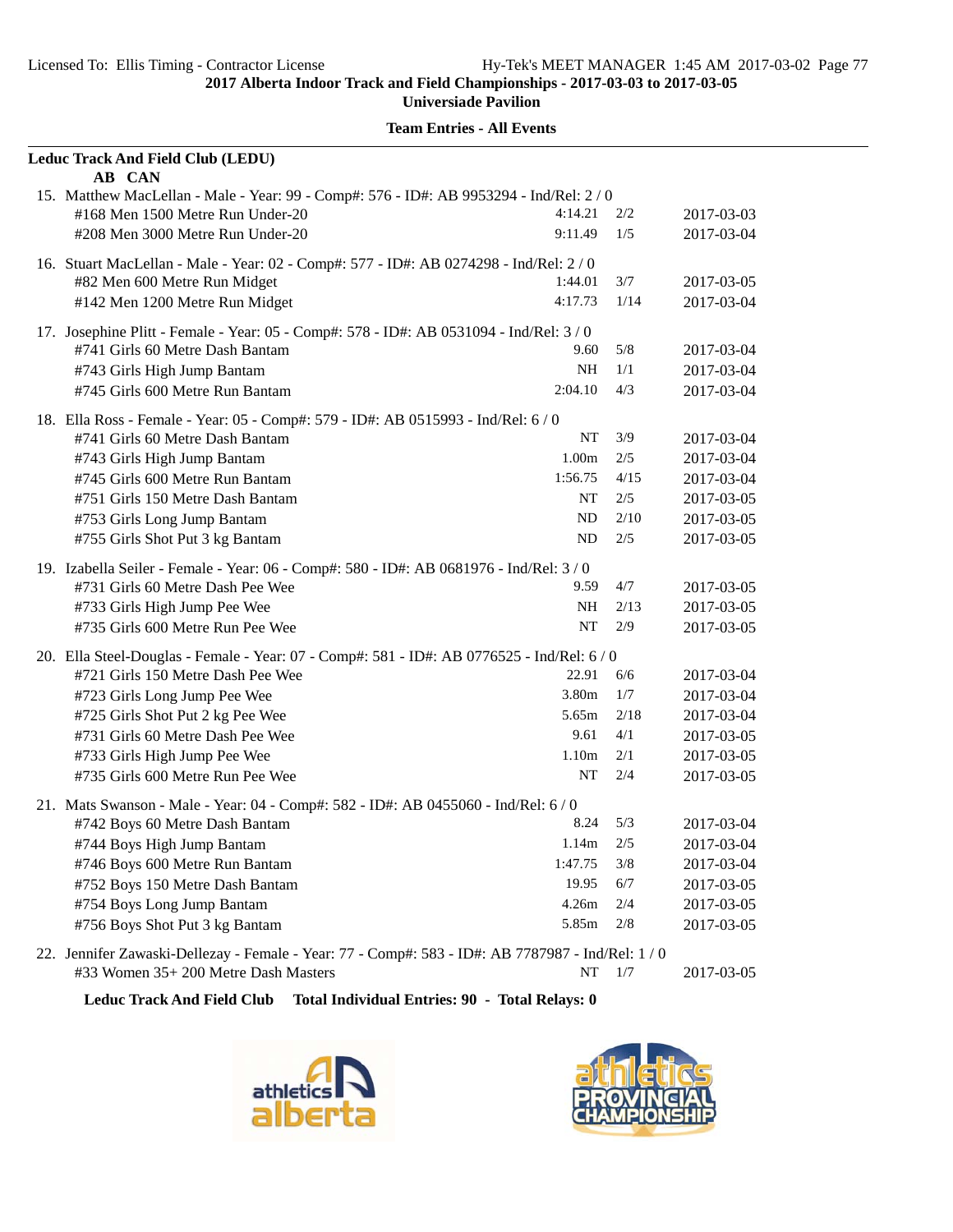| Leduc Track And Field Club (LEDU)                                                                                         |                   |      |            |  |  |
|---------------------------------------------------------------------------------------------------------------------------|-------------------|------|------------|--|--|
| AB CAN                                                                                                                    |                   |      |            |  |  |
| 15. Matthew MacLellan - Male - Year: 99 - Comp#: 576 - ID#: AB 9953294 - Ind/Rel: 2/0<br>#168 Men 1500 Metre Run Under-20 | 4:14.21           | 2/2  | 2017-03-03 |  |  |
| #208 Men 3000 Metre Run Under-20                                                                                          | 9:11.49           | 1/5  | 2017-03-04 |  |  |
|                                                                                                                           |                   |      |            |  |  |
| 16. Stuart MacLellan - Male - Year: 02 - Comp#: 577 - ID#: AB 0274298 - Ind/Rel: 2/0                                      |                   |      |            |  |  |
| #82 Men 600 Metre Run Midget                                                                                              | 1:44.01           | 3/7  | 2017-03-05 |  |  |
| #142 Men 1200 Metre Run Midget                                                                                            | 4:17.73           | 1/14 | 2017-03-04 |  |  |
| 17. Josephine Plitt - Female - Year: 05 - Comp#: 578 - ID#: AB 0531094 - Ind/Rel: 3/0                                     |                   |      |            |  |  |
| #741 Girls 60 Metre Dash Bantam                                                                                           | 9.60              | 5/8  | 2017-03-04 |  |  |
| #743 Girls High Jump Bantam                                                                                               | <b>NH</b>         | 1/1  | 2017-03-04 |  |  |
| #745 Girls 600 Metre Run Bantam                                                                                           | 2:04.10           | 4/3  | 2017-03-04 |  |  |
| 18. Ella Ross - Female - Year: 05 - Comp#: 579 - ID#: AB 0515993 - Ind/Rel: 6 / 0                                         |                   |      |            |  |  |
| #741 Girls 60 Metre Dash Bantam                                                                                           | NT                | 3/9  | 2017-03-04 |  |  |
| #743 Girls High Jump Bantam                                                                                               | 1.00 <sub>m</sub> | 2/5  | 2017-03-04 |  |  |
| #745 Girls 600 Metre Run Bantam                                                                                           | 1:56.75           | 4/15 | 2017-03-04 |  |  |
| #751 Girls 150 Metre Dash Bantam                                                                                          | NT                | 2/5  | 2017-03-05 |  |  |
| #753 Girls Long Jump Bantam                                                                                               | N <sub>D</sub>    | 2/10 | 2017-03-05 |  |  |
| #755 Girls Shot Put 3 kg Bantam                                                                                           | ND                | 2/5  | 2017-03-05 |  |  |
|                                                                                                                           |                   |      |            |  |  |
| 19. Izabella Seiler - Female - Year: 06 - Comp#: 580 - ID#: AB 0681976 - Ind/Rel: 3/0<br>#731 Girls 60 Metre Dash Pee Wee | 9.59              | 4/7  | 2017-03-05 |  |  |
| #733 Girls High Jump Pee Wee                                                                                              | NH                | 2/13 | 2017-03-05 |  |  |
| #735 Girls 600 Metre Run Pee Wee                                                                                          | NT                | 2/9  | 2017-03-05 |  |  |
|                                                                                                                           |                   |      |            |  |  |
| 20. Ella Steel-Douglas - Female - Year: 07 - Comp#: 581 - ID#: AB 0776525 - Ind/Rel: 6 / 0                                | 22.91             | 6/6  |            |  |  |
| #721 Girls 150 Metre Dash Pee Wee                                                                                         |                   |      | 2017-03-04 |  |  |
| #723 Girls Long Jump Pee Wee                                                                                              | 3.80m             | 1/7  | 2017-03-04 |  |  |
| #725 Girls Shot Put 2 kg Pee Wee                                                                                          | 5.65m             | 2/18 | 2017-03-04 |  |  |
| #731 Girls 60 Metre Dash Pee Wee                                                                                          | 9.61              | 4/1  | 2017-03-05 |  |  |
| #733 Girls High Jump Pee Wee                                                                                              | 1.10 <sub>m</sub> | 2/1  | 2017-03-05 |  |  |
| #735 Girls 600 Metre Run Pee Wee                                                                                          | NT                | 2/4  | 2017-03-05 |  |  |
| 21. Mats Swanson - Male - Year: 04 - Comp#: 582 - ID#: AB 0455060 - Ind/Rel: 6 / 0                                        |                   |      |            |  |  |
| #742 Boys 60 Metre Dash Bantam                                                                                            | 8.24              | 5/3  | 2017-03-04 |  |  |
| #744 Boys High Jump Bantam                                                                                                | 1.14m             | 2/5  | 2017-03-04 |  |  |
| #746 Boys 600 Metre Run Bantam                                                                                            | 1:47.75           | 3/8  | 2017-03-04 |  |  |
| #752 Boys 150 Metre Dash Bantam                                                                                           | 19.95             | 6/7  | 2017-03-05 |  |  |
| #754 Boys Long Jump Bantam                                                                                                | 4.26m             | 2/4  | 2017-03-05 |  |  |
| #756 Boys Shot Put 3 kg Bantam                                                                                            | 5.85m             | 2/8  | 2017-03-05 |  |  |
| 22. Jennifer Zawaski-Dellezay - Female - Year: 77 - Comp#: 583 - ID#: AB 7787987 - Ind/Rel: 1 / 0                         |                   |      |            |  |  |
| #33 Women 35+ 200 Metre Dash Masters                                                                                      | NT                | 1/7  | 2017-03-05 |  |  |

**Leduc Track And Field Club Total Individual Entries: 90 - Total Relays: 0**



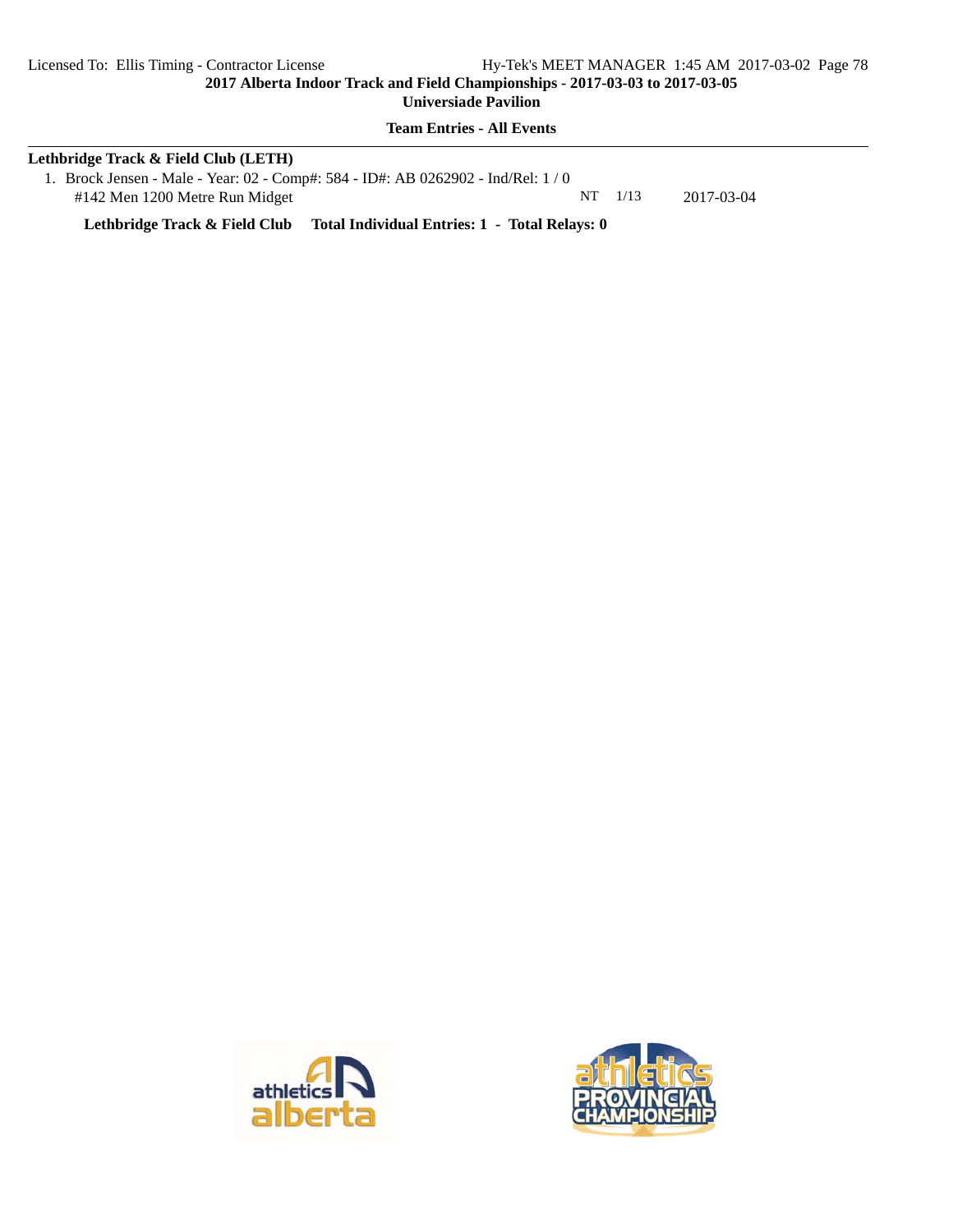**Universiade Pavilion**

**Team Entries - All Events**

# **Lethbridge Track & Field Club (LETH)** 1. Brock Jensen - Male - Year: 02 - Comp#: 584 - ID#: AB 0262902 - Ind/Rel: 1 / 0

#142 Men 1200 Metre Run Midget NT 1/13 2017-03-04

**Lethbridge Track & Field Club Total Individual Entries: 1 - Total Relays: 0**



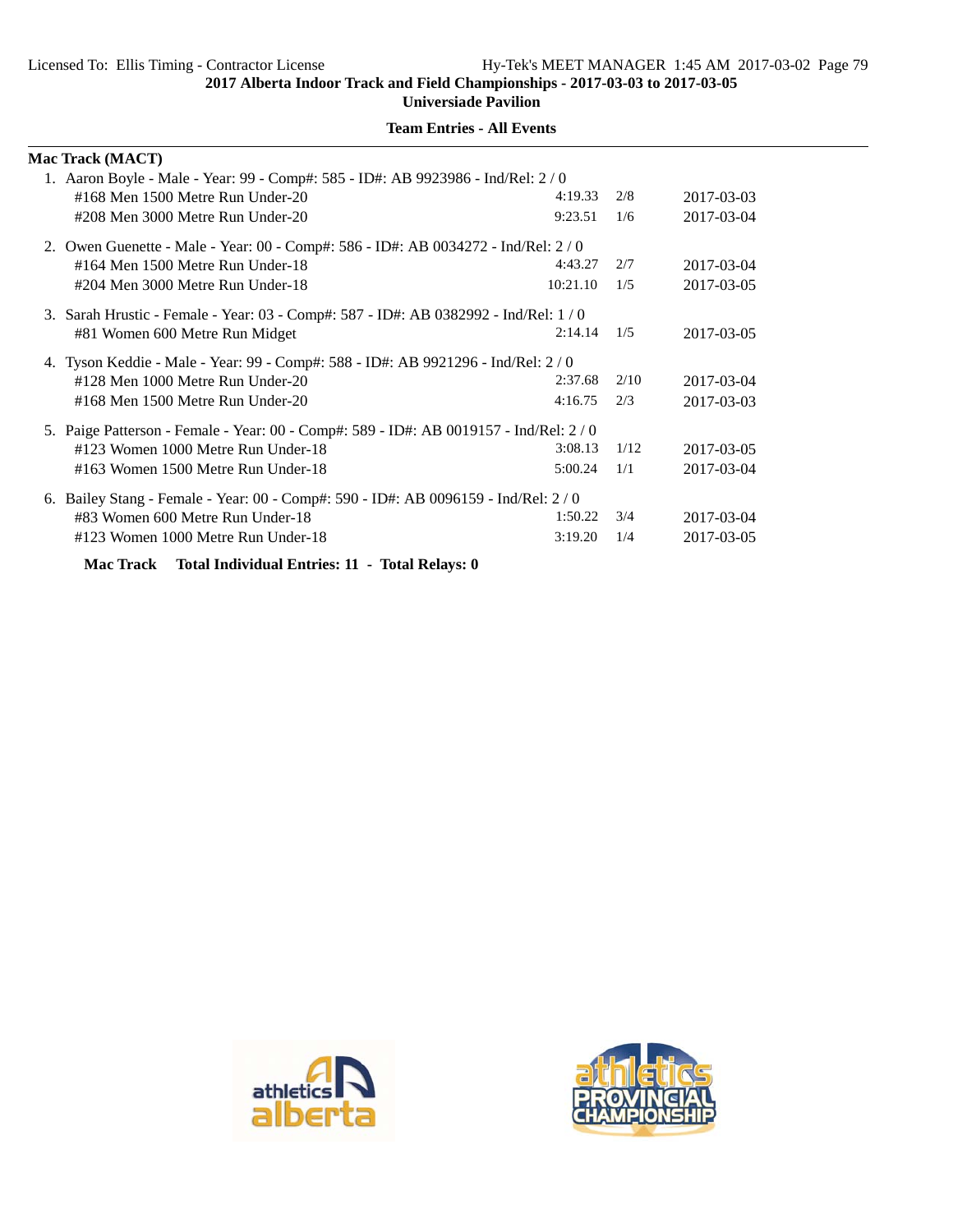**Universiade Pavilion**

| <b>Mac Track (MACT)</b>                                                              |          |      |            |
|--------------------------------------------------------------------------------------|----------|------|------------|
| 1. Aaron Boyle - Male - Year: 99 - Comp#: 585 - ID#: AB 9923986 - Ind/Rel: 2/0       |          |      |            |
| #168 Men 1500 Metre Run Under-20                                                     | 4:19.33  | 2/8  | 2017-03-03 |
| #208 Men 3000 Metre Run Under-20                                                     | 9:23.51  | 1/6  | 2017-03-04 |
| 2. Owen Guenette - Male - Year: 00 - Comp#: 586 - ID#: AB 0034272 - Ind/Rel: 2/0     |          |      |            |
| #164 Men 1500 Metre Run Under-18                                                     | 4:43.27  | 2/7  | 2017-03-04 |
| #204 Men 3000 Metre Run Under-18                                                     | 10:21.10 | 1/5  | 2017-03-05 |
| 3. Sarah Hrustic - Female - Year: 03 - Comp#: 587 - ID#: AB 0382992 - Ind/Rel: 1/0   |          |      |            |
| #81 Women 600 Metre Run Midget                                                       | 2:14.14  | 1/5  | 2017-03-05 |
| 4. Tyson Keddie - Male - Year: 99 - Comp#: 588 - ID#: AB 9921296 - Ind/Rel: 2/0      |          |      |            |
| #128 Men 1000 Metre Run Under-20                                                     | 2:37.68  | 2/10 | 2017-03-04 |
| #168 Men 1500 Metre Run Under-20                                                     | 4:16.75  | 2/3  | 2017-03-03 |
| 5. Paige Patterson - Female - Year: 00 - Comp#: 589 - ID#: AB 0019157 - Ind/Rel: 2/0 |          |      |            |
| #123 Women 1000 Metre Run Under-18                                                   | 3:08.13  | 1/12 | 2017-03-05 |
| #163 Women 1500 Metre Run Under-18                                                   | 5:00.24  | 1/1  | 2017-03-04 |
| 6. Bailey Stang - Female - Year: 00 - Comp#: 590 - ID#: AB 0096159 - Ind/Rel: 2/0    |          |      |            |
| #83 Women 600 Metre Run Under-18                                                     | 1:50.22  | 3/4  | 2017-03-04 |
| #123 Women 1000 Metre Run Under-18                                                   | 3:19.20  | 1/4  | 2017-03-05 |
| Mac Track Total Individual Entries: 11 - Total Relays: 0                             |          |      |            |



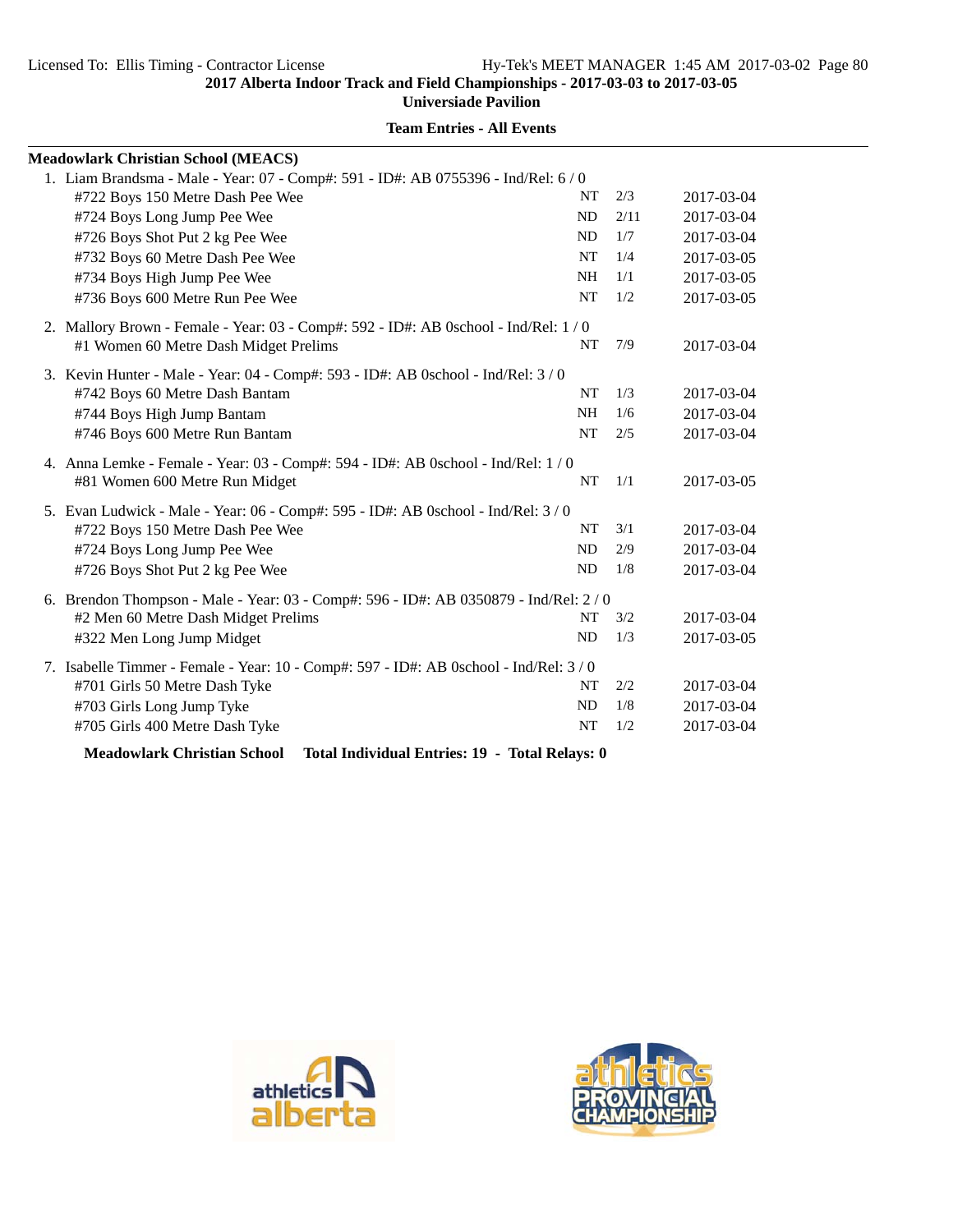**Universiade Pavilion**

| <b>Meadowlark Christian School (MEACS)</b>                                            |           |      |            |  |  |  |
|---------------------------------------------------------------------------------------|-----------|------|------------|--|--|--|
| 1. Liam Brandsma - Male - Year: 07 - Comp#: 591 - ID#: AB 0755396 - Ind/Rel: 6/0      |           |      |            |  |  |  |
| #722 Boys 150 Metre Dash Pee Wee                                                      | <b>NT</b> | 2/3  | 2017-03-04 |  |  |  |
| #724 Boys Long Jump Pee Wee                                                           | ND        | 2/11 | 2017-03-04 |  |  |  |
| #726 Boys Shot Put 2 kg Pee Wee                                                       | <b>ND</b> | 1/7  | 2017-03-04 |  |  |  |
| #732 Boys 60 Metre Dash Pee Wee                                                       | NT        | 1/4  | 2017-03-05 |  |  |  |
| #734 Boys High Jump Pee Wee                                                           | NH        | 1/1  | 2017-03-05 |  |  |  |
| #736 Boys 600 Metre Run Pee Wee                                                       | NT        | 1/2  | 2017-03-05 |  |  |  |
| 2. Mallory Brown - Female - Year: 03 - Comp#: 592 - ID#: AB 0school - Ind/Rel: 1/0    |           |      |            |  |  |  |
| #1 Women 60 Metre Dash Midget Prelims                                                 | NT        | 7/9  | 2017-03-04 |  |  |  |
| 3. Kevin Hunter - Male - Year: 04 - Comp#: 593 - ID#: AB 0school - Ind/Rel: 3 / 0     |           |      |            |  |  |  |
| #742 Boys 60 Metre Dash Bantam                                                        | <b>NT</b> | 1/3  | 2017-03-04 |  |  |  |
| #744 Boys High Jump Bantam                                                            | <b>NH</b> | 1/6  | 2017-03-04 |  |  |  |
| #746 Boys 600 Metre Run Bantam                                                        | <b>NT</b> | 2/5  | 2017-03-04 |  |  |  |
| 4. Anna Lemke - Female - Year: 03 - Comp#: 594 - ID#: AB 0school - Ind/Rel: 1 / 0     |           |      |            |  |  |  |
| #81 Women 600 Metre Run Midget                                                        | NT        | 1/1  | 2017-03-05 |  |  |  |
| 5. Evan Ludwick - Male - Year: 06 - Comp#: 595 - ID#: AB 0school - Ind/Rel: 3 / 0     |           |      |            |  |  |  |
| #722 Boys 150 Metre Dash Pee Wee                                                      | NT        | 3/1  | 2017-03-04 |  |  |  |
| #724 Boys Long Jump Pee Wee                                                           | ND        | 2/9  | 2017-03-04 |  |  |  |
| #726 Boys Shot Put 2 kg Pee Wee                                                       | <b>ND</b> | 1/8  | 2017-03-04 |  |  |  |
| 6. Brendon Thompson - Male - Year: 03 - Comp#: 596 - ID#: AB 0350879 - Ind/Rel: 2 / 0 |           |      |            |  |  |  |
| #2 Men 60 Metre Dash Midget Prelims                                                   | NT        | 3/2  | 2017-03-04 |  |  |  |
| #322 Men Long Jump Midget                                                             | ND        | 1/3  | 2017-03-05 |  |  |  |
| 7. Isabelle Timmer - Female - Year: 10 - Comp#: 597 - ID#: AB 0school - Ind/Rel: 3/0  |           |      |            |  |  |  |
| #701 Girls 50 Metre Dash Tyke                                                         | NT        | 2/2  | 2017-03-04 |  |  |  |
| #703 Girls Long Jump Tyke                                                             | <b>ND</b> | 1/8  | 2017-03-04 |  |  |  |
| #705 Girls 400 Metre Dash Tyke                                                        | <b>NT</b> | 1/2  | 2017-03-04 |  |  |  |
| <b>Meadowlark Christian School</b><br>Total Individual Entries: 19 - Total Relays: 0  |           |      |            |  |  |  |



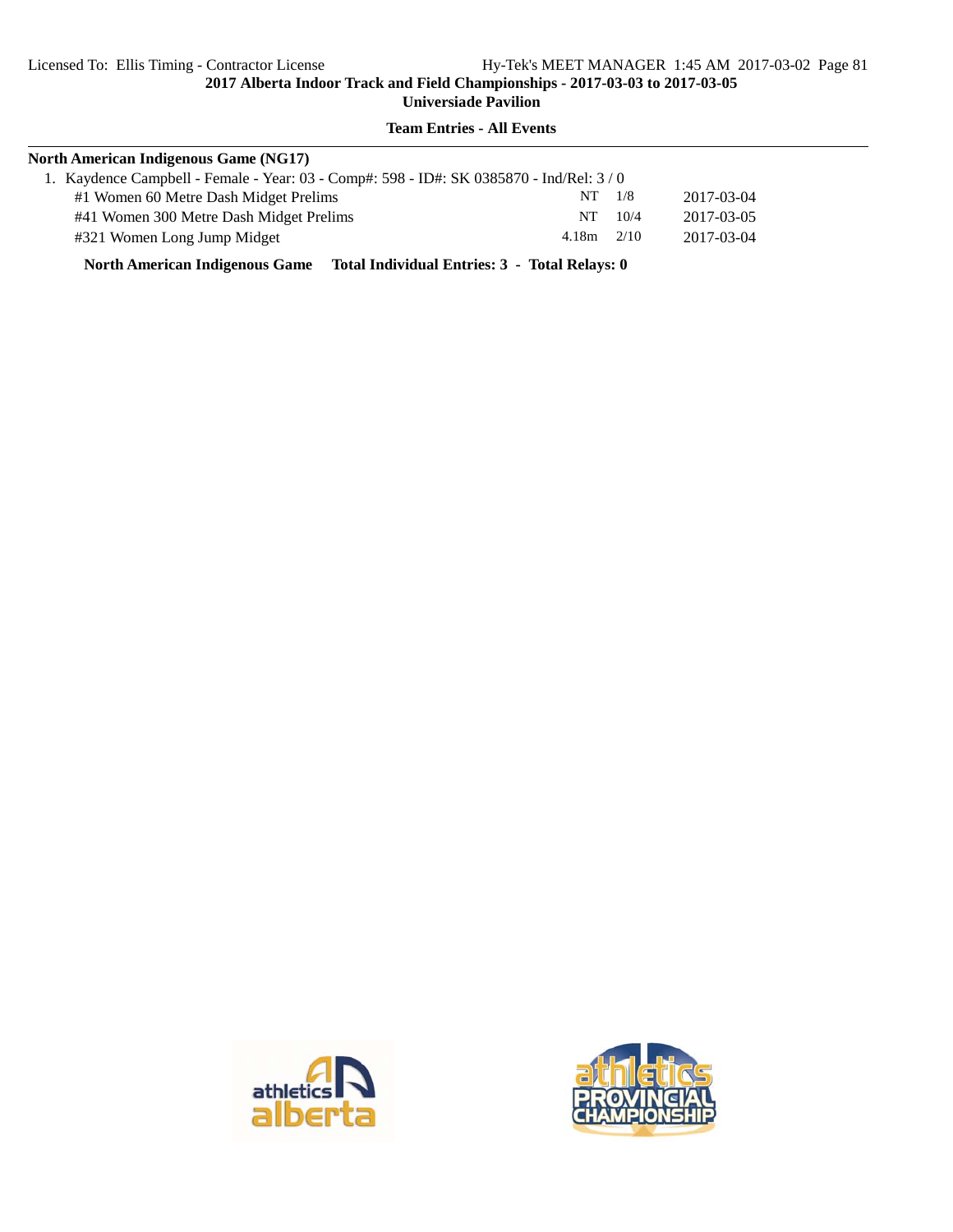# **Team Entries - All Events**

| <b>North American Indigenous Game (NG17)</b>                                           |       |      |            |  |  |
|----------------------------------------------------------------------------------------|-------|------|------------|--|--|
| 1. Kaydence Campbell - Female - Year: 03 - Comp#: 598 - ID#: SK 0385870 - Ind/Rel: 3/0 |       |      |            |  |  |
| #1 Women 60 Metre Dash Midget Prelims                                                  | NT.   | 1/8  | 2017-03-04 |  |  |
| #41 Women 300 Metre Dash Midget Prelims                                                | NT .  | 10/4 | 2017-03-05 |  |  |
| #321 Women Long Jump Midget                                                            | 4.18m | 2/10 | 2017-03-04 |  |  |
|                                                                                        |       |      |            |  |  |

**North American Indigenous Game Total Individual Entries: 3 - Total Relays: 0**



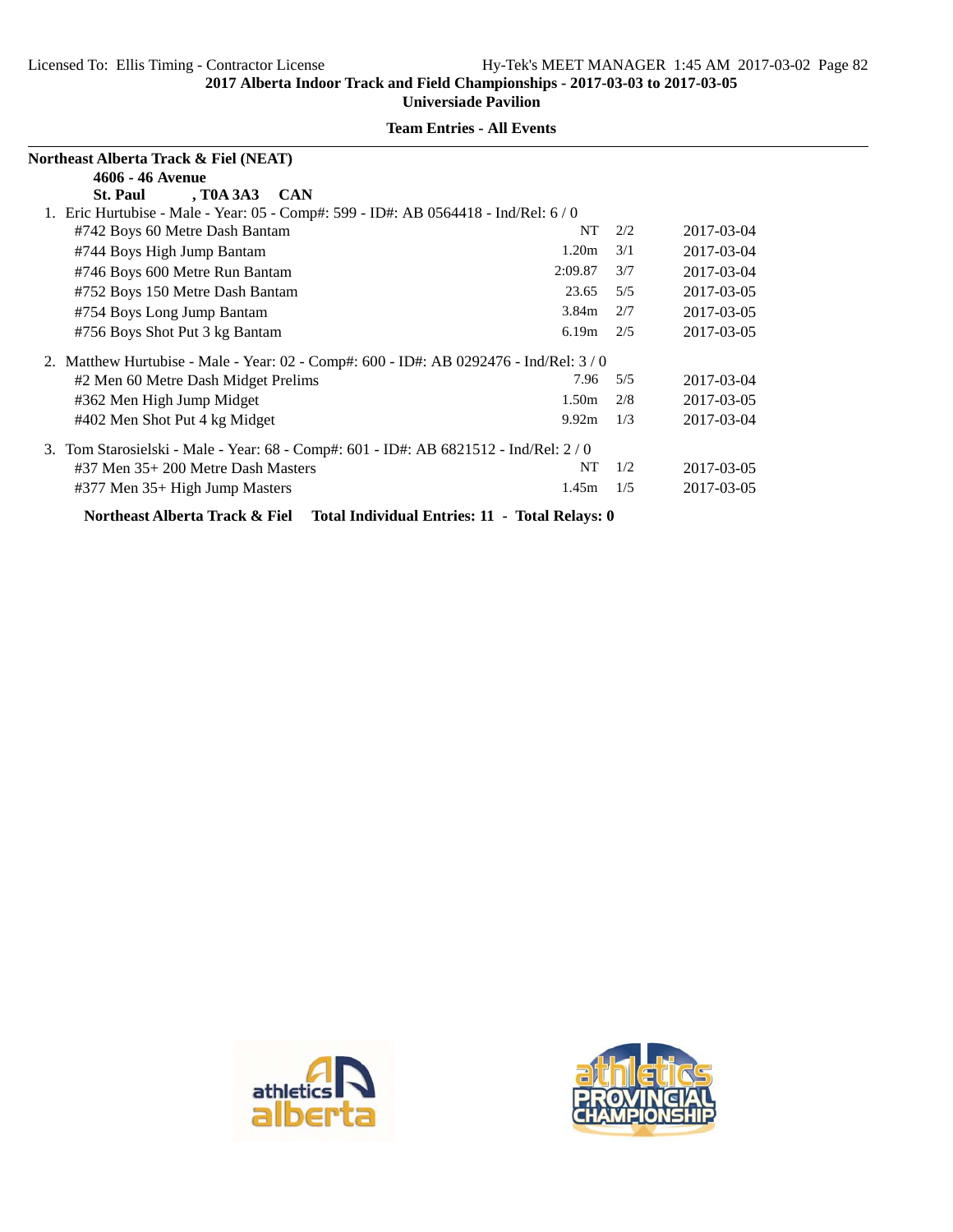| Northeast Alberta Track & Fiel (NEAT)                                                |                                            |     |            |  |  |
|--------------------------------------------------------------------------------------|--------------------------------------------|-----|------------|--|--|
| 4606 - 46 Avenue                                                                     |                                            |     |            |  |  |
| , T0A 3A3 CAN<br><b>St. Paul</b>                                                     |                                            |     |            |  |  |
| 1. Eric Hurtubise - Male - Year: 05 - Comp#: 599 - ID#: AB 0564418 - Ind/Rel: 6/0    |                                            |     |            |  |  |
| #742 Boys 60 Metre Dash Bantam                                                       | NT                                         | 2/2 | 2017-03-04 |  |  |
| #744 Boys High Jump Bantam                                                           | 1.20 <sub>m</sub>                          | 3/1 | 2017-03-04 |  |  |
| #746 Boys 600 Metre Run Bantam                                                       | 2:09.87                                    | 3/7 | 2017-03-04 |  |  |
| #752 Boys 150 Metre Dash Bantam                                                      | 23.65                                      | 5/5 | 2017-03-05 |  |  |
| #754 Boys Long Jump Bantam                                                           | 3.84m                                      | 2/7 | 2017-03-05 |  |  |
| #756 Boys Shot Put 3 kg Bantam                                                       | 6.19m                                      | 2/5 | 2017-03-05 |  |  |
| 2. Matthew Hurtubise - Male - Year: 02 - Comp#: 600 - ID#: AB 0292476 - Ind/Rel: 3/0 |                                            |     |            |  |  |
| #2 Men 60 Metre Dash Midget Prelims                                                  | 7.96                                       | 5/5 | 2017-03-04 |  |  |
| #362 Men High Jump Midget                                                            | 1.50 <sub>m</sub>                          | 2/8 | 2017-03-05 |  |  |
| #402 Men Shot Put 4 kg Midget                                                        | 9.92m                                      | 1/3 | 2017-03-04 |  |  |
| 3. Tom Starosielski - Male - Year: 68 - Comp#: 601 - ID#: AB 6821512 - Ind/Rel: 2/0  |                                            |     |            |  |  |
| $#37$ Men $35+200$ Metre Dash Masters                                                | NT                                         | 1/2 | 2017-03-05 |  |  |
| #377 Men 35+ High Jump Masters                                                       | 1.45m                                      | 1/5 | 2017-03-05 |  |  |
|                                                                                      | $\mathbf{m}$ . $\mathbf{m}$ , $\mathbf{n}$ |     |            |  |  |

**Team Entries - All Events**

**Northeast Alberta Track & Fiel Total Individual Entries: 11 - Total Relays: 0**



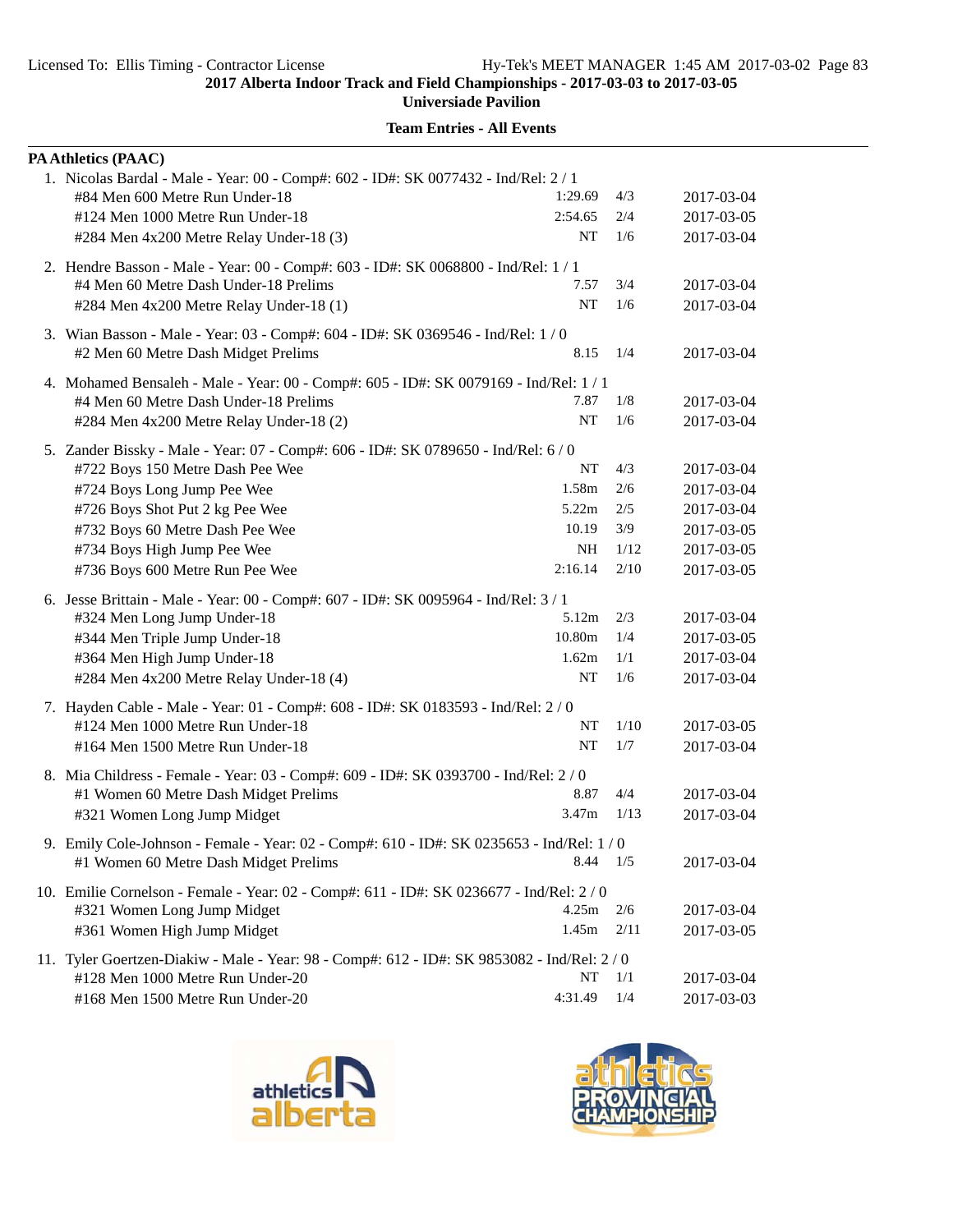**Universiade Pavilion**

| PA Athletics (PAAC)                                                                         |           |      |            |
|---------------------------------------------------------------------------------------------|-----------|------|------------|
| 1. Nicolas Bardal - Male - Year: 00 - Comp#: 602 - ID#: SK 0077432 - Ind/Rel: 2 / 1         |           |      |            |
| #84 Men 600 Metre Run Under-18                                                              | 1:29.69   | 4/3  | 2017-03-04 |
| #124 Men 1000 Metre Run Under-18                                                            | 2:54.65   | 2/4  | 2017-03-05 |
| #284 Men 4x200 Metre Relay Under-18 (3)                                                     | NT        | 1/6  | 2017-03-04 |
| 2. Hendre Basson - Male - Year: 00 - Comp#: 603 - ID#: SK 0068800 - Ind/Rel: 1 / 1          |           |      |            |
| #4 Men 60 Metre Dash Under-18 Prelims                                                       | 7.57      | 3/4  | 2017-03-04 |
| #284 Men 4x200 Metre Relay Under-18 (1)                                                     | NT        | 1/6  | 2017-03-04 |
| 3. Wian Basson - Male - Year: 03 - Comp#: 604 - ID#: SK 0369546 - Ind/Rel: 1/0              |           |      |            |
| #2 Men 60 Metre Dash Midget Prelims                                                         | 8.15      | 1/4  | 2017-03-04 |
| 4. Mohamed Bensaleh - Male - Year: 00 - Comp#: 605 - ID#: SK 0079169 - Ind/Rel: 1 / 1       |           |      |            |
| #4 Men 60 Metre Dash Under-18 Prelims                                                       | 7.87      | 1/8  | 2017-03-04 |
| #284 Men 4x200 Metre Relay Under-18 (2)                                                     | <b>NT</b> | 1/6  | 2017-03-04 |
| 5. Zander Bissky - Male - Year: 07 - Comp#: 606 - ID#: SK 0789650 - Ind/Rel: 6 / 0          |           |      |            |
| #722 Boys 150 Metre Dash Pee Wee                                                            | NT        | 4/3  | 2017-03-04 |
| #724 Boys Long Jump Pee Wee                                                                 | 1.58m     | 2/6  | 2017-03-04 |
| #726 Boys Shot Put 2 kg Pee Wee                                                             | 5.22m     | 2/5  | 2017-03-04 |
| #732 Boys 60 Metre Dash Pee Wee                                                             | 10.19     | 3/9  | 2017-03-05 |
| #734 Boys High Jump Pee Wee                                                                 | <b>NH</b> | 1/12 | 2017-03-05 |
| #736 Boys 600 Metre Run Pee Wee                                                             | 2:16.14   | 2/10 | 2017-03-05 |
| 6. Jesse Brittain - Male - Year: 00 - Comp#: 607 - ID#: SK 0095964 - Ind/Rel: 3 / 1         |           |      |            |
| #324 Men Long Jump Under-18                                                                 | 5.12m     | 2/3  | 2017-03-04 |
| #344 Men Triple Jump Under-18                                                               | 10.80m    | 1/4  | 2017-03-05 |
| #364 Men High Jump Under-18                                                                 | 1.62m     | 1/1  | 2017-03-04 |
| #284 Men 4x200 Metre Relay Under-18 (4)                                                     | NT        | 1/6  | 2017-03-04 |
| 7. Hayden Cable - Male - Year: 01 - Comp#: 608 - ID#: SK 0183593 - Ind/Rel: 2 / 0           |           |      |            |
| #124 Men 1000 Metre Run Under-18                                                            | NT        | 1/10 | 2017-03-05 |
| #164 Men 1500 Metre Run Under-18                                                            | NT        | 1/7  | 2017-03-04 |
| 8. Mia Childress - Female - Year: 03 - Comp#: 609 - ID#: SK 0393700 - Ind/Rel: 2/0          |           |      |            |
| #1 Women 60 Metre Dash Midget Prelims                                                       | 8.87      | 4/4  | 2017-03-04 |
| #321 Women Long Jump Midget                                                                 | 3.47m     | 1/13 | 2017-03-04 |
| 9. Emily Cole-Johnson - Female - Year: 02 - Comp#: 610 - ID#: SK 0235653 - Ind/Rel: 1 / 0   |           |      |            |
| #1 Women 60 Metre Dash Midget Prelims                                                       | 8.44      | 1/5  | 2017-03-04 |
| 10. Emilie Cornelson - Female - Year: 02 - Comp#: 611 - ID#: SK 0236677 - Ind/Rel: 2 / 0    |           |      |            |
| #321 Women Long Jump Midget                                                                 | 4.25m     | 2/6  | 2017-03-04 |
| #361 Women High Jump Midget                                                                 | 1.45m     | 2/11 | 2017-03-05 |
| 11. Tyler Goertzen-Diakiw - Male - Year: 98 - Comp#: 612 - ID#: SK 9853082 - Ind/Rel: 2 / 0 |           |      |            |
| #128 Men 1000 Metre Run Under-20                                                            | NT        | 1/1  | 2017-03-04 |
| #168 Men 1500 Metre Run Under-20                                                            | 4:31.49   | 1/4  | 2017-03-03 |



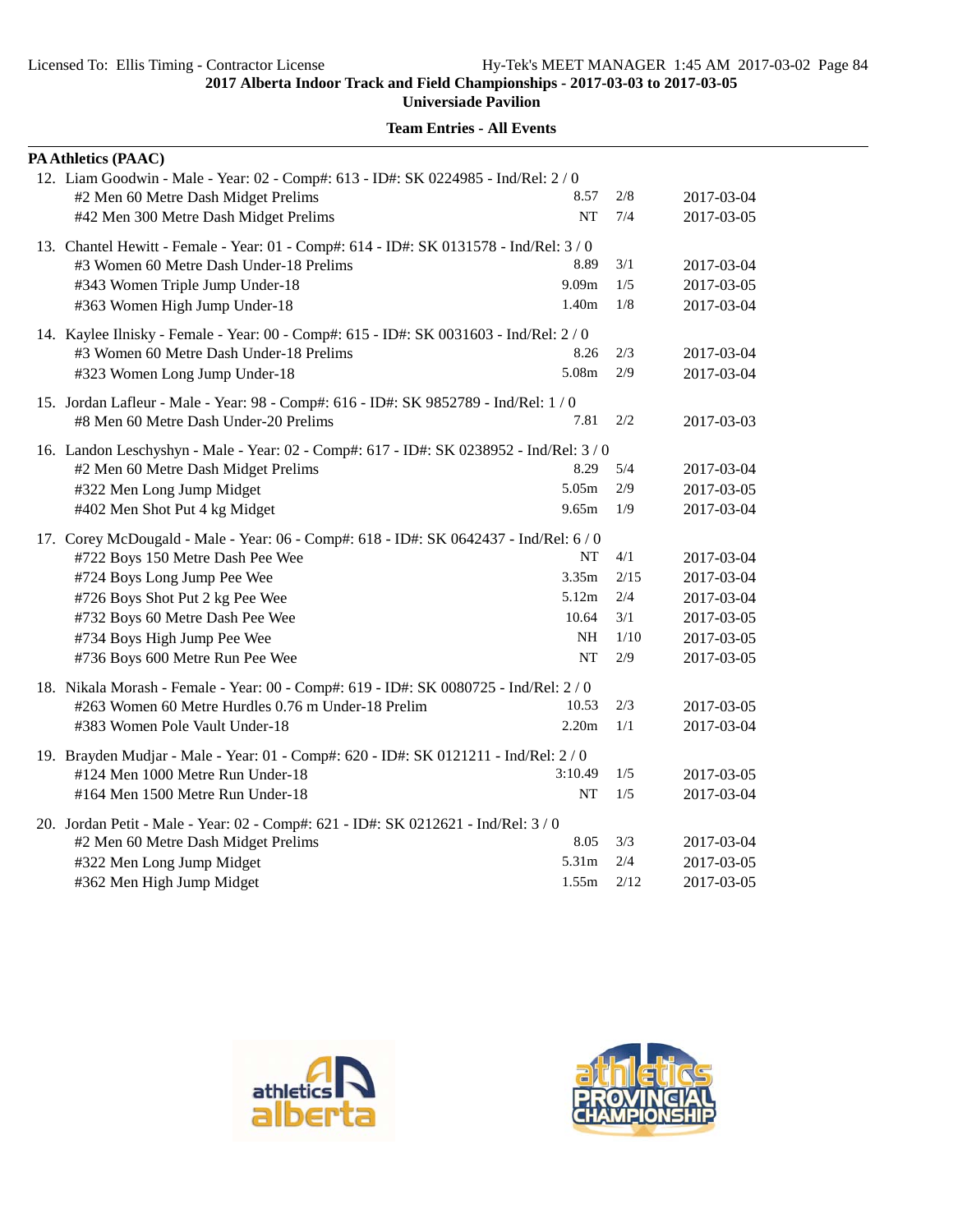**Universiade Pavilion**

| PA Athletics (PAAC)                                                                    |                   |        |            |
|----------------------------------------------------------------------------------------|-------------------|--------|------------|
| 12. Liam Goodwin - Male - Year: 02 - Comp#: 613 - ID#: SK 0224985 - Ind/Rel: 2 / 0     |                   |        |            |
| #2 Men 60 Metre Dash Midget Prelims                                                    | 8.57              | 2/8    | 2017-03-04 |
| #42 Men 300 Metre Dash Midget Prelims                                                  | NT                | 7/4    | 2017-03-05 |
| 13. Chantel Hewitt - Female - Year: 01 - Comp#: 614 - ID#: SK 0131578 - Ind/Rel: 3 / 0 |                   |        |            |
| #3 Women 60 Metre Dash Under-18 Prelims                                                | 8.89              | 3/1    | 2017-03-04 |
| #343 Women Triple Jump Under-18                                                        | 9.09 <sub>m</sub> | 1/5    | 2017-03-05 |
| #363 Women High Jump Under-18                                                          | 1.40m             | 1/8    | 2017-03-04 |
| 14. Kaylee Ilnisky - Female - Year: 00 - Comp#: 615 - ID#: SK 0031603 - Ind/Rel: 2/0   |                   |        |            |
| #3 Women 60 Metre Dash Under-18 Prelims                                                | 8.26              | 2/3    | 2017-03-04 |
| #323 Women Long Jump Under-18                                                          | 5.08m             | 2/9    | 2017-03-04 |
| 15. Jordan Lafleur - Male - Year: 98 - Comp#: 616 - ID#: SK 9852789 - Ind/Rel: 1 / 0   |                   |        |            |
| #8 Men 60 Metre Dash Under-20 Prelims                                                  | 7.81              | 2/2    | 2017-03-03 |
| 16. Landon Leschyshyn - Male - Year: 02 - Comp#: 617 - ID#: SK 0238952 - Ind/Rel: 3/0  |                   |        |            |
| #2 Men 60 Metre Dash Midget Prelims                                                    | 8.29              | 5/4    | 2017-03-04 |
| #322 Men Long Jump Midget                                                              | 5.05m             | 2/9    | 2017-03-05 |
| #402 Men Shot Put 4 kg Midget                                                          | 9.65m             | 1/9    | 2017-03-04 |
| 17. Corey McDougald - Male - Year: 06 - Comp#: 618 - ID#: SK 0642437 - Ind/Rel: 6/0    |                   |        |            |
| #722 Boys 150 Metre Dash Pee Wee                                                       | NT                | 4/1    | 2017-03-04 |
| #724 Boys Long Jump Pee Wee                                                            | 3.35m             | 2/15   | 2017-03-04 |
| #726 Boys Shot Put 2 kg Pee Wee                                                        | 5.12m             | 2/4    | 2017-03-04 |
| #732 Boys 60 Metre Dash Pee Wee                                                        | 10.64             | 3/1    | 2017-03-05 |
| #734 Boys High Jump Pee Wee                                                            | NH                | $1/10$ | 2017-03-05 |
| #736 Boys 600 Metre Run Pee Wee                                                        | <b>NT</b>         | 2/9    | 2017-03-05 |
| 18. Nikala Morash - Female - Year: 00 - Comp#: 619 - ID#: SK 0080725 - Ind/Rel: 2 / 0  |                   |        |            |
| #263 Women 60 Metre Hurdles 0.76 m Under-18 Prelim                                     | 10.53             | 2/3    | 2017-03-05 |
| #383 Women Pole Vault Under-18                                                         | 2.20m             | 1/1    | 2017-03-04 |
| 19. Brayden Mudjar - Male - Year: 01 - Comp#: 620 - ID#: SK 0121211 - Ind/Rel: 2 / 0   |                   |        |            |
| #124 Men 1000 Metre Run Under-18                                                       | 3:10.49           | 1/5    | 2017-03-05 |
| #164 Men 1500 Metre Run Under-18                                                       | NT                | 1/5    | 2017-03-04 |
| 20. Jordan Petit - Male - Year: 02 - Comp#: 621 - ID#: SK 0212621 - Ind/Rel: 3 / 0     |                   |        |            |
| #2 Men 60 Metre Dash Midget Prelims                                                    | 8.05              | 3/3    | 2017-03-04 |
| #322 Men Long Jump Midget                                                              | 5.31m             | 2/4    | 2017-03-05 |
| #362 Men High Jump Midget                                                              | 1.55m             | 2/12   | 2017-03-05 |



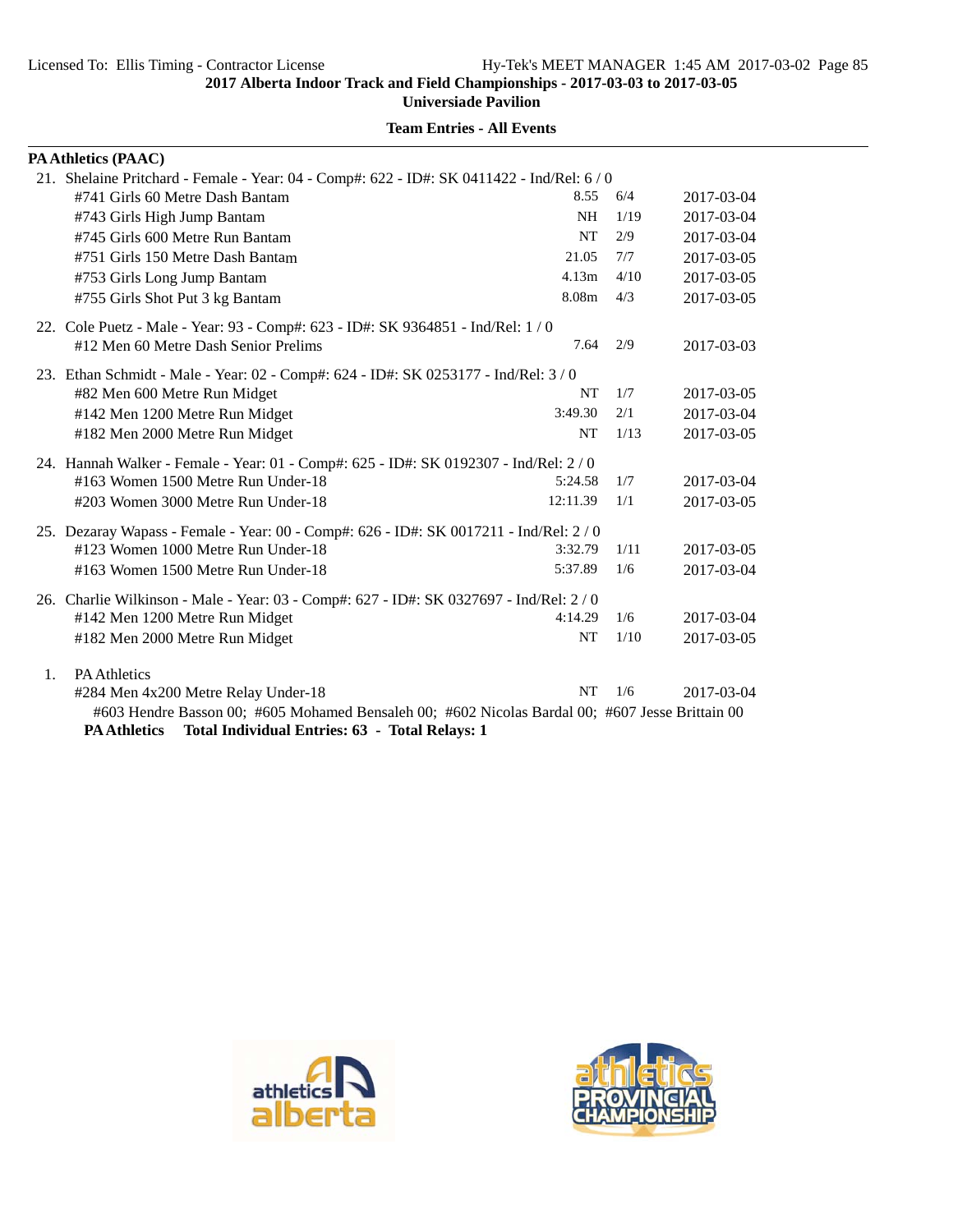**Universiade Pavilion**

|                                                                                          | PA Athletics (PAAC)                                                                             |           |      |            |  |  |
|------------------------------------------------------------------------------------------|-------------------------------------------------------------------------------------------------|-----------|------|------------|--|--|
| 21. Shelaine Pritchard - Female - Year: 04 - Comp#: 622 - ID#: SK 0411422 - Ind/Rel: 6/0 |                                                                                                 |           |      |            |  |  |
|                                                                                          | #741 Girls 60 Metre Dash Bantam                                                                 | 8.55      | 6/4  | 2017-03-04 |  |  |
|                                                                                          | #743 Girls High Jump Bantam                                                                     | <b>NH</b> | 1/19 | 2017-03-04 |  |  |
|                                                                                          | #745 Girls 600 Metre Run Bantam                                                                 | <b>NT</b> | 2/9  | 2017-03-04 |  |  |
|                                                                                          | #751 Girls 150 Metre Dash Bantam                                                                | 21.05     | 7/7  | 2017-03-05 |  |  |
|                                                                                          | #753 Girls Long Jump Bantam                                                                     | 4.13m     | 4/10 | 2017-03-05 |  |  |
|                                                                                          | #755 Girls Shot Put 3 kg Bantam                                                                 | 8.08m     | 4/3  | 2017-03-05 |  |  |
|                                                                                          | 22. Cole Puetz - Male - Year: 93 - Comp#: 623 - ID#: SK 9364851 - Ind/Rel: 1 / 0                |           |      |            |  |  |
|                                                                                          | #12 Men 60 Metre Dash Senior Prelims                                                            | 7.64      | 2/9  | 2017-03-03 |  |  |
|                                                                                          | 23. Ethan Schmidt - Male - Year: 02 - Comp#: 624 - ID#: SK 0253177 - Ind/Rel: 3/0               |           |      |            |  |  |
|                                                                                          | #82 Men 600 Metre Run Midget                                                                    | NT        | 1/7  | 2017-03-05 |  |  |
|                                                                                          | #142 Men 1200 Metre Run Midget                                                                  | 3:49.30   | 2/1  | 2017-03-04 |  |  |
|                                                                                          | #182 Men 2000 Metre Run Midget                                                                  | <b>NT</b> | 1/13 | 2017-03-05 |  |  |
|                                                                                          | 24. Hannah Walker - Female - Year: 01 - Comp#: 625 - ID#: SK 0192307 - Ind/Rel: 2 / 0           |           |      |            |  |  |
|                                                                                          | #163 Women 1500 Metre Run Under-18                                                              | 5:24.58   | 1/7  | 2017-03-04 |  |  |
|                                                                                          | #203 Women 3000 Metre Run Under-18                                                              | 12:11.39  | 1/1  | 2017-03-05 |  |  |
|                                                                                          | 25. Dezaray Wapass - Female - Year: 00 - Comp#: 626 - ID#: SK 0017211 - Ind/Rel: 2/0            |           |      |            |  |  |
|                                                                                          | #123 Women 1000 Metre Run Under-18                                                              | 3:32.79   | 1/11 | 2017-03-05 |  |  |
|                                                                                          | #163 Women 1500 Metre Run Under-18                                                              | 5:37.89   | 1/6  | 2017-03-04 |  |  |
|                                                                                          | 26. Charlie Wilkinson - Male - Year: 03 - Comp#: 627 - ID#: SK 0327697 - Ind/Rel: 2 / 0         |           |      |            |  |  |
|                                                                                          | #142 Men 1200 Metre Run Midget                                                                  | 4:14.29   | 1/6  | 2017-03-04 |  |  |
|                                                                                          | #182 Men 2000 Metre Run Midget                                                                  | <b>NT</b> | 1/10 | 2017-03-05 |  |  |
| $\mathbf{1}$ .                                                                           | <b>PA Athletics</b>                                                                             |           |      |            |  |  |
|                                                                                          | #284 Men 4x200 Metre Relay Under-18                                                             | <b>NT</b> | 1/6  | 2017-03-04 |  |  |
|                                                                                          | #603 Hendre Basson 00; #605 Mohamed Bensaleh 00; #602 Nicolas Bardal 00; #607 Jesse Brittain 00 |           |      |            |  |  |
|                                                                                          | PA Athletics Total Individual Entries: 63 - Total Relays: 1                                     |           |      |            |  |  |



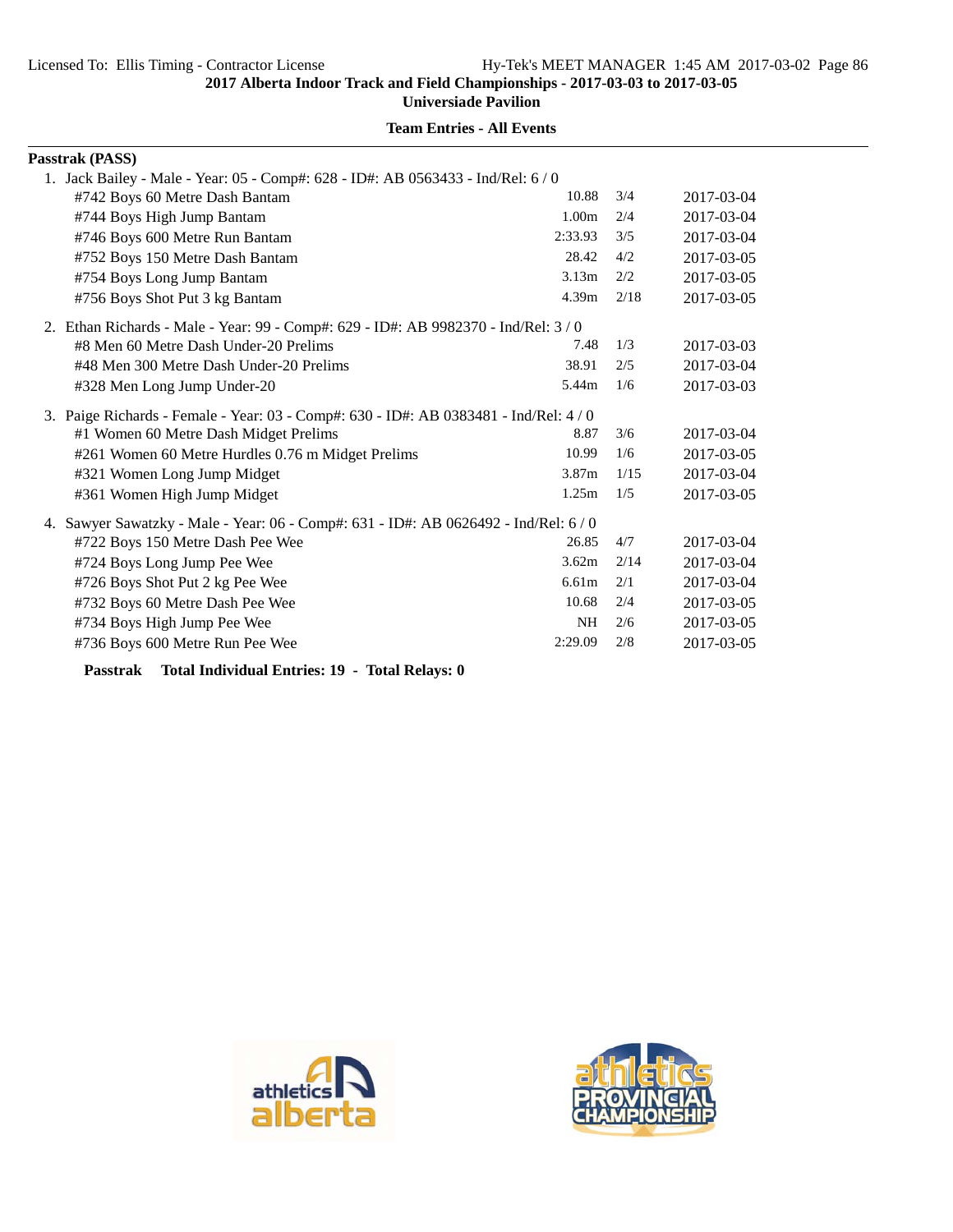**Universiade Pavilion**

# **Team Entries - All Events**

| Passtrak (PASS)                                                                                                                                                                                                                     |                   |      |            |
|-------------------------------------------------------------------------------------------------------------------------------------------------------------------------------------------------------------------------------------|-------------------|------|------------|
| 1. Jack Bailey - Male - Year: 05 - Comp#: 628 - ID#: AB 0563433 - Ind/Rel: 6 / 0                                                                                                                                                    |                   |      |            |
| #742 Boys 60 Metre Dash Bantam                                                                                                                                                                                                      | 10.88             | 3/4  | 2017-03-04 |
| #744 Boys High Jump Bantam                                                                                                                                                                                                          | 1.00 <sub>m</sub> | 2/4  | 2017-03-04 |
| #746 Boys 600 Metre Run Bantam                                                                                                                                                                                                      | 2:33.93           | 3/5  | 2017-03-04 |
| #752 Boys 150 Metre Dash Bantam                                                                                                                                                                                                     | 28.42             | 4/2  | 2017-03-05 |
| #754 Boys Long Jump Bantam                                                                                                                                                                                                          | 3.13 <sub>m</sub> | 2/2  | 2017-03-05 |
| #756 Boys Shot Put 3 kg Bantam                                                                                                                                                                                                      | 4.39m             | 2/18 | 2017-03-05 |
| 2. Ethan Richards - Male - Year: 99 - Comp#: 629 - ID#: AB 9982370 - Ind/Rel: 3/0                                                                                                                                                   |                   |      |            |
| #8 Men 60 Metre Dash Under-20 Prelims                                                                                                                                                                                               | 7.48              | 1/3  | 2017-03-03 |
| #48 Men 300 Metre Dash Under-20 Prelims                                                                                                                                                                                             | 38.91             | 2/5  | 2017-03-04 |
| #328 Men Long Jump Under-20                                                                                                                                                                                                         | 5.44m             | 1/6  | 2017-03-03 |
| 3. Paige Richards - Female - Year: 03 - Comp#: 630 - ID#: AB 0383481 - Ind/Rel: 4/0                                                                                                                                                 |                   |      |            |
| #1 Women 60 Metre Dash Midget Prelims                                                                                                                                                                                               | 8.87              | 3/6  | 2017-03-04 |
| #261 Women 60 Metre Hurdles 0.76 m Midget Prelims                                                                                                                                                                                   | 10.99             | 1/6  | 2017-03-05 |
| #321 Women Long Jump Midget                                                                                                                                                                                                         | 3.87 <sub>m</sub> | 1/15 | 2017-03-04 |
| #361 Women High Jump Midget                                                                                                                                                                                                         | 1.25m             | 1/5  | 2017-03-05 |
| 4. Sawyer Sawatzky - Male - Year: 06 - Comp#: 631 - ID#: AB 0626492 - Ind/Rel: 6/0                                                                                                                                                  |                   |      |            |
| #722 Boys 150 Metre Dash Pee Wee                                                                                                                                                                                                    | 26.85             | 4/7  | 2017-03-04 |
| #724 Boys Long Jump Pee Wee                                                                                                                                                                                                         | 3.62m             | 2/14 | 2017-03-04 |
| #726 Boys Shot Put 2 kg Pee Wee                                                                                                                                                                                                     | 6.61 <sub>m</sub> | 2/1  | 2017-03-04 |
| #732 Boys 60 Metre Dash Pee Wee                                                                                                                                                                                                     | 10.68             | 2/4  | 2017-03-05 |
| #734 Boys High Jump Pee Wee                                                                                                                                                                                                         | <b>NH</b>         | 2/6  | 2017-03-05 |
| #736 Boys 600 Metre Run Pee Wee                                                                                                                                                                                                     | 2:29.09           | 2/8  | 2017-03-05 |
| <b>Product Product Product</b> Product Product Product Product Product Product Product Product Product Product Product Product Product Product Product Product Product Product Product Product Product Product Product Product Prod |                   |      |            |

**Passtrak Total Individual Entries: 19 - Total Relays: 0**



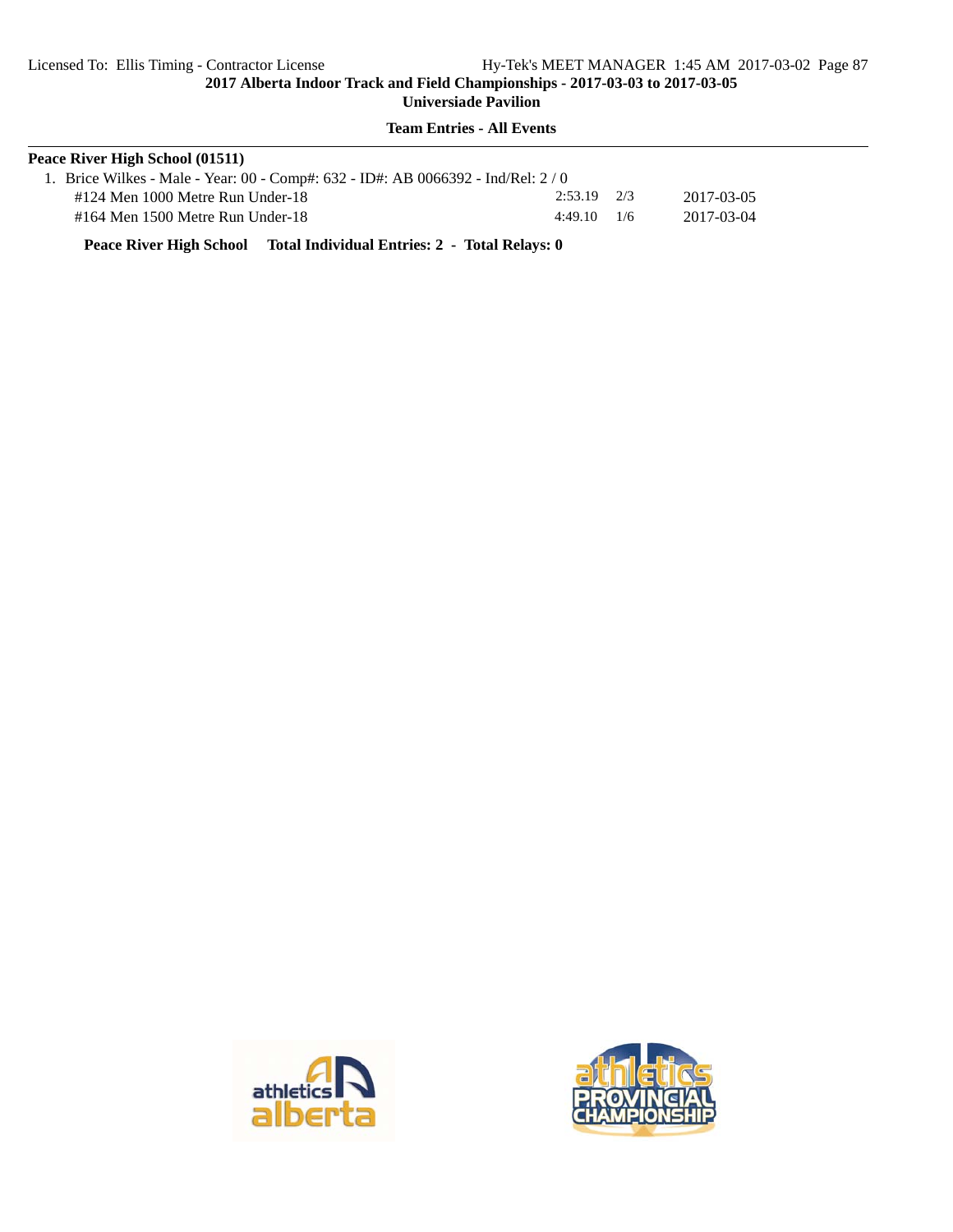**Team Entries - All Events**

| Peace River High School (01511)                                                 |                 |  |            |  |  |  |
|---------------------------------------------------------------------------------|-----------------|--|------------|--|--|--|
| 1. Brice Wilkes - Male - Year: 00 - Comp#: 632 - ID#: AB 0066392 - Ind/Rel: 2/0 |                 |  |            |  |  |  |
| #124 Men 1000 Metre Run Under-18                                                | $2:53.19$ $2/3$ |  | 2017-03-05 |  |  |  |
| $\#164$ Men 1500 Metre Run Under-18                                             | $4:49.10$ 1/6   |  | 2017-03-04 |  |  |  |

**Peace River High School Total Individual Entries: 2 - Total Relays: 0**



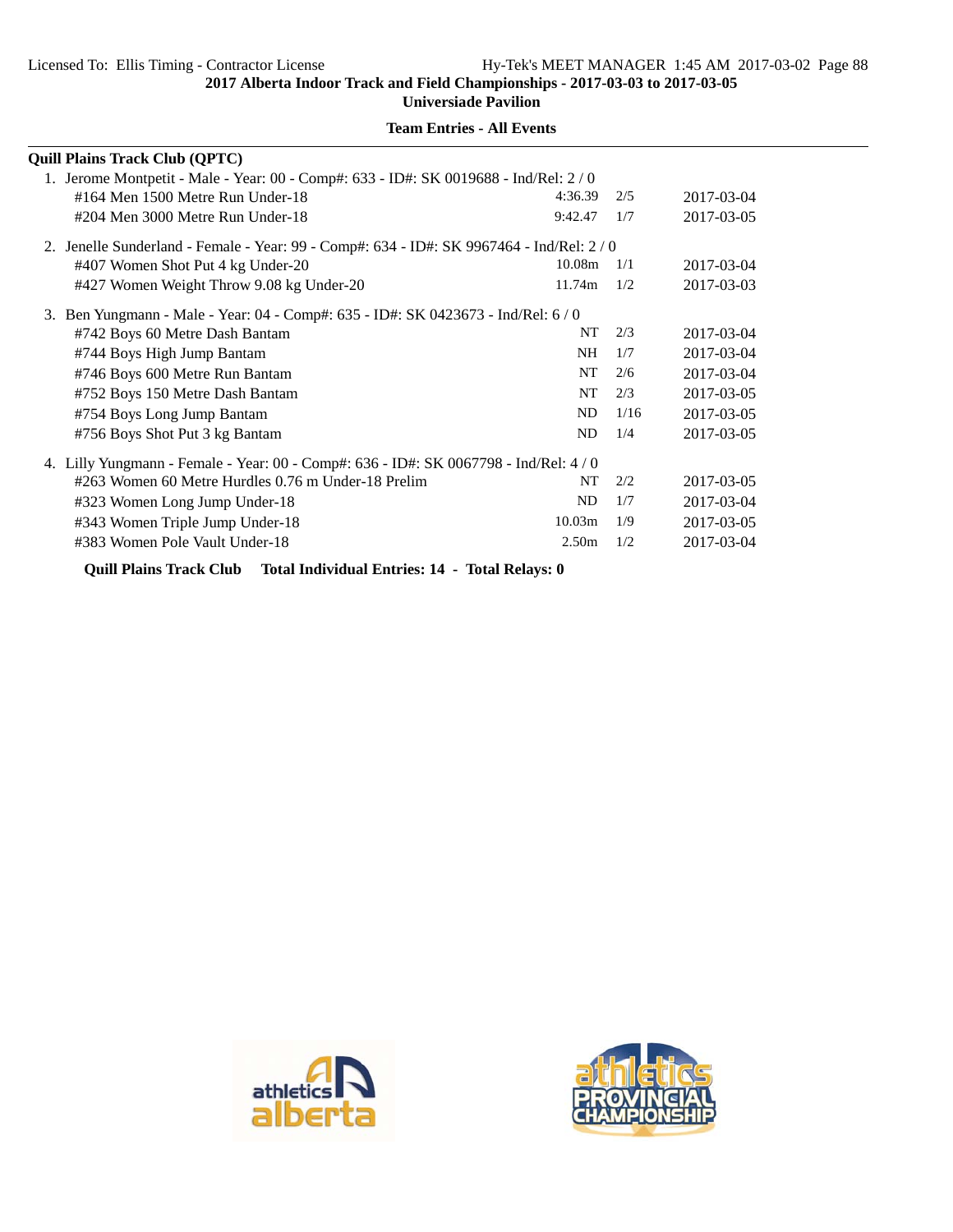**Universiade Pavilion**

|    | <b>Quill Plains Track Club (QPTC)</b>                                                     |                    |      |            |  |  |  |
|----|-------------------------------------------------------------------------------------------|--------------------|------|------------|--|--|--|
|    | 1. Jerome Montpetit - Male - Year: 00 - Comp#: 633 - ID#: SK 0019688 - Ind/Rel: 2/0       |                    |      |            |  |  |  |
|    | #164 Men 1500 Metre Run Under-18                                                          | 4:36.39            | 2/5  | 2017-03-04 |  |  |  |
|    | #204 Men 3000 Metre Run Under-18                                                          | 9:42.47            | 1/7  | 2017-03-05 |  |  |  |
|    | 2. Jenelle Sunderland - Female - Year: 99 - Comp#: 634 - ID#: SK 9967464 - Ind/Rel: 2 / 0 |                    |      |            |  |  |  |
|    | #407 Women Shot Put 4 kg Under-20                                                         | 10.08 <sub>m</sub> | 1/1  | 2017-03-04 |  |  |  |
|    | #427 Women Weight Throw 9.08 kg Under-20                                                  | 11.74m             | 1/2  | 2017-03-03 |  |  |  |
| 3. | Ben Yungmann - Male - Year: 04 - Comp#: 635 - ID#: SK 0423673 - Ind/Rel: 6 / 0            |                    |      |            |  |  |  |
|    | #742 Boys 60 Metre Dash Bantam                                                            | NT                 | 2/3  | 2017-03-04 |  |  |  |
|    | #744 Boys High Jump Bantam                                                                | NH.                | 1/7  | 2017-03-04 |  |  |  |
|    | #746 Boys 600 Metre Run Bantam                                                            | NT                 | 2/6  | 2017-03-04 |  |  |  |
|    | #752 Boys 150 Metre Dash Bantam                                                           | NT                 | 2/3  | 2017-03-05 |  |  |  |
|    | #754 Boys Long Jump Bantam                                                                | ND                 | 1/16 | 2017-03-05 |  |  |  |
|    | #756 Boys Shot Put 3 kg Bantam                                                            | ND                 | 1/4  | 2017-03-05 |  |  |  |
|    | 4. Lilly Yungmann - Female - Year: 00 - Comp#: 636 - ID#: SK 0067798 - Ind/Rel: 4/0       |                    |      |            |  |  |  |
|    | #263 Women 60 Metre Hurdles 0.76 m Under-18 Prelim                                        | NT                 | 2/2  | 2017-03-05 |  |  |  |
|    | #323 Women Long Jump Under-18                                                             | ND                 | 1/7  | 2017-03-04 |  |  |  |
|    | #343 Women Triple Jump Under-18                                                           | 10.03m             | 1/9  | 2017-03-05 |  |  |  |
|    | #383 Women Pole Vault Under-18                                                            | 2.50 <sub>m</sub>  | 1/2  | 2017-03-04 |  |  |  |
|    |                                                                                           |                    |      |            |  |  |  |

**Team Entries - All Events**

**Quill Plains Track Club Total Individual Entries: 14 - Total Relays: 0**



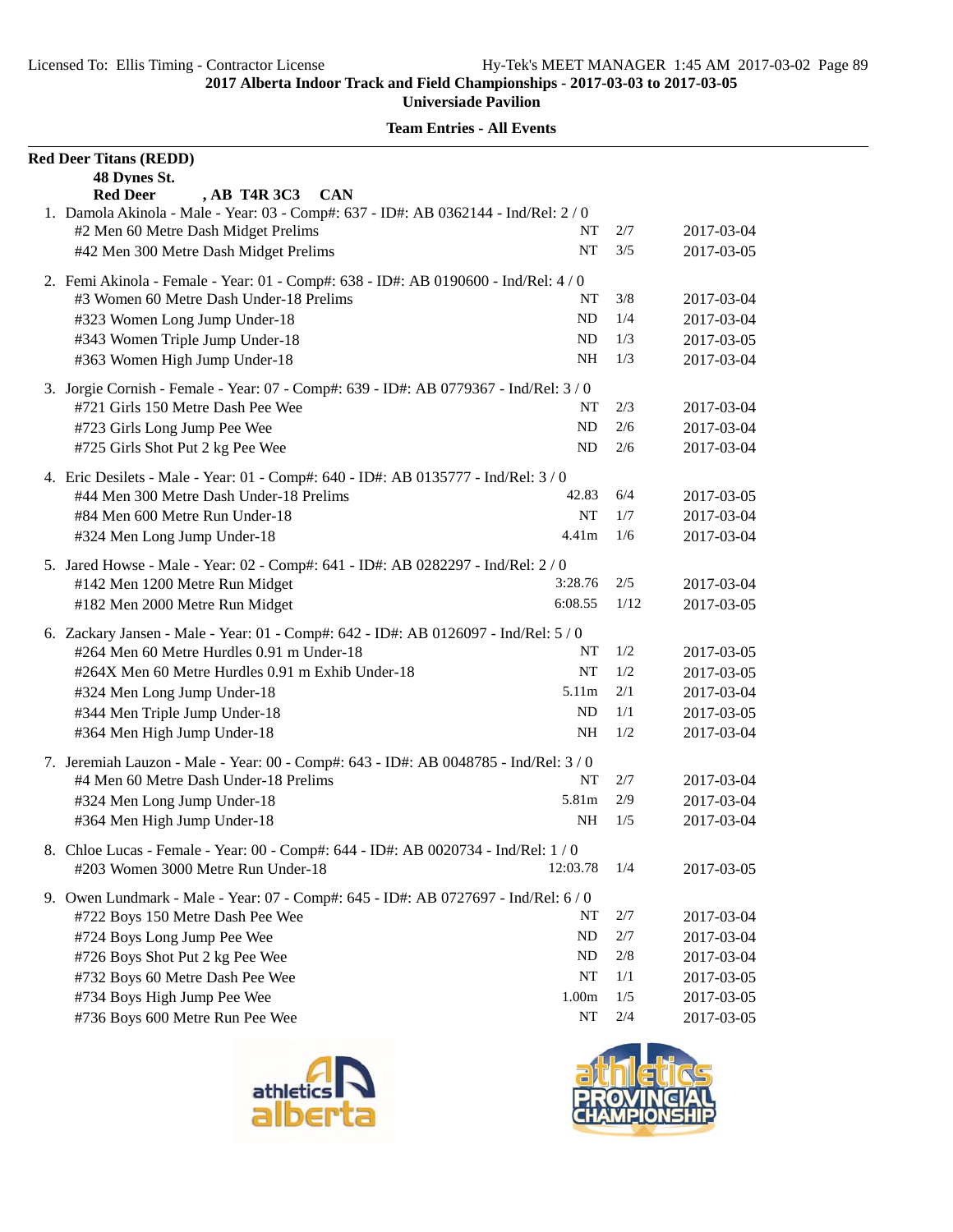| <b>Red Deer Titans (REDD)</b><br>48 Dynes St.                                         |          |      |            |
|---------------------------------------------------------------------------------------|----------|------|------------|
| <b>Red Deer</b><br>, AB T4R 3C3<br><b>CAN</b>                                         |          |      |            |
| 1. Damola Akinola - Male - Year: 03 - Comp#: 637 - ID#: AB 0362144 - Ind/Rel: 2 / 0   |          |      |            |
| #2 Men 60 Metre Dash Midget Prelims                                                   | NT       | 2/7  | 2017-03-04 |
| #42 Men 300 Metre Dash Midget Prelims                                                 | NT       | 3/5  | 2017-03-05 |
| 2. Femi Akinola - Female - Year: 01 - Comp#: 638 - ID#: AB 0190600 - Ind/Rel: 4 / 0   |          |      |            |
| #3 Women 60 Metre Dash Under-18 Prelims                                               | NT       | 3/8  | 2017-03-04 |
| #323 Women Long Jump Under-18                                                         | ND       | 1/4  | 2017-03-04 |
| #343 Women Triple Jump Under-18                                                       | ND       | 1/3  | 2017-03-05 |
| #363 Women High Jump Under-18                                                         | NH       | 1/3  | 2017-03-04 |
| 3. Jorgie Cornish - Female - Year: 07 - Comp#: 639 - ID#: AB 0779367 - Ind/Rel: 3 / 0 |          |      |            |
| #721 Girls 150 Metre Dash Pee Wee                                                     | NT       | 2/3  | 2017-03-04 |
| #723 Girls Long Jump Pee Wee                                                          | ND       | 2/6  | 2017-03-04 |
| #725 Girls Shot Put 2 kg Pee Wee                                                      | ND       | 2/6  | 2017-03-04 |
| 4. Eric Desilets - Male - Year: 01 - Comp#: 640 - ID#: AB 0135777 - Ind/Rel: 3/0      |          |      |            |
| #44 Men 300 Metre Dash Under-18 Prelims                                               | 42.83    | 6/4  | 2017-03-05 |
| #84 Men 600 Metre Run Under-18                                                        | NT       | 1/7  | 2017-03-04 |
| #324 Men Long Jump Under-18                                                           | 4.41m    | 1/6  | 2017-03-04 |
| 5. Jared Howse - Male - Year: 02 - Comp#: 641 - ID#: AB 0282297 - Ind/Rel: 2/0        |          |      |            |
| #142 Men 1200 Metre Run Midget                                                        | 3:28.76  | 2/5  | 2017-03-04 |
| #182 Men 2000 Metre Run Midget                                                        | 6:08.55  | 1/12 | 2017-03-05 |
| 6. Zackary Jansen - Male - Year: 01 - Comp#: 642 - ID#: AB 0126097 - Ind/Rel: 5 / 0   |          |      |            |
| #264 Men 60 Metre Hurdles 0.91 m Under-18                                             | NT       | 1/2  | 2017-03-05 |
| #264X Men 60 Metre Hurdles 0.91 m Exhib Under-18                                      | NT       | 1/2  | 2017-03-05 |
| #324 Men Long Jump Under-18                                                           | 5.11m    | 2/1  | 2017-03-04 |
| #344 Men Triple Jump Under-18                                                         | ND       | 1/1  | 2017-03-05 |
| #364 Men High Jump Under-18                                                           | NH       | 1/2  | 2017-03-04 |
| 7. Jeremiah Lauzon - Male - Year: 00 - Comp#: 643 - ID#: AB 0048785 - Ind/Rel: 3 / 0  |          |      |            |
| #4 Men 60 Metre Dash Under-18 Prelims                                                 | NT       | 2/7  | 2017-03-04 |
| #324 Men Long Jump Under-18                                                           | 5.81m    | 2/9  | 2017-03-04 |
| #364 Men High Jump Under-18                                                           | NH       | 1/5  | 2017-03-04 |
| 8. Chloe Lucas - Female - Year: 00 - Comp#: 644 - ID#: AB 0020734 - Ind/Rel: 1 / 0    |          |      |            |
| #203 Women 3000 Metre Run Under-18                                                    | 12:03.78 | 1/4  | 2017-03-05 |
| 9. Owen Lundmark - Male - Year: 07 - Comp#: 645 - ID#: AB 0727697 - Ind/Rel: 6 / 0    |          |      |            |
| #722 Boys 150 Metre Dash Pee Wee                                                      | NT       | 2/7  | 2017-03-04 |
| #724 Boys Long Jump Pee Wee                                                           | ND       | 2/7  | 2017-03-04 |
| #726 Boys Shot Put 2 kg Pee Wee                                                       | ND       | 2/8  | 2017-03-04 |
| #732 Boys 60 Metre Dash Pee Wee                                                       | NT       | 1/1  | 2017-03-05 |
| #734 Boys High Jump Pee Wee                                                           | 1.00m    | 1/5  | 2017-03-05 |
| #736 Boys 600 Metre Run Pee Wee                                                       | NT       | 2/4  | 2017-03-05 |
|                                                                                       |          |      |            |



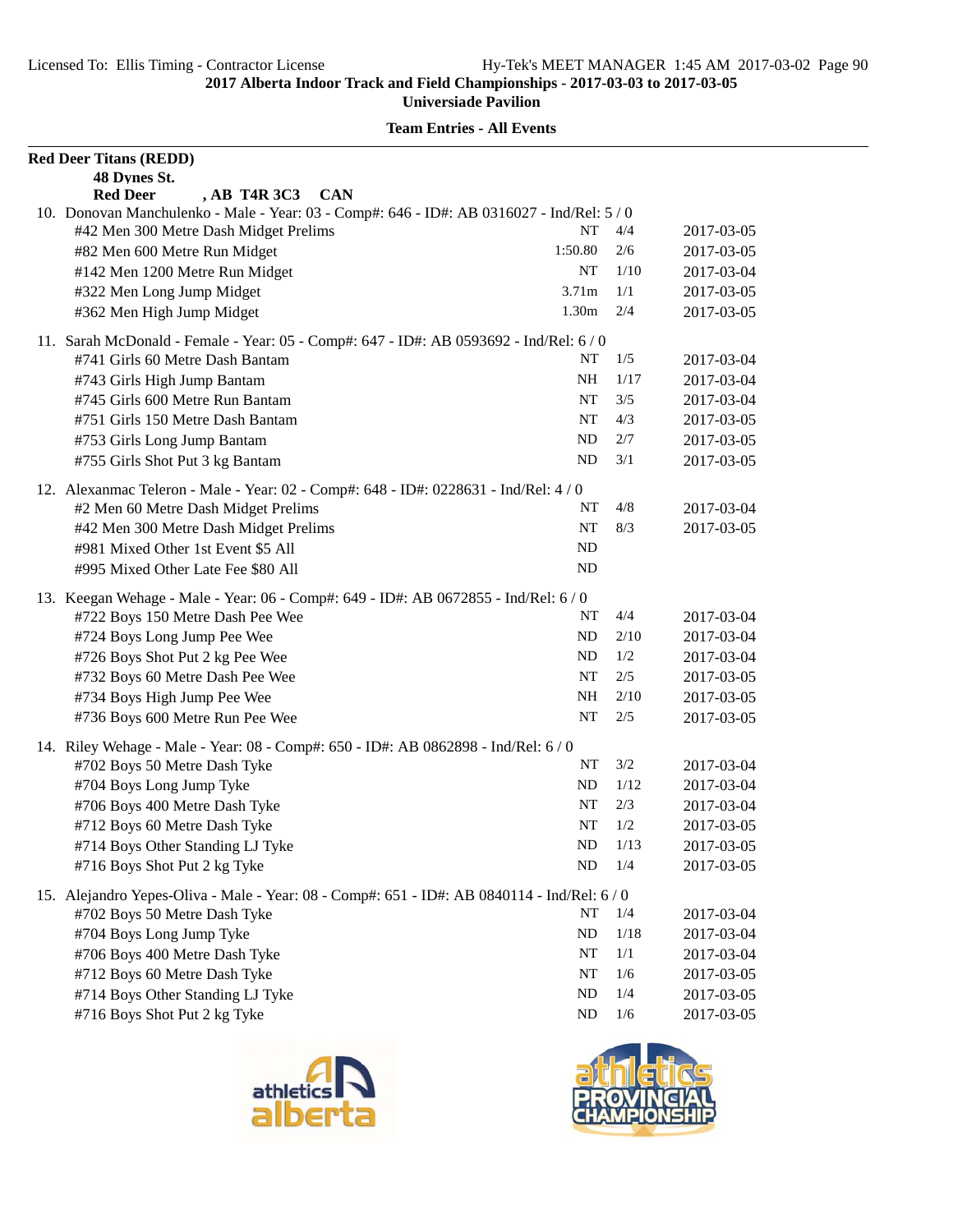| <b>Red Deer Titans (REDD)</b>                                                             |                   |      |            |
|-------------------------------------------------------------------------------------------|-------------------|------|------------|
| 48 Dynes St.                                                                              |                   |      |            |
| <b>Red Deer</b><br>, AB T4R 3C3<br><b>CAN</b>                                             |                   |      |            |
| 10. Donovan Manchulenko - Male - Year: 03 - Comp#: 646 - ID#: AB 0316027 - Ind/Rel: 5 / 0 |                   |      |            |
| #42 Men 300 Metre Dash Midget Prelims                                                     | NT                | 4/4  | 2017-03-05 |
| #82 Men 600 Metre Run Midget                                                              | 1:50.80           | 2/6  | 2017-03-05 |
| #142 Men 1200 Metre Run Midget                                                            | NT                | 1/10 | 2017-03-04 |
| #322 Men Long Jump Midget                                                                 | 3.71 <sub>m</sub> | 1/1  | 2017-03-05 |
| #362 Men High Jump Midget                                                                 | 1.30m             | 2/4  | 2017-03-05 |
| 11. Sarah McDonald - Female - Year: 05 - Comp#: 647 - ID#: AB 0593692 - Ind/Rel: 6 / 0    |                   |      |            |
| #741 Girls 60 Metre Dash Bantam                                                           | NT                | 1/5  | 2017-03-04 |
| #743 Girls High Jump Bantam                                                               | NH                | 1/17 | 2017-03-04 |
| #745 Girls 600 Metre Run Bantam                                                           | NT                | 3/5  | 2017-03-04 |
| #751 Girls 150 Metre Dash Bantam                                                          | NT                | 4/3  | 2017-03-05 |
| #753 Girls Long Jump Bantam                                                               | ND                | 2/7  | 2017-03-05 |
| #755 Girls Shot Put 3 kg Bantam                                                           | ND                | 3/1  | 2017-03-05 |
| 12. Alexanmac Teleron - Male - Year: 02 - Comp#: 648 - ID#: 0228631 - Ind/Rel: 4 / 0      |                   |      |            |
| #2 Men 60 Metre Dash Midget Prelims                                                       | NT                | 4/8  | 2017-03-04 |
| #42 Men 300 Metre Dash Midget Prelims                                                     | NT                | 8/3  | 2017-03-05 |
| #981 Mixed Other 1st Event \$5 All                                                        | ND                |      |            |
| #995 Mixed Other Late Fee \$80 All                                                        | ND                |      |            |
| 13. Keegan Wehage - Male - Year: 06 - Comp#: 649 - ID#: AB 0672855 - Ind/Rel: 6/0         |                   |      |            |
| #722 Boys 150 Metre Dash Pee Wee                                                          | NT                | 4/4  | 2017-03-04 |
| #724 Boys Long Jump Pee Wee                                                               | ND                | 2/10 | 2017-03-04 |
| #726 Boys Shot Put 2 kg Pee Wee                                                           | ND                | 1/2  | 2017-03-04 |
| #732 Boys 60 Metre Dash Pee Wee                                                           | NT                | 2/5  | 2017-03-05 |
| #734 Boys High Jump Pee Wee                                                               | NH                | 2/10 | 2017-03-05 |
| #736 Boys 600 Metre Run Pee Wee                                                           | NT                | 2/5  | 2017-03-05 |
| 14. Riley Wehage - Male - Year: 08 - Comp#: 650 - ID#: AB 0862898 - Ind/Rel: 6 / 0        |                   |      |            |
| #702 Boys 50 Metre Dash Tyke                                                              | NT                | 3/2  | 2017-03-04 |
| #704 Boys Long Jump Tyke                                                                  | ND                | 1/12 | 2017-03-04 |
| #706 Boys 400 Metre Dash Tyke                                                             | NT                | 2/3  | 2017-03-04 |
| #712 Boys 60 Metre Dash Tyke                                                              | NT                | 1/2  | 2017-03-05 |
| #714 Boys Other Standing LJ Tyke                                                          | ND                | 1/13 | 2017-03-05 |
| #716 Boys Shot Put 2 kg Tyke                                                              | ND                | 1/4  | 2017-03-05 |
| 15. Alejandro Yepes-Oliva - Male - Year: 08 - Comp#: 651 - ID#: AB 0840114 - Ind/Rel: 6/0 |                   |      |            |
| #702 Boys 50 Metre Dash Tyke                                                              | NT                | 1/4  | 2017-03-04 |
| #704 Boys Long Jump Tyke                                                                  | ND                | 1/18 | 2017-03-04 |
| #706 Boys 400 Metre Dash Tyke                                                             | NT                | 1/1  | 2017-03-04 |
| #712 Boys 60 Metre Dash Tyke                                                              | NT                | 1/6  | 2017-03-05 |
| #714 Boys Other Standing LJ Tyke                                                          | ND                | 1/4  | 2017-03-05 |
| #716 Boys Shot Put 2 kg Tyke                                                              | ND                | 1/6  | 2017-03-05 |



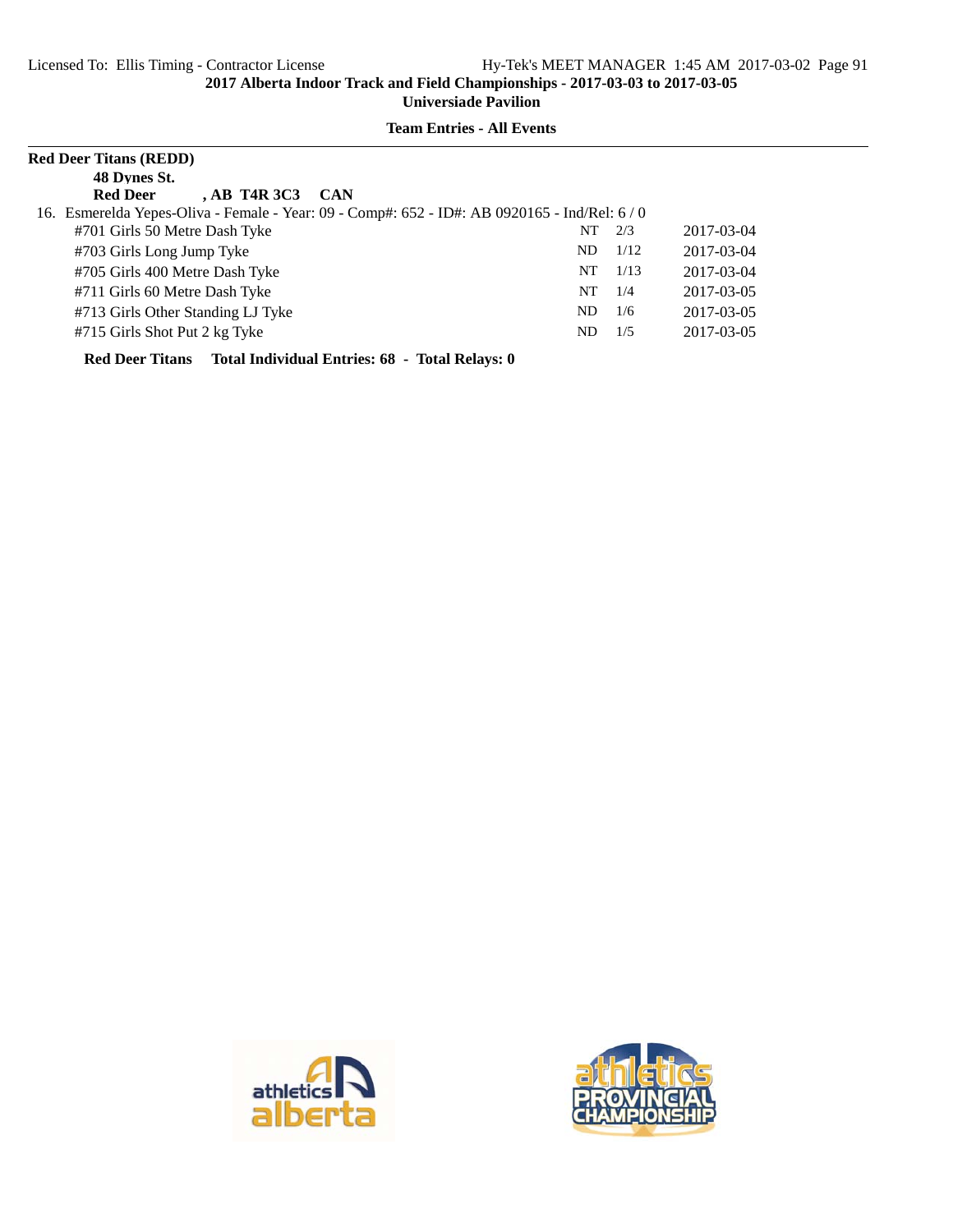**Team Entries - All Events**

| <b>Red Deer Titans (REDD)</b>                                                                 |     |      |            |
|-----------------------------------------------------------------------------------------------|-----|------|------------|
| 48 Dynes St.                                                                                  |     |      |            |
| <b>Red Deer</b><br>$AB$ T <sub>4R</sub> $3C3$<br><b>CAN</b>                                   |     |      |            |
| 16. Esmerelda Yepes-Oliva - Female - Year: 09 - Comp#: 652 - ID#: AB 0920165 - Ind/Rel: 6 / 0 |     |      |            |
| #701 Girls 50 Metre Dash Tyke                                                                 | NT  | 2/3  | 2017-03-04 |
| #703 Girls Long Jump Tyke                                                                     | ND. | 1/12 | 2017-03-04 |
| #705 Girls 400 Metre Dash Tyke                                                                | NT  | 1/13 | 2017-03-04 |
| #711 Girls 60 Metre Dash Tyke                                                                 | NT  | 1/4  | 2017-03-05 |
| #713 Girls Other Standing LJ Tyke                                                             | ND. | 1/6  | 2017-03-05 |
| #715 Girls Shot Put 2 kg Tyke                                                                 | ND  | 1/5  | 2017-03-05 |
|                                                                                               |     |      |            |

**Red Deer Titans Total Individual Entries: 68 - Total Relays: 0**



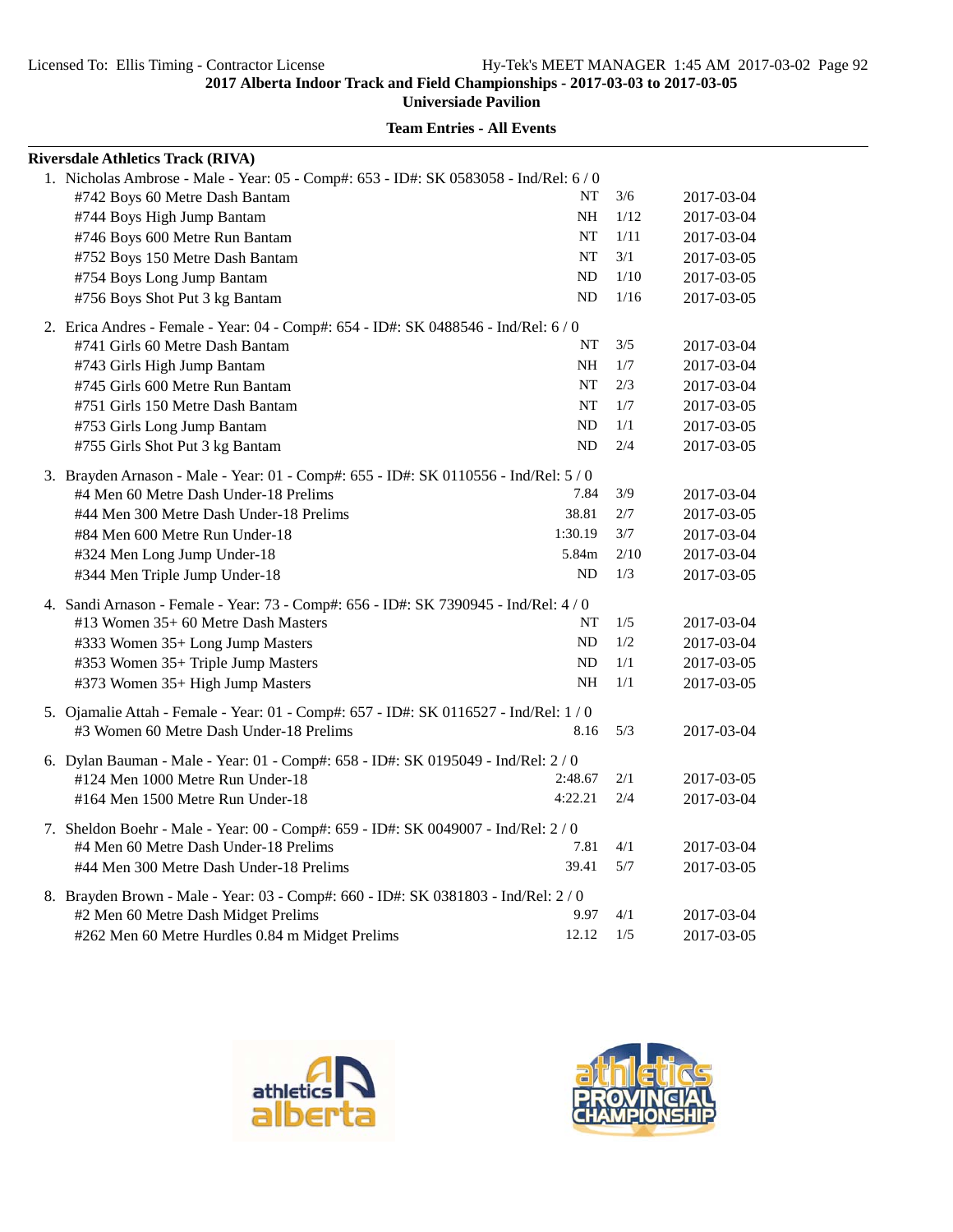**Universiade Pavilion**

| <b>Riversdale Athletics Track (RIVA)</b>                                              |           |      |            |
|---------------------------------------------------------------------------------------|-----------|------|------------|
| 1. Nicholas Ambrose - Male - Year: 05 - Comp#: 653 - ID#: SK 0583058 - Ind/Rel: 6 / 0 |           |      |            |
| #742 Boys 60 Metre Dash Bantam                                                        | NT        | 3/6  | 2017-03-04 |
| #744 Boys High Jump Bantam                                                            | NH        | 1/12 | 2017-03-04 |
| #746 Boys 600 Metre Run Bantam                                                        | NT        | 1/11 | 2017-03-04 |
| #752 Boys 150 Metre Dash Bantam                                                       | <b>NT</b> | 3/1  | 2017-03-05 |
| #754 Boys Long Jump Bantam                                                            | ND        | 1/10 | 2017-03-05 |
| #756 Boys Shot Put 3 kg Bantam                                                        | ND        | 1/16 | 2017-03-05 |
| 2. Erica Andres - Female - Year: 04 - Comp#: 654 - ID#: SK 0488546 - Ind/Rel: 6 / 0   |           |      |            |
| #741 Girls 60 Metre Dash Bantam                                                       | NT        | 3/5  | 2017-03-04 |
| #743 Girls High Jump Bantam                                                           | NH        | 1/7  | 2017-03-04 |
| #745 Girls 600 Metre Run Bantam                                                       | NT        | 2/3  | 2017-03-04 |
| #751 Girls 150 Metre Dash Bantam                                                      | NT        | 1/7  | 2017-03-05 |
| #753 Girls Long Jump Bantam                                                           | ND        | 1/1  | 2017-03-05 |
| #755 Girls Shot Put 3 kg Bantam                                                       | <b>ND</b> | 2/4  | 2017-03-05 |
| 3. Brayden Arnason - Male - Year: 01 - Comp#: 655 - ID#: SK 0110556 - Ind/Rel: 5 / 0  |           |      |            |
| #4 Men 60 Metre Dash Under-18 Prelims                                                 | 7.84      | 3/9  | 2017-03-04 |
| #44 Men 300 Metre Dash Under-18 Prelims                                               | 38.81     | 2/7  | 2017-03-05 |
| #84 Men 600 Metre Run Under-18                                                        | 1:30.19   | 3/7  | 2017-03-04 |
| #324 Men Long Jump Under-18                                                           | 5.84m     | 2/10 | 2017-03-04 |
| #344 Men Triple Jump Under-18                                                         | ND        | 1/3  | 2017-03-05 |
| 4. Sandi Arnason - Female - Year: 73 - Comp#: 656 - ID#: SK 7390945 - Ind/Rel: 4 / 0  |           |      |            |
| #13 Women 35+ 60 Metre Dash Masters                                                   | NT        | 1/5  | 2017-03-04 |
| #333 Women 35+ Long Jump Masters                                                      | ND        | 1/2  | 2017-03-04 |
| #353 Women 35+ Triple Jump Masters                                                    | ND        | 1/1  | 2017-03-05 |
| #373 Women 35+ High Jump Masters                                                      | NH        | 1/1  | 2017-03-05 |
| 5. Ojamalie Attah - Female - Year: 01 - Comp#: 657 - ID#: SK 0116527 - Ind/Rel: 1/0   |           |      |            |
| #3 Women 60 Metre Dash Under-18 Prelims                                               | 8.16      | 5/3  | 2017-03-04 |
| 6. Dylan Bauman - Male - Year: 01 - Comp#: 658 - ID#: SK 0195049 - Ind/Rel: 2 / 0     |           |      |            |
| #124 Men 1000 Metre Run Under-18                                                      | 2:48.67   | 2/1  | 2017-03-05 |
| #164 Men 1500 Metre Run Under-18                                                      | 4:22.21   | 2/4  | 2017-03-04 |
| 7. Sheldon Boehr - Male - Year: 00 - Comp#: 659 - ID#: SK 0049007 - Ind/Rel: 2 / 0    |           |      |            |
| #4 Men 60 Metre Dash Under-18 Prelims                                                 | 7.81      | 4/1  | 2017-03-04 |
| #44 Men 300 Metre Dash Under-18 Prelims                                               | 39.41     | 5/7  | 2017-03-05 |
| 8. Brayden Brown - Male - Year: 03 - Comp#: 660 - ID#: SK 0381803 - Ind/Rel: 2 / 0    |           |      |            |
| #2 Men 60 Metre Dash Midget Prelims                                                   | 9.97      | 4/1  | 2017-03-04 |
| #262 Men 60 Metre Hurdles 0.84 m Midget Prelims                                       | 12.12     | 1/5  | 2017-03-05 |



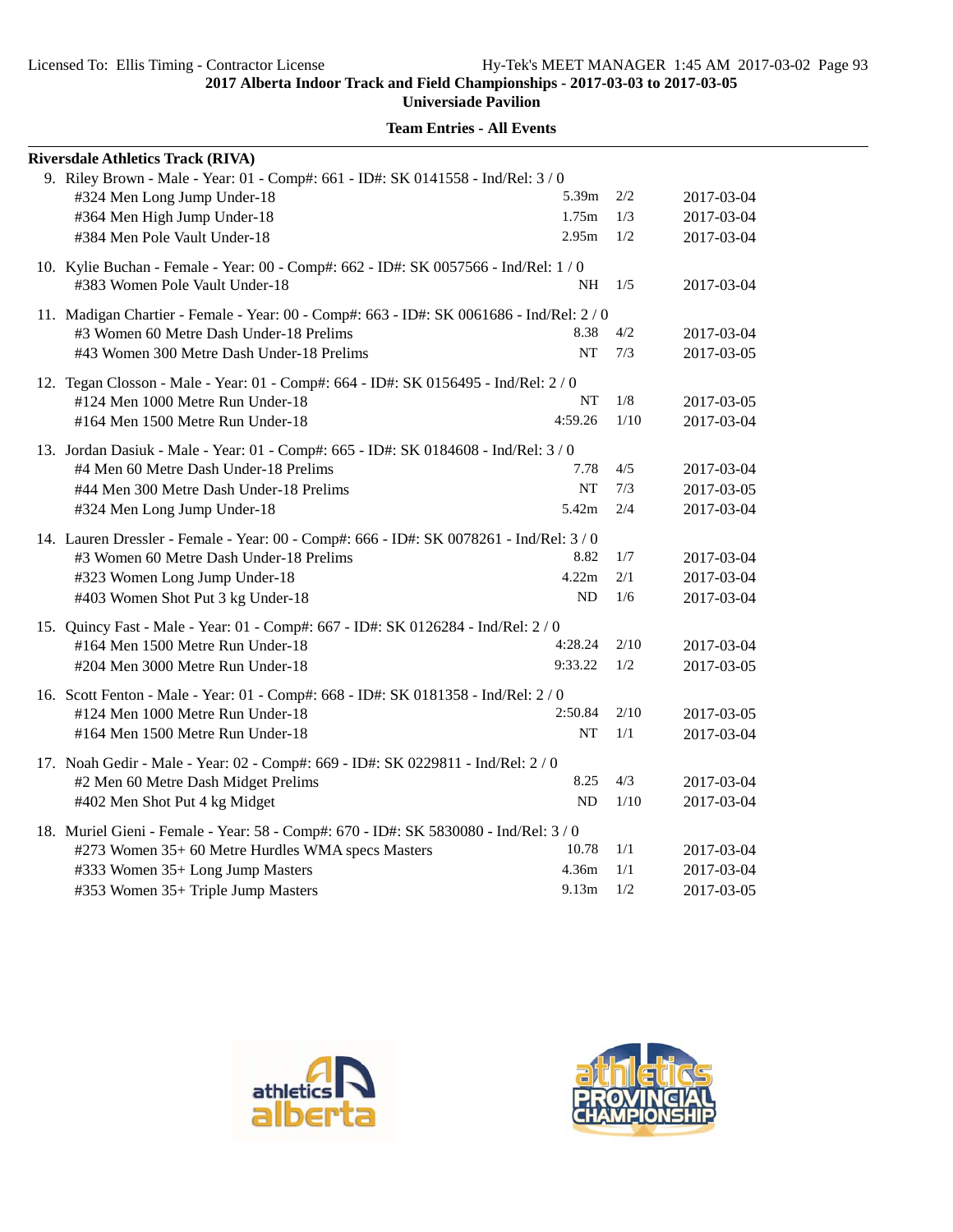**Universiade Pavilion**

| <b>Riversdale Athletics Track (RIVA)</b>                                                                                                                                                                            |                                     |                   |                                        |
|---------------------------------------------------------------------------------------------------------------------------------------------------------------------------------------------------------------------|-------------------------------------|-------------------|----------------------------------------|
| 9. Riley Brown - Male - Year: 01 - Comp#: 661 - ID#: SK 0141558 - Ind/Rel: 3 / 0<br>#324 Men Long Jump Under-18<br>#364 Men High Jump Under-18<br>#384 Men Pole Vault Under-18                                      | 5.39m<br>1.75m<br>2.95m             | 2/2<br>1/3<br>1/2 | 2017-03-04<br>2017-03-04<br>2017-03-04 |
| 10. Kylie Buchan - Female - Year: 00 - Comp#: 662 - ID#: SK 0057566 - Ind/Rel: 1 / 0<br>#383 Women Pole Vault Under-18                                                                                              | NH                                  | 1/5               | 2017-03-04                             |
| 11. Madigan Chartier - Female - Year: 00 - Comp#: 663 - ID#: SK 0061686 - Ind/Rel: 2/0<br>#3 Women 60 Metre Dash Under-18 Prelims<br>#43 Women 300 Metre Dash Under-18 Prelims                                      | 8.38<br><b>NT</b>                   | 4/2<br>7/3        | 2017-03-04<br>2017-03-05               |
| 12. Tegan Closson - Male - Year: 01 - Comp#: 664 - ID#: SK 0156495 - Ind/Rel: 2/0<br>#124 Men 1000 Metre Run Under-18<br>#164 Men 1500 Metre Run Under-18                                                           | NT<br>4:59.26                       | 1/8<br>1/10       | 2017-03-05<br>2017-03-04               |
| 13. Jordan Dasiuk - Male - Year: 01 - Comp#: 665 - ID#: SK 0184608 - Ind/Rel: 3 / 0<br>#4 Men 60 Metre Dash Under-18 Prelims<br>#44 Men 300 Metre Dash Under-18 Prelims<br>#324 Men Long Jump Under-18              | 7.78<br>NT<br>5.42m                 | 4/5<br>7/3<br>2/4 | 2017-03-04<br>2017-03-05<br>2017-03-04 |
| 14. Lauren Dressler - Female - Year: 00 - Comp#: 666 - ID#: SK 0078261 - Ind/Rel: 3 / 0<br>#3 Women 60 Metre Dash Under-18 Prelims<br>#323 Women Long Jump Under-18<br>#403 Women Shot Put 3 kg Under-18            | 8.82<br>4.22m<br><b>ND</b>          | 1/7<br>2/1<br>1/6 | 2017-03-04<br>2017-03-04<br>2017-03-04 |
| 15. Quincy Fast - Male - Year: 01 - Comp#: 667 - ID#: SK 0126284 - Ind/Rel: 2 / 0<br>#164 Men 1500 Metre Run Under-18<br>#204 Men 3000 Metre Run Under-18                                                           | 4:28.24<br>9:33.22                  | 2/10<br>1/2       | 2017-03-04<br>2017-03-05               |
| 16. Scott Fenton - Male - Year: 01 - Comp#: 668 - ID#: SK 0181358 - Ind/Rel: 2/0<br>#124 Men 1000 Metre Run Under-18<br>#164 Men 1500 Metre Run Under-18                                                            | 2:50.84<br><b>NT</b>                | 2/10<br>1/1       | 2017-03-05<br>2017-03-04               |
| 17. Noah Gedir - Male - Year: 02 - Comp#: 669 - ID#: SK 0229811 - Ind/Rel: 2 / 0<br>#2 Men 60 Metre Dash Midget Prelims<br>#402 Men Shot Put 4 kg Midget                                                            | 8.25<br>ND                          | 4/3<br>1/10       | 2017-03-04<br>2017-03-04               |
| 18. Muriel Gieni - Female - Year: 58 - Comp#: 670 - ID#: SK 5830080 - Ind/Rel: 3 / 0<br>#273 Women 35+ 60 Metre Hurdles WMA specs Masters<br>#333 Women 35+ Long Jump Masters<br>#353 Women 35+ Triple Jump Masters | 10.78<br>4.36m<br>9.13 <sub>m</sub> | 1/1<br>1/1<br>1/2 | 2017-03-04<br>2017-03-04<br>2017-03-05 |



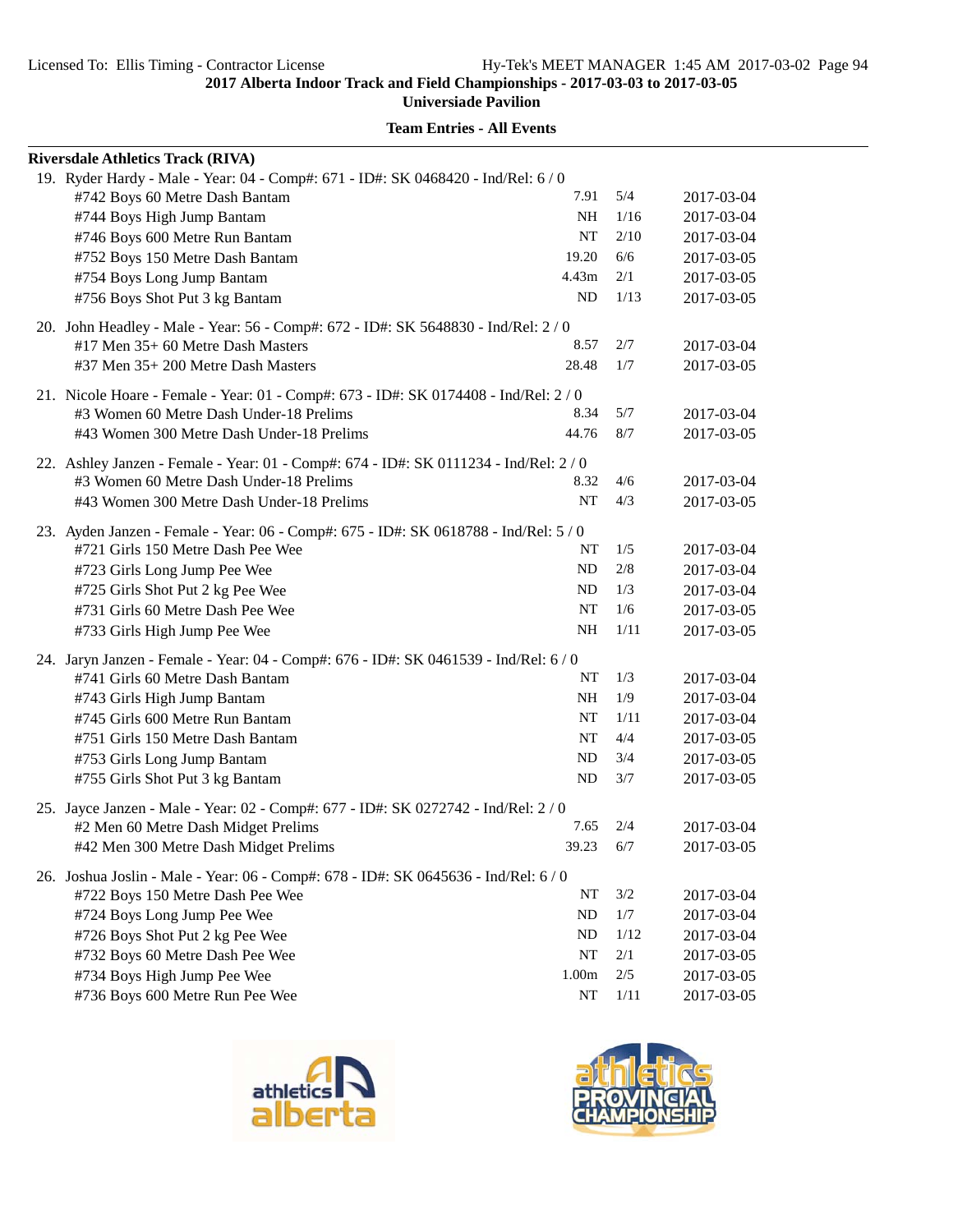**Universiade Pavilion**

| <b>Riversdale Athletics Track (RIVA)</b>                                                                                  |           |       |            |
|---------------------------------------------------------------------------------------------------------------------------|-----------|-------|------------|
| 19. Ryder Hardy - Male - Year: 04 - Comp#: 671 - ID#: SK 0468420 - Ind/Rel: 6 / 0                                         |           |       |            |
| #742 Boys 60 Metre Dash Bantam                                                                                            | 7.91      | 5/4   | 2017-03-04 |
| #744 Boys High Jump Bantam                                                                                                | NH        | 1/16  | 2017-03-04 |
| #746 Boys 600 Metre Run Bantam                                                                                            | NT        | 2/10  | 2017-03-04 |
| #752 Boys 150 Metre Dash Bantam                                                                                           | 19.20     | 6/6   | 2017-03-05 |
| #754 Boys Long Jump Bantam                                                                                                | 4.43m     | 2/1   | 2017-03-05 |
| #756 Boys Shot Put 3 kg Bantam                                                                                            | ND        | 1/13  | 2017-03-05 |
| 20. John Headley - Male - Year: 56 - Comp#: 672 - ID#: SK 5648830 - Ind/Rel: 2/0                                          |           |       |            |
| #17 Men 35+ 60 Metre Dash Masters                                                                                         | 8.57      | 2/7   | 2017-03-04 |
| #37 Men 35+ 200 Metre Dash Masters                                                                                        | 28.48     | 1/7   | 2017-03-05 |
| 21. Nicole Hoare - Female - Year: 01 - Comp#: 673 - ID#: SK 0174408 - Ind/Rel: 2/0                                        |           |       |            |
| #3 Women 60 Metre Dash Under-18 Prelims                                                                                   | 8.34      | 5/7   | 2017-03-04 |
| #43 Women 300 Metre Dash Under-18 Prelims                                                                                 | 44.76     | 8/7   | 2017-03-05 |
| 22. Ashley Janzen - Female - Year: 01 - Comp#: 674 - ID#: SK 0111234 - Ind/Rel: 2/0                                       |           |       |            |
| #3 Women 60 Metre Dash Under-18 Prelims                                                                                   | 8.32      | 4/6   | 2017-03-04 |
| #43 Women 300 Metre Dash Under-18 Prelims                                                                                 | NT        | 4/3   | 2017-03-05 |
|                                                                                                                           |           |       |            |
| 23. Ayden Janzen - Female - Year: 06 - Comp#: 675 - ID#: SK 0618788 - Ind/Rel: 5 / 0<br>#721 Girls 150 Metre Dash Pee Wee | NT        | 1/5   | 2017-03-04 |
| #723 Girls Long Jump Pee Wee                                                                                              | ND        | 2/8   | 2017-03-04 |
| #725 Girls Shot Put 2 kg Pee Wee                                                                                          | ND        | 1/3   | 2017-03-04 |
| #731 Girls 60 Metre Dash Pee Wee                                                                                          | NT        | 1/6   | 2017-03-05 |
| #733 Girls High Jump Pee Wee                                                                                              | NH        | 1/11  | 2017-03-05 |
|                                                                                                                           |           |       |            |
| 24. Jaryn Janzen - Female - Year: 04 - Comp#: 676 - ID#: SK 0461539 - Ind/Rel: 6/0                                        |           |       |            |
| #741 Girls 60 Metre Dash Bantam                                                                                           | NT        | 1/3   | 2017-03-04 |
| #743 Girls High Jump Bantam                                                                                               | NH        | 1/9   | 2017-03-04 |
| #745 Girls 600 Metre Run Bantam                                                                                           | NT        | 1/11  | 2017-03-04 |
| #751 Girls 150 Metre Dash Bantam                                                                                          | NT        | 4/4   | 2017-03-05 |
| #753 Girls Long Jump Bantam                                                                                               | ND        | 3/4   | 2017-03-05 |
| #755 Girls Shot Put 3 kg Bantam                                                                                           | ND        | 3/7   | 2017-03-05 |
| 25. Jayce Janzen - Male - Year: 02 - Comp#: 677 - ID#: SK 0272742 - Ind/Rel: 2/0                                          |           |       |            |
| #2 Men 60 Metre Dash Midget Prelims                                                                                       | 7.65      | 2/4   | 2017-03-04 |
| #42 Men 300 Metre Dash Midget Prelims                                                                                     | 39.23     | 6/7   | 2017-03-05 |
| 26. Joshua Joslin - Male - Year: 06 - Comp#: 678 - ID#: SK 0645636 - Ind/Rel: 6/0                                         |           |       |            |
| #722 Boys 150 Metre Dash Pee Wee                                                                                          | NT        | 3/2   | 2017-03-04 |
| #724 Boys Long Jump Pee Wee                                                                                               | ND        | 1/7   | 2017-03-04 |
| #726 Boys Shot Put 2 kg Pee Wee                                                                                           | ND        | 1/12  | 2017-03-04 |
| #732 Boys 60 Metre Dash Pee Wee                                                                                           | NT        | 2/1   | 2017-03-05 |
| #734 Boys High Jump Pee Wee                                                                                               | 1.00m     | $2/5$ | 2017-03-05 |
| #736 Boys 600 Metre Run Pee Wee                                                                                           | $\rm{NT}$ | 1/11  | 2017-03-05 |



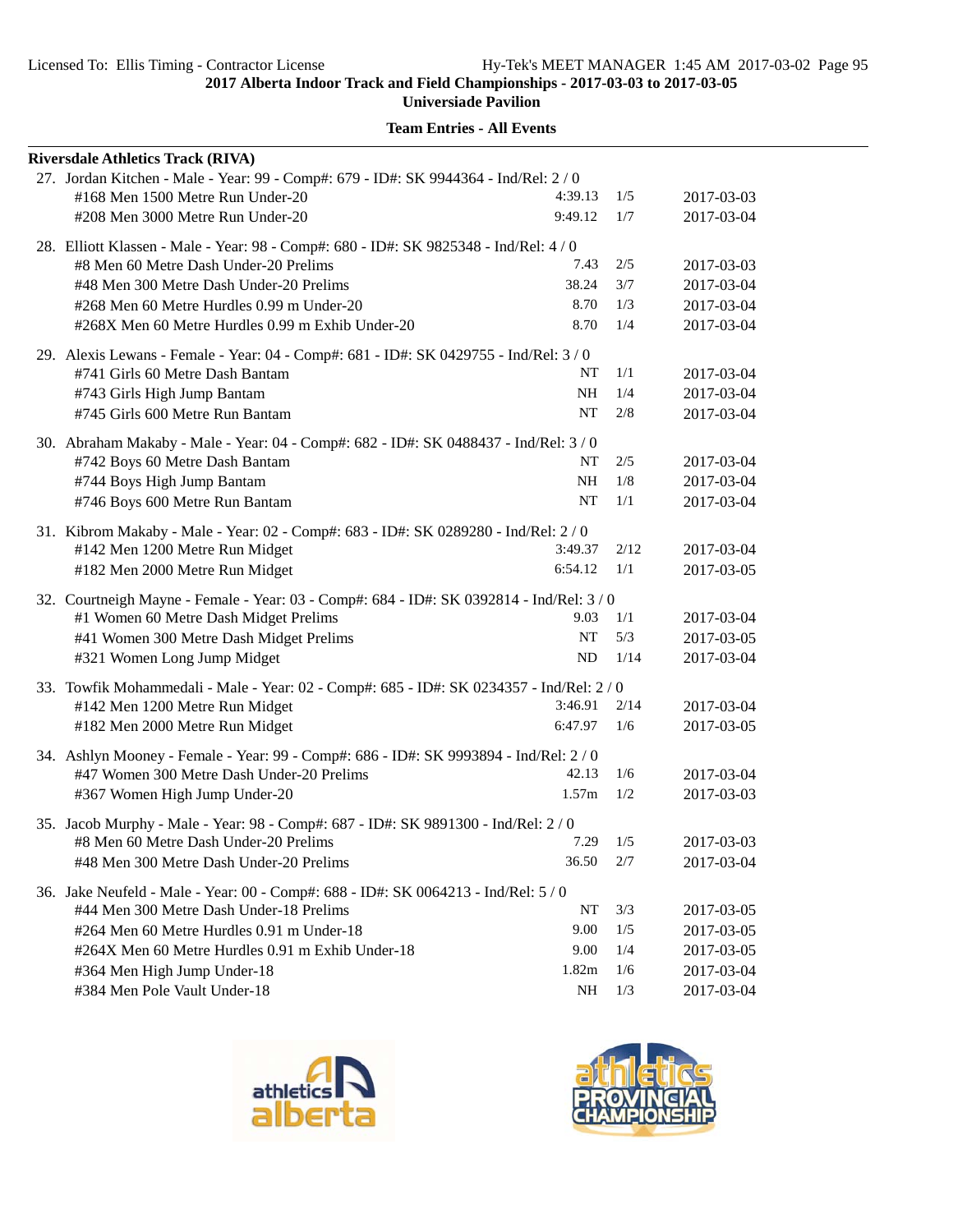**Universiade Pavilion**

| <b>Riversdale Athletics Track (RIVA)</b>                                                 |              |      |            |
|------------------------------------------------------------------------------------------|--------------|------|------------|
| 27. Jordan Kitchen - Male - Year: 99 - Comp#: 679 - ID#: SK 9944364 - Ind/Rel: 2 / 0     |              |      |            |
| #168 Men 1500 Metre Run Under-20                                                         | 4:39.13      | 1/5  | 2017-03-03 |
| #208 Men 3000 Metre Run Under-20                                                         | 9:49.12      | 1/7  | 2017-03-04 |
| 28. Elliott Klassen - Male - Year: 98 - Comp#: 680 - ID#: SK 9825348 - Ind/Rel: 4 / 0    |              |      |            |
| #8 Men 60 Metre Dash Under-20 Prelims                                                    | 7.43         | 2/5  | 2017-03-03 |
| #48 Men 300 Metre Dash Under-20 Prelims                                                  | 38.24        | 3/7  | 2017-03-04 |
| #268 Men 60 Metre Hurdles 0.99 m Under-20                                                | 8.70         | 1/3  | 2017-03-04 |
| #268X Men 60 Metre Hurdles 0.99 m Exhib Under-20                                         | 8.70         | 1/4  | 2017-03-04 |
| 29. Alexis Lewans - Female - Year: 04 - Comp#: 681 - ID#: SK 0429755 - Ind/Rel: 3 / 0    |              |      |            |
| #741 Girls 60 Metre Dash Bantam                                                          | NT           | 1/1  | 2017-03-04 |
| #743 Girls High Jump Bantam                                                              | NH           | 1/4  | 2017-03-04 |
| #745 Girls 600 Metre Run Bantam                                                          | <b>NT</b>    | 2/8  | 2017-03-04 |
| 30. Abraham Makaby - Male - Year: 04 - Comp#: 682 - ID#: SK 0488437 - Ind/Rel: 3 / 0     |              |      |            |
| #742 Boys 60 Metre Dash Bantam                                                           | NT           | 2/5  | 2017-03-04 |
| #744 Boys High Jump Bantam                                                               | NΗ           | 1/8  | 2017-03-04 |
| #746 Boys 600 Metre Run Bantam                                                           | NT           | 1/1  | 2017-03-04 |
| 31. Kibrom Makaby - Male - Year: 02 - Comp#: 683 - ID#: SK 0289280 - Ind/Rel: 2 / 0      |              |      |            |
| #142 Men 1200 Metre Run Midget                                                           | 3:49.37      | 2/12 | 2017-03-04 |
| #182 Men 2000 Metre Run Midget                                                           | 6:54.12      | 1/1  | 2017-03-05 |
| 32. Courtneigh Mayne - Female - Year: 03 - Comp#: 684 - ID#: SK 0392814 - Ind/Rel: 3/0   |              |      |            |
| #1 Women 60 Metre Dash Midget Prelims                                                    | 9.03         | 1/1  | 2017-03-04 |
| #41 Women 300 Metre Dash Midget Prelims                                                  | NT           | 5/3  | 2017-03-05 |
| #321 Women Long Jump Midget                                                              | ND           | 1/14 | 2017-03-04 |
| 33. Towfik Mohammedali - Male - Year: 02 - Comp#: 685 - ID#: SK 0234357 - Ind/Rel: 2 / 0 |              |      |            |
| #142 Men 1200 Metre Run Midget                                                           | 3:46.91      | 2/14 | 2017-03-04 |
| #182 Men 2000 Metre Run Midget                                                           | 6:47.97      | 1/6  | 2017-03-05 |
| 34. Ashlyn Mooney - Female - Year: 99 - Comp#: 686 - ID#: SK 9993894 - Ind/Rel: 2 / 0    |              |      |            |
| #47 Women 300 Metre Dash Under-20 Prelims                                                | 42.13        | 1/6  | 2017-03-04 |
| #367 Women High Jump Under-20                                                            | 1.57m        | 1/2  | 2017-03-03 |
| 35. Jacob Murphy - Male - Year: 98 - Comp#: 687 - ID#: SK 9891300 - Ind/Rel: 2/0         |              |      |            |
| #8 Men 60 Metre Dash Under-20 Prelims                                                    | $7.29$ $1/5$ |      | 2017-03-03 |
| #48 Men 300 Metre Dash Under-20 Prelims                                                  | 36.50        | 2/7  | 2017-03-04 |
| 36. Jake Neufeld - Male - Year: 00 - Comp#: 688 - ID#: SK 0064213 - Ind/Rel: 5 / 0       |              |      |            |
| #44 Men 300 Metre Dash Under-18 Prelims                                                  | NT           | 3/3  | 2017-03-05 |
| #264 Men 60 Metre Hurdles 0.91 m Under-18                                                | 9.00         | 1/5  | 2017-03-05 |
| #264X Men 60 Metre Hurdles 0.91 m Exhib Under-18                                         | 9.00         | 1/4  | 2017-03-05 |
| #364 Men High Jump Under-18                                                              | 1.82m        | 1/6  | 2017-03-04 |
| #384 Men Pole Vault Under-18                                                             | NH           | 1/3  | 2017-03-04 |



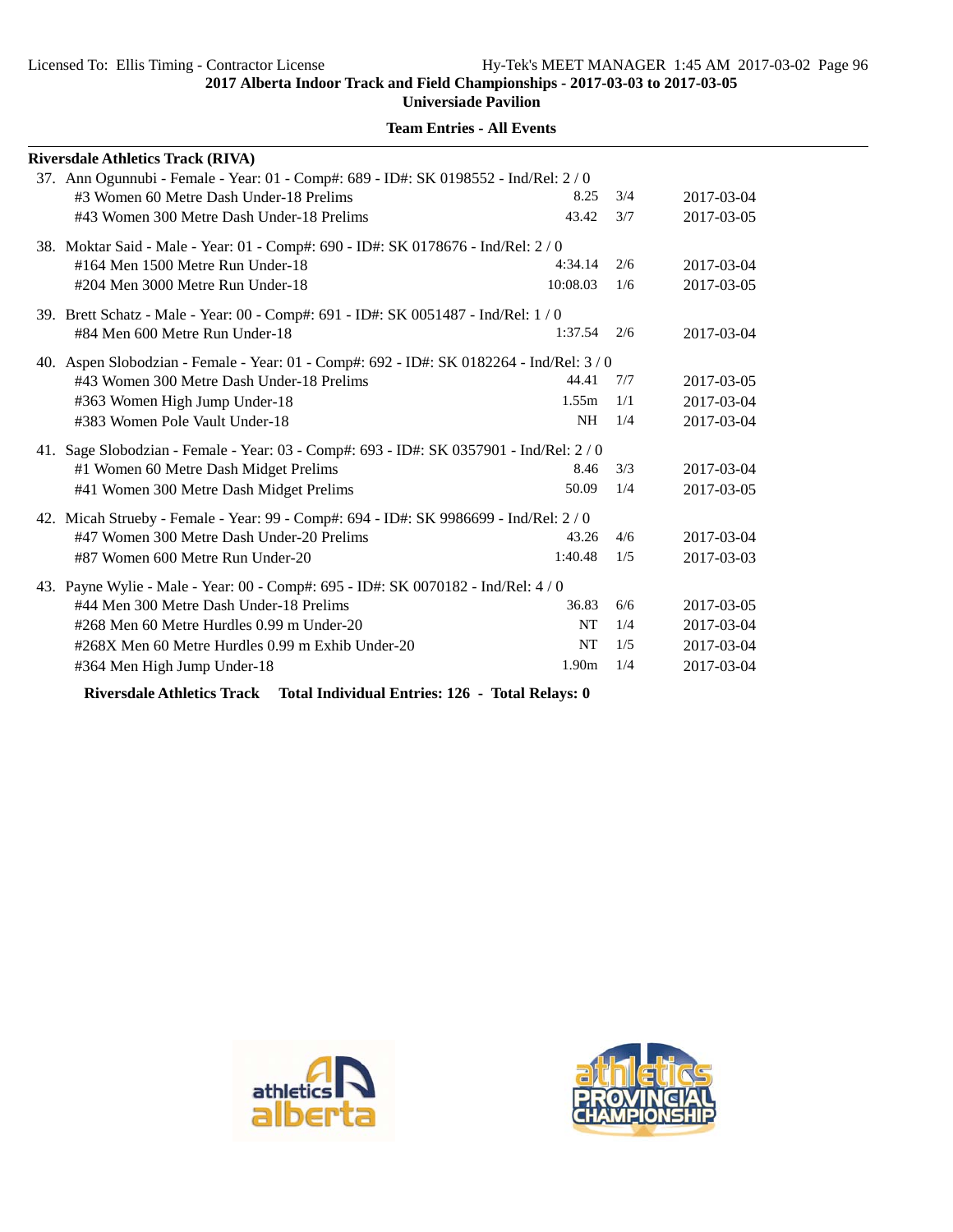**Universiade Pavilion**

| <b>Riversdale Athletics Track (RIVA)</b>                                                 |                   |     |            |  |  |  |
|------------------------------------------------------------------------------------------|-------------------|-----|------------|--|--|--|
| 37. Ann Ogunnubi - Female - Year: 01 - Comp#: 689 - ID#: SK 0198552 - Ind/Rel: 2/0       |                   |     |            |  |  |  |
| #3 Women 60 Metre Dash Under-18 Prelims                                                  | 8.25              | 3/4 | 2017-03-04 |  |  |  |
| #43 Women 300 Metre Dash Under-18 Prelims                                                | 43.42             | 3/7 | 2017-03-05 |  |  |  |
| 38. Moktar Said - Male - Year: 01 - Comp#: 690 - ID#: SK 0178676 - Ind/Rel: 2/0          |                   |     |            |  |  |  |
| #164 Men 1500 Metre Run Under-18                                                         | 4:34.14           | 2/6 | 2017-03-04 |  |  |  |
| #204 Men 3000 Metre Run Under-18                                                         | 10:08.03          | 1/6 | 2017-03-05 |  |  |  |
| 39. Brett Schatz - Male - Year: 00 - Comp#: 691 - ID#: SK 0051487 - Ind/Rel: 1/0         |                   |     |            |  |  |  |
| #84 Men 600 Metre Run Under-18                                                           | 1:37.54           | 2/6 | 2017-03-04 |  |  |  |
| 40. Aspen Slobodzian - Female - Year: 01 - Comp#: 692 - ID#: SK 0182264 - Ind/Rel: 3 / 0 |                   |     |            |  |  |  |
| #43 Women 300 Metre Dash Under-18 Prelims                                                | 44.41             | 7/7 | 2017-03-05 |  |  |  |
| #363 Women High Jump Under-18                                                            | 1.55m             | 1/1 | 2017-03-04 |  |  |  |
| #383 Women Pole Vault Under-18                                                           | <b>NH</b>         | 1/4 | 2017-03-04 |  |  |  |
| 41. Sage Slobodzian - Female - Year: 03 - Comp#: 693 - ID#: SK 0357901 - Ind/Rel: 2/0    |                   |     |            |  |  |  |
| #1 Women 60 Metre Dash Midget Prelims                                                    | 8.46              | 3/3 | 2017-03-04 |  |  |  |
| #41 Women 300 Metre Dash Midget Prelims                                                  | 50.09             | 1/4 | 2017-03-05 |  |  |  |
| 42. Micah Strueby - Female - Year: 99 - Comp#: 694 - ID#: SK 9986699 - Ind/Rel: 2/0      |                   |     |            |  |  |  |
| #47 Women 300 Metre Dash Under-20 Prelims                                                | 43.26             | 4/6 | 2017-03-04 |  |  |  |
| #87 Women 600 Metre Run Under-20                                                         | 1:40.48           | 1/5 | 2017-03-03 |  |  |  |
| 43. Payne Wylie - Male - Year: 00 - Comp#: 695 - ID#: SK 0070182 - Ind/Rel: 4 / 0        |                   |     |            |  |  |  |
| #44 Men 300 Metre Dash Under-18 Prelims                                                  | 36.83             | 6/6 | 2017-03-05 |  |  |  |
| #268 Men 60 Metre Hurdles 0.99 m Under-20                                                | NT                | 1/4 | 2017-03-04 |  |  |  |
| #268X Men 60 Metre Hurdles 0.99 m Exhib Under-20                                         | <b>NT</b>         | 1/5 | 2017-03-04 |  |  |  |
| #364 Men High Jump Under-18                                                              | 1.90 <sub>m</sub> | 1/4 | 2017-03-04 |  |  |  |
|                                                                                          |                   |     |            |  |  |  |

**Team Entries - All Events**

**Riversdale Athletics Track Total Individual Entries: 126 - Total Relays: 0**



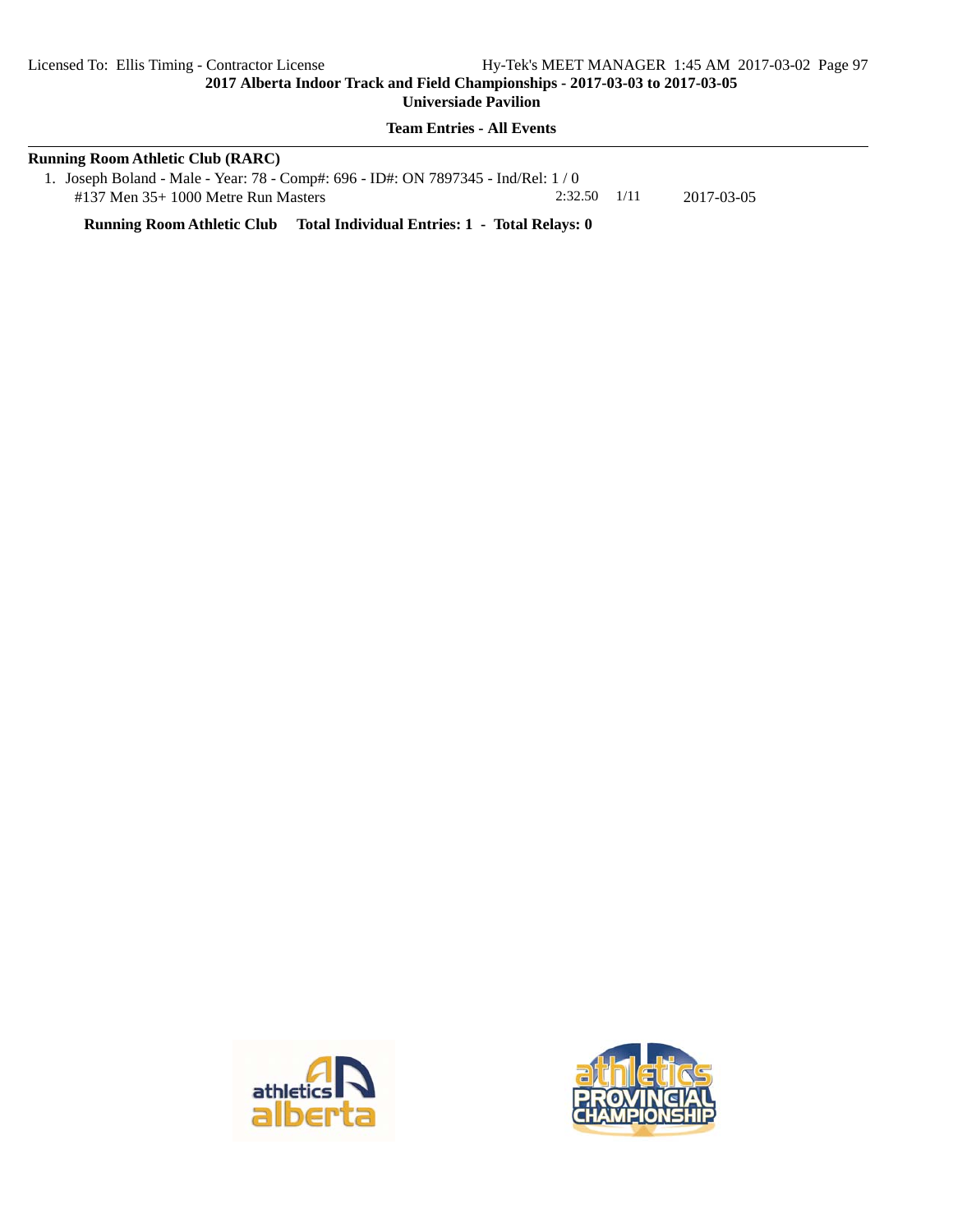# **Team Entries - All Events**

| <b>Running Room Athletic Club (RARC)</b>                                           |                  |  |            |  |
|------------------------------------------------------------------------------------|------------------|--|------------|--|
| 1. Joseph Boland - Male - Year: 78 - Comp#: 696 - ID#: ON 7897345 - Ind/Rel: $1/0$ |                  |  |            |  |
| $\#137$ Men 35+ 1000 Metre Run Masters                                             | $2:32.50$ $1/11$ |  | 2017-03-05 |  |

**Running Room Athletic Club Total Individual Entries: 1 - Total Relays: 0**



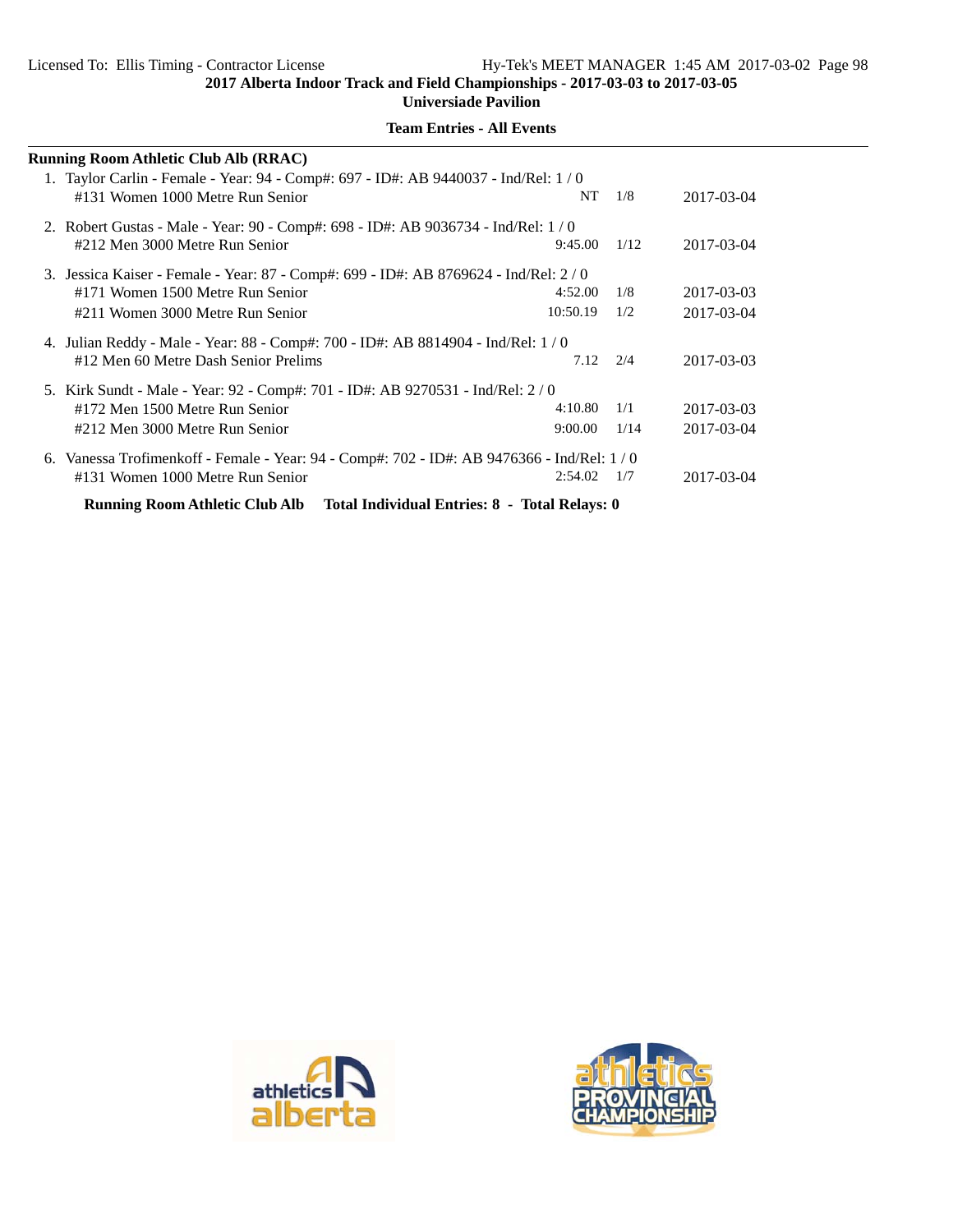**Universiade Pavilion**

| <b>Running Room Athletic Club Alb (RRAC)</b>                                                                           |          |      |            |
|------------------------------------------------------------------------------------------------------------------------|----------|------|------------|
| 1. Taylor Carlin - Female - Year: 94 - Comp#: 697 - ID#: AB 9440037 - Ind/Rel: 1/0<br>#131 Women 1000 Metre Run Senior | NT.      | 1/8  | 2017-03-04 |
| 2. Robert Gustas - Male - Year: 90 - Comp#: 698 - ID#: AB 9036734 - Ind/Rel: 1/0<br>#212 Men 3000 Metre Run Senior     | 9:45.00  | 1/12 | 2017-03-04 |
| 3. Jessica Kaiser - Female - Year: 87 - Comp#: 699 - ID#: AB 8769624 - Ind/Rel: 2/0                                    |          |      |            |
| #171 Women 1500 Metre Run Senior                                                                                       | 4:52.00  | 1/8  | 2017-03-03 |
| #211 Women 3000 Metre Run Senior                                                                                       | 10:50.19 | 1/2  | 2017-03-04 |
| 4. Julian Reddy - Male - Year: 88 - Comp#: 700 - ID#: AB 8814904 - Ind/Rel: 1/0                                        |          |      |            |
| #12 Men 60 Metre Dash Senior Prelims                                                                                   | 7.12     | 2/4  | 2017-03-03 |
| 5. Kirk Sundt - Male - Year: 92 - Comp#: 701 - ID#: AB 9270531 - Ind/Rel: 2/0                                          |          |      |            |
| #172 Men 1500 Metre Run Senior                                                                                         | 4:10.80  | 1/1  | 2017-03-03 |
| #212 Men 3000 Metre Run Senior                                                                                         | 9:00.00  | 1/14 | 2017-03-04 |
| 6. Vanessa Trofimenkoff - Female - Year: 94 - Comp#: 702 - ID#: AB 9476366 - Ind/Rel: 1/0                              |          |      |            |
| #131 Women 1000 Metre Run Senior                                                                                       | 2:54.02  | 1/7  | 2017-03-04 |
| Running Room Athletic Club Alb Total Individual Entries: 8 - Total Relays: 0                                           |          |      |            |



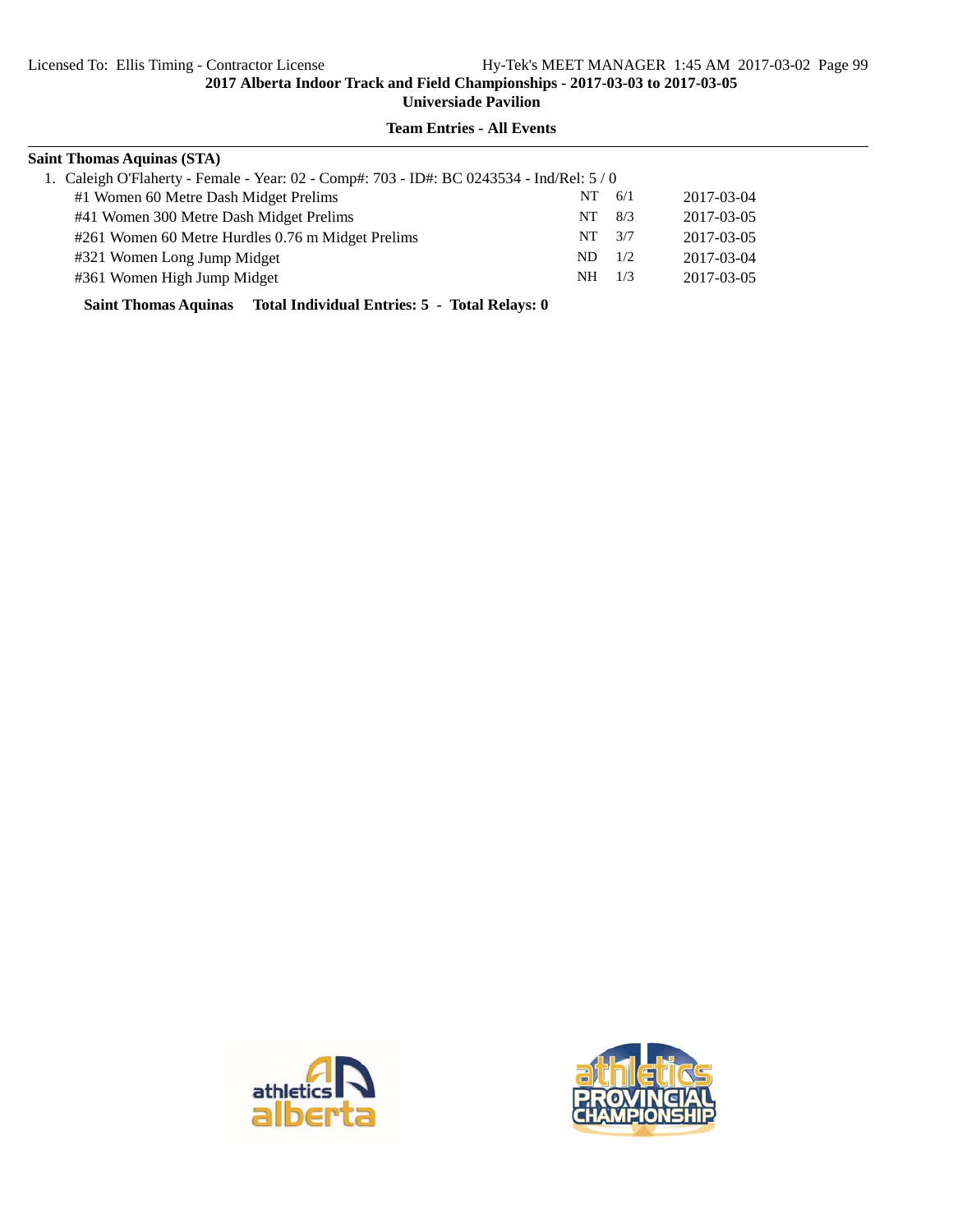# **Team Entries - All Events**

| <b>Saint Thomas Aquinas (STA)</b>                                                       |     |     |            |
|-----------------------------------------------------------------------------------------|-----|-----|------------|
| 1. Caleigh O'Flaherty - Female - Year: 02 - Comp#: 703 - ID#: BC 0243534 - Ind/Rel: 5/0 |     |     |            |
| #1 Women 60 Metre Dash Midget Prelims                                                   | NT  | 6/1 | 2017-03-04 |
| #41 Women 300 Metre Dash Midget Prelims                                                 | NT. | 8/3 | 2017-03-05 |
| #261 Women 60 Metre Hurdles 0.76 m Midget Prelims                                       | NT. | 3/7 | 2017-03-05 |
| #321 Women Long Jump Midget                                                             | ND. | 1/2 | 2017-03-04 |
| #361 Women High Jump Midget                                                             | NH. | 1/3 | 2017-03-05 |
|                                                                                         |     |     |            |

**Saint Thomas Aquinas Total Individual Entries: 5 - Total Relays: 0**



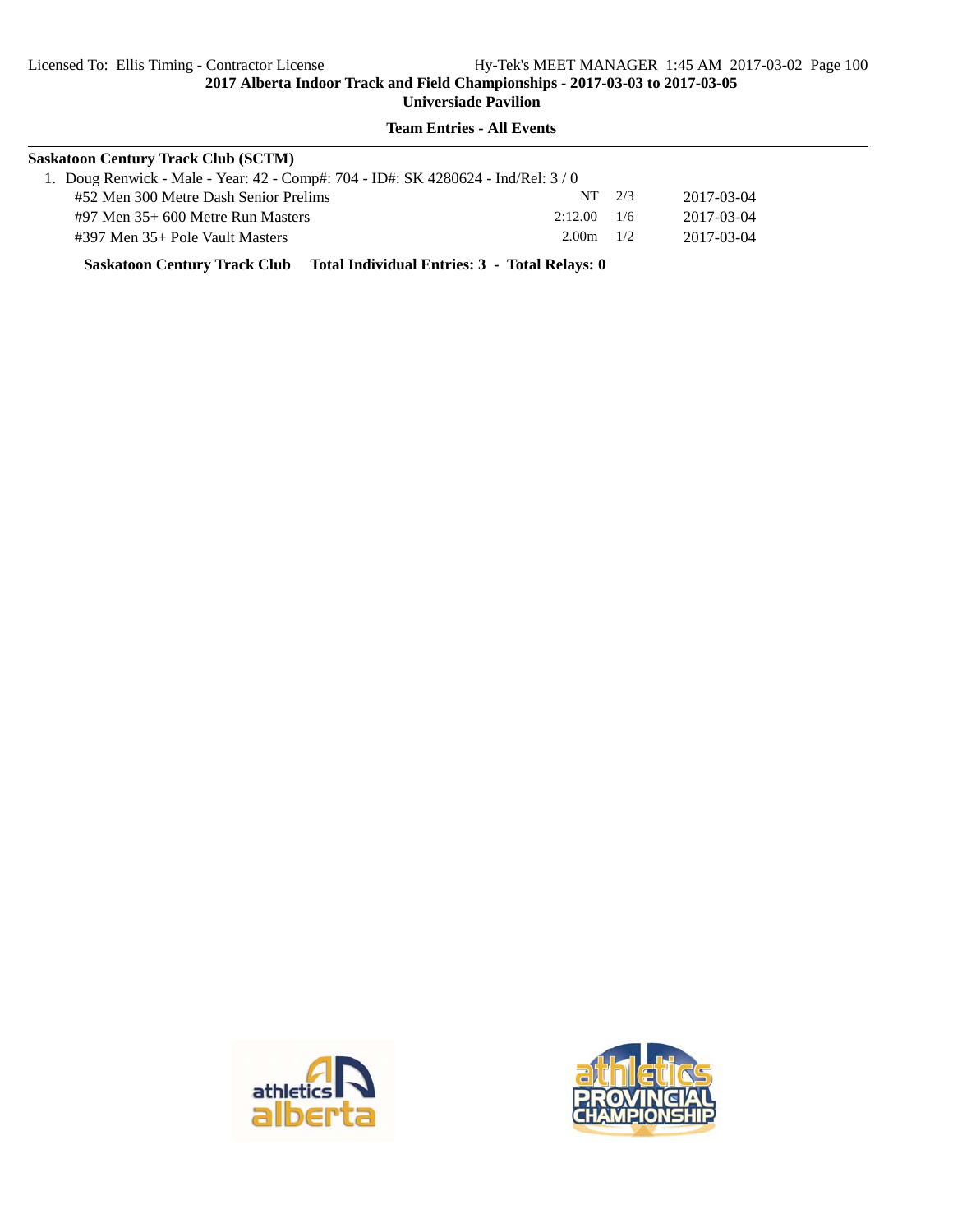#### **Team Entries - All Events**

| <b>Saskatoon Century Track Club (SCTM)</b> |                                                                                 |                                          |  |  |  |
|--------------------------------------------|---------------------------------------------------------------------------------|------------------------------------------|--|--|--|
|                                            |                                                                                 |                                          |  |  |  |
|                                            |                                                                                 | 2017-03-04                               |  |  |  |
|                                            |                                                                                 | 2017-03-04                               |  |  |  |
|                                            |                                                                                 | 2017-03-04                               |  |  |  |
|                                            | 1. Doug Renwick - Male - Year: 42 - Comp#: 704 - ID#: SK 4280624 - Ind/Rel: 3/0 | $NT$ 2/3<br>$2:12.00$ 1/6<br>$2.00m$ 1/2 |  |  |  |

**Saskatoon Century Track Club Total Individual Entries: 3 - Total Relays: 0**



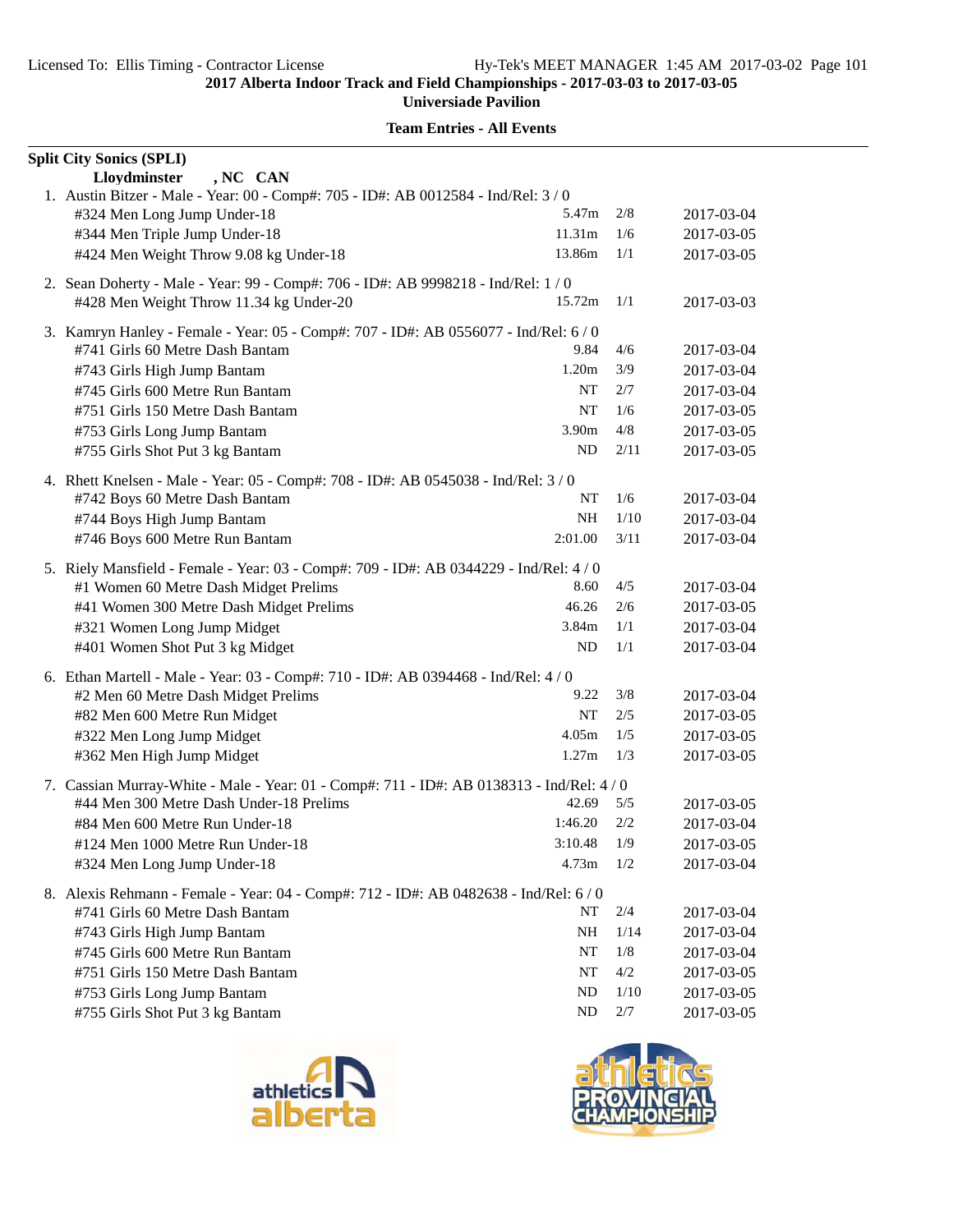| Lloydminster<br>, NC CAN<br>1. Austin Bitzer - Male - Year: 00 - Comp#: 705 - ID#: AB 0012584 - Ind/Rel: 3 / 0<br>5.47m<br>#324 Men Long Jump Under-18<br>2/8<br>2017-03-04<br>#344 Men Triple Jump Under-18<br>11.31m<br>1/6<br>2017-03-05<br>#424 Men Weight Throw 9.08 kg Under-18<br>13.86m<br>1/1<br>2017-03-05<br>2. Sean Doherty - Male - Year: 99 - Comp#: 706 - ID#: AB 9998218 - Ind/Rel: 1/0<br>#428 Men Weight Throw 11.34 kg Under-20<br>15.72m<br>1/1<br>2017-03-03<br>3. Kamryn Hanley - Female - Year: 05 - Comp#: 707 - ID#: AB 0556077 - Ind/Rel: 6 / 0<br>9.84<br>4/6<br>#741 Girls 60 Metre Dash Bantam<br>2017-03-04<br>1.20m<br>3/9<br>#743 Girls High Jump Bantam<br>2017-03-04<br>NT<br>2/7<br>#745 Girls 600 Metre Run Bantam<br>2017-03-04<br>#751 Girls 150 Metre Dash Bantam<br>NT<br>1/6<br>2017-03-05<br>4/8<br>#753 Girls Long Jump Bantam<br>3.90m<br>2017-03-05<br>#755 Girls Shot Put 3 kg Bantam<br>ND<br>2/11<br>2017-03-05<br>4. Rhett Knelsen - Male - Year: 05 - Comp#: 708 - ID#: AB 0545038 - Ind/Rel: 3 / 0<br>#742 Boys 60 Metre Dash Bantam<br>NT<br>1/6<br>2017-03-04<br>#744 Boys High Jump Bantam<br><b>NH</b><br>1/10<br>2017-03-04<br>#746 Boys 600 Metre Run Bantam<br>2:01.00<br>3/11<br>2017-03-04<br>5. Riely Mansfield - Female - Year: 03 - Comp#: 709 - ID#: AB 0344229 - Ind/Rel: 4/0<br>8.60<br>4/5<br>#1 Women 60 Metre Dash Midget Prelims<br>2017-03-04<br>46.26<br>#41 Women 300 Metre Dash Midget Prelims<br>2/6<br>2017-03-05<br>#321 Women Long Jump Midget<br>3.84m<br>1/1<br>2017-03-04<br>#401 Women Shot Put 3 kg Midget<br>ND<br>1/1<br>2017-03-04<br>6. Ethan Martell - Male - Year: 03 - Comp#: 710 - ID#: AB 0394468 - Ind/Rel: 4/0<br>#2 Men 60 Metre Dash Midget Prelims<br>9.22<br>3/8<br>2017-03-04<br>NT<br>2/5<br>#82 Men 600 Metre Run Midget<br>2017-03-05<br>4.05m<br>#322 Men Long Jump Midget<br>1/5<br>2017-03-05<br>1.27m<br>#362 Men High Jump Midget<br>1/3<br>2017-03-05<br>7. Cassian Murray-White - Male - Year: 01 - Comp#: 711 - ID#: AB 0138313 - Ind/Rel: 4 / 0<br>#44 Men 300 Metre Dash Under-18 Prelims<br>5/5<br>42.69<br>2017-03-05<br>1:46.20<br>2/2<br>#84 Men 600 Metre Run Under-18<br>2017-03-04<br>3:10.48<br>1/9<br>2017-03-05<br>#124 Men 1000 Metre Run Under-18<br>4.73m<br>1/2<br>#324 Men Long Jump Under-18<br>2017-03-04<br>8. Alexis Rehmann - Female - Year: 04 - Comp#: 712 - ID#: AB 0482638 - Ind/Rel: 6 / 0<br>#741 Girls 60 Metre Dash Bantam<br>2/4<br>NT<br>2017-03-04<br>#743 Girls High Jump Bantam<br>NH<br>1/14<br>2017-03-04<br>#745 Girls 600 Metre Run Bantam<br>NT<br>1/8<br>2017-03-04<br>#751 Girls 150 Metre Dash Bantam<br>4/2<br>NT<br>2017-03-05<br>ND<br>#753 Girls Long Jump Bantam<br>1/10<br>2017-03-05 | <b>Split City Sonics (SPLI)</b> |    |       |            |
|------------------------------------------------------------------------------------------------------------------------------------------------------------------------------------------------------------------------------------------------------------------------------------------------------------------------------------------------------------------------------------------------------------------------------------------------------------------------------------------------------------------------------------------------------------------------------------------------------------------------------------------------------------------------------------------------------------------------------------------------------------------------------------------------------------------------------------------------------------------------------------------------------------------------------------------------------------------------------------------------------------------------------------------------------------------------------------------------------------------------------------------------------------------------------------------------------------------------------------------------------------------------------------------------------------------------------------------------------------------------------------------------------------------------------------------------------------------------------------------------------------------------------------------------------------------------------------------------------------------------------------------------------------------------------------------------------------------------------------------------------------------------------------------------------------------------------------------------------------------------------------------------------------------------------------------------------------------------------------------------------------------------------------------------------------------------------------------------------------------------------------------------------------------------------------------------------------------------------------------------------------------------------------------------------------------------------------------------------------------------------------------------------------------------------------------------------------------------------------------------------------------------------------------------------------------------------------------------------------------------------------------------------------------------------------------------------------------------------------------------------|---------------------------------|----|-------|------------|
|                                                                                                                                                                                                                                                                                                                                                                                                                                                                                                                                                                                                                                                                                                                                                                                                                                                                                                                                                                                                                                                                                                                                                                                                                                                                                                                                                                                                                                                                                                                                                                                                                                                                                                                                                                                                                                                                                                                                                                                                                                                                                                                                                                                                                                                                                                                                                                                                                                                                                                                                                                                                                                                                                                                                                      |                                 |    |       |            |
|                                                                                                                                                                                                                                                                                                                                                                                                                                                                                                                                                                                                                                                                                                                                                                                                                                                                                                                                                                                                                                                                                                                                                                                                                                                                                                                                                                                                                                                                                                                                                                                                                                                                                                                                                                                                                                                                                                                                                                                                                                                                                                                                                                                                                                                                                                                                                                                                                                                                                                                                                                                                                                                                                                                                                      |                                 |    |       |            |
|                                                                                                                                                                                                                                                                                                                                                                                                                                                                                                                                                                                                                                                                                                                                                                                                                                                                                                                                                                                                                                                                                                                                                                                                                                                                                                                                                                                                                                                                                                                                                                                                                                                                                                                                                                                                                                                                                                                                                                                                                                                                                                                                                                                                                                                                                                                                                                                                                                                                                                                                                                                                                                                                                                                                                      |                                 |    |       |            |
|                                                                                                                                                                                                                                                                                                                                                                                                                                                                                                                                                                                                                                                                                                                                                                                                                                                                                                                                                                                                                                                                                                                                                                                                                                                                                                                                                                                                                                                                                                                                                                                                                                                                                                                                                                                                                                                                                                                                                                                                                                                                                                                                                                                                                                                                                                                                                                                                                                                                                                                                                                                                                                                                                                                                                      |                                 |    |       |            |
|                                                                                                                                                                                                                                                                                                                                                                                                                                                                                                                                                                                                                                                                                                                                                                                                                                                                                                                                                                                                                                                                                                                                                                                                                                                                                                                                                                                                                                                                                                                                                                                                                                                                                                                                                                                                                                                                                                                                                                                                                                                                                                                                                                                                                                                                                                                                                                                                                                                                                                                                                                                                                                                                                                                                                      |                                 |    |       |            |
|                                                                                                                                                                                                                                                                                                                                                                                                                                                                                                                                                                                                                                                                                                                                                                                                                                                                                                                                                                                                                                                                                                                                                                                                                                                                                                                                                                                                                                                                                                                                                                                                                                                                                                                                                                                                                                                                                                                                                                                                                                                                                                                                                                                                                                                                                                                                                                                                                                                                                                                                                                                                                                                                                                                                                      |                                 |    |       |            |
|                                                                                                                                                                                                                                                                                                                                                                                                                                                                                                                                                                                                                                                                                                                                                                                                                                                                                                                                                                                                                                                                                                                                                                                                                                                                                                                                                                                                                                                                                                                                                                                                                                                                                                                                                                                                                                                                                                                                                                                                                                                                                                                                                                                                                                                                                                                                                                                                                                                                                                                                                                                                                                                                                                                                                      |                                 |    |       |            |
|                                                                                                                                                                                                                                                                                                                                                                                                                                                                                                                                                                                                                                                                                                                                                                                                                                                                                                                                                                                                                                                                                                                                                                                                                                                                                                                                                                                                                                                                                                                                                                                                                                                                                                                                                                                                                                                                                                                                                                                                                                                                                                                                                                                                                                                                                                                                                                                                                                                                                                                                                                                                                                                                                                                                                      |                                 |    |       |            |
|                                                                                                                                                                                                                                                                                                                                                                                                                                                                                                                                                                                                                                                                                                                                                                                                                                                                                                                                                                                                                                                                                                                                                                                                                                                                                                                                                                                                                                                                                                                                                                                                                                                                                                                                                                                                                                                                                                                                                                                                                                                                                                                                                                                                                                                                                                                                                                                                                                                                                                                                                                                                                                                                                                                                                      |                                 |    |       |            |
|                                                                                                                                                                                                                                                                                                                                                                                                                                                                                                                                                                                                                                                                                                                                                                                                                                                                                                                                                                                                                                                                                                                                                                                                                                                                                                                                                                                                                                                                                                                                                                                                                                                                                                                                                                                                                                                                                                                                                                                                                                                                                                                                                                                                                                                                                                                                                                                                                                                                                                                                                                                                                                                                                                                                                      |                                 |    |       |            |
|                                                                                                                                                                                                                                                                                                                                                                                                                                                                                                                                                                                                                                                                                                                                                                                                                                                                                                                                                                                                                                                                                                                                                                                                                                                                                                                                                                                                                                                                                                                                                                                                                                                                                                                                                                                                                                                                                                                                                                                                                                                                                                                                                                                                                                                                                                                                                                                                                                                                                                                                                                                                                                                                                                                                                      |                                 |    |       |            |
|                                                                                                                                                                                                                                                                                                                                                                                                                                                                                                                                                                                                                                                                                                                                                                                                                                                                                                                                                                                                                                                                                                                                                                                                                                                                                                                                                                                                                                                                                                                                                                                                                                                                                                                                                                                                                                                                                                                                                                                                                                                                                                                                                                                                                                                                                                                                                                                                                                                                                                                                                                                                                                                                                                                                                      |                                 |    |       |            |
|                                                                                                                                                                                                                                                                                                                                                                                                                                                                                                                                                                                                                                                                                                                                                                                                                                                                                                                                                                                                                                                                                                                                                                                                                                                                                                                                                                                                                                                                                                                                                                                                                                                                                                                                                                                                                                                                                                                                                                                                                                                                                                                                                                                                                                                                                                                                                                                                                                                                                                                                                                                                                                                                                                                                                      |                                 |    |       |            |
|                                                                                                                                                                                                                                                                                                                                                                                                                                                                                                                                                                                                                                                                                                                                                                                                                                                                                                                                                                                                                                                                                                                                                                                                                                                                                                                                                                                                                                                                                                                                                                                                                                                                                                                                                                                                                                                                                                                                                                                                                                                                                                                                                                                                                                                                                                                                                                                                                                                                                                                                                                                                                                                                                                                                                      |                                 |    |       |            |
|                                                                                                                                                                                                                                                                                                                                                                                                                                                                                                                                                                                                                                                                                                                                                                                                                                                                                                                                                                                                                                                                                                                                                                                                                                                                                                                                                                                                                                                                                                                                                                                                                                                                                                                                                                                                                                                                                                                                                                                                                                                                                                                                                                                                                                                                                                                                                                                                                                                                                                                                                                                                                                                                                                                                                      |                                 |    |       |            |
|                                                                                                                                                                                                                                                                                                                                                                                                                                                                                                                                                                                                                                                                                                                                                                                                                                                                                                                                                                                                                                                                                                                                                                                                                                                                                                                                                                                                                                                                                                                                                                                                                                                                                                                                                                                                                                                                                                                                                                                                                                                                                                                                                                                                                                                                                                                                                                                                                                                                                                                                                                                                                                                                                                                                                      |                                 |    |       |            |
|                                                                                                                                                                                                                                                                                                                                                                                                                                                                                                                                                                                                                                                                                                                                                                                                                                                                                                                                                                                                                                                                                                                                                                                                                                                                                                                                                                                                                                                                                                                                                                                                                                                                                                                                                                                                                                                                                                                                                                                                                                                                                                                                                                                                                                                                                                                                                                                                                                                                                                                                                                                                                                                                                                                                                      |                                 |    |       |            |
|                                                                                                                                                                                                                                                                                                                                                                                                                                                                                                                                                                                                                                                                                                                                                                                                                                                                                                                                                                                                                                                                                                                                                                                                                                                                                                                                                                                                                                                                                                                                                                                                                                                                                                                                                                                                                                                                                                                                                                                                                                                                                                                                                                                                                                                                                                                                                                                                                                                                                                                                                                                                                                                                                                                                                      |                                 |    |       |            |
|                                                                                                                                                                                                                                                                                                                                                                                                                                                                                                                                                                                                                                                                                                                                                                                                                                                                                                                                                                                                                                                                                                                                                                                                                                                                                                                                                                                                                                                                                                                                                                                                                                                                                                                                                                                                                                                                                                                                                                                                                                                                                                                                                                                                                                                                                                                                                                                                                                                                                                                                                                                                                                                                                                                                                      |                                 |    |       |            |
|                                                                                                                                                                                                                                                                                                                                                                                                                                                                                                                                                                                                                                                                                                                                                                                                                                                                                                                                                                                                                                                                                                                                                                                                                                                                                                                                                                                                                                                                                                                                                                                                                                                                                                                                                                                                                                                                                                                                                                                                                                                                                                                                                                                                                                                                                                                                                                                                                                                                                                                                                                                                                                                                                                                                                      |                                 |    |       |            |
|                                                                                                                                                                                                                                                                                                                                                                                                                                                                                                                                                                                                                                                                                                                                                                                                                                                                                                                                                                                                                                                                                                                                                                                                                                                                                                                                                                                                                                                                                                                                                                                                                                                                                                                                                                                                                                                                                                                                                                                                                                                                                                                                                                                                                                                                                                                                                                                                                                                                                                                                                                                                                                                                                                                                                      |                                 |    |       |            |
|                                                                                                                                                                                                                                                                                                                                                                                                                                                                                                                                                                                                                                                                                                                                                                                                                                                                                                                                                                                                                                                                                                                                                                                                                                                                                                                                                                                                                                                                                                                                                                                                                                                                                                                                                                                                                                                                                                                                                                                                                                                                                                                                                                                                                                                                                                                                                                                                                                                                                                                                                                                                                                                                                                                                                      |                                 |    |       |            |
|                                                                                                                                                                                                                                                                                                                                                                                                                                                                                                                                                                                                                                                                                                                                                                                                                                                                                                                                                                                                                                                                                                                                                                                                                                                                                                                                                                                                                                                                                                                                                                                                                                                                                                                                                                                                                                                                                                                                                                                                                                                                                                                                                                                                                                                                                                                                                                                                                                                                                                                                                                                                                                                                                                                                                      |                                 |    |       |            |
|                                                                                                                                                                                                                                                                                                                                                                                                                                                                                                                                                                                                                                                                                                                                                                                                                                                                                                                                                                                                                                                                                                                                                                                                                                                                                                                                                                                                                                                                                                                                                                                                                                                                                                                                                                                                                                                                                                                                                                                                                                                                                                                                                                                                                                                                                                                                                                                                                                                                                                                                                                                                                                                                                                                                                      |                                 |    |       |            |
|                                                                                                                                                                                                                                                                                                                                                                                                                                                                                                                                                                                                                                                                                                                                                                                                                                                                                                                                                                                                                                                                                                                                                                                                                                                                                                                                                                                                                                                                                                                                                                                                                                                                                                                                                                                                                                                                                                                                                                                                                                                                                                                                                                                                                                                                                                                                                                                                                                                                                                                                                                                                                                                                                                                                                      |                                 |    |       |            |
|                                                                                                                                                                                                                                                                                                                                                                                                                                                                                                                                                                                                                                                                                                                                                                                                                                                                                                                                                                                                                                                                                                                                                                                                                                                                                                                                                                                                                                                                                                                                                                                                                                                                                                                                                                                                                                                                                                                                                                                                                                                                                                                                                                                                                                                                                                                                                                                                                                                                                                                                                                                                                                                                                                                                                      |                                 |    |       |            |
|                                                                                                                                                                                                                                                                                                                                                                                                                                                                                                                                                                                                                                                                                                                                                                                                                                                                                                                                                                                                                                                                                                                                                                                                                                                                                                                                                                                                                                                                                                                                                                                                                                                                                                                                                                                                                                                                                                                                                                                                                                                                                                                                                                                                                                                                                                                                                                                                                                                                                                                                                                                                                                                                                                                                                      |                                 |    |       |            |
|                                                                                                                                                                                                                                                                                                                                                                                                                                                                                                                                                                                                                                                                                                                                                                                                                                                                                                                                                                                                                                                                                                                                                                                                                                                                                                                                                                                                                                                                                                                                                                                                                                                                                                                                                                                                                                                                                                                                                                                                                                                                                                                                                                                                                                                                                                                                                                                                                                                                                                                                                                                                                                                                                                                                                      |                                 |    |       |            |
|                                                                                                                                                                                                                                                                                                                                                                                                                                                                                                                                                                                                                                                                                                                                                                                                                                                                                                                                                                                                                                                                                                                                                                                                                                                                                                                                                                                                                                                                                                                                                                                                                                                                                                                                                                                                                                                                                                                                                                                                                                                                                                                                                                                                                                                                                                                                                                                                                                                                                                                                                                                                                                                                                                                                                      |                                 |    |       |            |
|                                                                                                                                                                                                                                                                                                                                                                                                                                                                                                                                                                                                                                                                                                                                                                                                                                                                                                                                                                                                                                                                                                                                                                                                                                                                                                                                                                                                                                                                                                                                                                                                                                                                                                                                                                                                                                                                                                                                                                                                                                                                                                                                                                                                                                                                                                                                                                                                                                                                                                                                                                                                                                                                                                                                                      |                                 |    |       |            |
|                                                                                                                                                                                                                                                                                                                                                                                                                                                                                                                                                                                                                                                                                                                                                                                                                                                                                                                                                                                                                                                                                                                                                                                                                                                                                                                                                                                                                                                                                                                                                                                                                                                                                                                                                                                                                                                                                                                                                                                                                                                                                                                                                                                                                                                                                                                                                                                                                                                                                                                                                                                                                                                                                                                                                      |                                 |    |       |            |
|                                                                                                                                                                                                                                                                                                                                                                                                                                                                                                                                                                                                                                                                                                                                                                                                                                                                                                                                                                                                                                                                                                                                                                                                                                                                                                                                                                                                                                                                                                                                                                                                                                                                                                                                                                                                                                                                                                                                                                                                                                                                                                                                                                                                                                                                                                                                                                                                                                                                                                                                                                                                                                                                                                                                                      |                                 |    |       |            |
|                                                                                                                                                                                                                                                                                                                                                                                                                                                                                                                                                                                                                                                                                                                                                                                                                                                                                                                                                                                                                                                                                                                                                                                                                                                                                                                                                                                                                                                                                                                                                                                                                                                                                                                                                                                                                                                                                                                                                                                                                                                                                                                                                                                                                                                                                                                                                                                                                                                                                                                                                                                                                                                                                                                                                      |                                 |    |       |            |
|                                                                                                                                                                                                                                                                                                                                                                                                                                                                                                                                                                                                                                                                                                                                                                                                                                                                                                                                                                                                                                                                                                                                                                                                                                                                                                                                                                                                                                                                                                                                                                                                                                                                                                                                                                                                                                                                                                                                                                                                                                                                                                                                                                                                                                                                                                                                                                                                                                                                                                                                                                                                                                                                                                                                                      |                                 |    |       |            |
|                                                                                                                                                                                                                                                                                                                                                                                                                                                                                                                                                                                                                                                                                                                                                                                                                                                                                                                                                                                                                                                                                                                                                                                                                                                                                                                                                                                                                                                                                                                                                                                                                                                                                                                                                                                                                                                                                                                                                                                                                                                                                                                                                                                                                                                                                                                                                                                                                                                                                                                                                                                                                                                                                                                                                      |                                 |    |       |            |
|                                                                                                                                                                                                                                                                                                                                                                                                                                                                                                                                                                                                                                                                                                                                                                                                                                                                                                                                                                                                                                                                                                                                                                                                                                                                                                                                                                                                                                                                                                                                                                                                                                                                                                                                                                                                                                                                                                                                                                                                                                                                                                                                                                                                                                                                                                                                                                                                                                                                                                                                                                                                                                                                                                                                                      |                                 |    |       |            |
|                                                                                                                                                                                                                                                                                                                                                                                                                                                                                                                                                                                                                                                                                                                                                                                                                                                                                                                                                                                                                                                                                                                                                                                                                                                                                                                                                                                                                                                                                                                                                                                                                                                                                                                                                                                                                                                                                                                                                                                                                                                                                                                                                                                                                                                                                                                                                                                                                                                                                                                                                                                                                                                                                                                                                      |                                 |    |       |            |
|                                                                                                                                                                                                                                                                                                                                                                                                                                                                                                                                                                                                                                                                                                                                                                                                                                                                                                                                                                                                                                                                                                                                                                                                                                                                                                                                                                                                                                                                                                                                                                                                                                                                                                                                                                                                                                                                                                                                                                                                                                                                                                                                                                                                                                                                                                                                                                                                                                                                                                                                                                                                                                                                                                                                                      |                                 |    |       |            |
|                                                                                                                                                                                                                                                                                                                                                                                                                                                                                                                                                                                                                                                                                                                                                                                                                                                                                                                                                                                                                                                                                                                                                                                                                                                                                                                                                                                                                                                                                                                                                                                                                                                                                                                                                                                                                                                                                                                                                                                                                                                                                                                                                                                                                                                                                                                                                                                                                                                                                                                                                                                                                                                                                                                                                      |                                 |    |       |            |
|                                                                                                                                                                                                                                                                                                                                                                                                                                                                                                                                                                                                                                                                                                                                                                                                                                                                                                                                                                                                                                                                                                                                                                                                                                                                                                                                                                                                                                                                                                                                                                                                                                                                                                                                                                                                                                                                                                                                                                                                                                                                                                                                                                                                                                                                                                                                                                                                                                                                                                                                                                                                                                                                                                                                                      | #755 Girls Shot Put 3 kg Bantam | ND | $2/7$ | 2017-03-05 |



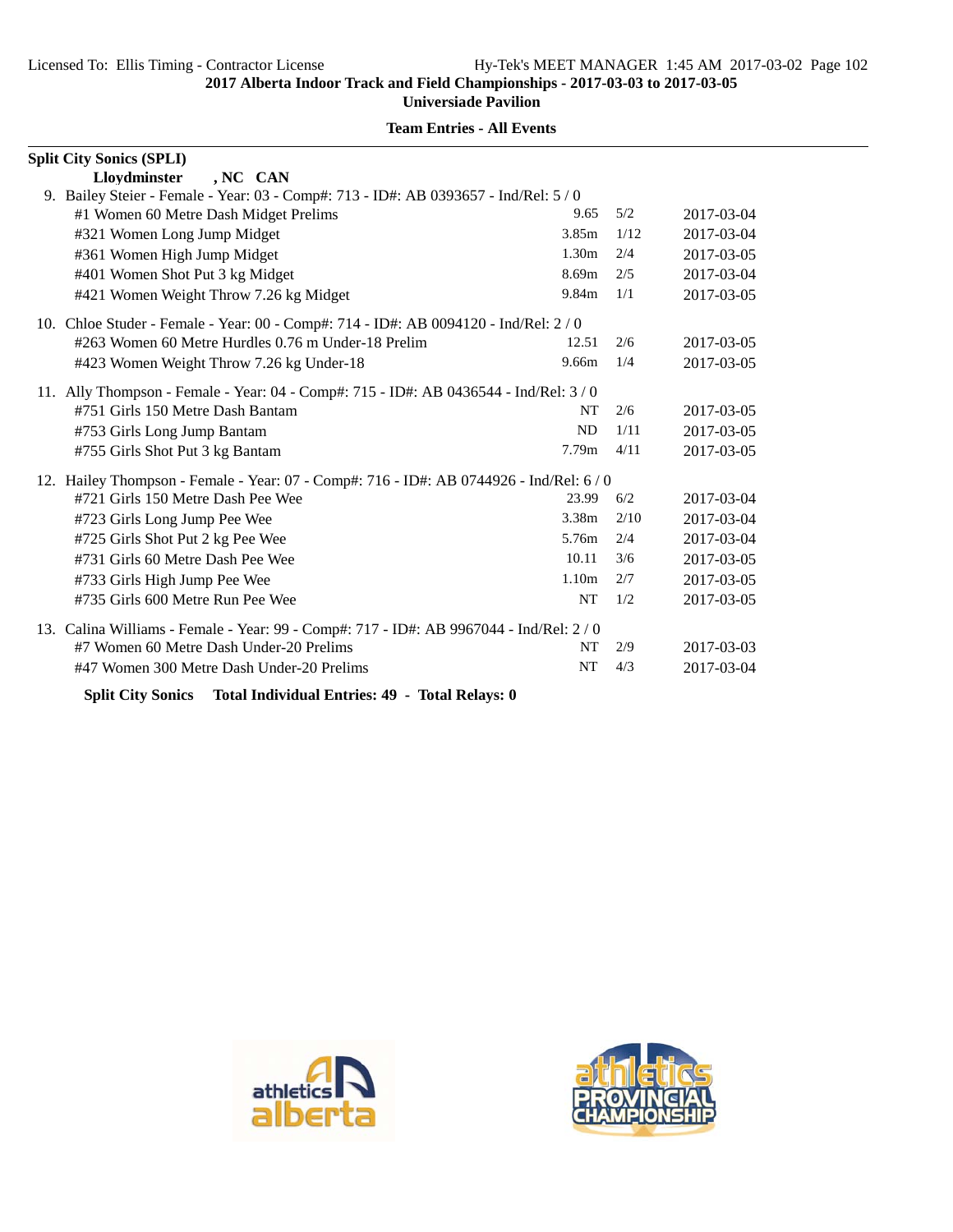# **Team Entries - All Events**

| <b>Split City Sonics (SPLI)</b>                                                         |                   |      |            |
|-----------------------------------------------------------------------------------------|-------------------|------|------------|
| Lloydminster<br>, NC CAN                                                                |                   |      |            |
| 9. Bailey Steier - Female - Year: 03 - Comp#: 713 - ID#: AB 0393657 - Ind/Rel: 5 / 0    |                   |      |            |
| #1 Women 60 Metre Dash Midget Prelims                                                   | 9.65              | 5/2  | 2017-03-04 |
| #321 Women Long Jump Midget                                                             | 3.85m             | 1/12 | 2017-03-04 |
| #361 Women High Jump Midget                                                             | 1.30 <sub>m</sub> | 2/4  | 2017-03-05 |
| #401 Women Shot Put 3 kg Midget                                                         | 8.69m             | 2/5  | 2017-03-04 |
| #421 Women Weight Throw 7.26 kg Midget                                                  | 9.84m             | 1/1  | 2017-03-05 |
| 10. Chloe Studer - Female - Year: 00 - Comp#: 714 - ID#: AB 0094120 - Ind/Rel: 2/0      |                   |      |            |
| #263 Women 60 Metre Hurdles 0.76 m Under-18 Prelim                                      | 12.51             | 2/6  | 2017-03-05 |
| #423 Women Weight Throw 7.26 kg Under-18                                                | 9.66m             | 1/4  | 2017-03-05 |
| 11. Ally Thompson - Female - Year: 04 - Comp#: 715 - ID#: AB 0436544 - Ind/Rel: 3/0     |                   |      |            |
| #751 Girls 150 Metre Dash Bantam                                                        | NT                | 2/6  | 2017-03-05 |
| #753 Girls Long Jump Bantam                                                             | ND                | 1/11 | 2017-03-05 |
| #755 Girls Shot Put 3 kg Bantam                                                         | 7.79 <sub>m</sub> | 4/11 | 2017-03-05 |
| 12. Hailey Thompson - Female - Year: 07 - Comp#: 716 - ID#: AB 0744926 - Ind/Rel: 6 / 0 |                   |      |            |
| #721 Girls 150 Metre Dash Pee Wee                                                       | 23.99             | 6/2  | 2017-03-04 |
| #723 Girls Long Jump Pee Wee                                                            | 3.38m             | 2/10 | 2017-03-04 |
| #725 Girls Shot Put 2 kg Pee Wee                                                        | 5.76m             | 2/4  | 2017-03-04 |
| #731 Girls 60 Metre Dash Pee Wee                                                        | 10.11             | 3/6  | 2017-03-05 |
| #733 Girls High Jump Pee Wee                                                            | 1.10 <sub>m</sub> | 2/7  | 2017-03-05 |
| #735 Girls 600 Metre Run Pee Wee                                                        | <b>NT</b>         | 1/2  | 2017-03-05 |
| 13. Calina Williams - Female - Year: 99 - Comp#: 717 - ID#: AB 9967044 - Ind/Rel: 2/0   |                   |      |            |
| #7 Women 60 Metre Dash Under-20 Prelims                                                 | NT                | 2/9  | 2017-03-03 |
| #47 Women 300 Metre Dash Under-20 Prelims                                               | NT                | 4/3  | 2017-03-04 |

**Split City Sonics Total Individual Entries: 49 - Total Relays: 0**



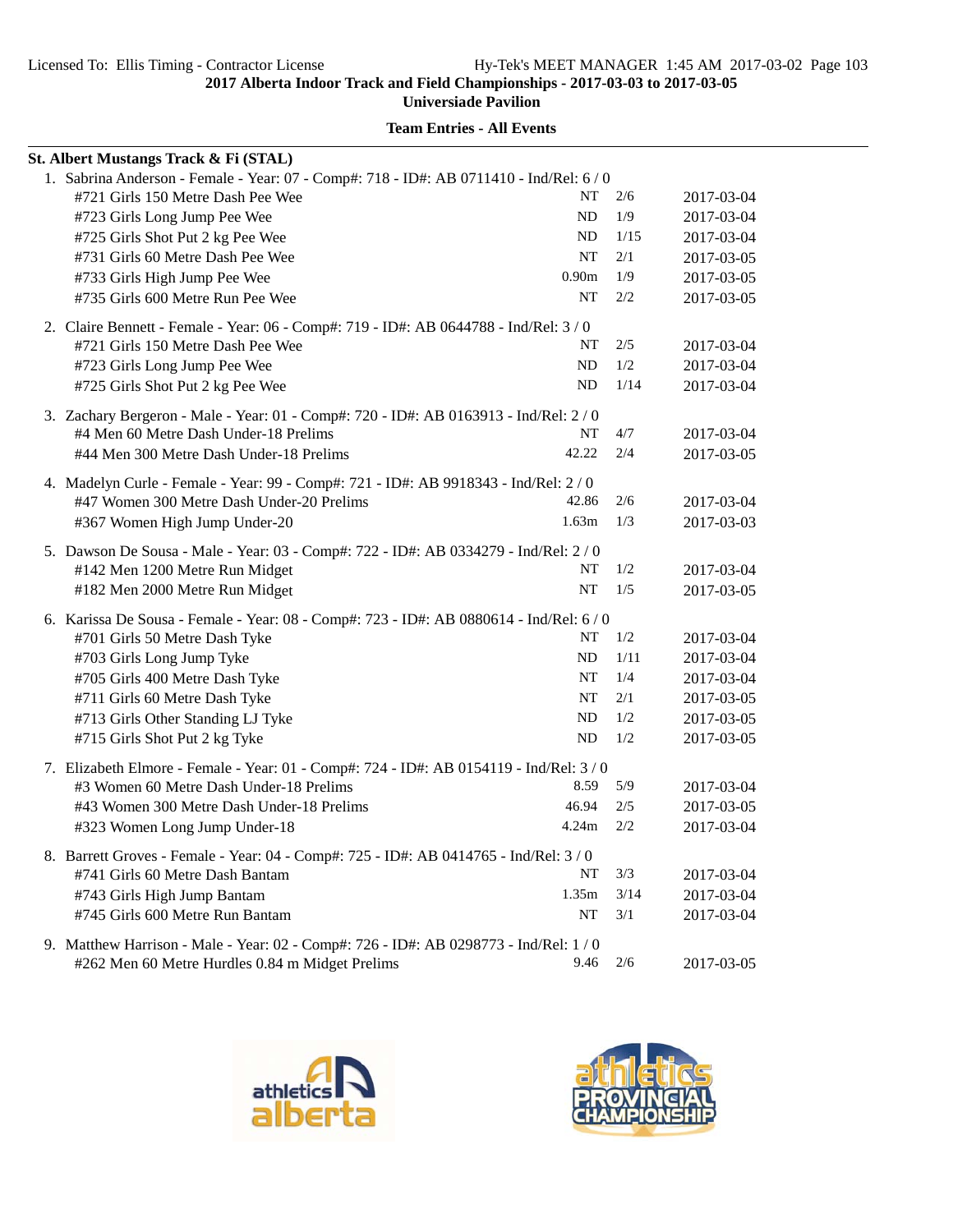**Universiade Pavilion**

| St. Albert Mustangs Track & Fi (STAL)                                                   |                   |      |            |
|-----------------------------------------------------------------------------------------|-------------------|------|------------|
| 1. Sabrina Anderson - Female - Year: 07 - Comp#: 718 - ID#: AB 0711410 - Ind/Rel: 6 / 0 |                   |      |            |
| #721 Girls 150 Metre Dash Pee Wee                                                       | NT                | 2/6  | 2017-03-04 |
| #723 Girls Long Jump Pee Wee                                                            | ND                | 1/9  | 2017-03-04 |
| #725 Girls Shot Put 2 kg Pee Wee                                                        | ND                | 1/15 | 2017-03-04 |
| #731 Girls 60 Metre Dash Pee Wee                                                        | NT                | 2/1  | 2017-03-05 |
| #733 Girls High Jump Pee Wee                                                            | 0.90 <sub>m</sub> | 1/9  | 2017-03-05 |
| #735 Girls 600 Metre Run Pee Wee                                                        | NT                | 2/2  | 2017-03-05 |
| 2. Claire Bennett - Female - Year: 06 - Comp#: 719 - ID#: AB 0644788 - Ind/Rel: 3/0     |                   |      |            |
| #721 Girls 150 Metre Dash Pee Wee                                                       | NT                | 2/5  | 2017-03-04 |
| #723 Girls Long Jump Pee Wee                                                            | ND                | 1/2  | 2017-03-04 |
| #725 Girls Shot Put 2 kg Pee Wee                                                        | ND                | 1/14 | 2017-03-04 |
| 3. Zachary Bergeron - Male - Year: 01 - Comp#: 720 - ID#: AB 0163913 - Ind/Rel: 2 / 0   |                   |      |            |
| #4 Men 60 Metre Dash Under-18 Prelims                                                   | NT                | 4/7  | 2017-03-04 |
| #44 Men 300 Metre Dash Under-18 Prelims                                                 | 42.22             | 2/4  | 2017-03-05 |
| 4. Madelyn Curle - Female - Year: 99 - Comp#: 721 - ID#: AB 9918343 - Ind/Rel: 2 / 0    |                   |      |            |
| #47 Women 300 Metre Dash Under-20 Prelims                                               | 42.86             | 2/6  | 2017-03-04 |
| #367 Women High Jump Under-20                                                           | 1.63m             | 1/3  | 2017-03-03 |
| 5. Dawson De Sousa - Male - Year: 03 - Comp#: 722 - ID#: AB 0334279 - Ind/Rel: 2/0      |                   |      |            |
| #142 Men 1200 Metre Run Midget                                                          | NT                | 1/2  | 2017-03-04 |
| #182 Men 2000 Metre Run Midget                                                          | <b>NT</b>         | 1/5  | 2017-03-05 |
| 6. Karissa De Sousa - Female - Year: 08 - Comp#: 723 - ID#: AB 0880614 - Ind/Rel: 6 / 0 |                   |      |            |
| #701 Girls 50 Metre Dash Tyke                                                           | NT                | 1/2  | 2017-03-04 |
| #703 Girls Long Jump Tyke                                                               | ND                | 1/11 | 2017-03-04 |
| #705 Girls 400 Metre Dash Tyke                                                          | NT                | 1/4  | 2017-03-04 |
| #711 Girls 60 Metre Dash Tyke                                                           | <b>NT</b>         | 2/1  | 2017-03-05 |
| #713 Girls Other Standing LJ Tyke                                                       | ND                | 1/2  | 2017-03-05 |
| #715 Girls Shot Put 2 kg Tyke                                                           | ND                | 1/2  | 2017-03-05 |
| 7. Elizabeth Elmore - Female - Year: 01 - Comp#: 724 - ID#: AB 0154119 - Ind/Rel: 3 / 0 |                   |      |            |
| #3 Women 60 Metre Dash Under-18 Prelims                                                 | 8.59              | 5/9  | 2017-03-04 |
| #43 Women 300 Metre Dash Under-18 Prelims                                               | 46.94             | 2/5  | 2017-03-05 |
| #323 Women Long Jump Under-18                                                           | 4.24m             | 2/2  | 2017-03-04 |
| 8. Barrett Groves - Female - Year: 04 - Comp#: 725 - ID#: AB 0414765 - Ind/Rel: 3 / 0   |                   |      |            |
| #741 Girls 60 Metre Dash Bantam                                                         | NT                | 3/3  | 2017-03-04 |
| #743 Girls High Jump Bantam                                                             | 1.35m             | 3/14 | 2017-03-04 |
| #745 Girls 600 Metre Run Bantam                                                         | NT                | 3/1  | 2017-03-04 |
| 9. Matthew Harrison - Male - Year: 02 - Comp#: 726 - ID#: AB 0298773 - Ind/Rel: 1 / 0   |                   |      |            |
| #262 Men 60 Metre Hurdles 0.84 m Midget Prelims                                         | 9.46              | 2/6  | 2017-03-05 |



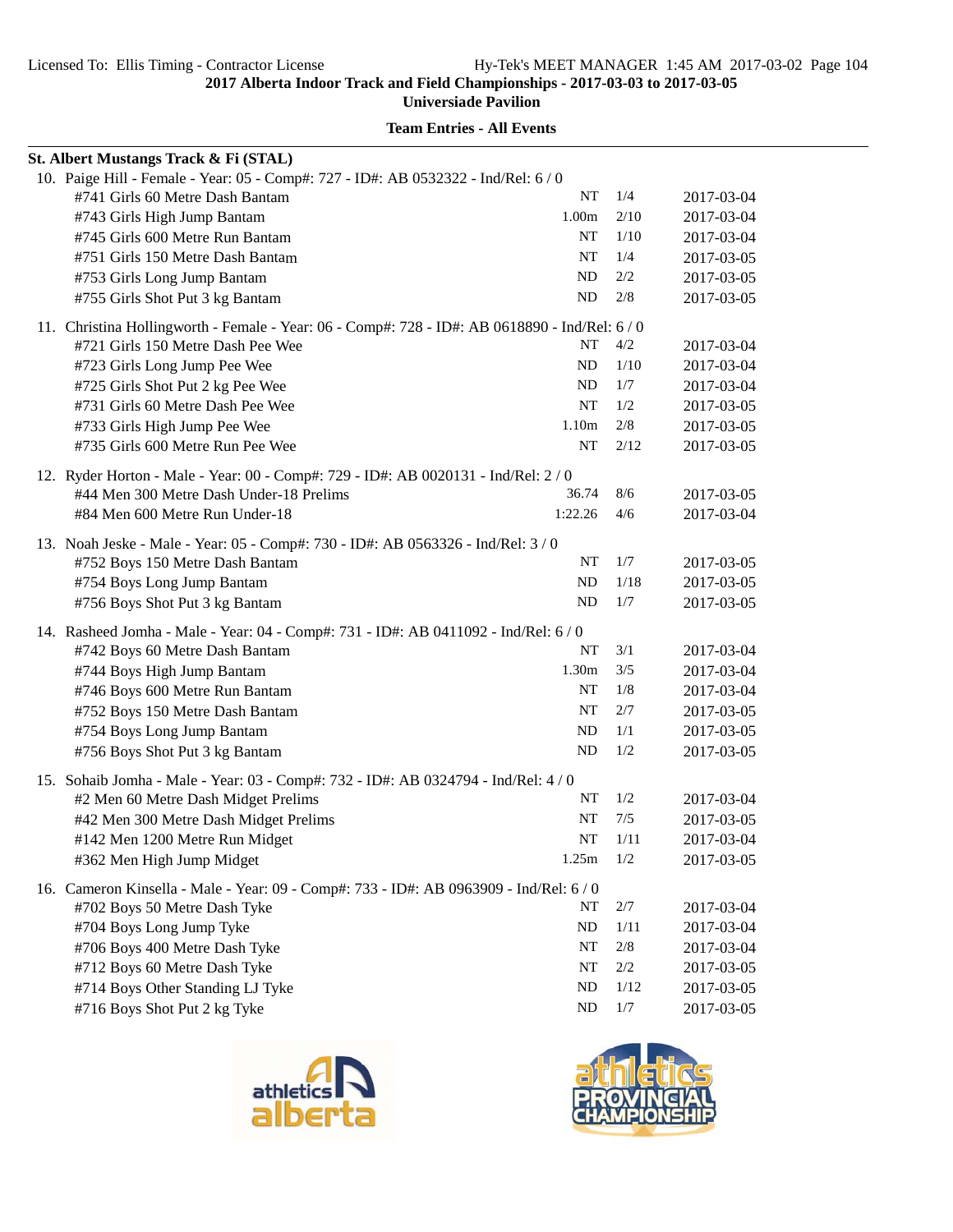**Universiade Pavilion**

| St. Albert Mustangs Track & Fi (STAL)                                                          |                   |        |            |
|------------------------------------------------------------------------------------------------|-------------------|--------|------------|
| 10. Paige Hill - Female - Year: 05 - Comp#: 727 - ID#: AB 0532322 - Ind/Rel: 6 / 0             |                   |        |            |
| #741 Girls 60 Metre Dash Bantam                                                                | NT                | 1/4    | 2017-03-04 |
| #743 Girls High Jump Bantam                                                                    | 1.00 <sub>m</sub> | 2/10   | 2017-03-04 |
| #745 Girls 600 Metre Run Bantam                                                                | NT                | 1/10   | 2017-03-04 |
| #751 Girls 150 Metre Dash Bantam                                                               | NT                | 1/4    | 2017-03-05 |
| #753 Girls Long Jump Bantam                                                                    | ND                | 2/2    | 2017-03-05 |
| #755 Girls Shot Put 3 kg Bantam                                                                | ND                | 2/8    | 2017-03-05 |
| 11. Christina Hollingworth - Female - Year: 06 - Comp#: 728 - ID#: AB 0618890 - Ind/Rel: 6 / 0 |                   |        |            |
| #721 Girls 150 Metre Dash Pee Wee                                                              | NT                | 4/2    | 2017-03-04 |
| #723 Girls Long Jump Pee Wee                                                                   | ND                | 1/10   | 2017-03-04 |
| #725 Girls Shot Put 2 kg Pee Wee                                                               | ND                | 1/7    | 2017-03-04 |
| #731 Girls 60 Metre Dash Pee Wee                                                               | NT                | 1/2    | 2017-03-05 |
| #733 Girls High Jump Pee Wee                                                                   | 1.10m             | 2/8    | 2017-03-05 |
| #735 Girls 600 Metre Run Pee Wee                                                               | NT                | 2/12   | 2017-03-05 |
| 12. Ryder Horton - Male - Year: 00 - Comp#: 729 - ID#: AB 0020131 - Ind/Rel: 2/0               |                   |        |            |
| #44 Men 300 Metre Dash Under-18 Prelims                                                        | 36.74             | 8/6    | 2017-03-05 |
| #84 Men 600 Metre Run Under-18                                                                 | 1:22.26           | 4/6    | 2017-03-04 |
|                                                                                                |                   |        |            |
| 13. Noah Jeske - Male - Year: 05 - Comp#: 730 - ID#: AB 0563326 - Ind/Rel: 3/0                 | NT                | 1/7    |            |
| #752 Boys 150 Metre Dash Bantam                                                                | ND                | 1/18   | 2017-03-05 |
| #754 Boys Long Jump Bantam                                                                     | <b>ND</b>         | 1/7    | 2017-03-05 |
| #756 Boys Shot Put 3 kg Bantam                                                                 |                   |        | 2017-03-05 |
| 14. Rasheed Jomha - Male - Year: 04 - Comp#: 731 - ID#: AB 0411092 - Ind/Rel: 6 / 0            |                   |        |            |
| #742 Boys 60 Metre Dash Bantam                                                                 | NT                | 3/1    | 2017-03-04 |
| #744 Boys High Jump Bantam                                                                     | 1.30m             | 3/5    | 2017-03-04 |
| #746 Boys 600 Metre Run Bantam                                                                 | NT                | 1/8    | 2017-03-04 |
| #752 Boys 150 Metre Dash Bantam                                                                | NT                | 2/7    | 2017-03-05 |
| #754 Boys Long Jump Bantam                                                                     | ND                | 1/1    | 2017-03-05 |
| #756 Boys Shot Put 3 kg Bantam                                                                 | ND                | 1/2    | 2017-03-05 |
| 15. Sohaib Jomha - Male - Year: 03 - Comp#: 732 - ID#: AB 0324794 - Ind/Rel: 4 / 0             |                   |        |            |
| #2 Men 60 Metre Dash Midget Prelims                                                            | NT                | 1/2    | 2017-03-04 |
| #42 Men 300 Metre Dash Midget Prelims                                                          | NT                | 7/5    | 2017-03-05 |
| #142 Men 1200 Metre Run Midget                                                                 | NT                | 1/11   | 2017-03-04 |
| #362 Men High Jump Midget                                                                      | 1.25m             | 1/2    | 2017-03-05 |
| 16. Cameron Kinsella - Male - Year: 09 - Comp#: 733 - ID#: AB 0963909 - Ind/Rel: 6 / 0         |                   |        |            |
| #702 Boys 50 Metre Dash Tyke                                                                   | NT                | 2/7    | 2017-03-04 |
| #704 Boys Long Jump Tyke                                                                       | ND                | 1/11   | 2017-03-04 |
| #706 Boys 400 Metre Dash Tyke                                                                  | NT                | $2/8$  | 2017-03-04 |
| #712 Boys 60 Metre Dash Tyke                                                                   | NT                | 2/2    | 2017-03-05 |
| #714 Boys Other Standing LJ Tyke                                                               | ND                | $1/12$ | 2017-03-05 |
| #716 Boys Shot Put 2 kg Tyke                                                                   | <b>ND</b>         | $1/7$  | 2017-03-05 |
|                                                                                                |                   |        |            |



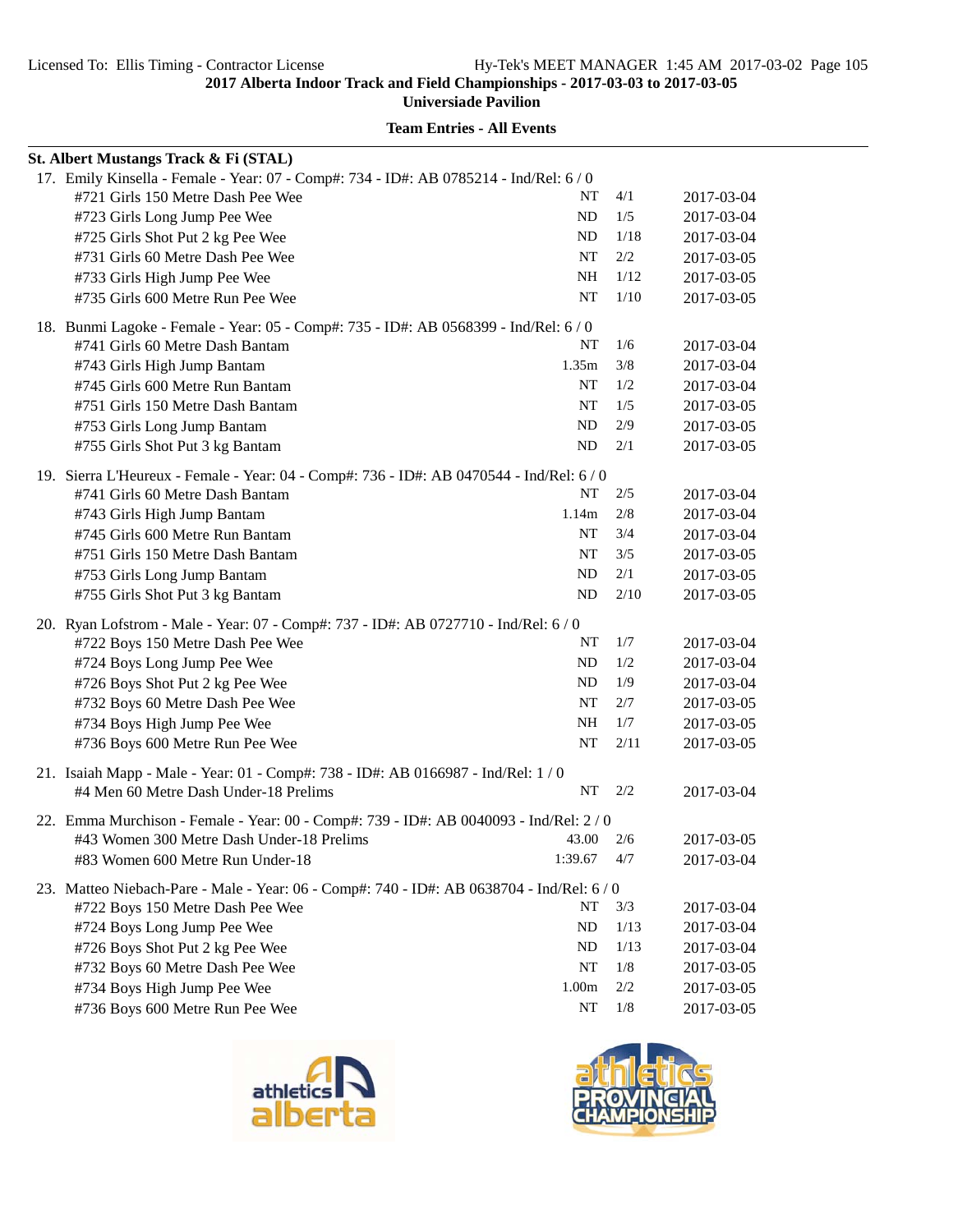**Universiade Pavilion**

| St. Albert Mustangs Track & Fi (STAL)                                                     |                   |       |            |
|-------------------------------------------------------------------------------------------|-------------------|-------|------------|
| 17. Emily Kinsella - Female - Year: 07 - Comp#: 734 - ID#: AB 0785214 - Ind/Rel: 6 / 0    |                   |       |            |
| #721 Girls 150 Metre Dash Pee Wee                                                         | NT                | 4/1   | 2017-03-04 |
| #723 Girls Long Jump Pee Wee                                                              | ND                | 1/5   | 2017-03-04 |
| #725 Girls Shot Put 2 kg Pee Wee                                                          | <b>ND</b>         | 1/18  | 2017-03-04 |
| #731 Girls 60 Metre Dash Pee Wee                                                          | NT                | 2/2   | 2017-03-05 |
| #733 Girls High Jump Pee Wee                                                              | NH                | 1/12  | 2017-03-05 |
| #735 Girls 600 Metre Run Pee Wee                                                          | NT                | 1/10  | 2017-03-05 |
| 18. Bunmi Lagoke - Female - Year: 05 - Comp#: 735 - ID#: AB 0568399 - Ind/Rel: 6 / 0      |                   |       |            |
| #741 Girls 60 Metre Dash Bantam                                                           | NT                | 1/6   | 2017-03-04 |
| #743 Girls High Jump Bantam                                                               | 1.35m             | 3/8   | 2017-03-04 |
| #745 Girls 600 Metre Run Bantam                                                           | NT                | 1/2   | 2017-03-04 |
| #751 Girls 150 Metre Dash Bantam                                                          | NT                | 1/5   | 2017-03-05 |
| #753 Girls Long Jump Bantam                                                               | ND                | 2/9   | 2017-03-05 |
| #755 Girls Shot Put 3 kg Bantam                                                           | ND                | 2/1   | 2017-03-05 |
| 19. Sierra L'Heureux - Female - Year: 04 - Comp#: 736 - ID#: AB 0470544 - Ind/Rel: 6 / 0  |                   |       |            |
| #741 Girls 60 Metre Dash Bantam                                                           | NT                | 2/5   | 2017-03-04 |
| #743 Girls High Jump Bantam                                                               | 1.14m             | 2/8   | 2017-03-04 |
| #745 Girls 600 Metre Run Bantam                                                           | NT                | 3/4   | 2017-03-04 |
| #751 Girls 150 Metre Dash Bantam                                                          | NT                | 3/5   | 2017-03-05 |
| #753 Girls Long Jump Bantam                                                               | ND                | 2/1   | 2017-03-05 |
| #755 Girls Shot Put 3 kg Bantam                                                           | ND                | 2/10  | 2017-03-05 |
| 20. Ryan Lofstrom - Male - Year: 07 - Comp#: 737 - ID#: AB 0727710 - Ind/Rel: 6 / 0       |                   |       |            |
| #722 Boys 150 Metre Dash Pee Wee                                                          | NT                | 1/7   | 2017-03-04 |
| #724 Boys Long Jump Pee Wee                                                               | <b>ND</b>         | 1/2   | 2017-03-04 |
| #726 Boys Shot Put 2 kg Pee Wee                                                           | ND                | 1/9   | 2017-03-04 |
| #732 Boys 60 Metre Dash Pee Wee                                                           | <b>NT</b>         | 2/7   | 2017-03-05 |
| #734 Boys High Jump Pee Wee                                                               | NH                | 1/7   | 2017-03-05 |
| #736 Boys 600 Metre Run Pee Wee                                                           | NT                | 2/11  | 2017-03-05 |
| 21. Isaiah Mapp - Male - Year: 01 - Comp#: 738 - ID#: AB 0166987 - Ind/Rel: 1 / 0         |                   |       |            |
| #4 Men 60 Metre Dash Under-18 Prelims                                                     | NT                | 2/2   | 2017-03-04 |
| 22. Emma Murchison - Female - Year: 00 - Comp#: 739 - ID#: AB 0040093 - Ind/Rel: 2 / 0    |                   |       |            |
| #43 Women 300 Metre Dash Under-18 Prelims                                                 | 43.00             | 2/6   | 2017-03-05 |
| #83 Women 600 Metre Run Under-18                                                          | 1:39.67           | 4/7   | 2017-03-04 |
| 23. Matteo Niebach-Pare - Male - Year: 06 - Comp#: 740 - ID#: AB 0638704 - Ind/Rel: 6 / 0 |                   |       |            |
| #722 Boys 150 Metre Dash Pee Wee                                                          | NT                | 3/3   | 2017-03-04 |
| #724 Boys Long Jump Pee Wee                                                               | <b>ND</b>         | 1/13  | 2017-03-04 |
| #726 Boys Shot Put 2 kg Pee Wee                                                           | <b>ND</b>         | 1/13  | 2017-03-04 |
| #732 Boys 60 Metre Dash Pee Wee                                                           | NT                | 1/8   | 2017-03-05 |
| #734 Boys High Jump Pee Wee                                                               | 1.00 <sub>m</sub> | 2/2   | 2017-03-05 |
| #736 Boys 600 Metre Run Pee Wee                                                           | NT                | $1/8$ | 2017-03-05 |



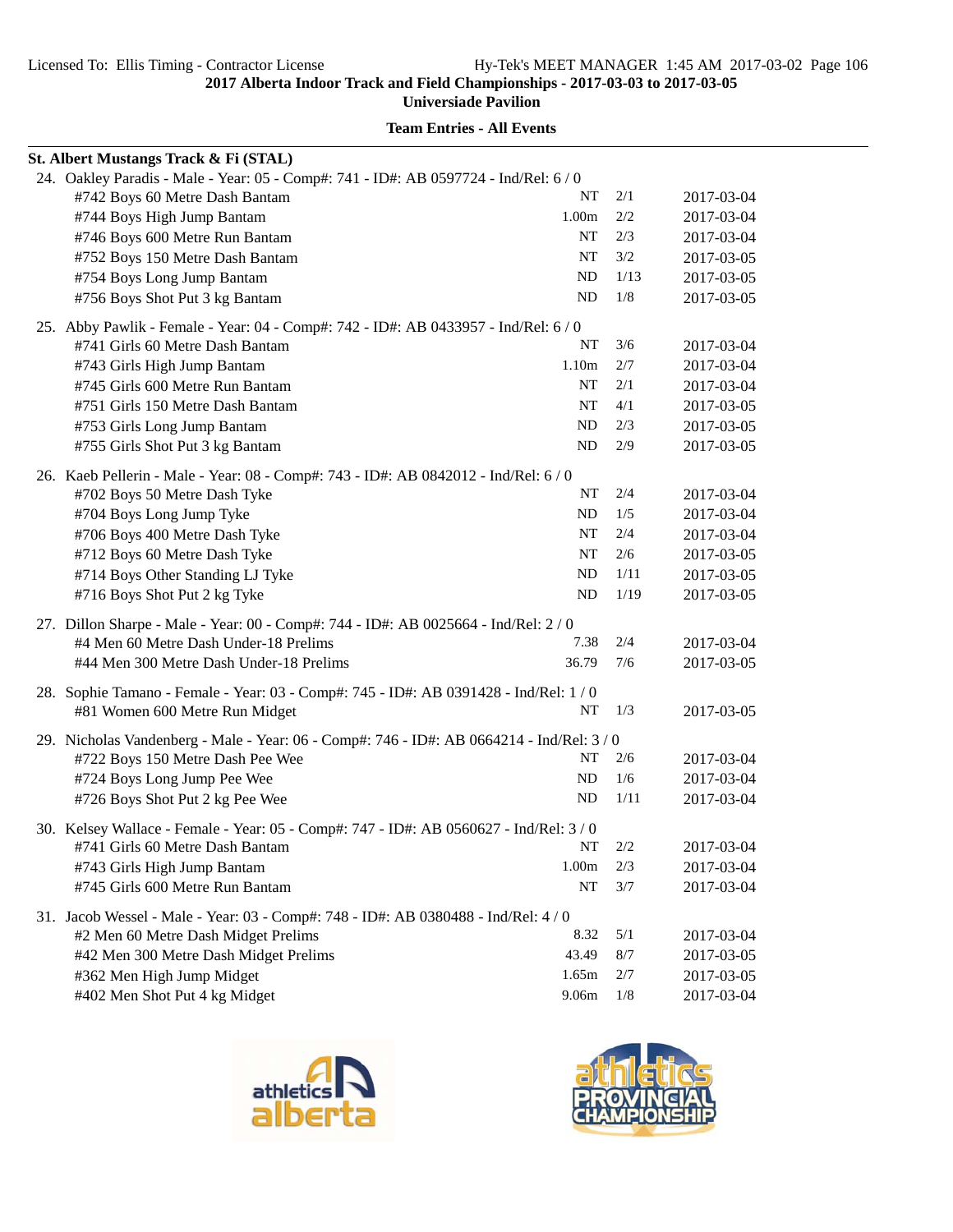**Universiade Pavilion**

|  | St. Albert Mustangs Track & Fi (STAL)                                                   |                   |      |            |  |  |
|--|-----------------------------------------------------------------------------------------|-------------------|------|------------|--|--|
|  | 24. Oakley Paradis - Male - Year: 05 - Comp#: 741 - ID#: AB 0597724 - Ind/Rel: 6 / 0    |                   |      |            |  |  |
|  | #742 Boys 60 Metre Dash Bantam                                                          | NT                | 2/1  | 2017-03-04 |  |  |
|  | #744 Boys High Jump Bantam                                                              | 1.00m             | 2/2  | 2017-03-04 |  |  |
|  | #746 Boys 600 Metre Run Bantam                                                          | NT                | 2/3  | 2017-03-04 |  |  |
|  | #752 Boys 150 Metre Dash Bantam                                                         | NT                | 3/2  | 2017-03-05 |  |  |
|  | #754 Boys Long Jump Bantam                                                              | ND                | 1/13 | 2017-03-05 |  |  |
|  | #756 Boys Shot Put 3 kg Bantam                                                          | ND                | 1/8  | 2017-03-05 |  |  |
|  | 25. Abby Pawlik - Female - Year: 04 - Comp#: 742 - ID#: AB 0433957 - Ind/Rel: 6 / 0     |                   |      |            |  |  |
|  | #741 Girls 60 Metre Dash Bantam                                                         | NT                | 3/6  | 2017-03-04 |  |  |
|  | #743 Girls High Jump Bantam                                                             | 1.10 <sub>m</sub> | 2/7  | 2017-03-04 |  |  |
|  | #745 Girls 600 Metre Run Bantam                                                         | NT                | 2/1  | 2017-03-04 |  |  |
|  | #751 Girls 150 Metre Dash Bantam                                                        | NT                | 4/1  | 2017-03-05 |  |  |
|  | #753 Girls Long Jump Bantam                                                             | ND                | 2/3  | 2017-03-05 |  |  |
|  | #755 Girls Shot Put 3 kg Bantam                                                         | ND                | 2/9  | 2017-03-05 |  |  |
|  | 26. Kaeb Pellerin - Male - Year: 08 - Comp#: 743 - ID#: AB 0842012 - Ind/Rel: 6/0       |                   |      |            |  |  |
|  | #702 Boys 50 Metre Dash Tyke                                                            | NT                | 2/4  | 2017-03-04 |  |  |
|  | #704 Boys Long Jump Tyke                                                                | ND                | 1/5  | 2017-03-04 |  |  |
|  | #706 Boys 400 Metre Dash Tyke                                                           | NT                | 2/4  | 2017-03-04 |  |  |
|  | #712 Boys 60 Metre Dash Tyke                                                            | NT                | 2/6  | 2017-03-05 |  |  |
|  | #714 Boys Other Standing LJ Tyke                                                        | ND                | 1/11 | 2017-03-05 |  |  |
|  | #716 Boys Shot Put 2 kg Tyke                                                            | ND                | 1/19 | 2017-03-05 |  |  |
|  | 27. Dillon Sharpe - Male - Year: 00 - Comp#: 744 - ID#: AB 0025664 - Ind/Rel: 2 / 0     |                   |      |            |  |  |
|  | #4 Men 60 Metre Dash Under-18 Prelims                                                   | 7.38              | 2/4  | 2017-03-04 |  |  |
|  | #44 Men 300 Metre Dash Under-18 Prelims                                                 | 36.79             | 7/6  | 2017-03-05 |  |  |
|  | 28. Sophie Tamano - Female - Year: 03 - Comp#: 745 - ID#: AB 0391428 - Ind/Rel: 1 / 0   |                   |      |            |  |  |
|  | #81 Women 600 Metre Run Midget                                                          | NT                | 1/3  | 2017-03-05 |  |  |
|  | 29. Nicholas Vandenberg - Male - Year: 06 - Comp#: 746 - ID#: AB 0664214 - Ind/Rel: 3/0 |                   |      |            |  |  |
|  | #722 Boys 150 Metre Dash Pee Wee                                                        | NT                | 2/6  | 2017-03-04 |  |  |
|  | #724 Boys Long Jump Pee Wee                                                             | ND                | 1/6  | 2017-03-04 |  |  |
|  | #726 Boys Shot Put 2 kg Pee Wee                                                         | ND                | 1/11 | 2017-03-04 |  |  |
|  | 30. Kelsey Wallace - Female - Year: 05 - Comp#: 747 - ID#: AB 0560627 - Ind/Rel: 3 / 0  |                   |      |            |  |  |
|  | #741 Girls 60 Metre Dash Bantam                                                         | NT.               | 2/2  | 2017-03-04 |  |  |
|  | #743 Girls High Jump Bantam                                                             | 1.00m             | 2/3  | 2017-03-04 |  |  |
|  | #745 Girls 600 Metre Run Bantam                                                         | NT                | 3/7  | 2017-03-04 |  |  |
|  | 31. Jacob Wessel - Male - Year: 03 - Comp#: 748 - ID#: AB 0380488 - Ind/Rel: 4 / 0      |                   |      |            |  |  |
|  | #2 Men 60 Metre Dash Midget Prelims                                                     | 8.32              | 5/1  | 2017-03-04 |  |  |
|  | #42 Men 300 Metre Dash Midget Prelims                                                   | 43.49             | 8/7  | 2017-03-05 |  |  |
|  | #362 Men High Jump Midget                                                               | 1.65m             | 2/7  | 2017-03-05 |  |  |
|  | #402 Men Shot Put 4 kg Midget                                                           | 9.06m             | 1/8  | 2017-03-04 |  |  |



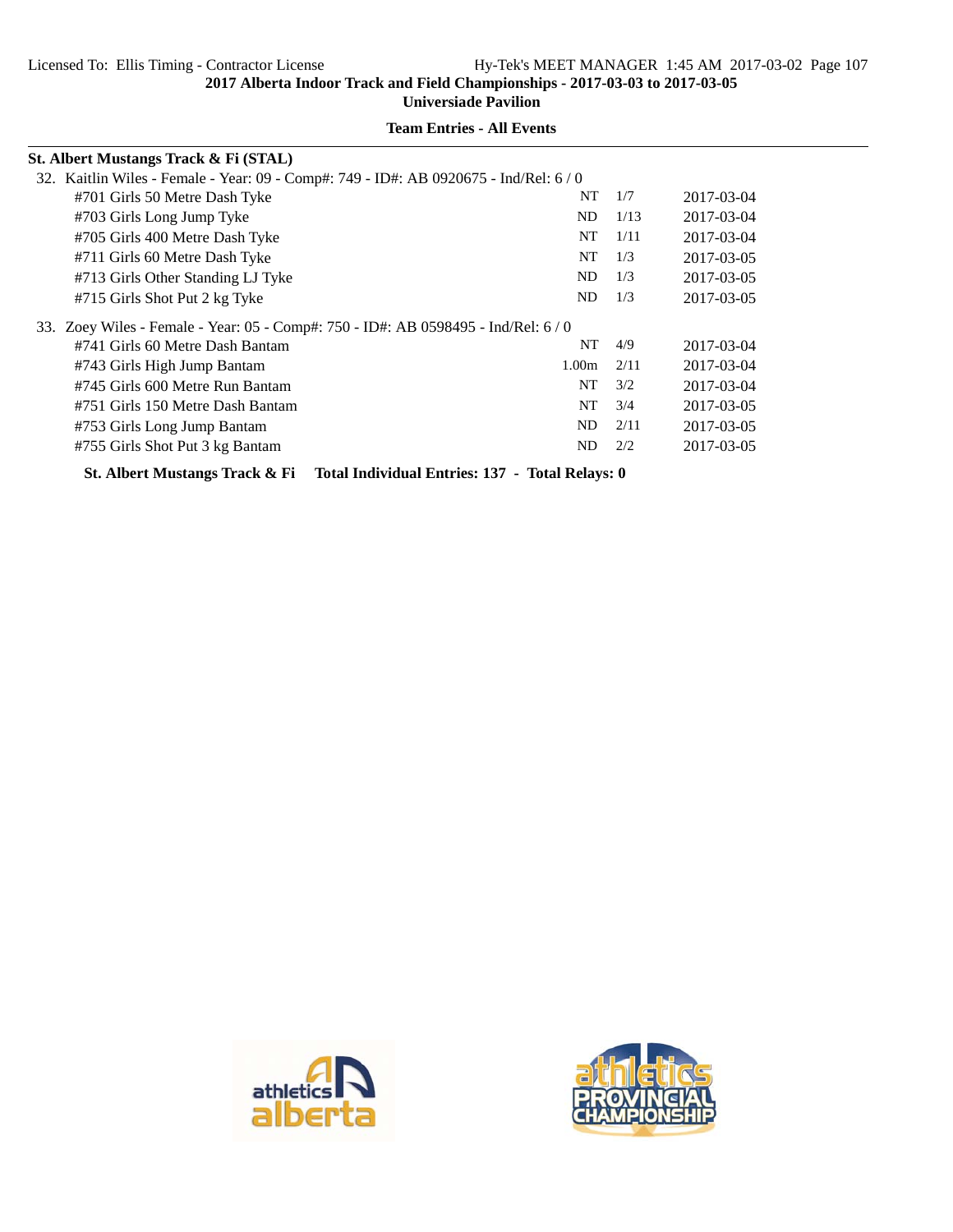**Universiade Pavilion**

| St. Albert Mustangs Track & Fi (STAL)                                                        |                   |      |            |  |  |  |  |
|----------------------------------------------------------------------------------------------|-------------------|------|------------|--|--|--|--|
| 32. Kaitlin Wiles - Female - Year: 09 - Comp#: 749 - ID#: AB 0920675 - Ind/Rel: 6 / 0        |                   |      |            |  |  |  |  |
| #701 Girls 50 Metre Dash Tyke                                                                | NT                | 1/7  | 2017-03-04 |  |  |  |  |
| #703 Girls Long Jump Tyke                                                                    | ND                | 1/13 | 2017-03-04 |  |  |  |  |
| #705 Girls 400 Metre Dash Tyke                                                               | NT                | 1/11 | 2017-03-04 |  |  |  |  |
| #711 Girls 60 Metre Dash Tyke                                                                | NT                | 1/3  | 2017-03-05 |  |  |  |  |
| #713 Girls Other Standing LJ Tyke                                                            | N <sub>D</sub>    | 1/3  | 2017-03-05 |  |  |  |  |
| #715 Girls Shot Put 2 kg Tyke                                                                | ND                | 1/3  | 2017-03-05 |  |  |  |  |
| 33. Zoey Wiles - Female - Year: 05 - Comp#: 750 - ID#: AB 0598495 - Ind/Rel: 6/0             |                   |      |            |  |  |  |  |
| #741 Girls 60 Metre Dash Bantam                                                              | NT                | 4/9  | 2017-03-04 |  |  |  |  |
| #743 Girls High Jump Bantam                                                                  | 1.00 <sub>m</sub> | 2/11 | 2017-03-04 |  |  |  |  |
| #745 Girls 600 Metre Run Bantam                                                              | NT                | 3/2  | 2017-03-04 |  |  |  |  |
| #751 Girls 150 Metre Dash Bantam                                                             | NT                | 3/4  | 2017-03-05 |  |  |  |  |
| #753 Girls Long Jump Bantam                                                                  | ND.               | 2/11 | 2017-03-05 |  |  |  |  |
| #755 Girls Shot Put 3 kg Bantam                                                              | ND                | 2/2  | 2017-03-05 |  |  |  |  |
| Total Individual Entries: 137 - Total Relays: 0<br><b>St. Albert Mustangs Track &amp; Fi</b> |                   |      |            |  |  |  |  |



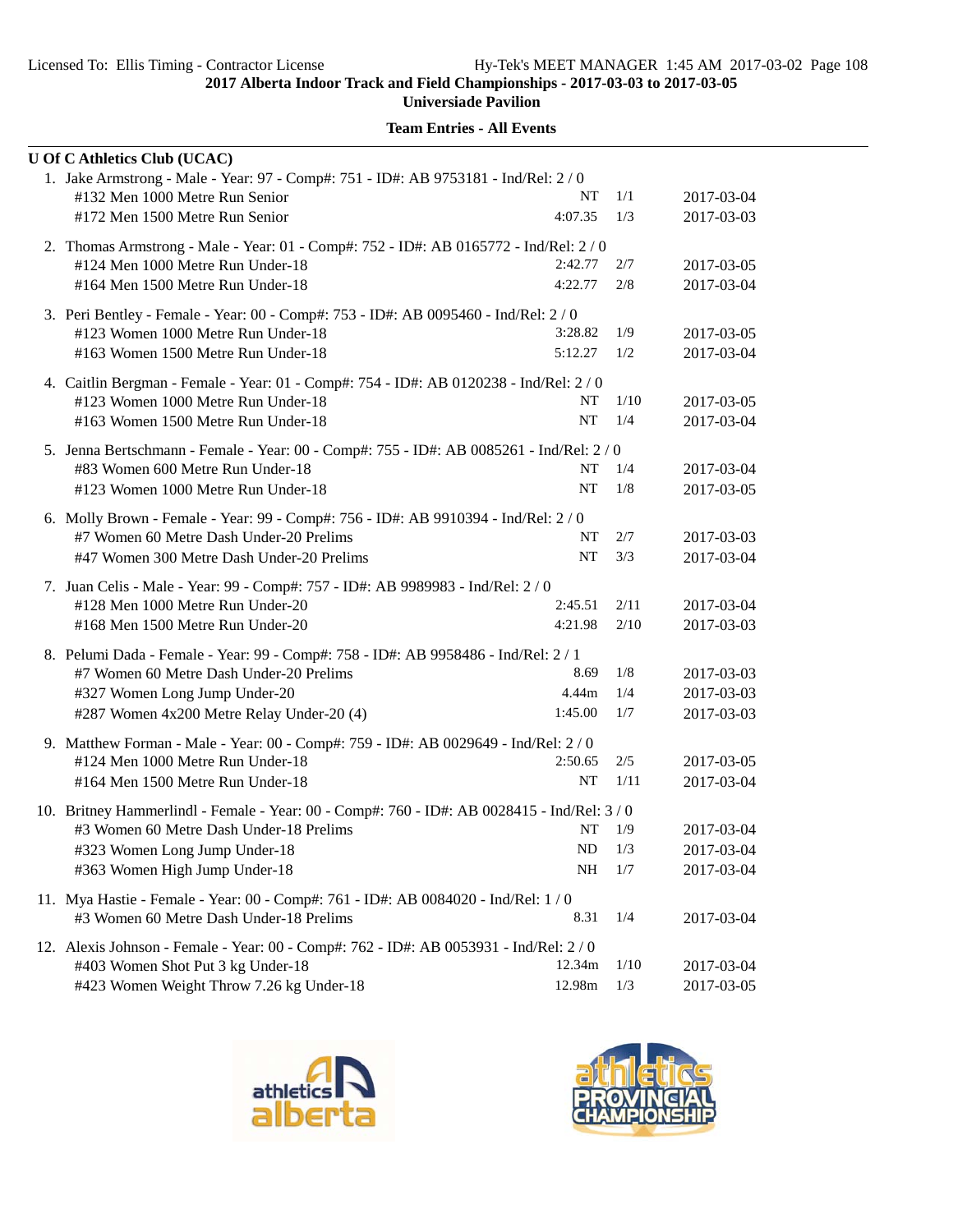**Universiade Pavilion**

|                                                                                     | <b>U Of C Athletics Club (UCAC)</b>                                                         |            |       |            |  |  |  |
|-------------------------------------------------------------------------------------|---------------------------------------------------------------------------------------------|------------|-------|------------|--|--|--|
|                                                                                     | 1. Jake Armstrong - Male - Year: 97 - Comp#: 751 - ID#: AB 9753181 - Ind/Rel: 2 / 0         |            |       |            |  |  |  |
|                                                                                     | #132 Men 1000 Metre Run Senior                                                              | NT         | 1/1   | 2017-03-04 |  |  |  |
|                                                                                     | #172 Men 1500 Metre Run Senior                                                              | 4:07.35    | 1/3   | 2017-03-03 |  |  |  |
|                                                                                     | 2. Thomas Armstrong - Male - Year: 01 - Comp#: 752 - ID#: AB 0165772 - Ind/Rel: 2 / 0       |            |       |            |  |  |  |
|                                                                                     | #124 Men 1000 Metre Run Under-18                                                            | 2:42.77    | 2/7   | 2017-03-05 |  |  |  |
|                                                                                     | #164 Men 1500 Metre Run Under-18                                                            | 4:22.77    | 2/8   | 2017-03-04 |  |  |  |
|                                                                                     | 3. Peri Bentley - Female - Year: 00 - Comp#: 753 - ID#: AB 0095460 - Ind/Rel: 2 / 0         |            |       |            |  |  |  |
|                                                                                     | #123 Women 1000 Metre Run Under-18                                                          | 3:28.82    | 1/9   | 2017-03-05 |  |  |  |
|                                                                                     | #163 Women 1500 Metre Run Under-18                                                          | 5:12.27    | 1/2   | 2017-03-04 |  |  |  |
|                                                                                     | 4. Caitlin Bergman - Female - Year: 01 - Comp#: 754 - ID#: AB 0120238 - Ind/Rel: 2 / 0      |            |       |            |  |  |  |
|                                                                                     | #123 Women 1000 Metre Run Under-18                                                          | NT         | 1/10  | 2017-03-05 |  |  |  |
|                                                                                     | #163 Women 1500 Metre Run Under-18                                                          | NT         | 1/4   | 2017-03-04 |  |  |  |
|                                                                                     | 5. Jenna Bertschmann - Female - Year: 00 - Comp#: 755 - ID#: AB 0085261 - Ind/Rel: 2 / 0    |            |       |            |  |  |  |
|                                                                                     | #83 Women 600 Metre Run Under-18                                                            | NT         | 1/4   | 2017-03-04 |  |  |  |
|                                                                                     | #123 Women 1000 Metre Run Under-18                                                          | <b>NT</b>  | 1/8   | 2017-03-05 |  |  |  |
|                                                                                     | 6. Molly Brown - Female - Year: 99 - Comp#: 756 - ID#: AB 9910394 - Ind/Rel: 2 / 0          |            |       |            |  |  |  |
|                                                                                     | #7 Women 60 Metre Dash Under-20 Prelims                                                     | NT         | 2/7   | 2017-03-03 |  |  |  |
|                                                                                     | #47 Women 300 Metre Dash Under-20 Prelims                                                   | NT         | 3/3   | 2017-03-04 |  |  |  |
|                                                                                     | 7. Juan Celis - Male - Year: 99 - Comp#: 757 - ID#: AB 9989983 - Ind/Rel: 2 / 0             |            |       |            |  |  |  |
|                                                                                     | #128 Men 1000 Metre Run Under-20                                                            | 2:45.51    | 2/11  | 2017-03-04 |  |  |  |
|                                                                                     | #168 Men 1500 Metre Run Under-20                                                            | 4:21.98    | 2/10  | 2017-03-03 |  |  |  |
|                                                                                     | 8. Pelumi Dada - Female - Year: 99 - Comp#: 758 - ID#: AB 9958486 - Ind/Rel: 2 / 1          |            |       |            |  |  |  |
|                                                                                     | #7 Women 60 Metre Dash Under-20 Prelims                                                     | 8.69       | 1/8   | 2017-03-03 |  |  |  |
|                                                                                     | #327 Women Long Jump Under-20                                                               | 4.44m      | 1/4   | 2017-03-03 |  |  |  |
|                                                                                     | #287 Women 4x200 Metre Relay Under-20 (4)                                                   | 1:45.00    | 1/7   | 2017-03-03 |  |  |  |
| 9. Matthew Forman - Male - Year: 00 - Comp#: 759 - ID#: AB 0029649 - Ind/Rel: 2 / 0 |                                                                                             |            |       |            |  |  |  |
|                                                                                     | #124 Men 1000 Metre Run Under-18                                                            | 2:50.65    | 2/5   | 2017-03-05 |  |  |  |
|                                                                                     | #164 Men 1500 Metre Run Under-18                                                            | NT         | 1/11  | 2017-03-04 |  |  |  |
|                                                                                     | 10. Britney Hammerlindl - Female - Year: 00 - Comp#: 760 - ID#: AB 0028415 - Ind/Rel: 3 / 0 |            |       |            |  |  |  |
|                                                                                     | #3 Women 60 Metre Dash Under-18 Prelims                                                     | NT         | - 1/9 | 2017-03-04 |  |  |  |
|                                                                                     | #323 Women Long Jump Under-18                                                               | $ND$ $1/3$ |       | 2017-03-04 |  |  |  |
|                                                                                     | #363 Women High Jump Under-18                                                               | NH         | 1/7   | 2017-03-04 |  |  |  |
|                                                                                     | 11. Mya Hastie - Female - Year: 00 - Comp#: 761 - ID#: AB 0084020 - Ind/Rel: 1/0            |            |       |            |  |  |  |
|                                                                                     | #3 Women 60 Metre Dash Under-18 Prelims                                                     | 8.31       | 1/4   | 2017-03-04 |  |  |  |
|                                                                                     | 12. Alexis Johnson - Female - Year: 00 - Comp#: 762 - ID#: AB 0053931 - Ind/Rel: 2/0        |            |       |            |  |  |  |
|                                                                                     | #403 Women Shot Put 3 kg Under-18                                                           | 12.34m     | 1/10  | 2017-03-04 |  |  |  |
|                                                                                     | #423 Women Weight Throw 7.26 kg Under-18                                                    | 12.98m     | 1/3   | 2017-03-05 |  |  |  |



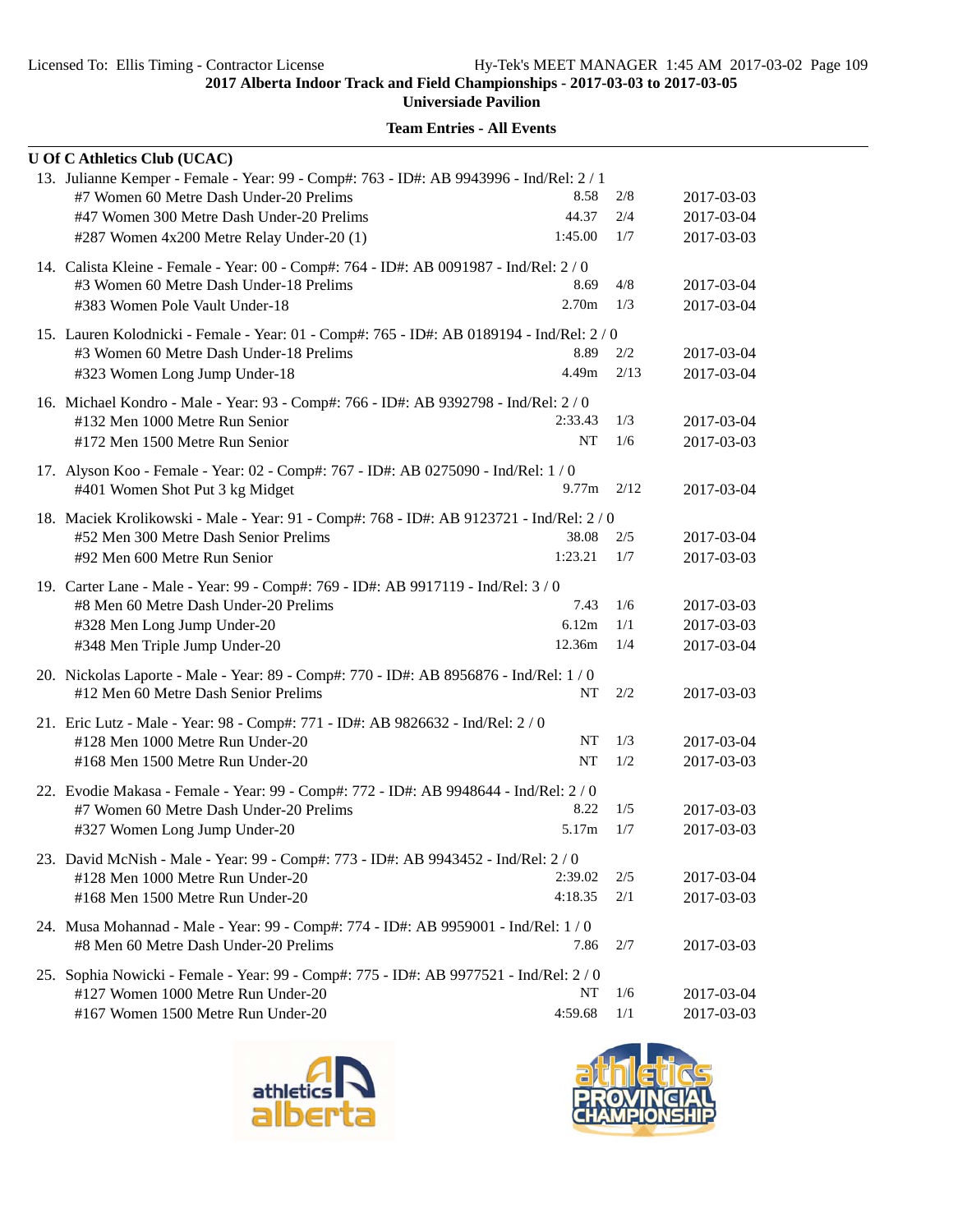| <b>U Of C Athletics Club (UCAC)</b>                                                                                                                                                                                          |                           |                   |                                        |
|------------------------------------------------------------------------------------------------------------------------------------------------------------------------------------------------------------------------------|---------------------------|-------------------|----------------------------------------|
| 13. Julianne Kemper - Female - Year: 99 - Comp#: 763 - ID#: AB 9943996 - Ind/Rel: 2 / 1<br>#7 Women 60 Metre Dash Under-20 Prelims<br>#47 Women 300 Metre Dash Under-20 Prelims<br>#287 Women 4x200 Metre Relay Under-20 (1) | 8.58<br>44.37<br>1:45.00  | 2/8<br>2/4<br>1/7 | 2017-03-03<br>2017-03-04<br>2017-03-03 |
| 14. Calista Kleine - Female - Year: 00 - Comp#: 764 - ID#: AB 0091987 - Ind/Rel: 2/0<br>#3 Women 60 Metre Dash Under-18 Prelims<br>#383 Women Pole Vault Under-18                                                            | 8.69<br>2.70 <sub>m</sub> | 4/8<br>1/3        | 2017-03-04<br>2017-03-04               |
| 15. Lauren Kolodnicki - Female - Year: 01 - Comp#: 765 - ID#: AB 0189194 - Ind/Rel: 2 / 0<br>#3 Women 60 Metre Dash Under-18 Prelims<br>#323 Women Long Jump Under-18                                                        | 8.89<br>4.49m             | 2/2<br>2/13       | 2017-03-04<br>2017-03-04               |
| 16. Michael Kondro - Male - Year: 93 - Comp#: 766 - ID#: AB 9392798 - Ind/Rel: 2/0<br>#132 Men 1000 Metre Run Senior<br>#172 Men 1500 Metre Run Senior                                                                       | 2:33.43<br><b>NT</b>      | 1/3<br>1/6        | 2017-03-04<br>2017-03-03               |
| 17. Alyson Koo - Female - Year: 02 - Comp#: 767 - ID#: AB 0275090 - Ind/Rel: 1 / 0<br>#401 Women Shot Put 3 kg Midget                                                                                                        | 9.77m                     | 2/12              | 2017-03-04                             |
| 18. Maciek Krolikowski - Male - Year: 91 - Comp#: 768 - ID#: AB 9123721 - Ind/Rel: 2 / 0<br>#52 Men 300 Metre Dash Senior Prelims<br>#92 Men 600 Metre Run Senior                                                            | 38.08<br>1:23.21          | 2/5<br>1/7        | 2017-03-04<br>2017-03-03               |
| 19. Carter Lane - Male - Year: 99 - Comp#: 769 - ID#: AB 9917119 - Ind/Rel: 3/0<br>#8 Men 60 Metre Dash Under-20 Prelims<br>#328 Men Long Jump Under-20<br>#348 Men Triple Jump Under-20                                     | 7.43<br>6.12m<br>12.36m   | 1/6<br>1/1<br>1/4 | 2017-03-03<br>2017-03-03<br>2017-03-04 |
| 20. Nickolas Laporte - Male - Year: 89 - Comp#: 770 - ID#: AB 8956876 - Ind/Rel: 1/0<br>#12 Men 60 Metre Dash Senior Prelims                                                                                                 | NT                        | 2/2               | 2017-03-03                             |
| 21. Eric Lutz - Male - Year: 98 - Comp#: 771 - ID#: AB 9826632 - Ind/Rel: 2 / 0<br>#128 Men 1000 Metre Run Under-20<br>#168 Men 1500 Metre Run Under-20                                                                      | NT<br>NT                  | 1/3<br>1/2        | 2017-03-04<br>2017-03-03               |
| 22. Evodie Makasa - Female - Year: 99 - Comp#: 772 - ID#: AB 9948644 - Ind/Rel: 2 / 0<br>#7 Women 60 Metre Dash Under-20 Prelims<br>#327 Women Long Jump Under-20                                                            | 8.22<br>5.17m             | 1/5<br>1/7        | 2017-03-03<br>2017-03-03               |
| 23. David McNish - Male - Year: 99 - Comp#: 773 - ID#: AB 9943452 - Ind/Rel: 2 / 0<br>#128 Men 1000 Metre Run Under-20<br>#168 Men 1500 Metre Run Under-20                                                                   | 2:39.02<br>4:18.35        | 2/5<br>2/1        | 2017-03-04<br>2017-03-03               |
| 24. Musa Mohannad - Male - Year: 99 - Comp#: 774 - ID#: AB 9959001 - Ind/Rel: 1 / 0<br>#8 Men 60 Metre Dash Under-20 Prelims                                                                                                 | 7.86                      | 2/7               | 2017-03-03                             |
| 25. Sophia Nowicki - Female - Year: 99 - Comp#: 775 - ID#: AB 9977521 - Ind/Rel: 2 / 0<br>#127 Women 1000 Metre Run Under-20<br>#167 Women 1500 Metre Run Under-20                                                           | NT<br>4:59.68             | 1/6<br>1/1        | 2017-03-04<br>2017-03-03               |



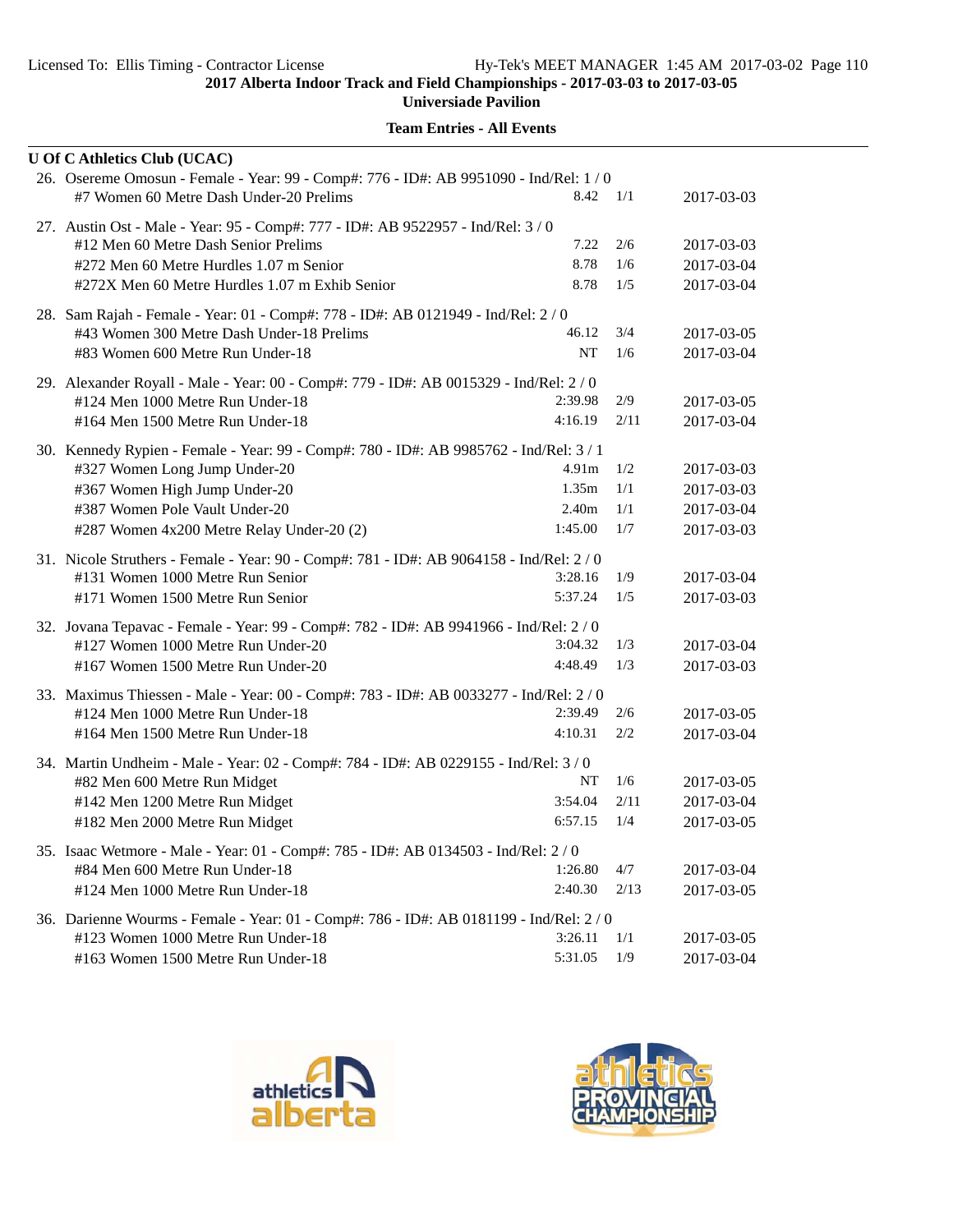| <b>Team Entries - All Events</b> |
|----------------------------------|
|----------------------------------|

| <b>U Of C Athletics Club (UCAC)</b>                                                                                                                                                                                                     |                                                |                          |                                                      |
|-----------------------------------------------------------------------------------------------------------------------------------------------------------------------------------------------------------------------------------------|------------------------------------------------|--------------------------|------------------------------------------------------|
| 26. Osereme Omosun - Female - Year: 99 - Comp#: 776 - ID#: AB 9951090 - Ind/Rel: 1 / 0<br>#7 Women 60 Metre Dash Under-20 Prelims                                                                                                       | 8.42                                           | 1/1                      | 2017-03-03                                           |
| 27. Austin Ost - Male - Year: 95 - Comp#: 777 - ID#: AB 9522957 - Ind/Rel: 3 / 0<br>#12 Men 60 Metre Dash Senior Prelims<br>#272 Men 60 Metre Hurdles 1.07 m Senior<br>#272X Men 60 Metre Hurdles 1.07 m Exhib Senior                   | 7.22<br>8.78<br>8.78                           | 2/6<br>1/6<br>1/5        | 2017-03-03<br>2017-03-04<br>2017-03-04               |
| 28. Sam Rajah - Female - Year: 01 - Comp#: 778 - ID#: AB 0121949 - Ind/Rel: 2 / 0<br>#43 Women 300 Metre Dash Under-18 Prelims<br>#83 Women 600 Metre Run Under-18                                                                      | 46.12<br>NT                                    | 3/4<br>1/6               | 2017-03-05<br>2017-03-04                             |
| 29. Alexander Royall - Male - Year: 00 - Comp#: 779 - ID#: AB 0015329 - Ind/Rel: 2/0<br>#124 Men 1000 Metre Run Under-18<br>#164 Men 1500 Metre Run Under-18                                                                            | 2:39.98<br>4:16.19                             | 2/9<br>2/11              | 2017-03-05<br>2017-03-04                             |
| 30. Kennedy Rypien - Female - Year: 99 - Comp#: 780 - ID#: AB 9985762 - Ind/Rel: 3 / 1<br>#327 Women Long Jump Under-20<br>#367 Women High Jump Under-20<br>#387 Women Pole Vault Under-20<br>#287 Women 4x200 Metre Relay Under-20 (2) | 4.91m<br>1.35m<br>2.40 <sub>m</sub><br>1:45.00 | 1/2<br>1/1<br>1/1<br>1/7 | 2017-03-03<br>2017-03-03<br>2017-03-04<br>2017-03-03 |
| 31. Nicole Struthers - Female - Year: 90 - Comp#: 781 - ID#: AB 9064158 - Ind/Rel: 2/0<br>#131 Women 1000 Metre Run Senior<br>#171 Women 1500 Metre Run Senior                                                                          | 3:28.16<br>5:37.24                             | 1/9<br>1/5               | 2017-03-04<br>2017-03-03                             |
| 32. Jovana Tepavac - Female - Year: 99 - Comp#: 782 - ID#: AB 9941966 - Ind/Rel: 2 / 0<br>#127 Women 1000 Metre Run Under-20<br>#167 Women 1500 Metre Run Under-20                                                                      | 3:04.32<br>4:48.49                             | 1/3<br>1/3               | 2017-03-04<br>2017-03-03                             |
| 33. Maximus Thiessen - Male - Year: 00 - Comp#: 783 - ID#: AB 0033277 - Ind/Rel: 2 / 0<br>#124 Men 1000 Metre Run Under-18<br>#164 Men 1500 Metre Run Under-18                                                                          | 2:39.49<br>4:10.31                             | 2/6<br>2/2               | 2017-03-05<br>2017-03-04                             |
| 34. Martin Undheim - Male - Year: 02 - Comp#: 784 - ID#: AB 0229155 - Ind/Rel: 3/0<br>#82 Men 600 Metre Run Midget<br>#142 Men 1200 Metre Run Midget<br>#182 Men 2000 Metre Run Midget                                                  | NT<br>3:54.04<br>6:57.15                       | 1/6<br>2/11<br>1/4       | 2017-03-05<br>2017-03-04<br>2017-03-05               |
| 35. Isaac Wetmore - Male - Year: 01 - Comp#: 785 - ID#: AB 0134503 - Ind/Rel: 2 / 0<br>#84 Men 600 Metre Run Under-18<br>#124 Men 1000 Metre Run Under-18                                                                               | 1:26.80<br>2:40.30                             | 4/7<br>2/13              | 2017-03-04<br>2017-03-05                             |
| 36. Darienne Wourms - Female - Year: 01 - Comp#: 786 - ID#: AB 0181199 - Ind/Rel: 2 / 0<br>#123 Women 1000 Metre Run Under-18<br>#163 Women 1500 Metre Run Under-18                                                                     | 3:26.11<br>5:31.05                             | 1/1<br>1/9               | 2017-03-05<br>2017-03-04                             |



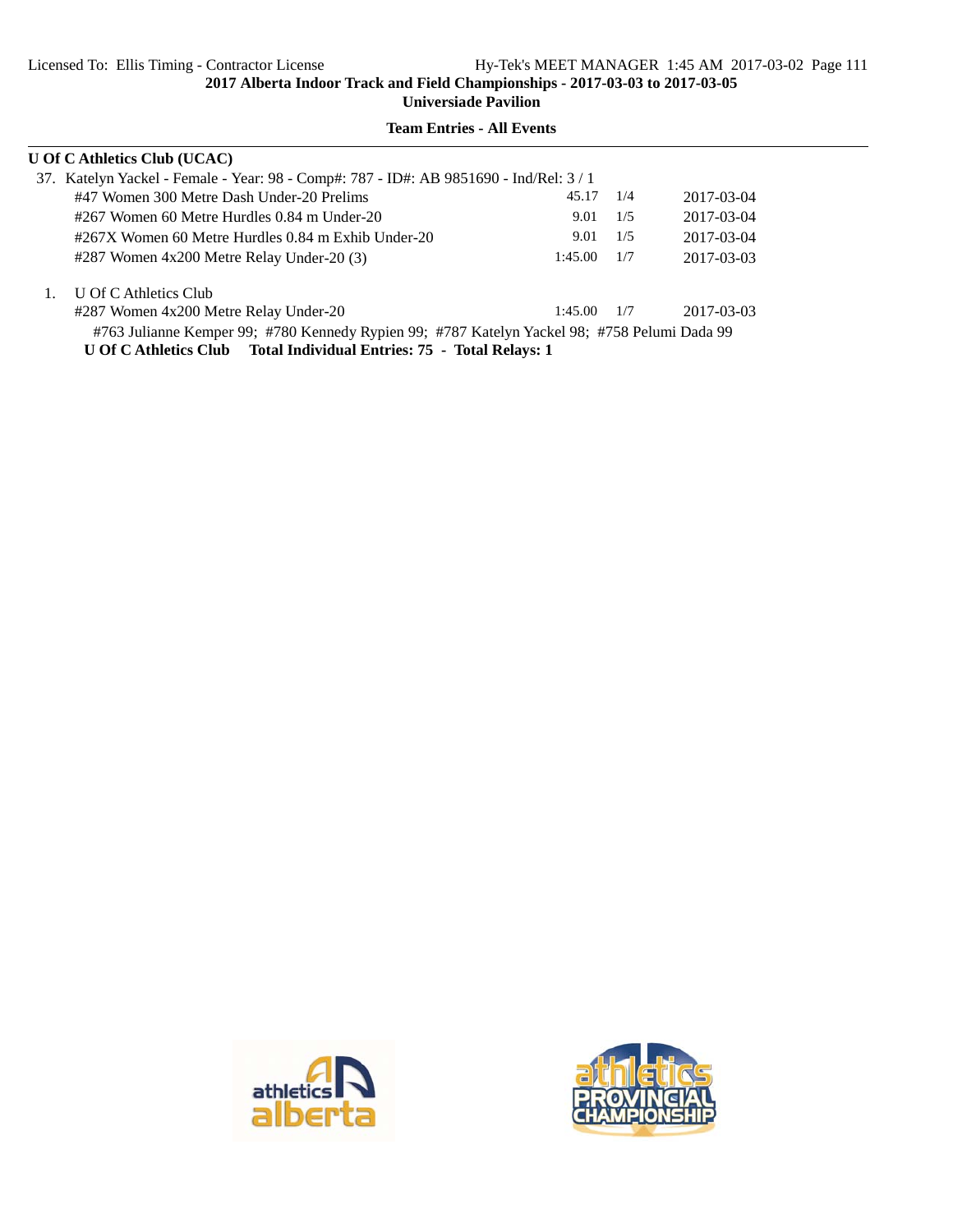| <b>U Of C Athletics Club (UCAC)</b>                                                          |         |     |            |  |  |  |  |
|----------------------------------------------------------------------------------------------|---------|-----|------------|--|--|--|--|
| 37. Katelyn Yackel - Female - Year: 98 - Comp#: 787 - ID#: AB 9851690 - Ind/Rel: 3/1         |         |     |            |  |  |  |  |
| #47 Women 300 Metre Dash Under-20 Prelims                                                    | 45.17   | 1/4 | 2017-03-04 |  |  |  |  |
| #267 Women 60 Metre Hurdles 0.84 m Under-20                                                  | 9.01    | 1/5 | 2017-03-04 |  |  |  |  |
| #267X Women 60 Metre Hurdles 0.84 m Exhib Under-20                                           | 9.01    | 1/5 | 2017-03-04 |  |  |  |  |
| $\text{\#287}$ Women 4x200 Metre Relay Under-20 (3)                                          | 1:45.00 | 1/7 | 2017-03-03 |  |  |  |  |
| U Of C Athletics Club                                                                        |         |     |            |  |  |  |  |
| #287 Women 4x200 Metre Relay Under-20                                                        | 1:45.00 | 1/7 | 2017-03-03 |  |  |  |  |
| #763 Julianne Kemper 99; #780 Kennedy Rypien 99; #787 Katelyn Yackel 98; #758 Pelumi Dada 99 |         |     |            |  |  |  |  |
| U Of C Athletics Club Total Individual Entries: 75 - Total Relays: 1                         |         |     |            |  |  |  |  |



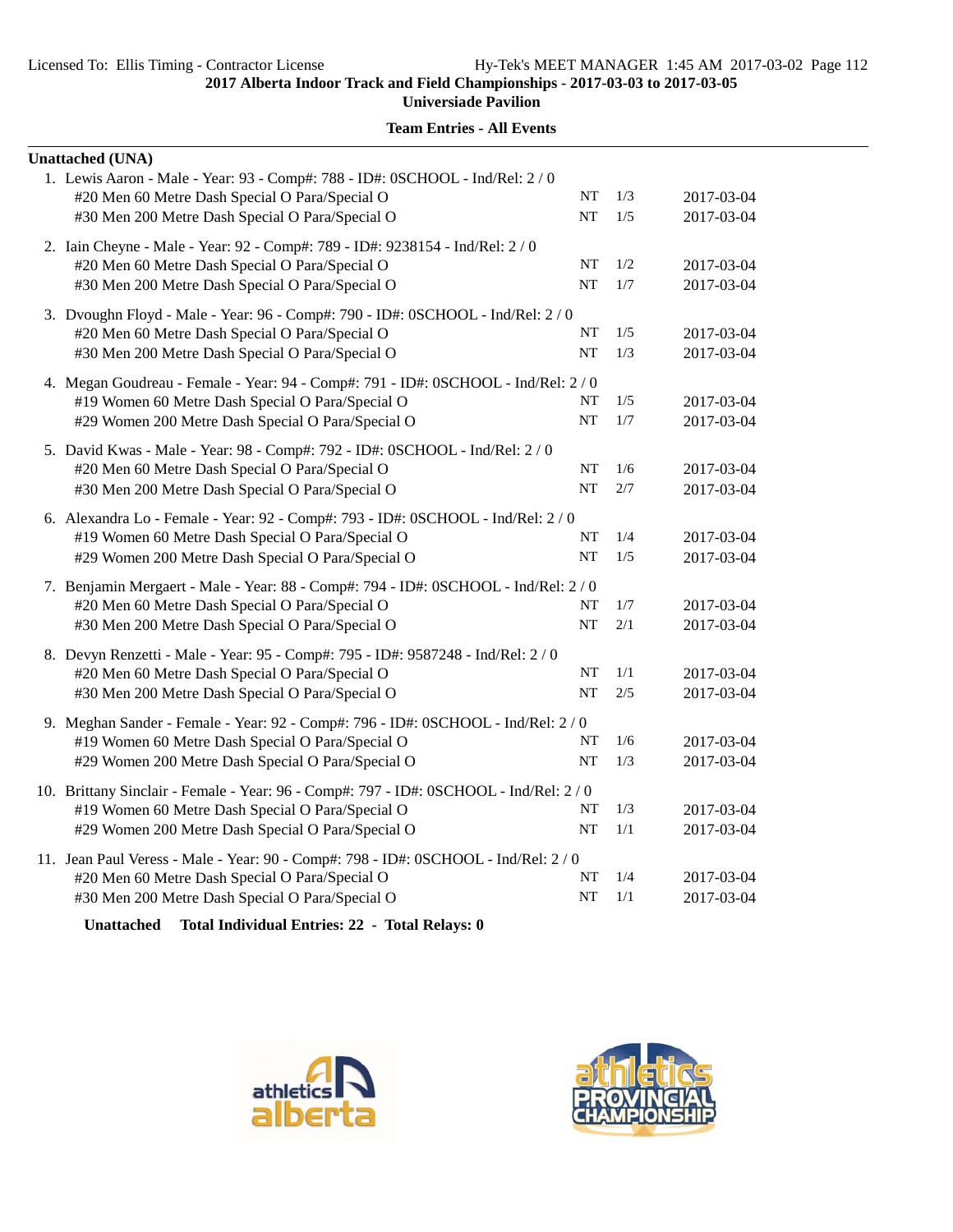| <b>Unattached (UNA)</b>                                                                                                                                                                                                                                                                          |           |       |            |
|--------------------------------------------------------------------------------------------------------------------------------------------------------------------------------------------------------------------------------------------------------------------------------------------------|-----------|-------|------------|
| 1. Lewis Aaron - Male - Year: 93 - Comp#: 788 - ID#: 0SCHOOL - Ind/Rel: 2 / 0                                                                                                                                                                                                                    |           |       |            |
| #20 Men 60 Metre Dash Special O Para/Special O                                                                                                                                                                                                                                                   | NT        | 1/3   | 2017-03-04 |
| #30 Men 200 Metre Dash Special O Para/Special O                                                                                                                                                                                                                                                  | NT        | 1/5   | 2017-03-04 |
| 2. Iain Cheyne - Male - Year: 92 - Comp#: 789 - ID#: 9238154 - Ind/Rel: 2 / 0                                                                                                                                                                                                                    |           |       |            |
| #20 Men 60 Metre Dash Special O Para/Special O                                                                                                                                                                                                                                                   | NT        | 1/2   | 2017-03-04 |
| #30 Men 200 Metre Dash Special O Para/Special O                                                                                                                                                                                                                                                  | NT        | 1/7   | 2017-03-04 |
| 3. Dvoughn Floyd - Male - Year: 96 - Comp#: 790 - ID#: 0SCHOOL - Ind/Rel: 2 / 0                                                                                                                                                                                                                  |           |       |            |
| #20 Men 60 Metre Dash Special O Para/Special O                                                                                                                                                                                                                                                   | NT        | 1/5   | 2017-03-04 |
| #30 Men 200 Metre Dash Special O Para/Special O                                                                                                                                                                                                                                                  | NT        | 1/3   | 2017-03-04 |
| 4. Megan Goudreau - Female - Year: 94 - Comp#: 791 - ID#: 0SCHOOL - Ind/Rel: 2 / 0                                                                                                                                                                                                               |           |       |            |
| #19 Women 60 Metre Dash Special O Para/Special O                                                                                                                                                                                                                                                 | <b>NT</b> | 1/5   | 2017-03-04 |
| #29 Women 200 Metre Dash Special O Para/Special O                                                                                                                                                                                                                                                | NT        | $1/7$ | 2017-03-04 |
| 5. David Kwas - Male - Year: 98 - Comp#: 792 - ID#: 0SCHOOL - Ind/Rel: 2 / 0                                                                                                                                                                                                                     |           |       |            |
| #20 Men 60 Metre Dash Special O Para/Special O                                                                                                                                                                                                                                                   | <b>NT</b> | 1/6   | 2017-03-04 |
| #30 Men 200 Metre Dash Special O Para/Special O                                                                                                                                                                                                                                                  | NT        | 2/7   | 2017-03-04 |
| 6. Alexandra Lo - Female - Year: 92 - Comp#: 793 - ID#: 0SCHOOL - Ind/Rel: 2/0                                                                                                                                                                                                                   |           |       |            |
| #19 Women 60 Metre Dash Special O Para/Special O                                                                                                                                                                                                                                                 | NT        | 1/4   | 2017-03-04 |
| #29 Women 200 Metre Dash Special O Para/Special O                                                                                                                                                                                                                                                | NT        | 1/5   | 2017-03-04 |
| 7. Benjamin Mergaert - Male - Year: 88 - Comp#: 794 - ID#: 0SCHOOL - Ind/Rel: 2/0                                                                                                                                                                                                                |           |       |            |
| #20 Men 60 Metre Dash Special O Para/Special O                                                                                                                                                                                                                                                   | <b>NT</b> | 1/7   | 2017-03-04 |
| #30 Men 200 Metre Dash Special O Para/Special O                                                                                                                                                                                                                                                  | NT        | 2/1   | 2017-03-04 |
| 8. Devyn Renzetti - Male - Year: 95 - Comp#: 795 - ID#: 9587248 - Ind/Rel: 2 / 0                                                                                                                                                                                                                 |           |       |            |
| #20 Men 60 Metre Dash Special O Para/Special O                                                                                                                                                                                                                                                   | NT        | 1/1   | 2017-03-04 |
| #30 Men 200 Metre Dash Special O Para/Special O                                                                                                                                                                                                                                                  | NT        | 2/5   | 2017-03-04 |
|                                                                                                                                                                                                                                                                                                  |           |       |            |
| 9. Meghan Sander - Female - Year: 92 - Comp#: 796 - ID#: 0SCHOOL - Ind/Rel: 2 / 0<br>#19 Women 60 Metre Dash Special O Para/Special O                                                                                                                                                            | NT        | 1/6   | 2017-03-04 |
| #29 Women 200 Metre Dash Special O Para/Special O                                                                                                                                                                                                                                                | NT        | 1/3   | 2017-03-04 |
|                                                                                                                                                                                                                                                                                                  |           |       |            |
| 10. Brittany Sinclair - Female - Year: 96 - Comp#: 797 - ID#: 0SCHOOL - Ind/Rel: 2 / 0                                                                                                                                                                                                           |           |       |            |
| #19 Women 60 Metre Dash Special O Para/Special O                                                                                                                                                                                                                                                 | NT        | 1/3   | 2017-03-04 |
| #29 Women 200 Metre Dash Special O Para/Special O                                                                                                                                                                                                                                                | NT        | 1/1   | 2017-03-04 |
| 11. Jean Paul Veress - Male - Year: 90 - Comp#: 798 - ID#: 0SCHOOL - Ind/Rel: 2 / 0                                                                                                                                                                                                              |           |       |            |
| #20 Men 60 Metre Dash Special O Para/Special O                                                                                                                                                                                                                                                   | NT        | 1/4   | 2017-03-04 |
| #30 Men 200 Metre Dash Special O Para/Special O                                                                                                                                                                                                                                                  | <b>NT</b> | 1/1   | 2017-03-04 |
| $\mathbf{r}$ and $\mathbf{r}$ are $\mathbf{r}$ and $\mathbf{r}$ and $\mathbf{r}$ are $\mathbf{r}$ and $\mathbf{r}$ and $\mathbf{r}$ and $\mathbf{r}$ are $\mathbf{r}$ and $\mathbf{r}$ and $\mathbf{r}$ are $\mathbf{r}$ and $\mathbf{r}$ and $\mathbf{r}$ are $\mathbf{r}$ and $\mathbf{r}$ are |           |       |            |





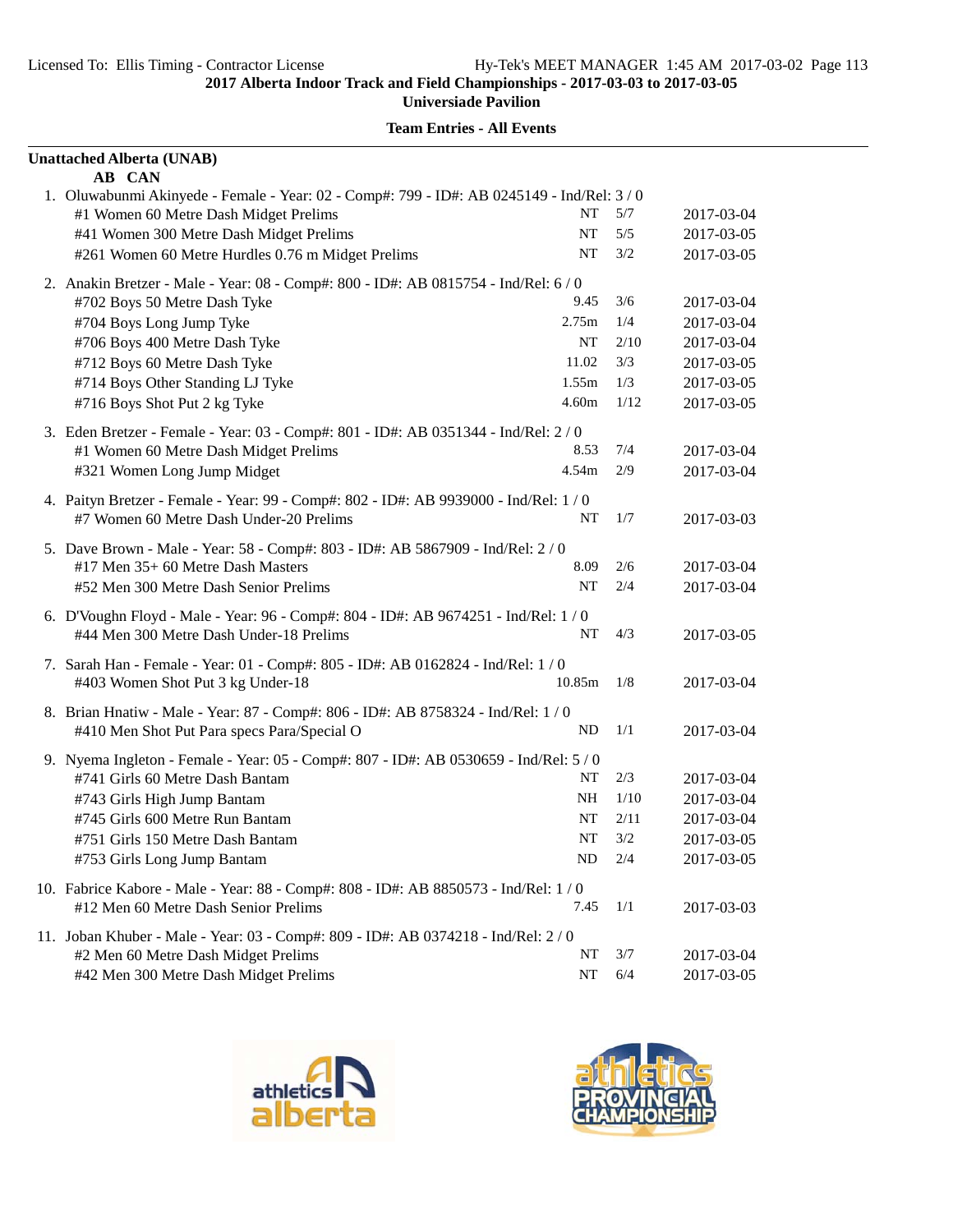| <b>Unattached Alberta (UNAB)</b>                                                                                      |          |            |                          |
|-----------------------------------------------------------------------------------------------------------------------|----------|------------|--------------------------|
| AB CAN                                                                                                                |          |            |                          |
| 1. Oluwabunmi Akinyede - Female - Year: 02 - Comp#: 799 - ID#: AB 0245149 - Ind/Rel: 3 / 0                            | NT       | 5/7        |                          |
| #1 Women 60 Metre Dash Midget Prelims                                                                                 | NT       |            | 2017-03-04               |
| #41 Women 300 Metre Dash Midget Prelims                                                                               | NT       | 5/5<br>3/2 | 2017-03-05<br>2017-03-05 |
| #261 Women 60 Metre Hurdles 0.76 m Midget Prelims                                                                     |          |            |                          |
| 2. Anakin Bretzer - Male - Year: 08 - Comp#: 800 - ID#: AB 0815754 - Ind/Rel: 6 / 0                                   |          |            |                          |
| #702 Boys 50 Metre Dash Tyke                                                                                          | 9.45     | 3/6        | 2017-03-04               |
| #704 Boys Long Jump Tyke                                                                                              | 2.75m    | 1/4        | 2017-03-04               |
| #706 Boys 400 Metre Dash Tyke                                                                                         | NT       | 2/10       | 2017-03-04               |
| #712 Boys 60 Metre Dash Tyke                                                                                          | 11.02    | 3/3        | 2017-03-05               |
| #714 Boys Other Standing LJ Tyke                                                                                      | 1.55m    | 1/3        | 2017-03-05               |
| #716 Boys Shot Put 2 kg Tyke                                                                                          | 4.60m    | 1/12       | 2017-03-05               |
| 3. Eden Bretzer - Female - Year: 03 - Comp#: 801 - ID#: AB 0351344 - Ind/Rel: 2 / 0                                   |          |            |                          |
| #1 Women 60 Metre Dash Midget Prelims                                                                                 | 8.53     | 7/4        | 2017-03-04               |
| #321 Women Long Jump Midget                                                                                           | 4.54m    | 2/9        | 2017-03-04               |
| 4. Paityn Bretzer - Female - Year: 99 - Comp#: 802 - ID#: AB 9939000 - Ind/Rel: 1 / 0                                 |          |            |                          |
| #7 Women 60 Metre Dash Under-20 Prelims                                                                               | NT       | 1/7        | 2017-03-03               |
| 5. Dave Brown - Male - Year: 58 - Comp#: 803 - ID#: AB 5867909 - Ind/Rel: 2 / 0                                       |          |            |                          |
| #17 Men 35+ 60 Metre Dash Masters                                                                                     | 8.09     | 2/6        | 2017-03-04               |
| #52 Men 300 Metre Dash Senior Prelims                                                                                 | NT       | 2/4        | 2017-03-04               |
| 6. D'Voughn Floyd - Male - Year: 96 - Comp#: 804 - ID#: AB 9674251 - Ind/Rel: 1/0                                     |          |            |                          |
| #44 Men 300 Metre Dash Under-18 Prelims                                                                               | NT       | 4/3        | 2017-03-05               |
|                                                                                                                       |          |            |                          |
| 7. Sarah Han - Female - Year: 01 - Comp#: 805 - ID#: AB 0162824 - Ind/Rel: 1 / 0<br>#403 Women Shot Put 3 kg Under-18 | 10.85m   | 1/8        | 2017-03-04               |
|                                                                                                                       |          |            |                          |
| 8. Brian Hnatiw - Male - Year: 87 - Comp#: 806 - ID#: AB 8758324 - Ind/Rel: 1 / 0                                     |          |            |                          |
| #410 Men Shot Put Para specs Para/Special O                                                                           | ND       | 1/1        | 2017-03-04               |
| 9. Nyema Ingleton - Female - Year: 05 - Comp#: 807 - ID#: AB 0530659 - Ind/Rel: 5/0                                   |          |            |                          |
| #741 Girls 60 Metre Dash Bantam                                                                                       | NT       | 2/3        | 2017-03-04               |
| #743 Girls High Jump Bantam                                                                                           | NH       | 1/10       | 2017-03-04               |
| #745 Girls 600 Metre Run Bantam                                                                                       | NT       | 2/11       | 2017-03-04               |
| #751 Girls 150 Metre Dash Bantam                                                                                      | $\bf NT$ | 3/2        | 2017-03-05               |
| #753 Girls Long Jump Bantam                                                                                           | ND       | 2/4        | 2017-03-05               |
| 10. Fabrice Kabore - Male - Year: 88 - Comp#: 808 - ID#: AB 8850573 - Ind/Rel: 1 / 0                                  |          |            |                          |
| #12 Men 60 Metre Dash Senior Prelims                                                                                  | 7.45     | 1/1        | 2017-03-03               |
| 11. Joban Khuber - Male - Year: 03 - Comp#: 809 - ID#: AB 0374218 - Ind/Rel: 2/0                                      |          |            |                          |
| #2 Men 60 Metre Dash Midget Prelims                                                                                   | NT       | 3/7        | 2017-03-04               |
| #42 Men 300 Metre Dash Midget Prelims                                                                                 | NT       | 6/4        | 2017-03-05               |



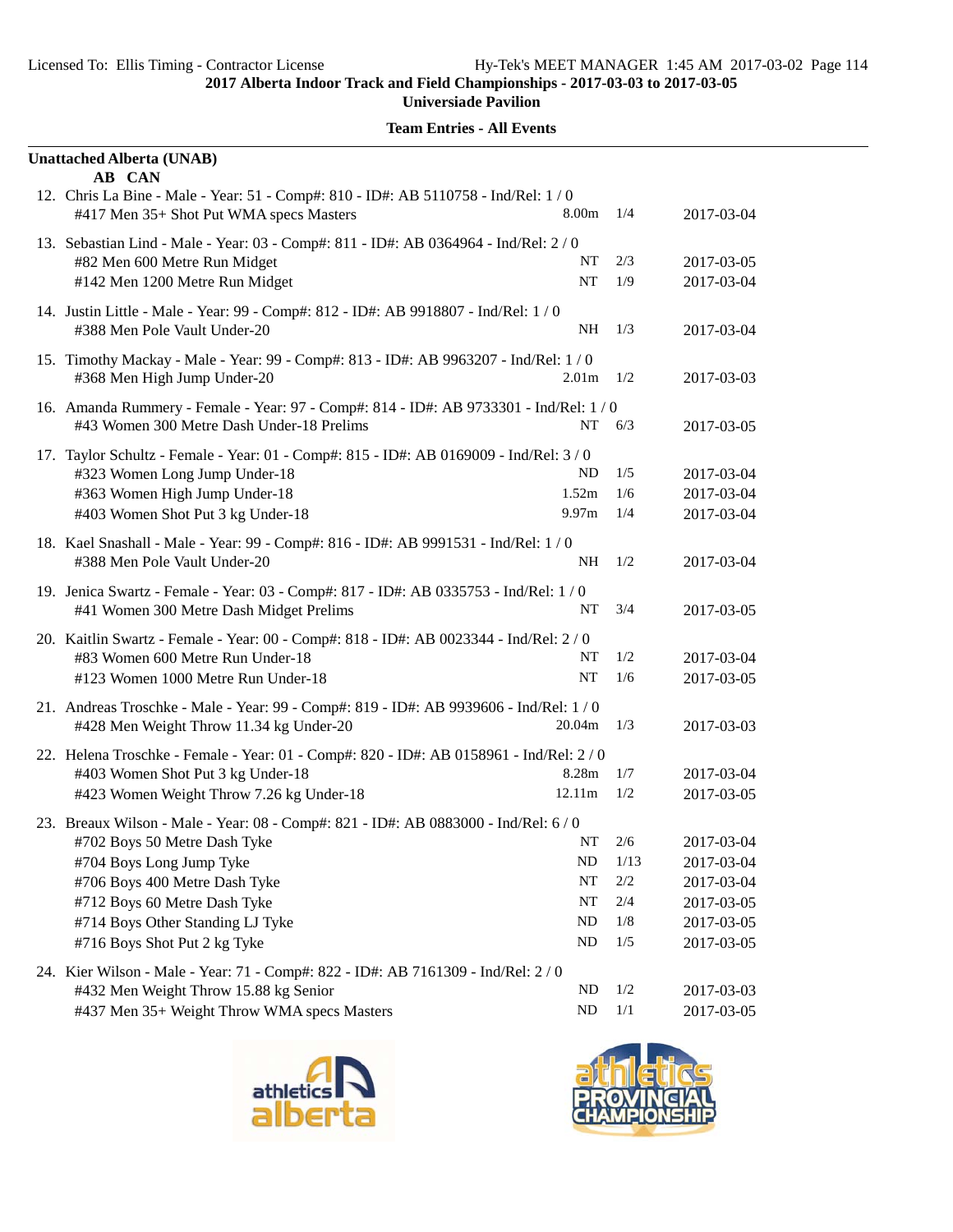| <b>Unattached Alberta (UNAB)</b>                                                                                               |                   |         |            |
|--------------------------------------------------------------------------------------------------------------------------------|-------------------|---------|------------|
| AB CAN<br>12. Chris La Bine - Male - Year: 51 - Comp#: 810 - ID#: AB 5110758 - Ind/Rel: 1/0                                    |                   |         |            |
| #417 Men 35+ Shot Put WMA specs Masters                                                                                        | 8.00m             | 1/4     | 2017-03-04 |
| 13. Sebastian Lind - Male - Year: 03 - Comp#: 811 - ID#: AB 0364964 - Ind/Rel: 2/0                                             |                   |         |            |
| #82 Men 600 Metre Run Midget                                                                                                   | NT                | 2/3     | 2017-03-05 |
| #142 Men 1200 Metre Run Midget                                                                                                 | NT                | 1/9     | 2017-03-04 |
| 14. Justin Little - Male - Year: 99 - Comp#: 812 - ID#: AB 9918807 - Ind/Rel: 1/0<br>#388 Men Pole Vault Under-20              | NH                | 1/3     | 2017-03-04 |
| 15. Timothy Mackay - Male - Year: 99 - Comp#: 813 - ID#: AB 9963207 - Ind/Rel: 1/0<br>#368 Men High Jump Under-20              | 2.01m             | 1/2     | 2017-03-03 |
| 16. Amanda Rummery - Female - Year: 97 - Comp#: 814 - ID#: AB 9733301 - Ind/Rel: 1 / 0                                         |                   |         |            |
| #43 Women 300 Metre Dash Under-18 Prelims                                                                                      | NT                | 6/3     | 2017-03-05 |
| 17. Taylor Schultz - Female - Year: 01 - Comp#: 815 - ID#: AB 0169009 - Ind/Rel: 3/0                                           |                   |         |            |
| #323 Women Long Jump Under-18                                                                                                  | ND                | 1/5     | 2017-03-04 |
| #363 Women High Jump Under-18                                                                                                  | 1.52m             | 1/6     | 2017-03-04 |
| #403 Women Shot Put 3 kg Under-18                                                                                              | 9.97 <sub>m</sub> | 1/4     | 2017-03-04 |
| 18. Kael Snashall - Male - Year: 99 - Comp#: 816 - ID#: AB 9991531 - Ind/Rel: 1 / 0                                            |                   |         |            |
| #388 Men Pole Vault Under-20                                                                                                   | NH                | 1/2     | 2017-03-04 |
| 19. Jenica Swartz - Female - Year: 03 - Comp#: 817 - ID#: AB 0335753 - Ind/Rel: 1/0<br>#41 Women 300 Metre Dash Midget Prelims | NT                | 3/4     | 2017-03-05 |
| 20. Kaitlin Swartz - Female - Year: 00 - Comp#: 818 - ID#: AB 0023344 - Ind/Rel: 2/0                                           |                   |         |            |
| #83 Women 600 Metre Run Under-18                                                                                               | NT                | 1/2     | 2017-03-04 |
| #123 Women 1000 Metre Run Under-18                                                                                             | <b>NT</b>         | 1/6     | 2017-03-05 |
| 21. Andreas Troschke - Male - Year: 99 - Comp#: 819 - ID#: AB 9939606 - Ind/Rel: 1 / 0                                         |                   |         |            |
| #428 Men Weight Throw 11.34 kg Under-20                                                                                        | 20.04m            | 1/3     | 2017-03-03 |
| 22. Helena Troschke - Female - Year: 01 - Comp#: 820 - ID#: AB 0158961 - Ind/Rel: 2 / 0                                        |                   |         |            |
| #403 Women Shot Put 3 kg Under-18                                                                                              | 8.28m             | 1/7     | 2017-03-04 |
| #423 Women Weight Throw 7.26 kg Under-18                                                                                       | 12.11m            | 1/2     | 2017-03-05 |
| 23. Breaux Wilson - Male - Year: 08 - Comp#: 821 - ID#: AB 0883000 - Ind/Rel: 6 / 0                                            |                   |         |            |
| #702 Boys 50 Metre Dash Tyke                                                                                                   | NT –              | 2/6     | 2017-03-04 |
| #704 Boys Long Jump Tyke                                                                                                       | ND                | 1/13    | 2017-03-04 |
| #706 Boys 400 Metre Dash Tyke                                                                                                  | NT                | $2/2\,$ | 2017-03-04 |
| #712 Boys 60 Metre Dash Tyke                                                                                                   | $\bf NT$          | 2/4     | 2017-03-05 |
| #714 Boys Other Standing LJ Tyke                                                                                               | ND                | 1/8     | 2017-03-05 |
| #716 Boys Shot Put 2 kg Tyke                                                                                                   | ND                | 1/5     | 2017-03-05 |
| 24. Kier Wilson - Male - Year: 71 - Comp#: 822 - ID#: AB 7161309 - Ind/Rel: 2 / 0                                              |                   |         |            |
| #432 Men Weight Throw 15.88 kg Senior                                                                                          | <b>ND</b>         | 1/2     | 2017-03-03 |
| #437 Men 35+ Weight Throw WMA specs Masters                                                                                    | ND                | 1/1     | 2017-03-05 |



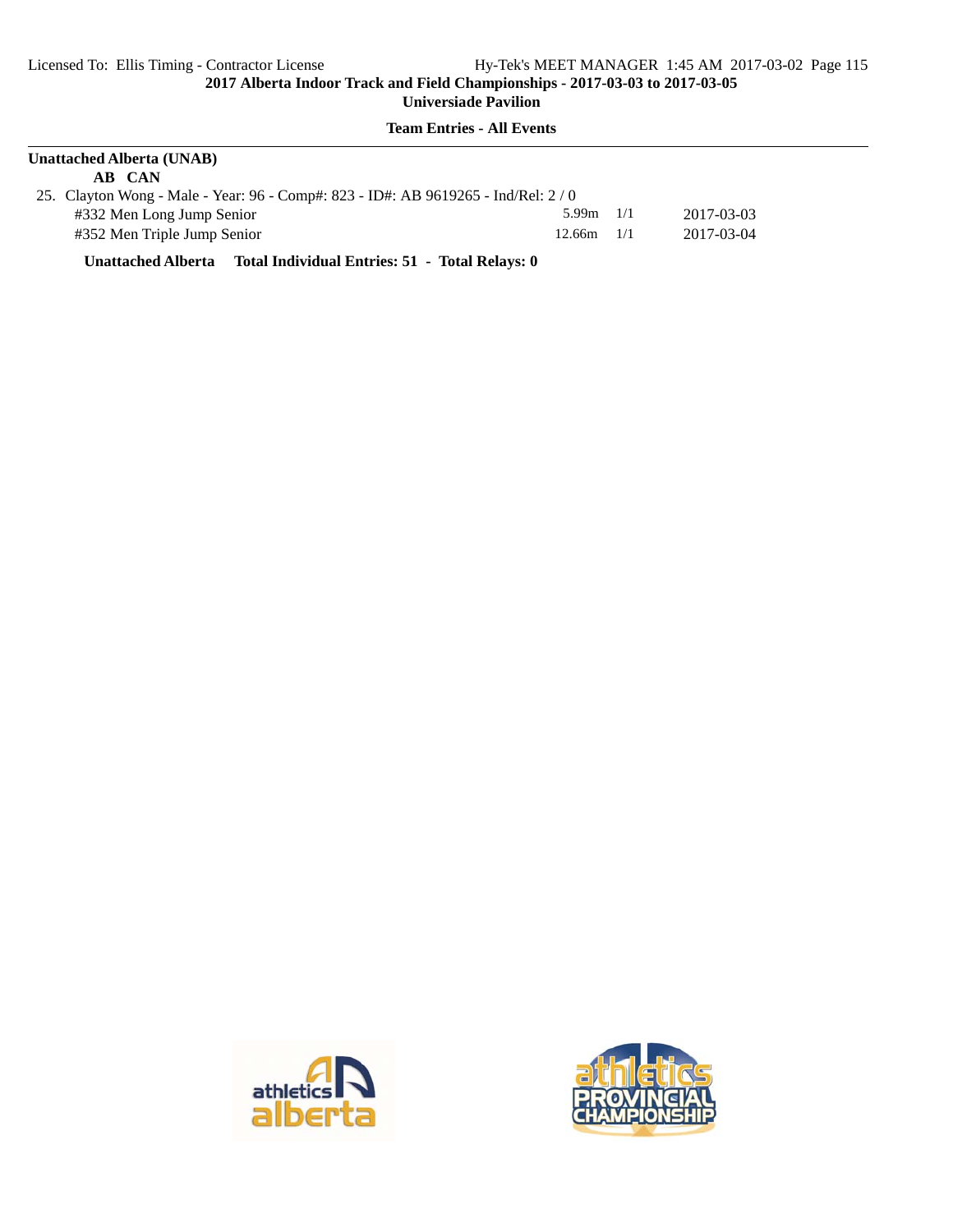**Team Entries - All Events**

| <b>Unattached Alberta (UNAB)</b>                                                 |                |     |            |  |  |  |
|----------------------------------------------------------------------------------|----------------|-----|------------|--|--|--|
| AB CAN                                                                           |                |     |            |  |  |  |
| 25. Clayton Wong - Male - Year: 96 - Comp#: 823 - ID#: AB 9619265 - Ind/Rel: 2/0 |                |     |            |  |  |  |
| #332 Men Long Jump Senior                                                        | 5.99m          | 1/1 | 2017-03-03 |  |  |  |
| #352 Men Triple Jump Senior                                                      | $12.66m$ $1/1$ |     | 2017-03-04 |  |  |  |

**Unattached Alberta Total Individual Entries: 51 - Total Relays: 0**



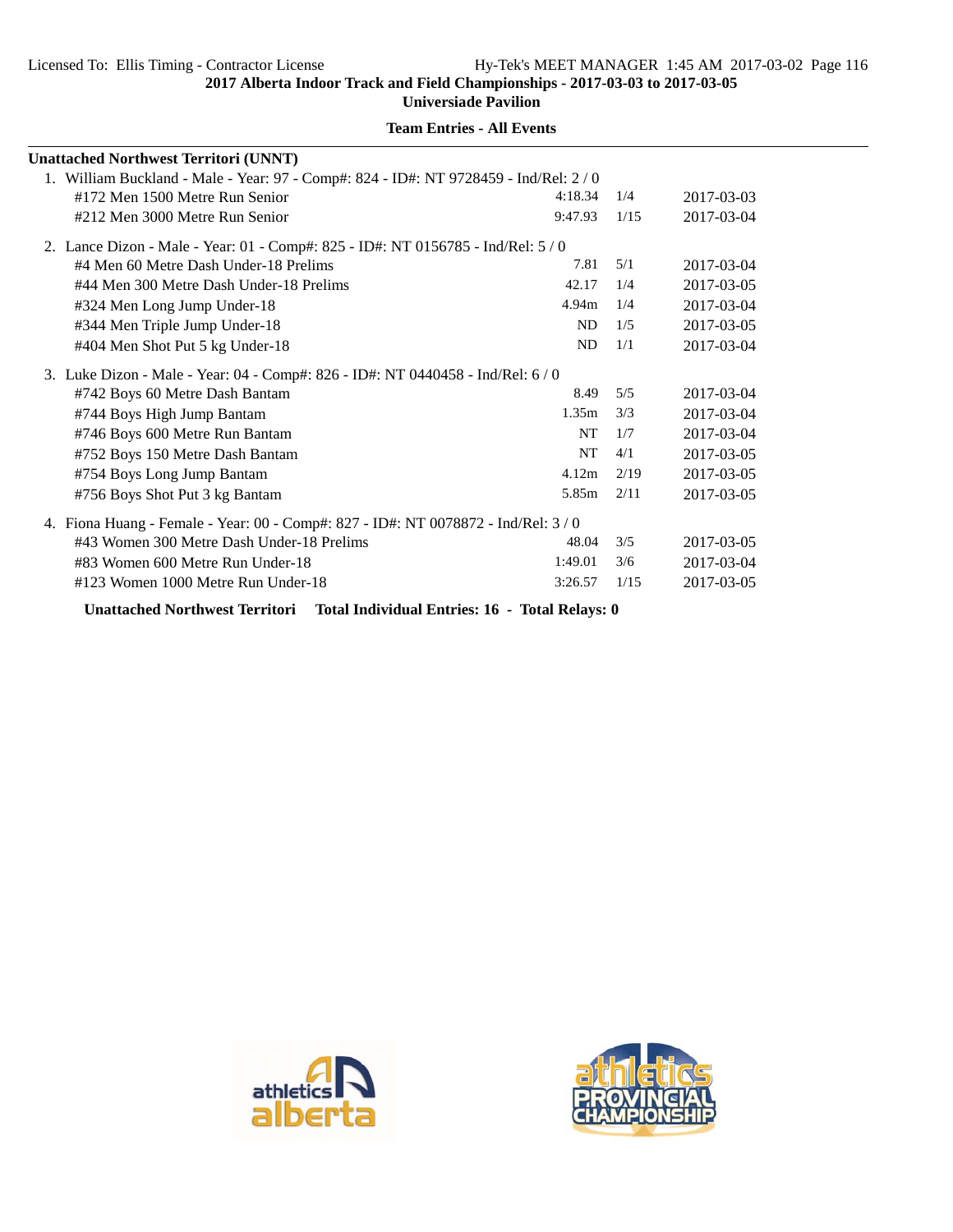**Team Entries - All Events**

| <b>Unattached Northwest Territori (UNNT)</b>                                        |           |      |            |
|-------------------------------------------------------------------------------------|-----------|------|------------|
| 1. William Buckland - Male - Year: 97 - Comp#: 824 - ID#: NT 9728459 - Ind/Rel: 2/0 |           |      |            |
| #172 Men 1500 Metre Run Senior                                                      | 4:18.34   | 1/4  | 2017-03-03 |
| #212 Men 3000 Metre Run Senior                                                      | 9:47.93   | 1/15 | 2017-03-04 |
| 2. Lance Dizon - Male - Year: 01 - Comp#: 825 - ID#: NT 0156785 - Ind/Rel: 5/0      |           |      |            |
| #4 Men 60 Metre Dash Under-18 Prelims                                               | 7.81      | 5/1  | 2017-03-04 |
| #44 Men 300 Metre Dash Under-18 Prelims                                             | 42.17     | 1/4  | 2017-03-05 |
| #324 Men Long Jump Under-18                                                         | 4.94m     | 1/4  | 2017-03-04 |
| #344 Men Triple Jump Under-18                                                       | ND        | 1/5  | 2017-03-05 |
| #404 Men Shot Put 5 kg Under-18                                                     | <b>ND</b> | 1/1  | 2017-03-04 |
| 3. Luke Dizon - Male - Year: 04 - Comp#: 826 - ID#: NT 0440458 - Ind/Rel: 6/0       |           |      |            |
| #742 Boys 60 Metre Dash Bantam                                                      | 8.49      | 5/5  | 2017-03-04 |
| #744 Boys High Jump Bantam                                                          | 1.35m     | 3/3  | 2017-03-04 |
| #746 Boys 600 Metre Run Bantam                                                      | <b>NT</b> | 1/7  | 2017-03-04 |
| #752 Boys 150 Metre Dash Bantam                                                     | <b>NT</b> | 4/1  | 2017-03-05 |
| #754 Boys Long Jump Bantam                                                          | 4.12m     | 2/19 | 2017-03-05 |
| #756 Boys Shot Put 3 kg Bantam                                                      | 5.85m     | 2/11 | 2017-03-05 |
| 4. Fiona Huang - Female - Year: 00 - Comp#: 827 - ID#: NT 0078872 - Ind/Rel: 3/0    |           |      |            |
| #43 Women 300 Metre Dash Under-18 Prelims                                           | 48.04     | 3/5  | 2017-03-05 |
| #83 Women 600 Metre Run Under-18                                                    | 1:49.01   | 3/6  | 2017-03-04 |
| #123 Women 1000 Metre Run Under-18                                                  | 3:26.57   | 1/15 | 2017-03-05 |
|                                                                                     |           |      |            |

**Unattached Northwest Territori Total Individual Entries: 16 - Total Relays: 0**



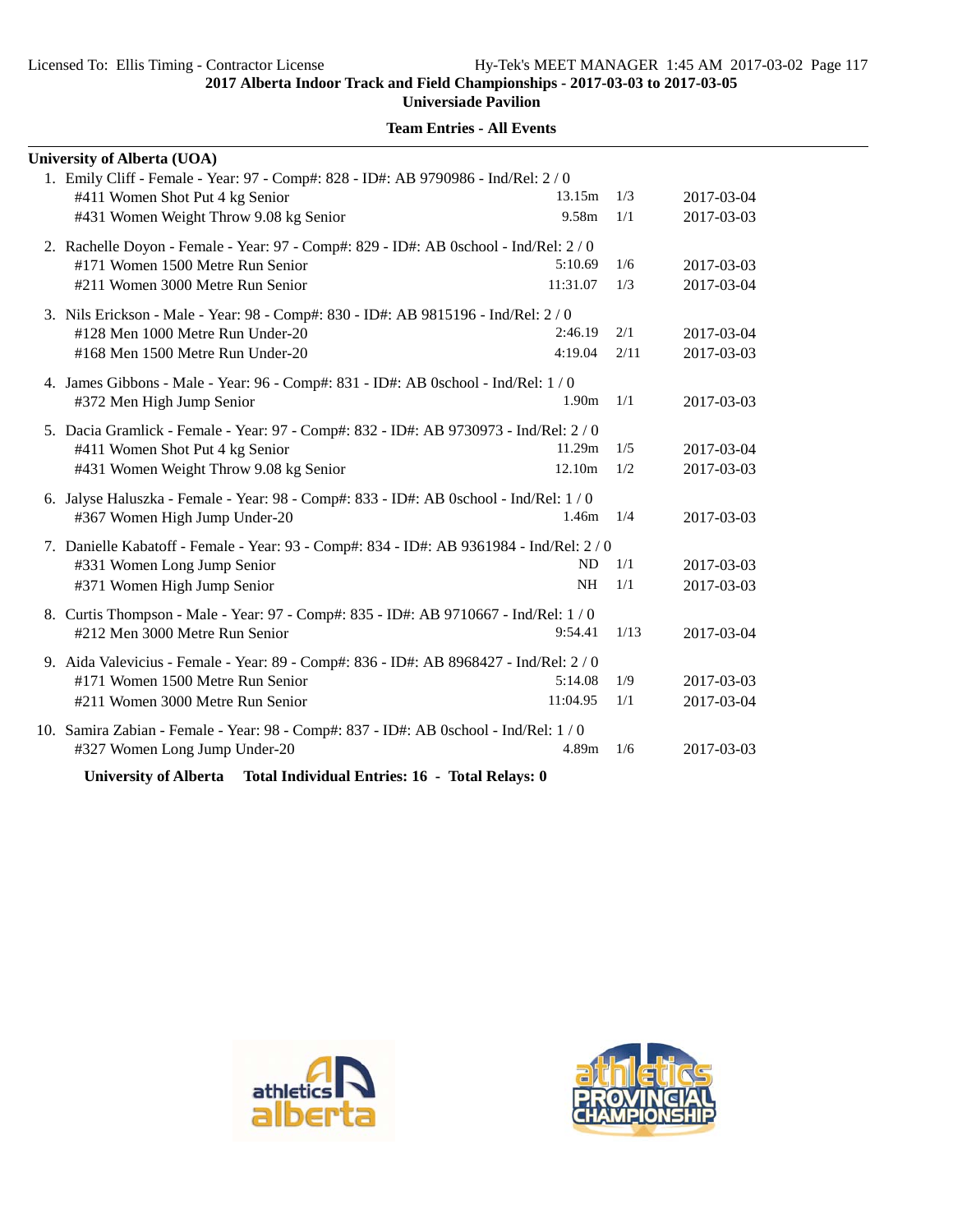| <b>University of Alberta (UOA)</b>                                                                                    |                   |      |            |
|-----------------------------------------------------------------------------------------------------------------------|-------------------|------|------------|
| 1. Emily Cliff - Female - Year: 97 - Comp#: 828 - ID#: AB 9790986 - Ind/Rel: 2 / 0<br>#411 Women Shot Put 4 kg Senior | 13.15m            | 1/3  | 2017-03-04 |
| #431 Women Weight Throw 9.08 kg Senior                                                                                | 9.58m             | 1/1  | 2017-03-03 |
|                                                                                                                       |                   |      |            |
| 2. Rachelle Doyon - Female - Year: 97 - Comp#: 829 - ID#: AB 0school - Ind/Rel: 2/0                                   |                   | 1/6  |            |
| #171 Women 1500 Metre Run Senior                                                                                      | 5:10.69           |      | 2017-03-03 |
| #211 Women 3000 Metre Run Senior                                                                                      | 11:31.07          | 1/3  | 2017-03-04 |
| 3. Nils Erickson - Male - Year: 98 - Comp#: 830 - ID#: AB 9815196 - Ind/Rel: 2/0                                      |                   |      |            |
| #128 Men 1000 Metre Run Under-20                                                                                      | 2:46.19           | 2/1  | 2017-03-04 |
| #168 Men 1500 Metre Run Under-20                                                                                      | 4:19.04           | 2/11 | 2017-03-03 |
| 4. James Gibbons - Male - Year: 96 - Comp#: 831 - ID#: AB 0school - Ind/Rel: 1 / 0                                    |                   |      |            |
| #372 Men High Jump Senior                                                                                             | 1.90 <sub>m</sub> | 1/1  | 2017-03-03 |
| 5. Dacia Gramlick - Female - Year: 97 - Comp#: 832 - ID#: AB 9730973 - Ind/Rel: 2 / 0                                 |                   |      |            |
| #411 Women Shot Put 4 kg Senior                                                                                       | 11.29m            | 1/5  | 2017-03-04 |
| #431 Women Weight Throw 9.08 kg Senior                                                                                | 12.10m            | 1/2  | 2017-03-03 |
|                                                                                                                       |                   |      |            |
| 6. Jalyse Haluszka - Female - Year: 98 - Comp#: 833 - ID#: AB 0school - Ind/Rel: 1 / 0                                | 1.46m             | 1/4  |            |
| #367 Women High Jump Under-20                                                                                         |                   |      | 2017-03-03 |
| 7. Danielle Kabatoff - Female - Year: 93 - Comp#: 834 - ID#: AB 9361984 - Ind/Rel: 2 / 0                              |                   |      |            |
| #331 Women Long Jump Senior                                                                                           | <b>ND</b>         | 1/1  | 2017-03-03 |
| #371 Women High Jump Senior                                                                                           | <b>NH</b>         | 1/1  | 2017-03-03 |
| 8. Curtis Thompson - Male - Year: 97 - Comp#: 835 - ID#: AB 9710667 - Ind/Rel: 1 / 0                                  |                   |      |            |
| #212 Men 3000 Metre Run Senior                                                                                        | 9:54.41           | 1/13 | 2017-03-04 |
| 9. Aida Valevicius - Female - Year: 89 - Comp#: 836 - ID#: AB 8968427 - Ind/Rel: 2/0                                  |                   |      |            |
| #171 Women 1500 Metre Run Senior                                                                                      | 5:14.08           | 1/9  | 2017-03-03 |
| #211 Women 3000 Metre Run Senior                                                                                      | 11:04.95          | 1/1  | 2017-03-04 |
|                                                                                                                       |                   |      |            |
| 10. Samira Zabian - Female - Year: 98 - Comp#: 837 - ID#: AB 0school - Ind/Rel: 1 / 0                                 |                   |      |            |
| #327 Women Long Jump Under-20                                                                                         | 4.89m             | 1/6  | 2017-03-03 |
| <b>University of Alberta</b><br>Total Individual Entries: 16 - Total Relays: 0                                        |                   |      |            |



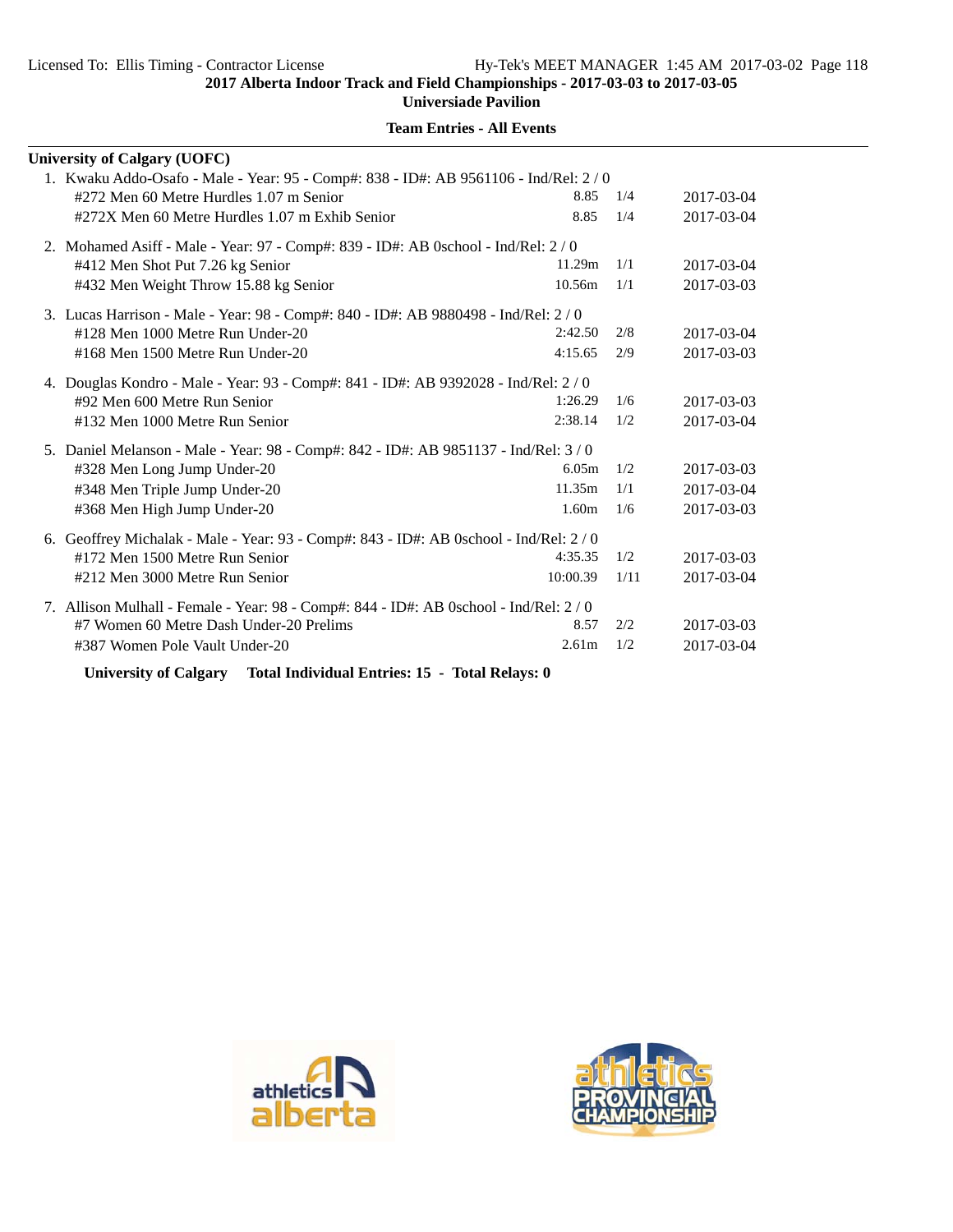| <b>University of Calgary (UOFC)</b>                                                   |                   |      |            |
|---------------------------------------------------------------------------------------|-------------------|------|------------|
| 1. Kwaku Addo-Osafo - Male - Year: 95 - Comp#: 838 - ID#: AB 9561106 - Ind/Rel: 2 / 0 |                   |      |            |
| #272 Men 60 Metre Hurdles 1.07 m Senior                                               | 8.85              | 1/4  | 2017-03-04 |
| #272X Men 60 Metre Hurdles 1.07 m Exhib Senior                                        | 8.85              | 1/4  | 2017-03-04 |
| 2. Mohamed Asiff - Male - Year: 97 - Comp#: 839 - ID#: AB 0school - Ind/Rel: 2 / 0    |                   |      |            |
| #412 Men Shot Put 7.26 kg Senior                                                      | 11.29m            | 1/1  | 2017-03-04 |
| #432 Men Weight Throw 15.88 kg Senior                                                 | 10.56m            | 1/1  | 2017-03-03 |
| 3. Lucas Harrison - Male - Year: 98 - Comp#: 840 - ID#: AB 9880498 - Ind/Rel: 2/0     |                   |      |            |
| #128 Men 1000 Metre Run Under-20                                                      | 2:42.50           | 2/8  | 2017-03-04 |
| #168 Men 1500 Metre Run Under-20                                                      | 4:15.65           | 2/9  | 2017-03-03 |
| 4. Douglas Kondro - Male - Year: 93 - Comp#: 841 - ID#: AB 9392028 - Ind/Rel: 2/0     |                   |      |            |
| #92 Men 600 Metre Run Senior                                                          | 1:26.29           | 1/6  | 2017-03-03 |
| #132 Men 1000 Metre Run Senior                                                        | 2:38.14           | 1/2  | 2017-03-04 |
| 5. Daniel Melanson - Male - Year: 98 - Comp#: 842 - ID#: AB 9851137 - Ind/Rel: 3/0    |                   |      |            |
| #328 Men Long Jump Under-20                                                           | 6.05m             | 1/2  | 2017-03-03 |
| #348 Men Triple Jump Under-20                                                         | 11.35m            | 1/1  | 2017-03-04 |
| #368 Men High Jump Under-20                                                           | 1.60 <sub>m</sub> | 1/6  | 2017-03-03 |
| 6. Geoffrey Michalak - Male - Year: 93 - Comp#: 843 - ID#: AB 0school - Ind/Rel: 2/0  |                   |      |            |
| #172 Men 1500 Metre Run Senior                                                        | 4:35.35           | 1/2  | 2017-03-03 |
| #212 Men 3000 Metre Run Senior                                                        | 10:00.39          | 1/11 | 2017-03-04 |
| 7. Allison Mulhall - Female - Year: 98 - Comp#: 844 - ID#: AB 0school - Ind/Rel: 2/0  |                   |      |            |
| #7 Women 60 Metre Dash Under-20 Prelims                                               | 8.57              | 2/2  | 2017-03-03 |
| #387 Women Pole Vault Under-20                                                        | 2.61 <sub>m</sub> | 1/2  | 2017-03-04 |
|                                                                                       |                   |      |            |

**Team Entries - All Events**

**University of Calgary Total Individual Entries: 15 - Total Relays: 0**



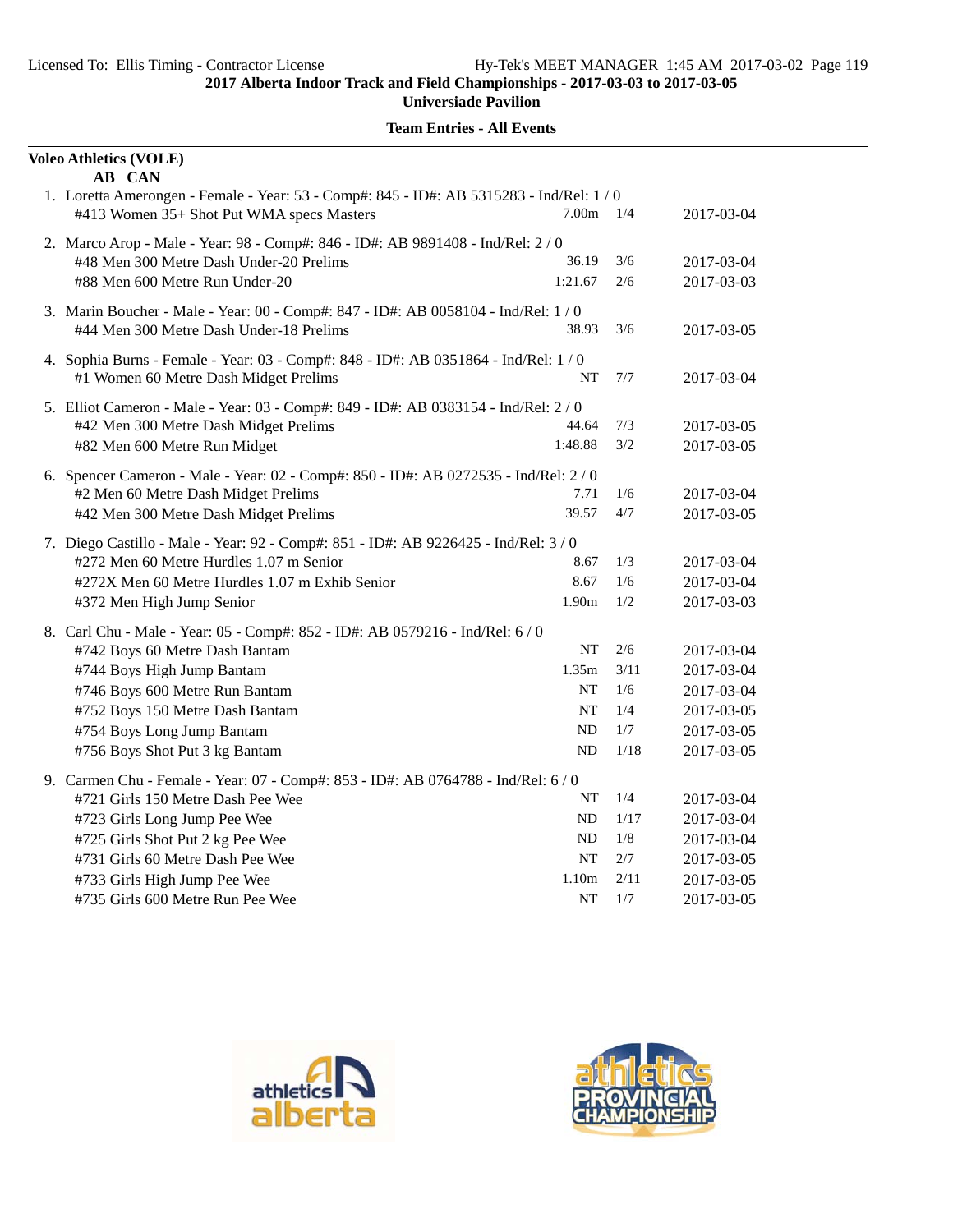| <b>Voleo Athletics (VOLE)</b><br>AB CAN                                                                                                                                                                                                                                                            |                                            |                                          |                                                                                  |
|----------------------------------------------------------------------------------------------------------------------------------------------------------------------------------------------------------------------------------------------------------------------------------------------------|--------------------------------------------|------------------------------------------|----------------------------------------------------------------------------------|
| 1. Loretta Amerongen - Female - Year: 53 - Comp#: 845 - ID#: AB 5315283 - Ind/Rel: 1 / 0<br>#413 Women 35+ Shot Put WMA specs Masters                                                                                                                                                              | 7.00 <sub>m</sub>                          | 1/4                                      | 2017-03-04                                                                       |
| 2. Marco Arop - Male - Year: 98 - Comp#: 846 - ID#: AB 9891408 - Ind/Rel: 2 / 0<br>#48 Men 300 Metre Dash Under-20 Prelims<br>#88 Men 600 Metre Run Under-20                                                                                                                                       | 36.19<br>1:21.67                           | 3/6<br>2/6                               | 2017-03-04<br>2017-03-03                                                         |
| 3. Marin Boucher - Male - Year: 00 - Comp#: 847 - ID#: AB 0058104 - Ind/Rel: 1 / 0<br>#44 Men 300 Metre Dash Under-18 Prelims                                                                                                                                                                      | 38.93                                      | 3/6                                      | 2017-03-05                                                                       |
| 4. Sophia Burns - Female - Year: 03 - Comp#: 848 - ID#: AB 0351864 - Ind/Rel: 1 / 0<br>#1 Women 60 Metre Dash Midget Prelims                                                                                                                                                                       | NT                                         | 7/7                                      | 2017-03-04                                                                       |
| 5. Elliot Cameron - Male - Year: 03 - Comp#: 849 - ID#: AB 0383154 - Ind/Rel: 2 / 0<br>#42 Men 300 Metre Dash Midget Prelims<br>#82 Men 600 Metre Run Midget                                                                                                                                       | 44.64<br>1:48.88                           | 7/3<br>3/2                               | 2017-03-05<br>2017-03-05                                                         |
| 6. Spencer Cameron - Male - Year: 02 - Comp#: 850 - ID#: AB 0272535 - Ind/Rel: 2 / 0<br>#2 Men 60 Metre Dash Midget Prelims<br>#42 Men 300 Metre Dash Midget Prelims                                                                                                                               | 7.71<br>39.57                              | 1/6<br>4/7                               | 2017-03-04<br>2017-03-05                                                         |
| 7. Diego Castillo - Male - Year: 92 - Comp#: 851 - ID#: AB 9226425 - Ind/Rel: 3/0<br>#272 Men 60 Metre Hurdles 1.07 m Senior<br>#272X Men 60 Metre Hurdles 1.07 m Exhib Senior<br>#372 Men High Jump Senior                                                                                        | 8.67<br>8.67<br>1.90m                      | 1/3<br>1/6<br>1/2                        | 2017-03-04<br>2017-03-04<br>2017-03-03                                           |
| 8. Carl Chu - Male - Year: 05 - Comp#: 852 - ID#: AB 0579216 - Ind/Rel: 6 / 0<br>#742 Boys 60 Metre Dash Bantam<br>#744 Boys High Jump Bantam<br>#746 Boys 600 Metre Run Bantam<br>#752 Boys 150 Metre Dash Bantam<br>#754 Boys Long Jump Bantam<br>#756 Boys Shot Put 3 kg Bantam                 | NT<br>1.35m<br>NT<br>NT<br>ND<br>ND        | 2/6<br>3/11<br>1/6<br>1/4<br>1/7<br>1/18 | 2017-03-04<br>2017-03-04<br>2017-03-04<br>2017-03-05<br>2017-03-05<br>2017-03-05 |
| 9. Carmen Chu - Female - Year: 07 - Comp#: 853 - ID#: AB 0764788 - Ind/Rel: 6 / 0<br>#721 Girls 150 Metre Dash Pee Wee<br>#723 Girls Long Jump Pee Wee<br>#725 Girls Shot Put 2 kg Pee Wee<br>#731 Girls 60 Metre Dash Pee Wee<br>#733 Girls High Jump Pee Wee<br>#735 Girls 600 Metre Run Pee Wee | NT<br>ND<br>ND<br><b>NT</b><br>1.10m<br>NT | 1/4<br>1/17<br>1/8<br>2/7<br>2/11<br>1/7 | 2017-03-04<br>2017-03-04<br>2017-03-04<br>2017-03-05<br>2017-03-05<br>2017-03-05 |



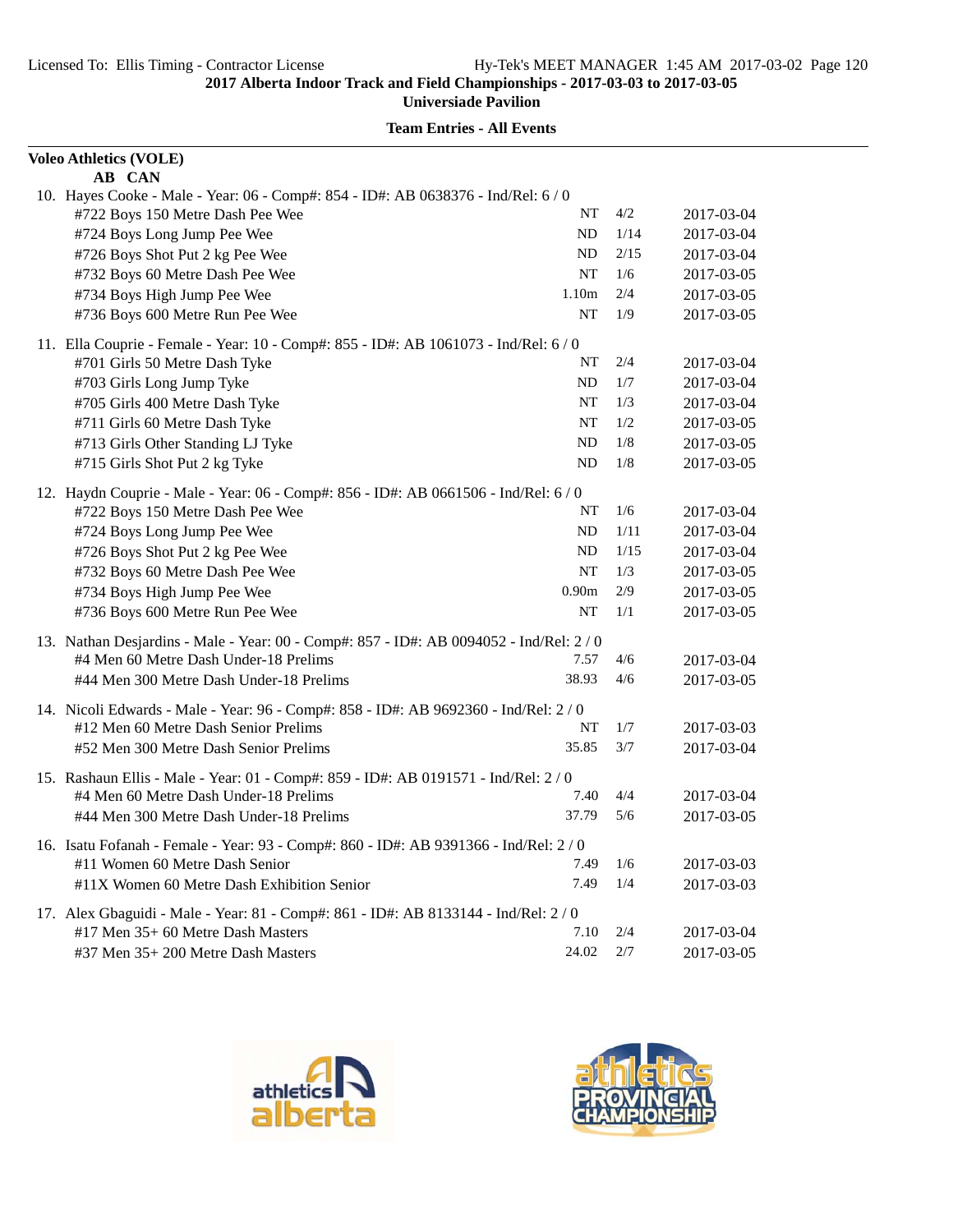| <b>Voleo Athletics (VOLE)</b>                                                                                           |                   |      |            |  |
|-------------------------------------------------------------------------------------------------------------------------|-------------------|------|------------|--|
| AB CAN                                                                                                                  |                   |      |            |  |
| 10. Hayes Cooke - Male - Year: 06 - Comp#: 854 - ID#: AB 0638376 - Ind/Rel: 6 / 0                                       |                   |      |            |  |
| #722 Boys 150 Metre Dash Pee Wee                                                                                        | NT                | 4/2  | 2017-03-04 |  |
| #724 Boys Long Jump Pee Wee                                                                                             | ND                | 1/14 | 2017-03-04 |  |
| #726 Boys Shot Put 2 kg Pee Wee                                                                                         | ND                | 2/15 | 2017-03-04 |  |
| #732 Boys 60 Metre Dash Pee Wee                                                                                         | <b>NT</b>         | 1/6  | 2017-03-05 |  |
| #734 Boys High Jump Pee Wee                                                                                             | 1.10 <sub>m</sub> | 2/4  | 2017-03-05 |  |
| #736 Boys 600 Metre Run Pee Wee                                                                                         | NT                | 1/9  | 2017-03-05 |  |
| 11. Ella Couprie - Female - Year: 10 - Comp#: 855 - ID#: AB 1061073 - Ind/Rel: 6 / 0                                    |                   |      |            |  |
| #701 Girls 50 Metre Dash Tyke                                                                                           | NT                | 2/4  | 2017-03-04 |  |
| #703 Girls Long Jump Tyke                                                                                               | ND                | 1/7  | 2017-03-04 |  |
| #705 Girls 400 Metre Dash Tyke                                                                                          | NT                | 1/3  | 2017-03-04 |  |
| #711 Girls 60 Metre Dash Tyke                                                                                           | NT                | 1/2  | 2017-03-05 |  |
| #713 Girls Other Standing LJ Tyke                                                                                       | ND                | 1/8  | 2017-03-05 |  |
| #715 Girls Shot Put 2 kg Tyke                                                                                           | ND                | 1/8  | 2017-03-05 |  |
| 12. Haydn Couprie - Male - Year: 06 - Comp#: 856 - ID#: AB 0661506 - Ind/Rel: 6 / 0                                     |                   |      |            |  |
| #722 Boys 150 Metre Dash Pee Wee                                                                                        | NT                | 1/6  | 2017-03-04 |  |
| #724 Boys Long Jump Pee Wee                                                                                             | <b>ND</b>         | 1/11 | 2017-03-04 |  |
| #726 Boys Shot Put 2 kg Pee Wee                                                                                         | ND                | 1/15 | 2017-03-04 |  |
| #732 Boys 60 Metre Dash Pee Wee                                                                                         | NT                | 1/3  | 2017-03-05 |  |
| #734 Boys High Jump Pee Wee                                                                                             | 0.90 <sub>m</sub> | 2/9  | 2017-03-05 |  |
| #736 Boys 600 Metre Run Pee Wee                                                                                         | <b>NT</b>         | 1/1  | 2017-03-05 |  |
| 13. Nathan Desjardins - Male - Year: 00 - Comp#: 857 - ID#: AB 0094052 - Ind/Rel: 2 / 0                                 |                   |      |            |  |
| #4 Men 60 Metre Dash Under-18 Prelims                                                                                   | 7.57              | 4/6  | 2017-03-04 |  |
| #44 Men 300 Metre Dash Under-18 Prelims                                                                                 | 38.93             | 4/6  | 2017-03-05 |  |
| 14. Nicoli Edwards - Male - Year: 96 - Comp#: 858 - ID#: AB 9692360 - Ind/Rel: 2 / 0                                    |                   |      |            |  |
| #12 Men 60 Metre Dash Senior Prelims                                                                                    | NT                | 1/7  | 2017-03-03 |  |
| #52 Men 300 Metre Dash Senior Prelims                                                                                   | 35.85             | 3/7  | 2017-03-04 |  |
| 15. Rashaun Ellis - Male - Year: 01 - Comp#: 859 - ID#: AB 0191571 - Ind/Rel: 2 / 0                                     |                   |      |            |  |
| #4 Men 60 Metre Dash Under-18 Prelims                                                                                   | 7.40              | 4/4  | 2017-03-04 |  |
| #44 Men 300 Metre Dash Under-18 Prelims                                                                                 | 37.79             | 5/6  | 2017-03-05 |  |
|                                                                                                                         |                   |      |            |  |
| 16. Isatu Fofanah - Female - Year: 93 - Comp#: 860 - ID#: AB 9391366 - Ind/Rel: 2 / 0<br>#11 Women 60 Metre Dash Senior | 7.49              | 1/6  |            |  |
|                                                                                                                         |                   | 1/4  | 2017-03-03 |  |
| #11X Women 60 Metre Dash Exhibition Senior                                                                              | 7.49              |      | 2017-03-03 |  |
| 17. Alex Gbaguidi - Male - Year: 81 - Comp#: 861 - ID#: AB 8133144 - Ind/Rel: 2/0                                       |                   |      |            |  |
| #17 Men 35+ 60 Metre Dash Masters                                                                                       | 7.10              | 2/4  | 2017-03-04 |  |
| #37 Men 35+ 200 Metre Dash Masters                                                                                      | 24.02             | 2/7  | 2017-03-05 |  |



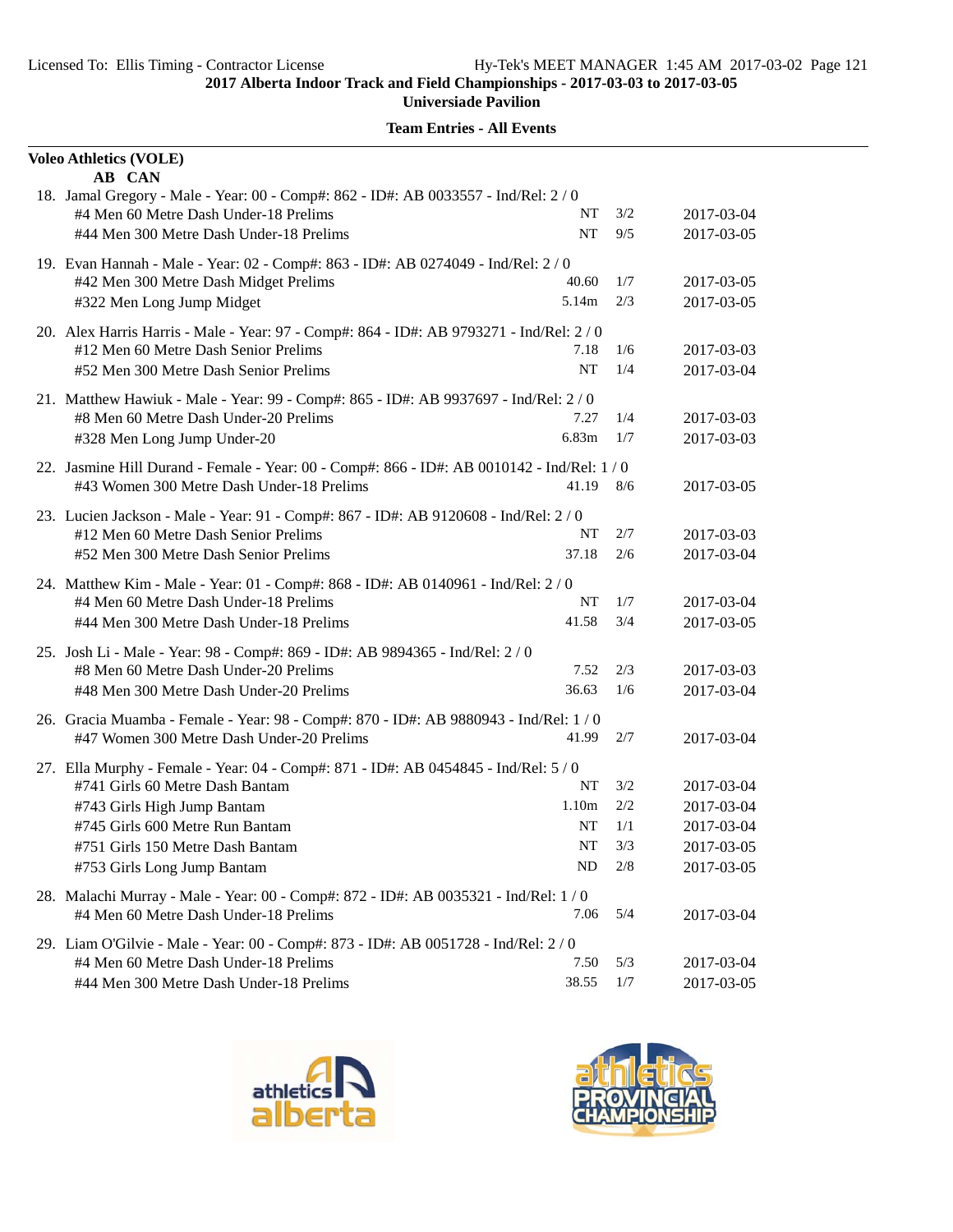|                                                                                       | <b>Voleo Athletics (VOLE)</b>                                                                 |       |     |            |  |
|---------------------------------------------------------------------------------------|-----------------------------------------------------------------------------------------------|-------|-----|------------|--|
|                                                                                       | AB CAN<br>18. Jamal Gregory - Male - Year: 00 - Comp#: 862 - ID#: AB 0033557 - Ind/Rel: 2 / 0 |       |     |            |  |
|                                                                                       | #4 Men 60 Metre Dash Under-18 Prelims                                                         | NT    | 3/2 | 2017-03-04 |  |
|                                                                                       | #44 Men 300 Metre Dash Under-18 Prelims                                                       | NT    | 9/5 | 2017-03-05 |  |
|                                                                                       | 19. Evan Hannah - Male - Year: 02 - Comp#: 863 - ID#: AB 0274049 - Ind/Rel: 2 / 0             |       |     |            |  |
|                                                                                       | #42 Men 300 Metre Dash Midget Prelims                                                         | 40.60 | 1/7 | 2017-03-05 |  |
|                                                                                       | #322 Men Long Jump Midget                                                                     | 5.14m | 2/3 | 2017-03-05 |  |
|                                                                                       | 20. Alex Harris Harris - Male - Year: 97 - Comp#: 864 - ID#: AB 9793271 - Ind/Rel: 2 / 0      |       |     |            |  |
|                                                                                       | #12 Men 60 Metre Dash Senior Prelims                                                          | 7.18  | 1/6 | 2017-03-03 |  |
|                                                                                       | #52 Men 300 Metre Dash Senior Prelims                                                         | NT    | 1/4 | 2017-03-04 |  |
|                                                                                       | 21. Matthew Hawiuk - Male - Year: 99 - Comp#: 865 - ID#: AB 9937697 - Ind/Rel: 2 / 0          |       |     |            |  |
|                                                                                       | #8 Men 60 Metre Dash Under-20 Prelims                                                         | 7.27  | 1/4 | 2017-03-03 |  |
|                                                                                       | #328 Men Long Jump Under-20                                                                   | 6.83m | 1/7 | 2017-03-03 |  |
|                                                                                       | 22. Jasmine Hill Durand - Female - Year: 00 - Comp#: 866 - ID#: AB 0010142 - Ind/Rel: 1 / 0   |       |     |            |  |
|                                                                                       | #43 Women 300 Metre Dash Under-18 Prelims                                                     | 41.19 | 8/6 | 2017-03-05 |  |
|                                                                                       | 23. Lucien Jackson - Male - Year: 91 - Comp#: 867 - ID#: AB 9120608 - Ind/Rel: 2 / 0          |       |     |            |  |
|                                                                                       | #12 Men 60 Metre Dash Senior Prelims                                                          | NT    | 2/7 | 2017-03-03 |  |
|                                                                                       | #52 Men 300 Metre Dash Senior Prelims                                                         | 37.18 | 2/6 | 2017-03-04 |  |
|                                                                                       | 24. Matthew Kim - Male - Year: 01 - Comp#: 868 - ID#: AB 0140961 - Ind/Rel: 2/0               |       |     |            |  |
|                                                                                       | #4 Men 60 Metre Dash Under-18 Prelims                                                         | NT    | 1/7 | 2017-03-04 |  |
|                                                                                       | #44 Men 300 Metre Dash Under-18 Prelims                                                       | 41.58 | 3/4 | 2017-03-05 |  |
| 25. Josh Li - Male - Year: 98 - Comp#: 869 - ID#: AB 9894365 - Ind/Rel: 2 / 0         |                                                                                               |       |     |            |  |
|                                                                                       | #8 Men 60 Metre Dash Under-20 Prelims                                                         | 7.52  | 2/3 | 2017-03-03 |  |
|                                                                                       | #48 Men 300 Metre Dash Under-20 Prelims                                                       | 36.63 | 1/6 | 2017-03-04 |  |
| 26. Gracia Muamba - Female - Year: 98 - Comp#: 870 - ID#: AB 9880943 - Ind/Rel: 1 / 0 |                                                                                               |       |     |            |  |
|                                                                                       | #47 Women 300 Metre Dash Under-20 Prelims                                                     | 41.99 | 2/7 | 2017-03-04 |  |
|                                                                                       | 27. Ella Murphy - Female - Year: 04 - Comp#: 871 - ID#: AB 0454845 - Ind/Rel: 5/0             |       |     |            |  |
|                                                                                       | #741 Girls 60 Metre Dash Bantam                                                               | NT    | 3/2 | 2017-03-04 |  |
|                                                                                       | #743 Girls High Jump Bantam                                                                   | 1.10m | 2/2 | 2017-03-04 |  |
|                                                                                       | #745 Girls 600 Metre Run Bantam                                                               | NT    | 1/1 | 2017-03-04 |  |
|                                                                                       | #751 Girls 150 Metre Dash Bantam                                                              | NT    | 3/3 | 2017-03-05 |  |
|                                                                                       | #753 Girls Long Jump Bantam                                                                   | ND    | 2/8 | 2017-03-05 |  |
|                                                                                       | 28. Malachi Murray - Male - Year: 00 - Comp#: 872 - ID#: AB 0035321 - Ind/Rel: 1/0            |       |     |            |  |
|                                                                                       | #4 Men 60 Metre Dash Under-18 Prelims                                                         | 7.06  | 5/4 | 2017-03-04 |  |
|                                                                                       | 29. Liam O'Gilvie - Male - Year: 00 - Comp#: 873 - ID#: AB 0051728 - Ind/Rel: 2 / 0           |       |     |            |  |
|                                                                                       | #4 Men 60 Metre Dash Under-18 Prelims                                                         | 7.50  | 5/3 | 2017-03-04 |  |
|                                                                                       | #44 Men 300 Metre Dash Under-18 Prelims                                                       | 38.55 | 1/7 | 2017-03-05 |  |



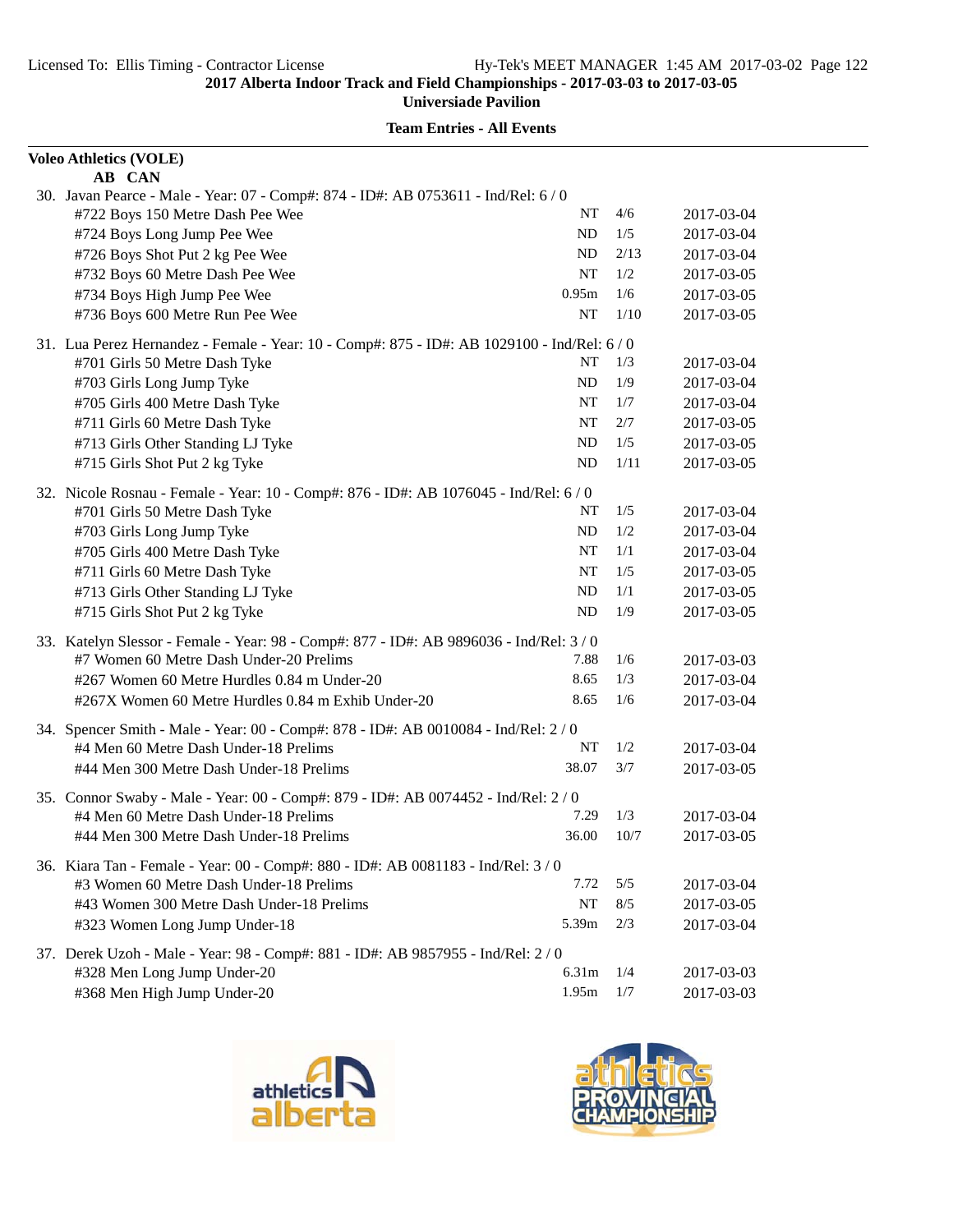| <b>Voleo Athletics (VOLE)</b>                                                                |           |       |            |
|----------------------------------------------------------------------------------------------|-----------|-------|------------|
| AB CAN<br>30. Javan Pearce - Male - Year: 07 - Comp#: 874 - ID#: AB 0753611 - Ind/Rel: 6 / 0 |           |       |            |
| #722 Boys 150 Metre Dash Pee Wee                                                             | NT        | 4/6   | 2017-03-04 |
| #724 Boys Long Jump Pee Wee                                                                  | ND        | 1/5   | 2017-03-04 |
| #726 Boys Shot Put 2 kg Pee Wee                                                              | ND        | 2/13  | 2017-03-04 |
| #732 Boys 60 Metre Dash Pee Wee                                                              | <b>NT</b> | 1/2   | 2017-03-05 |
| #734 Boys High Jump Pee Wee                                                                  | 0.95m     | 1/6   | 2017-03-05 |
| #736 Boys 600 Metre Run Pee Wee                                                              | NT        | 1/10  | 2017-03-05 |
| 31. Lua Perez Hernandez - Female - Year: 10 - Comp#: 875 - ID#: AB 1029100 - Ind/Rel: 6 / 0  |           |       |            |
| #701 Girls 50 Metre Dash Tyke                                                                | NT        | 1/3   | 2017-03-04 |
| #703 Girls Long Jump Tyke                                                                    | <b>ND</b> | 1/9   | 2017-03-04 |
| #705 Girls 400 Metre Dash Tyke                                                               | NT        | 1/7   | 2017-03-04 |
| #711 Girls 60 Metre Dash Tyke                                                                | <b>NT</b> | 2/7   | 2017-03-05 |
| #713 Girls Other Standing LJ Tyke                                                            | ND        | 1/5   | 2017-03-05 |
| #715 Girls Shot Put 2 kg Tyke                                                                | <b>ND</b> | 1/11  | 2017-03-05 |
| 32. Nicole Rosnau - Female - Year: 10 - Comp#: 876 - ID#: AB 1076045 - Ind/Rel: 6 / 0        |           |       |            |
| #701 Girls 50 Metre Dash Tyke                                                                | NT        | 1/5   | 2017-03-04 |
| #703 Girls Long Jump Tyke                                                                    | <b>ND</b> | 1/2   | 2017-03-04 |
| #705 Girls 400 Metre Dash Tyke                                                               | NT        | 1/1   | 2017-03-04 |
| #711 Girls 60 Metre Dash Tyke                                                                | NT        | 1/5   | 2017-03-05 |
| #713 Girls Other Standing LJ Tyke                                                            | ND        | 1/1   | 2017-03-05 |
| #715 Girls Shot Put 2 kg Tyke                                                                | ND        | 1/9   | 2017-03-05 |
| 33. Katelyn Slessor - Female - Year: 98 - Comp#: 877 - ID#: AB 9896036 - Ind/Rel: 3/0        |           |       |            |
| #7 Women 60 Metre Dash Under-20 Prelims                                                      | 7.88      | 1/6   | 2017-03-03 |
| #267 Women 60 Metre Hurdles 0.84 m Under-20                                                  | 8.65      | 1/3   | 2017-03-04 |
| #267X Women 60 Metre Hurdles 0.84 m Exhib Under-20                                           | 8.65      | 1/6   | 2017-03-04 |
| 34. Spencer Smith - Male - Year: 00 - Comp#: 878 - ID#: AB 0010084 - Ind/Rel: 2 / 0          |           |       |            |
| #4 Men 60 Metre Dash Under-18 Prelims                                                        | NT        | 1/2   | 2017-03-04 |
| #44 Men 300 Metre Dash Under-18 Prelims                                                      | 38.07     | 3/7   | 2017-03-05 |
| 35. Connor Swaby - Male - Year: 00 - Comp#: 879 - ID#: AB 0074452 - Ind/Rel: 2 / 0           |           |       |            |
| #4 Men 60 Metre Dash Under-18 Prelims                                                        | 7.29      | 1/3   | 2017-03-04 |
| #44 Men 300 Metre Dash Under-18 Prelims                                                      | 36.00     | 10/7  | 2017-03-05 |
| 36. Kiara Tan - Female - Year: 00 - Comp#: 880 - ID#: AB 0081183 - Ind/Rel: 3/0              |           |       |            |
| #3 Women 60 Metre Dash Under-18 Prelims                                                      | 7.72      | 5/5   | 2017-03-04 |
| #43 Women 300 Metre Dash Under-18 Prelims                                                    | NT        | $8/5$ | 2017-03-05 |
| #323 Women Long Jump Under-18                                                                | 5.39m     | 2/3   | 2017-03-04 |
| 37. Derek Uzoh - Male - Year: 98 - Comp#: 881 - ID#: AB 9857955 - Ind/Rel: 2/0               |           |       |            |
| #328 Men Long Jump Under-20                                                                  | 6.31m     | 1/4   | 2017-03-03 |
| #368 Men High Jump Under-20                                                                  | 1.95m     | 1/7   | 2017-03-03 |



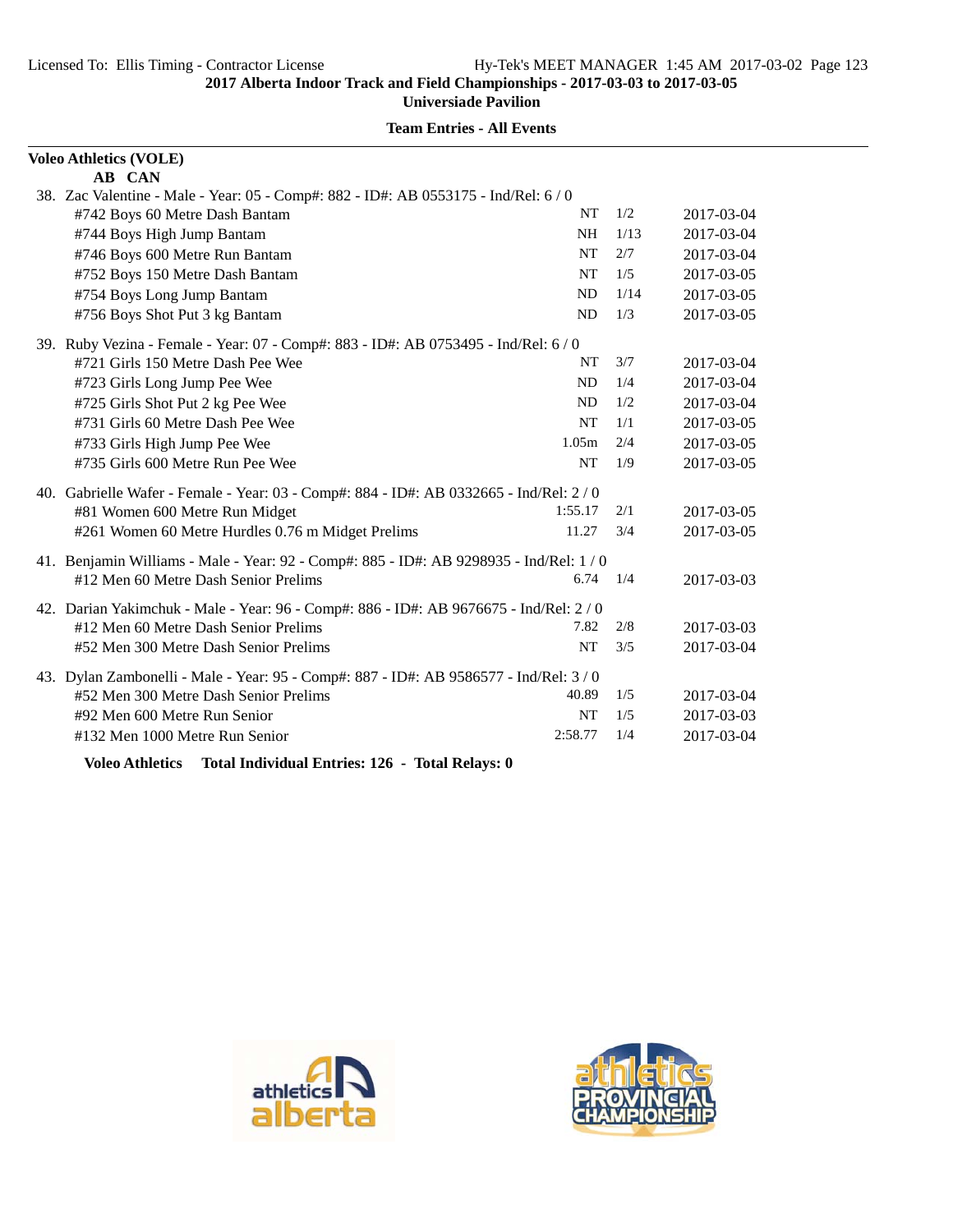# **Team Entries - All Events**

| <b>Voleo Athletics (VOLE)</b>                                                           |                |      |            |  |
|-----------------------------------------------------------------------------------------|----------------|------|------------|--|
| AB CAN                                                                                  |                |      |            |  |
| 38. Zac Valentine - Male - Year: 05 - Comp#: 882 - ID#: AB 0553175 - Ind/Rel: 6/0       |                |      |            |  |
| #742 Boys 60 Metre Dash Bantam                                                          | <b>NT</b>      | 1/2  | 2017-03-04 |  |
| #744 Boys High Jump Bantam                                                              | <b>NH</b>      | 1/13 | 2017-03-04 |  |
| #746 Boys 600 Metre Run Bantam                                                          | <b>NT</b>      | 2/7  | 2017-03-04 |  |
| #752 Boys 150 Metre Dash Bantam                                                         | <b>NT</b>      | 1/5  | 2017-03-05 |  |
| #754 Boys Long Jump Bantam                                                              | ND             | 1/14 | 2017-03-05 |  |
| #756 Boys Shot Put 3 kg Bantam                                                          | ND             | 1/3  | 2017-03-05 |  |
| 39. Ruby Vezina - Female - Year: 07 - Comp#: 883 - ID#: AB 0753495 - Ind/Rel: 6 / 0     |                |      |            |  |
| #721 Girls 150 Metre Dash Pee Wee                                                       | NT             | 3/7  | 2017-03-04 |  |
| #723 Girls Long Jump Pee Wee                                                            | N <sub>D</sub> | 1/4  | 2017-03-04 |  |
| #725 Girls Shot Put 2 kg Pee Wee                                                        | ND             | 1/2  | 2017-03-04 |  |
| #731 Girls 60 Metre Dash Pee Wee                                                        | <b>NT</b>      | 1/1  | 2017-03-05 |  |
| #733 Girls High Jump Pee Wee                                                            | 1.05m          | 2/4  | 2017-03-05 |  |
| #735 Girls 600 Metre Run Pee Wee                                                        | <b>NT</b>      | 1/9  | 2017-03-05 |  |
| 40. Gabrielle Wafer - Female - Year: 03 - Comp#: 884 - ID#: AB 0332665 - Ind/Rel: 2 / 0 |                |      |            |  |
| #81 Women 600 Metre Run Midget                                                          | 1:55.17        | 2/1  | 2017-03-05 |  |
| #261 Women 60 Metre Hurdles 0.76 m Midget Prelims                                       | 11.27          | 3/4  | 2017-03-05 |  |
| 41. Benjamin Williams - Male - Year: 92 - Comp#: 885 - ID#: AB 9298935 - Ind/Rel: 1 / 0 |                |      |            |  |
| #12 Men 60 Metre Dash Senior Prelims                                                    | 6.74           | 1/4  | 2017-03-03 |  |
| 42. Darian Yakimchuk - Male - Year: 96 - Comp#: 886 - ID#: AB 9676675 - Ind/Rel: 2 / 0  |                |      |            |  |
| #12 Men 60 Metre Dash Senior Prelims                                                    | 7.82           | 2/8  | 2017-03-03 |  |
| #52 Men 300 Metre Dash Senior Prelims                                                   | <b>NT</b>      | 3/5  | 2017-03-04 |  |
| 43. Dylan Zambonelli - Male - Year: 95 - Comp#: 887 - ID#: AB 9586577 - Ind/Rel: 3/0    |                |      |            |  |
| #52 Men 300 Metre Dash Senior Prelims                                                   | 40.89          | 1/5  | 2017-03-04 |  |
| #92 Men 600 Metre Run Senior                                                            | <b>NT</b>      | 1/5  | 2017-03-03 |  |
| #132 Men 1000 Metre Run Senior                                                          | 2:58.77        | 1/4  | 2017-03-04 |  |
|                                                                                         |                |      |            |  |

**Voleo Athletics Total Individual Entries: 126 - Total Relays: 0**